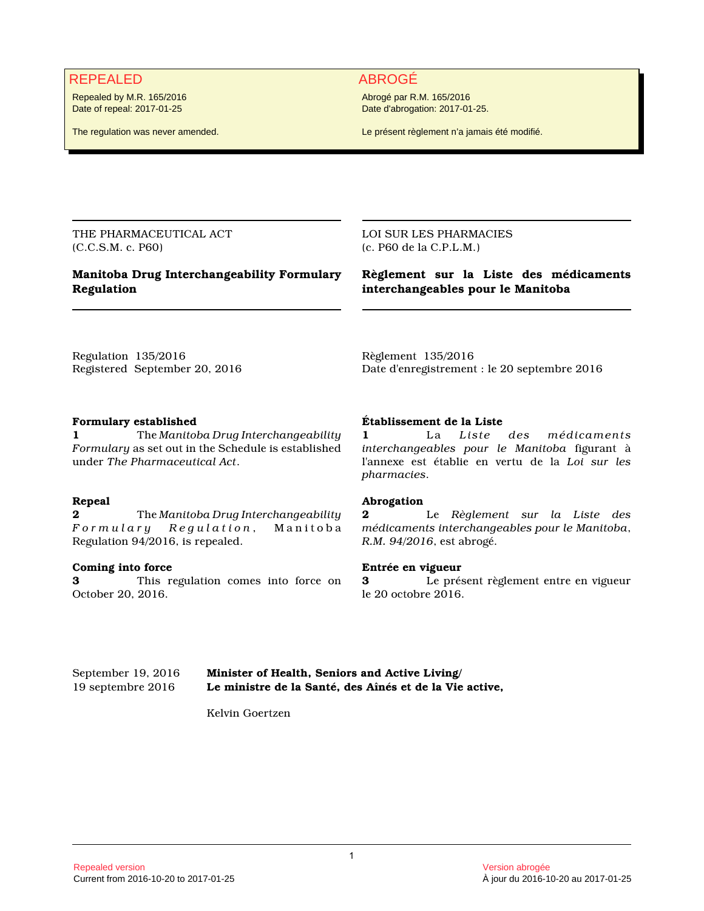# REPEALED ABROGÉ

Repealed by M.R. 165/2016 Date of repeal: 2017-01-25

The regulation was never amended.

Abrogé par R.M. 165/2016 Date d'abrogation: 2017-01-25.

Le présent règlement n'a jamais été modifié.

THE PHARMACEUTICAL ACT (C.C.S.M. c. P60)

## **Manitoba Drug Interchangeability Formulary Regulation**

LOI SUR LES PHARMACIES (c. P60 de la C.P.L.M.)

**Règlement sur la Liste des médicaments interchangeables pour le Manitoba**

Regulation 135/2016 Registered September 20, 2016

### **Formulary established**

**1** The *Manitoba Drug Interchangeability Formulary* as set out in the Schedule is established under *The Pharmaceutical Act*.

### **Repeal**

**2** The *Manitoba Drug Interchangeability F o r m u l a r y R e g u l a t i o n* , M a n i t o b a Regulation 94/2016, is repealed.

### **Coming into force**

**3** This regulation comes into force on October 20, 2016.

Date d'enregistrement : le 20 septembre 2016

### **Établissement de la Liste**

Règlement 135/2016

**1** La *Liste des médicaments interchangeables pour le Manitoba* figurant à l'annexe est établie en vertu de la *Loi sur les pharmacies*.

### **Abrogation**

**2** Le *Règlement sur la Liste des médicaments interchangeables pour le Manitoba*, *R.M. 94/2016*, est abrogé.

### **Entrée en vigueur**

**3** Le présent règlement entre en vigueur le 20 octobre 2016.

September 19, 2016 **Minister of Health, Seniors and Active Living/** 19 septembre 2016 **Le ministre de la Santé, des Aînés et de la Vie active,**

Kelvin Goertzen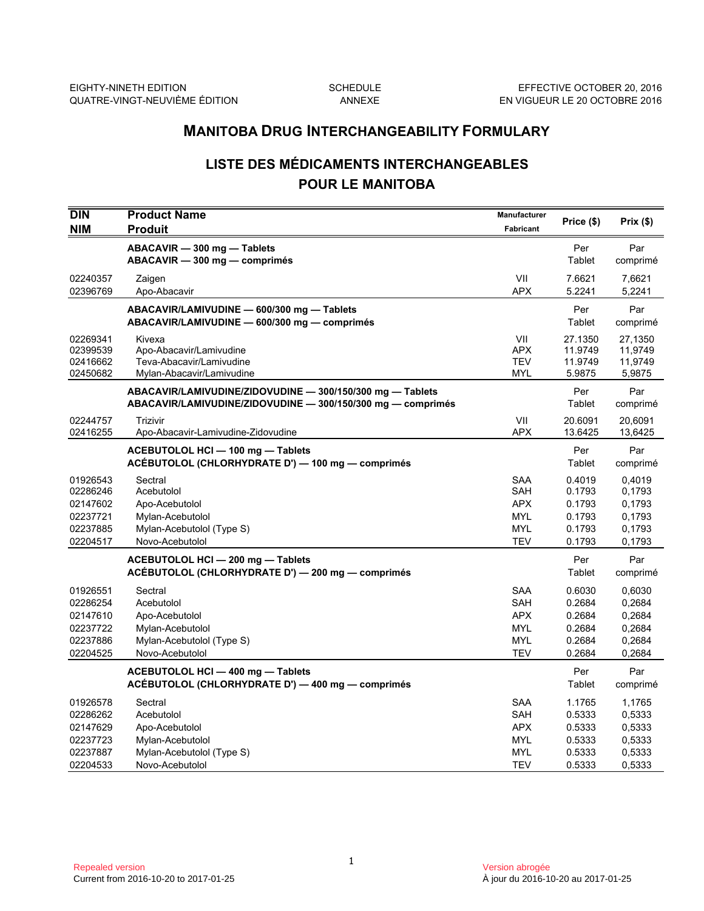# **LISTE DES MÉDICAMENTS INTERCHANGEABLES POUR LE MANITOBA**

|                                                                      | <b>MANITOBA DRUG INTERCHANGEABILITY FORMULARY</b>                                                                        |                                                                           |                                                          |                                                          |  |
|----------------------------------------------------------------------|--------------------------------------------------------------------------------------------------------------------------|---------------------------------------------------------------------------|----------------------------------------------------------|----------------------------------------------------------|--|
|                                                                      | <b>LISTE DES MÉDICAMENTS INTERCHANGEABLES</b><br><b>POUR LE MANITOBA</b>                                                 |                                                                           |                                                          |                                                          |  |
| <b>DIN</b><br><b>NIM</b>                                             | <b>Product Name</b><br><b>Produit</b>                                                                                    | Manufacturer<br>Fabricant                                                 | Price (\$)                                               | Prix(\$)                                                 |  |
|                                                                      | ABACAVIR - 300 mg - Tablets<br>ABACAVIR - 300 mg - comprimés                                                             |                                                                           | Per<br>Tablet                                            | Par<br>comprimé                                          |  |
| 02240357<br>02396769                                                 | Zaigen<br>Apo-Abacavir                                                                                                   | VII<br><b>APX</b>                                                         | 7.6621<br>5.2241                                         | 7,6621<br>5,2241                                         |  |
|                                                                      | ABACAVIR/LAMIVUDINE - 600/300 mg - Tablets<br>ABACAVIR/LAMIVUDINE - 600/300 mg - comprimés                               |                                                                           | Per<br>Tablet                                            | Par<br>comprimé                                          |  |
| 02269341<br>02399539<br>02416662<br>02450682                         | Kivexa<br>Apo-Abacavir/Lamivudine<br>Teva-Abacavir/Lamivudine<br>Mylan-Abacavir/Lamivudine                               | VII<br>APX<br><b>TEV</b><br><b>MYL</b>                                    | 27.1350<br>11.9749<br>11.9749<br>5.9875                  | 27,1350<br>11,9749<br>11,9749<br>5,9875                  |  |
|                                                                      | ABACAVIR/LAMIVUDINE/ZIDOVUDINE - 300/150/300 mg - Tablets<br>ABACAVIR/LAMIVUDINE/ZIDOVUDINE - 300/150/300 mg - comprimés |                                                                           | Per<br>Tablet                                            | Par<br>comprimé                                          |  |
| 02244757<br>02416255                                                 | Trizivir<br>Apo-Abacavir-Lamivudine-Zidovudine                                                                           | VII<br><b>APX</b>                                                         | 20.6091<br>13.6425                                       | 20,6091<br>13,6425                                       |  |
|                                                                      | ACEBUTOLOL HCI - 100 mg - Tablets<br>ACÉBUTOLOL (CHLORHYDRATE D') — 100 mg — comprimés                                   |                                                                           | Per<br>Tablet                                            | Par<br>comprimé                                          |  |
| 01926543<br>02286246<br>02147602<br>02237721<br>02237885<br>02204517 | Sectral<br>Acebutolol<br>Apo-Acebutolol<br>Mylan-Acebutolol<br>Mylan-Acebutolol (Type S)<br>Novo-Acebutolol              | <b>SAA</b><br>SAH<br><b>APX</b><br><b>MYL</b><br><b>MYL</b><br><b>TEV</b> | 0.4019<br>0.1793<br>0.1793<br>0.1793<br>0.1793<br>0.1793 | 0,4019<br>0,1793<br>0,1793<br>0,1793<br>0,1793<br>0,1793 |  |
|                                                                      | ACEBUTOLOL HCI - 200 mg - Tablets<br>ACÉBUTOLOL (CHLORHYDRATE D') - 200 mg - comprimés                                   |                                                                           | Per<br>Tablet                                            | Par<br>comprimé                                          |  |
| 01926551<br>02286254<br>02147610<br>02237722<br>02237886<br>02204525 | Sectral<br>Acebutolol<br>Apo-Acebutolol<br>Mylan-Acebutolol<br>Mylan-Acebutolol (Type S)<br>Novo-Acebutolol              | <b>SAA</b><br>SAH<br><b>APX</b><br><b>MYL</b><br><b>MYL</b><br><b>TEV</b> | 0.6030<br>0.2684<br>0.2684<br>0.2684<br>0.2684<br>0.2684 | 0,6030<br>0,2684<br>0,2684<br>0,2684<br>0,2684<br>0,2684 |  |
|                                                                      | ACEBUTOLOL HCI - 400 mg - Tablets<br>ACÉBUTOLOL (CHLORHYDRATE D') — 400 mg — comprimés                                   |                                                                           | Per<br>Tablet                                            | Par<br>comprimé                                          |  |
| 01926578<br>02286262<br>02147629<br>02237723<br>02237887<br>02204533 | Sectral<br>Acebutolol<br>Apo-Acebutolol<br>Mylan-Acebutolol<br>Mylan-Acebutolol (Type S)<br>Novo-Acebutolol              | SAA<br>SAH<br><b>APX</b><br>MYL<br>MYL<br><b>TEV</b>                      | 1.1765<br>0.5333<br>0.5333<br>0.5333<br>0.5333<br>0.5333 | 1,1765<br>0,5333<br>0,5333<br>0,5333<br>0,5333<br>0,5333 |  |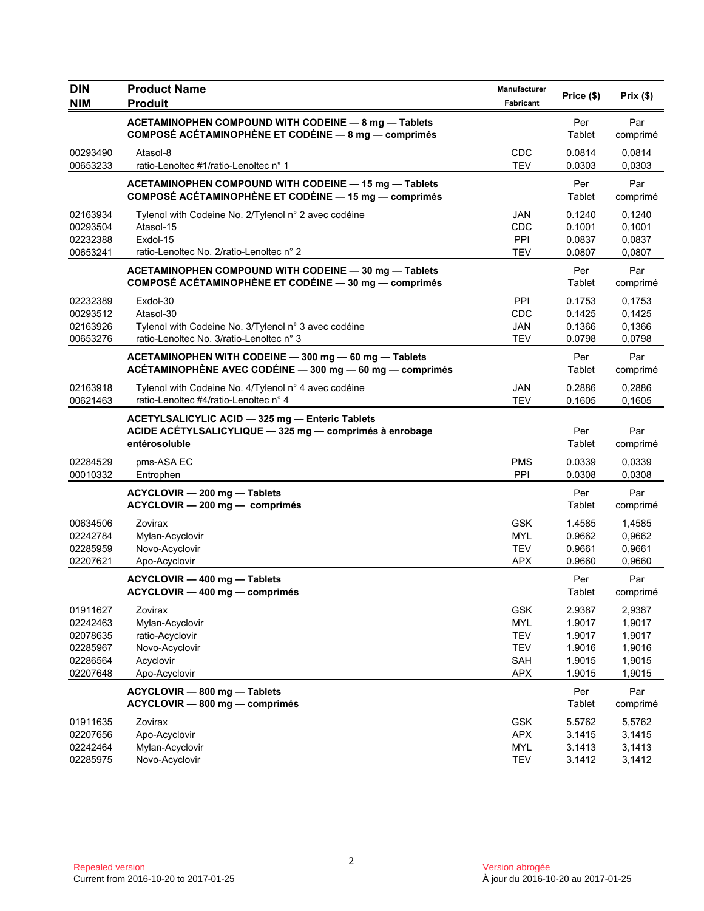| <b>DIN</b>                                                           | <b>Product Name</b>                                                                                                         | Manufacturer                                                              | Price (\$)                                               | Prix (\$)                                                |
|----------------------------------------------------------------------|-----------------------------------------------------------------------------------------------------------------------------|---------------------------------------------------------------------------|----------------------------------------------------------|----------------------------------------------------------|
| <b>NIM</b>                                                           | <b>Produit</b>                                                                                                              | Fabricant                                                                 |                                                          |                                                          |
|                                                                      | ACETAMINOPHEN COMPOUND WITH CODEINE - 8 mg - Tablets<br>COMPOSÉ ACÉTAMINOPHÈNE ET CODÉINE - 8 mg - comprimés                |                                                                           | Per<br>Tablet                                            | Par<br>comprimé                                          |
| 00293490<br>00653233                                                 | Atasol-8<br>ratio-Lenoltec #1/ratio-Lenoltec n° 1                                                                           | CDC<br><b>TEV</b>                                                         | 0.0814<br>0.0303                                         | 0,0814<br>0,0303                                         |
|                                                                      | ACETAMINOPHEN COMPOUND WITH CODEINE - 15 mg - Tablets<br>COMPOSÉ ACÉTAMINOPHÈNE ET CODÉINE - 15 mg - comprimés              |                                                                           | Per<br>Tablet                                            | Par<br>comprimé                                          |
| 02163934<br>00293504<br>02232388<br>00653241                         | Tylenol with Codeine No. 2/Tylenol n° 2 avec codéine<br>Atasol-15<br>Exdol-15<br>ratio-Lenoltec No. 2/ratio-Lenoltec n° 2   | JAN<br>CDC<br>PPI<br><b>TEV</b>                                           | 0.1240<br>0.1001<br>0.0837<br>0.0807                     | 0,1240<br>0,1001<br>0,0837<br>0,0807                     |
|                                                                      | ACETAMINOPHEN COMPOUND WITH CODEINE - 30 mg - Tablets<br>COMPOSÉ ACÉTAMINOPHÈNE ET CODÉINE - 30 mg - comprimés              |                                                                           | Per<br>Tablet                                            | Par<br>comprimé                                          |
| 02232389<br>00293512<br>02163926<br>00653276                         | Exdol-30<br>Atasol-30<br>Tylenol with Codeine No. 3/Tylenol n° 3 avec codéine<br>ratio-Lenoltec No. 3/ratio-Lenoltec n° 3   | <b>PPI</b><br>CDC<br>JAN<br><b>TEV</b>                                    | 0.1753<br>0.1425<br>0.1366<br>0.0798                     | 0,1753<br>0,1425<br>0,1366<br>0,0798                     |
|                                                                      | ACETAMINOPHEN WITH CODEINE - 300 mg - 60 mg - Tablets<br>ACÉTAMINOPHÈNE AVEC CODÉINE - 300 mg - 60 mg - comprimés           |                                                                           | Per<br>Tablet                                            | Par<br>comprimé                                          |
| 02163918<br>00621463                                                 | Tylenol with Codeine No. 4/Tylenol n° 4 avec codéine<br>ratio-Lenoltec #4/ratio-Lenoltec n° 4                               | <b>JAN</b><br><b>TEV</b>                                                  | 0.2886<br>0.1605                                         | 0.2886<br>0,1605                                         |
|                                                                      | ACETYLSALICYLIC ACID - 325 mg - Enteric Tablets<br>ACIDE ACÉTYLSALICYLIQUE - 325 mg - comprimés à enrobage<br>entérosoluble |                                                                           | Per<br>Tablet                                            | Par<br>comprimé                                          |
| 02284529<br>00010332                                                 | pms-ASA EC<br>Entrophen                                                                                                     | <b>PMS</b><br>PPI                                                         | 0.0339<br>0.0308                                         | 0,0339<br>0,0308                                         |
|                                                                      | ACYCLOVIR - 200 mg - Tablets<br>ACYCLOVIR - 200 mg - comprimés                                                              |                                                                           | Per<br>Tablet                                            | Par<br>comprimé                                          |
| 00634506<br>02242784<br>02285959<br>02207621                         | Zovirax<br>Mylan-Acyclovir<br>Novo-Acyclovir<br>Apo-Acyclovir                                                               | <b>GSK</b><br><b>MYL</b><br><b>TEV</b><br><b>APX</b>                      | 1.4585<br>0.9662<br>0.9661<br>0.9660                     | 1,4585<br>0,9662<br>0,9661<br>0,9660                     |
|                                                                      | ACYCLOVIR - 400 mg - Tablets<br>ACYCLOVIR - 400 mg - comprimés                                                              |                                                                           | Per<br>Tablet                                            | Par<br>comprimé                                          |
| 01911627<br>02242463<br>02078635<br>02285967<br>02286564<br>02207648 | Zovirax<br>Mylan-Acyclovir<br>ratio-Acyclovir<br>Novo-Acyclovir<br>Acyclovir<br>Apo-Acyclovir                               | <b>GSK</b><br><b>MYL</b><br><b>TEV</b><br><b>TEV</b><br>SAH<br><b>APX</b> | 2.9387<br>1.9017<br>1.9017<br>1.9016<br>1.9015<br>1.9015 | 2,9387<br>1,9017<br>1,9017<br>1,9016<br>1,9015<br>1,9015 |
|                                                                      | ACYCLOVIR - 800 mg - Tablets<br>ACYCLOVIR - 800 mg - comprimés                                                              |                                                                           | Per<br>Tablet                                            | Par<br>comprimé                                          |
| 01911635<br>02207656<br>02242464<br>02285975                         | Zovirax<br>Apo-Acyclovir<br>Mylan-Acyclovir<br>Novo-Acyclovir                                                               | <b>GSK</b><br><b>APX</b><br><b>MYL</b><br><b>TEV</b>                      | 5.5762<br>3.1415<br>3.1413<br>3.1412                     | 5,5762<br>3,1415<br>3,1413<br>3,1412                     |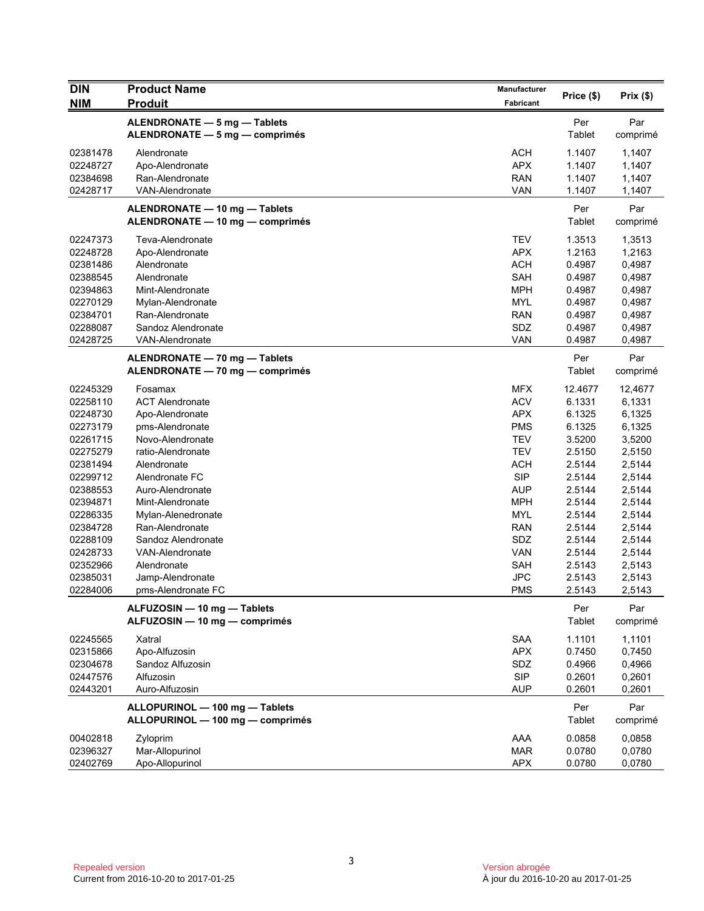| <b>DIN</b>                                                                                                                                                                                               | <b>Product Name</b>                                                                                                                                                                                                                                                                                                                         | Manufacturer                                                                                                                                                                                                                        |                                                                                                                                                                         |                                                                                                                                                                         |
|----------------------------------------------------------------------------------------------------------------------------------------------------------------------------------------------------------|---------------------------------------------------------------------------------------------------------------------------------------------------------------------------------------------------------------------------------------------------------------------------------------------------------------------------------------------|-------------------------------------------------------------------------------------------------------------------------------------------------------------------------------------------------------------------------------------|-------------------------------------------------------------------------------------------------------------------------------------------------------------------------|-------------------------------------------------------------------------------------------------------------------------------------------------------------------------|
| <b>NIM</b>                                                                                                                                                                                               | <b>Produit</b>                                                                                                                                                                                                                                                                                                                              | Fabricant                                                                                                                                                                                                                           | Price (\$)                                                                                                                                                              | Prix(\$)                                                                                                                                                                |
|                                                                                                                                                                                                          | ALENDRONATE - 5 mg - Tablets<br>ALENDRONATE - 5 mg - comprimés                                                                                                                                                                                                                                                                              |                                                                                                                                                                                                                                     | Per<br>Tablet                                                                                                                                                           | Par<br>comprimé                                                                                                                                                         |
| 02381478<br>02248727<br>02384698<br>02428717                                                                                                                                                             | Alendronate<br>Apo-Alendronate<br>Ran-Alendronate<br>VAN-Alendronate                                                                                                                                                                                                                                                                        | <b>ACH</b><br><b>APX</b><br><b>RAN</b><br><b>VAN</b>                                                                                                                                                                                | 1.1407<br>1.1407<br>1.1407<br>1.1407                                                                                                                                    | 1,1407<br>1,1407<br>1,1407<br>1,1407                                                                                                                                    |
|                                                                                                                                                                                                          | ALENDRONATE - 10 mg - Tablets<br>ALENDRONATE - 10 mg - comprimés                                                                                                                                                                                                                                                                            |                                                                                                                                                                                                                                     | Per<br>Tablet                                                                                                                                                           | Par<br>comprimé                                                                                                                                                         |
| 02247373<br>02248728<br>02381486<br>02388545<br>02394863<br>02270129<br>02384701<br>02288087<br>02428725                                                                                                 | Teva-Alendronate<br>Apo-Alendronate<br>Alendronate<br>Alendronate<br>Mint-Alendronate<br>Mylan-Alendronate<br>Ran-Alendronate<br>Sandoz Alendronate<br><b>VAN-Alendronate</b>                                                                                                                                                               | <b>TEV</b><br><b>APX</b><br><b>ACH</b><br><b>SAH</b><br><b>MPH</b><br><b>MYL</b><br><b>RAN</b><br>SDZ<br><b>VAN</b>                                                                                                                 | 1.3513<br>1.2163<br>0.4987<br>0.4987<br>0.4987<br>0.4987<br>0.4987<br>0.4987<br>0.4987                                                                                  | 1,3513<br>1,2163<br>0,4987<br>0,4987<br>0,4987<br>0,4987<br>0,4987<br>0,4987<br>0,4987                                                                                  |
|                                                                                                                                                                                                          | ALENDRONATE - 70 mg - Tablets<br>ALENDRONATE - 70 mg - comprimés                                                                                                                                                                                                                                                                            |                                                                                                                                                                                                                                     | Per<br>Tablet                                                                                                                                                           | Par<br>comprimé                                                                                                                                                         |
| 02245329<br>02258110<br>02248730<br>02273179<br>02261715<br>02275279<br>02381494<br>02299712<br>02388553<br>02394871<br>02286335<br>02384728<br>02288109<br>02428733<br>02352966<br>02385031<br>02284006 | Fosamax<br><b>ACT Alendronate</b><br>Apo-Alendronate<br>pms-Alendronate<br>Novo-Alendronate<br>ratio-Alendronate<br>Alendronate<br>Alendronate FC<br>Auro-Alendronate<br>Mint-Alendronate<br>Mylan-Alenedronate<br>Ran-Alendronate<br>Sandoz Alendronate<br><b>VAN-Alendronate</b><br>Alendronate<br>Jamp-Alendronate<br>pms-Alendronate FC | <b>MFX</b><br><b>ACV</b><br><b>APX</b><br><b>PMS</b><br><b>TEV</b><br><b>TEV</b><br><b>ACH</b><br><b>SIP</b><br><b>AUP</b><br><b>MPH</b><br><b>MYL</b><br><b>RAN</b><br>SDZ<br><b>VAN</b><br><b>SAH</b><br><b>JPC</b><br><b>PMS</b> | 12.4677<br>6.1331<br>6.1325<br>6.1325<br>3.5200<br>2.5150<br>2.5144<br>2.5144<br>2.5144<br>2.5144<br>2.5144<br>2.5144<br>2.5144<br>2.5144<br>2.5143<br>2.5143<br>2.5143 | 12,4677<br>6,1331<br>6,1325<br>6,1325<br>3,5200<br>2,5150<br>2,5144<br>2,5144<br>2,5144<br>2,5144<br>2,5144<br>2,5144<br>2,5144<br>2,5144<br>2,5143<br>2,5143<br>2,5143 |
| 02245565                                                                                                                                                                                                 | ALFUZOSIN - 10 mg - Tablets<br>ALFUZOSIN - 10 mg - comprimés<br>Xatral                                                                                                                                                                                                                                                                      | <b>SAA</b>                                                                                                                                                                                                                          | Per<br>Tablet<br>1.1101                                                                                                                                                 | Par<br>comprimé<br>1,1101                                                                                                                                               |
| 02315866<br>02304678<br>02447576<br>02443201                                                                                                                                                             | Apo-Alfuzosin<br>Sandoz Alfuzosin<br>Alfuzosin<br>Auro-Alfuzosin                                                                                                                                                                                                                                                                            | <b>APX</b><br>SDZ<br><b>SIP</b><br><b>AUP</b>                                                                                                                                                                                       | 0.7450<br>0.4966<br>0.2601<br>0.2601                                                                                                                                    | 0,7450<br>0,4966<br>0,2601<br>0,2601                                                                                                                                    |
|                                                                                                                                                                                                          | ALLOPURINOL - 100 mg - Tablets<br>ALLOPURINOL - 100 mg - comprimés                                                                                                                                                                                                                                                                          |                                                                                                                                                                                                                                     | Per<br>Tablet                                                                                                                                                           | Par<br>comprimé                                                                                                                                                         |
| 00402818<br>02396327<br>02402769                                                                                                                                                                         | Zyloprim<br>Mar-Allopurinol<br>Apo-Allopurinol                                                                                                                                                                                                                                                                                              | AAA<br><b>MAR</b><br>APX                                                                                                                                                                                                            | 0.0858<br>0.0780<br>0.0780                                                                                                                                              | 0,0858<br>0,0780<br>0,0780                                                                                                                                              |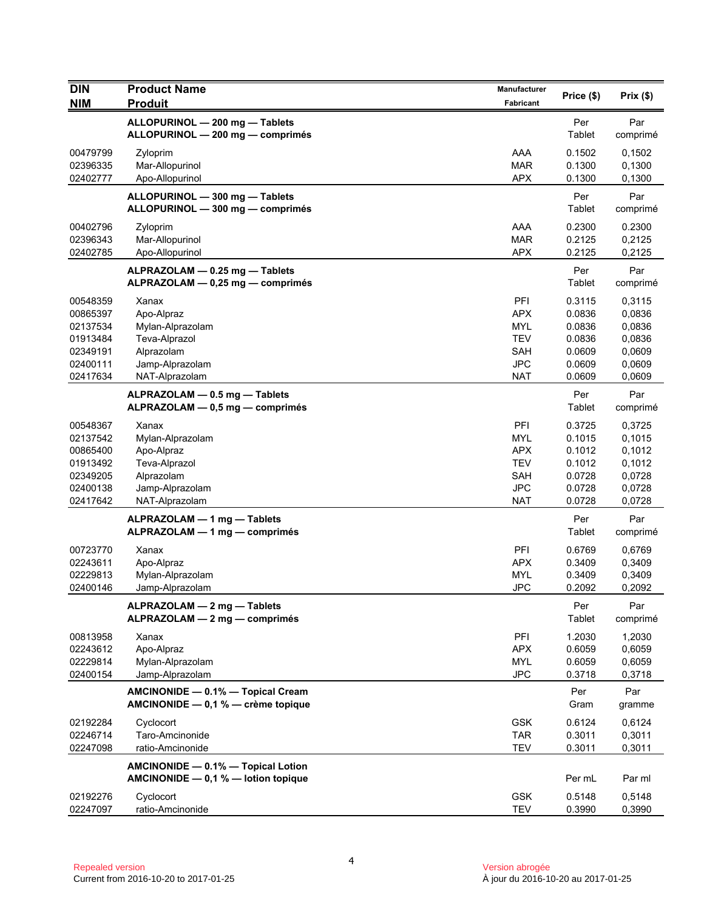| <b>DIN</b>           | <b>Product Name</b>                                                       | Manufacturer             | Price (\$)           | Prix(\$)         |
|----------------------|---------------------------------------------------------------------------|--------------------------|----------------------|------------------|
| <b>NIM</b>           | <b>Produit</b>                                                            | Fabricant                |                      |                  |
|                      | ALLOPURINOL - 200 mg - Tablets<br>ALLOPURINOL - 200 mg - comprimés        |                          | Per<br>Tablet        | Par<br>comprimé  |
| 00479799<br>02396335 | Zyloprim<br>Mar-Allopurinol                                               | AAA<br><b>MAR</b>        | 0.1502<br>0.1300     | 0,1502<br>0,1300 |
| 02402777             | Apo-Allopurinol                                                           | <b>APX</b>               | 0.1300               | 0,1300           |
|                      | ALLOPURINOL - 300 mg - Tablets<br>ALLOPURINOL - 300 mg - comprimés        |                          | Per<br>Tablet        | Par<br>comprimé  |
| 00402796             | Zyloprim                                                                  | AAA                      | 0.2300               | 0.2300           |
| 02396343             | Mar-Allopurinol                                                           | <b>MAR</b>               | 0.2125               | 0,2125           |
| 02402785             | Apo-Allopurinol                                                           | <b>APX</b>               | 0.2125               | 0,2125           |
|                      | ALPRAZOLAM - 0.25 mg - Tablets<br>ALPRAZOLAM - 0,25 mg - comprimés        |                          | Per<br>Tablet        | Par<br>comprimé  |
| 00548359             | Xanax                                                                     | PFI                      | 0.3115               | 0,3115           |
| 00865397             | Apo-Alpraz                                                                | <b>APX</b>               | 0.0836               | 0,0836           |
| 02137534<br>01913484 | Mylan-Alprazolam<br>Teva-Alprazol                                         | <b>MYL</b><br><b>TEV</b> | 0.0836<br>0.0836     | 0,0836<br>0,0836 |
| 02349191             | Alprazolam                                                                | <b>SAH</b>               | 0.0609               | 0,0609           |
| 02400111             | Jamp-Alprazolam                                                           | <b>JPC</b>               | 0.0609               | 0,0609           |
| 02417634             | NAT-Alprazolam                                                            | <b>NAT</b>               | 0.0609               | 0,0609           |
|                      | ALPRAZOLAM - 0.5 mg - Tablets<br>ALPRAZOLAM - 0,5 mg - comprimés          |                          | Per<br>Tablet        | Par<br>comprimé  |
| 00548367             | Xanax                                                                     | PFI                      | 0.3725               | 0,3725           |
| 02137542             | Mylan-Alprazolam                                                          | <b>MYL</b>               | 0.1015               | 0,1015           |
| 00865400             | Apo-Alpraz                                                                | <b>APX</b>               | 0.1012               | 0,1012           |
| 01913492             | Teva-Alprazol                                                             | <b>TEV</b><br><b>SAH</b> | 0.1012<br>0.0728     | 0,1012           |
| 02349205<br>02400138 | Alprazolam<br>Jamp-Alprazolam                                             | <b>JPC</b>               | 0.0728               | 0,0728<br>0,0728 |
| 02417642             | NAT-Alprazolam                                                            | <b>NAT</b>               | 0.0728               | 0,0728           |
|                      | ALPRAZOLAM - 1 mg - Tablets<br>ALPRAZOLAM - 1 mg - comprimés              |                          | Per<br>Tablet        | Par<br>comprimé  |
| 00723770             | Xanax                                                                     | PFI                      | 0.6769               | 0,6769           |
| 02243611             | Apo-Alpraz                                                                | <b>APX</b>               | 0.3409               | 0,3409           |
| 02229813             | Mylan-Alprazolam                                                          | <b>MYL</b>               | 0.3409               | 0,3409           |
| 02400146             | Jamp-Alprazolam                                                           | <b>JPC</b>               | 0.2092               | 0,2092           |
|                      | ALPRAZOLAM - 2 mg - Tablets<br>ALPRAZOLAM - 2 mg - comprimés              |                          | Per<br><b>Tablet</b> | Par<br>comprimé  |
| 00813958             | Xanax                                                                     | PFI                      | 1.2030               | 1,2030           |
| 02243612             | Apo-Alpraz                                                                | <b>APX</b>               | 0.6059               | 0,6059           |
| 02229814             | Mylan-Alprazolam                                                          | MYL                      | 0.6059               | 0,6059           |
| 02400154             | Jamp-Alprazolam                                                           | <b>JPC</b>               | 0.3718               | 0,3718           |
|                      | AMCINONIDE - 0.1% - Topical Cream<br>AMCINONIDE - 0,1 % - crème topique   |                          | Per<br>Gram          | Par<br>gramme    |
| 02192284             | Cyclocort                                                                 | <b>GSK</b>               | 0.6124               | 0,6124           |
| 02246714             | Taro-Amcinonide                                                           | <b>TAR</b>               | 0.3011               | 0,3011           |
| 02247098             | ratio-Amcinonide                                                          | <b>TEV</b>               | 0.3011               | 0,3011           |
|                      | AMCINONIDE - 0.1% - Topical Lotion<br>AMCINONIDE - 0,1 % - lotion topique |                          | Per mL               | Par ml           |
| 02192276             | Cyclocort                                                                 | <b>GSK</b>               | 0.5148               | 0,5148           |
| 02247097             | ratio-Amcinonide                                                          | <b>TEV</b>               | 0.3990               | 0,3990           |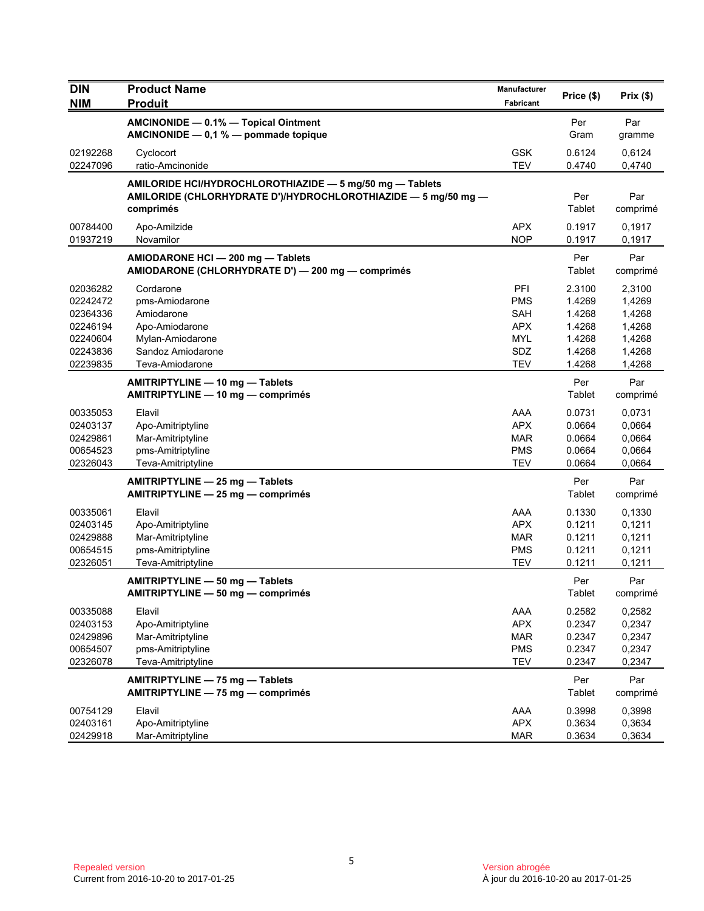| <b>DIN</b>           | <b>Product Name</b>                                                                    | Manufacturer      | Price (\$)       | Prix(\$)         |
|----------------------|----------------------------------------------------------------------------------------|-------------------|------------------|------------------|
| <b>NIM</b>           | <b>Produit</b>                                                                         | Fabricant         |                  |                  |
|                      | AMCINONIDE - 0.1% - Topical Ointment                                                   |                   | Per              | Par              |
|                      | AMCINONIDE $-$ 0,1 % $-$ pommade topique                                               |                   | Gram             | gramme           |
| 02192268             | Cyclocort                                                                              | <b>GSK</b>        | 0.6124           | 0,6124           |
| 02247096             | ratio-Amcinonide                                                                       | <b>TEV</b>        | 0.4740           | 0,4740           |
|                      | AMILORIDE HCI/HYDROCHLOROTHIAZIDE - 5 mg/50 mg - Tablets                               |                   |                  |                  |
|                      | AMILORIDE (CHLORHYDRATE D')/HYDROCHLOROTHIAZIDE - 5 mg/50 mg -                         |                   | Per              | Par              |
|                      | comprimés                                                                              |                   | Tablet           | comprimé         |
| 00784400             | Apo-Amilzide                                                                           | <b>APX</b>        | 0.1917           | 0,1917           |
| 01937219             | Novamilor                                                                              | <b>NOP</b>        | 0.1917           | 0,1917           |
|                      | AMIODARONE HCI - 200 mg - Tablets<br>AMIODARONE (CHLORHYDRATE D') - 200 mg - comprimés |                   | Per<br>Tablet    | Par<br>comprimé  |
| 02036282             | Cordarone                                                                              | PFI               | 2.3100           | 2,3100           |
| 02242472             | pms-Amiodarone                                                                         | <b>PMS</b>        | 1.4269           | 1,4269           |
| 02364336             | Amiodarone                                                                             | SAH               | 1.4268           | 1,4268           |
| 02246194             | Apo-Amiodarone                                                                         | <b>APX</b>        | 1.4268           | 1,4268           |
| 02240604<br>02243836 | Mylan-Amiodarone<br>Sandoz Amiodarone                                                  | <b>MYL</b><br>SDZ | 1.4268<br>1.4268 | 1,4268<br>1,4268 |
| 02239835             | Teva-Amiodarone                                                                        | TEV               | 1.4268           | 1,4268           |
|                      | AMITRIPTYLINE - 10 mg - Tablets                                                        |                   | Per              | Par              |
|                      | AMITRIPTYLINE - 10 mg - comprimés                                                      |                   | Tablet           | comprimé         |
| 00335053             | Elavil                                                                                 | AAA               | 0.0731           | 0,0731           |
| 02403137             | Apo-Amitriptyline                                                                      | <b>APX</b>        | 0.0664           | 0,0664           |
| 02429861             | Mar-Amitriptyline                                                                      | MAR               | 0.0664           | 0,0664           |
| 00654523             | pms-Amitriptyline                                                                      | <b>PMS</b>        | 0.0664           | 0,0664           |
| 02326043             | Teva-Amitriptyline                                                                     | TEV               | 0.0664           | 0,0664           |
|                      | AMITRIPTYLINE - 25 mg - Tablets                                                        |                   | Per              | Par              |
|                      | AMITRIPTYLINE - 25 mg - comprimés                                                      |                   | Tablet           | comprimé         |
| 00335061             | Elavil                                                                                 | AAA               | 0.1330           | 0,1330           |
| 02403145             | Apo-Amitriptyline                                                                      | <b>APX</b>        | 0.1211           | 0,1211           |
| 02429888             | Mar-Amitriptyline                                                                      | <b>MAR</b>        | 0.1211           | 0,1211           |
| 00654515             | pms-Amitriptyline                                                                      | <b>PMS</b>        | 0.1211           | 0,1211           |
| 02326051             | Teva-Amitriptyline                                                                     | <b>TEV</b>        | 0.1211           | 0,1211           |
|                      | AMITRIPTYLINE - 50 mg - Tablets<br>AMITRIPTYLINE — 50 mg — comprimés                   |                   | Per<br>Tablet    | Par<br>comprimé  |
| 00335088             | Elavil                                                                                 | AAA               | 0.2582           | 0,2582           |
| 02403153             | Apo-Amitriptyline                                                                      | <b>APX</b>        | 0.2347           | 0,2347           |
| 02429896             | Mar-Amitriptyline                                                                      | <b>MAR</b>        | 0.2347           | 0,2347           |
| 00654507             | pms-Amitriptyline                                                                      | <b>PMS</b>        | 0.2347           | 0,2347           |
| 02326078             | Teva-Amitriptyline                                                                     | <b>TEV</b>        | 0.2347           | 0,2347           |
|                      | AMITRIPTYLINE - 75 mg - Tablets                                                        |                   | Per              | Par              |
|                      | AMITRIPTYLINE - 75 mg - comprimés                                                      |                   | Tablet           | comprimé         |
| 00754129             | Elavil                                                                                 | AAA               | 0.3998           | 0,3998           |
| 02403161             | Apo-Amitriptyline                                                                      | <b>APX</b>        | 0.3634           | 0,3634           |
| 02429918             | Mar-Amitriptyline                                                                      | <b>MAR</b>        | 0.3634           | 0,3634           |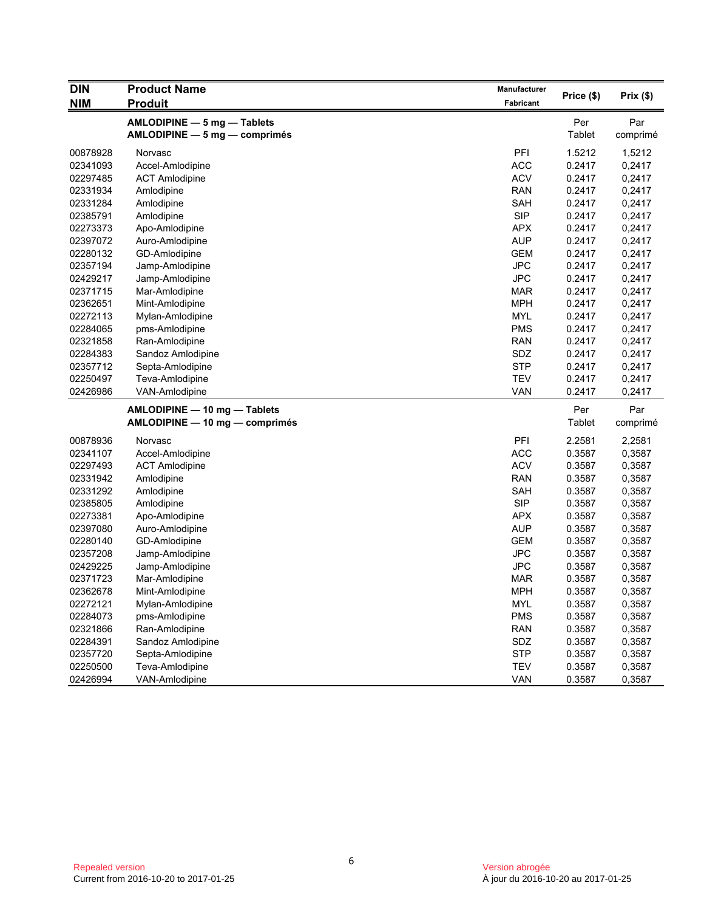| <b>DIN</b> | <b>Product Name</b><br>Manufacturer | Price (\$) | Prix(\$) |          |
|------------|-------------------------------------|------------|----------|----------|
| <b>NIM</b> | <b>Produit</b>                      | Fabricant  |          |          |
|            | AMLODIPINE - 5 mg - Tablets         |            | Per      | Par      |
|            | AMLODIPINE - 5 mg - comprimés       |            | Tablet   | comprimé |
| 00878928   | Norvasc                             | PFI        | 1.5212   | 1,5212   |
| 02341093   | Accel-Amlodipine                    | <b>ACC</b> | 0.2417   | 0,2417   |
| 02297485   | <b>ACT Amlodipine</b>               | <b>ACV</b> | 0.2417   | 0,2417   |
| 02331934   | Amlodipine                          | <b>RAN</b> | 0.2417   | 0,2417   |
| 02331284   | Amlodipine                          | SAH        | 0.2417   | 0,2417   |
| 02385791   | Amlodipine                          | <b>SIP</b> | 0.2417   | 0,2417   |
| 02273373   | Apo-Amlodipine                      | <b>APX</b> | 0.2417   | 0,2417   |
| 02397072   | Auro-Amlodipine                     | <b>AUP</b> | 0.2417   | 0,2417   |
| 02280132   | GD-Amlodipine                       | <b>GEM</b> | 0.2417   | 0,2417   |
| 02357194   | Jamp-Amlodipine                     | <b>JPC</b> | 0.2417   | 0,2417   |
| 02429217   | Jamp-Amlodipine                     | <b>JPC</b> | 0.2417   | 0,2417   |
| 02371715   | Mar-Amlodipine                      | <b>MAR</b> | 0.2417   | 0,2417   |
| 02362651   | Mint-Amlodipine                     | <b>MPH</b> | 0.2417   | 0,2417   |
| 02272113   | Mylan-Amlodipine                    | <b>MYL</b> | 0.2417   | 0,2417   |
| 02284065   | pms-Amlodipine                      | <b>PMS</b> | 0.2417   | 0,2417   |
| 02321858   | Ran-Amlodipine                      | <b>RAN</b> | 0.2417   | 0,2417   |
| 02284383   | Sandoz Amlodipine                   | SDZ        | 0.2417   | 0,2417   |
| 02357712   | Septa-Amlodipine                    | <b>STP</b> | 0.2417   | 0,2417   |
| 02250497   | Teva-Amlodipine                     | <b>TEV</b> | 0.2417   | 0,2417   |
| 02426986   | VAN-Amlodipine                      | VAN        | 0.2417   | 0,2417   |
|            | AMLODIPINE - 10 mg - Tablets        |            | Per      | Par      |
|            | AMLODIPINE - 10 mg - comprimés      |            | Tablet   | comprimé |
| 00878936   | Norvasc                             | PFI        | 2.2581   | 2,2581   |
| 02341107   | Accel-Amlodipine                    | <b>ACC</b> | 0.3587   | 0,3587   |
| 02297493   | <b>ACT Amlodipine</b>               | <b>ACV</b> | 0.3587   | 0,3587   |
| 02331942   | Amlodipine                          | <b>RAN</b> | 0.3587   | 0,3587   |
| 02331292   | Amlodipine                          | SAH        | 0.3587   | 0,3587   |
| 02385805   | Amlodipine                          | <b>SIP</b> | 0.3587   | 0,3587   |
| 02273381   | Apo-Amlodipine                      | <b>APX</b> | 0.3587   | 0,3587   |
| 02397080   | Auro-Amlodipine                     | <b>AUP</b> | 0.3587   | 0,3587   |
| 02280140   | GD-Amlodipine                       | <b>GEM</b> | 0.3587   | 0,3587   |
| 02357208   | Jamp-Amlodipine                     | <b>JPC</b> | 0.3587   | 0,3587   |
| 02429225   | Jamp-Amlodipine                     | <b>JPC</b> | 0.3587   | 0,3587   |
| 02371723   | Mar-Amlodipine                      | <b>MAR</b> | 0.3587   | 0,3587   |
| 02362678   | Mint-Amlodipine                     | <b>MPH</b> | 0.3587   | 0,3587   |
| 02272121   | Mylan-Amlodipine                    | <b>MYL</b> | 0.3587   | 0,3587   |
| 02284073   | pms-Amlodipine                      | <b>PMS</b> | 0.3587   | 0,3587   |
| 02321866   | Ran-Amlodipine                      | <b>RAN</b> | 0.3587   | 0,3587   |
| 02284391   | Sandoz Amlodipine                   | SDZ        | 0.3587   | 0,3587   |
| 02357720   | Septa-Amlodipine                    | <b>STP</b> | 0.3587   | 0,3587   |
| 02250500   | Teva-Amlodipine                     | <b>TEV</b> | 0.3587   | 0,3587   |
| 02426994   | VAN-Amlodipine                      | VAN        | 0.3587   | 0,3587   |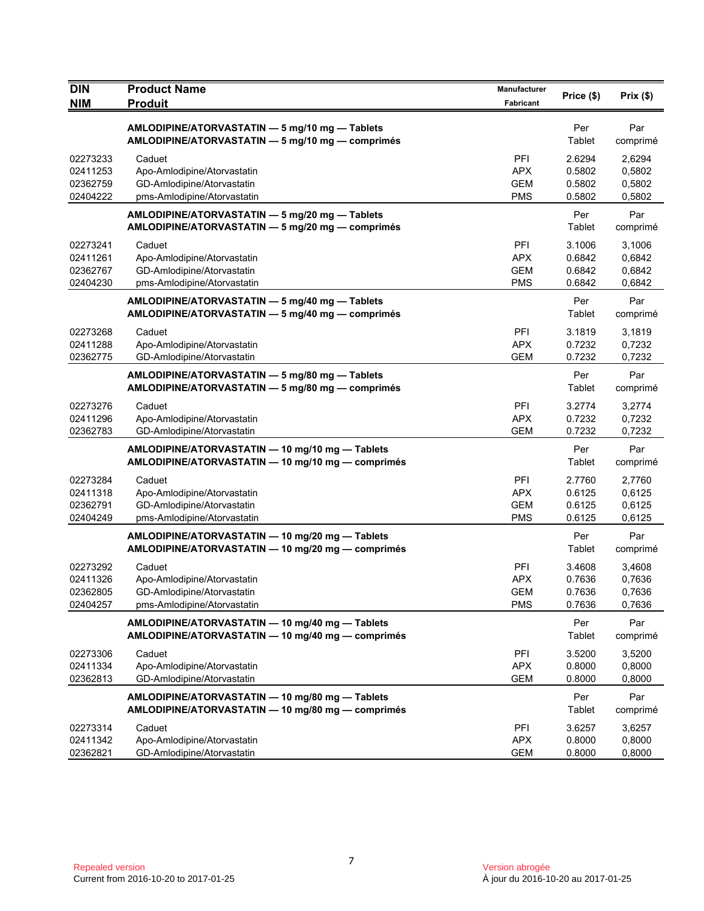| <b>DIN</b><br><b>NIM</b> | <b>Product Name</b><br><b>Produit</b>                                                                | Manufacturer<br>Fabricant | Price (\$)           | Prix(\$)        |
|--------------------------|------------------------------------------------------------------------------------------------------|---------------------------|----------------------|-----------------|
|                          |                                                                                                      |                           |                      |                 |
|                          | AMLODIPINE/ATORVASTATIN - 5 mg/10 mg - Tablets<br>AMLODIPINE/ATORVASTATIN - 5 mg/10 mg - comprimés   |                           | Per<br>Tablet        | Par<br>comprimé |
| 02273233                 | Caduet                                                                                               | <b>PFI</b>                | 2.6294               | 2,6294          |
| 02411253                 | Apo-Amlodipine/Atorvastatin                                                                          | <b>APX</b>                | 0.5802               | 0,5802          |
| 02362759                 | GD-Amlodipine/Atorvastatin                                                                           | <b>GEM</b>                | 0.5802               | 0,5802          |
| 02404222                 | pms-Amlodipine/Atorvastatin                                                                          | <b>PMS</b>                | 0.5802               | 0,5802          |
|                          | AMLODIPINE/ATORVASTATIN - 5 mg/20 mg - Tablets<br>AMLODIPINE/ATORVASTATIN - 5 mg/20 mg - comprimés   |                           | Per<br>Tablet        | Par<br>comprimé |
| 02273241                 | Caduet                                                                                               | PFI                       | 3.1006               | 3,1006          |
| 02411261                 | Apo-Amlodipine/Atorvastatin                                                                          | <b>APX</b>                | 0.6842               | 0,6842          |
| 02362767                 | GD-Amlodipine/Atorvastatin                                                                           | <b>GEM</b>                | 0.6842               | 0,6842          |
| 02404230                 | pms-Amlodipine/Atorvastatin                                                                          | <b>PMS</b>                | 0.6842               | 0,6842          |
|                          | AMLODIPINE/ATORVASTATIN - 5 mg/40 mg - Tablets<br>AMLODIPINE/ATORVASTATIN - 5 mg/40 mg - comprimés   |                           | Per<br>Tablet        | Par<br>comprimé |
| 02273268                 | Caduet                                                                                               | PFI                       | 3.1819               | 3,1819          |
| 02411288                 | Apo-Amlodipine/Atorvastatin                                                                          | <b>APX</b>                | 0.7232               | 0,7232          |
| 02362775                 | GD-Amlodipine/Atorvastatin                                                                           | <b>GEM</b>                | 0.7232               | 0,7232          |
|                          | AMLODIPINE/ATORVASTATIN - 5 mg/80 mg - Tablets<br>AMLODIPINE/ATORVASTATIN - 5 mg/80 mg - comprimés   |                           | Per<br>Tablet        | Par<br>comprimé |
| 02273276                 | Caduet                                                                                               | PFI                       | 3.2774               | 3,2774          |
| 02411296                 | Apo-Amlodipine/Atorvastatin                                                                          | <b>APX</b>                | 0.7232               | 0,7232          |
| 02362783                 | GD-Amlodipine/Atorvastatin                                                                           | <b>GEM</b>                | 0.7232               | 0,7232          |
|                          | AMLODIPINE/ATORVASTATIN - 10 mg/10 mg - Tablets<br>AMLODIPINE/ATORVASTATIN - 10 mg/10 mg - comprimés |                           | Per<br>Tablet        | Par<br>comprimé |
| 02273284                 | Caduet                                                                                               | PFI                       | 2.7760               | 2,7760          |
| 02411318                 | Apo-Amlodipine/Atorvastatin                                                                          | <b>APX</b>                | 0.6125               | 0,6125          |
| 02362791                 | GD-Amlodipine/Atorvastatin                                                                           | <b>GEM</b>                | 0.6125               | 0,6125          |
| 02404249                 | pms-Amlodipine/Atorvastatin                                                                          | <b>PMS</b>                | 0.6125               | 0,6125          |
|                          | AMLODIPINE/ATORVASTATIN - 10 mg/20 mg - Tablets<br>AMLODIPINE/ATORVASTATIN - 10 mg/20 mg - comprimés |                           | Per<br><b>Tablet</b> | Par<br>comprimé |
| 02273292                 | Caduet                                                                                               | PFI                       | 3.4608               | 3,4608          |
| 02411326                 | Apo-Amlodipine/Atorvastatin                                                                          | <b>APX</b>                | 0.7636               | 0,7636          |
| 02362805                 | GD-Amlodipine/Atorvastatin                                                                           | <b>GEM</b>                | 0.7636               | 0,7636          |
| 02404257                 | pms-Amlodipine/Atorvastatin                                                                          | <b>PMS</b>                | 0.7636               | 0,7636          |
|                          | AMLODIPINE/ATORVASTATIN - 10 mg/40 mg - Tablets<br>AMLODIPINE/ATORVASTATIN - 10 mg/40 mg - comprimés |                           | Per<br>Tablet        | Par<br>comprimé |
| 02273306                 | Caduet                                                                                               | PFI                       | 3.5200               | 3,5200          |
| 02411334                 | Apo-Amlodipine/Atorvastatin                                                                          | <b>APX</b>                | 0.8000               | 0,8000          |
| 02362813                 | GD-Amlodipine/Atorvastatin                                                                           | <b>GEM</b>                | 0.8000               | 0,8000          |
|                          | AMLODIPINE/ATORVASTATIN - 10 mg/80 mg - Tablets<br>AMLODIPINE/ATORVASTATIN - 10 mg/80 mg - comprimés |                           | Per<br>Tablet        | Par<br>comprimé |
| 02273314                 | Caduet                                                                                               | PFI                       | 3.6257               | 3,6257          |
| 02411342                 | Apo-Amlodipine/Atorvastatin                                                                          | <b>APX</b>                | 0.8000               | 0,8000          |
| 02362821                 | GD-Amlodipine/Atorvastatin                                                                           | <b>GEM</b>                | 0.8000               | 0,8000          |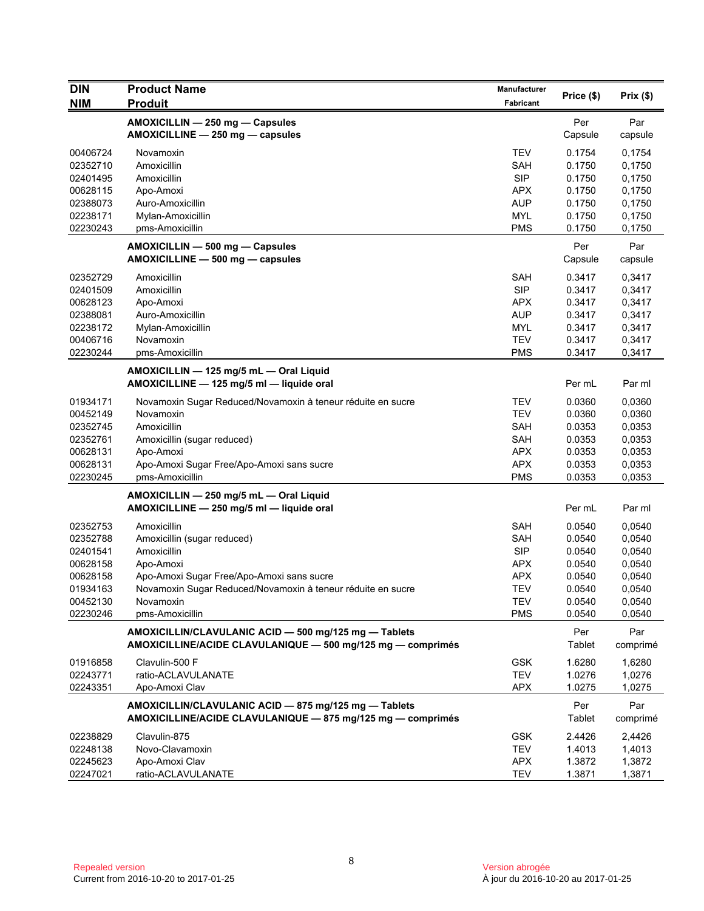| <b>DIN</b>                                                                                   | <b>Product Name</b>                                                                                                                                                                                                | Manufacturer                                                                                                 |                                                                              |                                                                              |
|----------------------------------------------------------------------------------------------|--------------------------------------------------------------------------------------------------------------------------------------------------------------------------------------------------------------------|--------------------------------------------------------------------------------------------------------------|------------------------------------------------------------------------------|------------------------------------------------------------------------------|
| <b>NIM</b>                                                                                   | <b>Produit</b>                                                                                                                                                                                                     | Fabricant                                                                                                    | Price (\$)                                                                   | Prix $(\$)$                                                                  |
|                                                                                              | AMOXICILLIN - 250 mg - Capsules<br>AMOXICILLINE - 250 mg - capsules                                                                                                                                                |                                                                                                              | Per<br>Capsule                                                               | Par<br>capsule                                                               |
| 00406724<br>02352710<br>02401495<br>00628115<br>02388073<br>02238171<br>02230243             | Novamoxin<br>Amoxicillin<br>Amoxicillin<br>Apo-Amoxi<br>Auro-Amoxicillin<br>Mylan-Amoxicillin<br>pms-Amoxicillin                                                                                                   | <b>TEV</b><br>SAH<br><b>SIP</b><br><b>APX</b><br><b>AUP</b><br><b>MYL</b><br><b>PMS</b>                      | 0.1754<br>0.1750<br>0.1750<br>0.1750<br>0.1750<br>0.1750<br>0.1750           | 0,1754<br>0,1750<br>0,1750<br>0,1750<br>0,1750<br>0,1750<br>0,1750           |
|                                                                                              | AMOXICILLIN - 500 mg - Capsules<br>AMOXICILLINE - 500 mg - capsules                                                                                                                                                |                                                                                                              | Per<br>Capsule                                                               | Par<br>capsule                                                               |
| 02352729<br>02401509<br>00628123<br>02388081<br>02238172<br>00406716<br>02230244             | Amoxicillin<br>Amoxicillin<br>Apo-Amoxi<br>Auro-Amoxicillin<br>Mylan-Amoxicillin<br>Novamoxin<br>pms-Amoxicillin                                                                                                   | <b>SAH</b><br><b>SIP</b><br>APX<br><b>AUP</b><br><b>MYL</b><br><b>TEV</b><br><b>PMS</b>                      | 0.3417<br>0.3417<br>0.3417<br>0.3417<br>0.3417<br>0.3417<br>0.3417           | 0,3417<br>0,3417<br>0,3417<br>0,3417<br>0,3417<br>0,3417<br>0,3417           |
|                                                                                              | AMOXICILLIN - 125 mg/5 mL - Oral Liquid<br>AMOXICILLINE - 125 mg/5 ml - liquide oral                                                                                                                               |                                                                                                              | Per mL                                                                       | Par ml                                                                       |
| 01934171<br>00452149<br>02352745<br>02352761<br>00628131<br>00628131<br>02230245             | Novamoxin Sugar Reduced/Novamoxin à teneur réduite en sucre<br>Novamoxin<br>Amoxicillin<br>Amoxicillin (sugar reduced)<br>Apo-Amoxi<br>Apo-Amoxi Sugar Free/Apo-Amoxi sans sucre<br>pms-Amoxicillin                | <b>TEV</b><br><b>TEV</b><br><b>SAH</b><br><b>SAH</b><br><b>APX</b><br><b>APX</b><br><b>PMS</b>               | 0.0360<br>0.0360<br>0.0353<br>0.0353<br>0.0353<br>0.0353<br>0.0353           | 0,0360<br>0,0360<br>0,0353<br>0,0353<br>0,0353<br>0,0353<br>0,0353           |
|                                                                                              | AMOXICILLIN - 250 mg/5 mL - Oral Liquid<br>AMOXICILLINE - 250 mg/5 ml - liquide oral                                                                                                                               |                                                                                                              | Per mL                                                                       | Par ml                                                                       |
| 02352753<br>02352788<br>02401541<br>00628158<br>00628158<br>01934163<br>00452130<br>02230246 | Amoxicillin<br>Amoxicillin (sugar reduced)<br>Amoxicillin<br>Apo-Amoxi<br>Apo-Amoxi Sugar Free/Apo-Amoxi sans sucre<br>Novamoxin Sugar Reduced/Novamoxin à teneur réduite en sucre<br>Novamoxin<br>pms-Amoxicillin | <b>SAH</b><br><b>SAH</b><br><b>SIP</b><br><b>APX</b><br><b>APX</b><br><b>TEV</b><br><b>TEV</b><br><b>PMS</b> | 0.0540<br>0.0540<br>0.0540<br>0.0540<br>0.0540<br>0.0540<br>0.0540<br>0.0540 | 0,0540<br>0,0540<br>0,0540<br>0,0540<br>0,0540<br>0,0540<br>0,0540<br>0,0540 |
|                                                                                              | AMOXICILLIN/CLAVULANIC ACID - 500 mg/125 mg - Tablets<br>AMOXICILLINE/ACIDE CLAVULANIQUE - 500 mg/125 mg - comprimés                                                                                               |                                                                                                              | Per<br>Tablet                                                                | Par<br>comprimé                                                              |
| 01916858<br>02243771<br>02243351                                                             | Clavulin-500 F<br>ratio-ACLAVULANATE<br>Apo-Amoxi Clav                                                                                                                                                             | <b>GSK</b><br><b>TEV</b><br><b>APX</b>                                                                       | 1.6280<br>1.0276<br>1.0275                                                   | 1,6280<br>1,0276<br>1,0275                                                   |
|                                                                                              | AMOXICILLIN/CLAVULANIC ACID - 875 mg/125 mg - Tablets<br>AMOXICILLINE/ACIDE CLAVULANIQUE - 875 mg/125 mg - comprimés                                                                                               |                                                                                                              | Per<br>Tablet                                                                | Par<br>comprimé                                                              |
| 02238829<br>02248138<br>02245623<br>02247021                                                 | Clavulin-875<br>Novo-Clavamoxin<br>Apo-Amoxi Clav<br>ratio-ACLAVULANATE                                                                                                                                            | <b>GSK</b><br>TEV<br><b>APX</b><br><b>TEV</b>                                                                | 2.4426<br>1.4013<br>1.3872<br>1.3871                                         | 2,4426<br>1,4013<br>1,3872<br>1,3871                                         |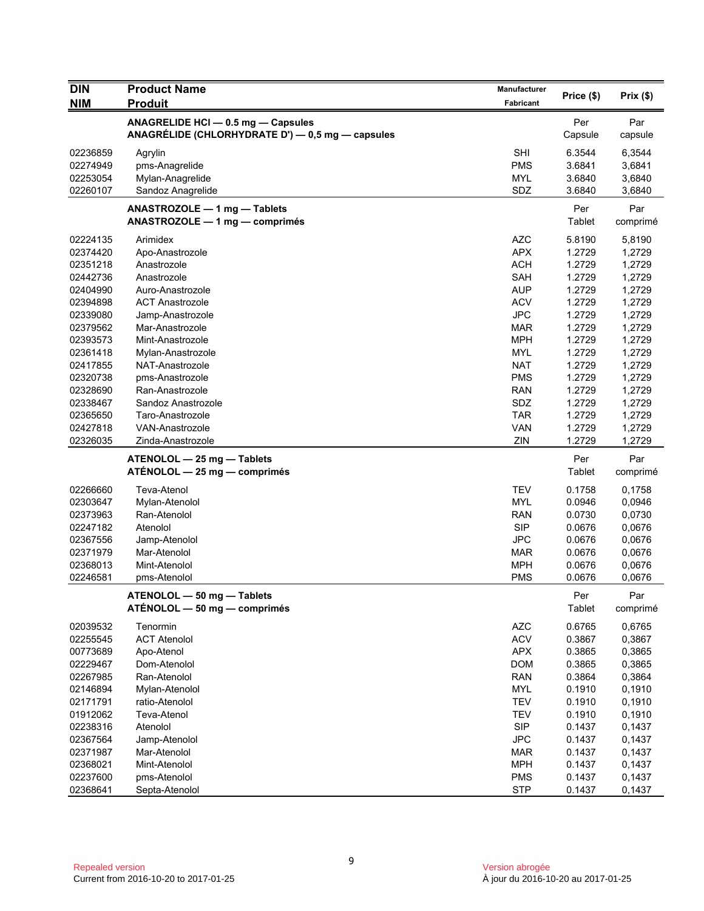| <b>DIN</b> | <b>Product Name</b>                                                                    | Manufacturer | Price (\$)     | Prix(\$)        |
|------------|----------------------------------------------------------------------------------------|--------------|----------------|-----------------|
| <b>NIM</b> | <b>Produit</b>                                                                         | Fabricant    |                |                 |
|            | ANAGRELIDE HCI - 0.5 mg - Capsules<br>ANAGRÉLIDE (CHLORHYDRATE D') - 0,5 mg - capsules |              | Per<br>Capsule | Par<br>capsule  |
| 02236859   | Agrylin                                                                                | <b>SHI</b>   | 6.3544         | 6,3544          |
| 02274949   | pms-Anagrelide                                                                         | <b>PMS</b>   | 3.6841         | 3,6841          |
| 02253054   | Mylan-Anagrelide                                                                       | <b>MYL</b>   | 3.6840         | 3,6840          |
| 02260107   | Sandoz Anagrelide                                                                      | SDZ          | 3.6840         | 3,6840          |
|            | ANASTROZOLE - 1 mg - Tablets<br>ANASTROZOLE - 1 mg - comprimés                         |              | Per<br>Tablet  | Par<br>comprimé |
| 02224135   | Arimidex                                                                               | <b>AZC</b>   | 5.8190         | 5,8190          |
| 02374420   | Apo-Anastrozole                                                                        | <b>APX</b>   | 1.2729         | 1,2729          |
| 02351218   | Anastrozole                                                                            | <b>ACH</b>   | 1.2729         | 1,2729          |
| 02442736   | Anastrozole                                                                            | <b>SAH</b>   | 1.2729         | 1,2729          |
| 02404990   | Auro-Anastrozole                                                                       | <b>AUP</b>   | 1.2729         | 1,2729          |
| 02394898   | <b>ACT Anastrozole</b>                                                                 | <b>ACV</b>   | 1.2729         | 1,2729          |
| 02339080   | Jamp-Anastrozole                                                                       | <b>JPC</b>   | 1.2729         | 1,2729          |
| 02379562   | Mar-Anastrozole                                                                        | <b>MAR</b>   | 1.2729         | 1,2729          |
| 02393573   | Mint-Anastrozole                                                                       | <b>MPH</b>   | 1.2729         | 1,2729          |
| 02361418   | Mylan-Anastrozole                                                                      | <b>MYL</b>   | 1.2729         | 1,2729          |
| 02417855   | NAT-Anastrozole                                                                        | <b>NAT</b>   | 1.2729         | 1,2729          |
| 02320738   | pms-Anastrozole                                                                        | <b>PMS</b>   | 1.2729         | 1,2729          |
| 02328690   | Ran-Anastrozole                                                                        | <b>RAN</b>   | 1.2729         | 1,2729          |
| 02338467   | Sandoz Anastrozole                                                                     | SDZ          | 1.2729         | 1,2729          |
| 02365650   | Taro-Anastrozole                                                                       | <b>TAR</b>   | 1.2729         | 1,2729          |
| 02427818   | <b>VAN-Anastrozole</b>                                                                 | <b>VAN</b>   | 1.2729         | 1,2729          |
| 02326035   | Zinda-Anastrozole                                                                      | ZIN          | 1.2729         | 1,2729          |
|            | ATENOLOL - 25 mg - Tablets<br>ATÉNOLOL - 25 mg - comprimés                             |              | Per<br>Tablet  | Par<br>comprimé |
| 02266660   | <b>Teva-Atenol</b>                                                                     | <b>TEV</b>   | 0.1758         | 0,1758          |
| 02303647   | Mylan-Atenolol                                                                         | <b>MYL</b>   | 0.0946         | 0,0946          |
| 02373963   | Ran-Atenolol                                                                           | <b>RAN</b>   | 0.0730         | 0,0730          |
| 02247182   | Atenolol                                                                               | <b>SIP</b>   | 0.0676         | 0,0676          |
| 02367556   | Jamp-Atenolol                                                                          | <b>JPC</b>   | 0.0676         | 0,0676          |
| 02371979   | Mar-Atenolol                                                                           | MAR          | 0.0676         | 0,0676          |
| 02368013   | Mint-Atenolol                                                                          | <b>MPH</b>   | 0.0676         | 0,0676          |
| 02246581   | pms-Atenolol                                                                           | <b>PMS</b>   | 0.0676         | 0,0676          |
|            | ATENOLOL - 50 mg - Tablets<br>$ATÉNOLOL - 50 mg - comprimés$                           |              | Per<br>Tablet  | Par<br>comprimé |
| 02039532   | Tenormin                                                                               | AZC          | 0.6765         | 0,6765          |
| 02255545   | <b>ACT Atenolol</b>                                                                    | <b>ACV</b>   | 0.3867         | 0,3867          |
| 00773689   | Apo-Atenol                                                                             | <b>APX</b>   | 0.3865         | 0,3865          |
| 02229467   | Dom-Atenolol                                                                           | <b>DOM</b>   | 0.3865         | 0,3865          |
| 02267985   | Ran-Atenolol                                                                           | <b>RAN</b>   | 0.3864         | 0,3864          |
| 02146894   | Mylan-Atenolol                                                                         | <b>MYL</b>   | 0.1910         | 0,1910          |
| 02171791   | ratio-Atenolol                                                                         | <b>TEV</b>   | 0.1910         | 0,1910          |
| 01912062   | Teva-Atenol                                                                            | <b>TEV</b>   | 0.1910         | 0,1910          |
| 02238316   | Atenolol                                                                               | <b>SIP</b>   | 0.1437         | 0,1437          |
| 02367564   | Jamp-Atenolol                                                                          | <b>JPC</b>   | 0.1437         | 0,1437          |
| 02371987   | Mar-Atenolol                                                                           | <b>MAR</b>   | 0.1437         | 0,1437          |
| 02368021   | Mint-Atenolol                                                                          | <b>MPH</b>   | 0.1437         | 0,1437          |
| 02237600   | pms-Atenolol                                                                           | <b>PMS</b>   | 0.1437         | 0,1437          |
| 02368641   | Septa-Atenolol                                                                         | <b>STP</b>   | 0.1437         | 0,1437          |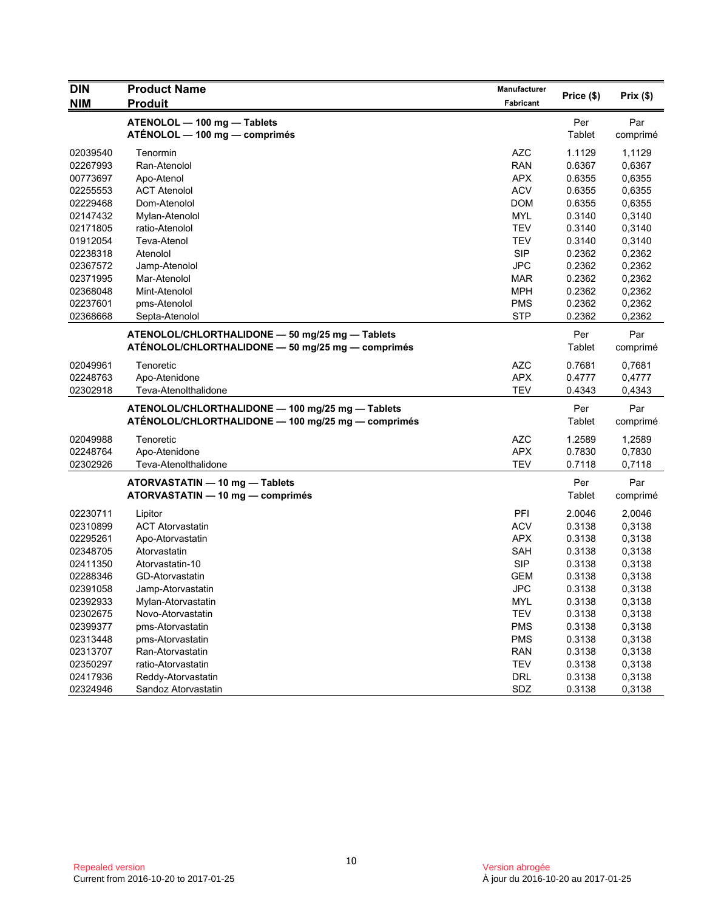| <b>DIN</b> | <b>Product Name</b>                                          | Manufacturer | Price (\$)    | Prix(\$)        |
|------------|--------------------------------------------------------------|--------------|---------------|-----------------|
| <b>NIM</b> | <b>Produit</b>                                               | Fabricant    |               |                 |
|            | ATENOLOL - 100 mg - Tablets<br>ATÉNOLOL - 100 mg - comprimés |              | Per<br>Tablet | Par<br>comprimé |
| 02039540   | Tenormin                                                     | <b>AZC</b>   | 1.1129        | 1,1129          |
| 02267993   | Ran-Atenolol                                                 | <b>RAN</b>   | 0.6367        | 0,6367          |
| 00773697   | Apo-Atenol                                                   | <b>APX</b>   | 0.6355        | 0,6355          |
| 02255553   | <b>ACT Atenolol</b>                                          | <b>ACV</b>   | 0.6355        | 0,6355          |
| 02229468   | Dom-Atenolol                                                 | <b>DOM</b>   | 0.6355        | 0,6355          |
| 02147432   | Mylan-Atenolol                                               | <b>MYL</b>   | 0.3140        | 0,3140          |
| 02171805   | ratio-Atenolol                                               | <b>TEV</b>   | 0.3140        | 0,3140          |
| 01912054   | Teva-Atenol                                                  | <b>TEV</b>   | 0.3140        | 0,3140          |
| 02238318   | Atenolol                                                     | <b>SIP</b>   | 0.2362        | 0,2362          |
| 02367572   | Jamp-Atenolol                                                | <b>JPC</b>   | 0.2362        | 0,2362          |
| 02371995   | Mar-Atenolol                                                 | <b>MAR</b>   | 0.2362        | 0,2362          |
| 02368048   | Mint-Atenolol                                                | <b>MPH</b>   | 0.2362        | 0,2362          |
| 02237601   | pms-Atenolol                                                 | <b>PMS</b>   | 0.2362        | 0,2362          |
| 02368668   | Septa-Atenolol                                               | <b>STP</b>   | 0.2362        | 0,2362          |
|            | ATENOLOL/CHLORTHALIDONE - 50 mg/25 mg - Tablets              |              | Per           | Par             |
|            | ATÉNOLOL/CHLORTHALIDONE - 50 mg/25 mg - comprimés            |              | Tablet        | comprimé        |
| 02049961   | Tenoretic                                                    | <b>AZC</b>   | 0.7681        | 0,7681          |
| 02248763   | Apo-Atenidone                                                | <b>APX</b>   | 0.4777        | 0,4777          |
| 02302918   | Teva-Atenolthalidone                                         | <b>TEV</b>   | 0.4343        | 0,4343          |
|            | ATENOLOL/CHLORTHALIDONE - 100 mg/25 mg - Tablets             |              | Per           | Par             |
|            | ATÉNOLOL/CHLORTHALIDONE - 100 mg/25 mg - comprimés           |              | Tablet        | comprimé        |
| 02049988   | Tenoretic                                                    | <b>AZC</b>   | 1.2589        | 1,2589          |
| 02248764   | Apo-Atenidone                                                | <b>APX</b>   | 0.7830        | 0,7830          |
| 02302926   | Teva-Atenolthalidone                                         | <b>TEV</b>   | 0.7118        | 0,7118          |
|            | ATORVASTATIN - 10 mg - Tablets                               |              | Per           | Par             |
|            | ATORVASTATIN - 10 mg - comprimés                             |              | Tablet        | comprimé        |
| 02230711   | Lipitor                                                      | PFI          | 2.0046        | 2,0046          |
| 02310899   | <b>ACT Atorvastatin</b>                                      | <b>ACV</b>   | 0.3138        | 0,3138          |
| 02295261   | Apo-Atorvastatin                                             | <b>APX</b>   | 0.3138        | 0,3138          |
| 02348705   | Atorvastatin                                                 | <b>SAH</b>   | 0.3138        | 0,3138          |
| 02411350   | Atorvastatin-10                                              | <b>SIP</b>   | 0.3138        | 0,3138          |
| 02288346   | <b>GD-Atorvastatin</b>                                       | <b>GEM</b>   | 0.3138        | 0,3138          |
| 02391058   | Jamp-Atorvastatin                                            | <b>JPC</b>   | 0.3138        | 0,3138          |
| 02392933   | Mylan-Atorvastatin                                           | <b>MYL</b>   | 0.3138        | 0,3138          |
| 02302675   | Novo-Atorvastatin                                            | <b>TEV</b>   | 0.3138        | 0,3138          |
| 02399377   | pms-Atorvastatin                                             | <b>PMS</b>   | 0.3138        | 0,3138          |
| 02313448   | pms-Atorvastatin                                             | <b>PMS</b>   | 0.3138        | 0,3138          |
| 02313707   | Ran-Atorvastatin                                             | <b>RAN</b>   | 0.3138        | 0,3138          |
| 02350297   | ratio-Atorvastatin                                           | <b>TEV</b>   | 0.3138        | 0,3138          |
| 02417936   | Reddy-Atorvastatin                                           | <b>DRL</b>   | 0.3138        | 0,3138          |
| 02324946   | Sandoz Atorvastatin                                          | SDZ          | 0.3138        | 0,3138          |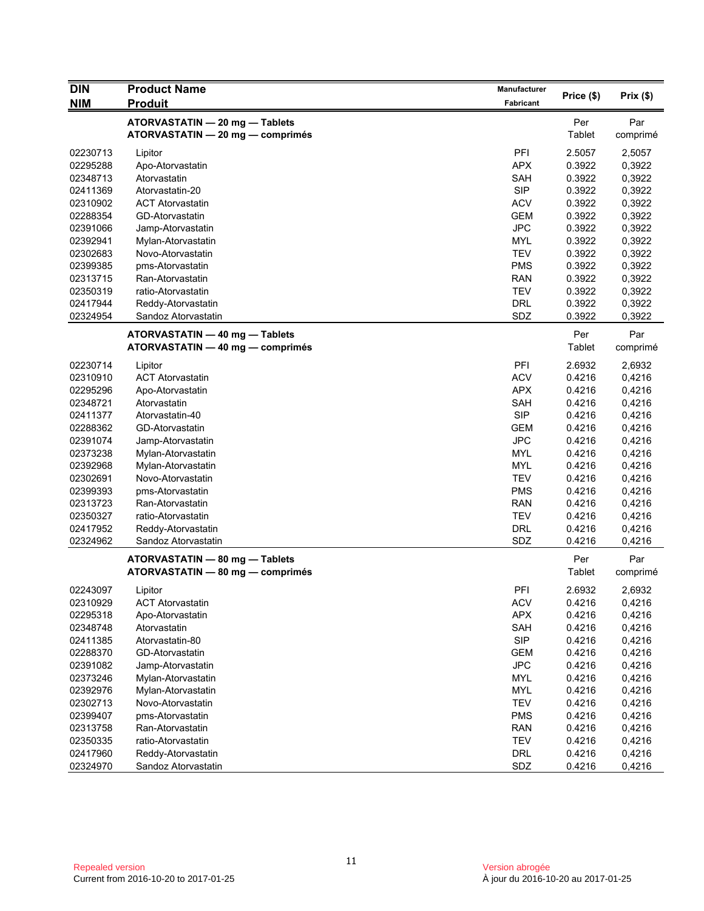| <b>DIN</b> | <b>Product Name</b>                                                | Manufacturer |               |                 |
|------------|--------------------------------------------------------------------|--------------|---------------|-----------------|
| <b>NIM</b> | <b>Produit</b>                                                     | Fabricant    | Price (\$)    | Prix(\$)        |
|            | ATORVASTATIN - 20 mg - Tablets<br>ATORVASTATIN - 20 mg - comprimés |              | Per<br>Tablet | Par<br>comprimé |
| 02230713   | Lipitor                                                            | PFI          | 2.5057        | 2,5057          |
| 02295288   | Apo-Atorvastatin                                                   | <b>APX</b>   | 0.3922        | 0,3922          |
| 02348713   | Atorvastatin                                                       | SAH          | 0.3922        | 0,3922          |
| 02411369   | Atorvastatin-20                                                    | <b>SIP</b>   | 0.3922        | 0,3922          |
| 02310902   | <b>ACT Atorvastatin</b>                                            | <b>ACV</b>   | 0.3922        | 0,3922          |
| 02288354   | GD-Atorvastatin                                                    | <b>GEM</b>   | 0.3922        | 0,3922          |
| 02391066   | Jamp-Atorvastatin                                                  | <b>JPC</b>   | 0.3922        | 0,3922          |
| 02392941   | Mylan-Atorvastatin                                                 | <b>MYL</b>   | 0.3922        | 0,3922          |
| 02302683   | Novo-Atorvastatin                                                  | <b>TEV</b>   | 0.3922        | 0,3922          |
| 02399385   | pms-Atorvastatin                                                   | <b>PMS</b>   | 0.3922        | 0,3922          |
| 02313715   | Ran-Atorvastatin                                                   | <b>RAN</b>   | 0.3922        | 0,3922          |
| 02350319   | ratio-Atorvastatin                                                 | <b>TEV</b>   | 0.3922        | 0,3922          |
| 02417944   | Reddy-Atorvastatin                                                 | <b>DRL</b>   | 0.3922        | 0,3922          |
| 02324954   | Sandoz Atorvastatin                                                | SDZ          | 0.3922        | 0,3922          |
|            | ATORVASTATIN - 40 mg - Tablets<br>ATORVASTATIN - 40 mg - comprimés |              | Per<br>Tablet | Par<br>comprimé |
| 02230714   | Lipitor                                                            | PFI          | 2.6932        | 2,6932          |
| 02310910   | <b>ACT Atorvastatin</b>                                            | <b>ACV</b>   | 0.4216        | 0,4216          |
| 02295296   | Apo-Atorvastatin                                                   | <b>APX</b>   | 0.4216        | 0,4216          |
| 02348721   | Atorvastatin                                                       | SAH          | 0.4216        | 0,4216          |
| 02411377   | Atorvastatin-40                                                    | <b>SIP</b>   | 0.4216        | 0,4216          |
| 02288362   | GD-Atorvastatin                                                    | <b>GEM</b>   | 0.4216        | 0,4216          |
| 02391074   | Jamp-Atorvastatin                                                  | <b>JPC</b>   | 0.4216        | 0,4216          |
| 02373238   | Mylan-Atorvastatin                                                 | <b>MYL</b>   | 0.4216        | 0,4216          |
| 02392968   | Mylan-Atorvastatin                                                 | <b>MYL</b>   | 0.4216        | 0,4216          |
| 02302691   | Novo-Atorvastatin                                                  | <b>TEV</b>   | 0.4216        | 0,4216          |
| 02399393   | pms-Atorvastatin                                                   | <b>PMS</b>   | 0.4216        | 0,4216          |
| 02313723   | Ran-Atorvastatin                                                   | <b>RAN</b>   | 0.4216        | 0,4216          |
| 02350327   | ratio-Atorvastatin                                                 | <b>TEV</b>   | 0.4216        | 0,4216          |
| 02417952   | Reddy-Atorvastatin                                                 | DRL          | 0.4216        | 0,4216          |
| 02324962   | Sandoz Atorvastatin                                                | SDZ          | 0.4216        | 0,4216          |
|            | ATORVASTATIN - 80 mg - Tablets                                     |              | Per           | Par             |
|            | ATORVASTATIN - 80 mg - comprimés                                   |              | Tablet        | comprimé        |
| 02243097   | Lipitor                                                            | PFI          | 2.6932        | 2,6932          |
| 02310929   | <b>ACT Atorvastatin</b>                                            | <b>ACV</b>   | 0.4216        | 0,4216          |
| 02295318   | Apo-Atorvastatin                                                   | <b>APX</b>   | 0.4216        | 0,4216          |
| 02348748   | Atorvastatin                                                       | SAH          | 0.4216        | 0,4216          |
| 02411385   | Atorvastatin-80                                                    | <b>SIP</b>   | 0.4216        | 0,4216          |
| 02288370   | GD-Atorvastatin                                                    | <b>GEM</b>   | 0.4216        | 0,4216          |
| 02391082   | Jamp-Atorvastatin                                                  | <b>JPC</b>   | 0.4216        | 0,4216          |
| 02373246   | Mylan-Atorvastatin                                                 | <b>MYL</b>   | 0.4216        | 0,4216          |
| 02392976   | Mylan-Atorvastatin                                                 | <b>MYL</b>   | 0.4216        | 0,4216          |
| 02302713   | Novo-Atorvastatin                                                  | <b>TEV</b>   | 0.4216        | 0,4216          |
| 02399407   | pms-Atorvastatin                                                   | <b>PMS</b>   | 0.4216        | 0,4216          |
| 02313758   | Ran-Atorvastatin                                                   | <b>RAN</b>   | 0.4216        | 0,4216          |
| 02350335   | ratio-Atorvastatin                                                 | <b>TEV</b>   | 0.4216        | 0,4216          |
| 02417960   | Reddy-Atorvastatin                                                 | <b>DRL</b>   | 0.4216        | 0,4216          |
| 02324970   | Sandoz Atorvastatin                                                | SDZ          | 0.4216        | 0,4216          |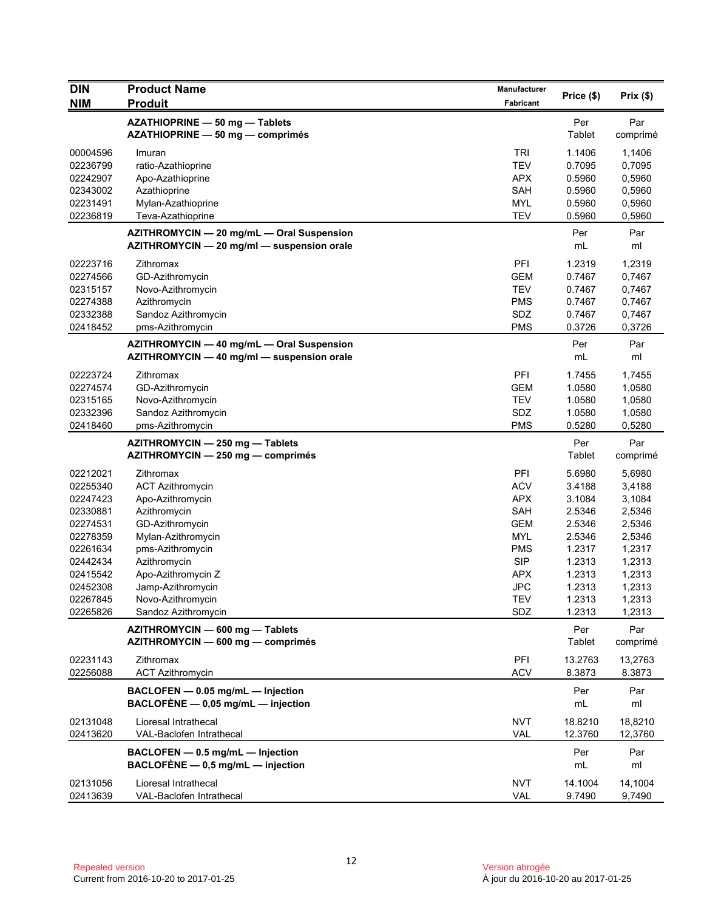| <b>DIN</b>           | <b>Product Name</b>                                                                     | Manufacturer      |                    |                    |
|----------------------|-----------------------------------------------------------------------------------------|-------------------|--------------------|--------------------|
| <b>NIM</b>           | <b>Produit</b>                                                                          | <b>Fabricant</b>  | Price (\$)         | Prix(\$)           |
|                      | AZATHIOPRINE - 50 mg - Tablets<br>AZATHIOPRINE - 50 mg - comprimés                      |                   | Per<br>Tablet      | Par<br>comprimé    |
| 00004596             | Imuran                                                                                  | <b>TRI</b>        | 1.1406             | 1,1406             |
| 02236799             | ratio-Azathioprine                                                                      | <b>TEV</b>        | 0.7095             | 0,7095             |
| 02242907             | Apo-Azathioprine                                                                        | <b>APX</b>        | 0.5960             | 0,5960             |
| 02343002             | Azathioprine                                                                            | <b>SAH</b>        | 0.5960             | 0,5960             |
| 02231491             | Mylan-Azathioprine                                                                      | <b>MYL</b>        | 0.5960             | 0,5960             |
| 02236819             | Teva-Azathioprine                                                                       | <b>TEV</b>        | 0.5960             | 0,5960             |
|                      | AZITHROMYCIN - 20 mg/mL - Oral Suspension<br>AZITHROMYCIN - 20 mg/ml - suspension orale |                   | Per<br>mL          | Par<br>ml          |
| 02223716             | Zithromax                                                                               | PFI               | 1.2319             | 1,2319             |
| 02274566             | GD-Azithromycin                                                                         | <b>GEM</b>        | 0.7467             | 0,7467             |
| 02315157             | Novo-Azithromycin                                                                       | <b>TEV</b>        | 0.7467             | 0,7467             |
| 02274388             | Azithromycin                                                                            | <b>PMS</b>        | 0.7467             | 0,7467             |
| 02332388             | Sandoz Azithromycin                                                                     | SDZ               | 0.7467             | 0,7467             |
| 02418452             | pms-Azithromycin                                                                        | <b>PMS</b>        | 0.3726             | 0,3726             |
|                      | AZITHROMYCIN - 40 mg/mL - Oral Suspension<br>AZITHROMYCIN - 40 mg/ml - suspension orale |                   | Per<br>mL          | Par<br>ml          |
| 02223724             | Zithromax                                                                               | PFI               | 1.7455             | 1,7455             |
| 02274574             | GD-Azithromycin                                                                         | <b>GEM</b>        | 1.0580             | 1,0580             |
| 02315165             | Novo-Azithromycin                                                                       | <b>TEV</b>        | 1.0580             | 1,0580             |
| 02332396             | Sandoz Azithromycin                                                                     | SDZ               | 1.0580             | 1,0580             |
| 02418460             | pms-Azithromycin                                                                        | <b>PMS</b>        | 0.5280             | 0,5280             |
|                      | AZITHROMYCIN - 250 mg - Tablets<br>AZITHROMYCIN - 250 mg - comprimés                    |                   | Per<br>Tablet      | Par<br>comprimé    |
| 02212021             | Zithromax                                                                               | PFI               | 5.6980             | 5,6980             |
| 02255340             | <b>ACT Azithromycin</b>                                                                 | <b>ACV</b>        | 3.4188             | 3,4188             |
| 02247423             | Apo-Azithromycin                                                                        | <b>APX</b>        | 3.1084             | 3,1084             |
| 02330881             | Azithromycin                                                                            | <b>SAH</b>        | 2.5346             | 2,5346             |
| 02274531             | GD-Azithromycin                                                                         | <b>GEM</b>        | 2.5346             | 2,5346             |
| 02278359             | Mylan-Azithromycin                                                                      | <b>MYL</b>        | 2.5346             | 2,5346             |
| 02261634             | pms-Azithromycin                                                                        | <b>PMS</b>        | 1.2317             | 1,2317             |
| 02442434             | Azithromycin                                                                            | <b>SIP</b>        | 1.2313             | 1,2313             |
| 02415542             | Apo-Azithromycin Z                                                                      | <b>APX</b>        | 1.2313             | 1,2313             |
| 02452308             | Jamp-Azithromycin                                                                       | <b>JPC</b>        | 1.2313             | 1,2313             |
| 02267845             | Novo-Azithromycin                                                                       | TEV               | 1.2313             | 1,2313             |
| 02265826             | Sandoz Azithromycin                                                                     | SDZ               | 1.2313             | 1,2313             |
|                      | AZITHROMYCIN - 600 mg - Tablets<br>AZITHROMYCIN - 600 mg - comprimés                    |                   | Per<br>Tablet      | Par<br>comprimé    |
| 02231143             | Zithromax                                                                               | PFI               | 13.2763            | 13,2763            |
| 02256088             | <b>ACT Azithromycin</b>                                                                 | <b>ACV</b>        | 8.3873             | 8.3873             |
|                      | BACLOFEN - 0.05 mg/mL - Injection<br>BACLOFÈNE $-$ 0,05 mg/mL $-$ injection             |                   | Per<br>mL          | Par<br>ml          |
| 02131048<br>02413620 | Lioresal Intrathecal<br>VAL-Baclofen Intrathecal                                        | <b>NVT</b><br>VAL | 18.8210<br>12.3760 | 18,8210<br>12,3760 |
|                      | BACLOFEN - 0.5 mg/mL - Injection<br>BACLOFÈNE $-$ 0,5 mg/mL $-$ injection               |                   | Per<br>mL          | Par<br>ml          |
| 02131056<br>02413639 | Lioresal Intrathecal<br>VAL-Baclofen Intrathecal                                        | <b>NVT</b><br>VAL | 14.1004<br>9.7490  | 14,1004<br>9,7490  |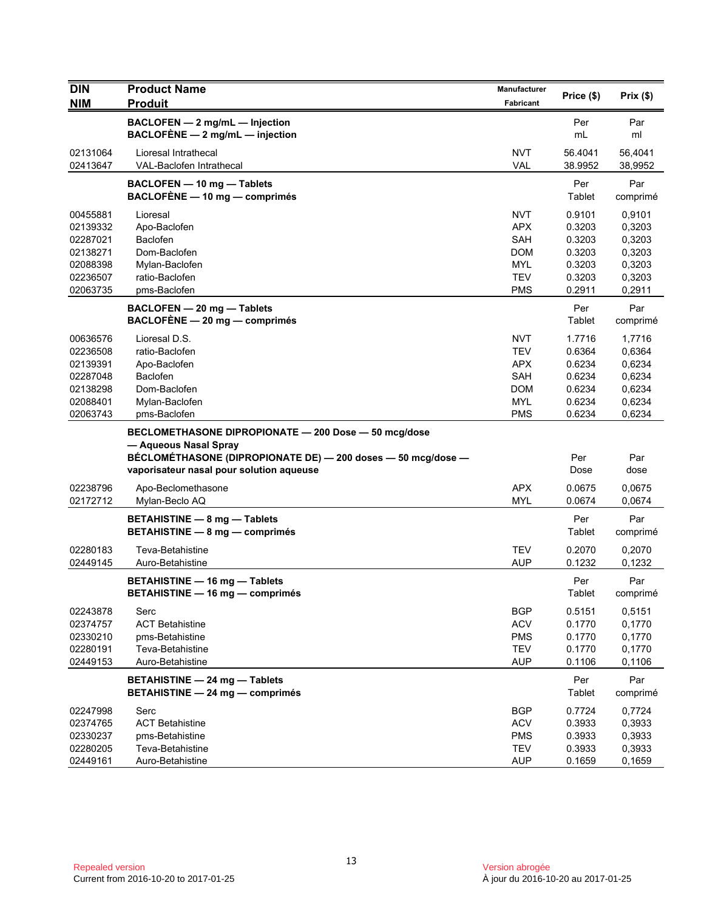| <b>DIN</b>           | <b>Product Name</b>                                          | <b>Manufacturer</b>      | Price (\$)       | Prix(\$)         |
|----------------------|--------------------------------------------------------------|--------------------------|------------------|------------------|
| <b>NIM</b>           | <b>Produit</b>                                               | <b>Fabricant</b>         |                  |                  |
|                      | BACLOFEN - 2 mg/mL - Injection                               |                          | Per              | Par              |
|                      | BACLOFÈNE $-2$ mg/mL $-$ injection                           |                          | mL               | ml               |
| 02131064             | Lioresal Intrathecal                                         | <b>NVT</b>               | 56.4041          | 56,4041          |
| 02413647             | VAL-Baclofen Intrathecal                                     | VAL                      | 38.9952          | 38,9952          |
|                      | BACLOFEN - 10 mg - Tablets                                   |                          | Per              | Par              |
|                      | BACLOFÈNE - 10 mg - comprimés                                |                          | Tablet           | comprimé         |
| 00455881             | Lioresal                                                     | <b>NVT</b>               | 0.9101           | 0,9101           |
| 02139332             | Apo-Baclofen                                                 | <b>APX</b>               | 0.3203           | 0,3203           |
| 02287021             | <b>Baclofen</b>                                              | <b>SAH</b>               | 0.3203           | 0,3203           |
| 02138271             | Dom-Baclofen                                                 | <b>DOM</b>               | 0.3203           | 0,3203           |
| 02088398             | Mylan-Baclofen                                               | <b>MYL</b>               | 0.3203           | 0,3203           |
| 02236507             | ratio-Baclofen                                               | <b>TEV</b>               | 0.3203           | 0,3203           |
| 02063735             | pms-Baclofen                                                 | <b>PMS</b>               | 0.2911           | 0,2911           |
|                      | BACLOFEN - 20 mg - Tablets                                   |                          | Per              | Par              |
|                      | BACLOFÈNE - 20 mg - comprimés                                |                          | Tablet           | comprimé         |
| 00636576             | Lioresal D.S.                                                | <b>NVT</b>               | 1.7716           | 1,7716           |
| 02236508             | ratio-Baclofen                                               | <b>TEV</b>               | 0.6364           | 0,6364           |
| 02139391             | Apo-Baclofen                                                 | <b>APX</b>               | 0.6234           | 0,6234           |
| 02287048             | Baclofen                                                     | SAH                      | 0.6234           | 0,6234           |
| 02138298             | Dom-Baclofen                                                 | <b>DOM</b>               | 0.6234           | 0,6234           |
| 02088401             | Mylan-Baclofen                                               | <b>MYL</b>               | 0.6234           | 0,6234           |
| 02063743             | pms-Baclofen                                                 | PMS                      | 0.6234           | 0,6234           |
|                      | BECLOMETHASONE DIPROPIONATE - 200 Dose - 50 mcg/dose         |                          |                  |                  |
|                      | - Aqueous Nasal Spray                                        |                          |                  |                  |
|                      | BÉCLOMÉTHASONE (DIPROPIONATE DE) - 200 doses - 50 mcg/dose - |                          | Per              | Par              |
|                      | vaporisateur nasal pour solution aqueuse                     |                          | Dose             | dose             |
| 02238796             | Apo-Beclomethasone                                           | <b>APX</b>               | 0.0675           | 0,0675           |
| 02172712             | Mylan-Beclo AQ                                               | <b>MYL</b>               | 0.0674           | 0,0674           |
|                      | <b>BETAHISTINE - 8 mg - Tablets</b>                          |                          | Per              | Par              |
|                      | BETAHISTINE - 8 mg - comprimés                               |                          | Tablet           | comprimé         |
| 02280183             | Teva-Betahistine                                             | <b>TEV</b>               | 0.2070           | 0,2070           |
| 02449145             | Auro-Betahistine                                             | <b>AUP</b>               | 0.1232           | 0,1232           |
|                      | <b>BETAHISTINE - 16 mg - Tablets</b>                         |                          | Per              | Par              |
|                      | BETAHISTINE - 16 mg - comprimés                              |                          | Tablet           | comprimé         |
| 02243878             | Serc                                                         | <b>BGP</b>               | 0.5151           | 0,5151           |
| 02374757             | <b>ACT Betahistine</b>                                       | <b>ACV</b>               | 0.1770           | 0,1770           |
| 02330210             | pms-Betahistine                                              | <b>PMS</b>               | 0.1770           | 0,1770           |
| 02280191             | Teva-Betahistine                                             | <b>TEV</b>               | 0.1770           | 0,1770           |
| 02449153             | Auro-Betahistine                                             | <b>AUP</b>               | 0.1106           | 0,1106           |
|                      | <b>BETAHISTINE - 24 mg - Tablets</b>                         |                          | Per              | Par              |
|                      | <b>BETAHISTINE - 24 mg - comprimés</b>                       |                          | Tablet           | comprimé         |
|                      |                                                              |                          |                  |                  |
| 02247998             | Serc                                                         | <b>BGP</b>               | 0.7724           | 0,7724           |
| 02374765             | <b>ACT Betahistine</b>                                       | <b>ACV</b>               | 0.3933           | 0,3933           |
| 02330237             | pms-Betahistine                                              | <b>PMS</b><br><b>TEV</b> | 0.3933           | 0,3933           |
| 02280205<br>02449161 | Teva-Betahistine<br>Auro-Betahistine                         | <b>AUP</b>               | 0.3933<br>0.1659 | 0,3933<br>0,1659 |
|                      |                                                              |                          |                  |                  |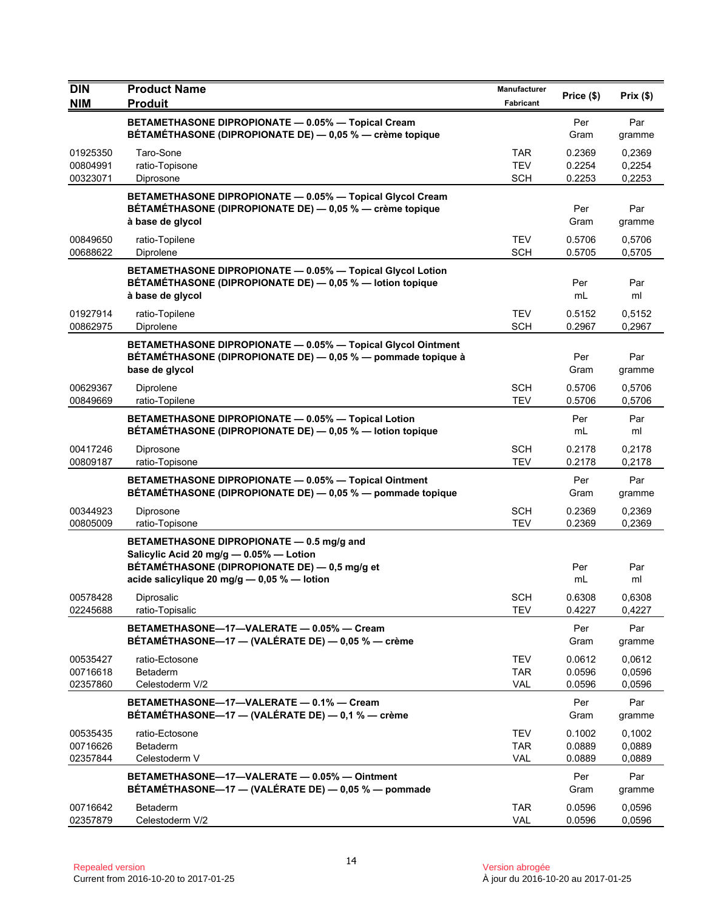| <b>DIN</b>                       | <b>Product Name</b>                                                                                                                                                                  | <b>Manufacturer</b>                    | Price (\$)                 | Prix $(\$)$                |
|----------------------------------|--------------------------------------------------------------------------------------------------------------------------------------------------------------------------------------|----------------------------------------|----------------------------|----------------------------|
| <b>NIM</b>                       | <b>Produit</b>                                                                                                                                                                       | <b>Fabricant</b>                       |                            |                            |
|                                  | BETAMETHASONE DIPROPIONATE - 0.05% - Topical Cream<br>BÉTAMÉTHASONE (DIPROPIONATE DE) — 0,05 % — crème topique                                                                       |                                        | Per<br>Gram                | Par<br>gramme              |
| 01925350<br>00804991<br>00323071 | Taro-Sone<br>ratio-Topisone<br>Diprosone                                                                                                                                             | <b>TAR</b><br><b>TEV</b><br><b>SCH</b> | 0.2369<br>0.2254<br>0.2253 | 0,2369<br>0,2254<br>0,2253 |
|                                  | BETAMETHASONE DIPROPIONATE - 0.05% - Topical Glycol Cream<br>BÉTAMÉTHASONE (DIPROPIONATE DE) - 0,05 % - crème topique<br>à base de glycol                                            |                                        | Per<br>Gram                | Par<br>gramme              |
| 00849650<br>00688622             | ratio-Topilene<br>Diprolene                                                                                                                                                          | <b>TEV</b><br><b>SCH</b>               | 0.5706<br>0.5705           | 0,5706<br>0,5705           |
|                                  | BETAMETHASONE DIPROPIONATE - 0.05% - Topical Glycol Lotion<br>BÉTAMÉTHASONE (DIPROPIONATE DE) - 0,05 % - lotion topique<br>à base de glycol                                          |                                        | Per<br>mL                  | Par<br>ml                  |
| 01927914<br>00862975             | ratio-Topilene<br>Diprolene                                                                                                                                                          | <b>TEV</b><br><b>SCH</b>               | 0.5152<br>0.2967           | 0,5152<br>0,2967           |
|                                  | BETAMETHASONE DIPROPIONATE - 0.05% - Topical Glycol Ointment<br>BÉTAMÉTHASONE (DIPROPIONATE DE) — 0,05 % — pommade topique à<br>base de glycol                                       |                                        | Per<br>Gram                | Par<br>gramme              |
| 00629367<br>00849669             | Diprolene<br>ratio-Topilene                                                                                                                                                          | <b>SCH</b><br><b>TEV</b>               | 0.5706<br>0.5706           | 0,5706<br>0,5706           |
|                                  | BETAMETHASONE DIPROPIONATE - 0.05% - Topical Lotion<br>BÉTAMÉTHASONE (DIPROPIONATE DE) - 0,05 % - lotion topique                                                                     |                                        | Per<br>mL                  | Par<br>ml                  |
| 00417246<br>00809187             | Diprosone<br>ratio-Topisone                                                                                                                                                          | <b>SCH</b><br><b>TEV</b>               | 0.2178<br>0.2178           | 0,2178<br>0,2178           |
|                                  | BETAMETHASONE DIPROPIONATE - 0.05% - Topical Ointment<br>BÉTAMÉTHASONE (DIPROPIONATE DE) — 0,05 % — pommade topique                                                                  |                                        | Per<br>Gram                | Par<br>gramme              |
| 00344923<br>00805009             | Diprosone<br>ratio-Topisone                                                                                                                                                          | <b>SCH</b><br><b>TEV</b>               | 0.2369<br>0.2369           | 0,2369<br>0,2369           |
|                                  | BETAMETHASONE DIPROPIONATE - 0.5 mg/g and<br>Salicylic Acid 20 mg/g - 0.05% - Lotion<br>BÉTAMÉTHASONE (DIPROPIONATE DE) - 0,5 mg/g et<br>acide salicylique 20 mg/g - 0,05 % - lotion |                                        | Per<br>mL                  | Par<br>ml                  |
| 00578428<br>02245688             | Diprosalic<br>ratio-Topisalic                                                                                                                                                        | <b>SCH</b><br>TEV                      | 0.6308<br>0.4227           | 0,6308<br>0,4227           |
|                                  | BETAMETHASONE-17-VALERATE - 0.05% - Cream<br>BÉTAMÉTHASONE—17 — (VALÉRATE DE) — 0,05 % — crème                                                                                       |                                        | Per<br>Gram                | Par<br>gramme              |
| 00535427<br>00716618<br>02357860 | ratio-Ectosone<br><b>Betaderm</b><br>Celestoderm V/2                                                                                                                                 | <b>TEV</b><br><b>TAR</b><br><b>VAL</b> | 0.0612<br>0.0596<br>0.0596 | 0,0612<br>0,0596<br>0,0596 |
|                                  | BETAMETHASONE-17-VALERATE - 0.1% - Cream<br>BÉTAMÉTHASONE-17 - (VALÉRATE DE) - 0,1 % - crème                                                                                         |                                        | Per<br>Gram                | Par<br>gramme              |
| 00535435<br>00716626<br>02357844 | ratio-Ectosone<br>Betaderm<br>Celestoderm V                                                                                                                                          | <b>TEV</b><br>TAR<br>VAL               | 0.1002<br>0.0889<br>0.0889 | 0,1002<br>0,0889<br>0,0889 |
|                                  | BETAMETHASONE-17-VALERATE - 0.05% - Ointment<br>BÉTAMÉTHASONE-17 - (VALÉRATE DE) - 0,05 % - pommade                                                                                  |                                        | Per<br>Gram                | Par<br>gramme              |
| 00716642<br>02357879             | Betaderm<br>Celestoderm V/2                                                                                                                                                          | <b>TAR</b><br>VAL                      | 0.0596<br>0.0596           | 0,0596<br>0,0596           |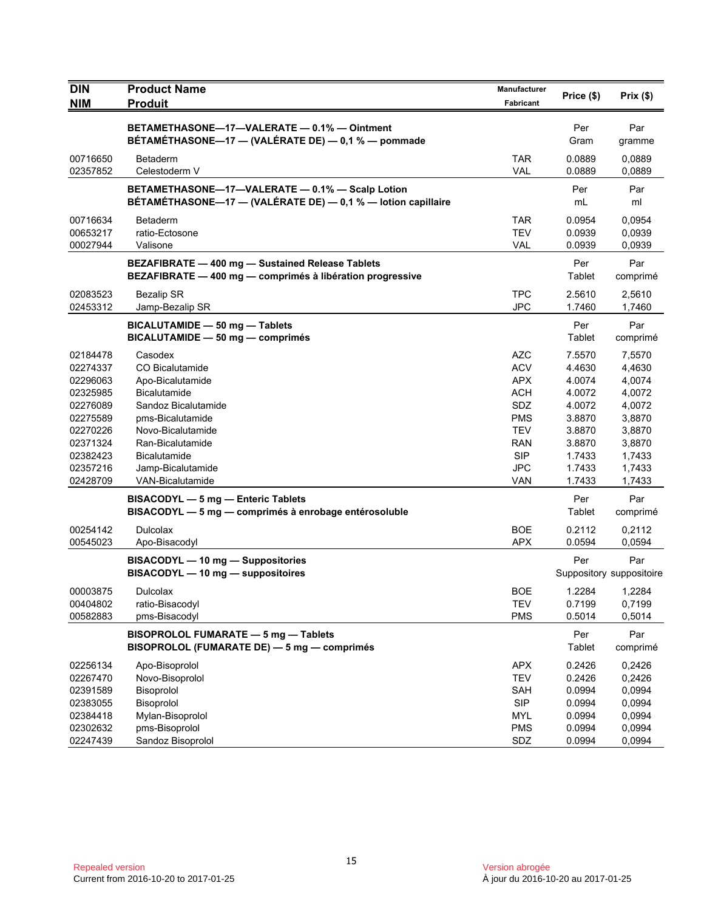| <b>DIN</b><br><b>NIM</b>                                                                                                                                             | <b>Product Name</b><br><b>Produit</b>                                                                                                                                                                                                                                                                                                                                                                                                              | <b>Manufacturer</b><br>Fabricant                                                                                                                                                   | Price (\$)                                                                                                                                                       | Prix (\$)                                                                                                                                                                                      |
|----------------------------------------------------------------------------------------------------------------------------------------------------------------------|----------------------------------------------------------------------------------------------------------------------------------------------------------------------------------------------------------------------------------------------------------------------------------------------------------------------------------------------------------------------------------------------------------------------------------------------------|------------------------------------------------------------------------------------------------------------------------------------------------------------------------------------|------------------------------------------------------------------------------------------------------------------------------------------------------------------|------------------------------------------------------------------------------------------------------------------------------------------------------------------------------------------------|
|                                                                                                                                                                      | BETAMETHASONE-17-VALERATE - 0.1% - Ointment<br>BÉTAMÉTHASONE-17 - (VALÉRATE DE) - 0,1 % - pommade                                                                                                                                                                                                                                                                                                                                                  |                                                                                                                                                                                    | Per<br>Gram                                                                                                                                                      | Par<br>gramme                                                                                                                                                                                  |
| 00716650<br>02357852                                                                                                                                                 | <b>Betaderm</b><br>Celestoderm V                                                                                                                                                                                                                                                                                                                                                                                                                   | <b>TAR</b><br><b>VAL</b>                                                                                                                                                           | 0.0889<br>0.0889                                                                                                                                                 | 0,0889<br>0,0889                                                                                                                                                                               |
|                                                                                                                                                                      | BETAMETHASONE-17-VALERATE - 0.1% - Scalp Lotion<br>BÉTAMÉTHASONE-17 - (VALÉRATE DE) - 0,1 % - lotion capillaire                                                                                                                                                                                                                                                                                                                                    |                                                                                                                                                                                    | Per<br>mL                                                                                                                                                        | Par<br>ml                                                                                                                                                                                      |
| 00716634<br>00653217<br>00027944                                                                                                                                     | <b>Betaderm</b><br>ratio-Ectosone<br>Valisone                                                                                                                                                                                                                                                                                                                                                                                                      | TAR<br><b>TEV</b><br>VAL                                                                                                                                                           | 0.0954<br>0.0939<br>0.0939                                                                                                                                       | 0,0954<br>0,0939<br>0,0939                                                                                                                                                                     |
|                                                                                                                                                                      | BEZAFIBRATE - 400 mg - Sustained Release Tablets<br>BEZAFIBRATE - 400 mg - comprimés à libération progressive                                                                                                                                                                                                                                                                                                                                      |                                                                                                                                                                                    | Per<br>Tablet                                                                                                                                                    | Par<br>comprimé                                                                                                                                                                                |
| 02083523<br>02453312                                                                                                                                                 | <b>Bezalip SR</b><br>Jamp-Bezalip SR                                                                                                                                                                                                                                                                                                                                                                                                               | <b>TPC</b><br><b>JPC</b>                                                                                                                                                           | 2.5610<br>1.7460                                                                                                                                                 | 2,5610<br>1,7460                                                                                                                                                                               |
|                                                                                                                                                                      | BICALUTAMIDE - 50 mg - Tablets<br>BICALUTAMIDE - 50 mg - comprimés                                                                                                                                                                                                                                                                                                                                                                                 |                                                                                                                                                                                    | Per<br>Tablet                                                                                                                                                    | Par<br>comprimé                                                                                                                                                                                |
| 02184478<br>02274337<br>02296063<br>02325985<br>02276089<br>02275589<br>02270226<br>02371324<br>02382423<br>02357216<br>02428709<br>00254142<br>00545023<br>00003875 | Casodex<br><b>CO Bicalutamide</b><br>Apo-Bicalutamide<br><b>Bicalutamide</b><br>Sandoz Bicalutamide<br>pms-Bicalutamide<br>Novo-Bicalutamide<br>Ran-Bicalutamide<br><b>Bicalutamide</b><br>Jamp-Bicalutamide<br>VAN-Bicalutamide<br>BISACODYL - 5 mg - Enteric Tablets<br>BISACODYL - 5 mg - comprimés à enrobage entérosoluble<br>Dulcolax<br>Apo-Bisacodyl<br>BISACODYL - 10 mg - Suppositories<br>BISACODYL - 10 mg - suppositoires<br>Dulcolax | <b>AZC</b><br><b>ACV</b><br><b>APX</b><br><b>ACH</b><br>SDZ<br><b>PMS</b><br><b>TEV</b><br><b>RAN</b><br><b>SIP</b><br>JPC<br><b>VAN</b><br><b>BOE</b><br><b>APX</b><br><b>BOE</b> | 7.5570<br>4.4630<br>4.0074<br>4.0072<br>4.0072<br>3.8870<br>3.8870<br>3.8870<br>1.7433<br>1.7433<br>1.7433<br>Per<br>Tablet<br>0.2112<br>0.0594<br>Per<br>1.2284 | 7,5570<br>4,4630<br>4,0074<br>4,0072<br>4,0072<br>3,8870<br>3,8870<br>3,8870<br>1,7433<br>1,7433<br>1,7433<br>Par<br>comprimé<br>0,2112<br>0.0594<br>Par<br>Suppository suppositoire<br>1,2284 |
| 00404802<br>00582883                                                                                                                                                 | ratio-Bisacodyl<br>pms-Bisacodyl                                                                                                                                                                                                                                                                                                                                                                                                                   | <b>TEV</b><br><b>PMS</b>                                                                                                                                                           | 0.7199<br>0.5014                                                                                                                                                 | 0,7199<br>0,5014                                                                                                                                                                               |
|                                                                                                                                                                      | BISOPROLOL FUMARATE - 5 mg - Tablets<br>BISOPROLOL (FUMARATE DE) - 5 mg - comprimés                                                                                                                                                                                                                                                                                                                                                                |                                                                                                                                                                                    | Per<br>Tablet                                                                                                                                                    | Par<br>comprimé                                                                                                                                                                                |
| 02256134<br>02267470<br>02391589<br>02383055<br>02384418<br>02302632<br>02247439                                                                                     | Apo-Bisoprolol<br>Novo-Bisoprolol<br>Bisoprolol<br>Bisoprolol<br>Mylan-Bisoprolol<br>pms-Bisoprolol<br>Sandoz Bisoprolol                                                                                                                                                                                                                                                                                                                           | <b>APX</b><br><b>TEV</b><br>SAH<br><b>SIP</b><br><b>MYL</b><br><b>PMS</b><br>SDZ                                                                                                   | 0.2426<br>0.2426<br>0.0994<br>0.0994<br>0.0994<br>0.0994<br>0.0994                                                                                               | 0,2426<br>0,2426<br>0,0994<br>0,0994<br>0,0994<br>0,0994<br>0,0994                                                                                                                             |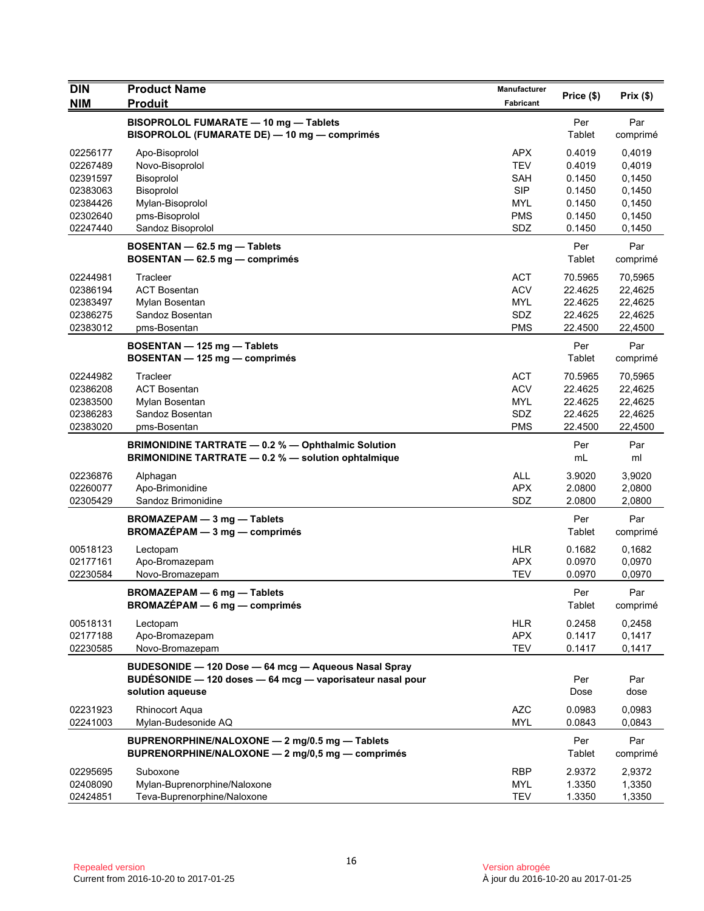| <b>DIN</b>                                               | <b>Product Name</b>                                                                                                                   | <b>Manufacturer</b>                                         | Price (\$)                                          | Prix(\$)                                            |
|----------------------------------------------------------|---------------------------------------------------------------------------------------------------------------------------------------|-------------------------------------------------------------|-----------------------------------------------------|-----------------------------------------------------|
| <b>NIM</b>                                               | <b>Produit</b>                                                                                                                        | Fabricant                                                   |                                                     |                                                     |
|                                                          | BISOPROLOL FUMARATE - 10 mg - Tablets<br>BISOPROLOL (FUMARATE DE) - 10 mg - comprimés                                                 |                                                             | Per<br>Tablet                                       | Par<br>comprimé                                     |
| 02256177<br>02267489<br>02391597<br>02383063             | Apo-Bisoprolol<br>Novo-Bisoprolol<br>Bisoprolol<br>Bisoprolol                                                                         | <b>APX</b><br><b>TEV</b><br>SAH<br><b>SIP</b>               | 0.4019<br>0.4019<br>0.1450<br>0.1450                | 0,4019<br>0,4019<br>0,1450<br>0,1450                |
| 02384426<br>02302640<br>02247440                         | Mylan-Bisoprolol<br>pms-Bisoprolol<br>Sandoz Bisoprolol                                                                               | MYL<br><b>PMS</b><br>SDZ                                    | 0.1450<br>0.1450<br>0.1450                          | 0,1450<br>0,1450<br>0,1450                          |
|                                                          | BOSENTAN - 62.5 mg - Tablets<br>BOSENTAN - 62.5 mg - comprimés                                                                        |                                                             | Per<br>Tablet                                       | Par<br>comprimé                                     |
| 02244981<br>02386194<br>02383497<br>02386275<br>02383012 | Tracleer<br><b>ACT Bosentan</b><br>Mylan Bosentan<br>Sandoz Bosentan<br>pms-Bosentan                                                  | <b>ACT</b><br><b>ACV</b><br>MYL<br>SDZ<br><b>PMS</b>        | 70.5965<br>22.4625<br>22.4625<br>22.4625<br>22.4500 | 70,5965<br>22,4625<br>22,4625<br>22,4625<br>22,4500 |
|                                                          | BOSENTAN - 125 mg - Tablets<br>BOSENTAN - 125 mg - comprimés                                                                          |                                                             | Per<br>Tablet                                       | Par<br>comprimé                                     |
| 02244982<br>02386208<br>02383500<br>02386283<br>02383020 | Tracleer<br><b>ACT Bosentan</b><br>Mylan Bosentan<br>Sandoz Bosentan<br>pms-Bosentan                                                  | <b>ACT</b><br><b>ACV</b><br><b>MYL</b><br>SDZ<br><b>PMS</b> | 70.5965<br>22.4625<br>22.4625<br>22.4625<br>22.4500 | 70,5965<br>22,4625<br>22,4625<br>22,4625<br>22,4500 |
|                                                          | BRIMONIDINE TARTRATE - 0.2 % - Ophthalmic Solution<br>BRIMONIDINE TARTRATE - 0.2 % - solution ophtalmique                             |                                                             | Per<br>mL                                           | Par<br>ml                                           |
| 02236876<br>02260077<br>02305429                         | Alphagan<br>Apo-Brimonidine<br>Sandoz Brimonidine                                                                                     | ALL<br><b>APX</b><br>SDZ                                    | 3.9020<br>2.0800<br>2.0800                          | 3,9020<br>2,0800<br>2,0800                          |
|                                                          | <b>BROMAZEPAM - 3 mg - Tablets</b><br>$BROMAZÉPAM - 3 mg - comprimés$                                                                 |                                                             | Per<br>Tablet                                       | Par<br>comprimé                                     |
| 00518123<br>02177161<br>02230584                         | Lectopam<br>Apo-Bromazepam<br>Novo-Bromazepam                                                                                         | <b>HLR</b><br><b>APX</b><br><b>TEV</b>                      | 0.1682<br>0.0970<br>0.0970                          | 0,1682<br>0,0970<br>0,0970                          |
|                                                          | <b>BROMAZEPAM - 6 mg - Tablets</b><br>BROMAZÉPAM - 6 mg - comprimés                                                                   |                                                             | Per<br>Tablet                                       | Par<br>comprimé                                     |
| 00518131<br>02177188<br>02230585                         | Lectopam<br>Apo-Bromazepam<br>Novo-Bromazepam                                                                                         | <b>HLR</b><br><b>APX</b><br><b>TEV</b>                      | 0.2458<br>0.1417<br>0.1417                          | 0,2458<br>0,1417<br>0,1417                          |
|                                                          | BUDESONIDE - 120 Dose - 64 mcg - Aqueous Nasal Spray<br>BUDÉSONIDE - 120 doses - 64 mcg - vaporisateur nasal pour<br>solution aqueuse |                                                             | Per<br>Dose                                         | Par<br>dose                                         |
| 02231923<br>02241003                                     | Rhinocort Aqua<br>Mylan-Budesonide AQ                                                                                                 | <b>AZC</b><br><b>MYL</b>                                    | 0.0983<br>0.0843                                    | 0,0983<br>0,0843                                    |
|                                                          | BUPRENORPHINE/NALOXONE - 2 mg/0.5 mg - Tablets<br>BUPRENORPHINE/NALOXONE - 2 mg/0,5 mg - comprimés                                    |                                                             | Per<br>Tablet                                       | Par<br>comprimé                                     |
| 02295695<br>02408090<br>02424851                         | Suboxone<br>Mylan-Buprenorphine/Naloxone<br>Teva-Buprenorphine/Naloxone                                                               | <b>RBP</b><br>MYL<br><b>TEV</b>                             | 2.9372<br>1.3350<br>1.3350                          | 2,9372<br>1,3350<br>1,3350                          |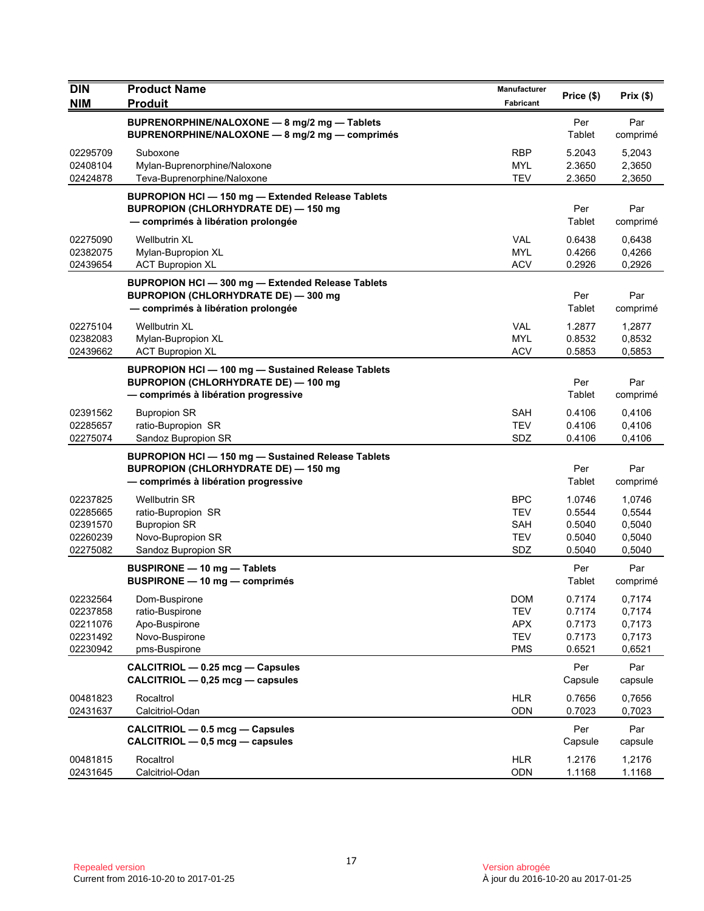| <b>DIN</b><br><b>NIM</b>                                 | <b>Product Name</b><br><b>Produit</b>                                                                                                            | <b>Manufacturer</b><br>Fabricant                            | Price (\$)                                     | Prix(\$)                                       |
|----------------------------------------------------------|--------------------------------------------------------------------------------------------------------------------------------------------------|-------------------------------------------------------------|------------------------------------------------|------------------------------------------------|
|                                                          | BUPRENORPHINE/NALOXONE - 8 mg/2 mg - Tablets<br>BUPRENORPHINE/NALOXONE - 8 mg/2 mg - comprimés                                                   |                                                             | Per<br>Tablet                                  | Par<br>comprimé                                |
| 02295709<br>02408104<br>02424878                         | Suboxone<br>Mylan-Buprenorphine/Naloxone<br>Teva-Buprenorphine/Naloxone                                                                          | <b>RBP</b><br><b>MYL</b><br><b>TEV</b>                      | 5.2043<br>2.3650<br>2.3650                     | 5,2043<br>2,3650<br>2,3650                     |
|                                                          | BUPROPION HCl - 150 mg - Extended Release Tablets<br><b>BUPROPION (CHLORHYDRATE DE) - 150 mg</b><br>- comprimés à libération prolongée           |                                                             | Per<br>Tablet                                  | Par<br>comprimé                                |
| 02275090<br>02382075<br>02439654                         | <b>Wellbutrin XL</b><br>Mylan-Bupropion XL<br><b>ACT Bupropion XL</b>                                                                            | <b>VAL</b><br><b>MYL</b><br><b>ACV</b>                      | 0.6438<br>0.4266<br>0.2926                     | 0,6438<br>0,4266<br>0,2926                     |
|                                                          | BUPROPION HCI-300 mg-Extended Release Tablets<br><b>BUPROPION (CHLORHYDRATE DE) - 300 mg</b><br>- comprimés à libération prolongée               |                                                             | Per<br>Tablet                                  | Par<br>comprimé                                |
| 02275104<br>02382083<br>02439662                         | <b>Wellbutrin XL</b><br>Mylan-Bupropion XL<br><b>ACT Bupropion XL</b>                                                                            | <b>VAL</b><br><b>MYL</b><br><b>ACV</b>                      | 1.2877<br>0.8532<br>0.5853                     | 1,2877<br>0,8532<br>0,5853                     |
|                                                          | <b>BUPROPION HCI - 100 mg - Sustained Release Tablets</b><br><b>BUPROPION (CHLORHYDRATE DE) - 100 mg</b><br>- comprimés à libération progressive |                                                             | Per<br>Tablet                                  | Par<br>comprimé                                |
| 02391562<br>02285657<br>02275074                         | <b>Bupropion SR</b><br>ratio-Bupropion SR<br>Sandoz Bupropion SR                                                                                 | SAH<br><b>TEV</b><br>SDZ                                    | 0.4106<br>0.4106<br>0.4106                     | 0,4106<br>0,4106<br>0,4106                     |
|                                                          | BUPROPION HCI - 150 mg - Sustained Release Tablets<br><b>BUPROPION (CHLORHYDRATE DE) - 150 mg</b><br>- comprimés à libération progressive        |                                                             | Per<br>Tablet                                  | Par<br>comprimé                                |
| 02237825<br>02285665<br>02391570<br>02260239<br>02275082 | <b>Wellbutrin SR</b><br>ratio-Bupropion SR<br><b>Bupropion SR</b><br>Novo-Bupropion SR<br>Sandoz Bupropion SR                                    | <b>BPC</b><br><b>TEV</b><br><b>SAH</b><br><b>TEV</b><br>SDZ | 1.0746<br>0.5544<br>0.5040<br>0.5040<br>0.5040 | 1,0746<br>0,5544<br>0,5040<br>0,5040<br>0,5040 |
|                                                          | <b>BUSPIRONE - 10 mg - Tablets</b><br>BUSPIRONE - 10 mg - comprimés                                                                              |                                                             | Per<br>Tablet                                  | Par<br>comprimé                                |
| 02232564<br>02237858<br>02211076<br>02231492<br>02230942 | Dom-Buspirone<br>ratio-Buspirone<br>Apo-Buspirone<br>Novo-Buspirone<br>pms-Buspirone                                                             | DOM<br><b>TEV</b><br><b>APX</b><br><b>TEV</b><br><b>PMS</b> | 0.7174<br>0.7174<br>0.7173<br>0.7173<br>0.6521 | 0,7174<br>0,7174<br>0,7173<br>0,7173<br>0,6521 |
|                                                          | CALCITRIOL - 0.25 mcg - Capsules<br>CALCITRIOL - 0,25 mcg - capsules                                                                             |                                                             | Per<br>Capsule                                 | Par<br>capsule                                 |
| 00481823<br>02431637                                     | Rocaltrol<br>Calcitriol-Odan                                                                                                                     | <b>HLR</b><br>ODN                                           | 0.7656<br>0.7023                               | 0,7656<br>0,7023                               |
|                                                          | CALCITRIOL - 0.5 mcg - Capsules<br>CALCITRIOL - 0,5 mcg - capsules                                                                               |                                                             | Per<br>Capsule                                 | Par<br>capsule                                 |
| 00481815<br>02431645                                     | Rocaltrol<br>Calcitriol-Odan                                                                                                                     | <b>HLR</b><br>ODN                                           | 1.2176<br>1.1168                               | 1,2176<br>1.1168                               |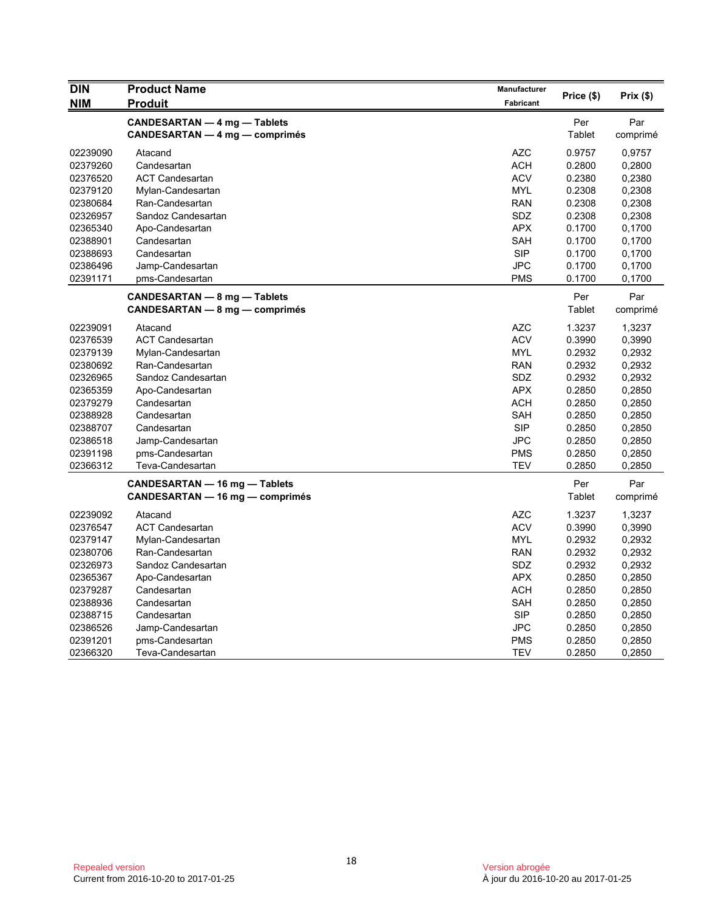| <b>NIM</b><br><b>Produit</b><br><b>Fabricant</b> | Price (\$) | Prix(\$) |
|--------------------------------------------------|------------|----------|
| CANDESARTAN - 4 mg - Tablets                     | Per        | Par      |
| CANDESARTAN — 4 mg — comprimés                   | Tablet     | comprimé |
| <b>AZC</b><br>02239090<br>Atacand                | 0.9757     | 0,9757   |
| 02379260<br>Candesartan<br><b>ACH</b>            | 0.2800     | 0,2800   |
| <b>ACV</b><br>02376520<br><b>ACT Candesartan</b> | 0.2380     | 0,2380   |
| 02379120<br><b>MYL</b><br>Mylan-Candesartan      | 0.2308     | 0,2308   |
| <b>RAN</b><br>02380684<br>Ran-Candesartan        | 0.2308     | 0,2308   |
| SDZ<br>02326957<br>Sandoz Candesartan            | 0.2308     | 0,2308   |
| <b>APX</b><br>02365340<br>Apo-Candesartan        | 0.1700     | 0,1700   |
| SAH<br>02388901<br>Candesartan                   | 0.1700     | 0,1700   |
| <b>SIP</b><br>02388693<br>Candesartan            | 0.1700     | 0,1700   |
| <b>JPC</b><br>02386496<br>Jamp-Candesartan       | 0.1700     | 0,1700   |
| 02391171<br><b>PMS</b><br>pms-Candesartan        | 0.1700     | 0,1700   |
| CANDESARTAN - 8 mg - Tablets                     | Per        | Par      |
| CANDESARTAN - 8 mg - comprimés                   | Tablet     | comprimé |
| 02239091<br>AZC<br>Atacand                       | 1.3237     |          |
| <b>ACV</b>                                       | 0.3990     | 1,3237   |
| 02376539<br><b>ACT Candesartan</b>               |            | 0,3990   |
| <b>MYL</b><br>02379139<br>Mylan-Candesartan      | 0.2932     | 0,2932   |
| <b>RAN</b><br>02380692<br>Ran-Candesartan        | 0.2932     | 0,2932   |
| 02326965<br>Sandoz Candesartan<br>SDZ            | 0.2932     | 0,2932   |
| <b>APX</b><br>02365359<br>Apo-Candesartan        | 0.2850     | 0,2850   |
| <b>ACH</b><br>02379279<br>Candesartan            | 0.2850     | 0,2850   |
| SAH<br>02388928<br>Candesartan                   | 0.2850     | 0,2850   |
| <b>SIP</b><br>02388707<br>Candesartan            | 0.2850     | 0,2850   |
| <b>JPC</b><br>02386518<br>Jamp-Candesartan       | 0.2850     | 0,2850   |
| <b>PMS</b><br>02391198<br>pms-Candesartan        | 0.2850     | 0,2850   |
| 02366312<br>TEV<br>Teva-Candesartan              | 0.2850     | 0,2850   |
| CANDESARTAN - 16 mg - Tablets                    | Per        | Par      |
| CANDESARTAN - 16 mg - comprimés                  | Tablet     | comprimé |
| 02239092<br><b>AZC</b><br>Atacand                | 1.3237     | 1,3237   |
| <b>ACV</b><br>02376547<br><b>ACT Candesartan</b> | 0.3990     | 0,3990   |
| 02379147<br>Mylan-Candesartan<br><b>MYL</b>      | 0.2932     | 0,2932   |
| 02380706<br>Ran-Candesartan<br><b>RAN</b>        | 0.2932     | 0,2932   |
| SDZ<br>02326973<br>Sandoz Candesartan            | 0.2932     | 0,2932   |
| <b>APX</b><br>02365367<br>Apo-Candesartan        | 0.2850     | 0,2850   |
| ACH<br>02379287<br>Candesartan                   | 0.2850     | 0,2850   |
| 02388936<br>SAH<br>Candesartan                   | 0.2850     | 0,2850   |
| <b>SIP</b><br>02388715<br>Candesartan            | 0.2850     | 0,2850   |
| <b>JPC</b><br>02386526<br>Jamp-Candesartan       | 0.2850     | 0,2850   |
| <b>PMS</b><br>02391201<br>pms-Candesartan        | 0.2850     | 0,2850   |
| TEV<br>02366320<br>Teva-Candesartan              | 0.2850     | 0,2850   |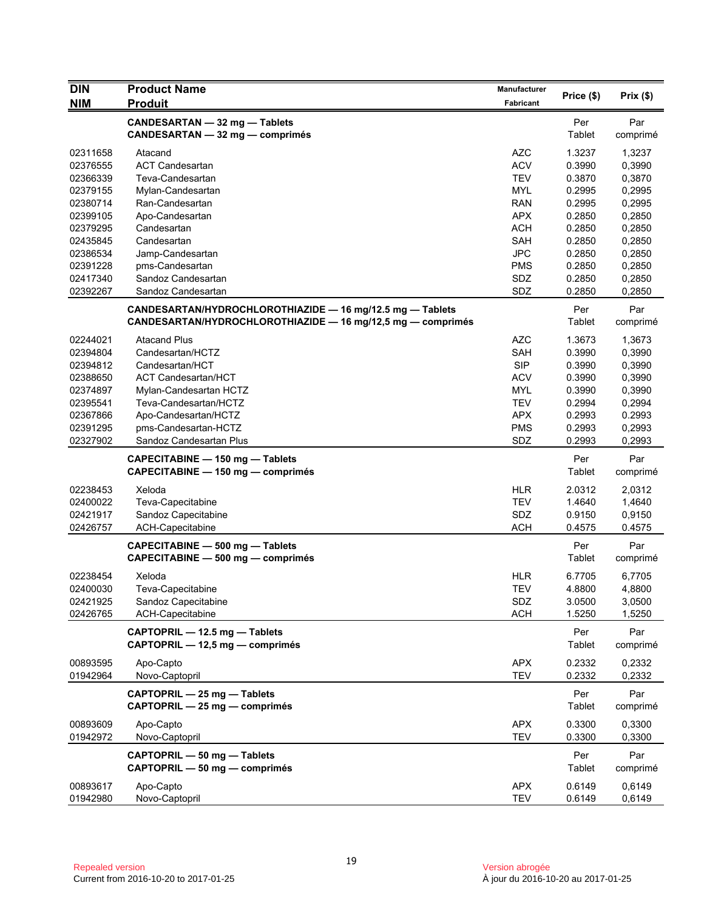| <b>DIN</b>           | <b>Product Name</b>                                         | <b>Manufacturer</b>      |                  | Prix(\$)         |
|----------------------|-------------------------------------------------------------|--------------------------|------------------|------------------|
| <b>NIM</b>           | <b>Produit</b>                                              | Fabricant                | Price (\$)       |                  |
|                      | CANDESARTAN - 32 mg - Tablets                               |                          | Per              | Par              |
|                      | CANDESARTAN - 32 mg - comprimés                             |                          | Tablet           | comprimé         |
| 02311658             | Atacand                                                     | <b>AZC</b>               | 1.3237           | 1,3237           |
| 02376555             | <b>ACT Candesartan</b>                                      | <b>ACV</b>               | 0.3990           | 0,3990           |
| 02366339             | Teva-Candesartan                                            | <b>TEV</b>               | 0.3870           | 0,3870           |
| 02379155             | Mylan-Candesartan                                           | <b>MYL</b>               | 0.2995           | 0,2995           |
| 02380714             | Ran-Candesartan                                             | <b>RAN</b>               | 0.2995           | 0,2995           |
| 02399105             | Apo-Candesartan                                             | <b>APX</b>               | 0.2850           | 0,2850           |
| 02379295             | Candesartan                                                 | <b>ACH</b>               | 0.2850           | 0,2850           |
| 02435845             | Candesartan                                                 | <b>SAH</b>               | 0.2850           | 0,2850           |
| 02386534             | Jamp-Candesartan                                            | <b>JPC</b>               | 0.2850           | 0,2850           |
| 02391228             | pms-Candesartan                                             | <b>PMS</b>               | 0.2850           | 0,2850           |
| 02417340             | Sandoz Candesartan                                          | SDZ                      | 0.2850           | 0,2850           |
| 02392267             | Sandoz Candesartan                                          | SDZ                      | 0.2850           | 0,2850           |
|                      | CANDESARTAN/HYDROCHLOROTHIAZIDE - 16 mg/12.5 mg - Tablets   |                          | Per              | Par              |
|                      | CANDESARTAN/HYDROCHLOROTHIAZIDE - 16 mg/12,5 mg - comprimés |                          | Tablet           | comprimé         |
| 02244021             | <b>Atacand Plus</b>                                         | <b>AZC</b>               | 1.3673           | 1,3673           |
| 02394804             | Candesartan/HCTZ                                            | <b>SAH</b>               | 0.3990           | 0,3990           |
| 02394812             | Candesartan/HCT                                             | <b>SIP</b>               | 0.3990           | 0,3990           |
| 02388650             | <b>ACT Candesartan/HCT</b>                                  | <b>ACV</b>               | 0.3990           | 0,3990           |
| 02374897             | Mylan-Candesartan HCTZ                                      | <b>MYL</b>               | 0.3990           | 0,3990           |
| 02395541             | Teva-Candesartan/HCTZ                                       | <b>TEV</b>               | 0.2994           | 0,2994           |
| 02367866             | Apo-Candesartan/HCTZ                                        | <b>APX</b>               | 0.2993           | 0.2993           |
| 02391295             | pms-Candesartan-HCTZ                                        | <b>PMS</b>               | 0.2993           | 0,2993           |
| 02327902             | Sandoz Candesartan Plus                                     | SDZ                      | 0.2993           | 0,2993           |
|                      | CAPECITABINE - 150 mg - Tablets                             |                          | Per              | Par              |
|                      | CAPECITABINE - 150 mg - comprimés                           |                          | Tablet           | comprimé         |
| 02238453             | Xeloda                                                      | <b>HLR</b>               | 2.0312           | 2,0312           |
| 02400022             | Teva-Capecitabine                                           | <b>TEV</b>               | 1.4640           | 1,4640           |
| 02421917             | Sandoz Capecitabine                                         | SDZ                      | 0.9150           | 0,9150           |
| 02426757             | ACH-Capecitabine                                            | <b>ACH</b>               | 0.4575           | 0.4575           |
|                      | CAPECITABINE - 500 mg - Tablets                             |                          | Per              | Par              |
|                      | CAPECITABINE - 500 mg - comprimés                           |                          | Tablet           | comprimé         |
| 02238454             | Xeloda                                                      | <b>HLR</b>               | 6.7705           | 6,7705           |
| 02400030             | Teva-Capecitabine                                           | <b>TEV</b>               | 4.8800           | 4,8800           |
| 02421925             | Sandoz Capecitabine                                         | SDZ                      | 3.0500           | 3,0500           |
| 02426765             | ACH-Capecitabine                                            | <b>ACH</b>               | 1.5250           | 1,5250           |
|                      | CAPTOPRIL - 12.5 mg - Tablets                               |                          | Per              | Par              |
|                      | CAPTOPRIL - 12,5 mg - comprimés                             |                          | Tablet           | comprimé         |
|                      |                                                             |                          |                  |                  |
| 00893595<br>01942964 | Apo-Capto<br>Novo-Captopril                                 | <b>APX</b><br><b>TEV</b> | 0.2332<br>0.2332 | 0,2332<br>0,2332 |
|                      |                                                             |                          |                  |                  |
|                      | CAPTOPRIL - 25 mg - Tablets                                 |                          | Per              | Par              |
|                      | CAPTOPRIL - 25 mg - comprimés                               |                          | Tablet           | comprimé         |
| 00893609             | Apo-Capto                                                   | <b>APX</b>               | 0.3300           | 0,3300           |
| 01942972             | Novo-Captopril                                              | <b>TEV</b>               | 0.3300           | 0,3300           |
|                      | CAPTOPRIL - 50 mg - Tablets                                 |                          | Per              | Par              |
|                      | CAPTOPRIL - 50 mg - comprimés                               |                          | Tablet           | comprimé         |
| 00893617             | Apo-Capto                                                   | <b>APX</b>               | 0.6149           | 0,6149           |
| 01942980             | Novo-Captopril                                              | <b>TEV</b>               | 0.6149           | 0,6149           |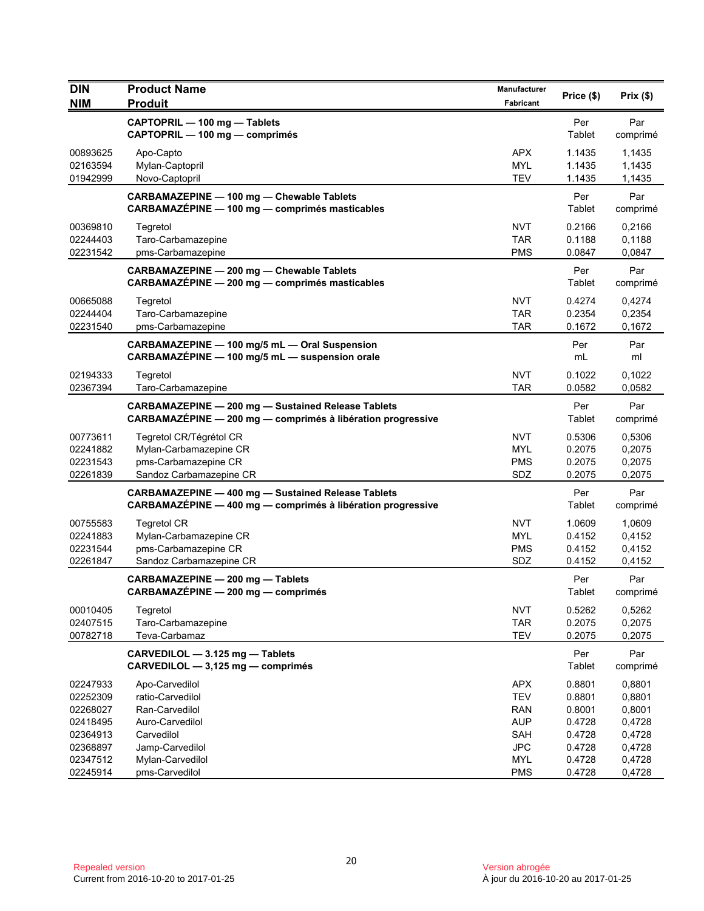| <b>DIN</b><br><b>NIM</b> | <b>Product Name</b><br><b>Produit</b>                                                                                    | Manufacturer<br>Fabricant | Price (\$)    | Prix(\$)        |
|--------------------------|--------------------------------------------------------------------------------------------------------------------------|---------------------------|---------------|-----------------|
|                          | CAPTOPRIL - 100 mg - Tablets<br>CAPTOPRIL - 100 mg - comprimés                                                           |                           | Per<br>Tablet | Par<br>comprimé |
| 00893625                 | Apo-Capto                                                                                                                | <b>APX</b>                | 1.1435        | 1,1435          |
| 02163594                 | Mylan-Captopril                                                                                                          | <b>MYL</b>                | 1.1435        | 1,1435          |
| 01942999                 | Novo-Captopril                                                                                                           | <b>TEV</b>                | 1.1435        | 1,1435          |
|                          | CARBAMAZEPINE - 100 mg - Chewable Tablets<br>CARBAMAZÉPINE - 100 mg - comprimés masticables                              |                           | Per<br>Tablet | Par<br>comprimé |
| 00369810                 | Tegretol                                                                                                                 | <b>NVT</b>                | 0.2166        | 0,2166          |
| 02244403                 | Taro-Carbamazepine                                                                                                       | <b>TAR</b>                | 0.1188        | 0,1188          |
| 02231542                 | pms-Carbamazepine                                                                                                        | <b>PMS</b>                | 0.0847        | 0,0847          |
|                          | CARBAMAZEPINE - 200 mg - Chewable Tablets<br>CARBAMAZÉPINE - 200 mg - comprimés masticables                              |                           | Per<br>Tablet | Par<br>comprimé |
| 00665088                 | Tegretol                                                                                                                 | <b>NVT</b>                | 0.4274        | 0,4274          |
| 02244404                 | Taro-Carbamazepine                                                                                                       | <b>TAR</b>                | 0.2354        | 0,2354          |
| 02231540                 | pms-Carbamazepine                                                                                                        | <b>TAR</b>                | 0.1672        | 0,1672          |
|                          | CARBAMAZEPINE - 100 mg/5 mL - Oral Suspension<br>CARBAMAZÉPINE - 100 mg/5 mL - suspension orale                          |                           | Per<br>mL     | Par<br>ml       |
| 02194333                 | Tegretol                                                                                                                 | <b>NVT</b>                | 0.1022        | 0,1022          |
| 02367394                 | Taro-Carbamazepine                                                                                                       | <b>TAR</b>                | 0.0582        | 0,0582          |
|                          | <b>CARBAMAZEPINE - 200 mg - Sustained Release Tablets</b><br>CARBAMAZÉPINE - 200 mg - comprimés à libération progressive |                           | Per<br>Tablet | Par<br>comprimé |
| 00773611                 | Tegretol CR/Tégrétol CR                                                                                                  | <b>NVT</b>                | 0.5306        | 0,5306          |
| 02241882                 | Mylan-Carbamazepine CR                                                                                                   | <b>MYL</b>                | 0.2075        | 0,2075          |
| 02231543                 | pms-Carbamazepine CR                                                                                                     | <b>PMS</b>                | 0.2075        | 0,2075          |
| 02261839                 | Sandoz Carbamazepine CR                                                                                                  | SDZ                       | 0.2075        | 0,2075          |
|                          | <b>CARBAMAZEPINE - 400 mg - Sustained Release Tablets</b><br>CARBAMAZÉPINE - 400 mg - comprimés à libération progressive |                           | Per<br>Tablet | Par<br>comprimé |
| 00755583                 | <b>Tegretol CR</b>                                                                                                       | <b>NVT</b>                | 1.0609        | 1,0609          |
| 02241883                 | Mylan-Carbamazepine CR                                                                                                   | <b>MYL</b>                | 0.4152        | 0,4152          |
| 02231544                 | pms-Carbamazepine CR                                                                                                     | <b>PMS</b>                | 0.4152        | 0,4152          |
| 02261847                 | Sandoz Carbamazepine CR                                                                                                  | SDZ                       | 0.4152        | 0,4152          |
|                          | CARBAMAZEPINE - 200 mg - Tablets<br>CARBAMAZÉPINE - 200 mg - comprimés                                                   |                           | Per<br>Tablet | Par<br>comprimé |
| 00010405                 | Tegretol                                                                                                                 | <b>NVT</b>                | 0.5262        | 0,5262          |
| 02407515                 | Taro-Carbamazepine                                                                                                       | <b>TAR</b>                | 0.2075        | 0,2075          |
| 00782718                 | Teva-Carbamaz                                                                                                            | <b>TEV</b>                | 0.2075        | 0,2075          |
|                          | CARVEDILOL - 3.125 mg - Tablets<br>CARVEDILOL - 3,125 mg - comprimés                                                     |                           | Per<br>Tablet | Par<br>comprimé |
| 02247933                 | Apo-Carvedilol                                                                                                           | <b>APX</b>                | 0.8801        | 0,8801          |
| 02252309                 | ratio-Carvedilol                                                                                                         | <b>TEV</b>                | 0.8801        | 0,8801          |
| 02268027                 | Ran-Carvedilol                                                                                                           | <b>RAN</b>                | 0.8001        | 0,8001          |
| 02418495                 | Auro-Carvedilol                                                                                                          | <b>AUP</b>                | 0.4728        | 0,4728          |
| 02364913                 | Carvedilol                                                                                                               | <b>SAH</b>                | 0.4728        | 0,4728          |
| 02368897                 | Jamp-Carvedilol                                                                                                          | <b>JPC</b>                | 0.4728        | 0,4728          |
| 02347512                 | Mylan-Carvedilol                                                                                                         | <b>MYL</b>                | 0.4728        | 0,4728          |
| 02245914                 | pms-Carvedilol                                                                                                           | <b>PMS</b>                | 0.4728        | 0,4728          |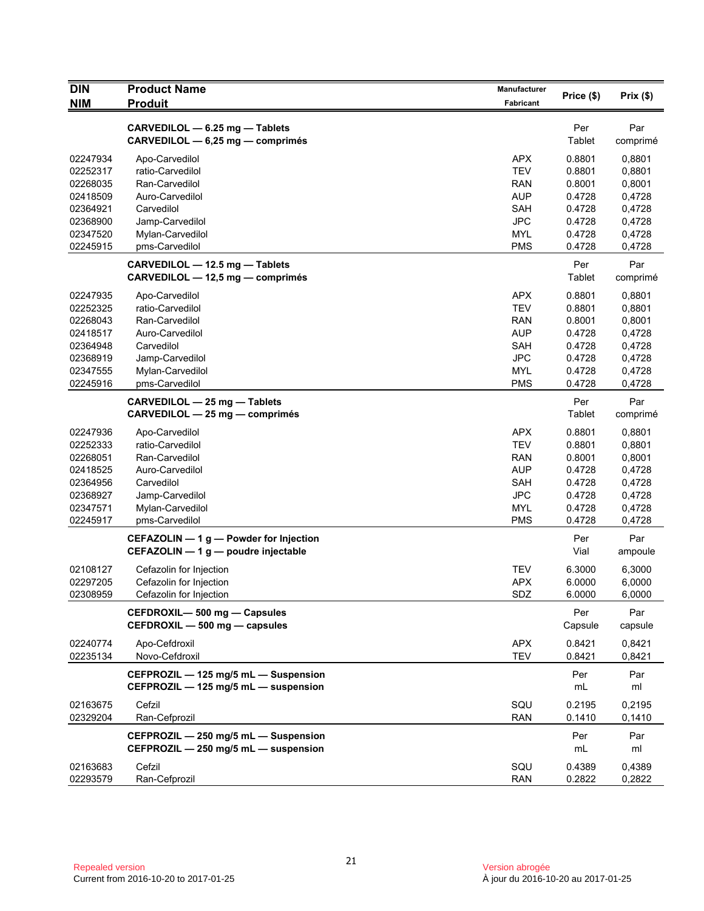| <b>DIN</b>                                                                                                                                               | <b>Product Name</b>                                                                                                                                                                                                                                                                                           | Manufacturer                                                                                                                                                         | Price (\$)                                                                                                                                      | Prix(\$)                                                                                                                                          |
|----------------------------------------------------------------------------------------------------------------------------------------------------------|---------------------------------------------------------------------------------------------------------------------------------------------------------------------------------------------------------------------------------------------------------------------------------------------------------------|----------------------------------------------------------------------------------------------------------------------------------------------------------------------|-------------------------------------------------------------------------------------------------------------------------------------------------|---------------------------------------------------------------------------------------------------------------------------------------------------|
| <b>NIM</b>                                                                                                                                               | <b>Produit</b>                                                                                                                                                                                                                                                                                                | Fabricant                                                                                                                                                            |                                                                                                                                                 |                                                                                                                                                   |
|                                                                                                                                                          | CARVEDILOL - 6.25 mg - Tablets<br>CARVEDILOL - 6,25 mg - comprimés                                                                                                                                                                                                                                            |                                                                                                                                                                      | Per<br>Tablet                                                                                                                                   | Par<br>comprimé                                                                                                                                   |
| 02247934<br>02252317<br>02268035<br>02418509<br>02364921<br>02368900<br>02347520<br>02245915<br>02247935<br>02252325<br>02268043<br>02418517<br>02364948 | Apo-Carvedilol<br>ratio-Carvedilol<br>Ran-Carvedilol<br>Auro-Carvedilol<br>Carvedilol<br>Jamp-Carvedilol<br>Mylan-Carvedilol<br>pms-Carvedilol<br>CARVEDILOL - 12.5 mg - Tablets<br>CARVEDILOL - 12,5 mg - comprimés<br>Apo-Carvedilol<br>ratio-Carvedilol<br>Ran-Carvedilol<br>Auro-Carvedilol<br>Carvedilol | APX<br><b>TEV</b><br><b>RAN</b><br><b>AUP</b><br><b>SAH</b><br><b>JPC</b><br><b>MYL</b><br><b>PMS</b><br>APX<br><b>TEV</b><br><b>RAN</b><br><b>AUP</b><br><b>SAH</b> | 0.8801<br>0.8801<br>0.8001<br>0.4728<br>0.4728<br>0.4728<br>0.4728<br>0.4728<br>Per<br>Tablet<br>0.8801<br>0.8801<br>0.8001<br>0.4728<br>0.4728 | 0,8801<br>0,8801<br>0,8001<br>0,4728<br>0,4728<br>0,4728<br>0,4728<br>0,4728<br>Par<br>comprimé<br>0,8801<br>0,8801<br>0,8001<br>0,4728<br>0,4728 |
| 02368919<br>02347555                                                                                                                                     | Jamp-Carvedilol<br>Mylan-Carvedilol                                                                                                                                                                                                                                                                           | <b>JPC</b><br><b>MYL</b>                                                                                                                                             | 0.4728<br>0.4728                                                                                                                                | 0,4728<br>0,4728                                                                                                                                  |
| 02245916                                                                                                                                                 | pms-Carvedilol                                                                                                                                                                                                                                                                                                | <b>PMS</b>                                                                                                                                                           | 0.4728                                                                                                                                          | 0,4728                                                                                                                                            |
|                                                                                                                                                          | CARVEDILOL - 25 mg - Tablets<br>CARVEDILOL - 25 mg - comprimés                                                                                                                                                                                                                                                |                                                                                                                                                                      | Per<br>Tablet                                                                                                                                   | Par<br>comprimé                                                                                                                                   |
| 02247936<br>02252333<br>02268051<br>02418525<br>02364956<br>02368927<br>02347571<br>02245917                                                             | Apo-Carvedilol<br>ratio-Carvedilol<br>Ran-Carvedilol<br>Auro-Carvedilol<br>Carvedilol<br>Jamp-Carvedilol<br>Mylan-Carvedilol<br>pms-Carvedilol                                                                                                                                                                | <b>APX</b><br><b>TEV</b><br>RAN<br><b>AUP</b><br>SAH<br><b>JPC</b><br><b>MYL</b><br><b>PMS</b>                                                                       | 0.8801<br>0.8801<br>0.8001<br>0.4728<br>0.4728<br>0.4728<br>0.4728<br>0.4728                                                                    | 0,8801<br>0,8801<br>0,8001<br>0,4728<br>0,4728<br>0,4728<br>0,4728<br>0,4728                                                                      |
|                                                                                                                                                          | CEFAZOLIN - 1 g - Powder for Injection<br>CEFAZOLIN - 1 g - poudre injectable                                                                                                                                                                                                                                 |                                                                                                                                                                      | Per<br>Vial                                                                                                                                     | Par<br>ampoule                                                                                                                                    |
| 02108127<br>02297205<br>02308959                                                                                                                         | Cefazolin for Injection<br>Cefazolin for Injection<br>Cefazolin for Injection                                                                                                                                                                                                                                 | TEV<br><b>APX</b><br>SDZ                                                                                                                                             | 6.3000<br>6.0000<br>6.0000                                                                                                                      | 6,3000<br>6,0000<br>6,0000                                                                                                                        |
|                                                                                                                                                          | CEFDROXIL-500 mg - Capsules<br>CEFDROXIL - 500 mg - capsules                                                                                                                                                                                                                                                  |                                                                                                                                                                      | Per<br>Capsule                                                                                                                                  | Par<br>capsule                                                                                                                                    |
| 02240774<br>02235134                                                                                                                                     | Apo-Cefdroxil<br>Novo-Cefdroxil                                                                                                                                                                                                                                                                               | <b>APX</b><br><b>TEV</b>                                                                                                                                             | 0.8421<br>0.8421                                                                                                                                | 0,8421<br>0,8421                                                                                                                                  |
|                                                                                                                                                          | CEFPROZIL - 125 mg/5 mL - Suspension<br>CEFPROZIL - 125 mg/5 mL - suspension                                                                                                                                                                                                                                  |                                                                                                                                                                      | Per<br>mL                                                                                                                                       | Par<br>ml                                                                                                                                         |
| 02163675<br>02329204                                                                                                                                     | Cefzil<br>Ran-Cefprozil                                                                                                                                                                                                                                                                                       | SQU<br><b>RAN</b>                                                                                                                                                    | 0.2195<br>0.1410                                                                                                                                | 0,2195<br>0,1410                                                                                                                                  |
|                                                                                                                                                          | CEFPROZIL - 250 mg/5 mL - Suspension<br>CEFPROZIL - 250 mg/5 mL - suspension                                                                                                                                                                                                                                  |                                                                                                                                                                      | Per<br>mL                                                                                                                                       | Par<br>ml                                                                                                                                         |
| 02163683<br>02293579                                                                                                                                     | Cefzil<br>Ran-Cefprozil                                                                                                                                                                                                                                                                                       | SQU<br><b>RAN</b>                                                                                                                                                    | 0.4389<br>0.2822                                                                                                                                | 0,4389<br>0,2822                                                                                                                                  |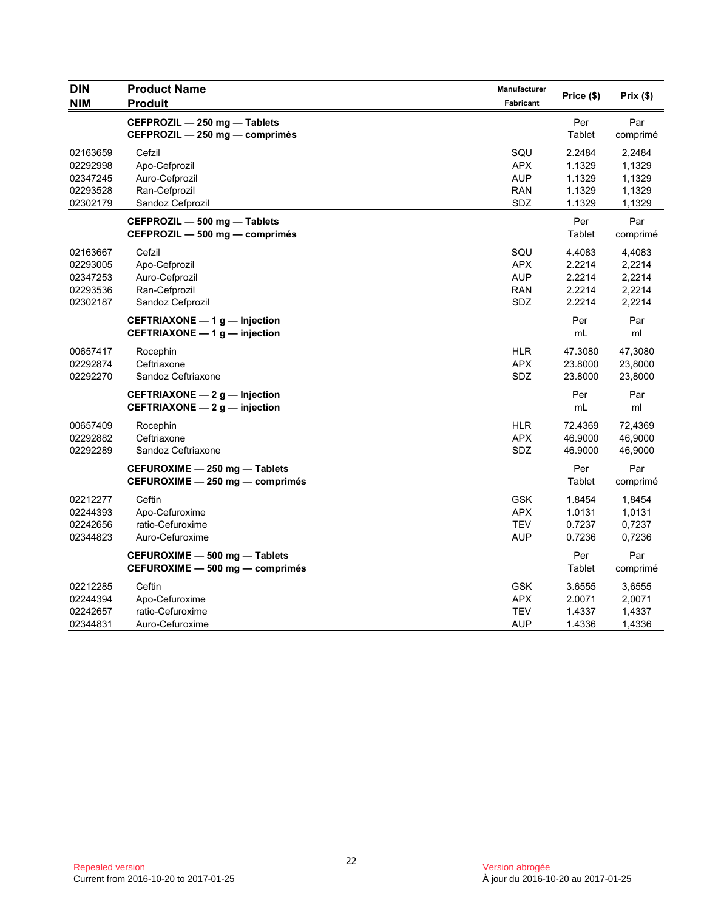| <b>DIN</b> | <b>Product Name</b>                                                   | Manufacturer     | Price (\$)    | Prix(\$)        |
|------------|-----------------------------------------------------------------------|------------------|---------------|-----------------|
| <b>NIM</b> | <b>Produit</b>                                                        | <b>Fabricant</b> |               |                 |
|            | CEFPROZIL - 250 mg - Tablets<br>CEFPROZIL - 250 mg - comprimés        |                  | Per<br>Tablet | Par<br>comprimé |
| 02163659   | Cefzil                                                                | SQU              | 2.2484        | 2,2484          |
| 02292998   | Apo-Cefprozil                                                         | <b>APX</b>       | 1.1329        | 1,1329          |
| 02347245   | Auro-Cefprozil                                                        | <b>AUP</b>       | 1.1329        | 1,1329          |
| 02293528   | Ran-Cefprozil                                                         | <b>RAN</b>       | 1.1329        | 1,1329          |
| 02302179   | Sandoz Cefprozil                                                      | SDZ              | 1.1329        | 1,1329          |
|            | CEFPROZIL - 500 mg - Tablets<br>CEFPROZIL - 500 mg - comprimés        |                  | Per<br>Tablet | Par<br>comprimé |
| 02163667   | Cefzil                                                                | SQU              | 4.4083        | 4,4083          |
| 02293005   | Apo-Cefprozil                                                         | <b>APX</b>       | 2.2214        | 2,2214          |
| 02347253   | Auro-Cefprozil                                                        | <b>AUP</b>       | 2.2214        | 2,2214          |
| 02293536   | Ran-Cefprozil                                                         | <b>RAN</b>       | 2.2214        | 2,2214          |
| 02302187   | Sandoz Cefprozil                                                      | SDZ              | 2.2214        | 2,2214          |
|            | CEFTRIAXONE - 1 g - Injection<br>CEFTRIAXONE - 1 g - injection        |                  | Per<br>mL     | Par<br>ml       |
| 00657417   | Rocephin                                                              | <b>HLR</b>       | 47.3080       | 47,3080         |
| 02292874   | Ceftriaxone                                                           | <b>APX</b>       | 23.8000       | 23,8000         |
| 02292270   | Sandoz Ceftriaxone                                                    | SDZ              | 23.8000       | 23,8000         |
|            | CEFTRIAXONE - 2 g - Injection<br><b>CEFTRIAXONE - 2 g - injection</b> |                  | Per<br>mL     | Par<br>ml       |
| 00657409   | Rocephin                                                              | <b>HLR</b>       | 72.4369       | 72,4369         |
| 02292882   | Ceftriaxone                                                           | <b>APX</b>       | 46.9000       | 46,9000         |
| 02292289   | Sandoz Ceftriaxone                                                    | SDZ              | 46.9000       | 46,9000         |
|            | CEFUROXIME - 250 mg - Tablets                                         |                  | Per           | Par             |
|            | CEFUROXIME - 250 mg - comprimés                                       |                  | Tablet        | comprimé        |
| 02212277   | Ceftin                                                                | <b>GSK</b>       | 1.8454        | 1,8454          |
| 02244393   | Apo-Cefuroxime                                                        | APX              | 1.0131        | 1,0131          |
| 02242656   | ratio-Cefuroxime                                                      | <b>TEV</b>       | 0.7237        | 0,7237          |
| 02344823   | Auro-Cefuroxime                                                       | <b>AUP</b>       | 0.7236        | 0,7236          |
|            | CEFUROXIME - 500 mg - Tablets                                         |                  | Per           | Par             |
|            | CEFUROXIME - 500 mg - comprimés                                       |                  | Tablet        | comprimé        |
| 02212285   | Ceftin                                                                | <b>GSK</b>       | 3.6555        | 3,6555          |
| 02244394   | Apo-Cefuroxime                                                        | <b>APX</b>       | 2.0071        | 2,0071          |
| 02242657   | ratio-Cefuroxime                                                      | <b>TEV</b>       | 1.4337        | 1,4337          |
| 02344831   | Auro-Cefuroxime                                                       | <b>AUP</b>       | 1.4336        | 1,4336          |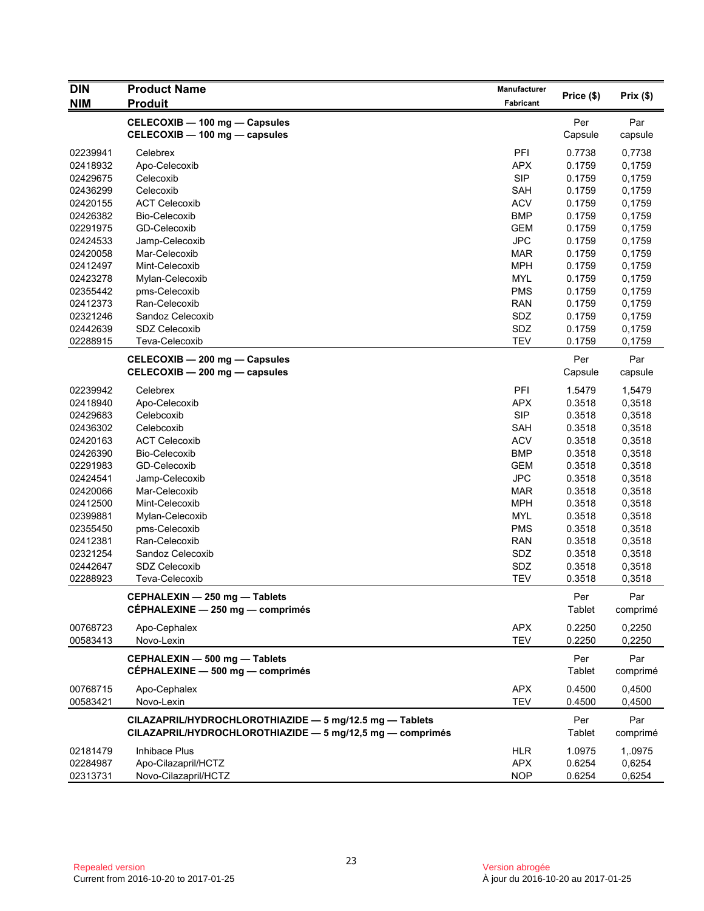| <b>DIN</b>           | <b>Product Name</b>                                       | Manufacturer      |                  |                  |
|----------------------|-----------------------------------------------------------|-------------------|------------------|------------------|
| <b>NIM</b>           | <b>Produit</b>                                            | Fabricant         | Price (\$)       | Prix(\$)         |
|                      | CELECOXIB - 100 mg - Capsules                             |                   | Per              | Par              |
|                      | CELECOXIB - 100 mg - capsules                             |                   | Capsule          | capsule          |
|                      |                                                           |                   |                  |                  |
| 02239941<br>02418932 | Celebrex                                                  | PFI<br><b>APX</b> | 0.7738<br>0.1759 | 0,7738           |
| 02429675             | Apo-Celecoxib<br>Celecoxib                                | <b>SIP</b>        | 0.1759           | 0,1759<br>0,1759 |
| 02436299             | Celecoxib                                                 | <b>SAH</b>        | 0.1759           | 0,1759           |
| 02420155             | <b>ACT Celecoxib</b>                                      | <b>ACV</b>        | 0.1759           | 0,1759           |
| 02426382             | Bio-Celecoxib                                             | <b>BMP</b>        | 0.1759           | 0,1759           |
| 02291975             | GD-Celecoxib                                              | <b>GEM</b>        | 0.1759           | 0,1759           |
| 02424533             | Jamp-Celecoxib                                            | <b>JPC</b>        | 0.1759           | 0,1759           |
| 02420058             | Mar-Celecoxib                                             | <b>MAR</b>        | 0.1759           | 0,1759           |
| 02412497             | Mint-Celecoxib                                            | <b>MPH</b>        | 0.1759           | 0,1759           |
| 02423278             | Mylan-Celecoxib                                           | <b>MYL</b>        | 0.1759           | 0,1759           |
| 02355442             | pms-Celecoxib                                             | <b>PMS</b>        | 0.1759           | 0,1759           |
| 02412373             | Ran-Celecoxib                                             | <b>RAN</b>        | 0.1759           | 0,1759           |
| 02321246             | Sandoz Celecoxib                                          | SDZ               | 0.1759           | 0,1759           |
| 02442639             | <b>SDZ Celecoxib</b>                                      | SDZ               | 0.1759           | 0,1759           |
| 02288915             | Teva-Celecoxib                                            | <b>TEV</b>        | 0.1759           | 0,1759           |
|                      |                                                           |                   |                  |                  |
|                      | CELECOXIB - 200 mg - Capsules                             |                   | Per              | Par              |
|                      | CELECOXIB - 200 mg - capsules                             |                   | Capsule          | capsule          |
| 02239942             | Celebrex                                                  | PFI               | 1.5479           | 1,5479           |
| 02418940             | Apo-Celecoxib                                             | <b>APX</b>        | 0.3518           | 0,3518           |
| 02429683             | Celebcoxib                                                | <b>SIP</b>        | 0.3518           | 0,3518           |
| 02436302             | Celebcoxib                                                | SAH               | 0.3518           | 0,3518           |
| 02420163             | <b>ACT Celecoxib</b>                                      | <b>ACV</b>        | 0.3518           | 0,3518           |
| 02426390             | Bio-Celecoxib                                             | <b>BMP</b>        | 0.3518           | 0,3518           |
| 02291983             | GD-Celecoxib                                              | <b>GEM</b>        | 0.3518           | 0,3518           |
| 02424541             | Jamp-Celecoxib                                            | <b>JPC</b>        | 0.3518           | 0,3518           |
| 02420066             | Mar-Celecoxib                                             | <b>MAR</b>        | 0.3518           | 0,3518           |
| 02412500             | Mint-Celecoxib                                            | <b>MPH</b>        | 0.3518           | 0,3518           |
| 02399881             | Mylan-Celecoxib                                           | <b>MYL</b>        | 0.3518           | 0,3518           |
| 02355450             | pms-Celecoxib                                             | <b>PMS</b>        | 0.3518           | 0,3518           |
| 02412381             | Ran-Celecoxib                                             | <b>RAN</b>        | 0.3518           | 0,3518           |
| 02321254             | Sandoz Celecoxib                                          | SDZ               | 0.3518           | 0,3518           |
| 02442647             | <b>SDZ Celecoxib</b>                                      | SDZ               | 0.3518           | 0,3518           |
| 02288923             | Teva-Celecoxib                                            | <b>TEV</b>        | 0.3518           | 0,3518           |
|                      | CEPHALEXIN - 250 mg - Tablets                             |                   | Per              | Par              |
|                      | CÉPHALEXINE - 250 mg - comprimés                          |                   | Tablet           | comprimé         |
| 00768723             | Apo-Cephalex                                              | <b>APX</b>        | 0.2250           | 0,2250           |
| 00583413             | Novo-Lexin                                                | <b>TEV</b>        | 0.2250           | 0,2250           |
|                      |                                                           |                   |                  |                  |
|                      | CEPHALEXIN - 500 mg - Tablets                             |                   | Per              | Par              |
|                      | CÉPHALEXINE - 500 mg - comprimés                          |                   | Tablet           | comprimé         |
| 00768715             | Apo-Cephalex                                              | <b>APX</b>        | 0.4500           | 0,4500           |
| 00583421             | Novo-Lexin                                                | <b>TEV</b>        | 0.4500           | 0,4500           |
|                      | CILAZAPRIL/HYDROCHLOROTHIAZIDE - 5 mg/12.5 mg - Tablets   |                   | Per              | Par              |
|                      | CILAZAPRIL/HYDROCHLOROTHIAZIDE - 5 mg/12,5 mg - comprimés |                   | Tablet           | comprimé         |
|                      |                                                           |                   |                  |                  |
| 02181479             | Inhibace Plus                                             | <b>HLR</b>        | 1.0975           | 1,.0975          |
| 02284987             | Apo-Cilazapril/HCTZ                                       | <b>APX</b>        | 0.6254           | 0,6254           |
| 02313731             | Novo-Cilazapril/HCTZ                                      | <b>NOP</b>        | 0.6254           | 0,6254           |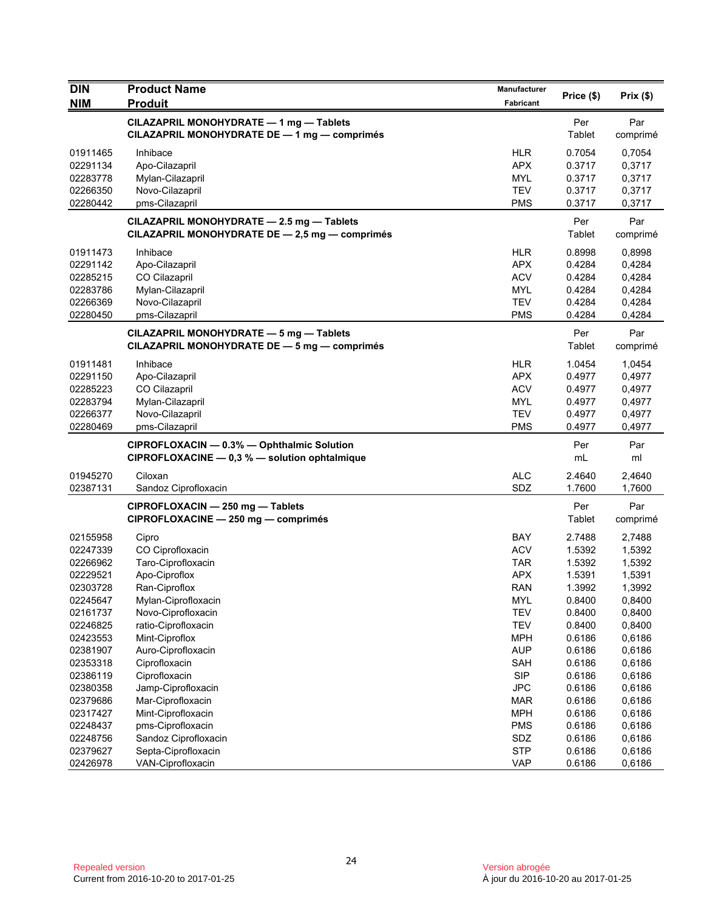| <b>DIN</b> | <b>Product Name</b>                                                                         | Manufacturer |               |                 |
|------------|---------------------------------------------------------------------------------------------|--------------|---------------|-----------------|
| <b>NIM</b> | <b>Produit</b>                                                                              | Fabricant    | Price (\$)    | Prix(\$)        |
|            | CILAZAPRIL MONOHYDRATE - 1 mg - Tablets<br>CILAZAPRIL MONOHYDRATE DE - 1 mg - comprimés     |              | Per<br>Tablet | Par<br>comprimé |
| 01911465   | Inhibace                                                                                    | <b>HLR</b>   | 0.7054        | 0,7054          |
| 02291134   | Apo-Cilazapril                                                                              | <b>APX</b>   | 0.3717        | 0,3717          |
| 02283778   | Mylan-Cilazapril                                                                            | MYL          | 0.3717        | 0,3717          |
| 02266350   | Novo-Cilazapril                                                                             | <b>TEV</b>   | 0.3717        | 0,3717          |
| 02280442   | pms-Cilazapril                                                                              | <b>PMS</b>   | 0.3717        | 0,3717          |
|            | CILAZAPRIL MONOHYDRATE - 2.5 mg - Tablets<br>CILAZAPRIL MONOHYDRATE DE - 2,5 mg - comprimés |              | Per<br>Tablet | Par<br>comprimé |
| 01911473   | Inhibace                                                                                    | <b>HLR</b>   | 0.8998        | 0,8998          |
| 02291142   | Apo-Cilazapril                                                                              | <b>APX</b>   | 0.4284        | 0,4284          |
| 02285215   | CO Cilazapril                                                                               | <b>ACV</b>   | 0.4284        | 0,4284          |
| 02283786   | Mylan-Cilazapril                                                                            | <b>MYL</b>   | 0.4284        | 0,4284          |
| 02266369   | Novo-Cilazapril                                                                             | <b>TEV</b>   | 0.4284        | 0,4284          |
| 02280450   | pms-Cilazapril                                                                              | <b>PMS</b>   | 0.4284        | 0,4284          |
|            | CILAZAPRIL MONOHYDRATE - 5 mg - Tablets<br>CILAZAPRIL MONOHYDRATE DE - 5 mg - comprimés     |              | Per<br>Tablet | Par<br>comprimé |
| 01911481   | Inhibace                                                                                    | <b>HLR</b>   | 1.0454        | 1,0454          |
| 02291150   | Apo-Cilazapril                                                                              | <b>APX</b>   | 0.4977        | 0,4977          |
| 02285223   | CO Cilazapril                                                                               | <b>ACV</b>   | 0.4977        | 0,4977          |
| 02283794   | Mylan-Cilazapril                                                                            | <b>MYL</b>   | 0.4977        | 0,4977          |
| 02266377   | Novo-Cilazapril                                                                             | <b>TEV</b>   | 0.4977        | 0,4977          |
| 02280469   | pms-Cilazapril                                                                              | <b>PMS</b>   | 0.4977        | 0,4977          |
|            | CIPROFLOXACIN - 0.3% - Ophthalmic Solution<br>CIPROFLOXACINE - 0,3 % - solution ophtalmique |              | Per<br>mL     | Par<br>ml       |
| 01945270   | Ciloxan                                                                                     | <b>ALC</b>   | 2.4640        | 2,4640          |
| 02387131   | Sandoz Ciprofloxacin                                                                        | SDZ          | 1.7600        | 1,7600          |
|            | CIPROFLOXACIN - 250 mg - Tablets<br>CIPROFLOXACINE - 250 mg - comprimés                     |              | Per<br>Tablet | Par<br>comprimé |
| 02155958   | Cipro                                                                                       | BAY          | 2.7488        | 2,7488          |
| 02247339   | CO Ciprofloxacin                                                                            | <b>ACV</b>   | 1.5392        | 1,5392          |
| 02266962   | Taro-Ciprofloxacin                                                                          | <b>TAR</b>   | 1.5392        | 1,5392          |
| 02229521   | Apo-Ciproflox                                                                               | <b>APX</b>   | 1.5391        | 1,5391          |
| 02303728   | Ran-Ciproflox                                                                               | <b>RAN</b>   | 1.3992        | 1,3992          |
| 02245647   | Mylan-Ciprofloxacin                                                                         | <b>MYL</b>   | 0.8400        | 0,8400          |
| 02161737   | Novo-Ciprofloxacin                                                                          | <b>TEV</b>   | 0.8400        | 0,8400          |
| 02246825   | ratio-Ciprofloxacin                                                                         | <b>TEV</b>   | 0.8400        | 0,8400          |
| 02423553   | Mint-Ciproflox                                                                              | <b>MPH</b>   | 0.6186        | 0,6186          |
| 02381907   | Auro-Ciprofloxacin                                                                          | <b>AUP</b>   | 0.6186        | 0,6186          |
| 02353318   | Ciprofloxacin                                                                               | SAH          | 0.6186        | 0,6186          |
| 02386119   | Ciprofloxacin                                                                               | <b>SIP</b>   | 0.6186        | 0,6186          |
| 02380358   | Jamp-Ciprofloxacin                                                                          | <b>JPC</b>   | 0.6186        | 0,6186          |
| 02379686   | Mar-Ciprofloxacin                                                                           | <b>MAR</b>   | 0.6186        | 0,6186          |
| 02317427   | Mint-Ciprofloxacin                                                                          | <b>MPH</b>   | 0.6186        | 0,6186          |
| 02248437   | pms-Ciprofloxacin                                                                           | <b>PMS</b>   | 0.6186        | 0,6186          |
| 02248756   | Sandoz Ciprofloxacin                                                                        | SDZ          | 0.6186        | 0,6186          |
| 02379627   | Septa-Ciprofloxacin                                                                         | <b>STP</b>   | 0.6186        | 0,6186          |
| 02426978   | VAN-Ciprofloxacin                                                                           | <b>VAP</b>   | 0.6186        | 0,6186          |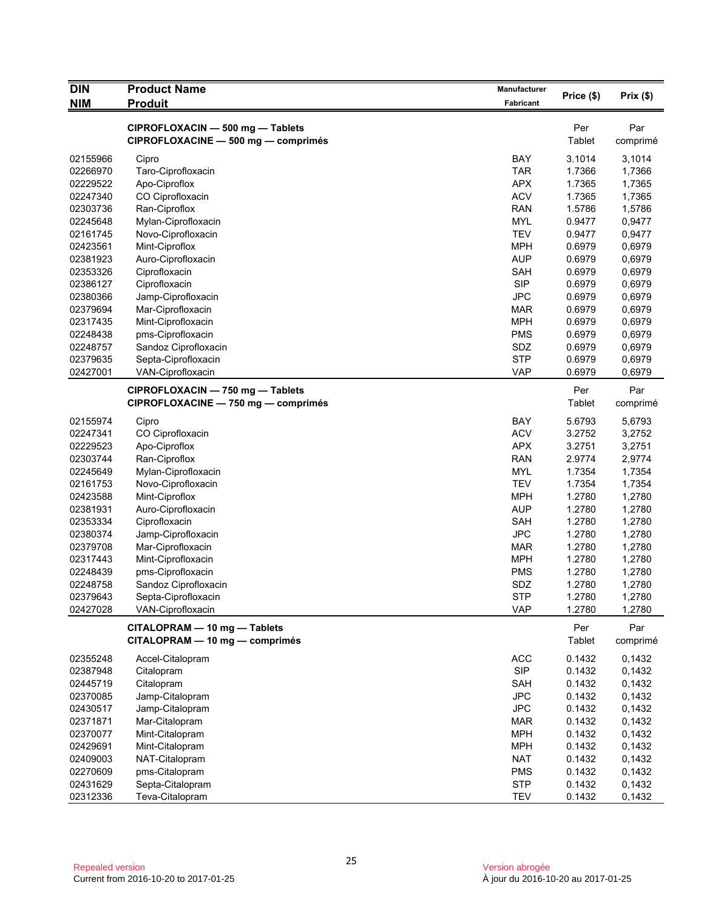| <b>DIN</b> | <b>Product Name</b>                 | Manufacturer | Price (\$) | Prix(\$) |
|------------|-------------------------------------|--------------|------------|----------|
| <b>NIM</b> | <b>Produit</b>                      | Fabricant    |            |          |
|            | CIPROFLOXACIN - 500 mg - Tablets    |              | Per        | Par      |
|            | CIPROFLOXACINE - 500 mg - comprimés |              | Tablet     | comprimé |
| 02155966   | Cipro                               | <b>BAY</b>   | 3.1014     | 3,1014   |
| 02266970   | Taro-Ciprofloxacin                  | <b>TAR</b>   | 1.7366     | 1,7366   |
| 02229522   | Apo-Ciproflox                       | APX          | 1.7365     | 1,7365   |
| 02247340   | CO Ciprofloxacin                    | <b>ACV</b>   | 1.7365     | 1,7365   |
| 02303736   | Ran-Ciproflox                       | <b>RAN</b>   | 1.5786     | 1,5786   |
| 02245648   | Mylan-Ciprofloxacin                 | <b>MYL</b>   | 0.9477     | 0,9477   |
| 02161745   | Novo-Ciprofloxacin                  | <b>TEV</b>   | 0.9477     | 0,9477   |
| 02423561   | Mint-Ciproflox                      | <b>MPH</b>   | 0.6979     | 0,6979   |
| 02381923   | Auro-Ciprofloxacin                  | <b>AUP</b>   | 0.6979     | 0,6979   |
| 02353326   | Ciprofloxacin                       | <b>SAH</b>   | 0.6979     | 0,6979   |
| 02386127   | Ciprofloxacin                       | <b>SIP</b>   | 0.6979     | 0,6979   |
| 02380366   | Jamp-Ciprofloxacin                  | <b>JPC</b>   | 0.6979     | 0,6979   |
| 02379694   | Mar-Ciprofloxacin                   | <b>MAR</b>   | 0.6979     | 0,6979   |
| 02317435   | Mint-Ciprofloxacin                  | <b>MPH</b>   | 0.6979     | 0,6979   |
| 02248438   | pms-Ciprofloxacin                   | <b>PMS</b>   | 0.6979     | 0,6979   |
| 02248757   | Sandoz Ciprofloxacin                | SDZ          | 0.6979     | 0,6979   |
| 02379635   | Septa-Ciprofloxacin                 | <b>STP</b>   | 0.6979     | 0,6979   |
| 02427001   | VAN-Ciprofloxacin                   | <b>VAP</b>   | 0.6979     | 0,6979   |
|            | CIPROFLOXACIN - 750 mg - Tablets    |              | Per        | Par      |
|            | CIPROFLOXACINE - 750 mg - comprimés |              | Tablet     | comprimé |
| 02155974   | Cipro                               | <b>BAY</b>   | 5.6793     | 5,6793   |
| 02247341   | CO Ciprofloxacin                    | <b>ACV</b>   | 3.2752     | 3,2752   |
| 02229523   | Apo-Ciproflox                       | APX          | 3.2751     | 3,2751   |
| 02303744   | Ran-Ciproflox                       | <b>RAN</b>   | 2.9774     | 2,9774   |
| 02245649   | Mylan-Ciprofloxacin                 | <b>MYL</b>   | 1.7354     | 1,7354   |
| 02161753   | Novo-Ciprofloxacin                  | <b>TEV</b>   | 1.7354     | 1,7354   |
| 02423588   | Mint-Ciproflox                      | <b>MPH</b>   | 1.2780     | 1,2780   |
| 02381931   | Auro-Ciprofloxacin                  | <b>AUP</b>   | 1.2780     | 1,2780   |
| 02353334   | Ciprofloxacin                       | <b>SAH</b>   | 1.2780     | 1,2780   |
| 02380374   | Jamp-Ciprofloxacin                  | <b>JPC</b>   | 1.2780     | 1,2780   |
| 02379708   | Mar-Ciprofloxacin                   | MAR          | 1.2780     | 1,2780   |
| 02317443   | Mint-Ciprofloxacin                  | <b>MPH</b>   | 1.2780     | 1,2780   |
| 02248439   | pms-Ciprofloxacin                   | <b>PMS</b>   | 1.2780     | 1,2780   |
| 02248758   | Sandoz Ciprofloxacin                | SDZ          | 1.2780     | 1,2780   |
| 02379643   | Septa-Ciprofloxacin                 | <b>STP</b>   | 1.2780     | 1,2780   |
| 02427028   | VAN-Ciprofloxacin                   | <b>VAP</b>   | 1.2780     | 1,2780   |
|            | CITALOPRAM - 10 mg - Tablets        |              | Per        | Par      |
|            | CITALOPRAM - 10 mg - comprimés      |              | Tablet     | comprimé |
| 02355248   | Accel-Citalopram                    | <b>ACC</b>   | 0.1432     | 0,1432   |
| 02387948   | Citalopram                          | <b>SIP</b>   | 0.1432     | 0,1432   |
| 02445719   | Citalopram                          | SAH          | 0.1432     | 0,1432   |
| 02370085   | Jamp-Citalopram                     | <b>JPC</b>   | 0.1432     | 0,1432   |
| 02430517   | Jamp-Citalopram                     | <b>JPC</b>   | 0.1432     | 0,1432   |
| 02371871   | Mar-Citalopram                      | <b>MAR</b>   | 0.1432     | 0,1432   |
| 02370077   | Mint-Citalopram                     | <b>MPH</b>   | 0.1432     | 0,1432   |
| 02429691   | Mint-Citalopram                     | <b>MPH</b>   | 0.1432     | 0,1432   |
| 02409003   | NAT-Citalopram                      | <b>NAT</b>   | 0.1432     | 0,1432   |
| 02270609   | pms-Citalopram                      | <b>PMS</b>   | 0.1432     | 0,1432   |
| 02431629   | Septa-Citalopram                    | <b>STP</b>   | 0.1432     | 0,1432   |
| 02312336   | Teva-Citalopram                     | <b>TEV</b>   | 0.1432     | 0,1432   |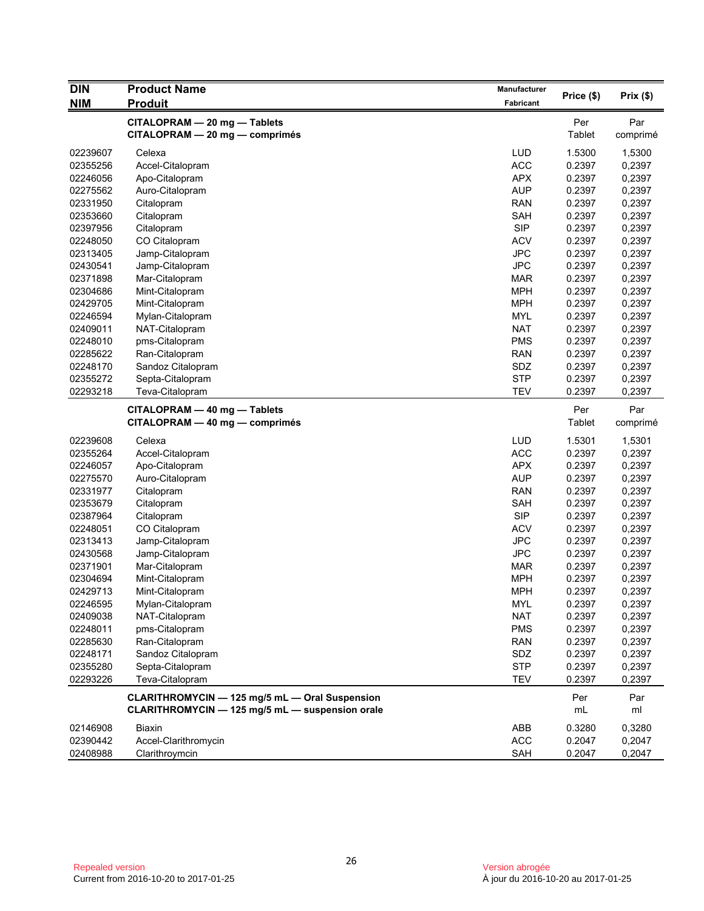| <b>DIN</b> | <b>Product Name</b>                                                                               | <b>Manufacturer</b> |            |           |
|------------|---------------------------------------------------------------------------------------------------|---------------------|------------|-----------|
| <b>NIM</b> | Produit                                                                                           | Fabricant           | Price (\$) | Prix(\$)  |
|            | CITALOPRAM - 20 mg - Tablets                                                                      |                     | Per        | Par       |
|            | CITALOPRAM - 20 mg - comprimés                                                                    |                     | Tablet     | comprimé  |
| 02239607   | Celexa                                                                                            | <b>LUD</b>          | 1.5300     | 1,5300    |
| 02355256   | Accel-Citalopram                                                                                  | <b>ACC</b>          | 0.2397     | 0,2397    |
| 02246056   | Apo-Citalopram                                                                                    | APX                 | 0.2397     | 0,2397    |
| 02275562   | Auro-Citalopram                                                                                   | <b>AUP</b>          | 0.2397     | 0,2397    |
| 02331950   | Citalopram                                                                                        | <b>RAN</b>          | 0.2397     | 0,2397    |
| 02353660   | Citalopram                                                                                        | SAH                 | 0.2397     | 0,2397    |
| 02397956   | Citalopram                                                                                        | <b>SIP</b>          | 0.2397     | 0,2397    |
| 02248050   | CO Citalopram                                                                                     | <b>ACV</b>          | 0.2397     | 0,2397    |
| 02313405   | Jamp-Citalopram                                                                                   | <b>JPC</b>          | 0.2397     | 0,2397    |
| 02430541   | Jamp-Citalopram                                                                                   | <b>JPC</b>          | 0.2397     | 0,2397    |
| 02371898   | Mar-Citalopram                                                                                    | <b>MAR</b>          | 0.2397     | 0,2397    |
| 02304686   | Mint-Citalopram                                                                                   | <b>MPH</b>          | 0.2397     | 0,2397    |
| 02429705   | Mint-Citalopram                                                                                   | <b>MPH</b>          | 0.2397     | 0,2397    |
| 02246594   | Mylan-Citalopram                                                                                  | <b>MYL</b>          | 0.2397     | 0,2397    |
| 02409011   | NAT-Citalopram                                                                                    | <b>NAT</b>          | 0.2397     | 0,2397    |
| 02248010   | pms-Citalopram                                                                                    | <b>PMS</b>          | 0.2397     | 0,2397    |
| 02285622   | Ran-Citalopram                                                                                    | <b>RAN</b>          | 0.2397     | 0,2397    |
| 02248170   | Sandoz Citalopram                                                                                 | SDZ                 | 0.2397     | 0,2397    |
| 02355272   | Septa-Citalopram                                                                                  | <b>STP</b>          | 0.2397     | 0,2397    |
| 02293218   | Teva-Citalopram                                                                                   | <b>TEV</b>          | 0.2397     | 0,2397    |
|            | CITALOPRAM - 40 mg - Tablets                                                                      |                     | Per        | Par       |
|            | CITALOPRAM - 40 mg - comprimés                                                                    |                     | Tablet     | comprimé  |
| 02239608   | Celexa                                                                                            | <b>LUD</b>          | 1.5301     | 1,5301    |
| 02355264   | Accel-Citalopram                                                                                  | <b>ACC</b>          | 0.2397     | 0,2397    |
| 02246057   | Apo-Citalopram                                                                                    | <b>APX</b>          | 0.2397     | 0,2397    |
| 02275570   | Auro-Citalopram                                                                                   | <b>AUP</b>          | 0.2397     | 0,2397    |
| 02331977   | Citalopram                                                                                        | <b>RAN</b>          | 0.2397     | 0,2397    |
| 02353679   | Citalopram                                                                                        | SAH                 | 0.2397     | 0,2397    |
| 02387964   | Citalopram                                                                                        | <b>SIP</b>          | 0.2397     | 0,2397    |
| 02248051   | CO Citalopram                                                                                     | <b>ACV</b>          | 0.2397     | 0,2397    |
| 02313413   | Jamp-Citalopram                                                                                   | <b>JPC</b>          | 0.2397     | 0,2397    |
| 02430568   | Jamp-Citalopram                                                                                   | <b>JPC</b>          | 0.2397     | 0,2397    |
| 02371901   | Mar-Citalopram                                                                                    | <b>MAR</b>          | 0.2397     | 0,2397    |
| 02304694   | Mint-Citalopram                                                                                   | <b>MPH</b>          | 0.2397     | 0,2397    |
| 02429713   | Mint-Citalopram                                                                                   | <b>MPH</b>          | 0.2397     | 0,2397    |
| 02246595   | Mylan-Citalopram                                                                                  | MYL                 | 0.2397     | 0,2397    |
| 02409038   | NAT-Citalopram                                                                                    | <b>NAT</b>          | 0.2397     | 0,2397    |
| 02248011   | pms-Citalopram                                                                                    | <b>PMS</b>          | 0.2397     | 0,2397    |
| 02285630   | Ran-Citalopram                                                                                    | <b>RAN</b>          | 0.2397     | 0,2397    |
| 02248171   | Sandoz Citalopram                                                                                 | SDZ                 | 0.2397     | 0,2397    |
| 02355280   | Septa-Citalopram                                                                                  | <b>STP</b>          | 0.2397     | 0,2397    |
| 02293226   | Teva-Citalopram                                                                                   | <b>TEV</b>          | 0.2397     | 0,2397    |
|            |                                                                                                   |                     |            |           |
|            | CLARITHROMYCIN - 125 mg/5 mL - Oral Suspension<br>CLARITHROMYCIN - 125 mg/5 mL - suspension orale |                     | Per<br>mL  | Par<br>ml |
|            |                                                                                                   |                     |            |           |
| 02146908   | <b>Biaxin</b>                                                                                     | ABB                 | 0.3280     | 0,3280    |
| 02390442   | Accel-Clarithromycin                                                                              | ACC                 | 0.2047     | 0,2047    |
| 02408988   | Clarithroymcin                                                                                    | SAH                 | 0.2047     | 0,2047    |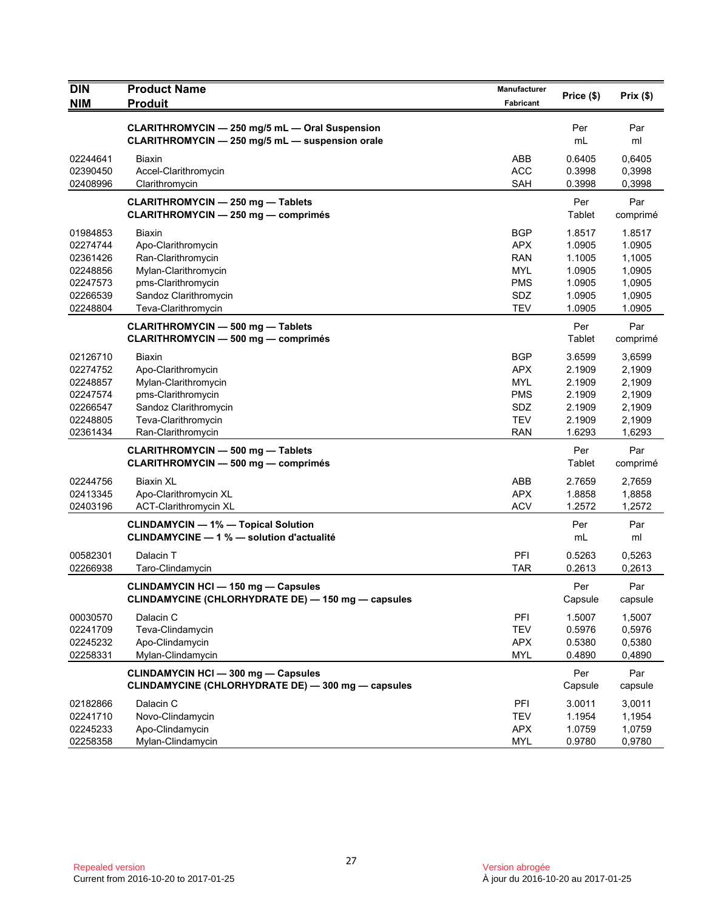| <b>DIN</b><br><b>NIM</b>                                                         | <b>Product Name</b><br><b>Produit</b>                                                                                                            | Manufacturer<br>Fabricant                                                               | Price (\$)                                                         | Prix(\$)                                                           |
|----------------------------------------------------------------------------------|--------------------------------------------------------------------------------------------------------------------------------------------------|-----------------------------------------------------------------------------------------|--------------------------------------------------------------------|--------------------------------------------------------------------|
|                                                                                  | CLARITHROMYCIN - 250 mg/5 mL - Oral Suspension<br>CLARITHROMYCIN - 250 mg/5 mL - suspension orale                                                |                                                                                         | Per<br>mL                                                          | Par<br>ml                                                          |
| 02244641<br>02390450<br>02408996                                                 | Biaxin<br>Accel-Clarithromycin<br>Clarithromycin                                                                                                 | ABB<br><b>ACC</b><br><b>SAH</b>                                                         | 0.6405<br>0.3998<br>0.3998                                         | 0,6405<br>0,3998<br>0,3998                                         |
|                                                                                  | <b>CLARITHROMYCIN - 250 mg - Tablets</b><br><b>CLARITHROMYCIN - 250 mg - comprimés</b>                                                           |                                                                                         | Per<br>Tablet                                                      | Par<br>comprimé                                                    |
| 01984853<br>02274744<br>02361426<br>02248856<br>02247573<br>02266539<br>02248804 | Biaxin<br>Apo-Clarithromycin<br>Ran-Clarithromycin<br>Mylan-Clarithromycin<br>pms-Clarithromycin<br>Sandoz Clarithromycin<br>Teva-Clarithromycin | <b>BGP</b><br><b>APX</b><br><b>RAN</b><br><b>MYL</b><br><b>PMS</b><br>SDZ<br><b>TEV</b> | 1.8517<br>1.0905<br>1.1005<br>1.0905<br>1.0905<br>1.0905<br>1.0905 | 1.8517<br>1.0905<br>1,1005<br>1,0905<br>1,0905<br>1,0905<br>1.0905 |
|                                                                                  | <b>CLARITHROMYCIN - 500 mg - Tablets</b><br><b>CLARITHROMYCIN - 500 mg - comprimés</b>                                                           |                                                                                         | Per<br>Tablet                                                      | Par<br>comprimé                                                    |
| 02126710<br>02274752<br>02248857<br>02247574<br>02266547<br>02248805<br>02361434 | Biaxin<br>Apo-Clarithromycin<br>Mylan-Clarithromycin<br>pms-Clarithromycin<br>Sandoz Clarithromycin<br>Teva-Clarithromycin<br>Ran-Clarithromycin | <b>BGP</b><br><b>APX</b><br><b>MYL</b><br><b>PMS</b><br>SDZ<br><b>TEV</b><br><b>RAN</b> | 3.6599<br>2.1909<br>2.1909<br>2.1909<br>2.1909<br>2.1909<br>1.6293 | 3,6599<br>2,1909<br>2,1909<br>2,1909<br>2,1909<br>2,1909<br>1,6293 |
|                                                                                  | <b>CLARITHROMYCIN - 500 mg - Tablets</b><br><b>CLARITHROMYCIN - 500 mg - comprimés</b>                                                           |                                                                                         | Per<br>Tablet                                                      | Par<br>comprimé                                                    |
| 02244756<br>02413345<br>02403196                                                 | <b>Biaxin XL</b><br>Apo-Clarithromycin XL<br>ACT-Clarithromycin XL                                                                               | ABB<br><b>APX</b><br><b>ACV</b>                                                         | 2.7659<br>1.8858<br>1.2572                                         | 2,7659<br>1,8858<br>1,2572                                         |
|                                                                                  | <b>CLINDAMYCIN - 1% - Topical Solution</b><br><b>CLINDAMYCINE - 1 % - solution d'actualité</b>                                                   |                                                                                         | Per<br>mL                                                          | Par<br>ml                                                          |
| 00582301<br>02266938                                                             | Dalacin T<br>Taro-Clindamycin                                                                                                                    | PFI<br><b>TAR</b>                                                                       | 0.5263<br>0.2613                                                   | 0,5263<br>0,2613                                                   |
|                                                                                  | <b>CLINDAMYCIN HCI - 150 mg - Capsules</b><br>CLINDAMYCINE (CHLORHYDRATE DE) — 150 mg — capsules                                                 |                                                                                         | Per<br>Capsule                                                     | Par<br>capsule                                                     |
| 00030570<br>02241709<br>02245232<br>02258331                                     | Dalacin C<br>Teva-Clindamycin<br>Apo-Clindamycin<br>Mylan-Clindamycin                                                                            | PFI<br><b>TEV</b><br><b>APX</b><br><b>MYL</b>                                           | 1.5007<br>0.5976<br>0.5380<br>0.4890                               | 1,5007<br>0,5976<br>0,5380<br>0,4890                               |
|                                                                                  | <b>CLINDAMYCIN HCI - 300 mg - Capsules</b><br>CLINDAMYCINE (CHLORHYDRATE DE) - 300 mg - capsules                                                 |                                                                                         | Per<br>Capsule                                                     | Par<br>capsule                                                     |
| 02182866<br>02241710<br>02245233<br>02258358                                     | Dalacin C<br>Novo-Clindamycin<br>Apo-Clindamycin<br>Mylan-Clindamycin                                                                            | PFI<br><b>TEV</b><br><b>APX</b><br><b>MYL</b>                                           | 3.0011<br>1.1954<br>1.0759<br>0.9780                               | 3,0011<br>1,1954<br>1,0759<br>0,9780                               |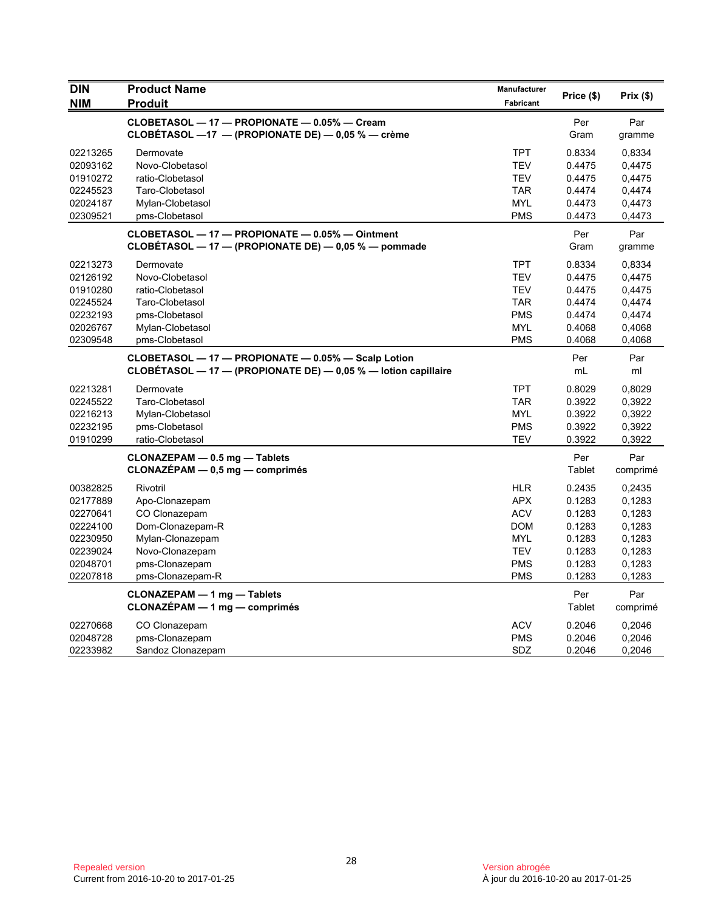| <b>DIN</b><br><b>NIM</b> | <b>Product Name</b><br><b>Produit</b>                          | Manufacturer<br>Fabricant | Price (\$)       | Prix(\$)         |
|--------------------------|----------------------------------------------------------------|---------------------------|------------------|------------------|
|                          | CLOBETASOL - 17 - PROPIONATE - 0.05% - Cream                   |                           | Per              | Par              |
|                          | CLOBÉTASOL -17 - (PROPIONATE DE) - 0,05 % - crème              |                           | Gram             | gramme           |
| 02213265                 | Dermovate                                                      | <b>TPT</b>                | 0.8334           | 0.8334           |
| 02093162                 | Novo-Clobetasol                                                | <b>TEV</b>                | 0.4475           | 0,4475           |
| 01910272                 | ratio-Clobetasol                                               | <b>TEV</b>                | 0.4475           | 0,4475           |
| 02245523                 | Taro-Clobetasol                                                | <b>TAR</b>                | 0.4474           | 0,4474           |
| 02024187<br>02309521     | Mylan-Clobetasol<br>pms-Clobetasol                             | <b>MYL</b><br><b>PMS</b>  | 0.4473<br>0.4473 | 0,4473<br>0,4473 |
|                          | CLOBETASOL - 17 - PROPIONATE - 0.05% - Ointment                |                           | Per              | Par              |
|                          | CLOBÉTASOL - 17 - (PROPIONATE DE) - 0,05 % - pommade           |                           | Gram             | gramme           |
| 02213273                 | Dermovate                                                      | <b>TPT</b>                | 0.8334           | 0,8334           |
| 02126192                 | Novo-Clobetasol                                                | <b>TEV</b>                | 0.4475           | 0,4475           |
| 01910280                 | ratio-Clobetasol                                               | <b>TEV</b>                | 0.4475           | 0,4475           |
| 02245524                 | Taro-Clobetasol                                                | <b>TAR</b>                | 0.4474           | 0,4474           |
| 02232193                 | pms-Clobetasol                                                 | <b>PMS</b>                | 0.4474           | 0,4474           |
| 02026767                 | Mylan-Clobetasol                                               | <b>MYL</b>                | 0.4068           | 0,4068           |
| 02309548                 | pms-Clobetasol                                                 | <b>PMS</b>                | 0.4068           | 0,4068           |
|                          | CLOBETASOL - 17 - PROPIONATE - 0.05% - Scalp Lotion            |                           | Per              | Par              |
|                          | CLOBÉTASOL - 17 - (PROPIONATE DE) - 0,05 % - lotion capillaire |                           | mL               | ml               |
| 02213281                 | Dermovate                                                      | <b>TPT</b>                | 0.8029           | 0,8029           |
| 02245522                 | Taro-Clobetasol                                                | <b>TAR</b>                | 0.3922           | 0,3922           |
| 02216213                 | Mylan-Clobetasol                                               | <b>MYL</b>                | 0.3922           | 0,3922           |
| 02232195                 | pms-Clobetasol                                                 | <b>PMS</b>                | 0.3922           | 0,3922           |
| 01910299                 | ratio-Clobetasol                                               | <b>TEV</b>                | 0.3922           | 0,3922           |
|                          | CLONAZEPAM - 0.5 mg - Tablets                                  |                           | Per              | Par              |
|                          | $CLONAZÉPAM - 0,5 mg - comprimés$                              |                           | Tablet           | comprimé         |
| 00382825                 | Rivotril                                                       | <b>HLR</b>                | 0.2435           | 0,2435           |
| 02177889                 | Apo-Clonazepam                                                 | <b>APX</b>                | 0.1283           | 0.1283           |
| 02270641                 | CO Clonazepam                                                  | <b>ACV</b>                | 0.1283           | 0.1283           |
| 02224100                 | Dom-Clonazepam-R                                               | <b>DOM</b>                | 0.1283           | 0.1283           |
| 02230950                 | Mylan-Clonazepam                                               | <b>MYL</b>                | 0.1283           | 0,1283           |
| 02239024                 | Novo-Clonazepam                                                | <b>TEV</b>                | 0.1283           | 0,1283           |
| 02048701                 | pms-Clonazepam                                                 | <b>PMS</b>                | 0.1283           | 0,1283           |
| 02207818                 | pms-Clonazepam-R                                               | <b>PMS</b>                | 0.1283           | 0,1283           |
|                          | CLONAZEPAM - 1 mg - Tablets                                    |                           | Per              | Par              |
|                          | CLONAZÉPAM - 1 mg - comprimés                                  |                           | Tablet           | comprimé         |
| 02270668                 | CO Clonazepam                                                  | <b>ACV</b>                | 0.2046           | 0,2046           |
| 02048728                 | pms-Clonazepam                                                 | <b>PMS</b>                | 0.2046           | 0,2046           |
| 02233982                 | Sandoz Clonazepam                                              | SDZ                       | 0.2046           | 0,2046           |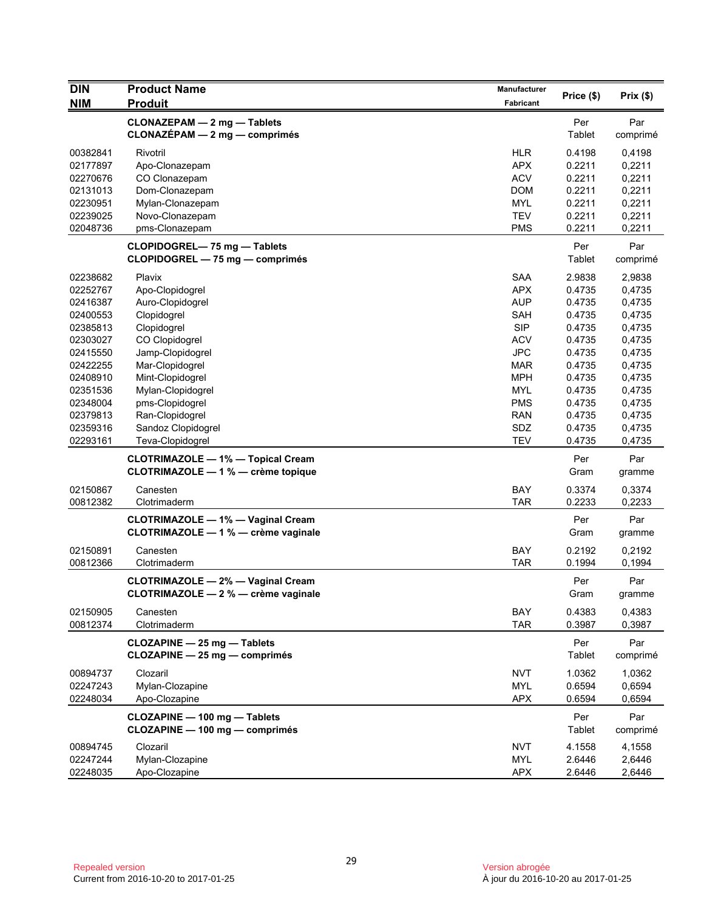| <b>DIN</b> | <b>Product Name</b>                                                             | Manufacturer | Price (\$)    | Prix(\$)        |
|------------|---------------------------------------------------------------------------------|--------------|---------------|-----------------|
| <b>NIM</b> | <b>Produit</b>                                                                  | Fabricant    |               |                 |
|            | CLONAZEPAM - 2 mg - Tablets<br>$CLONAZÉPAM - 2 mg - comprimés$                  |              | Per<br>Tablet | Par<br>comprimé |
| 00382841   | Rivotril                                                                        | <b>HLR</b>   | 0.4198        | 0,4198          |
| 02177897   | Apo-Clonazepam                                                                  | <b>APX</b>   | 0.2211        | 0,2211          |
| 02270676   | CO Clonazepam                                                                   | <b>ACV</b>   | 0.2211        | 0,2211          |
| 02131013   | Dom-Clonazepam                                                                  | <b>DOM</b>   | 0.2211        | 0,2211          |
| 02230951   | Mylan-Clonazepam                                                                | <b>MYL</b>   | 0.2211        | 0,2211          |
| 02239025   | Novo-Clonazepam                                                                 | <b>TEV</b>   | 0.2211        | 0,2211          |
| 02048736   | pms-Clonazepam                                                                  | <b>PMS</b>   | 0.2211        | 0,2211          |
|            | CLOPIDOGREL-75 mg - Tablets<br>CLOPIDOGREL - 75 mg - comprimés                  |              | Per<br>Tablet | Par<br>comprimé |
| 02238682   | Plavix                                                                          | <b>SAA</b>   | 2.9838        | 2,9838          |
| 02252767   | Apo-Clopidogrel                                                                 | <b>APX</b>   | 0.4735        | 0,4735          |
| 02416387   | Auro-Clopidogrel                                                                | <b>AUP</b>   | 0.4735        | 0,4735          |
| 02400553   | Clopidogrel                                                                     | <b>SAH</b>   | 0.4735        | 0,4735          |
| 02385813   | Clopidogrel                                                                     | <b>SIP</b>   | 0.4735        | 0,4735          |
| 02303027   | CO Clopidogrel                                                                  | <b>ACV</b>   | 0.4735        | 0,4735          |
| 02415550   | Jamp-Clopidogrel                                                                | <b>JPC</b>   | 0.4735        | 0,4735          |
| 02422255   | Mar-Clopidogrel                                                                 | <b>MAR</b>   | 0.4735        | 0,4735          |
| 02408910   | Mint-Clopidogrel                                                                | <b>MPH</b>   | 0.4735        | 0,4735          |
| 02351536   | Mylan-Clopidogrel                                                               | <b>MYL</b>   | 0.4735        | 0,4735          |
| 02348004   | pms-Clopidogrel                                                                 | <b>PMS</b>   | 0.4735        | 0,4735          |
| 02379813   | Ran-Clopidogrel                                                                 | <b>RAN</b>   | 0.4735        | 0,4735          |
| 02359316   | Sandoz Clopidogrel                                                              | SDZ          | 0.4735        | 0,4735          |
| 02293161   | Teva-Clopidogrel                                                                | <b>TEV</b>   | 0.4735        | 0,4735          |
|            | <b>CLOTRIMAZOLE - 1% - Topical Cream</b><br>CLOTRIMAZOLE - 1 % - crème topique  |              | Per<br>Gram   | Par<br>gramme   |
| 02150867   | Canesten                                                                        | <b>BAY</b>   | 0.3374        | 0,3374          |
| 00812382   | Clotrimaderm                                                                    | <b>TAR</b>   | 0.2233        | 0,2233          |
|            | <b>CLOTRIMAZOLE - 1% - Vaginal Cream</b><br>CLOTRIMAZOLE - 1 % - crème vaginale |              | Per<br>Gram   | Par<br>gramme   |
| 02150891   | Canesten                                                                        | <b>BAY</b>   | 0.2192        | 0,2192          |
| 00812366   | Clotrimaderm                                                                    | <b>TAR</b>   | 0.1994        | 0,1994          |
|            | <b>CLOTRIMAZOLE - 2% - Vaginal Cream</b><br>CLOTRIMAZOLE - 2 % - crème vaginale |              | Per<br>Gram   | Par<br>gramme   |
| 02150905   | Canesten                                                                        | BAY          | 0.4383        | 0,4383          |
| 00812374   | Clotrimaderm                                                                    | <b>TAR</b>   | 0.3987        | 0,3987          |
|            | CLOZAPINE - 25 mg - Tablets<br>CLOZAPINE - 25 mg - comprimés                    |              | Per<br>Tablet | Par<br>comprimé |
| 00894737   | Clozaril                                                                        | <b>NVT</b>   | 1.0362        | 1,0362          |
| 02247243   | Mylan-Clozapine                                                                 | <b>MYL</b>   | 0.6594        | 0,6594          |
| 02248034   | Apo-Clozapine                                                                   | <b>APX</b>   | 0.6594        | 0,6594          |
|            | CLOZAPINE - 100 mg - Tablets<br>CLOZAPINE - 100 mg - comprimés                  |              | Per<br>Tablet | Par<br>comprimé |
| 00894745   | Clozaril                                                                        | <b>NVT</b>   | 4.1558        | 4,1558          |
| 02247244   | Mylan-Clozapine                                                                 | <b>MYL</b>   | 2.6446        | 2,6446          |
| 02248035   | Apo-Clozapine                                                                   | <b>APX</b>   | 2.6446        | 2,6446          |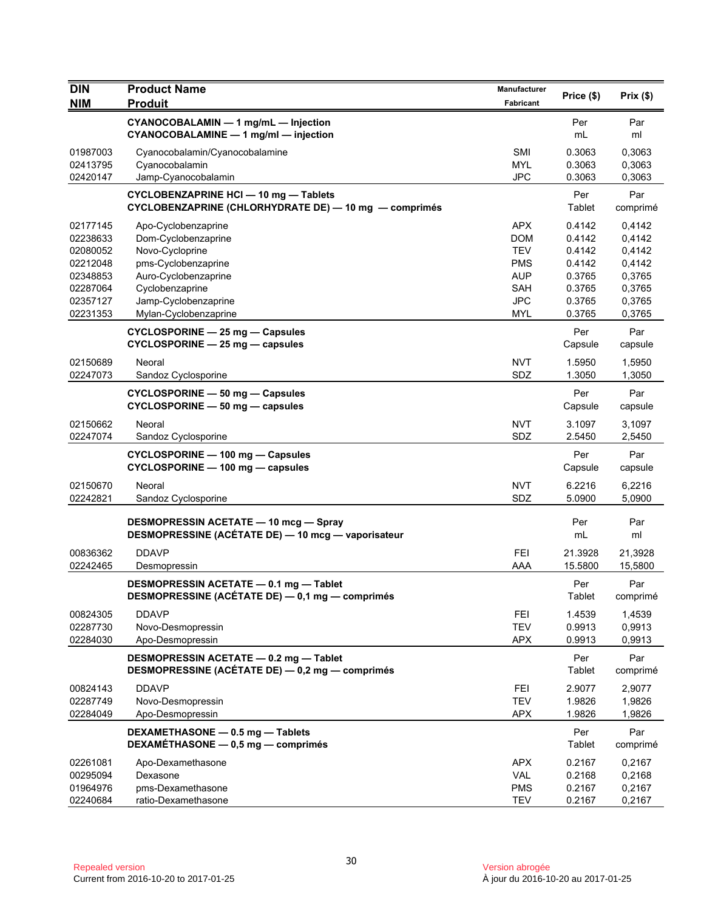| <b>Fabricant</b><br>CYANOCOBALAMIN - 1 mg/mL - Injection<br>Per<br>Par<br>CYANOCOBALAMINE - 1 mg/ml - injection<br>mL<br>ml<br>01987003<br><b>SMI</b><br>0.3063<br>0,3063<br>Cyanocobalamin/Cyanocobalamine<br><b>MYL</b><br>0.3063<br>02413795<br>Cyanocobalamin<br>0,3063<br>02420147<br>Jamp-Cyanocobalamin<br><b>JPC</b><br>0.3063<br>0,3063<br><b>CYCLOBENZAPRINE HCI - 10 mg - Tablets</b><br>Per<br>Par<br>CYCLOBENZAPRINE (CHLORHYDRATE DE) - 10 mg - comprimés<br>Tablet<br>comprimé<br><b>APX</b><br>0.4142<br>02177145<br>Apo-Cyclobenzaprine<br>0,4142<br>Dom-Cyclobenzaprine<br><b>DOM</b><br>0.4142<br>0,4142<br>02238633<br>Novo-Cycloprine<br><b>TEV</b><br>0.4142<br>0,4142<br>02080052<br>pms-Cyclobenzaprine<br><b>PMS</b><br>0.4142<br>0,4142<br>02212048<br>Auro-Cyclobenzaprine<br><b>AUP</b><br>0.3765<br>0,3765<br>02348853<br>02287064<br>Cyclobenzaprine<br><b>SAH</b><br>0.3765<br>0,3765<br><b>JPC</b><br>02357127<br>Jamp-Cyclobenzaprine<br>0.3765<br>0,3765<br>0.3765<br>0,3765<br>02231353<br>Mylan-Cyclobenzaprine<br>MYL<br>Per<br>Par<br>CYCLOSPORINE - 25 mg - Capsules<br>$CYCLOSPORINE - 25 mg - capsules$<br>Capsule<br>capsule<br><b>NVT</b><br>02150689<br>1.5950<br>Neoral<br>1,5950<br>SDZ<br>02247073<br>1.3050<br>1,3050<br>Sandoz Cyclosporine<br>Per<br>Par<br>CYCLOSPORINE - 50 mg - Capsules<br>CYCLOSPORINE - 50 mg - capsules<br>Capsule<br>capsule<br>02150662<br><b>NVT</b><br>3.1097<br>Neoral<br>3,1097<br>SDZ<br>02247074<br>2.5450<br>2,5450<br>Sandoz Cyclosporine<br>Per<br>Par<br>CYCLOSPORINE - 100 mg - Capsules<br>CYCLOSPORINE - 100 mg - capsules<br>Capsule<br>capsule<br><b>NVT</b><br>02150670<br>Neoral<br>6.2216<br>6,2216<br>02242821<br>SDZ<br>5.0900<br>5,0900<br>Sandoz Cyclosporine<br><b>DESMOPRESSIN ACETATE - 10 mcg - Spray</b><br>Per<br>Par<br>DESMOPRESSINE (ACÉTATE DE) - 10 mcg - vaporisateur<br>mL<br>ml<br>00836362<br><b>DDAVP</b><br><b>FEI</b><br>21.3928<br>21,3928<br>AAA<br>02242465<br>Desmopressin<br>15.5800<br>15,5800<br>DESMOPRESSIN ACETATE - 0.1 mg - Tablet<br>Per<br>Par<br>DESMOPRESSINE (ACÉTATE DE) - 0,1 mg - comprimés<br>Tablet<br>comprimé<br>00824305<br><b>DDAVP</b><br><b>FEI</b><br>1.4539<br>1,4539<br><b>TEV</b><br>02287730<br>Novo-Desmopressin<br>0.9913<br>0,9913<br>02284030<br><b>APX</b><br>0.9913<br>0,9913<br>Apo-Desmopressin<br>Per<br>Par<br>DESMOPRESSIN ACETATE - 0.2 mg - Tablet<br>DESMOPRESSINE (ACÉTATE DE) - 0,2 mg - comprimés<br>Tablet<br>comprimé<br><b>DDAVP</b><br>00824143<br><b>FEI</b><br>2.9077<br>2,9077<br>02287749<br><b>TEV</b><br>1.9826<br>1,9826<br>Novo-Desmopressin<br>Apo-Desmopressin<br><b>APX</b><br>1.9826<br>1,9826<br>02284049<br>DEXAMETHASONE - 0.5 mg - Tablets<br>Per<br>Par<br>DEXAMÉTHASONE - 0,5 mg - comprimés<br>Tablet<br>comprimé<br>02261081<br><b>APX</b><br>0.2167<br>0,2167<br>Apo-Dexamethasone<br><b>VAL</b><br>00295094<br>Dexasone<br>0.2168<br>0,2168<br><b>PMS</b><br>01964976<br>pms-Dexamethasone<br>0.2167<br>0,2167<br>02240684<br>ratio-Dexamethasone<br><b>TEV</b><br>0.2167<br>0,2167 | <b>DIN</b> | <b>Product Name</b> | <b>Manufacturer</b> | Price (\$) | Prix(\$) |
|------------------------------------------------------------------------------------------------------------------------------------------------------------------------------------------------------------------------------------------------------------------------------------------------------------------------------------------------------------------------------------------------------------------------------------------------------------------------------------------------------------------------------------------------------------------------------------------------------------------------------------------------------------------------------------------------------------------------------------------------------------------------------------------------------------------------------------------------------------------------------------------------------------------------------------------------------------------------------------------------------------------------------------------------------------------------------------------------------------------------------------------------------------------------------------------------------------------------------------------------------------------------------------------------------------------------------------------------------------------------------------------------------------------------------------------------------------------------------------------------------------------------------------------------------------------------------------------------------------------------------------------------------------------------------------------------------------------------------------------------------------------------------------------------------------------------------------------------------------------------------------------------------------------------------------------------------------------------------------------------------------------------------------------------------------------------------------------------------------------------------------------------------------------------------------------------------------------------------------------------------------------------------------------------------------------------------------------------------------------------------------------------------------------------------------------------------------------------------------------------------------------------------------------------------------------------------------------------------------------------------------------------------------------------------------------------------------------------------------------------------------------------------------------------------------------------------------------------------------------------------------------------------------------------------------------------------------------------------------------------------------------------------------------------------------------------------------|------------|---------------------|---------------------|------------|----------|
|                                                                                                                                                                                                                                                                                                                                                                                                                                                                                                                                                                                                                                                                                                                                                                                                                                                                                                                                                                                                                                                                                                                                                                                                                                                                                                                                                                                                                                                                                                                                                                                                                                                                                                                                                                                                                                                                                                                                                                                                                                                                                                                                                                                                                                                                                                                                                                                                                                                                                                                                                                                                                                                                                                                                                                                                                                                                                                                                                                                                                                                                                    | <b>NIM</b> | <b>Produit</b>      |                     |            |          |
|                                                                                                                                                                                                                                                                                                                                                                                                                                                                                                                                                                                                                                                                                                                                                                                                                                                                                                                                                                                                                                                                                                                                                                                                                                                                                                                                                                                                                                                                                                                                                                                                                                                                                                                                                                                                                                                                                                                                                                                                                                                                                                                                                                                                                                                                                                                                                                                                                                                                                                                                                                                                                                                                                                                                                                                                                                                                                                                                                                                                                                                                                    |            |                     |                     |            |          |
|                                                                                                                                                                                                                                                                                                                                                                                                                                                                                                                                                                                                                                                                                                                                                                                                                                                                                                                                                                                                                                                                                                                                                                                                                                                                                                                                                                                                                                                                                                                                                                                                                                                                                                                                                                                                                                                                                                                                                                                                                                                                                                                                                                                                                                                                                                                                                                                                                                                                                                                                                                                                                                                                                                                                                                                                                                                                                                                                                                                                                                                                                    |            |                     |                     |            |          |
|                                                                                                                                                                                                                                                                                                                                                                                                                                                                                                                                                                                                                                                                                                                                                                                                                                                                                                                                                                                                                                                                                                                                                                                                                                                                                                                                                                                                                                                                                                                                                                                                                                                                                                                                                                                                                                                                                                                                                                                                                                                                                                                                                                                                                                                                                                                                                                                                                                                                                                                                                                                                                                                                                                                                                                                                                                                                                                                                                                                                                                                                                    |            |                     |                     |            |          |
|                                                                                                                                                                                                                                                                                                                                                                                                                                                                                                                                                                                                                                                                                                                                                                                                                                                                                                                                                                                                                                                                                                                                                                                                                                                                                                                                                                                                                                                                                                                                                                                                                                                                                                                                                                                                                                                                                                                                                                                                                                                                                                                                                                                                                                                                                                                                                                                                                                                                                                                                                                                                                                                                                                                                                                                                                                                                                                                                                                                                                                                                                    |            |                     |                     |            |          |
|                                                                                                                                                                                                                                                                                                                                                                                                                                                                                                                                                                                                                                                                                                                                                                                                                                                                                                                                                                                                                                                                                                                                                                                                                                                                                                                                                                                                                                                                                                                                                                                                                                                                                                                                                                                                                                                                                                                                                                                                                                                                                                                                                                                                                                                                                                                                                                                                                                                                                                                                                                                                                                                                                                                                                                                                                                                                                                                                                                                                                                                                                    |            |                     |                     |            |          |
|                                                                                                                                                                                                                                                                                                                                                                                                                                                                                                                                                                                                                                                                                                                                                                                                                                                                                                                                                                                                                                                                                                                                                                                                                                                                                                                                                                                                                                                                                                                                                                                                                                                                                                                                                                                                                                                                                                                                                                                                                                                                                                                                                                                                                                                                                                                                                                                                                                                                                                                                                                                                                                                                                                                                                                                                                                                                                                                                                                                                                                                                                    |            |                     |                     |            |          |
|                                                                                                                                                                                                                                                                                                                                                                                                                                                                                                                                                                                                                                                                                                                                                                                                                                                                                                                                                                                                                                                                                                                                                                                                                                                                                                                                                                                                                                                                                                                                                                                                                                                                                                                                                                                                                                                                                                                                                                                                                                                                                                                                                                                                                                                                                                                                                                                                                                                                                                                                                                                                                                                                                                                                                                                                                                                                                                                                                                                                                                                                                    |            |                     |                     |            |          |
|                                                                                                                                                                                                                                                                                                                                                                                                                                                                                                                                                                                                                                                                                                                                                                                                                                                                                                                                                                                                                                                                                                                                                                                                                                                                                                                                                                                                                                                                                                                                                                                                                                                                                                                                                                                                                                                                                                                                                                                                                                                                                                                                                                                                                                                                                                                                                                                                                                                                                                                                                                                                                                                                                                                                                                                                                                                                                                                                                                                                                                                                                    |            |                     |                     |            |          |
|                                                                                                                                                                                                                                                                                                                                                                                                                                                                                                                                                                                                                                                                                                                                                                                                                                                                                                                                                                                                                                                                                                                                                                                                                                                                                                                                                                                                                                                                                                                                                                                                                                                                                                                                                                                                                                                                                                                                                                                                                                                                                                                                                                                                                                                                                                                                                                                                                                                                                                                                                                                                                                                                                                                                                                                                                                                                                                                                                                                                                                                                                    |            |                     |                     |            |          |
|                                                                                                                                                                                                                                                                                                                                                                                                                                                                                                                                                                                                                                                                                                                                                                                                                                                                                                                                                                                                                                                                                                                                                                                                                                                                                                                                                                                                                                                                                                                                                                                                                                                                                                                                                                                                                                                                                                                                                                                                                                                                                                                                                                                                                                                                                                                                                                                                                                                                                                                                                                                                                                                                                                                                                                                                                                                                                                                                                                                                                                                                                    |            |                     |                     |            |          |
|                                                                                                                                                                                                                                                                                                                                                                                                                                                                                                                                                                                                                                                                                                                                                                                                                                                                                                                                                                                                                                                                                                                                                                                                                                                                                                                                                                                                                                                                                                                                                                                                                                                                                                                                                                                                                                                                                                                                                                                                                                                                                                                                                                                                                                                                                                                                                                                                                                                                                                                                                                                                                                                                                                                                                                                                                                                                                                                                                                                                                                                                                    |            |                     |                     |            |          |
|                                                                                                                                                                                                                                                                                                                                                                                                                                                                                                                                                                                                                                                                                                                                                                                                                                                                                                                                                                                                                                                                                                                                                                                                                                                                                                                                                                                                                                                                                                                                                                                                                                                                                                                                                                                                                                                                                                                                                                                                                                                                                                                                                                                                                                                                                                                                                                                                                                                                                                                                                                                                                                                                                                                                                                                                                                                                                                                                                                                                                                                                                    |            |                     |                     |            |          |
|                                                                                                                                                                                                                                                                                                                                                                                                                                                                                                                                                                                                                                                                                                                                                                                                                                                                                                                                                                                                                                                                                                                                                                                                                                                                                                                                                                                                                                                                                                                                                                                                                                                                                                                                                                                                                                                                                                                                                                                                                                                                                                                                                                                                                                                                                                                                                                                                                                                                                                                                                                                                                                                                                                                                                                                                                                                                                                                                                                                                                                                                                    |            |                     |                     |            |          |
|                                                                                                                                                                                                                                                                                                                                                                                                                                                                                                                                                                                                                                                                                                                                                                                                                                                                                                                                                                                                                                                                                                                                                                                                                                                                                                                                                                                                                                                                                                                                                                                                                                                                                                                                                                                                                                                                                                                                                                                                                                                                                                                                                                                                                                                                                                                                                                                                                                                                                                                                                                                                                                                                                                                                                                                                                                                                                                                                                                                                                                                                                    |            |                     |                     |            |          |
|                                                                                                                                                                                                                                                                                                                                                                                                                                                                                                                                                                                                                                                                                                                                                                                                                                                                                                                                                                                                                                                                                                                                                                                                                                                                                                                                                                                                                                                                                                                                                                                                                                                                                                                                                                                                                                                                                                                                                                                                                                                                                                                                                                                                                                                                                                                                                                                                                                                                                                                                                                                                                                                                                                                                                                                                                                                                                                                                                                                                                                                                                    |            |                     |                     |            |          |
|                                                                                                                                                                                                                                                                                                                                                                                                                                                                                                                                                                                                                                                                                                                                                                                                                                                                                                                                                                                                                                                                                                                                                                                                                                                                                                                                                                                                                                                                                                                                                                                                                                                                                                                                                                                                                                                                                                                                                                                                                                                                                                                                                                                                                                                                                                                                                                                                                                                                                                                                                                                                                                                                                                                                                                                                                                                                                                                                                                                                                                                                                    |            |                     |                     |            |          |
|                                                                                                                                                                                                                                                                                                                                                                                                                                                                                                                                                                                                                                                                                                                                                                                                                                                                                                                                                                                                                                                                                                                                                                                                                                                                                                                                                                                                                                                                                                                                                                                                                                                                                                                                                                                                                                                                                                                                                                                                                                                                                                                                                                                                                                                                                                                                                                                                                                                                                                                                                                                                                                                                                                                                                                                                                                                                                                                                                                                                                                                                                    |            |                     |                     |            |          |
|                                                                                                                                                                                                                                                                                                                                                                                                                                                                                                                                                                                                                                                                                                                                                                                                                                                                                                                                                                                                                                                                                                                                                                                                                                                                                                                                                                                                                                                                                                                                                                                                                                                                                                                                                                                                                                                                                                                                                                                                                                                                                                                                                                                                                                                                                                                                                                                                                                                                                                                                                                                                                                                                                                                                                                                                                                                                                                                                                                                                                                                                                    |            |                     |                     |            |          |
|                                                                                                                                                                                                                                                                                                                                                                                                                                                                                                                                                                                                                                                                                                                                                                                                                                                                                                                                                                                                                                                                                                                                                                                                                                                                                                                                                                                                                                                                                                                                                                                                                                                                                                                                                                                                                                                                                                                                                                                                                                                                                                                                                                                                                                                                                                                                                                                                                                                                                                                                                                                                                                                                                                                                                                                                                                                                                                                                                                                                                                                                                    |            |                     |                     |            |          |
|                                                                                                                                                                                                                                                                                                                                                                                                                                                                                                                                                                                                                                                                                                                                                                                                                                                                                                                                                                                                                                                                                                                                                                                                                                                                                                                                                                                                                                                                                                                                                                                                                                                                                                                                                                                                                                                                                                                                                                                                                                                                                                                                                                                                                                                                                                                                                                                                                                                                                                                                                                                                                                                                                                                                                                                                                                                                                                                                                                                                                                                                                    |            |                     |                     |            |          |
|                                                                                                                                                                                                                                                                                                                                                                                                                                                                                                                                                                                                                                                                                                                                                                                                                                                                                                                                                                                                                                                                                                                                                                                                                                                                                                                                                                                                                                                                                                                                                                                                                                                                                                                                                                                                                                                                                                                                                                                                                                                                                                                                                                                                                                                                                                                                                                                                                                                                                                                                                                                                                                                                                                                                                                                                                                                                                                                                                                                                                                                                                    |            |                     |                     |            |          |
|                                                                                                                                                                                                                                                                                                                                                                                                                                                                                                                                                                                                                                                                                                                                                                                                                                                                                                                                                                                                                                                                                                                                                                                                                                                                                                                                                                                                                                                                                                                                                                                                                                                                                                                                                                                                                                                                                                                                                                                                                                                                                                                                                                                                                                                                                                                                                                                                                                                                                                                                                                                                                                                                                                                                                                                                                                                                                                                                                                                                                                                                                    |            |                     |                     |            |          |
|                                                                                                                                                                                                                                                                                                                                                                                                                                                                                                                                                                                                                                                                                                                                                                                                                                                                                                                                                                                                                                                                                                                                                                                                                                                                                                                                                                                                                                                                                                                                                                                                                                                                                                                                                                                                                                                                                                                                                                                                                                                                                                                                                                                                                                                                                                                                                                                                                                                                                                                                                                                                                                                                                                                                                                                                                                                                                                                                                                                                                                                                                    |            |                     |                     |            |          |
|                                                                                                                                                                                                                                                                                                                                                                                                                                                                                                                                                                                                                                                                                                                                                                                                                                                                                                                                                                                                                                                                                                                                                                                                                                                                                                                                                                                                                                                                                                                                                                                                                                                                                                                                                                                                                                                                                                                                                                                                                                                                                                                                                                                                                                                                                                                                                                                                                                                                                                                                                                                                                                                                                                                                                                                                                                                                                                                                                                                                                                                                                    |            |                     |                     |            |          |
|                                                                                                                                                                                                                                                                                                                                                                                                                                                                                                                                                                                                                                                                                                                                                                                                                                                                                                                                                                                                                                                                                                                                                                                                                                                                                                                                                                                                                                                                                                                                                                                                                                                                                                                                                                                                                                                                                                                                                                                                                                                                                                                                                                                                                                                                                                                                                                                                                                                                                                                                                                                                                                                                                                                                                                                                                                                                                                                                                                                                                                                                                    |            |                     |                     |            |          |
|                                                                                                                                                                                                                                                                                                                                                                                                                                                                                                                                                                                                                                                                                                                                                                                                                                                                                                                                                                                                                                                                                                                                                                                                                                                                                                                                                                                                                                                                                                                                                                                                                                                                                                                                                                                                                                                                                                                                                                                                                                                                                                                                                                                                                                                                                                                                                                                                                                                                                                                                                                                                                                                                                                                                                                                                                                                                                                                                                                                                                                                                                    |            |                     |                     |            |          |
|                                                                                                                                                                                                                                                                                                                                                                                                                                                                                                                                                                                                                                                                                                                                                                                                                                                                                                                                                                                                                                                                                                                                                                                                                                                                                                                                                                                                                                                                                                                                                                                                                                                                                                                                                                                                                                                                                                                                                                                                                                                                                                                                                                                                                                                                                                                                                                                                                                                                                                                                                                                                                                                                                                                                                                                                                                                                                                                                                                                                                                                                                    |            |                     |                     |            |          |
|                                                                                                                                                                                                                                                                                                                                                                                                                                                                                                                                                                                                                                                                                                                                                                                                                                                                                                                                                                                                                                                                                                                                                                                                                                                                                                                                                                                                                                                                                                                                                                                                                                                                                                                                                                                                                                                                                                                                                                                                                                                                                                                                                                                                                                                                                                                                                                                                                                                                                                                                                                                                                                                                                                                                                                                                                                                                                                                                                                                                                                                                                    |            |                     |                     |            |          |
|                                                                                                                                                                                                                                                                                                                                                                                                                                                                                                                                                                                                                                                                                                                                                                                                                                                                                                                                                                                                                                                                                                                                                                                                                                                                                                                                                                                                                                                                                                                                                                                                                                                                                                                                                                                                                                                                                                                                                                                                                                                                                                                                                                                                                                                                                                                                                                                                                                                                                                                                                                                                                                                                                                                                                                                                                                                                                                                                                                                                                                                                                    |            |                     |                     |            |          |
|                                                                                                                                                                                                                                                                                                                                                                                                                                                                                                                                                                                                                                                                                                                                                                                                                                                                                                                                                                                                                                                                                                                                                                                                                                                                                                                                                                                                                                                                                                                                                                                                                                                                                                                                                                                                                                                                                                                                                                                                                                                                                                                                                                                                                                                                                                                                                                                                                                                                                                                                                                                                                                                                                                                                                                                                                                                                                                                                                                                                                                                                                    |            |                     |                     |            |          |
|                                                                                                                                                                                                                                                                                                                                                                                                                                                                                                                                                                                                                                                                                                                                                                                                                                                                                                                                                                                                                                                                                                                                                                                                                                                                                                                                                                                                                                                                                                                                                                                                                                                                                                                                                                                                                                                                                                                                                                                                                                                                                                                                                                                                                                                                                                                                                                                                                                                                                                                                                                                                                                                                                                                                                                                                                                                                                                                                                                                                                                                                                    |            |                     |                     |            |          |
|                                                                                                                                                                                                                                                                                                                                                                                                                                                                                                                                                                                                                                                                                                                                                                                                                                                                                                                                                                                                                                                                                                                                                                                                                                                                                                                                                                                                                                                                                                                                                                                                                                                                                                                                                                                                                                                                                                                                                                                                                                                                                                                                                                                                                                                                                                                                                                                                                                                                                                                                                                                                                                                                                                                                                                                                                                                                                                                                                                                                                                                                                    |            |                     |                     |            |          |
|                                                                                                                                                                                                                                                                                                                                                                                                                                                                                                                                                                                                                                                                                                                                                                                                                                                                                                                                                                                                                                                                                                                                                                                                                                                                                                                                                                                                                                                                                                                                                                                                                                                                                                                                                                                                                                                                                                                                                                                                                                                                                                                                                                                                                                                                                                                                                                                                                                                                                                                                                                                                                                                                                                                                                                                                                                                                                                                                                                                                                                                                                    |            |                     |                     |            |          |
|                                                                                                                                                                                                                                                                                                                                                                                                                                                                                                                                                                                                                                                                                                                                                                                                                                                                                                                                                                                                                                                                                                                                                                                                                                                                                                                                                                                                                                                                                                                                                                                                                                                                                                                                                                                                                                                                                                                                                                                                                                                                                                                                                                                                                                                                                                                                                                                                                                                                                                                                                                                                                                                                                                                                                                                                                                                                                                                                                                                                                                                                                    |            |                     |                     |            |          |
|                                                                                                                                                                                                                                                                                                                                                                                                                                                                                                                                                                                                                                                                                                                                                                                                                                                                                                                                                                                                                                                                                                                                                                                                                                                                                                                                                                                                                                                                                                                                                                                                                                                                                                                                                                                                                                                                                                                                                                                                                                                                                                                                                                                                                                                                                                                                                                                                                                                                                                                                                                                                                                                                                                                                                                                                                                                                                                                                                                                                                                                                                    |            |                     |                     |            |          |
|                                                                                                                                                                                                                                                                                                                                                                                                                                                                                                                                                                                                                                                                                                                                                                                                                                                                                                                                                                                                                                                                                                                                                                                                                                                                                                                                                                                                                                                                                                                                                                                                                                                                                                                                                                                                                                                                                                                                                                                                                                                                                                                                                                                                                                                                                                                                                                                                                                                                                                                                                                                                                                                                                                                                                                                                                                                                                                                                                                                                                                                                                    |            |                     |                     |            |          |
|                                                                                                                                                                                                                                                                                                                                                                                                                                                                                                                                                                                                                                                                                                                                                                                                                                                                                                                                                                                                                                                                                                                                                                                                                                                                                                                                                                                                                                                                                                                                                                                                                                                                                                                                                                                                                                                                                                                                                                                                                                                                                                                                                                                                                                                                                                                                                                                                                                                                                                                                                                                                                                                                                                                                                                                                                                                                                                                                                                                                                                                                                    |            |                     |                     |            |          |
|                                                                                                                                                                                                                                                                                                                                                                                                                                                                                                                                                                                                                                                                                                                                                                                                                                                                                                                                                                                                                                                                                                                                                                                                                                                                                                                                                                                                                                                                                                                                                                                                                                                                                                                                                                                                                                                                                                                                                                                                                                                                                                                                                                                                                                                                                                                                                                                                                                                                                                                                                                                                                                                                                                                                                                                                                                                                                                                                                                                                                                                                                    |            |                     |                     |            |          |
|                                                                                                                                                                                                                                                                                                                                                                                                                                                                                                                                                                                                                                                                                                                                                                                                                                                                                                                                                                                                                                                                                                                                                                                                                                                                                                                                                                                                                                                                                                                                                                                                                                                                                                                                                                                                                                                                                                                                                                                                                                                                                                                                                                                                                                                                                                                                                                                                                                                                                                                                                                                                                                                                                                                                                                                                                                                                                                                                                                                                                                                                                    |            |                     |                     |            |          |
|                                                                                                                                                                                                                                                                                                                                                                                                                                                                                                                                                                                                                                                                                                                                                                                                                                                                                                                                                                                                                                                                                                                                                                                                                                                                                                                                                                                                                                                                                                                                                                                                                                                                                                                                                                                                                                                                                                                                                                                                                                                                                                                                                                                                                                                                                                                                                                                                                                                                                                                                                                                                                                                                                                                                                                                                                                                                                                                                                                                                                                                                                    |            |                     |                     |            |          |
|                                                                                                                                                                                                                                                                                                                                                                                                                                                                                                                                                                                                                                                                                                                                                                                                                                                                                                                                                                                                                                                                                                                                                                                                                                                                                                                                                                                                                                                                                                                                                                                                                                                                                                                                                                                                                                                                                                                                                                                                                                                                                                                                                                                                                                                                                                                                                                                                                                                                                                                                                                                                                                                                                                                                                                                                                                                                                                                                                                                                                                                                                    |            |                     |                     |            |          |
|                                                                                                                                                                                                                                                                                                                                                                                                                                                                                                                                                                                                                                                                                                                                                                                                                                                                                                                                                                                                                                                                                                                                                                                                                                                                                                                                                                                                                                                                                                                                                                                                                                                                                                                                                                                                                                                                                                                                                                                                                                                                                                                                                                                                                                                                                                                                                                                                                                                                                                                                                                                                                                                                                                                                                                                                                                                                                                                                                                                                                                                                                    |            |                     |                     |            |          |
|                                                                                                                                                                                                                                                                                                                                                                                                                                                                                                                                                                                                                                                                                                                                                                                                                                                                                                                                                                                                                                                                                                                                                                                                                                                                                                                                                                                                                                                                                                                                                                                                                                                                                                                                                                                                                                                                                                                                                                                                                                                                                                                                                                                                                                                                                                                                                                                                                                                                                                                                                                                                                                                                                                                                                                                                                                                                                                                                                                                                                                                                                    |            |                     |                     |            |          |
|                                                                                                                                                                                                                                                                                                                                                                                                                                                                                                                                                                                                                                                                                                                                                                                                                                                                                                                                                                                                                                                                                                                                                                                                                                                                                                                                                                                                                                                                                                                                                                                                                                                                                                                                                                                                                                                                                                                                                                                                                                                                                                                                                                                                                                                                                                                                                                                                                                                                                                                                                                                                                                                                                                                                                                                                                                                                                                                                                                                                                                                                                    |            |                     |                     |            |          |
|                                                                                                                                                                                                                                                                                                                                                                                                                                                                                                                                                                                                                                                                                                                                                                                                                                                                                                                                                                                                                                                                                                                                                                                                                                                                                                                                                                                                                                                                                                                                                                                                                                                                                                                                                                                                                                                                                                                                                                                                                                                                                                                                                                                                                                                                                                                                                                                                                                                                                                                                                                                                                                                                                                                                                                                                                                                                                                                                                                                                                                                                                    |            |                     |                     |            |          |
|                                                                                                                                                                                                                                                                                                                                                                                                                                                                                                                                                                                                                                                                                                                                                                                                                                                                                                                                                                                                                                                                                                                                                                                                                                                                                                                                                                                                                                                                                                                                                                                                                                                                                                                                                                                                                                                                                                                                                                                                                                                                                                                                                                                                                                                                                                                                                                                                                                                                                                                                                                                                                                                                                                                                                                                                                                                                                                                                                                                                                                                                                    |            |                     |                     |            |          |
|                                                                                                                                                                                                                                                                                                                                                                                                                                                                                                                                                                                                                                                                                                                                                                                                                                                                                                                                                                                                                                                                                                                                                                                                                                                                                                                                                                                                                                                                                                                                                                                                                                                                                                                                                                                                                                                                                                                                                                                                                                                                                                                                                                                                                                                                                                                                                                                                                                                                                                                                                                                                                                                                                                                                                                                                                                                                                                                                                                                                                                                                                    |            |                     |                     |            |          |
|                                                                                                                                                                                                                                                                                                                                                                                                                                                                                                                                                                                                                                                                                                                                                                                                                                                                                                                                                                                                                                                                                                                                                                                                                                                                                                                                                                                                                                                                                                                                                                                                                                                                                                                                                                                                                                                                                                                                                                                                                                                                                                                                                                                                                                                                                                                                                                                                                                                                                                                                                                                                                                                                                                                                                                                                                                                                                                                                                                                                                                                                                    |            |                     |                     |            |          |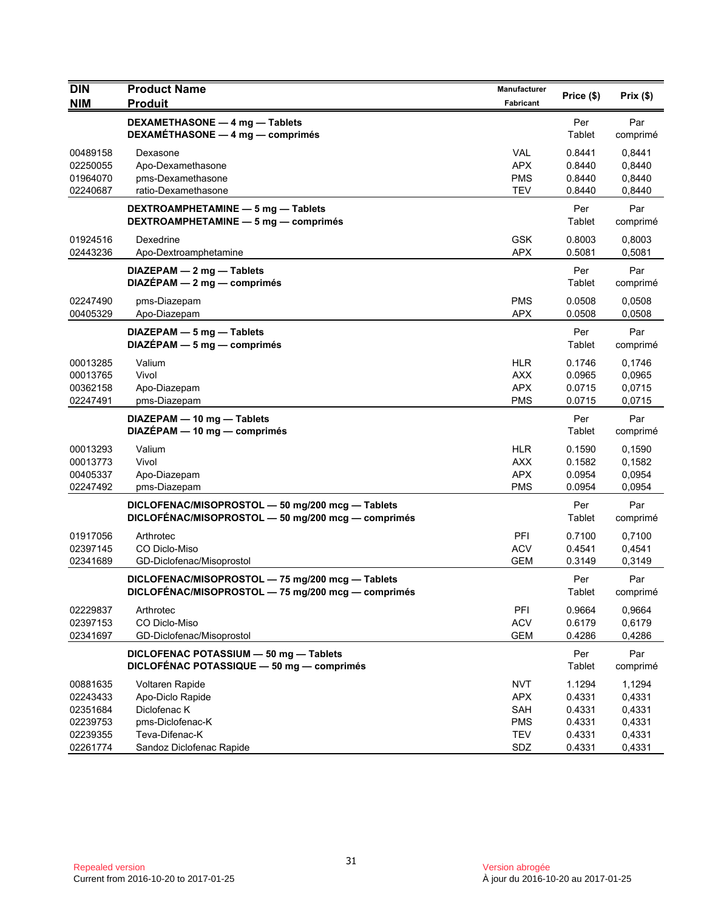| <b>DIN</b><br><b>NIM</b>                                             | <b>Product Name</b><br><b>Produit</b>                                                                                 | <b>Manufacturer</b><br>Fabricant                                   | Price (\$)                                               | Prix(\$)                                                 |
|----------------------------------------------------------------------|-----------------------------------------------------------------------------------------------------------------------|--------------------------------------------------------------------|----------------------------------------------------------|----------------------------------------------------------|
|                                                                      | DEXAMETHASONE - 4 mg - Tablets<br>DEXAMÉTHASONE - 4 mg - comprimés                                                    |                                                                    | Per<br>Tablet                                            | Par<br>comprimé                                          |
| 00489158<br>02250055<br>01964070<br>02240687                         | Dexasone<br>Apo-Dexamethasone<br>pms-Dexamethasone<br>ratio-Dexamethasone                                             | <b>VAL</b><br><b>APX</b><br><b>PMS</b><br><b>TEV</b>               | 0.8441<br>0.8440<br>0.8440<br>0.8440                     | 0,8441<br>0,8440<br>0,8440<br>0,8440                     |
|                                                                      | DEXTROAMPHETAMINE - 5 mg - Tablets<br>DEXTROAMPHETAMINE - 5 mg - comprimés                                            |                                                                    | Per<br>Tablet                                            | Par<br>comprimé                                          |
| 01924516<br>02443236                                                 | Dexedrine<br>Apo-Dextroamphetamine                                                                                    | <b>GSK</b><br><b>APX</b>                                           | 0.8003<br>0.5081                                         | 0,8003<br>0,5081                                         |
|                                                                      | DIAZEPAM - 2 mg - Tablets<br>$DIAZÉPAM - 2 mg - comprimés$                                                            |                                                                    | Per<br>Tablet                                            | Par<br>comprimé                                          |
| 02247490<br>00405329                                                 | pms-Diazepam<br>Apo-Diazepam                                                                                          | <b>PMS</b><br><b>APX</b>                                           | 0.0508<br>0.0508                                         | 0,0508<br>0,0508                                         |
|                                                                      | DIAZEPAM - 5 mg - Tablets<br>$DIAZÉPAM - 5 mg - comprimés$                                                            |                                                                    | Per<br>Tablet                                            | Par<br>comprimé                                          |
| 00013285<br>00013765<br>00362158<br>02247491                         | Valium<br>Vivol<br>Apo-Diazepam<br>pms-Diazepam                                                                       | <b>HLR</b><br><b>AXX</b><br><b>APX</b><br><b>PMS</b>               | 0.1746<br>0.0965<br>0.0715<br>0.0715                     | 0.1746<br>0,0965<br>0,0715<br>0,0715                     |
|                                                                      | DIAZEPAM - 10 mg - Tablets<br>DIAZÉPAM - 10 mg - comprimés                                                            |                                                                    | Per<br>Tablet                                            | Par<br>comprimé                                          |
| 00013293<br>00013773<br>00405337<br>02247492                         | Valium<br>Vivol<br>Apo-Diazepam<br>pms-Diazepam                                                                       | <b>HLR</b><br><b>AXX</b><br><b>APX</b><br><b>PMS</b>               | 0.1590<br>0.1582<br>0.0954<br>0.0954                     | 0,1590<br>0,1582<br>0,0954<br>0,0954                     |
|                                                                      | DICLOFENAC/MISOPROSTOL - 50 mg/200 mcg - Tablets<br>DICLOFÉNAC/MISOPROSTOL - 50 mg/200 mcg - comprimés                |                                                                    | Per<br>Tablet                                            | Par<br>comprimé                                          |
| 01917056<br>02397145<br>02341689                                     | Arthrotec<br>CO Diclo-Miso<br>GD-Diclofenac/Misoprostol                                                               | PFI<br><b>ACV</b><br><b>GEM</b>                                    | 0.7100<br>0.4541<br>0.3149                               | 0.7100<br>0,4541<br>0,3149                               |
|                                                                      | DICLOFENAC/MISOPROSTOL - 75 mg/200 mcg - Tablets<br>DICLOFÉNAC/MISOPROSTOL - 75 mg/200 mcg - comprimés                |                                                                    | Per<br>Tablet                                            | Par<br>comprimé                                          |
| 02229837<br>02397153<br>02341697                                     | Arthrotec<br>CO Diclo-Miso<br>GD-Diclofenac/Misoprostol                                                               | PFI<br><b>ACV</b><br><b>GEM</b>                                    | 0.9664<br>0.6179<br>0.4286                               | 0,9664<br>0,6179<br>0,4286                               |
|                                                                      | DICLOFENAC POTASSIUM - 50 mg - Tablets<br>DICLOFÉNAC POTASSIQUE - 50 mg - comprimés                                   |                                                                    | Per<br>Tablet                                            | Par<br>comprimé                                          |
| 00881635<br>02243433<br>02351684<br>02239753<br>02239355<br>02261774 | Voltaren Rapide<br>Apo-Diclo Rapide<br>Diclofenac K<br>pms-Diclofenac-K<br>Teva-Difenac-K<br>Sandoz Diclofenac Rapide | <b>NVT</b><br><b>APX</b><br>SAH<br><b>PMS</b><br><b>TEV</b><br>SDZ | 1.1294<br>0.4331<br>0.4331<br>0.4331<br>0.4331<br>0.4331 | 1,1294<br>0,4331<br>0,4331<br>0,4331<br>0,4331<br>0,4331 |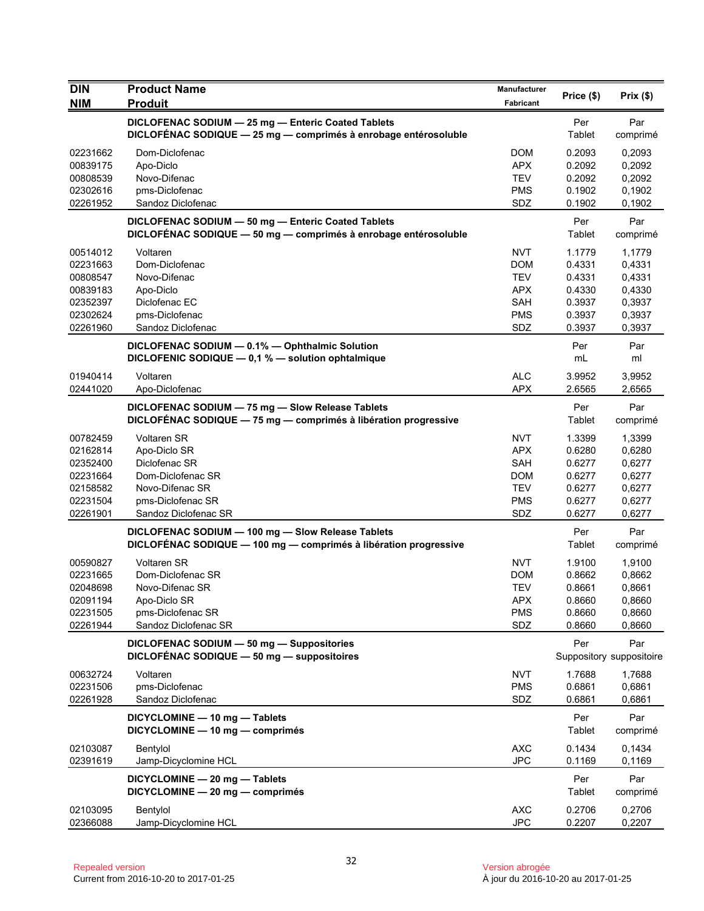| <b>DIN</b><br><b>NIM</b>                                                         | <b>Product Name</b><br><b>Produit</b>                                                                                                    | Manufacturer<br>Fabricant                                                               | Price (\$)                                                         | Prix(\$)                                                           |
|----------------------------------------------------------------------------------|------------------------------------------------------------------------------------------------------------------------------------------|-----------------------------------------------------------------------------------------|--------------------------------------------------------------------|--------------------------------------------------------------------|
|                                                                                  | DICLOFENAC SODIUM - 25 mg - Enteric Coated Tablets<br>DICLOFÉNAC SODIQUE - 25 mg - comprimés à enrobage entérosoluble                    |                                                                                         | Per<br>Tablet                                                      | Par<br>comprimé                                                    |
| 02231662<br>00839175<br>00808539<br>02302616<br>02261952                         | Dom-Diclofenac<br>Apo-Diclo<br>Novo-Difenac<br>pms-Diclofenac<br>Sandoz Diclofenac                                                       | <b>DOM</b><br><b>APX</b><br><b>TEV</b><br><b>PMS</b><br>SDZ                             | 0.2093<br>0.2092<br>0.2092<br>0.1902<br>0.1902                     | 0,2093<br>0,2092<br>0,2092<br>0,1902<br>0,1902                     |
|                                                                                  | DICLOFENAC SODIUM - 50 mg - Enteric Coated Tablets<br>DICLOFÉNAC SODIQUE - 50 mg - comprimés à enrobage entérosoluble                    |                                                                                         | Per<br>Tablet                                                      | Par<br>comprimé                                                    |
| 00514012<br>02231663<br>00808547<br>00839183<br>02352397<br>02302624<br>02261960 | Voltaren<br>Dom-Diclofenac<br>Novo-Difenac<br>Apo-Diclo<br>Diclofenac EC<br>pms-Diclofenac<br>Sandoz Diclofenac                          | <b>NVT</b><br><b>DOM</b><br><b>TEV</b><br><b>APX</b><br>SAH<br><b>PMS</b><br>SDZ        | 1.1779<br>0.4331<br>0.4331<br>0.4330<br>0.3937<br>0.3937<br>0.3937 | 1,1779<br>0,4331<br>0,4331<br>0,4330<br>0,3937<br>0,3937<br>0,3937 |
|                                                                                  | DICLOFENAC SODIUM - 0.1% - Ophthalmic Solution<br>DICLOFENIC SODIQUE - 0,1 % - solution ophtalmique                                      |                                                                                         | Per<br>mL                                                          | Par<br>ml                                                          |
| 01940414<br>02441020                                                             | Voltaren<br>Apo-Diclofenac                                                                                                               | <b>ALC</b><br><b>APX</b>                                                                | 3.9952<br>2.6565                                                   | 3,9952<br>2,6565                                                   |
|                                                                                  | DICLOFENAC SODIUM - 75 mg - Slow Release Tablets<br>DICLOFÉNAC SODIQUE - 75 mg - comprimés à libération progressive                      |                                                                                         | Per<br>Tablet                                                      | Par<br>comprimé                                                    |
| 00782459<br>02162814<br>02352400<br>02231664<br>02158582<br>02231504<br>02261901 | <b>Voltaren SR</b><br>Apo-Diclo SR<br>Diclofenac SR<br>Dom-Diclofenac SR<br>Novo-Difenac SR<br>pms-Diclofenac SR<br>Sandoz Diclofenac SR | <b>NVT</b><br><b>APX</b><br><b>SAH</b><br><b>DOM</b><br><b>TEV</b><br><b>PMS</b><br>SDZ | 1.3399<br>0.6280<br>0.6277<br>0.6277<br>0.6277<br>0.6277<br>0.6277 | 1,3399<br>0,6280<br>0,6277<br>0,6277<br>0,6277<br>0,6277<br>0,6277 |
|                                                                                  | DICLOFENAC SODIUM - 100 mg - Slow Release Tablets<br>DICLOFÉNAC SODIQUE - 100 mg - comprimés à libération progressive                    |                                                                                         | Per<br>Tablet                                                      | Par<br>comprimé                                                    |
| 00590827<br>02231665<br>02048698<br>02091194<br>02231505<br>02261944             | <b>Voltaren SR</b><br>Dom-Diclofenac SR<br>Novo-Difenac SR<br>Apo-Diclo SR<br>pms-Diclofenac SR<br>Sandoz Diclofenac SR                  | <b>NVT</b><br>DOM<br><b>TEV</b><br><b>APX</b><br><b>PMS</b><br>SDZ                      | 1.9100<br>0.8662<br>0.8661<br>0.8660<br>0.8660<br>0.8660           | 1,9100<br>0,8662<br>0,8661<br>0,8660<br>0,8660<br>0,8660           |
|                                                                                  | DICLOFENAC SODIUM - 50 mg - Suppositories<br>DICLOFÉNAC SODIQUE - 50 mg - suppositoires                                                  |                                                                                         | Per                                                                | Par<br>Suppository suppositoire                                    |
| 00632724<br>02231506<br>02261928                                                 | Voltaren<br>pms-Diclofenac<br>Sandoz Diclofenac                                                                                          | <b>NVT</b><br><b>PMS</b><br>SDZ                                                         | 1.7688<br>0.6861<br>0.6861                                         | 1,7688<br>0,6861<br>0,6861                                         |
|                                                                                  | DICYCLOMINE - 10 mg - Tablets<br>DICYCLOMINE - 10 mg - comprimés                                                                         |                                                                                         | Per<br>Tablet                                                      | Par<br>comprimé                                                    |
| 02103087<br>02391619                                                             | Bentylol<br>Jamp-Dicyclomine HCL                                                                                                         | <b>AXC</b><br><b>JPC</b>                                                                | 0.1434<br>0.1169                                                   | 0,1434<br>0,1169                                                   |
|                                                                                  | DICYCLOMINE - 20 mg - Tablets<br>DICYCLOMINE - 20 mg - comprimés                                                                         |                                                                                         | Per<br><b>Tablet</b>                                               | Par<br>comprimé                                                    |
| 02103095<br>02366088                                                             | Bentylol<br>Jamp-Dicyclomine HCL                                                                                                         | <b>AXC</b><br><b>JPC</b>                                                                | 0.2706<br>0.2207                                                   | 0,2706<br>0,2207                                                   |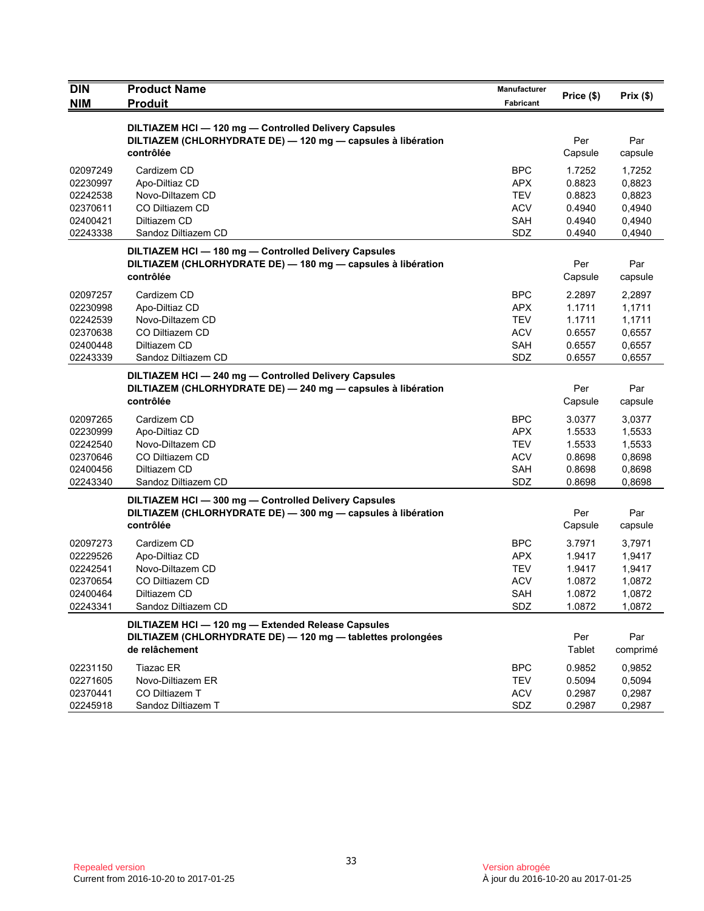| <b>DIN</b><br><b>NIM</b> | <b>Product Name</b><br><b>Produit</b>                                                                                 | <b>Manufacturer</b>      | Price (\$)       | Prix(\$)         |
|--------------------------|-----------------------------------------------------------------------------------------------------------------------|--------------------------|------------------|------------------|
|                          |                                                                                                                       | Fabricant                |                  |                  |
|                          | DILTIAZEM HCI - 120 mg - Controlled Delivery Capsules                                                                 |                          |                  |                  |
|                          | DILTIAZEM (CHLORHYDRATE DE) - 120 mg - capsules à libération<br>contrôlée                                             |                          | Per<br>Capsule   | Par<br>capsule   |
| 02097249                 | Cardizem CD                                                                                                           | <b>BPC</b>               | 1.7252           | 1,7252           |
| 02230997                 | Apo-Diltiaz CD                                                                                                        | <b>APX</b>               | 0.8823           | 0,8823           |
| 02242538                 | Novo-Diltazem CD                                                                                                      | <b>TEV</b>               | 0.8823           | 0,8823           |
| 02370611                 | CO Diltiazem CD                                                                                                       | <b>ACV</b>               | 0.4940           | 0,4940           |
| 02400421                 | Diltiazem CD                                                                                                          | SAH                      | 0.4940           | 0,4940           |
| 02243338                 | Sandoz Diltiazem CD                                                                                                   | SDZ                      | 0.4940           | 0,4940           |
|                          | DILTIAZEM HCI-180 mg-Controlled Delivery Capsules                                                                     |                          |                  |                  |
|                          | DILTIAZEM (CHLORHYDRATE DE) - 180 mg - capsules à libération                                                          |                          | Per              | Par              |
|                          | contrôlée                                                                                                             |                          | Capsule          | capsule          |
| 02097257                 | Cardizem CD                                                                                                           | <b>BPC</b>               | 2.2897           | 2,2897           |
| 02230998                 | Apo-Diltiaz CD                                                                                                        | <b>APX</b>               | 1.1711           | 1,1711           |
| 02242539                 | Novo-Diltazem CD<br>CO Diltiazem CD                                                                                   | <b>TEV</b>               | 1.1711           | 1,1711           |
| 02370638<br>02400448     | Diltiazem CD                                                                                                          | <b>ACV</b><br>SAH        | 0.6557<br>0.6557 | 0,6557<br>0,6557 |
| 02243339                 | Sandoz Diltiazem CD                                                                                                   | SDZ                      | 0.6557           | 0,6557           |
|                          |                                                                                                                       |                          |                  |                  |
|                          | DILTIAZEM HCI - 240 mg - Controlled Delivery Capsules<br>DILTIAZEM (CHLORHYDRATE DE) - 240 mg - capsules à libération |                          | Per              | Par              |
|                          | contrôlée                                                                                                             |                          | Capsule          | capsule          |
| 02097265                 | Cardizem CD                                                                                                           | <b>BPC</b>               | 3.0377           | 3,0377           |
| 02230999                 | Apo-Diltiaz CD                                                                                                        | <b>APX</b>               | 1.5533           | 1,5533           |
| 02242540                 | Novo-Diltazem CD                                                                                                      | <b>TEV</b>               | 1.5533           | 1,5533           |
| 02370646                 | CO Diltiazem CD                                                                                                       | <b>ACV</b>               | 0.8698           | 0,8698           |
| 02400456                 | Diltiazem CD                                                                                                          | SAH                      | 0.8698           | 0,8698           |
| 02243340                 | Sandoz Diltiazem CD                                                                                                   | SDZ                      | 0.8698           | 0,8698           |
|                          | DILTIAZEM HCI-300 mg-Controlled Delivery Capsules                                                                     |                          |                  |                  |
|                          | DILTIAZEM (CHLORHYDRATE DE) - 300 mg - capsules à libération<br>contrôlée                                             |                          | Per              | Par              |
|                          |                                                                                                                       |                          | Capsule          | capsule          |
| 02097273                 | Cardizem CD                                                                                                           | <b>BPC</b>               | 3.7971           | 3,7971           |
| 02229526                 | Apo-Diltiaz CD                                                                                                        | <b>APX</b>               | 1.9417           | 1,9417           |
| 02242541<br>02370654     | Novo-Diltazem CD<br>CO Diltiazem CD                                                                                   | <b>TEV</b><br><b>ACV</b> | 1.9417<br>1.0872 | 1,9417<br>1,0872 |
| 02400464                 | Diltiazem CD                                                                                                          | <b>SAH</b>               | 1.0872           | 1,0872           |
| 02243341                 | Sandoz Diltiazem CD                                                                                                   | SDZ                      | 1.0872           | 1,0872           |
|                          | DILTIAZEM HCI - 120 mg - Extended Release Capsules                                                                    |                          |                  |                  |
|                          | DILTIAZEM (CHLORHYDRATE DE) - 120 mg - tablettes prolongées                                                           |                          | Per              | Par              |
|                          | de relâchement                                                                                                        |                          | Tablet           | comprimé         |
| 02231150                 | Tiazac ER                                                                                                             | <b>BPC</b>               | 0.9852           | 0,9852           |
| 02271605                 | Novo-Diltiazem ER                                                                                                     | <b>TEV</b>               | 0.5094           | 0,5094           |
| 02370441                 | CO Diltiazem T                                                                                                        | <b>ACV</b>               | 0.2987           | 0,2987           |
| 02245918                 | Sandoz Diltiazem T                                                                                                    | SDZ                      | 0.2987           | 0,2987           |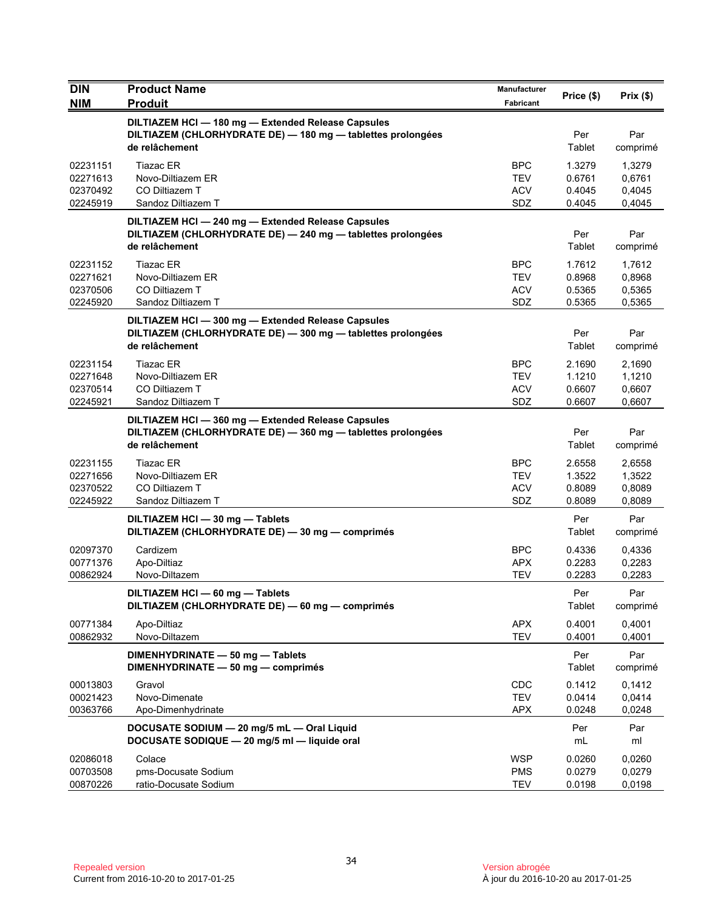| <b>DIN</b>                                   | <b>Product Name</b>                                                                                                                 | Manufacturer                                  | Price (\$)                           | Prix(\$)                             |
|----------------------------------------------|-------------------------------------------------------------------------------------------------------------------------------------|-----------------------------------------------|--------------------------------------|--------------------------------------|
| <b>NIM</b>                                   | <b>Produit</b>                                                                                                                      | Fabricant                                     |                                      |                                      |
|                                              | DILTIAZEM HCI-180 mg-Extended Release Capsules<br>DILTIAZEM (CHLORHYDRATE DE) - 180 mg - tablettes prolongées<br>de relâchement     |                                               | Per<br>Tablet                        | Par<br>comprimé                      |
| 02231151<br>02271613<br>02370492<br>02245919 | <b>Tiazac ER</b><br>Novo-Diltiazem ER<br>CO Diltiazem T<br>Sandoz Diltiazem T                                                       | <b>BPC</b><br>TEV<br><b>ACV</b><br>SDZ        | 1.3279<br>0.6761<br>0.4045<br>0.4045 | 1,3279<br>0,6761<br>0,4045<br>0,4045 |
|                                              | DILTIAZEM HCI - 240 mg - Extended Release Capsules<br>DILTIAZEM (CHLORHYDRATE DE) - 240 mg - tablettes prolongées<br>de relâchement |                                               | Per<br>Tablet                        | Par<br>comprimé                      |
| 02231152<br>02271621<br>02370506<br>02245920 | <b>Tiazac ER</b><br>Novo-Diltiazem ER<br>CO Diltiazem T<br>Sandoz Diltiazem T                                                       | <b>BPC</b><br><b>TEV</b><br><b>ACV</b><br>SDZ | 1.7612<br>0.8968<br>0.5365<br>0.5365 | 1,7612<br>0,8968<br>0,5365<br>0,5365 |
|                                              | DILTIAZEM HCI-300 mg-Extended Release Capsules<br>DILTIAZEM (CHLORHYDRATE DE) - 300 mg - tablettes prolongées<br>de relâchement     |                                               | Per<br>Tablet                        | Par<br>comprimé                      |
| 02231154<br>02271648<br>02370514<br>02245921 | <b>Tiazac ER</b><br>Novo-Diltiazem ER<br>CO Diltiazem T<br>Sandoz Diltiazem T                                                       | <b>BPC</b><br>TEV<br><b>ACV</b><br>SDZ        | 2.1690<br>1.1210<br>0.6607<br>0.6607 | 2.1690<br>1,1210<br>0,6607<br>0,6607 |
|                                              | DILTIAZEM HCI-360 mg-Extended Release Capsules<br>DILTIAZEM (CHLORHYDRATE DE) - 360 mg - tablettes prolongées<br>de relâchement     |                                               | Per<br>Tablet                        | Par<br>comprimé                      |
| 02231155<br>02271656<br>02370522<br>02245922 | <b>Tiazac ER</b><br>Novo-Diltiazem ER<br>CO Diltiazem T<br>Sandoz Diltiazem T                                                       | <b>BPC</b><br><b>TEV</b><br><b>ACV</b><br>SDZ | 2.6558<br>1.3522<br>0.8089<br>0.8089 | 2,6558<br>1,3522<br>0,8089<br>0,8089 |
|                                              | DILTIAZEM HCI - 30 mg - Tablets<br>DILTIAZEM (CHLORHYDRATE DE) - 30 mg - comprimés                                                  |                                               | Per<br>Tablet                        | Par<br>comprimé                      |
| 02097370<br>00771376<br>00862924             | Cardizem<br>Apo-Diltiaz<br>Novo-Diltazem                                                                                            | <b>BPC</b><br>APX<br><b>TEV</b>               | 0.4336<br>0.2283<br>0.2283           | 0,4336<br>0,2283<br>0,2283           |
|                                              | DILTIAZEM HCI - 60 mg - Tablets<br>DILTIAZEM (CHLORHYDRATE DE) - 60 mg - comprimés                                                  |                                               | Per<br>Tablet                        | Par<br>comprimé                      |
| 00771384<br>00862932                         | Apo-Diltiaz<br>Novo-Diltazem                                                                                                        | APX<br><b>TEV</b>                             | 0.4001<br>0.4001                     | 0,4001<br>0,4001                     |
|                                              | DIMENHYDRINATE - 50 mg - Tablets<br>DIMENHYDRINATE - 50 mg - comprimés                                                              |                                               | Per<br>Tablet                        | Par<br>comprimé                      |
| 00013803<br>00021423<br>00363766             | Gravol<br>Novo-Dimenate<br>Apo-Dimenhydrinate                                                                                       | <b>CDC</b><br><b>TEV</b><br><b>APX</b>        | 0.1412<br>0.0414<br>0.0248           | 0,1412<br>0,0414<br>0,0248           |
|                                              | DOCUSATE SODIUM - 20 mg/5 mL - Oral Liquid<br>DOCUSATE SODIQUE - 20 mg/5 ml - liquide oral                                          |                                               | Per<br>mL                            | Par<br>ml                            |
| 02086018<br>00703508<br>00870226             | Colace<br>pms-Docusate Sodium<br>ratio-Docusate Sodium                                                                              | <b>WSP</b><br><b>PMS</b><br><b>TEV</b>        | 0.0260<br>0.0279<br>0.0198           | 0,0260<br>0,0279<br>0,0198           |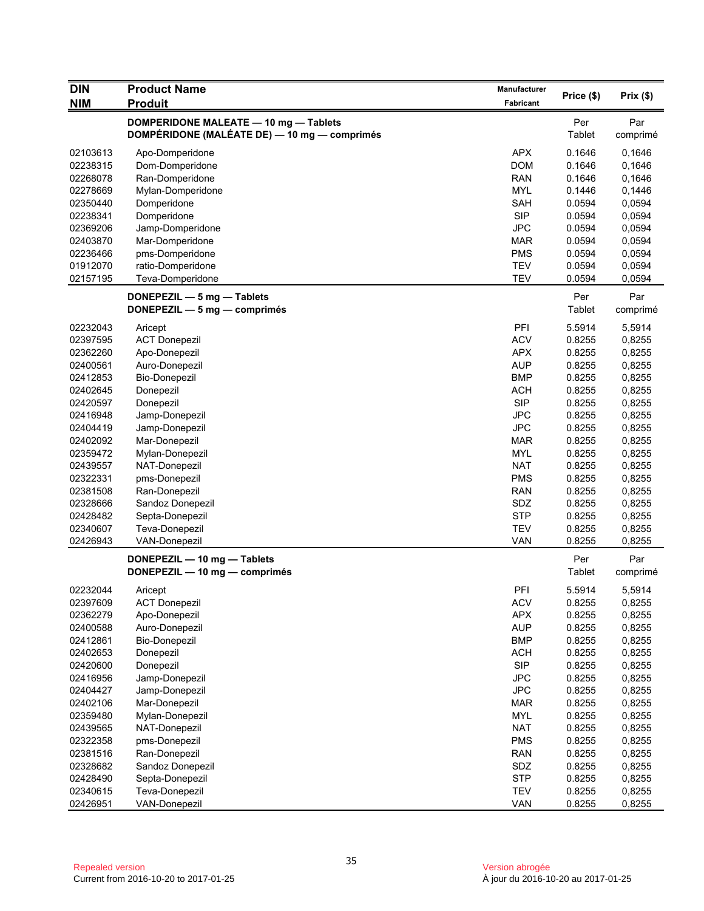| Price (\$)<br>Prix(\$)<br><b>NIM</b><br><b>Produit</b><br>Fabricant<br>DOMPERIDONE MALEATE - 10 mg - Tablets<br>Per<br>Par<br>DOMPÉRIDONE (MALÉATE DE) - 10 mg - comprimés<br>Tablet<br>comprimé<br><b>APX</b><br>0.1646<br>02103613<br>Apo-Domperidone<br>0,1646<br><b>DOM</b><br>02238315<br>Dom-Domperidone<br>0.1646<br>0,1646<br><b>RAN</b><br>02268078<br>Ran-Domperidone<br>0.1646<br>0,1646<br><b>MYL</b><br>02278669<br>Mylan-Domperidone<br>0.1446<br>0,1446<br>SAH<br>0,0594<br>02350440<br>Domperidone<br>0.0594<br><b>SIP</b><br>0,0594<br>02238341<br>Domperidone<br>0.0594<br><b>JPC</b><br>0,0594<br>02369206<br>Jamp-Domperidone<br>0.0594<br>02403870<br>Mar-Domperidone<br>MAR<br>0.0594<br>0,0594<br><b>PMS</b><br>02236466<br>pms-Domperidone<br>0.0594<br>0,0594<br>01912070<br><b>TEV</b><br>0,0594<br>ratio-Domperidone<br>0.0594<br>02157195<br><b>TEV</b><br>0.0594<br>Teva-Domperidone<br>0,0594 |  |
|-----------------------------------------------------------------------------------------------------------------------------------------------------------------------------------------------------------------------------------------------------------------------------------------------------------------------------------------------------------------------------------------------------------------------------------------------------------------------------------------------------------------------------------------------------------------------------------------------------------------------------------------------------------------------------------------------------------------------------------------------------------------------------------------------------------------------------------------------------------------------------------------------------------------------------|--|
|                                                                                                                                                                                                                                                                                                                                                                                                                                                                                                                                                                                                                                                                                                                                                                                                                                                                                                                             |  |
|                                                                                                                                                                                                                                                                                                                                                                                                                                                                                                                                                                                                                                                                                                                                                                                                                                                                                                                             |  |
|                                                                                                                                                                                                                                                                                                                                                                                                                                                                                                                                                                                                                                                                                                                                                                                                                                                                                                                             |  |
|                                                                                                                                                                                                                                                                                                                                                                                                                                                                                                                                                                                                                                                                                                                                                                                                                                                                                                                             |  |
|                                                                                                                                                                                                                                                                                                                                                                                                                                                                                                                                                                                                                                                                                                                                                                                                                                                                                                                             |  |
|                                                                                                                                                                                                                                                                                                                                                                                                                                                                                                                                                                                                                                                                                                                                                                                                                                                                                                                             |  |
|                                                                                                                                                                                                                                                                                                                                                                                                                                                                                                                                                                                                                                                                                                                                                                                                                                                                                                                             |  |
|                                                                                                                                                                                                                                                                                                                                                                                                                                                                                                                                                                                                                                                                                                                                                                                                                                                                                                                             |  |
|                                                                                                                                                                                                                                                                                                                                                                                                                                                                                                                                                                                                                                                                                                                                                                                                                                                                                                                             |  |
|                                                                                                                                                                                                                                                                                                                                                                                                                                                                                                                                                                                                                                                                                                                                                                                                                                                                                                                             |  |
|                                                                                                                                                                                                                                                                                                                                                                                                                                                                                                                                                                                                                                                                                                                                                                                                                                                                                                                             |  |
|                                                                                                                                                                                                                                                                                                                                                                                                                                                                                                                                                                                                                                                                                                                                                                                                                                                                                                                             |  |
|                                                                                                                                                                                                                                                                                                                                                                                                                                                                                                                                                                                                                                                                                                                                                                                                                                                                                                                             |  |
|                                                                                                                                                                                                                                                                                                                                                                                                                                                                                                                                                                                                                                                                                                                                                                                                                                                                                                                             |  |
|                                                                                                                                                                                                                                                                                                                                                                                                                                                                                                                                                                                                                                                                                                                                                                                                                                                                                                                             |  |
| Per<br>Par<br>DONEPEZIL - 5 mg - Tablets                                                                                                                                                                                                                                                                                                                                                                                                                                                                                                                                                                                                                                                                                                                                                                                                                                                                                    |  |
| Tablet<br>comprimé<br>DONEPEZIL $-5$ mg $-$ comprimes                                                                                                                                                                                                                                                                                                                                                                                                                                                                                                                                                                                                                                                                                                                                                                                                                                                                       |  |
| PFI<br>5.5914<br>02232043<br>5,5914<br>Aricept                                                                                                                                                                                                                                                                                                                                                                                                                                                                                                                                                                                                                                                                                                                                                                                                                                                                              |  |
| <b>ACT Donepezil</b><br><b>ACV</b><br>0,8255<br>02397595<br>0.8255                                                                                                                                                                                                                                                                                                                                                                                                                                                                                                                                                                                                                                                                                                                                                                                                                                                          |  |
| <b>APX</b><br>0,8255<br>02362260<br>Apo-Donepezil<br>0.8255                                                                                                                                                                                                                                                                                                                                                                                                                                                                                                                                                                                                                                                                                                                                                                                                                                                                 |  |
| <b>AUP</b><br>02400561<br>Auro-Donepezil<br>0.8255<br>0,8255                                                                                                                                                                                                                                                                                                                                                                                                                                                                                                                                                                                                                                                                                                                                                                                                                                                                |  |
| <b>BMP</b><br>0.8255<br>02412853<br><b>Bio-Donepezil</b><br>0,8255                                                                                                                                                                                                                                                                                                                                                                                                                                                                                                                                                                                                                                                                                                                                                                                                                                                          |  |
| <b>ACH</b><br>0.8255<br>0,8255<br>02402645<br>Donepezil                                                                                                                                                                                                                                                                                                                                                                                                                                                                                                                                                                                                                                                                                                                                                                                                                                                                     |  |
| <b>SIP</b><br>0.8255<br>0,8255<br>02420597<br>Donepezil                                                                                                                                                                                                                                                                                                                                                                                                                                                                                                                                                                                                                                                                                                                                                                                                                                                                     |  |
| <b>JPC</b><br>0.8255<br>0,8255<br>02416948<br>Jamp-Donepezil                                                                                                                                                                                                                                                                                                                                                                                                                                                                                                                                                                                                                                                                                                                                                                                                                                                                |  |
| <b>JPC</b><br>0.8255<br>0,8255<br>02404419<br>Jamp-Donepezil                                                                                                                                                                                                                                                                                                                                                                                                                                                                                                                                                                                                                                                                                                                                                                                                                                                                |  |
| <b>MAR</b><br>02402092<br>Mar-Donepezil<br>0.8255<br>0,8255                                                                                                                                                                                                                                                                                                                                                                                                                                                                                                                                                                                                                                                                                                                                                                                                                                                                 |  |
| <b>MYL</b><br>02359472<br>Mylan-Donepezil<br>0.8255<br>0,8255                                                                                                                                                                                                                                                                                                                                                                                                                                                                                                                                                                                                                                                                                                                                                                                                                                                               |  |
| <b>NAT</b><br>0.8255<br>0,8255<br>02439557<br>NAT-Donepezil                                                                                                                                                                                                                                                                                                                                                                                                                                                                                                                                                                                                                                                                                                                                                                                                                                                                 |  |
| <b>PMS</b><br>0.8255<br>0,8255<br>02322331<br>pms-Donepezil                                                                                                                                                                                                                                                                                                                                                                                                                                                                                                                                                                                                                                                                                                                                                                                                                                                                 |  |
| 0,8255<br>02381508<br>Ran-Donepezil<br>RAN<br>0.8255                                                                                                                                                                                                                                                                                                                                                                                                                                                                                                                                                                                                                                                                                                                                                                                                                                                                        |  |
| SDZ<br>02328666<br>Sandoz Donepezil<br>0.8255<br>0,8255                                                                                                                                                                                                                                                                                                                                                                                                                                                                                                                                                                                                                                                                                                                                                                                                                                                                     |  |
| <b>STP</b><br>0.8255<br>02428482<br>Septa-Donepezil<br>0,8255                                                                                                                                                                                                                                                                                                                                                                                                                                                                                                                                                                                                                                                                                                                                                                                                                                                               |  |
| Teva-Donepezil<br><b>TEV</b><br>0.8255<br>02340607<br>0,8255                                                                                                                                                                                                                                                                                                                                                                                                                                                                                                                                                                                                                                                                                                                                                                                                                                                                |  |
| <b>VAN</b><br>0.8255<br>02426943<br>VAN-Donepezil<br>0,8255                                                                                                                                                                                                                                                                                                                                                                                                                                                                                                                                                                                                                                                                                                                                                                                                                                                                 |  |
| Per<br>Par<br>DONEPEZIL - 10 mg - Tablets                                                                                                                                                                                                                                                                                                                                                                                                                                                                                                                                                                                                                                                                                                                                                                                                                                                                                   |  |
| DONEPEZIL - 10 mg - comprimés<br>Tablet<br>comprimé                                                                                                                                                                                                                                                                                                                                                                                                                                                                                                                                                                                                                                                                                                                                                                                                                                                                         |  |
| 02232044<br>PFI<br>5.5914<br>5,5914<br>Aricept                                                                                                                                                                                                                                                                                                                                                                                                                                                                                                                                                                                                                                                                                                                                                                                                                                                                              |  |
| <b>ACV</b><br>0.8255<br>0,8255<br>02397609<br><b>ACT Donepezil</b>                                                                                                                                                                                                                                                                                                                                                                                                                                                                                                                                                                                                                                                                                                                                                                                                                                                          |  |
| <b>APX</b><br>0,8255<br>02362279<br>Apo-Donepezil<br>0.8255                                                                                                                                                                                                                                                                                                                                                                                                                                                                                                                                                                                                                                                                                                                                                                                                                                                                 |  |
| <b>AUP</b><br>Auro-Donepezil<br>0.8255<br>0,8255<br>02400588                                                                                                                                                                                                                                                                                                                                                                                                                                                                                                                                                                                                                                                                                                                                                                                                                                                                |  |
| <b>BMP</b><br>02412861<br>Bio-Donepezil<br>0.8255<br>0,8255                                                                                                                                                                                                                                                                                                                                                                                                                                                                                                                                                                                                                                                                                                                                                                                                                                                                 |  |
| <b>ACH</b><br>02402653<br>Donepezil<br>0.8255<br>0,8255                                                                                                                                                                                                                                                                                                                                                                                                                                                                                                                                                                                                                                                                                                                                                                                                                                                                     |  |
| <b>SIP</b><br>0,8255<br>Donepezil<br>0.8255<br>02420600                                                                                                                                                                                                                                                                                                                                                                                                                                                                                                                                                                                                                                                                                                                                                                                                                                                                     |  |
| 02416956<br>Jamp-Donepezil<br><b>JPC</b><br>0.8255<br>0,8255                                                                                                                                                                                                                                                                                                                                                                                                                                                                                                                                                                                                                                                                                                                                                                                                                                                                |  |
| JPC<br>Jamp-Donepezil<br>0.8255<br>0,8255<br>02404427                                                                                                                                                                                                                                                                                                                                                                                                                                                                                                                                                                                                                                                                                                                                                                                                                                                                       |  |
| <b>MAR</b><br>0.8255<br>0,8255<br>02402106<br>Mar-Donepezil                                                                                                                                                                                                                                                                                                                                                                                                                                                                                                                                                                                                                                                                                                                                                                                                                                                                 |  |
| <b>MYL</b><br>02359480<br>Mylan-Donepezil<br>0.8255<br>0,8255                                                                                                                                                                                                                                                                                                                                                                                                                                                                                                                                                                                                                                                                                                                                                                                                                                                               |  |
| <b>NAT</b><br>0.8255<br>0,8255<br>02439565<br>NAT-Donepezil                                                                                                                                                                                                                                                                                                                                                                                                                                                                                                                                                                                                                                                                                                                                                                                                                                                                 |  |
| <b>PMS</b><br>0,8255<br>02322358<br>pms-Donepezil<br>0.8255                                                                                                                                                                                                                                                                                                                                                                                                                                                                                                                                                                                                                                                                                                                                                                                                                                                                 |  |
| 0,8255<br>02381516<br>Ran-Donepezil<br><b>RAN</b><br>0.8255                                                                                                                                                                                                                                                                                                                                                                                                                                                                                                                                                                                                                                                                                                                                                                                                                                                                 |  |
| 02328682<br>Sandoz Donepezil<br>SDZ<br>0.8255<br>0,8255                                                                                                                                                                                                                                                                                                                                                                                                                                                                                                                                                                                                                                                                                                                                                                                                                                                                     |  |
| <b>STP</b><br>02428490<br>0.8255<br>0,8255<br>Septa-Donepezil                                                                                                                                                                                                                                                                                                                                                                                                                                                                                                                                                                                                                                                                                                                                                                                                                                                               |  |
| <b>TEV</b><br>02340615<br>Teva-Donepezil<br>0.8255<br>0,8255                                                                                                                                                                                                                                                                                                                                                                                                                                                                                                                                                                                                                                                                                                                                                                                                                                                                |  |
| 02426951<br>VAN-Donepezil<br>VAN<br>0.8255<br>0,8255                                                                                                                                                                                                                                                                                                                                                                                                                                                                                                                                                                                                                                                                                                                                                                                                                                                                        |  |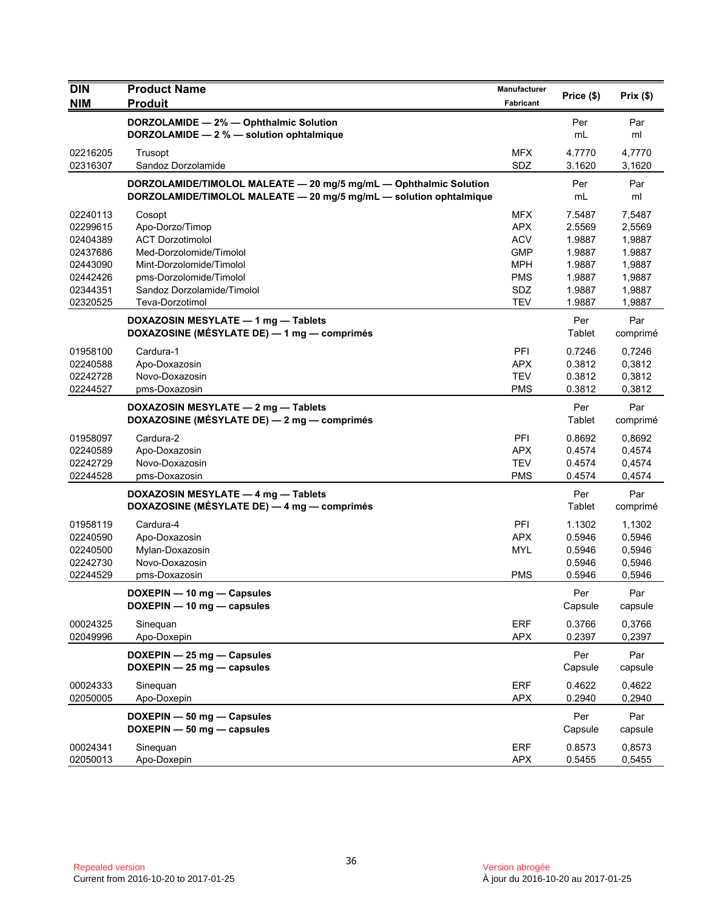| <b>DIN</b>           | <b>Product Name</b>                                                | Manufacturer      | Price (\$)       | Prix $(\$)$      |
|----------------------|--------------------------------------------------------------------|-------------------|------------------|------------------|
| <b>NIM</b>           | <b>Produit</b>                                                     | Fabricant         |                  |                  |
|                      | DORZOLAMIDE - 2% - Ophthalmic Solution                             |                   | Per              | Par              |
|                      | DORZOLAMIDE - 2 % - solution ophtalmique                           |                   | mL               | ml               |
| 02216205             | Trusopt                                                            | <b>MFX</b>        | 4.7770           | 4,7770           |
| 02316307             | Sandoz Dorzolamide                                                 | SDZ               | 3.1620           | 3,1620           |
|                      | DORZOLAMIDE/TIMOLOL MALEATE - 20 mg/5 mg/mL - Ophthalmic Solution  |                   | Per              | Par              |
|                      | DORZOLAMIDE/TIMOLOL MALEATE - 20 mg/5 mg/mL - solution ophtalmique |                   | mL               | ml               |
| 02240113             | Cosopt                                                             | <b>MFX</b>        | 7.5487           | 7,5487           |
| 02299615             | Apo-Dorzo/Timop                                                    | <b>APX</b>        | 2.5569           | 2,5569           |
| 02404389             | <b>ACT Dorzotimolol</b>                                            | <b>ACV</b>        | 1.9887           | 1,9887           |
| 02437686             | Med-Dorzolomide/Timolol                                            | <b>GMP</b>        | 1.9887           | 1.9887           |
| 02443090             | Mint-Dorzolomide/Timolol                                           | <b>MPH</b>        | 1.9887           | 1,9887           |
| 02442426             | pms-Dorzolomide/Timolol                                            | <b>PMS</b>        | 1.9887           | 1,9887           |
| 02344351<br>02320525 | Sandoz Dorzolamide/Timolol<br>Teva-Dorzotimol                      | SDZ<br><b>TEV</b> | 1.9887<br>1.9887 | 1,9887<br>1,9887 |
|                      |                                                                    |                   |                  |                  |
|                      | DOXAZOSIN MESYLATE - 1 mg - Tablets                                |                   | Per              | Par              |
|                      | DOXAZOSINE (MÉSYLATE DE) - 1 mg - comprimés                        |                   | Tablet           | comprimé         |
| 01958100             | Cardura-1                                                          | PFI               | 0.7246           | 0,7246           |
| 02240588             | Apo-Doxazosin                                                      | <b>APX</b>        | 0.3812           | 0,3812           |
| 02242728             | Novo-Doxazosin                                                     | <b>TEV</b>        | 0.3812           | 0,3812           |
| 02244527             | pms-Doxazosin                                                      | <b>PMS</b>        | 0.3812           | 0,3812           |
|                      | DOXAZOSIN MESYLATE - 2 mg - Tablets                                |                   | Per              | Par              |
|                      | DOXAZOSINE (MÉSYLATE DE) - 2 mg - comprimés                        |                   | Tablet           | comprimé         |
| 01958097             | Cardura-2                                                          | PFI               | 0.8692           | 0,8692           |
| 02240589             | Apo-Doxazosin                                                      | <b>APX</b>        | 0.4574           | 0,4574           |
| 02242729             | Novo-Doxazosin                                                     | <b>TEV</b>        | 0.4574           | 0,4574           |
| 02244528             | pms-Doxazosin                                                      | <b>PMS</b>        | 0.4574           | 0,4574           |
|                      | DOXAZOSIN MESYLATE - 4 mg - Tablets                                |                   | Per              | Par              |
|                      | DOXAZOSINE (MÉSYLATE DE) — 4 mg — comprimés                        |                   | Tablet           | comprimé         |
| 01958119             | Cardura-4                                                          | PFI               | 1.1302           | 1,1302           |
| 02240590             | Apo-Doxazosin                                                      | <b>APX</b>        | 0.5946           | 0,5946           |
| 02240500             | Mylan-Doxazosin                                                    | <b>MYL</b>        | 0.5946           | 0,5946           |
| 02242730             | Novo-Doxazosin                                                     |                   | 0.5946           | 0,5946           |
| 02244529             | pms-Doxazosin                                                      | <b>PMS</b>        | 0.5946           | 0,5946           |
|                      | DOXEPIN - 10 mg - Capsules                                         |                   | Per              | Par              |
|                      | DOXEPIN - 10 mg - capsules                                         |                   | Capsule          | capsule          |
| 00024325             | Sinequan                                                           | ERF               | 0.3766           | 0,3766           |
| 02049996             | Apo-Doxepin                                                        | <b>APX</b>        | 0.2397           | 0,2397           |
|                      |                                                                    |                   |                  |                  |
|                      | DOXEPIN - 25 mg - Capsules                                         |                   | Per              | Par              |
|                      | DOXEPIN $-$ 25 mg $-$ capsules                                     |                   | Capsule          | capsule          |
| 00024333             | Sineguan                                                           | <b>ERF</b>        | 0.4622           | 0,4622           |
| 02050005             | Apo-Doxepin                                                        | <b>APX</b>        | 0.2940           | 0,2940           |
|                      | DOXEPIN - 50 mg - Capsules                                         |                   | Per              | Par              |
|                      | DOXEPIN - 50 mg - capsules                                         |                   | Capsule          | capsule          |
| 00024341             | Sinequan                                                           | <b>ERF</b>        | 0.8573           | 0,8573           |
| 02050013             | Apo-Doxepin                                                        | <b>APX</b>        | 0.5455           | 0,5455           |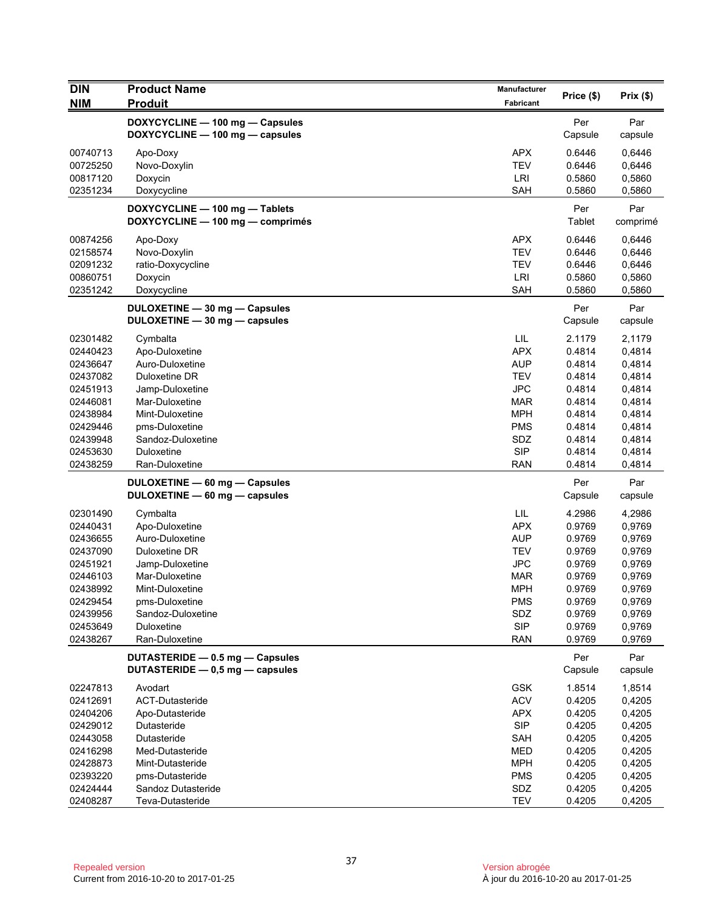| <b>DIN</b><br><b>NIM</b>                                                                                                                                                                                                                                 | <b>Product Name</b><br><b>Produit</b>                                                                                                                                                                                                                                                                                                                                                                                                          | Manufacturer<br>Fabricant                                                                                                                                                                                                                         | Price (\$)                                                                                                                                                                                                                       | Prix(\$)                                                                                                                                                                                                                         |
|----------------------------------------------------------------------------------------------------------------------------------------------------------------------------------------------------------------------------------------------------------|------------------------------------------------------------------------------------------------------------------------------------------------------------------------------------------------------------------------------------------------------------------------------------------------------------------------------------------------------------------------------------------------------------------------------------------------|---------------------------------------------------------------------------------------------------------------------------------------------------------------------------------------------------------------------------------------------------|----------------------------------------------------------------------------------------------------------------------------------------------------------------------------------------------------------------------------------|----------------------------------------------------------------------------------------------------------------------------------------------------------------------------------------------------------------------------------|
|                                                                                                                                                                                                                                                          | DOXYCYCLINE - 100 mg - Capsules<br>DOXYCYCLINE - 100 mg - capsules                                                                                                                                                                                                                                                                                                                                                                             |                                                                                                                                                                                                                                                   | Per<br>Capsule                                                                                                                                                                                                                   | Par<br>capsule                                                                                                                                                                                                                   |
| 00740713<br>00725250<br>00817120<br>02351234                                                                                                                                                                                                             | Apo-Doxy<br>Novo-Doxylin<br>Doxycin<br>Doxycycline                                                                                                                                                                                                                                                                                                                                                                                             | <b>APX</b><br><b>TEV</b><br>LRI<br>SAH                                                                                                                                                                                                            | 0.6446<br>0.6446<br>0.5860<br>0.5860                                                                                                                                                                                             | 0,6446<br>0,6446<br>0,5860<br>0,5860                                                                                                                                                                                             |
|                                                                                                                                                                                                                                                          | DOXYCYCLINE - 100 mg - Tablets<br>DOXYCYCLINE - 100 mg - comprimés                                                                                                                                                                                                                                                                                                                                                                             |                                                                                                                                                                                                                                                   | Per<br>Tablet                                                                                                                                                                                                                    | Par<br>comprimé                                                                                                                                                                                                                  |
| 00874256<br>02158574<br>02091232<br>00860751<br>02351242                                                                                                                                                                                                 | Apo-Doxy<br>Novo-Doxylin<br>ratio-Doxycycline<br>Doxycin<br>Doxycycline                                                                                                                                                                                                                                                                                                                                                                        | <b>APX</b><br><b>TEV</b><br><b>TEV</b><br>LRI<br><b>SAH</b>                                                                                                                                                                                       | 0.6446<br>0.6446<br>0.6446<br>0.5860<br>0.5860                                                                                                                                                                                   | 0,6446<br>0,6446<br>0,6446<br>0,5860<br>0,5860                                                                                                                                                                                   |
|                                                                                                                                                                                                                                                          | DULOXETINE - 30 mg - Capsules<br>DULOXETINE - 30 mg - capsules                                                                                                                                                                                                                                                                                                                                                                                 |                                                                                                                                                                                                                                                   | Per<br>Capsule                                                                                                                                                                                                                   | Par<br>capsule                                                                                                                                                                                                                   |
| 02301482<br>02440423<br>02436647<br>02437082<br>02451913<br>02446081<br>02438984<br>02429446<br>02439948<br>02453630<br>02438259<br>02301490<br>02440431<br>02436655<br>02437090<br>02451921<br>02446103<br>02438992<br>02429454<br>02439956<br>02453649 | Cymbalta<br>Apo-Duloxetine<br>Auro-Duloxetine<br>Duloxetine DR<br>Jamp-Duloxetine<br>Mar-Duloxetine<br>Mint-Duloxetine<br>pms-Duloxetine<br>Sandoz-Duloxetine<br>Duloxetine<br>Ran-Duloxetine<br>DULOXETINE - 60 mg - Capsules<br>DULOXETINE - 60 mg - capsules<br>Cymbalta<br>Apo-Duloxetine<br>Auro-Duloxetine<br>Duloxetine DR<br>Jamp-Duloxetine<br>Mar-Duloxetine<br>Mint-Duloxetine<br>pms-Duloxetine<br>Sandoz-Duloxetine<br>Duloxetine | LIL<br><b>APX</b><br><b>AUP</b><br><b>TEV</b><br><b>JPC</b><br><b>MAR</b><br><b>MPH</b><br><b>PMS</b><br>SDZ<br><b>SIP</b><br><b>RAN</b><br>LIL<br><b>APX</b><br>AUP<br>TEV<br><b>JPC</b><br>MAR<br><b>MPH</b><br><b>PMS</b><br>SDZ<br><b>SIP</b> | 2.1179<br>0.4814<br>0.4814<br>0.4814<br>0.4814<br>0.4814<br>0.4814<br>0.4814<br>0.4814<br>0.4814<br>0.4814<br>Per<br>Capsule<br>4.2986<br>0.9769<br>0.9769<br>0.9769<br>0.9769<br>0.9769<br>0.9769<br>0.9769<br>0.9769<br>0.9769 | 2,1179<br>0,4814<br>0,4814<br>0,4814<br>0,4814<br>0,4814<br>0,4814<br>0,4814<br>0,4814<br>0,4814<br>0,4814<br>Par<br>capsule<br>4,2986<br>0,9769<br>0,9769<br>0,9769<br>0,9769<br>0,9769<br>0,9769<br>0,9769<br>0,9769<br>0,9769 |
| 02438267                                                                                                                                                                                                                                                 | Ran-Duloxetine<br>DUTASTERIDE - 0.5 mg - Capsules<br>DUTASTERIDE - 0.5 mg - capsules                                                                                                                                                                                                                                                                                                                                                           | <b>RAN</b>                                                                                                                                                                                                                                        | 0.9769<br>Per<br>Capsule                                                                                                                                                                                                         | 0,9769<br>Par<br>capsule                                                                                                                                                                                                         |
| 02247813<br>02412691<br>02404206<br>02429012<br>02443058<br>02416298<br>02428873<br>02393220<br>02424444                                                                                                                                                 | Avodart<br>ACT-Dutasteride<br>Apo-Dutasteride<br>Dutasteride<br>Dutasteride<br>Med-Dutasteride<br>Mint-Dutasteride<br>pms-Dutasteride<br>Sandoz Dutasteride                                                                                                                                                                                                                                                                                    | <b>GSK</b><br><b>ACV</b><br><b>APX</b><br><b>SIP</b><br><b>SAH</b><br>MED<br><b>MPH</b><br><b>PMS</b><br>SDZ                                                                                                                                      | 1.8514<br>0.4205<br>0.4205<br>0.4205<br>0.4205<br>0.4205<br>0.4205<br>0.4205<br>0.4205                                                                                                                                           | 1,8514<br>0,4205<br>0,4205<br>0,4205<br>0,4205<br>0,4205<br>0,4205<br>0,4205<br>0,4205                                                                                                                                           |
| 02408287                                                                                                                                                                                                                                                 | Teva-Dutasteride                                                                                                                                                                                                                                                                                                                                                                                                                               | <b>TEV</b>                                                                                                                                                                                                                                        | 0.4205                                                                                                                                                                                                                           | 0,4205                                                                                                                                                                                                                           |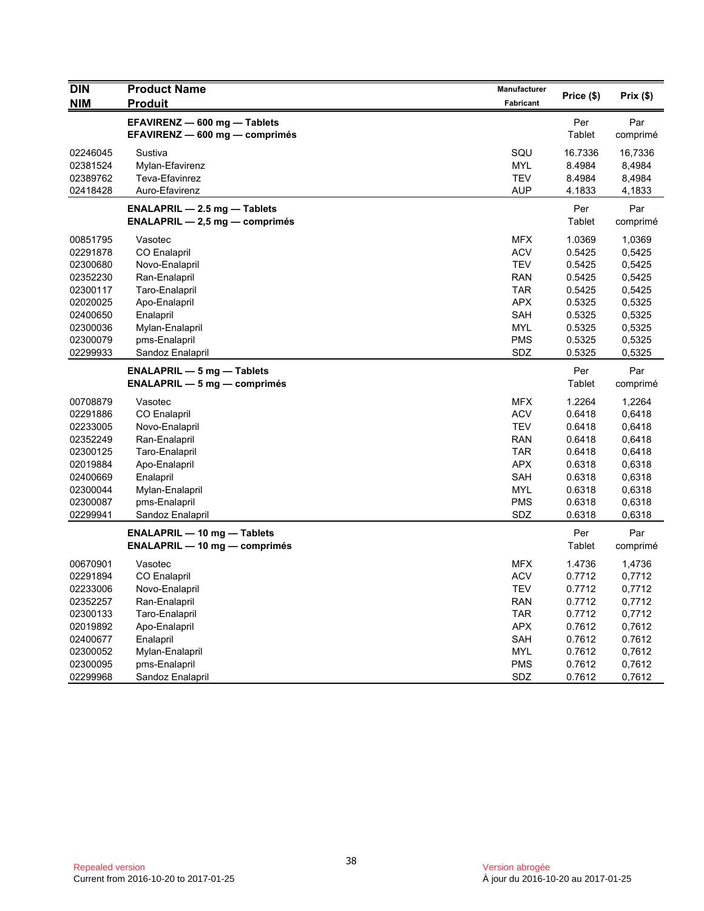| <b>DIN</b><br><b>NIM</b> | <b>Product Name</b><br><b>Produit</b>                          | <b>Manufacturer</b><br>Fabricant | Price (\$)    | Prix(\$)        |
|--------------------------|----------------------------------------------------------------|----------------------------------|---------------|-----------------|
|                          |                                                                |                                  |               |                 |
|                          | EFAVIRENZ - 600 mg - Tablets<br>EFAVIRENZ - 600 mg - comprimés |                                  | Per<br>Tablet | Par<br>comprimé |
| 02246045                 | Sustiva                                                        | SQU                              | 16.7336       | 16,7336         |
| 02381524                 | Mylan-Efavirenz                                                | <b>MYL</b>                       | 8.4984        | 8,4984          |
| 02389762                 | Teva-Efavinrez                                                 | <b>TEV</b>                       | 8.4984        | 8,4984          |
| 02418428                 | Auro-Efavirenz                                                 | <b>AUP</b>                       | 4.1833        | 4,1833          |
|                          | <b>ENALAPRIL - 2.5 mg - Tablets</b>                            |                                  | Per           | Par             |
|                          | $ENALAPRIL - 2,5 mg - comprimés$                               |                                  | Tablet        | comprimé        |
| 00851795                 | Vasotec                                                        | <b>MFX</b>                       | 1.0369        | 1,0369          |
| 02291878                 | <b>CO Enalapril</b>                                            | <b>ACV</b>                       | 0.5425        | 0,5425          |
| 02300680                 | Novo-Enalapril                                                 | <b>TEV</b>                       | 0.5425        | 0,5425          |
| 02352230                 | Ran-Enalapril                                                  | <b>RAN</b>                       | 0.5425        | 0,5425          |
| 02300117                 | Taro-Enalapril                                                 | TAR                              | 0.5425        | 0,5425          |
| 02020025                 | Apo-Enalapril                                                  | <b>APX</b>                       | 0.5325        | 0,5325          |
| 02400650                 | Enalapril                                                      | <b>SAH</b>                       | 0.5325        | 0,5325          |
| 02300036                 | Mylan-Enalapril                                                | <b>MYL</b>                       | 0.5325        | 0,5325          |
| 02300079                 | pms-Enalapril                                                  | <b>PMS</b>                       | 0.5325        | 0,5325          |
| 02299933                 | Sandoz Enalapril                                               | SDZ                              | 0.5325        | 0,5325          |
|                          | <b>ENALAPRIL - 5 mg - Tablets</b>                              |                                  | Per           | Par             |
|                          | $ENALAPRIL - 5 mg - comprimés$                                 |                                  | Tablet        | comprimé        |
| 00708879                 | Vasotec                                                        | <b>MFX</b>                       | 1.2264        | 1,2264          |
| 02291886                 | <b>CO Enalapril</b>                                            | <b>ACV</b>                       | 0.6418        | 0,6418          |
| 02233005                 | Novo-Enalapril                                                 | <b>TEV</b>                       | 0.6418        | 0,6418          |
| 02352249                 | Ran-Enalapril                                                  | <b>RAN</b>                       | 0.6418        | 0,6418          |
| 02300125                 | Taro-Enalapril                                                 | <b>TAR</b>                       | 0.6418        | 0,6418          |
| 02019884                 | Apo-Enalapril                                                  | <b>APX</b>                       | 0.6318        | 0,6318          |
| 02400669                 | Enalapril                                                      | <b>SAH</b>                       | 0.6318        | 0,6318          |
| 02300044                 | Mylan-Enalapril                                                | <b>MYL</b>                       | 0.6318        | 0,6318          |
| 02300087                 | pms-Enalapril                                                  | <b>PMS</b>                       | 0.6318        | 0,6318          |
| 02299941                 | Sandoz Enalapril                                               | SDZ                              | 0.6318        | 0,6318          |
|                          | <b>ENALAPRIL - 10 mg - Tablets</b>                             |                                  | Per           | Par             |
|                          | <b>ENALAPRIL - 10 mg - comprimés</b>                           |                                  | Tablet        | comprimé        |
| 00670901                 | Vasotec                                                        | <b>MFX</b>                       | 1.4736        | 1,4736          |
| 02291894                 | CO Enalapril                                                   | <b>ACV</b>                       | 0.7712        | 0,7712          |
| 02233006                 | Novo-Enalapril                                                 | <b>TEV</b>                       | 0.7712        | 0,7712          |
| 02352257                 | Ran-Enalapril                                                  | <b>RAN</b>                       | 0.7712        | 0,7712          |
| 02300133                 | Taro-Enalapril                                                 | <b>TAR</b>                       | 0.7712        | 0,7712          |
| 02019892                 | Apo-Enalapril                                                  | <b>APX</b>                       | 0.7612        | 0,7612          |
| 02400677                 | Enalapril                                                      | SAH                              | 0.7612        | 0.7612          |
| 02300052                 | Mylan-Enalapril                                                | <b>MYL</b>                       | 0.7612        | 0,7612          |
| 02300095                 | pms-Enalapril                                                  | <b>PMS</b>                       | 0.7612        | 0,7612          |
| 02299968                 | Sandoz Enalapril                                               | SDZ                              | 0.7612        | 0,7612          |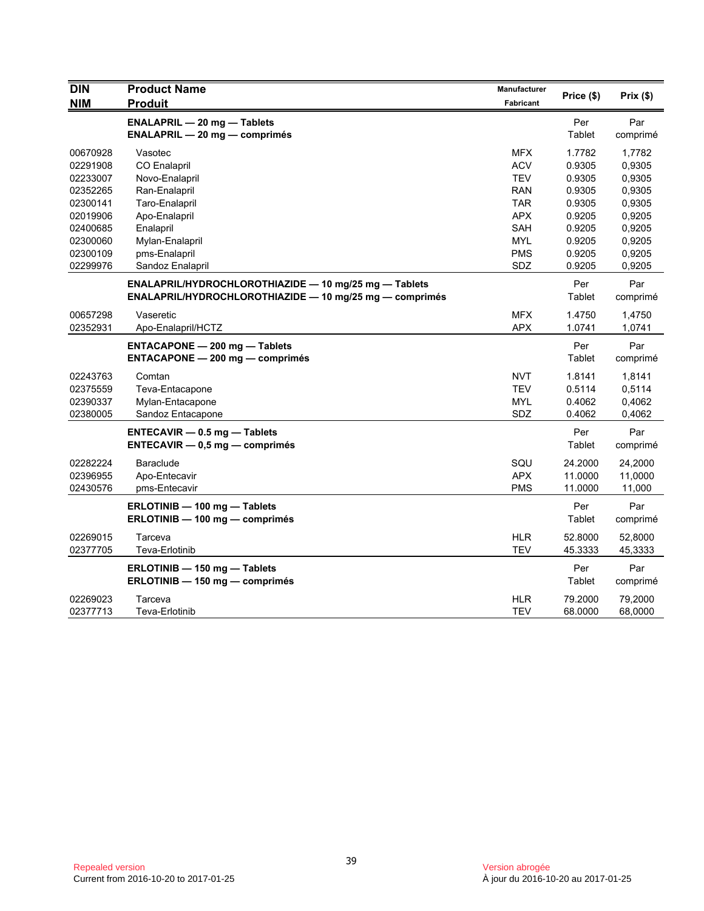| <b>NIM</b><br><b>Produit</b><br>Fabricant<br><b>ENALAPRIL - 20 mg - Tablets</b><br>Per<br>Par<br><b>ENALAPRIL - 20 mg - comprimés</b><br>Tablet<br>comprimé<br><b>MFX</b><br>00670928<br>Vasotec<br>1.7782<br>1,7782<br>02291908<br>CO Enalapril<br><b>ACV</b><br>0.9305<br>0,9305<br>0.9305<br>02233007<br><b>TEV</b><br>0,9305<br>Novo-Enalapril<br>02352265<br>Ran-Enalapril<br><b>RAN</b><br>0.9305<br>0,9305<br><b>TAR</b><br>02300141<br>Taro-Enalapril<br>0.9305<br>0,9305<br><b>APX</b><br>0,9205<br>02019906<br>Apo-Enalapril<br>0.9205<br>02400685<br>Enalapril<br><b>SAH</b><br>0.9205<br>0,9205<br>02300060<br>Mylan-Enalapril<br>MYL<br>0.9205<br>0,9205<br>02300109<br>pms-Enalapril<br><b>PMS</b><br>0.9205<br>0,9205<br>SDZ<br>02299976<br>Sandoz Enalapril<br>0.9205<br>0,9205<br>ENALAPRIL/HYDROCHLOROTHIAZIDE - 10 mg/25 mg - Tablets<br>Per<br>Par<br>Tablet<br>ENALAPRIL/HYDROCHLOROTHIAZIDE - 10 mg/25 mg - comprimés<br>comprimé<br>00657298<br>Vaseretic<br><b>MFX</b><br>1.4750<br>1,4750<br>02352931<br><b>APX</b><br>1.0741<br>Apo-Enalapril/HCTZ<br>1,0741<br>Per<br>Par<br><b>ENTACAPONE - 200 mg - Tablets</b><br><b>ENTACAPONE - 200 mg - comprimés</b><br>Tablet<br>comprimé<br><b>NVT</b><br>1.8141<br>02243763<br>Comtan<br>1,8141<br>02375559<br><b>TEV</b><br>0.5114<br>0,5114<br>Teva-Entacapone<br>0.4062<br>02390337<br>Mylan-Entacapone<br>MYL<br>0,4062<br>02380005<br>Sandoz Entacapone<br>SDZ<br>0.4062<br>0,4062<br>Per<br>Par<br><b>ENTECAVIR - 0.5 mg - Tablets</b><br>Tablet<br>$ENTER = 0.5$ mg - comprimés<br>comprimé<br>02282224<br>SQU<br>24.2000<br>24,2000<br><b>Baraclude</b><br>02396955<br><b>APX</b><br>Apo-Entecavir<br>11.0000<br>11,0000<br>02430576<br><b>PMS</b><br>pms-Entecavir<br>11.0000<br>11,000<br>Per<br>ERLOTINIB - 100 mg - Tablets<br>Par<br>Tablet<br>ERLOTINIB - 100 mg - comprimés<br>comprimé<br>02269015<br><b>HLR</b><br>52.8000<br>Tarceva<br>52,8000<br><b>TEV</b><br>02377705<br>Teva-Erlotinib<br>45.3333<br>45,3333<br>Per<br>ERLOTINIB - 150 mg - Tablets<br>Par<br>ERLOTINIB - 150 mg - comprimés<br>Tablet<br>comprimé<br><b>HLR</b><br>79.2000<br>79,2000<br>02269023<br>Tarceva<br>02377713<br><b>TEV</b><br>68.0000<br>Teva-Erlotinib<br>68,0000 | <b>DIN</b> | <b>Product Name</b> | <b>Manufacturer</b> | Price (\$) | Prix(\$) |
|---------------------------------------------------------------------------------------------------------------------------------------------------------------------------------------------------------------------------------------------------------------------------------------------------------------------------------------------------------------------------------------------------------------------------------------------------------------------------------------------------------------------------------------------------------------------------------------------------------------------------------------------------------------------------------------------------------------------------------------------------------------------------------------------------------------------------------------------------------------------------------------------------------------------------------------------------------------------------------------------------------------------------------------------------------------------------------------------------------------------------------------------------------------------------------------------------------------------------------------------------------------------------------------------------------------------------------------------------------------------------------------------------------------------------------------------------------------------------------------------------------------------------------------------------------------------------------------------------------------------------------------------------------------------------------------------------------------------------------------------------------------------------------------------------------------------------------------------------------------------------------------------------------------------------------------------------------------------------------------------------------------------------------------------------------------------------------------------------------------------------------------------------------------------------------------------------------------------------------------------|------------|---------------------|---------------------|------------|----------|
|                                                                                                                                                                                                                                                                                                                                                                                                                                                                                                                                                                                                                                                                                                                                                                                                                                                                                                                                                                                                                                                                                                                                                                                                                                                                                                                                                                                                                                                                                                                                                                                                                                                                                                                                                                                                                                                                                                                                                                                                                                                                                                                                                                                                                                             |            |                     |                     |            |          |
|                                                                                                                                                                                                                                                                                                                                                                                                                                                                                                                                                                                                                                                                                                                                                                                                                                                                                                                                                                                                                                                                                                                                                                                                                                                                                                                                                                                                                                                                                                                                                                                                                                                                                                                                                                                                                                                                                                                                                                                                                                                                                                                                                                                                                                             |            |                     |                     |            |          |
|                                                                                                                                                                                                                                                                                                                                                                                                                                                                                                                                                                                                                                                                                                                                                                                                                                                                                                                                                                                                                                                                                                                                                                                                                                                                                                                                                                                                                                                                                                                                                                                                                                                                                                                                                                                                                                                                                                                                                                                                                                                                                                                                                                                                                                             |            |                     |                     |            |          |
|                                                                                                                                                                                                                                                                                                                                                                                                                                                                                                                                                                                                                                                                                                                                                                                                                                                                                                                                                                                                                                                                                                                                                                                                                                                                                                                                                                                                                                                                                                                                                                                                                                                                                                                                                                                                                                                                                                                                                                                                                                                                                                                                                                                                                                             |            |                     |                     |            |          |
|                                                                                                                                                                                                                                                                                                                                                                                                                                                                                                                                                                                                                                                                                                                                                                                                                                                                                                                                                                                                                                                                                                                                                                                                                                                                                                                                                                                                                                                                                                                                                                                                                                                                                                                                                                                                                                                                                                                                                                                                                                                                                                                                                                                                                                             |            |                     |                     |            |          |
|                                                                                                                                                                                                                                                                                                                                                                                                                                                                                                                                                                                                                                                                                                                                                                                                                                                                                                                                                                                                                                                                                                                                                                                                                                                                                                                                                                                                                                                                                                                                                                                                                                                                                                                                                                                                                                                                                                                                                                                                                                                                                                                                                                                                                                             |            |                     |                     |            |          |
|                                                                                                                                                                                                                                                                                                                                                                                                                                                                                                                                                                                                                                                                                                                                                                                                                                                                                                                                                                                                                                                                                                                                                                                                                                                                                                                                                                                                                                                                                                                                                                                                                                                                                                                                                                                                                                                                                                                                                                                                                                                                                                                                                                                                                                             |            |                     |                     |            |          |
|                                                                                                                                                                                                                                                                                                                                                                                                                                                                                                                                                                                                                                                                                                                                                                                                                                                                                                                                                                                                                                                                                                                                                                                                                                                                                                                                                                                                                                                                                                                                                                                                                                                                                                                                                                                                                                                                                                                                                                                                                                                                                                                                                                                                                                             |            |                     |                     |            |          |
|                                                                                                                                                                                                                                                                                                                                                                                                                                                                                                                                                                                                                                                                                                                                                                                                                                                                                                                                                                                                                                                                                                                                                                                                                                                                                                                                                                                                                                                                                                                                                                                                                                                                                                                                                                                                                                                                                                                                                                                                                                                                                                                                                                                                                                             |            |                     |                     |            |          |
|                                                                                                                                                                                                                                                                                                                                                                                                                                                                                                                                                                                                                                                                                                                                                                                                                                                                                                                                                                                                                                                                                                                                                                                                                                                                                                                                                                                                                                                                                                                                                                                                                                                                                                                                                                                                                                                                                                                                                                                                                                                                                                                                                                                                                                             |            |                     |                     |            |          |
|                                                                                                                                                                                                                                                                                                                                                                                                                                                                                                                                                                                                                                                                                                                                                                                                                                                                                                                                                                                                                                                                                                                                                                                                                                                                                                                                                                                                                                                                                                                                                                                                                                                                                                                                                                                                                                                                                                                                                                                                                                                                                                                                                                                                                                             |            |                     |                     |            |          |
|                                                                                                                                                                                                                                                                                                                                                                                                                                                                                                                                                                                                                                                                                                                                                                                                                                                                                                                                                                                                                                                                                                                                                                                                                                                                                                                                                                                                                                                                                                                                                                                                                                                                                                                                                                                                                                                                                                                                                                                                                                                                                                                                                                                                                                             |            |                     |                     |            |          |
|                                                                                                                                                                                                                                                                                                                                                                                                                                                                                                                                                                                                                                                                                                                                                                                                                                                                                                                                                                                                                                                                                                                                                                                                                                                                                                                                                                                                                                                                                                                                                                                                                                                                                                                                                                                                                                                                                                                                                                                                                                                                                                                                                                                                                                             |            |                     |                     |            |          |
|                                                                                                                                                                                                                                                                                                                                                                                                                                                                                                                                                                                                                                                                                                                                                                                                                                                                                                                                                                                                                                                                                                                                                                                                                                                                                                                                                                                                                                                                                                                                                                                                                                                                                                                                                                                                                                                                                                                                                                                                                                                                                                                                                                                                                                             |            |                     |                     |            |          |
|                                                                                                                                                                                                                                                                                                                                                                                                                                                                                                                                                                                                                                                                                                                                                                                                                                                                                                                                                                                                                                                                                                                                                                                                                                                                                                                                                                                                                                                                                                                                                                                                                                                                                                                                                                                                                                                                                                                                                                                                                                                                                                                                                                                                                                             |            |                     |                     |            |          |
|                                                                                                                                                                                                                                                                                                                                                                                                                                                                                                                                                                                                                                                                                                                                                                                                                                                                                                                                                                                                                                                                                                                                                                                                                                                                                                                                                                                                                                                                                                                                                                                                                                                                                                                                                                                                                                                                                                                                                                                                                                                                                                                                                                                                                                             |            |                     |                     |            |          |
|                                                                                                                                                                                                                                                                                                                                                                                                                                                                                                                                                                                                                                                                                                                                                                                                                                                                                                                                                                                                                                                                                                                                                                                                                                                                                                                                                                                                                                                                                                                                                                                                                                                                                                                                                                                                                                                                                                                                                                                                                                                                                                                                                                                                                                             |            |                     |                     |            |          |
|                                                                                                                                                                                                                                                                                                                                                                                                                                                                                                                                                                                                                                                                                                                                                                                                                                                                                                                                                                                                                                                                                                                                                                                                                                                                                                                                                                                                                                                                                                                                                                                                                                                                                                                                                                                                                                                                                                                                                                                                                                                                                                                                                                                                                                             |            |                     |                     |            |          |
|                                                                                                                                                                                                                                                                                                                                                                                                                                                                                                                                                                                                                                                                                                                                                                                                                                                                                                                                                                                                                                                                                                                                                                                                                                                                                                                                                                                                                                                                                                                                                                                                                                                                                                                                                                                                                                                                                                                                                                                                                                                                                                                                                                                                                                             |            |                     |                     |            |          |
|                                                                                                                                                                                                                                                                                                                                                                                                                                                                                                                                                                                                                                                                                                                                                                                                                                                                                                                                                                                                                                                                                                                                                                                                                                                                                                                                                                                                                                                                                                                                                                                                                                                                                                                                                                                                                                                                                                                                                                                                                                                                                                                                                                                                                                             |            |                     |                     |            |          |
|                                                                                                                                                                                                                                                                                                                                                                                                                                                                                                                                                                                                                                                                                                                                                                                                                                                                                                                                                                                                                                                                                                                                                                                                                                                                                                                                                                                                                                                                                                                                                                                                                                                                                                                                                                                                                                                                                                                                                                                                                                                                                                                                                                                                                                             |            |                     |                     |            |          |
|                                                                                                                                                                                                                                                                                                                                                                                                                                                                                                                                                                                                                                                                                                                                                                                                                                                                                                                                                                                                                                                                                                                                                                                                                                                                                                                                                                                                                                                                                                                                                                                                                                                                                                                                                                                                                                                                                                                                                                                                                                                                                                                                                                                                                                             |            |                     |                     |            |          |
|                                                                                                                                                                                                                                                                                                                                                                                                                                                                                                                                                                                                                                                                                                                                                                                                                                                                                                                                                                                                                                                                                                                                                                                                                                                                                                                                                                                                                                                                                                                                                                                                                                                                                                                                                                                                                                                                                                                                                                                                                                                                                                                                                                                                                                             |            |                     |                     |            |          |
|                                                                                                                                                                                                                                                                                                                                                                                                                                                                                                                                                                                                                                                                                                                                                                                                                                                                                                                                                                                                                                                                                                                                                                                                                                                                                                                                                                                                                                                                                                                                                                                                                                                                                                                                                                                                                                                                                                                                                                                                                                                                                                                                                                                                                                             |            |                     |                     |            |          |
|                                                                                                                                                                                                                                                                                                                                                                                                                                                                                                                                                                                                                                                                                                                                                                                                                                                                                                                                                                                                                                                                                                                                                                                                                                                                                                                                                                                                                                                                                                                                                                                                                                                                                                                                                                                                                                                                                                                                                                                                                                                                                                                                                                                                                                             |            |                     |                     |            |          |
|                                                                                                                                                                                                                                                                                                                                                                                                                                                                                                                                                                                                                                                                                                                                                                                                                                                                                                                                                                                                                                                                                                                                                                                                                                                                                                                                                                                                                                                                                                                                                                                                                                                                                                                                                                                                                                                                                                                                                                                                                                                                                                                                                                                                                                             |            |                     |                     |            |          |
|                                                                                                                                                                                                                                                                                                                                                                                                                                                                                                                                                                                                                                                                                                                                                                                                                                                                                                                                                                                                                                                                                                                                                                                                                                                                                                                                                                                                                                                                                                                                                                                                                                                                                                                                                                                                                                                                                                                                                                                                                                                                                                                                                                                                                                             |            |                     |                     |            |          |
|                                                                                                                                                                                                                                                                                                                                                                                                                                                                                                                                                                                                                                                                                                                                                                                                                                                                                                                                                                                                                                                                                                                                                                                                                                                                                                                                                                                                                                                                                                                                                                                                                                                                                                                                                                                                                                                                                                                                                                                                                                                                                                                                                                                                                                             |            |                     |                     |            |          |
|                                                                                                                                                                                                                                                                                                                                                                                                                                                                                                                                                                                                                                                                                                                                                                                                                                                                                                                                                                                                                                                                                                                                                                                                                                                                                                                                                                                                                                                                                                                                                                                                                                                                                                                                                                                                                                                                                                                                                                                                                                                                                                                                                                                                                                             |            |                     |                     |            |          |
|                                                                                                                                                                                                                                                                                                                                                                                                                                                                                                                                                                                                                                                                                                                                                                                                                                                                                                                                                                                                                                                                                                                                                                                                                                                                                                                                                                                                                                                                                                                                                                                                                                                                                                                                                                                                                                                                                                                                                                                                                                                                                                                                                                                                                                             |            |                     |                     |            |          |
|                                                                                                                                                                                                                                                                                                                                                                                                                                                                                                                                                                                                                                                                                                                                                                                                                                                                                                                                                                                                                                                                                                                                                                                                                                                                                                                                                                                                                                                                                                                                                                                                                                                                                                                                                                                                                                                                                                                                                                                                                                                                                                                                                                                                                                             |            |                     |                     |            |          |
|                                                                                                                                                                                                                                                                                                                                                                                                                                                                                                                                                                                                                                                                                                                                                                                                                                                                                                                                                                                                                                                                                                                                                                                                                                                                                                                                                                                                                                                                                                                                                                                                                                                                                                                                                                                                                                                                                                                                                                                                                                                                                                                                                                                                                                             |            |                     |                     |            |          |
|                                                                                                                                                                                                                                                                                                                                                                                                                                                                                                                                                                                                                                                                                                                                                                                                                                                                                                                                                                                                                                                                                                                                                                                                                                                                                                                                                                                                                                                                                                                                                                                                                                                                                                                                                                                                                                                                                                                                                                                                                                                                                                                                                                                                                                             |            |                     |                     |            |          |
|                                                                                                                                                                                                                                                                                                                                                                                                                                                                                                                                                                                                                                                                                                                                                                                                                                                                                                                                                                                                                                                                                                                                                                                                                                                                                                                                                                                                                                                                                                                                                                                                                                                                                                                                                                                                                                                                                                                                                                                                                                                                                                                                                                                                                                             |            |                     |                     |            |          |
|                                                                                                                                                                                                                                                                                                                                                                                                                                                                                                                                                                                                                                                                                                                                                                                                                                                                                                                                                                                                                                                                                                                                                                                                                                                                                                                                                                                                                                                                                                                                                                                                                                                                                                                                                                                                                                                                                                                                                                                                                                                                                                                                                                                                                                             |            |                     |                     |            |          |
|                                                                                                                                                                                                                                                                                                                                                                                                                                                                                                                                                                                                                                                                                                                                                                                                                                                                                                                                                                                                                                                                                                                                                                                                                                                                                                                                                                                                                                                                                                                                                                                                                                                                                                                                                                                                                                                                                                                                                                                                                                                                                                                                                                                                                                             |            |                     |                     |            |          |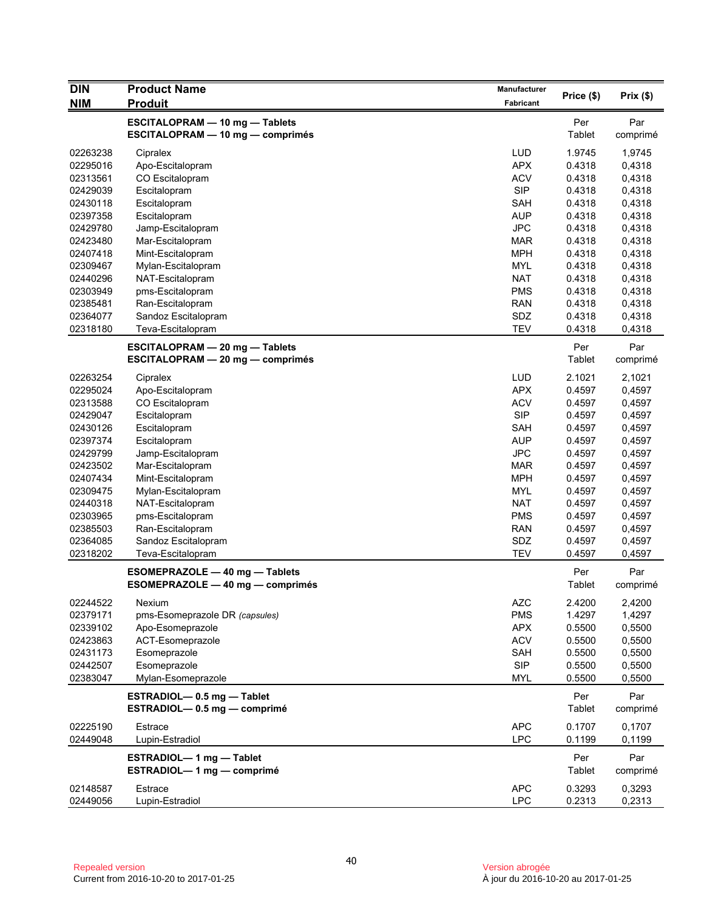| <b>DIN</b> | <b>Product Name</b>                     | Manufacturer |               |          |
|------------|-----------------------------------------|--------------|---------------|----------|
| <b>NIM</b> | <b>Produit</b>                          | Fabricant    | Price (\$)    | Prix(\$) |
|            | ESCITALOPRAM - 10 mg - Tablets          |              | Per           | Par      |
|            | <b>ESCITALOPRAM - 10 mg - comprimés</b> |              | Tablet        | comprimé |
| 02263238   | Cipralex                                | <b>LUD</b>   | 1.9745        | 1,9745   |
| 02295016   | Apo-Escitalopram                        | <b>APX</b>   | 0.4318        | 0,4318   |
| 02313561   | CO Escitalopram                         | <b>ACV</b>   | 0.4318        | 0,4318   |
| 02429039   | Escitalopram                            | <b>SIP</b>   | 0.4318        | 0,4318   |
| 02430118   | Escitalopram                            | <b>SAH</b>   | 0.4318        | 0,4318   |
| 02397358   | Escitalopram                            | <b>AUP</b>   | 0.4318        | 0,4318   |
| 02429780   | Jamp-Escitalopram                       | <b>JPC</b>   | 0.4318        | 0,4318   |
| 02423480   | Mar-Escitalopram                        | MAR          | 0.4318        | 0,4318   |
| 02407418   | Mint-Escitalopram                       | <b>MPH</b>   | 0.4318        | 0,4318   |
| 02309467   | Mylan-Escitalopram                      | <b>MYL</b>   | 0.4318        | 0,4318   |
| 02440296   | NAT-Escitalopram                        | <b>NAT</b>   | 0.4318        | 0,4318   |
| 02303949   | pms-Escitalopram                        | <b>PMS</b>   | 0.4318        | 0,4318   |
| 02385481   | Ran-Escitalopram                        | <b>RAN</b>   | 0.4318        | 0,4318   |
| 02364077   | Sandoz Escitalopram                     | SDZ          | 0.4318        | 0,4318   |
| 02318180   | Teva-Escitalopram                       | <b>TEV</b>   | 0.4318        | 0,4318   |
|            | <b>ESCITALOPRAM - 20 mg - Tablets</b>   |              | Per           | Par      |
|            | ESCITALOPRAM - 20 mg - comprimés        |              | Tablet        | comprimé |
| 02263254   | Cipralex                                | <b>LUD</b>   | 2.1021        | 2,1021   |
| 02295024   | Apo-Escitalopram                        | <b>APX</b>   | 0.4597        | 0,4597   |
| 02313588   | CO Escitalopram                         | <b>ACV</b>   | 0.4597        | 0,4597   |
| 02429047   | Escitalopram                            | <b>SIP</b>   | 0.4597        | 0,4597   |
| 02430126   | Escitalopram                            | <b>SAH</b>   | 0.4597        | 0,4597   |
| 02397374   | Escitalopram                            | AUP          | 0.4597        | 0,4597   |
| 02429799   | Jamp-Escitalopram                       | <b>JPC</b>   | 0.4597        | 0,4597   |
| 02423502   | Mar-Escitalopram                        | <b>MAR</b>   | 0.4597        | 0,4597   |
| 02407434   | Mint-Escitalopram                       | <b>MPH</b>   | 0.4597        | 0,4597   |
| 02309475   | Mylan-Escitalopram                      | <b>MYL</b>   | 0.4597        | 0,4597   |
| 02440318   | NAT-Escitalopram                        | <b>NAT</b>   | 0.4597        | 0,4597   |
| 02303965   | pms-Escitalopram                        | <b>PMS</b>   | 0.4597        | 0,4597   |
| 02385503   | Ran-Escitalopram                        | <b>RAN</b>   | 0.4597        | 0,4597   |
| 02364085   | Sandoz Escitalopram                     | SDZ          | 0.4597        | 0,4597   |
| 02318202   | Teva-Escitalopram                       | <b>TEV</b>   | 0.4597        | 0,4597   |
|            | ESOMEPRAZOLE - 40 mg - Tablets          |              | Per           | Par      |
|            | ESOMEPRAZOLE - 40 mg - comprimés        |              | <b>Tablet</b> | comprimé |
| 02244522   | Nexium                                  | <b>AZC</b>   | 2.4200        | 2,4200   |
| 02379171   | pms-Esomeprazole DR (capsules)          | <b>PMS</b>   | 1.4297        | 1,4297   |
| 02339102   | Apo-Esomeprazole                        | <b>APX</b>   | 0.5500        | 0,5500   |
| 02423863   | ACT-Esomeprazole                        | <b>ACV</b>   | 0.5500        | 0,5500   |
| 02431173   | Esomeprazole                            | <b>SAH</b>   | 0.5500        | 0,5500   |
| 02442507   | Esomeprazole                            | <b>SIP</b>   | 0.5500        | 0,5500   |
| 02383047   | Mylan-Esomeprazole                      | MYL          | 0.5500        | 0,5500   |
|            | ESTRADIOL-0.5 mg - Tablet               |              | Per           | Par      |
|            | ESTRADIOL-0.5 mg - comprimé             |              | Tablet        | comprimé |
| 02225190   | Estrace                                 | <b>APC</b>   | 0.1707        | 0,1707   |
| 02449048   | Lupin-Estradiol                         | <b>LPC</b>   | 0.1199        | 0,1199   |
|            | ESTRADIOL-1 mg - Tablet                 |              | Per           | Par      |
|            | ESTRADIOL-1 mg - comprimé               |              | Tablet        | comprimé |
| 02148587   | Estrace                                 | <b>APC</b>   | 0.3293        | 0,3293   |
| 02449056   | Lupin-Estradiol                         | <b>LPC</b>   | 0.2313        | 0,2313   |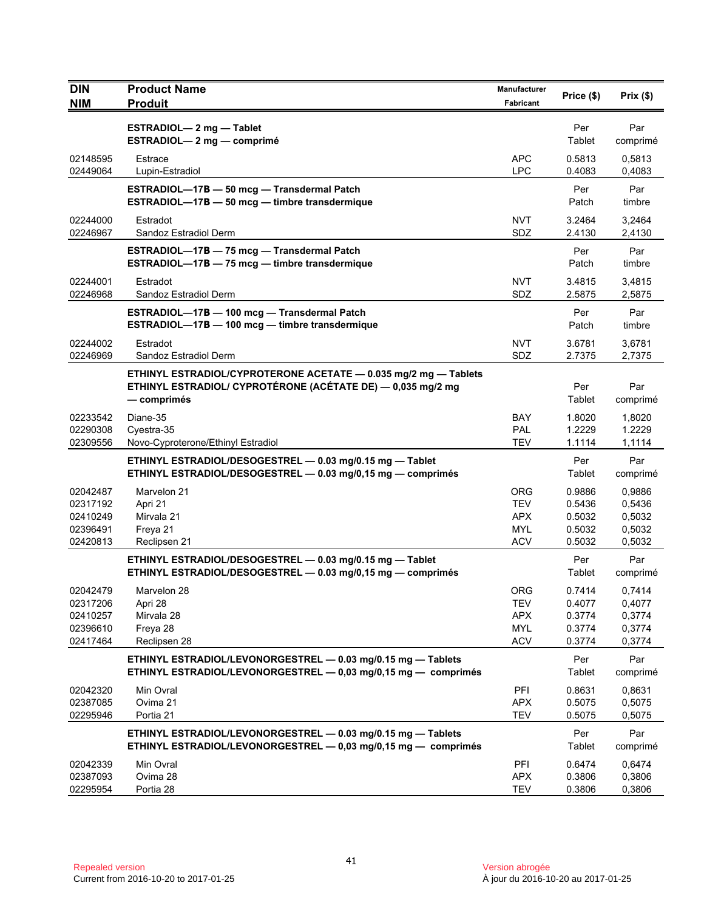| <b>DIN</b>           | <b>Product Name</b>                                                                         | Manufacturer             | Price (\$)       | Prix(\$)         |
|----------------------|---------------------------------------------------------------------------------------------|--------------------------|------------------|------------------|
| <b>NIM</b>           | <b>Produit</b>                                                                              | Fabricant                |                  |                  |
|                      | <b>ESTRADIOL-2 mg-Tablet</b>                                                                |                          | Per              | Par              |
|                      | ESTRADIOL-2 mg - comprimé                                                                   |                          | Tablet           | comprimé         |
| 02148595             | Estrace                                                                                     | <b>APC</b>               | 0.5813           | 0,5813           |
| 02449064             | Lupin-Estradiol                                                                             | <b>LPC</b>               | 0.4083           | 0,4083           |
|                      | ESTRADIOL-17B - 50 mcg - Transdermal Patch                                                  |                          | Per              | Par              |
|                      | ESTRADIOL-17B - 50 mcg - timbre transdermique                                               |                          | Patch            | timbre           |
| 02244000             | Estradot                                                                                    | <b>NVT</b>               | 3.2464           | 3,2464           |
| 02246967             | Sandoz Estradiol Derm                                                                       | SDZ                      | 2.4130           | 2,4130           |
|                      | ESTRADIOL-17B - 75 mcg - Transdermal Patch<br>ESTRADIOL-17B - 75 mcg - timbre transdermique |                          | Per<br>Patch     | Par<br>timbre    |
|                      |                                                                                             |                          |                  |                  |
| 02244001<br>02246968 | Estradot<br>Sandoz Estradiol Derm                                                           | <b>NVT</b><br>SDZ        | 3.4815<br>2.5875 | 3,4815<br>2,5875 |
|                      | ESTRADIOL-17B - 100 mcg - Transdermal Patch                                                 |                          | Per              | Par              |
|                      | ESTRADIOL-17B - 100 mcg - timbre transdermique                                              |                          | Patch            | timbre           |
| 02244002             | Estradot                                                                                    | <b>NVT</b>               | 3.6781           | 3.6781           |
| 02246969             | Sandoz Estradiol Derm                                                                       | SDZ                      | 2.7375           | 2,7375           |
|                      | ETHINYL ESTRADIOL/CYPROTERONE ACETATE - 0.035 mg/2 mg - Tablets                             |                          |                  |                  |
|                      | ETHINYL ESTRADIOL/ CYPROTÉRONE (ACÉTATE DE) - 0,035 mg/2 mg                                 |                          | Per              | Par              |
|                      | — comprimés                                                                                 |                          | Tablet           | comprimé         |
| 02233542             | Diane-35                                                                                    | <b>BAY</b>               | 1.8020           | 1,8020           |
| 02290308<br>02309556 | Cyestra-35<br>Novo-Cyproterone/Ethinyl Estradiol                                            | <b>PAL</b><br><b>TEV</b> | 1.2229<br>1.1114 | 1.2229<br>1,1114 |
|                      | ETHINYL ESTRADIOL/DESOGESTREL - 0.03 mg/0.15 mg - Tablet                                    |                          | Per              | Par              |
|                      | ETHINYL ESTRADIOL/DESOGESTREL - 0.03 mg/0,15 mg - comprimés                                 |                          | Tablet           | comprimé         |
| 02042487             | Marvelon 21                                                                                 | <b>ORG</b>               | 0.9886           | 0,9886           |
| 02317192             | Apri 21                                                                                     | <b>TEV</b>               | 0.5436           | 0,5436           |
| 02410249             | Mirvala 21                                                                                  | <b>APX</b>               | 0.5032           | 0,5032           |
| 02396491             | Freya 21                                                                                    | <b>MYL</b>               | 0.5032           | 0,5032           |
| 02420813             | Reclipsen 21                                                                                | <b>ACV</b>               | 0.5032           | 0,5032           |
|                      | ETHINYL ESTRADIOL/DESOGESTREL - 0.03 mg/0.15 mg - Tablet                                    |                          | Per              | Par              |
|                      | ETHINYL ESTRADIOL/DESOGESTREL - 0.03 mg/0,15 mg - comprimés                                 |                          | Tablet           | comprimé         |
| 02042479             | Marvelon 28                                                                                 | <b>ORG</b>               | 0.7414           | 0,7414           |
| 02317206<br>02410257 | Apri 28<br>Mirvala 28                                                                       | <b>TEV</b><br><b>APX</b> | 0.4077<br>0.3774 | 0,4077<br>0,3774 |
| 02396610             | Freya 28                                                                                    | <b>MYL</b>               | 0.3774           | 0,3774           |
| 02417464             | Reclipsen 28                                                                                | <b>ACV</b>               | 0.3774           | 0,3774           |
|                      | ETHINYL ESTRADIOL/LEVONORGESTREL - 0.03 mg/0.15 mg - Tablets                                |                          | Per              | Par              |
|                      | ETHINYL ESTRADIOL/LEVONORGESTREL - 0,03 mg/0,15 mg - comprimés                              |                          | Tablet           | comprimé         |
| 02042320             | Min Ovral                                                                                   | PFI                      | 0.8631           | 0,8631           |
| 02387085             | Ovima 21                                                                                    | <b>APX</b>               | 0.5075           | 0,5075           |
| 02295946             | Portia 21                                                                                   | <b>TEV</b>               | 0.5075           | 0,5075           |
|                      | ETHINYL ESTRADIOL/LEVONORGESTREL - 0.03 mg/0.15 mg - Tablets                                |                          | Per              | Par              |
|                      | ETHINYL ESTRADIOL/LEVONORGESTREL - 0,03 mg/0,15 mg - comprimés                              |                          | Tablet           | comprimé         |
| 02042339             | Min Ovral                                                                                   | PFI                      | 0.6474           | 0,6474           |
| 02387093<br>02295954 | Ovima 28<br>Portia 28                                                                       | <b>APX</b><br><b>TEV</b> | 0.3806<br>0.3806 | 0,3806<br>0,3806 |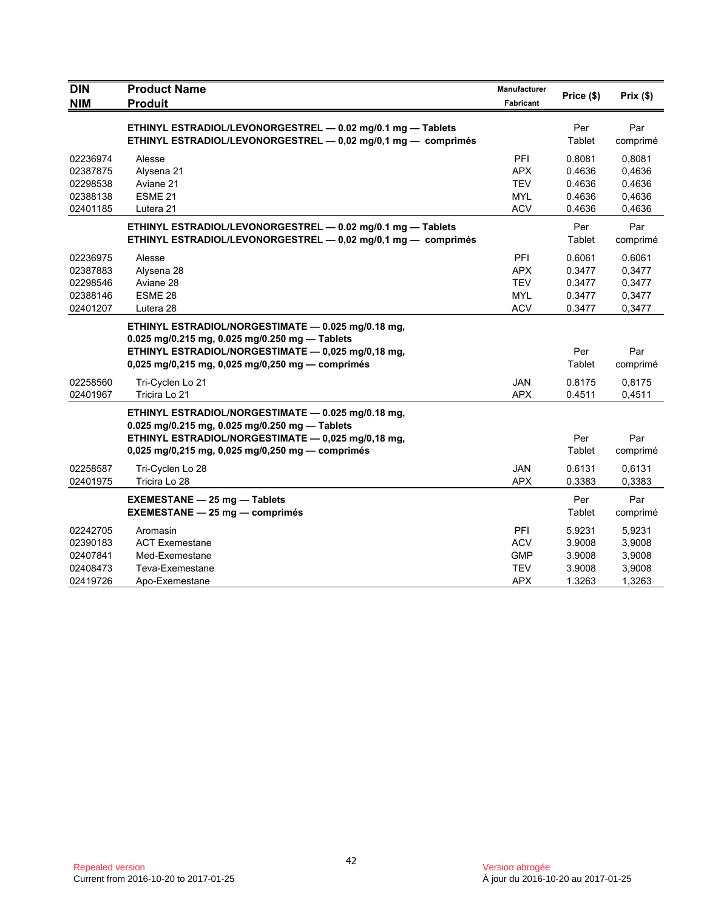| <b>DIN</b> | <b>Product Name</b>                                           |            |            |          |
|------------|---------------------------------------------------------------|------------|------------|----------|
| <b>NIM</b> | <b>Produit</b>                                                | Fabricant  | Price (\$) | Prix(\$) |
|            | ETHINYL ESTRADIOL/LEVONORGESTREL - 0.02 mg/0.1 mg - Tablets   |            | Per        | Par      |
|            | ETHINYL ESTRADIOL/LEVONORGESTREL - 0,02 mg/0,1 mg - comprimés |            | Tablet     | comprimé |
| 02236974   | Alesse                                                        | <b>PFI</b> | 0.8081     | 0.8081   |
| 02387875   | Alysena 21                                                    | <b>APX</b> | 0.4636     | 0,4636   |
| 02298538   | Aviane 21                                                     | <b>TEV</b> | 0.4636     | 0,4636   |
| 02388138   | ESME <sub>21</sub>                                            | <b>MYL</b> | 0.4636     | 0,4636   |
| 02401185   | Lutera 21                                                     | <b>ACV</b> | 0.4636     | 0,4636   |
|            | ETHINYL ESTRADIOL/LEVONORGESTREL - 0.02 mg/0.1 mg - Tablets   |            | Per        | Par      |
|            | ETHINYL ESTRADIOL/LEVONORGESTREL - 0,02 mg/0,1 mg - comprimés |            | Tablet     | comprimé |
| 02236975   | Alesse                                                        | PFI        | 0.6061     | 0.6061   |
| 02387883   | Alysena 28                                                    | <b>APX</b> | 0.3477     | 0,3477   |
| 02298546   | Aviane 28                                                     | <b>TEV</b> | 0.3477     | 0,3477   |
| 02388146   | ESME 28                                                       | <b>MYL</b> | 0.3477     | 0,3477   |
| 02401207   | Lutera 28                                                     | <b>ACV</b> | 0.3477     | 0,3477   |
|            | ETHINYL ESTRADIOL/NORGESTIMATE - 0.025 mg/0.18 mg,            |            |            |          |
|            | 0.025 mg/0.215 mg, 0.025 mg/0.250 mg - Tablets                |            |            |          |
|            | ETHINYL ESTRADIOL/NORGESTIMATE - 0,025 mg/0,18 mg,            |            | Per        | Par      |
|            | $0,025$ mg/0,215 mg, 0,025 mg/0,250 mg — comprimés            |            | Tablet     | comprimé |
| 02258560   | Tri-Cyclen Lo 21                                              | <b>JAN</b> | 0.8175     | 0.8175   |
| 02401967   | Tricira Lo 21                                                 | <b>APX</b> | 0.4511     | 0,4511   |
|            | ETHINYL ESTRADIOL/NORGESTIMATE - 0.025 mg/0.18 mg,            |            |            |          |
|            | 0.025 mg/0.215 mg, 0.025 mg/0.250 mg - Tablets                |            |            |          |
|            | ETHINYL ESTRADIOL/NORGESTIMATE - 0,025 mg/0,18 mg,            |            | Per        | Par      |
|            | 0,025 mg/0,215 mg, 0,025 mg/0,250 mg - comprimés              |            | Tablet     | comprimé |
| 02258587   | Tri-Cyclen Lo 28                                              | <b>JAN</b> | 0.6131     | 0,6131   |
| 02401975   | Tricira Lo 28                                                 | <b>APX</b> | 0.3383     | 0,3383   |
|            | <b>EXEMESTANE - 25 mg - Tablets</b>                           |            | Per        | Par      |
|            | <b>EXEMESTANE - 25 mg - comprimés</b>                         |            | Tablet     | comprimé |
| 02242705   | Aromasin                                                      | PFI        | 5.9231     | 5,9231   |
| 02390183   | <b>ACT Exemestane</b>                                         | <b>ACV</b> | 3.9008     | 3,9008   |
| 02407841   | Med-Exemestane                                                | <b>GMP</b> | 3.9008     | 3,9008   |
| 02408473   | Teva-Exemestane                                               | <b>TEV</b> | 3.9008     | 3,9008   |
| 02419726   | Apo-Exemestane                                                | <b>APX</b> | 1.3263     | 1,3263   |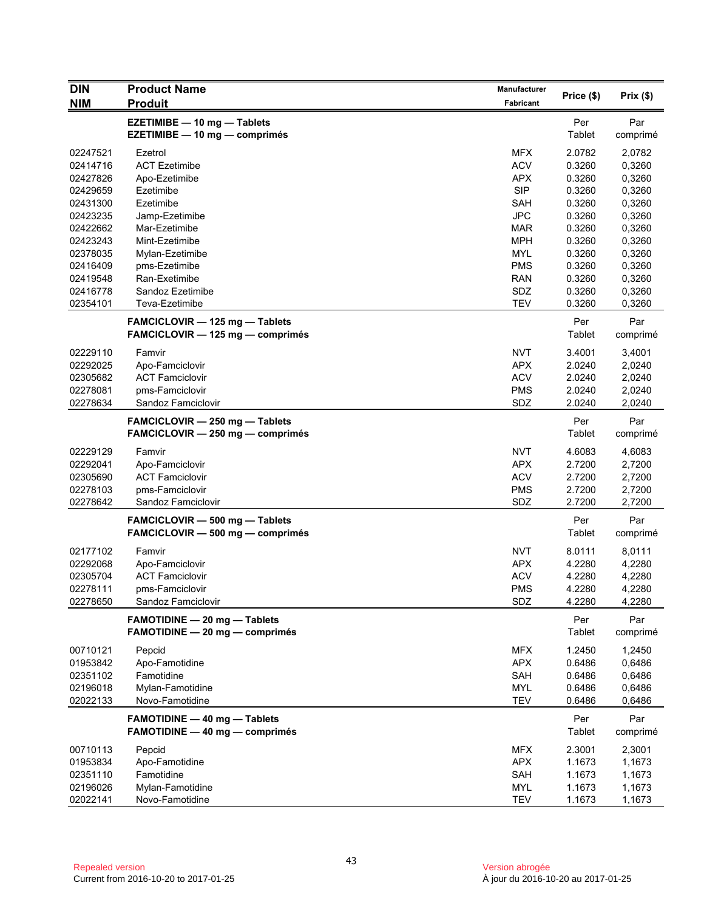| <b>DIN</b> | <b>Product Name</b>                                                       | <b>Manufacturer</b> | Price (\$)           | Prix(\$)        |
|------------|---------------------------------------------------------------------------|---------------------|----------------------|-----------------|
| <b>NIM</b> | <b>Produit</b>                                                            | Fabricant           |                      |                 |
|            | EZETIMIBE - 10 mg - Tablets<br>EZETIMIBE - 10 mg - comprimés              |                     | Per<br><b>Tablet</b> | Par<br>comprimé |
| 02247521   | Ezetrol                                                                   | <b>MFX</b>          | 2.0782               | 2,0782          |
| 02414716   | <b>ACT Ezetimibe</b>                                                      | <b>ACV</b>          | 0.3260               | 0,3260          |
| 02427826   | Apo-Ezetimibe                                                             | <b>APX</b>          | 0.3260               | 0,3260          |
| 02429659   | Ezetimibe                                                                 | <b>SIP</b>          | 0.3260               | 0,3260          |
| 02431300   | Ezetimibe                                                                 | <b>SAH</b>          | 0.3260               | 0,3260          |
| 02423235   | Jamp-Ezetimibe                                                            | <b>JPC</b>          | 0.3260               | 0,3260          |
| 02422662   | Mar-Ezetimibe                                                             | MAR                 | 0.3260               | 0,3260          |
| 02423243   | Mint-Ezetimibe                                                            | <b>MPH</b>          | 0.3260               | 0,3260          |
| 02378035   | Mylan-Ezetimibe                                                           | <b>MYL</b>          | 0.3260               | 0,3260          |
| 02416409   | pms-Ezetimibe                                                             | <b>PMS</b>          | 0.3260               | 0,3260          |
| 02419548   | Ran-Exetimibe                                                             | <b>RAN</b>          | 0.3260               | 0,3260          |
| 02416778   | Sandoz Ezetimibe                                                          | SDZ                 | 0.3260               | 0,3260          |
| 02354101   | Teva-Ezetimibe                                                            | <b>TEV</b>          | 0.3260               | 0,3260          |
|            | FAMCICLOVIR - 125 mg - Tablets<br>FAMCICLOVIR - 125 mg - comprimés        |                     | Per<br>Tablet        | Par<br>comprimé |
| 02229110   | Famvir                                                                    | <b>NVT</b>          | 3.4001               | 3,4001          |
| 02292025   | Apo-Famciclovir                                                           | <b>APX</b>          | 2.0240               | 2,0240          |
| 02305682   | <b>ACT Famciclovir</b>                                                    | <b>ACV</b>          | 2.0240               | 2,0240          |
| 02278081   | pms-Famciclovir                                                           | <b>PMS</b>          | 2.0240               | 2,0240          |
| 02278634   | Sandoz Famciclovir                                                        | SDZ                 | 2.0240               | 2,0240          |
|            | FAMCICLOVIR - 250 mg - Tablets<br>FAMCICLOVIR - 250 mg - comprimés        |                     | Per<br>Tablet        | Par<br>comprimé |
| 02229129   | Famvir                                                                    | <b>NVT</b>          | 4.6083               | 4,6083          |
| 02292041   | Apo-Famciclovir                                                           | <b>APX</b>          | 2.7200               | 2,7200          |
| 02305690   | <b>ACT Famciclovir</b>                                                    | <b>ACV</b>          | 2.7200               | 2,7200          |
| 02278103   | pms-Famciclovir                                                           | <b>PMS</b>          | 2.7200               | 2,7200          |
| 02278642   | Sandoz Famciclovir                                                        | SDZ                 | 2.7200               | 2,7200          |
|            | FAMCICLOVIR - 500 mg - Tablets<br><b>FAMCICLOVIR - 500 mg - comprimés</b> |                     | Per<br>Tablet        | Par<br>comprimé |
| 02177102   | Famvir                                                                    | <b>NVT</b>          | 8.0111               | 8,0111          |
| 02292068   | Apo-Famciclovir                                                           | <b>APX</b>          | 4.2280               | 4,2280          |
| 02305704   | <b>ACT Famciclovir</b>                                                    | <b>ACV</b>          | 4.2280               | 4,2280          |
| 02278111   | pms-Famciclovir                                                           | <b>PMS</b>          | 4.2280               | 4,2280          |
| 02278650   | Sandoz Famciclovir                                                        | SDZ                 | 4.2280               | 4,2280          |
|            | <b>FAMOTIDINE - 20 mg - Tablets</b><br>FAMOTIDINE - 20 mg - comprimés     |                     | Per<br><b>Tablet</b> | Par<br>comprimé |
| 00710121   | Pepcid                                                                    | <b>MFX</b>          | 1.2450               | 1,2450          |
| 01953842   | Apo-Famotidine                                                            | <b>APX</b>          | 0.6486               | 0,6486          |
| 02351102   | Famotidine                                                                | SAH                 | 0.6486               | 0,6486          |
| 02196018   | Mylan-Famotidine                                                          | MYL                 | 0.6486               | 0,6486          |
| 02022133   | Novo-Famotidine                                                           | <b>TEV</b>          | 0.6486               | 0,6486          |
|            | <b>FAMOTIDINE - 40 mg - Tablets</b>                                       |                     | Per                  | Par             |
|            | <b>FAMOTIDINE - 40 mg - comprimés</b>                                     |                     | Tablet               | comprimé        |
| 00710113   | Pepcid                                                                    | <b>MFX</b>          | 2.3001               | 2,3001          |
| 01953834   | Apo-Famotidine                                                            | <b>APX</b>          | 1.1673               | 1,1673          |
| 02351110   | Famotidine                                                                | SAH                 | 1.1673               | 1,1673          |
| 02196026   | Mylan-Famotidine                                                          | <b>MYL</b>          | 1.1673               | 1,1673          |
| 02022141   | Novo-Famotidine                                                           | <b>TEV</b>          | 1.1673               | 1,1673          |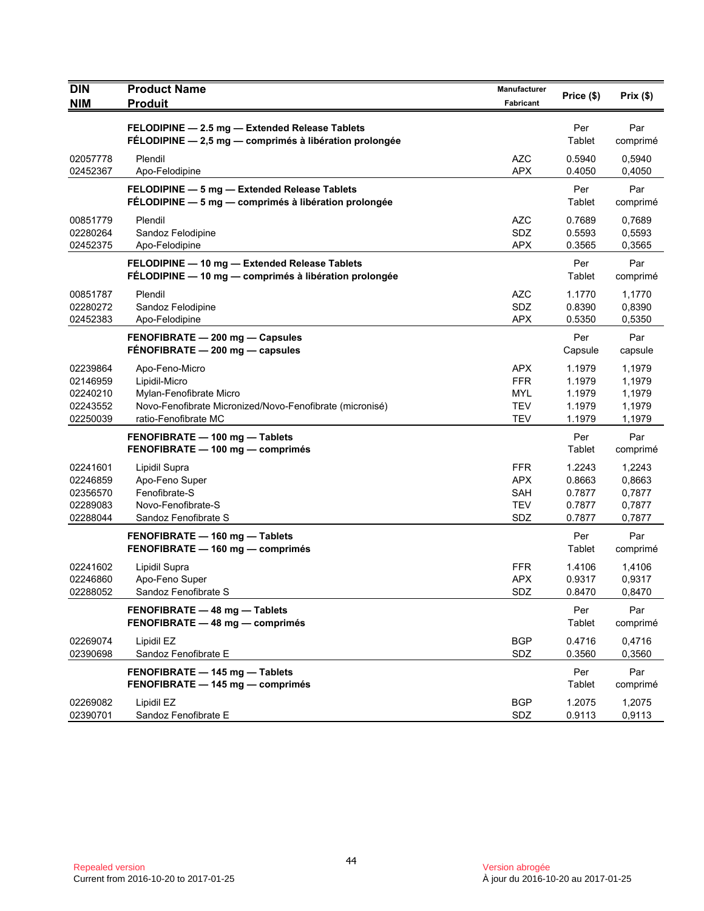| <b>DIN</b><br><b>NIM</b>                                 | <b>Product Name</b><br><b>Produit</b>                                                                                                          | Manufacturer<br>Fabricant                                   | Price (\$)                                     | Prix(\$)                                       |
|----------------------------------------------------------|------------------------------------------------------------------------------------------------------------------------------------------------|-------------------------------------------------------------|------------------------------------------------|------------------------------------------------|
|                                                          | FELODIPINE - 2.5 mg - Extended Release Tablets<br>FÉLODIPINE - 2,5 mg - comprimés à libération prolongée                                       |                                                             | Per<br><b>Tablet</b>                           | Par<br>comprimé                                |
| 02057778<br>02452367                                     | Plendil<br>Apo-Felodipine                                                                                                                      | <b>AZC</b><br><b>APX</b>                                    | 0.5940<br>0.4050                               | 0,5940<br>0,4050                               |
|                                                          | FELODIPINE - 5 mg - Extended Release Tablets<br>FÉLODIPINE - 5 mg - comprimés à libération prolongée                                           |                                                             | Per<br>Tablet                                  | Par<br>comprimé                                |
| 00851779<br>02280264<br>02452375                         | Plendil<br>Sandoz Felodipine<br>Apo-Felodipine                                                                                                 | <b>AZC</b><br>SDZ<br><b>APX</b>                             | 0.7689<br>0.5593<br>0.3565                     | 0,7689<br>0,5593<br>0,3565                     |
|                                                          | FELODIPINE - 10 mg - Extended Release Tablets<br>FÉLODIPINE - 10 mg - comprimés à libération prolongée                                         |                                                             | Per<br>Tablet                                  | Par<br>comprimé                                |
| 00851787<br>02280272<br>02452383                         | Plendil<br>Sandoz Felodipine<br>Apo-Felodipine                                                                                                 | <b>AZC</b><br>SDZ<br><b>APX</b>                             | 1.1770<br>0.8390<br>0.5350                     | 1,1770<br>0,8390<br>0,5350                     |
|                                                          | FENOFIBRATE - 200 mg - Capsules<br>FÉNOFIBRATE - 200 mg - capsules                                                                             |                                                             | Per<br>Capsule                                 | Par<br>capsule                                 |
| 02239864<br>02146959<br>02240210<br>02243552<br>02250039 | Apo-Feno-Micro<br>Lipidil-Micro<br>Mylan-Fenofibrate Micro<br>Novo-Fenofibrate Micronized/Novo-Fenofibrate (micronisé)<br>ratio-Fenofibrate MC | APX<br><b>FFR</b><br>MYL<br><b>TEV</b><br><b>TEV</b>        | 1.1979<br>1.1979<br>1.1979<br>1.1979<br>1.1979 | 1,1979<br>1,1979<br>1,1979<br>1,1979<br>1,1979 |
|                                                          | FENOFIBRATE - 100 mg - Tablets<br>FENOFIBRATE - 100 mg - comprimés                                                                             |                                                             | Per<br>Tablet                                  | Par<br>comprimé                                |
| 02241601<br>02246859<br>02356570<br>02289083<br>02288044 | Lipidil Supra<br>Apo-Feno Super<br>Fenofibrate-S<br>Novo-Fenofibrate-S<br>Sandoz Fenofibrate S                                                 | <b>FFR</b><br><b>APX</b><br><b>SAH</b><br><b>TEV</b><br>SDZ | 1.2243<br>0.8663<br>0.7877<br>0.7877<br>0.7877 | 1,2243<br>0,8663<br>0,7877<br>0,7877<br>0,7877 |
|                                                          | FENOFIBRATE - 160 mg - Tablets<br>FENOFIBRATE - 160 mg - comprimés                                                                             |                                                             | Per<br>Tablet                                  | Par<br>comprimé                                |
| 02241602<br>02246860<br>02288052                         | Lipidil Supra<br>Apo-Feno Super<br>Sandoz Fenofibrate S                                                                                        | <b>FFR</b><br><b>APX</b><br>SDZ                             | 1.4106<br>0.9317<br>0.8470                     | 1,4106<br>0,9317<br>0,8470                     |
|                                                          | FENOFIBRATE - 48 mg - Tablets<br>FENOFIBRATE - 48 mg - comprimés                                                                               |                                                             | Per<br>Tablet                                  | Par<br>comprimé                                |
| 02269074<br>02390698                                     | Lipidil EZ<br>Sandoz Fenofibrate E                                                                                                             | <b>BGP</b><br>SDZ                                           | 0.4716<br>0.3560                               | 0,4716<br>0,3560                               |
|                                                          | FENOFIBRATE - 145 mg - Tablets<br>FENOFIBRATE - 145 mg - comprimés                                                                             |                                                             | Per<br>Tablet                                  | Par<br>comprimé                                |
| 02269082<br>02390701                                     | Lipidil EZ<br>Sandoz Fenofibrate E                                                                                                             | <b>BGP</b><br>SDZ                                           | 1.2075<br>0.9113                               | 1,2075<br>0,9113                               |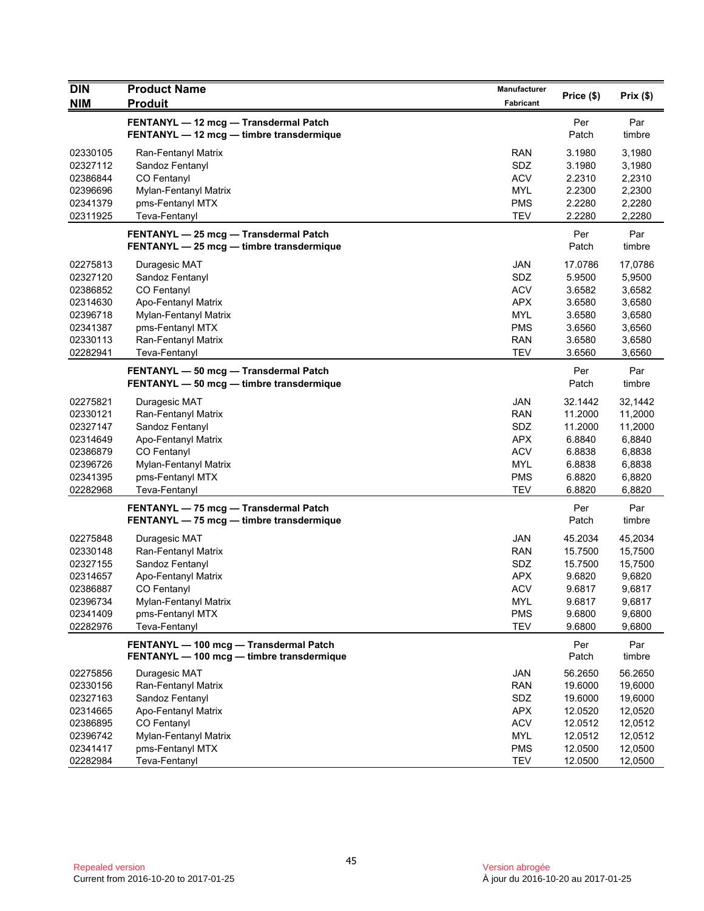| <b>DIN</b>                                                                                   | <b>Product Name</b>                                                                                                                                                | Manufacturer                                                                                          |                                                                                 |                                                                                 |
|----------------------------------------------------------------------------------------------|--------------------------------------------------------------------------------------------------------------------------------------------------------------------|-------------------------------------------------------------------------------------------------------|---------------------------------------------------------------------------------|---------------------------------------------------------------------------------|
| <b>NIM</b>                                                                                   | <b>Produit</b>                                                                                                                                                     | Fabricant                                                                                             | Price (\$)                                                                      | Prix(\$)                                                                        |
|                                                                                              | FENTANYL - 12 mcg - Transdermal Patch<br>FENTANYL - 12 mcg - timbre transdermique                                                                                  |                                                                                                       | Per<br>Patch                                                                    | Par<br>timbre                                                                   |
| 02330105<br>02327112<br>02386844<br>02396696<br>02341379<br>02311925                         | Ran-Fentanyl Matrix<br>Sandoz Fentanyl<br>CO Fentanyl<br>Mylan-Fentanyl Matrix<br>pms-Fentanyl MTX<br>Teva-Fentanyl                                                | <b>RAN</b><br>SDZ<br><b>ACV</b><br><b>MYL</b><br><b>PMS</b><br><b>TEV</b>                             | 3.1980<br>3.1980<br>2.2310<br>2.2300<br>2.2280<br>2.2280                        | 3,1980<br>3,1980<br>2,2310<br>2,2300<br>2,2280<br>2,2280                        |
|                                                                                              | FENTANYL - 25 mcg - Transdermal Patch<br>FENTANYL - 25 mcg - timbre transdermique                                                                                  |                                                                                                       | Per<br>Patch                                                                    | Par<br>timbre                                                                   |
| 02275813<br>02327120<br>02386852<br>02314630<br>02396718<br>02341387<br>02330113<br>02282941 | Duragesic MAT<br>Sandoz Fentanyl<br>CO Fentanyl<br>Apo-Fentanyl Matrix<br>Mylan-Fentanyl Matrix<br>pms-Fentanyl MTX<br>Ran-Fentanyl Matrix<br>Teva-Fentanyl        | <b>JAN</b><br>SDZ<br><b>ACV</b><br><b>APX</b><br><b>MYL</b><br><b>PMS</b><br><b>RAN</b><br><b>TEV</b> | 17.0786<br>5.9500<br>3.6582<br>3.6580<br>3.6580<br>3.6560<br>3.6580<br>3.6560   | 17,0786<br>5,9500<br>3,6582<br>3,6580<br>3,6580<br>3,6560<br>3,6580<br>3,6560   |
|                                                                                              | FENTANYL - 50 mcg - Transdermal Patch<br>FENTANYL - 50 mcg - timbre transdermique                                                                                  |                                                                                                       | Per<br>Patch                                                                    | Par<br>timbre                                                                   |
| 02275821<br>02330121<br>02327147<br>02314649<br>02386879<br>02396726<br>02341395<br>02282968 | Duragesic MAT<br>Ran-Fentanyl Matrix<br>Sandoz Fentanyl<br>Apo-Fentanyl Matrix<br>CO Fentanyl<br>Mylan-Fentanyl Matrix<br>pms-Fentanyl MTX<br>Teva-Fentanyl        | <b>JAN</b><br><b>RAN</b><br>SDZ<br><b>APX</b><br><b>ACV</b><br><b>MYL</b><br><b>PMS</b><br><b>TEV</b> | 32.1442<br>11.2000<br>11.2000<br>6.8840<br>6.8838<br>6.8838<br>6.8820<br>6.8820 | 32,1442<br>11,2000<br>11,2000<br>6,8840<br>6,8838<br>6,8838<br>6,8820<br>6,8820 |
|                                                                                              | FENTANYL - 75 mcg - Transdermal Patch<br>FENTANYL - 75 mcg - timbre transdermique                                                                                  |                                                                                                       | Per<br>Patch                                                                    | Par<br>timbre                                                                   |
| 02275848<br>02330148<br>02327155<br>02314657<br>02386887<br>02396734<br>02341409<br>02282976 | Duragesic MAT<br>Ran-Fentanyl Matrix<br>Sandoz Fentanyl<br>Apo-Fentanyl Matrix<br><b>CO Fentanyl</b><br>Mylan-Fentanyl Matrix<br>pms-Fentanyl MTX<br>Teva-Fentanyl | <b>JAN</b><br><b>RAN</b><br>SDZ<br><b>APX</b><br><b>ACV</b><br><b>MYL</b><br><b>PMS</b><br><b>TEV</b> | 45.2034<br>15.7500<br>15.7500<br>9.6820<br>9.6817<br>9.6817<br>9.6800<br>9.6800 | 45,2034<br>15,7500<br>15,7500<br>9,6820<br>9,6817<br>9,6817<br>9,6800<br>9,6800 |
|                                                                                              | FENTANYL - 100 mcg - Transdermal Patch<br>FENTANYL - 100 mcg - timbre transdermique                                                                                |                                                                                                       | Per<br>Patch                                                                    | Par<br>timbre                                                                   |
| 02275856<br>02330156<br>02327163<br>02314665<br>02386895<br>02396742                         | Duragesic MAT<br>Ran-Fentanyl Matrix<br>Sandoz Fentanyl<br>Apo-Fentanyl Matrix<br>CO Fentanyl<br>Mylan-Fentanyl Matrix                                             | JAN<br><b>RAN</b><br>SDZ<br><b>APX</b><br><b>ACV</b><br>MYL                                           | 56.2650<br>19.6000<br>19.6000<br>12.0520<br>12.0512<br>12.0512                  | 56.2650<br>19,6000<br>19,6000<br>12,0520<br>12,0512<br>12,0512                  |
| 02341417<br>02282984                                                                         | pms-Fentanyl MTX<br>Teva-Fentanyl                                                                                                                                  | <b>PMS</b><br><b>TEV</b>                                                                              | 12.0500<br>12.0500                                                              | 12,0500<br>12,0500                                                              |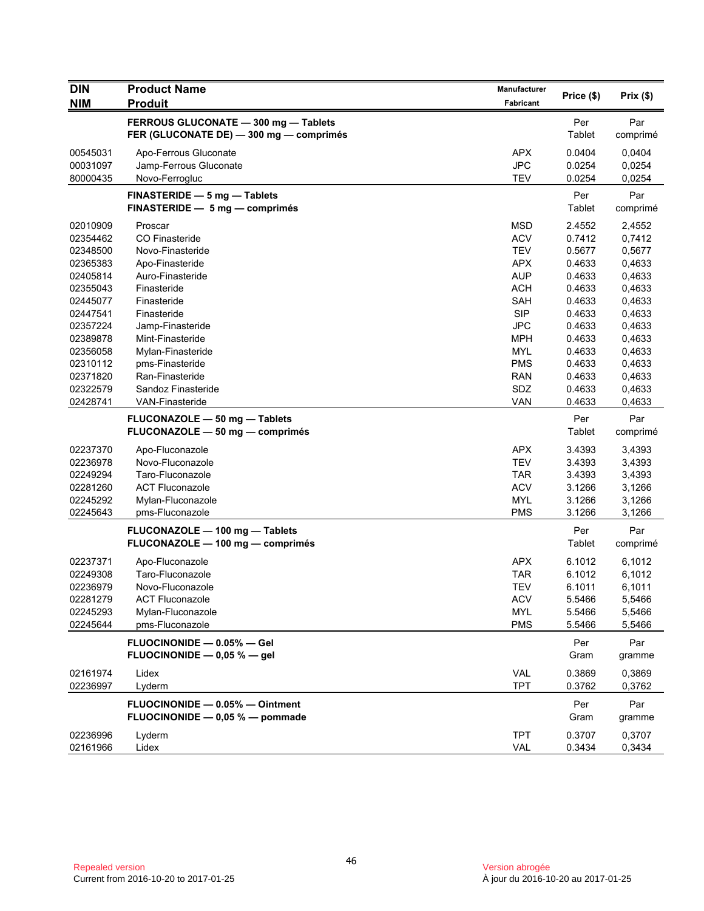| <b>DIN</b>                                                                                                                                   | <b>Product Name</b>                                                                                                                                                                                               | Manufacturer                                                                                                                                                  | Price (\$)                                                                                                           | Prix(\$)                                                                                                             |
|----------------------------------------------------------------------------------------------------------------------------------------------|-------------------------------------------------------------------------------------------------------------------------------------------------------------------------------------------------------------------|---------------------------------------------------------------------------------------------------------------------------------------------------------------|----------------------------------------------------------------------------------------------------------------------|----------------------------------------------------------------------------------------------------------------------|
| <b>NIM</b>                                                                                                                                   | <b>Produit</b>                                                                                                                                                                                                    | <b>Fabricant</b>                                                                                                                                              |                                                                                                                      |                                                                                                                      |
|                                                                                                                                              | FERROUS GLUCONATE - 300 mg - Tablets<br>FER (GLUCONATE DE) - 300 mg - comprimés                                                                                                                                   |                                                                                                                                                               | Per<br>Tablet                                                                                                        | Par<br>comprimé                                                                                                      |
| 00545031<br>00031097<br>80000435                                                                                                             | Apo-Ferrous Gluconate<br>Jamp-Ferrous Gluconate<br>Novo-Ferrogluc                                                                                                                                                 | <b>APX</b><br><b>JPC</b><br><b>TEV</b>                                                                                                                        | 0.0404<br>0.0254<br>0.0254                                                                                           | 0,0404<br>0,0254<br>0,0254                                                                                           |
|                                                                                                                                              | FINASTERIDE - 5 mg - Tablets<br>FINASTERIDE - 5 mg - comprimés                                                                                                                                                    |                                                                                                                                                               | Per<br>Tablet                                                                                                        | Par<br>comprimé                                                                                                      |
| 02010909<br>02354462<br>02348500<br>02365383<br>02405814<br>02355043<br>02445077<br>02447541<br>02357224<br>02389878<br>02356058<br>02310112 | Proscar<br>CO Finasteride<br>Novo-Finasteride<br>Apo-Finasteride<br>Auro-Finasteride<br>Finasteride<br>Finasteride<br>Finasteride<br>Jamp-Finasteride<br>Mint-Finasteride<br>Mylan-Finasteride<br>pms-Finasteride | <b>MSD</b><br><b>ACV</b><br><b>TEV</b><br><b>APX</b><br><b>AUP</b><br><b>ACH</b><br><b>SAH</b><br><b>SIP</b><br><b>JPC</b><br><b>MPH</b><br>MYL<br><b>PMS</b> | 2.4552<br>0.7412<br>0.5677<br>0.4633<br>0.4633<br>0.4633<br>0.4633<br>0.4633<br>0.4633<br>0.4633<br>0.4633<br>0.4633 | 2,4552<br>0,7412<br>0,5677<br>0,4633<br>0,4633<br>0,4633<br>0,4633<br>0,4633<br>0,4633<br>0,4633<br>0,4633<br>0,4633 |
| 02371820<br>02322579<br>02428741                                                                                                             | Ran-Finasteride<br>Sandoz Finasteride<br><b>VAN-Finasteride</b>                                                                                                                                                   | <b>RAN</b><br>SDZ<br><b>VAN</b>                                                                                                                               | 0.4633<br>0.4633<br>0.4633                                                                                           | 0,4633<br>0,4633<br>0,4633                                                                                           |
|                                                                                                                                              | FLUCONAZOLE - 50 mg - Tablets<br>FLUCONAZOLE - 50 mg - comprimés                                                                                                                                                  |                                                                                                                                                               | Per<br><b>Tablet</b>                                                                                                 | Par<br>comprimé                                                                                                      |
| 02237370<br>02236978<br>02249294<br>02281260<br>02245292<br>02245643                                                                         | Apo-Fluconazole<br>Novo-Fluconazole<br>Taro-Fluconazole<br><b>ACT Fluconazole</b><br>Mylan-Fluconazole<br>pms-Fluconazole                                                                                         | <b>APX</b><br><b>TEV</b><br><b>TAR</b><br><b>ACV</b><br><b>MYL</b><br><b>PMS</b>                                                                              | 3.4393<br>3.4393<br>3.4393<br>3.1266<br>3.1266<br>3.1266                                                             | 3,4393<br>3,4393<br>3,4393<br>3,1266<br>3,1266<br>3,1266                                                             |
|                                                                                                                                              | FLUCONAZOLE - 100 mg - Tablets<br>FLUCONAZOLE - 100 mg - comprimés                                                                                                                                                |                                                                                                                                                               | Per<br><b>Tablet</b>                                                                                                 | Par<br>comprimé                                                                                                      |
| 02237371<br>02249308<br>02236979<br>02281279<br>02245293<br>02245644                                                                         | Apo-Fluconazole<br>Taro-Fluconazole<br>Novo-Fluconazole<br><b>ACT Fluconazole</b><br>Mylan-Fluconazole<br>pms-Fluconazole                                                                                         | <b>APX</b><br><b>TAR</b><br><b>TEV</b><br><b>ACV</b><br><b>MYL</b><br><b>PMS</b>                                                                              | 6.1012<br>6.1012<br>6.1011<br>5.5466<br>5.5466<br>5.5466                                                             | 6,1012<br>6,1012<br>6,1011<br>5,5466<br>5,5466<br>5,5466                                                             |
|                                                                                                                                              | FLUOCINONIDE - 0.05% - Gel<br>FLUOCINONIDE - 0,05 % - gel                                                                                                                                                         |                                                                                                                                                               | Per<br>Gram                                                                                                          | Par<br>gramme                                                                                                        |
| 02161974<br>02236997                                                                                                                         | Lidex<br>Lyderm                                                                                                                                                                                                   | VAL<br><b>TPT</b>                                                                                                                                             | 0.3869<br>0.3762                                                                                                     | 0,3869<br>0,3762                                                                                                     |
|                                                                                                                                              | FLUOCINONIDE - 0.05% - Ointment<br>FLUOCINONIDE - 0,05 % - pommade                                                                                                                                                |                                                                                                                                                               | Per<br>Gram                                                                                                          | Par<br>gramme                                                                                                        |
| 02236996<br>02161966                                                                                                                         | Lyderm<br>Lidex                                                                                                                                                                                                   | <b>TPT</b><br>VAL                                                                                                                                             | 0.3707<br>0.3434                                                                                                     | 0,3707<br>0,3434                                                                                                     |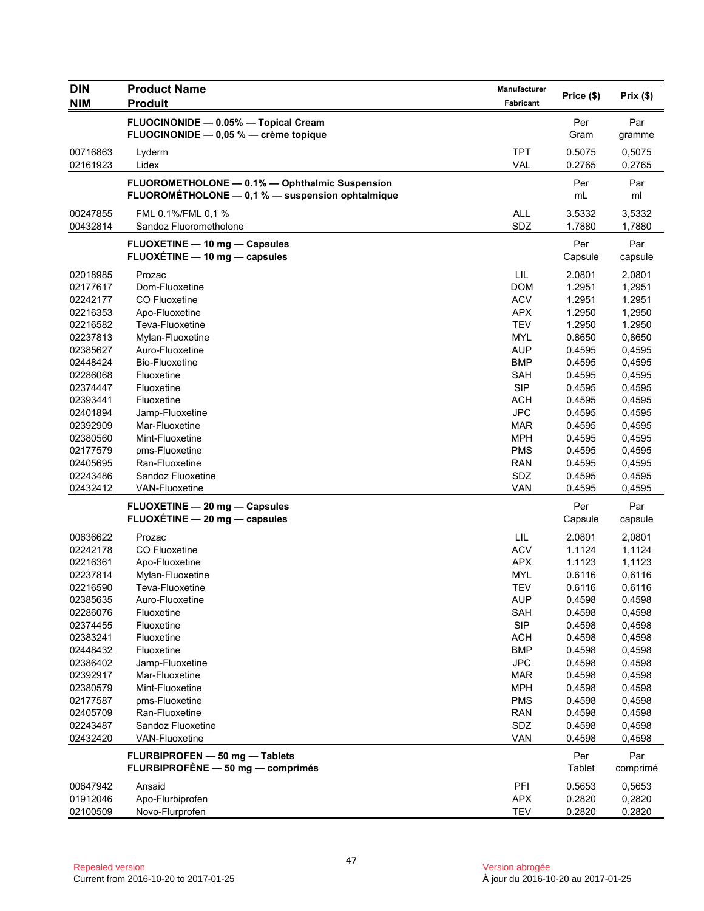| <b>DIN</b>           | <b>Product Name</b>                                                                                | Manufacturer             | Price (\$)       | Prix (\$)        |
|----------------------|----------------------------------------------------------------------------------------------------|--------------------------|------------------|------------------|
| <b>NIM</b>           | <b>Produit</b>                                                                                     | Fabricant                |                  |                  |
|                      | FLUOCINONIDE - 0.05% - Topical Cream<br>FLUOCINONIDE - 0,05 % - crème topique                      |                          | Per<br>Gram      | Par<br>gramme    |
| 00716863<br>02161923 | Lyderm<br>Lidex                                                                                    | <b>TPT</b><br><b>VAL</b> | 0.5075<br>0.2765 | 0,5075<br>0,2765 |
|                      | FLUOROMETHOLONE - 0.1% - Ophthalmic Suspension<br>FLUOROMÉTHOLONE - 0,1 % - suspension ophtalmique |                          | Per<br>mL        | Par<br>ml        |
|                      |                                                                                                    |                          |                  |                  |
| 00247855<br>00432814 | FML 0.1%/FML 0,1 %<br>Sandoz Fluorometholone                                                       | <b>ALL</b><br>SDZ        | 3.5332<br>1.7880 | 3,5332<br>1,7880 |
|                      | FLUOXETINE - 10 mg - Capsules<br>FLUOXETINE - 10 mg - capsules                                     |                          | Per<br>Capsule   | Par<br>capsule   |
| 02018985             | Prozac                                                                                             | LIL                      | 2.0801           | 2,0801           |
| 02177617             | Dom-Fluoxetine                                                                                     | <b>DOM</b>               | 1.2951           | 1,2951           |
| 02242177             | CO Fluoxetine                                                                                      | <b>ACV</b>               | 1.2951           | 1,2951           |
| 02216353             | Apo-Fluoxetine                                                                                     | <b>APX</b>               | 1.2950           | 1,2950           |
| 02216582             | Teva-Fluoxetine                                                                                    | <b>TEV</b>               | 1.2950           | 1,2950           |
| 02237813             | Mylan-Fluoxetine                                                                                   | MYL                      | 0.8650           | 0,8650           |
| 02385627             | Auro-Fluoxetine                                                                                    | <b>AUP</b>               | 0.4595           | 0,4595           |
| 02448424<br>02286068 | <b>Bio-Fluoxetine</b><br>Fluoxetine                                                                | <b>BMP</b><br>SAH        | 0.4595<br>0.4595 | 0,4595           |
| 02374447             | Fluoxetine                                                                                         | <b>SIP</b>               | 0.4595           | 0,4595<br>0,4595 |
| 02393441             | Fluoxetine                                                                                         | <b>ACH</b>               | 0.4595           | 0,4595           |
| 02401894             | Jamp-Fluoxetine                                                                                    | <b>JPC</b>               | 0.4595           | 0,4595           |
| 02392909             | Mar-Fluoxetine                                                                                     | <b>MAR</b>               | 0.4595           | 0,4595           |
| 02380560             | Mint-Fluoxetine                                                                                    | <b>MPH</b>               | 0.4595           | 0,4595           |
| 02177579             | pms-Fluoxetine                                                                                     | <b>PMS</b>               | 0.4595           | 0,4595           |
| 02405695             | Ran-Fluoxetine                                                                                     | <b>RAN</b>               | 0.4595           | 0,4595           |
| 02243486             | Sandoz Fluoxetine                                                                                  | SDZ                      | 0.4595           | 0,4595           |
| 02432412             | <b>VAN-Fluoxetine</b>                                                                              | <b>VAN</b>               | 0.4595           | 0,4595           |
|                      | FLUOXETINE - 20 mg - Capsules                                                                      |                          | Per              | Par              |
|                      | FLUOXÉTINE - 20 mg - capsules                                                                      |                          | Capsule          | capsule          |
| 00636622             | Prozac                                                                                             | LIL                      | 2.0801           | 2,0801           |
| 02242178             | CO Fluoxetine                                                                                      | <b>ACV</b>               | 1.1124           | 1,1124           |
| 02216361             | Apo-Fluoxetine                                                                                     | <b>APX</b>               | 1.1123           | 1,1123           |
| 02237814             | Mylan-Fluoxetine                                                                                   | <b>MYL</b>               | 0.6116           | 0,6116           |
| 02216590             | Teva-Fluoxetine                                                                                    | <b>TEV</b>               | 0.6116           | 0,6116           |
| 02385635             | Auro-Fluoxetine                                                                                    | <b>AUP</b>               | 0.4598           | 0,4598           |
| 02286076             | Fluoxetine                                                                                         | SAH                      | 0.4598           | 0,4598           |
| 02374455             | Fluoxetine                                                                                         | SIP                      | 0.4598           | 0,4598           |
| 02383241             | Fluoxetine                                                                                         | <b>ACH</b>               | 0.4598           | 0,4598           |
| 02448432<br>02386402 | Fluoxetine<br>Jamp-Fluoxetine                                                                      | <b>BMP</b><br><b>JPC</b> | 0.4598<br>0.4598 | 0,4598<br>0,4598 |
| 02392917             | Mar-Fluoxetine                                                                                     | <b>MAR</b>               | 0.4598           | 0,4598           |
| 02380579             | Mint-Fluoxetine                                                                                    | <b>MPH</b>               | 0.4598           | 0,4598           |
| 02177587             | pms-Fluoxetine                                                                                     | <b>PMS</b>               | 0.4598           | 0,4598           |
| 02405709             | Ran-Fluoxetine                                                                                     | <b>RAN</b>               | 0.4598           | 0,4598           |
| 02243487             | Sandoz Fluoxetine                                                                                  | SDZ                      | 0.4598           | 0,4598           |
| 02432420             | <b>VAN-Fluoxetine</b>                                                                              | <b>VAN</b>               | 0.4598           | 0,4598           |
|                      | FLURBIPROFEN - 50 mg - Tablets                                                                     |                          | Per              | Par              |
|                      | FLURBIPROFÈNE - 50 mg - comprimés                                                                  |                          | <b>Tablet</b>    | comprimé         |
| 00647942             | Ansaid                                                                                             | PFI                      | 0.5653           | 0,5653           |
| 01912046             | Apo-Flurbiprofen                                                                                   | <b>APX</b>               | 0.2820           | 0,2820           |
| 02100509             | Novo-Flurprofen                                                                                    | <b>TEV</b>               | 0.2820           | 0,2820           |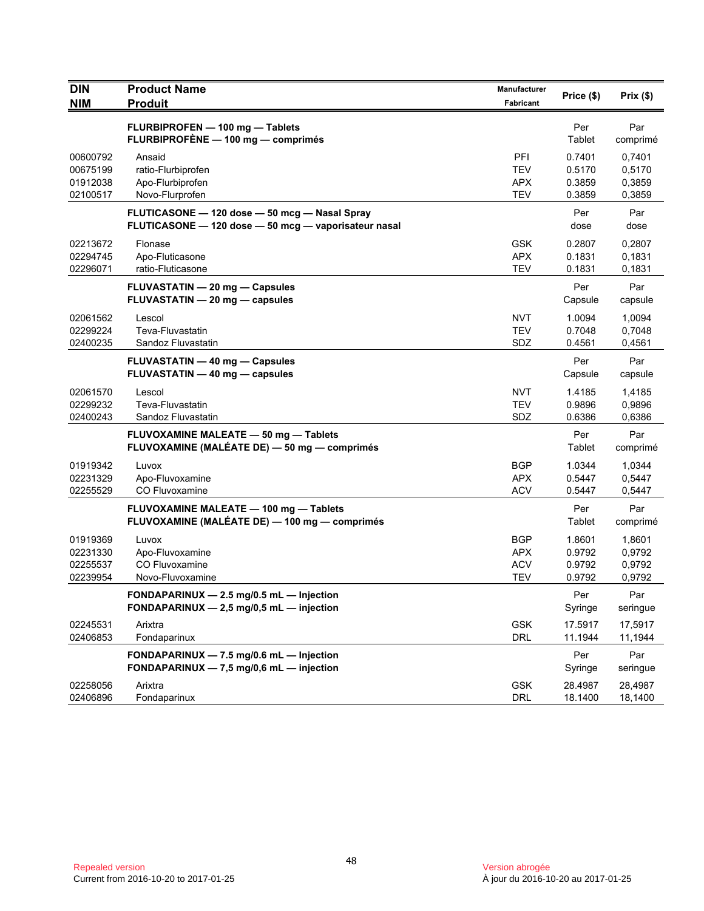| <b>DIN</b><br><b>NIM</b>                     | <b>Product Name</b><br><b>Produit</b>                                                                 | Manufacturer<br>Fabricant                     | Price (\$)                           | Prix(\$)                             |
|----------------------------------------------|-------------------------------------------------------------------------------------------------------|-----------------------------------------------|--------------------------------------|--------------------------------------|
|                                              | FLURBIPROFEN - 100 mg - Tablets<br>FLURBIPROFÈNE - 100 mg - comprimés                                 |                                               | Per<br>Tablet                        | Par<br>comprimé                      |
| 00600792<br>00675199<br>01912038<br>02100517 | Ansaid<br>ratio-Flurbiprofen<br>Apo-Flurbiprofen<br>Novo-Flurprofen                                   | PFI<br><b>TEV</b><br><b>APX</b><br><b>TEV</b> | 0.7401<br>0.5170<br>0.3859<br>0.3859 | 0,7401<br>0,5170<br>0,3859<br>0,3859 |
|                                              | FLUTICASONE - 120 dose - 50 mcg - Nasal Spray<br>FLUTICASONE - 120 dose - 50 mcg - vaporisateur nasal |                                               | Per<br>dose                          | Par<br>dose                          |
| 02213672<br>02294745<br>02296071             | Flonase<br>Apo-Fluticasone<br>ratio-Fluticasone                                                       | <b>GSK</b><br><b>APX</b><br><b>TEV</b>        | 0.2807<br>0.1831<br>0.1831           | 0,2807<br>0,1831<br>0,1831           |
|                                              | <b>FLUVASTATIN - 20 mg - Capsules</b><br>FLUVASTATIN - 20 mg - capsules                               |                                               | Per<br>Capsule                       | Par<br>capsule                       |
| 02061562<br>02299224<br>02400235             | Lescol<br>Teva-Fluvastatin<br>Sandoz Fluvastatin                                                      | <b>NVT</b><br><b>TEV</b><br>SDZ               | 1.0094<br>0.7048<br>0.4561           | 1,0094<br>0,7048<br>0,4561           |
|                                              | FLUVASTATIN - 40 mg - Capsules<br>FLUVASTATIN - 40 mg - capsules                                      |                                               | Per<br>Capsule                       | Par<br>capsule                       |
| 02061570<br>02299232<br>02400243             | Lescol<br>Teva-Fluvastatin<br>Sandoz Fluvastatin                                                      | <b>NVT</b><br><b>TEV</b><br>SDZ               | 1.4185<br>0.9896<br>0.6386           | 1,4185<br>0,9896<br>0,6386           |
|                                              | FLUVOXAMINE MALEATE - 50 mg - Tablets<br>FLUVOXAMINE (MALÉATE DE) - 50 mg - comprimés                 |                                               | Per<br>Tablet                        | Par<br>comprimé                      |
| 01919342<br>02231329<br>02255529             | Luvox<br>Apo-Fluvoxamine<br>CO Fluvoxamine                                                            | <b>BGP</b><br><b>APX</b><br><b>ACV</b>        | 1.0344<br>0.5447<br>0.5447           | 1,0344<br>0,5447<br>0,5447           |
|                                              | FLUVOXAMINE MALEATE - 100 mg - Tablets<br>FLUVOXAMINE (MALÉATE DE) — 100 mg — comprimés               |                                               | Per<br>Tablet                        | Par<br>comprimé                      |
| 01919369<br>02231330<br>02255537<br>02239954 | Luvox<br>Apo-Fluvoxamine<br>CO Fluvoxamine<br>Novo-Fluvoxamine                                        | <b>BGP</b><br><b>APX</b><br><b>ACV</b><br>TEV | 1.8601<br>0.9792<br>0.9792<br>0.9792 | 1,8601<br>0,9792<br>0,9792<br>0,9792 |
|                                              | FONDAPARINUX - 2.5 mg/0.5 mL - Injection<br>FONDAPARINUX $-2,5$ mg/0,5 mL $-$ injection               |                                               | Per<br>Syringe                       | Par<br>seringue                      |
| 02245531<br>02406853                         | Arixtra<br>Fondaparinux                                                                               | <b>GSK</b><br><b>DRL</b>                      | 17.5917<br>11.1944                   | 17,5917<br>11,1944                   |
|                                              | FONDAPARINUX - 7.5 mg/0.6 mL - Injection<br>FONDAPARINUX - 7,5 mg/0,6 mL - injection                  |                                               | Per<br>Syringe                       | Par<br>seringue                      |
| 02258056<br>02406896                         | Arixtra<br>Fondaparinux                                                                               | <b>GSK</b><br><b>DRL</b>                      | 28.4987<br>18.1400                   | 28,4987<br>18,1400                   |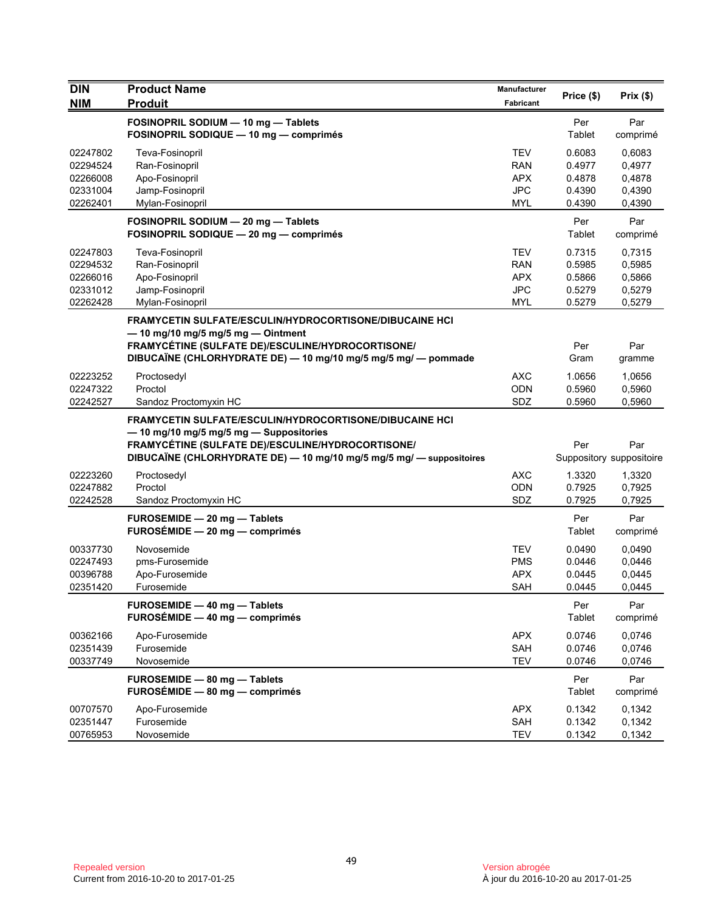| <b>DIN</b>                                               | <b>Product Name</b>                                                                                                                                                                                                                    | <b>Manufacturer</b>                                         | Price (\$)                                               | Prix(\$)                                                   |
|----------------------------------------------------------|----------------------------------------------------------------------------------------------------------------------------------------------------------------------------------------------------------------------------------------|-------------------------------------------------------------|----------------------------------------------------------|------------------------------------------------------------|
| <b>NIM</b>                                               | <b>Produit</b>                                                                                                                                                                                                                         | Fabricant                                                   |                                                          |                                                            |
|                                                          | FOSINOPRIL SODIUM - 10 mg - Tablets<br>FOSINOPRIL SODIQUE - 10 mg - comprimés                                                                                                                                                          |                                                             | Per<br>Tablet                                            | Par<br>comprimé                                            |
| 02247802<br>02294524<br>02266008<br>02331004             | Teva-Fosinopril<br>Ran-Fosinopril<br>Apo-Fosinopril<br>Jamp-Fosinopril                                                                                                                                                                 | <b>TEV</b><br><b>RAN</b><br><b>APX</b><br><b>JPC</b>        | 0.6083<br>0.4977<br>0.4878<br>0.4390                     | 0.6083<br>0.4977<br>0,4878<br>0,4390                       |
| 02262401                                                 | Mylan-Fosinopril<br>FOSINOPRIL SODIUM - 20 mg - Tablets                                                                                                                                                                                | <b>MYL</b>                                                  | 0.4390<br>Per                                            | 0,4390<br>Par                                              |
| 02247803<br>02294532<br>02266016<br>02331012<br>02262428 | FOSINOPRIL SODIQUE - 20 mg - comprimés<br>Teva-Fosinopril<br>Ran-Fosinopril<br>Apo-Fosinopril<br>Jamp-Fosinopril<br>Mylan-Fosinopril                                                                                                   | <b>TEV</b><br><b>RAN</b><br><b>APX</b><br><b>JPC</b><br>MYL | Tablet<br>0.7315<br>0.5985<br>0.5866<br>0.5279<br>0.5279 | comprimé<br>0,7315<br>0,5985<br>0,5866<br>0,5279<br>0,5279 |
|                                                          | FRAMYCETIN SULFATE/ESCULIN/HYDROCORTISONE/DIBUCAINE HCI<br>$-$ 10 mg/10 mg/5 mg/5 mg $-$ Ointment<br>FRAMYCÉTINE (SULFATE DE)/ESCULINE/HYDROCORTISONE/<br>DIBUCAÏNE (CHLORHYDRATE DE) - 10 mg/10 mg/5 mg/5 mg/ - pommade               |                                                             | Per<br>Gram                                              | Par<br>gramme                                              |
| 02223252<br>02247322<br>02242527                         | Proctosedyl<br>Proctol<br>Sandoz Proctomyxin HC                                                                                                                                                                                        | <b>AXC</b><br><b>ODN</b><br>SDZ                             | 1.0656<br>0.5960<br>0.5960                               | 1,0656<br>0,5960<br>0,5960                                 |
|                                                          | <b>FRAMYCETIN SULFATE/ESCULIN/HYDROCORTISONE/DIBUCAINE HCI</b><br>- 10 mg/10 mg/5 mg/5 mg - Suppositories<br>FRAMYCÉTINE (SULFATE DE)/ESCULINE/HYDROCORTISONE/<br>DIBUCAÏNE (CHLORHYDRATE DE) - 10 mg/10 mg/5 mg/5 mg/ - suppositoires |                                                             | Per                                                      | Par<br>Suppository suppositoire                            |
| 02223260<br>02247882<br>02242528                         | Proctosedyl<br>Proctol<br>Sandoz Proctomyxin HC                                                                                                                                                                                        | <b>AXC</b><br>ODN<br>SDZ                                    | 1.3320<br>0.7925<br>0.7925                               | 1,3320<br>0,7925<br>0,7925                                 |
|                                                          | FUROSEMIDE - 20 mg - Tablets<br>FUROSÉMIDE - 20 mg - comprimés                                                                                                                                                                         |                                                             | Per<br>Tablet                                            | Par<br>comprimé                                            |
| 00337730<br>02247493<br>00396788<br>02351420             | Novosemide<br>pms-Furosemide<br>Apo-Furosemide<br>Furosemide                                                                                                                                                                           | <b>TEV</b><br><b>PMS</b><br><b>APX</b><br>SAH               | 0.0490<br>0.0446<br>0.0445<br>0.0445                     | 0,0490<br>0.0446<br>0,0445<br>0,0445                       |
|                                                          | FUROSEMIDE - 40 mg - Tablets<br>FUROSÉMIDE - 40 mg - comprimés                                                                                                                                                                         |                                                             | Per<br>Tablet                                            | Par<br>comprimé                                            |
| 00362166<br>02351439<br>00337749                         | Apo-Furosemide<br>Furosemide<br>Novosemide                                                                                                                                                                                             | <b>APX</b><br>SAH<br><b>TEV</b>                             | 0.0746<br>0.0746<br>0.0746                               | 0,0746<br>0,0746<br>0,0746                                 |
|                                                          | FUROSEMIDE - 80 mg - Tablets<br>FUROSÉMIDE - 80 mg - comprimés                                                                                                                                                                         |                                                             | Per<br>Tablet                                            | Par<br>comprimé                                            |
| 00707570<br>02351447<br>00765953                         | Apo-Furosemide<br>Furosemide<br>Novosemide                                                                                                                                                                                             | <b>APX</b><br>SAH<br><b>TEV</b>                             | 0.1342<br>0.1342<br>0.1342                               | 0,1342<br>0,1342<br>0,1342                                 |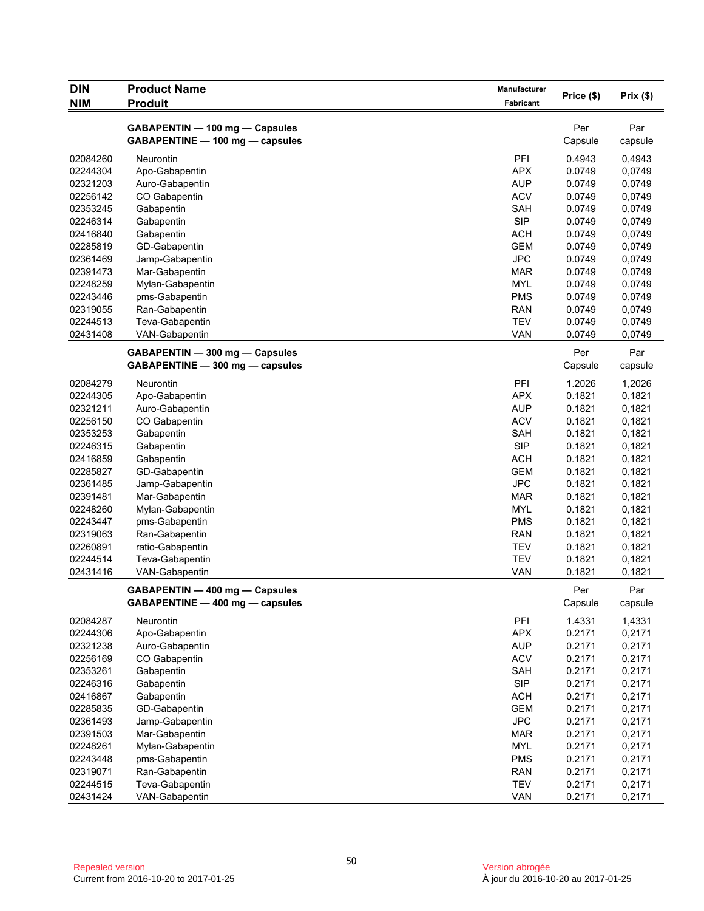| <b>DIN</b>           | <b>Product Name</b>                                               | Manufacturer             |                  |                  |
|----------------------|-------------------------------------------------------------------|--------------------------|------------------|------------------|
| NIM                  | <b>Produit</b>                                                    | Fabricant                | Price (\$)       | Prix(\$)         |
|                      | GABAPENTIN - 100 mg - Capsules<br>GABAPENTINE - 100 mg - capsules |                          | Per<br>Capsule   | Par<br>capsule   |
| 02084260             | Neurontin                                                         | PFI                      | 0.4943           | 0,4943           |
| 02244304             | Apo-Gabapentin                                                    | <b>APX</b>               | 0.0749           | 0,0749           |
| 02321203             | Auro-Gabapentin                                                   | <b>AUP</b>               | 0.0749           | 0,0749           |
| 02256142             | CO Gabapentin                                                     | <b>ACV</b>               | 0.0749           | 0,0749           |
| 02353245             | Gabapentin                                                        | <b>SAH</b>               | 0.0749           | 0,0749           |
| 02246314             | Gabapentin                                                        | <b>SIP</b>               | 0.0749           | 0,0749           |
| 02416840             | Gabapentin                                                        | <b>ACH</b>               | 0.0749           | 0,0749           |
| 02285819             | GD-Gabapentin                                                     | <b>GEM</b>               | 0.0749           | 0,0749           |
| 02361469             | Jamp-Gabapentin                                                   | <b>JPC</b>               | 0.0749           | 0,0749           |
| 02391473             | Mar-Gabapentin                                                    | <b>MAR</b>               | 0.0749           | 0,0749           |
| 02248259             | Mylan-Gabapentin                                                  | <b>MYL</b>               | 0.0749           | 0,0749           |
| 02243446             | pms-Gabapentin                                                    | <b>PMS</b>               | 0.0749           | 0,0749           |
| 02319055             | Ran-Gabapentin                                                    | <b>RAN</b>               | 0.0749           | 0,0749           |
| 02244513             | Teva-Gabapentin                                                   | <b>TEV</b>               | 0.0749           | 0,0749           |
| 02431408             | VAN-Gabapentin                                                    | <b>VAN</b>               | 0.0749           | 0,0749           |
|                      | GABAPENTIN - 300 mg - Capsules<br>GABAPENTINE - 300 mg - capsules |                          | Per<br>Capsule   | Par<br>capsule   |
|                      |                                                                   |                          |                  |                  |
| 02084279             | Neurontin                                                         | PFI<br><b>APX</b>        | 1.2026           | 1,2026           |
| 02244305<br>02321211 | Apo-Gabapentin                                                    |                          | 0.1821           | 0,1821           |
|                      | Auro-Gabapentin                                                   | <b>AUP</b>               | 0.1821           | 0,1821           |
| 02256150             | CO Gabapentin                                                     | <b>ACV</b>               | 0.1821           | 0,1821           |
| 02353253             | Gabapentin                                                        | <b>SAH</b>               | 0.1821           | 0,1821           |
| 02246315             | Gabapentin                                                        | <b>SIP</b>               | 0.1821           | 0,1821           |
| 02416859             | Gabapentin                                                        | <b>ACH</b>               | 0.1821           | 0,1821           |
| 02285827             | GD-Gabapentin                                                     | <b>GEM</b><br><b>JPC</b> | 0.1821<br>0.1821 | 0,1821           |
| 02361485             | Jamp-Gabapentin                                                   | <b>MAR</b>               | 0.1821           | 0,1821           |
| 02391481<br>02248260 | Mar-Gabapentin                                                    | <b>MYL</b>               | 0.1821           | 0,1821<br>0,1821 |
| 02243447             | Mylan-Gabapentin                                                  | <b>PMS</b>               | 0.1821           | 0,1821           |
| 02319063             | pms-Gabapentin                                                    | <b>RAN</b>               | 0.1821           | 0,1821           |
| 02260891             | Ran-Gabapentin<br>ratio-Gabapentin                                | <b>TEV</b>               | 0.1821           | 0,1821           |
| 02244514             | Teva-Gabapentin                                                   | <b>TEV</b>               | 0.1821           | 0,1821           |
| 02431416             | VAN-Gabapentin                                                    | <b>VAN</b>               | 0.1821           | 0,1821           |
|                      | GABAPENTIN - 400 mg - Capsules                                    |                          | Per              | Par              |
|                      | GABAPENTINE - 400 mg - capsules                                   |                          | Capsule          | capsule          |
| 02084287             | Neurontin                                                         | PFI                      | 1.4331           | 1,4331           |
| 02244306             | Apo-Gabapentin                                                    | <b>APX</b>               | 0.2171           | 0,2171           |
| 02321238             | Auro-Gabapentin                                                   | <b>AUP</b>               | 0.2171           | 0,2171           |
| 02256169             | CO Gabapentin                                                     | <b>ACV</b>               | 0.2171           | 0,2171           |
| 02353261             | Gabapentin                                                        | SAH                      | 0.2171           | 0,2171           |
| 02246316             | Gabapentin                                                        | <b>SIP</b>               | 0.2171           | 0,2171           |
| 02416867             | Gabapentin                                                        | <b>ACH</b>               | 0.2171           | 0,2171           |
| 02285835             | GD-Gabapentin                                                     | <b>GEM</b>               | 0.2171           | 0,2171           |
| 02361493             | Jamp-Gabapentin                                                   | <b>JPC</b>               | 0.2171           | 0,2171           |
| 02391503             | Mar-Gabapentin                                                    | <b>MAR</b>               | 0.2171           | 0,2171           |
| 02248261             | Mylan-Gabapentin                                                  | <b>MYL</b>               | 0.2171           | 0,2171           |
| 02243448             | pms-Gabapentin                                                    | <b>PMS</b>               | 0.2171           | 0,2171           |
| 02319071             | Ran-Gabapentin                                                    | <b>RAN</b>               | 0.2171           | 0,2171           |
| 02244515             | Teva-Gabapentin                                                   | <b>TEV</b>               | 0.2171           | 0,2171           |
| 02431424             | VAN-Gabapentin                                                    | VAN                      | 0.2171           | 0,2171           |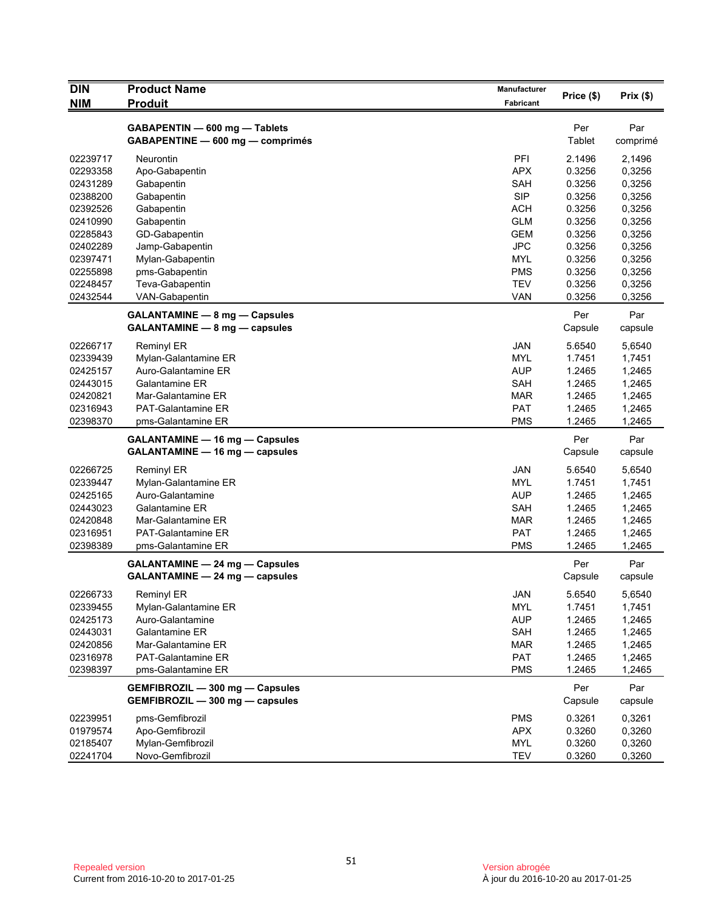| <b>DIN</b> | <b>Product Name</b>                   | Manufacturer     |            |          |
|------------|---------------------------------------|------------------|------------|----------|
| <b>NIM</b> | <b>Produit</b>                        | <b>Fabricant</b> | Price (\$) | Prix(\$) |
|            |                                       |                  |            |          |
|            | GABAPENTIN - 600 mg - Tablets         |                  | Per        | Par      |
|            | GABAPENTINE - 600 mg - comprimés      |                  | Tablet     | comprimé |
| 02239717   | Neurontin                             | PFI              | 2.1496     | 2,1496   |
| 02293358   | Apo-Gabapentin                        | <b>APX</b>       | 0.3256     | 0,3256   |
| 02431289   | Gabapentin                            | SAH              | 0.3256     | 0,3256   |
| 02388200   | Gabapentin                            | <b>SIP</b>       | 0.3256     | 0,3256   |
| 02392526   | Gabapentin                            | <b>ACH</b>       | 0.3256     | 0,3256   |
| 02410990   | Gabapentin                            | <b>GLM</b>       | 0.3256     | 0,3256   |
| 02285843   | GD-Gabapentin                         | <b>GEM</b>       | 0.3256     | 0,3256   |
| 02402289   | Jamp-Gabapentin                       | <b>JPC</b>       | 0.3256     | 0,3256   |
| 02397471   | Mylan-Gabapentin                      | <b>MYL</b>       | 0.3256     | 0,3256   |
| 02255898   | pms-Gabapentin                        | <b>PMS</b>       | 0.3256     | 0,3256   |
| 02248457   | Teva-Gabapentin                       | TEV              | 0.3256     | 0,3256   |
| 02432544   | VAN-Gabapentin                        | <b>VAN</b>       | 0.3256     | 0,3256   |
|            | <b>GALANTAMINE - 8 mg - Capsules</b>  |                  | Per        | Par      |
|            | GALANTAMINE - 8 mg - capsules         |                  | Capsule    | capsule  |
| 02266717   | <b>Reminyl ER</b>                     | <b>JAN</b>       | 5.6540     | 5,6540   |
| 02339439   | Mylan-Galantamine ER                  | <b>MYL</b>       | 1.7451     | 1,7451   |
| 02425157   | Auro-Galantamine ER                   | <b>AUP</b>       | 1.2465     | 1,2465   |
| 02443015   | Galantamine ER                        | SAH              | 1.2465     | 1,2465   |
| 02420821   | Mar-Galantamine ER                    | MAR              | 1.2465     | 1,2465   |
| 02316943   | <b>PAT-Galantamine ER</b>             | <b>PAT</b>       | 1.2465     | 1,2465   |
| 02398370   | pms-Galantamine ER                    | <b>PMS</b>       | 1.2465     | 1,2465   |
|            | <b>GALANTAMINE - 16 mg - Capsules</b> |                  | Per        | Par      |
|            | GALANTAMINE - 16 mg - capsules        |                  | Capsule    | capsule  |
| 02266725   | Reminyl ER                            | <b>JAN</b>       | 5.6540     | 5,6540   |
| 02339447   | Mylan-Galantamine ER                  | MYL              | 1.7451     | 1,7451   |
| 02425165   | Auro-Galantamine                      | <b>AUP</b>       | 1.2465     | 1,2465   |
| 02443023   | Galantamine ER                        | SAH              | 1.2465     | 1,2465   |
| 02420848   | Mar-Galantamine ER                    | MAR              | 1.2465     | 1,2465   |
| 02316951   | <b>PAT-Galantamine ER</b>             | <b>PAT</b>       | 1.2465     | 1,2465   |
| 02398389   | pms-Galantamine ER                    | <b>PMS</b>       | 1.2465     | 1,2465   |
|            | <b>GALANTAMINE - 24 mg - Capsules</b> |                  | Per        | Par      |
|            | GALANTAMINE - 24 mg - capsules        |                  | Capsule    | capsule  |
| 02266733   | <b>Reminyl ER</b>                     | JAN              | 5.6540     | 5,6540   |
| 02339455   | Mylan-Galantamine ER                  | MYL              | 1.7451     | 1,7451   |
| 02425173   | Auro-Galantamine                      | <b>AUP</b>       | 1.2465     | 1,2465   |
| 02443031   | Galantamine ER                        | SAH              | 1.2465     | 1,2465   |
| 02420856   | Mar-Galantamine ER                    | <b>MAR</b>       | 1.2465     | 1,2465   |
| 02316978   | PAT-Galantamine ER                    | PAT              | 1.2465     | 1,2465   |
| 02398397   | pms-Galantamine ER                    | <b>PMS</b>       | 1.2465     | 1,2465   |
|            | GEMFIBROZIL - 300 mg - Capsules       |                  | Per        | Par      |
|            | GEMFIBROZIL - 300 mg - capsules       |                  | Capsule    | capsule  |
| 02239951   | pms-Gemfibrozil                       | <b>PMS</b>       | 0.3261     | 0,3261   |
| 01979574   | Apo-Gemfibrozil                       | <b>APX</b>       | 0.3260     | 0,3260   |
| 02185407   | Mylan-Gemfibrozil                     | <b>MYL</b>       | 0.3260     | 0,3260   |
| 02241704   | Novo-Gemfibrozil                      | <b>TEV</b>       | 0.3260     | 0,3260   |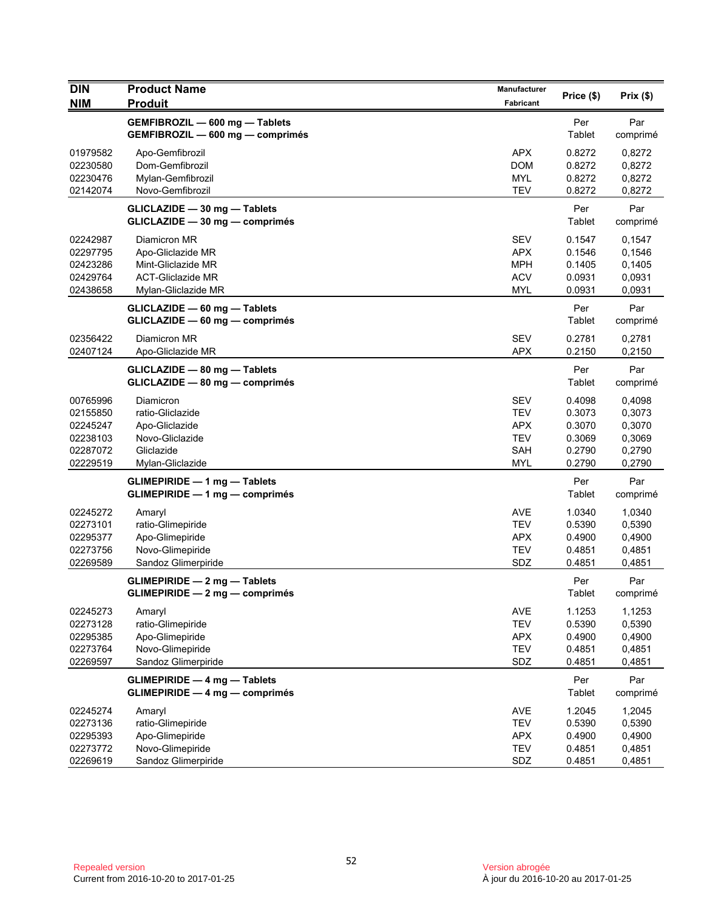| <b>DIN</b><br><b>NIM</b>                                             | <b>Product Name</b><br><b>Produit</b>                                                                      | <b>Manufacturer</b><br>Fabricant                                                 | Price (\$)                                               | Prix (\$)                                                |
|----------------------------------------------------------------------|------------------------------------------------------------------------------------------------------------|----------------------------------------------------------------------------------|----------------------------------------------------------|----------------------------------------------------------|
|                                                                      | GEMFIBROZIL - 600 mg - Tablets<br>GEMFIBROZIL - 600 mg - comprimés                                         |                                                                                  | Per<br>Tablet                                            | Par<br>comprimé                                          |
| 01979582<br>02230580<br>02230476<br>02142074                         | Apo-Gemfibrozil<br>Dom-Gemfibrozil<br>Mylan-Gemfibrozil<br>Novo-Gemfibrozil                                | <b>APX</b><br><b>DOM</b><br>MYL<br><b>TEV</b>                                    | 0.8272<br>0.8272<br>0.8272<br>0.8272                     | 0,8272<br>0,8272<br>0,8272<br>0,8272                     |
|                                                                      | GLICLAZIDE - 30 mg - Tablets<br>GLICLAZIDE - 30 mg - comprimés                                             |                                                                                  | Per<br>Tablet                                            | Par<br>comprimé                                          |
| 02242987<br>02297795<br>02423286<br>02429764<br>02438658             | Diamicron MR<br>Apo-Gliclazide MR<br>Mint-Gliclazide MR<br><b>ACT-Gliclazide MR</b><br>Mylan-Gliclazide MR | <b>SEV</b><br><b>APX</b><br><b>MPH</b><br><b>ACV</b><br>MYL                      | 0.1547<br>0.1546<br>0.1405<br>0.0931<br>0.0931           | 0,1547<br>0,1546<br>0,1405<br>0,0931<br>0,0931           |
|                                                                      | GLICLAZIDE - 60 mg - Tablets<br>GLICLAZIDE - 60 mg - comprimés                                             |                                                                                  | Per<br>Tablet                                            | Par<br>comprimé                                          |
| 02356422<br>02407124                                                 | Diamicron MR<br>Apo-Gliclazide MR                                                                          | <b>SEV</b><br><b>APX</b>                                                         | 0.2781<br>0.2150                                         | 0,2781<br>0,2150                                         |
|                                                                      | GLICLAZIDE - 80 mg - Tablets<br>GLICLAZIDE - 80 mg - comprimés                                             |                                                                                  | Per<br>Tablet                                            | Par<br>comprimé                                          |
| 00765996<br>02155850<br>02245247<br>02238103<br>02287072<br>02229519 | Diamicron<br>ratio-Gliclazide<br>Apo-Gliclazide<br>Novo-Gliclazide<br>Gliclazide<br>Mylan-Gliclazide       | <b>SEV</b><br><b>TEV</b><br><b>APX</b><br><b>TEV</b><br><b>SAH</b><br><b>MYL</b> | 0.4098<br>0.3073<br>0.3070<br>0.3069<br>0.2790<br>0.2790 | 0,4098<br>0,3073<br>0,3070<br>0,3069<br>0,2790<br>0,2790 |
|                                                                      | <b>GLIMEPIRIDE - 1 mg - Tablets</b><br>GLIMEPIRIDE - 1 mg - comprimés                                      |                                                                                  | Per<br>Tablet                                            | Par<br>comprimé                                          |
| 02245272<br>02273101<br>02295377<br>02273756<br>02269589             | Amaryl<br>ratio-Glimepiride<br>Apo-Glimepiride<br>Novo-Glimepiride<br>Sandoz Glimerpiride                  | <b>AVE</b><br><b>TEV</b><br><b>APX</b><br><b>TEV</b><br>SDZ                      | 1.0340<br>0.5390<br>0.4900<br>0.4851<br>0.4851           | 1,0340<br>0,5390<br>0,4900<br>0,4851<br>0,4851           |
|                                                                      | <b>GLIMEPIRIDE - 2 mg - Tablets</b><br>GLIMEPIRIDE — 2 mg — comprimés                                      |                                                                                  | Per<br>Tablet                                            | Par<br>comprimé                                          |
| 02245273<br>02273128<br>02295385<br>02273764<br>02269597             | Amaryl<br>ratio-Glimepiride<br>Apo-Glimepiride<br>Novo-Glimepiride<br>Sandoz Glimerpiride                  | AVE<br><b>TEV</b><br><b>APX</b><br><b>TEV</b><br>SDZ                             | 1.1253<br>0.5390<br>0.4900<br>0.4851<br>0.4851           | 1,1253<br>0,5390<br>0,4900<br>0,4851<br>0,4851           |
|                                                                      | <b>GLIMEPIRIDE - 4 mg - Tablets</b><br>$GLIMEPIRIDE - 4 mg - comprimés$                                    |                                                                                  | Per<br>Tablet                                            | Par<br>comprimé                                          |
| 02245274<br>02273136<br>02295393<br>02273772<br>02269619             | Amaryl<br>ratio-Glimepiride<br>Apo-Glimepiride<br>Novo-Glimepiride<br>Sandoz Glimerpiride                  | AVE<br><b>TEV</b><br><b>APX</b><br><b>TEV</b><br>SDZ                             | 1.2045<br>0.5390<br>0.4900<br>0.4851<br>0.4851           | 1,2045<br>0,5390<br>0,4900<br>0,4851<br>0,4851           |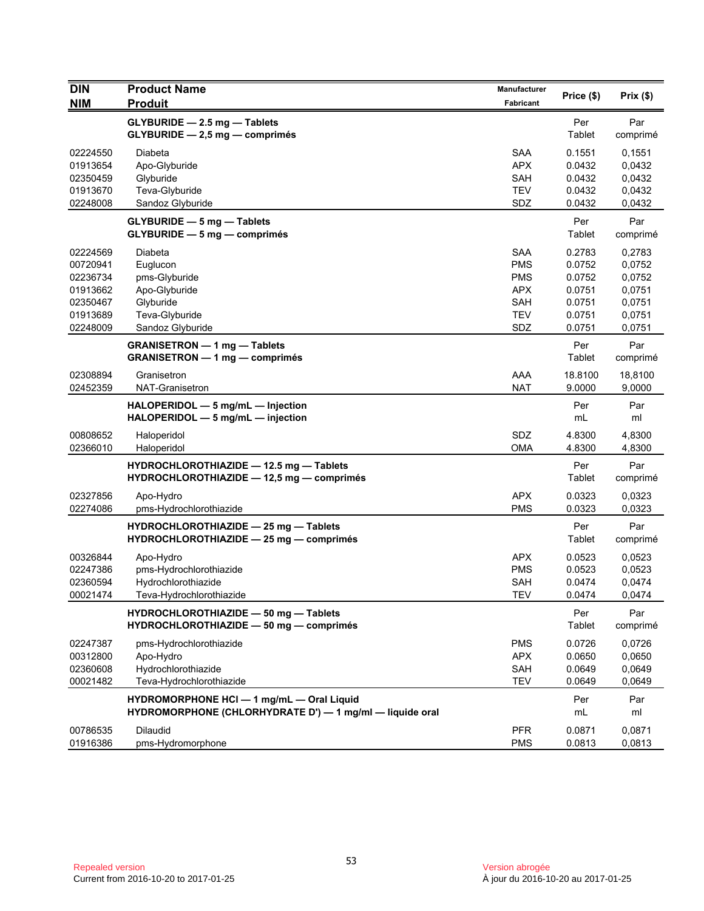| <b>DIN</b><br><b>NIM</b>                                                         | <b>Product Name</b><br><b>Produit</b>                                                                    | Manufacturer<br>Fabricant                                                        | Price (\$)                                                         | Prix(\$)                                                           |
|----------------------------------------------------------------------------------|----------------------------------------------------------------------------------------------------------|----------------------------------------------------------------------------------|--------------------------------------------------------------------|--------------------------------------------------------------------|
|                                                                                  | GLYBURIDE - 2.5 mg - Tablets<br>$GLYBURIDE - 2,5 mg - comprimés$                                         |                                                                                  | Per<br>Tablet                                                      | Par<br>comprimé                                                    |
| 02224550<br>01913654<br>02350459<br>01913670<br>02248008                         | Diabeta<br>Apo-Glyburide<br>Glyburide<br>Teva-Glyburide<br>Sandoz Glyburide                              | <b>SAA</b><br><b>APX</b><br>SAH<br><b>TEV</b><br>SDZ                             | 0.1551<br>0.0432<br>0.0432<br>0.0432<br>0.0432                     | 0,1551<br>0,0432<br>0,0432<br>0,0432<br>0,0432                     |
|                                                                                  | <b>GLYBURIDE - 5 mg - Tablets</b><br>GLYBURIDE - 5 mg - comprimés                                        |                                                                                  | Per<br>Tablet                                                      | Par<br>comprimé                                                    |
| 02224569<br>00720941<br>02236734<br>01913662<br>02350467<br>01913689<br>02248009 | Diabeta<br>Euglucon<br>pms-Glyburide<br>Apo-Glyburide<br>Glyburide<br>Teva-Glyburide<br>Sandoz Glyburide | <b>SAA</b><br><b>PMS</b><br><b>PMS</b><br><b>APX</b><br>SAH<br><b>TEV</b><br>SDZ | 0.2783<br>0.0752<br>0.0752<br>0.0751<br>0.0751<br>0.0751<br>0.0751 | 0,2783<br>0,0752<br>0,0752<br>0,0751<br>0,0751<br>0,0751<br>0,0751 |
|                                                                                  | <b>GRANISETRON - 1 mg - Tablets</b><br><b>GRANISETRON — 1 mg — comprimés</b>                             |                                                                                  | Per<br>Tablet                                                      | Par<br>comprimé                                                    |
| 02308894<br>02452359                                                             | Granisetron<br>NAT-Granisetron                                                                           | AAA<br><b>NAT</b>                                                                | 18.8100<br>9.0000                                                  | 18,8100<br>9,0000                                                  |
|                                                                                  | HALOPERIDOL - 5 mg/mL - Injection<br>HALOPERIDOL - 5 mg/mL - injection                                   |                                                                                  | Per<br>mL                                                          | Par<br>ml                                                          |
| 00808652<br>02366010                                                             | Haloperidol<br>Haloperidol                                                                               | SDZ<br><b>OMA</b>                                                                | 4.8300<br>4.8300                                                   | 4,8300<br>4,8300                                                   |
|                                                                                  | HYDROCHLOROTHIAZIDE - 12.5 mg - Tablets<br>HYDROCHLOROTHIAZIDE - 12,5 mg - comprimés                     |                                                                                  | Per<br>Tablet                                                      | Par<br>comprimé                                                    |
| 02327856<br>02274086                                                             | Apo-Hydro<br>pms-Hydrochlorothiazide                                                                     | <b>APX</b><br><b>PMS</b>                                                         | 0.0323<br>0.0323                                                   | 0,0323<br>0,0323                                                   |
|                                                                                  | HYDROCHLOROTHIAZIDE - 25 mg - Tablets<br>HYDROCHLOROTHIAZIDE - 25 mg - comprimés                         |                                                                                  | Per<br>Tablet                                                      | Par<br>comprimé                                                    |
| 00326844<br>02247386<br>02360594<br>00021474                                     | Apo-Hydro<br>pms-Hydrochlorothiazide<br>Hydrochlorothiazide<br>Teva-Hydrochlorothiazide                  | <b>APX</b><br><b>PMS</b><br><b>SAH</b><br>TEV                                    | 0.0523<br>0.0523<br>0.0474<br>0.0474                               | 0,0523<br>0,0523<br>0,0474<br>0,0474                               |
|                                                                                  | HYDROCHLOROTHIAZIDE - 50 mg - Tablets<br>HYDROCHLOROTHIAZIDE - 50 mg - comprimés                         |                                                                                  | Per<br>Tablet                                                      | Par<br>comprimé                                                    |
| 02247387<br>00312800<br>02360608<br>00021482                                     | pms-Hydrochlorothiazide<br>Apo-Hydro<br>Hydrochlorothiazide<br>Teva-Hydrochlorothiazide                  | <b>PMS</b><br><b>APX</b><br>SAH<br><b>TEV</b>                                    | 0.0726<br>0.0650<br>0.0649<br>0.0649                               | 0,0726<br>0,0650<br>0,0649<br>0,0649                               |
|                                                                                  | HYDROMORPHONE HCI - 1 mg/mL - Oral Liquid<br>HYDROMORPHONE (CHLORHYDRATE D') - 1 mg/ml - liquide oral    |                                                                                  | Per<br>mL                                                          | Par<br>ml                                                          |
| 00786535<br>01916386                                                             | Dilaudid<br>pms-Hydromorphone                                                                            | <b>PFR</b><br><b>PMS</b>                                                         | 0.0871<br>0.0813                                                   | 0,0871<br>0,0813                                                   |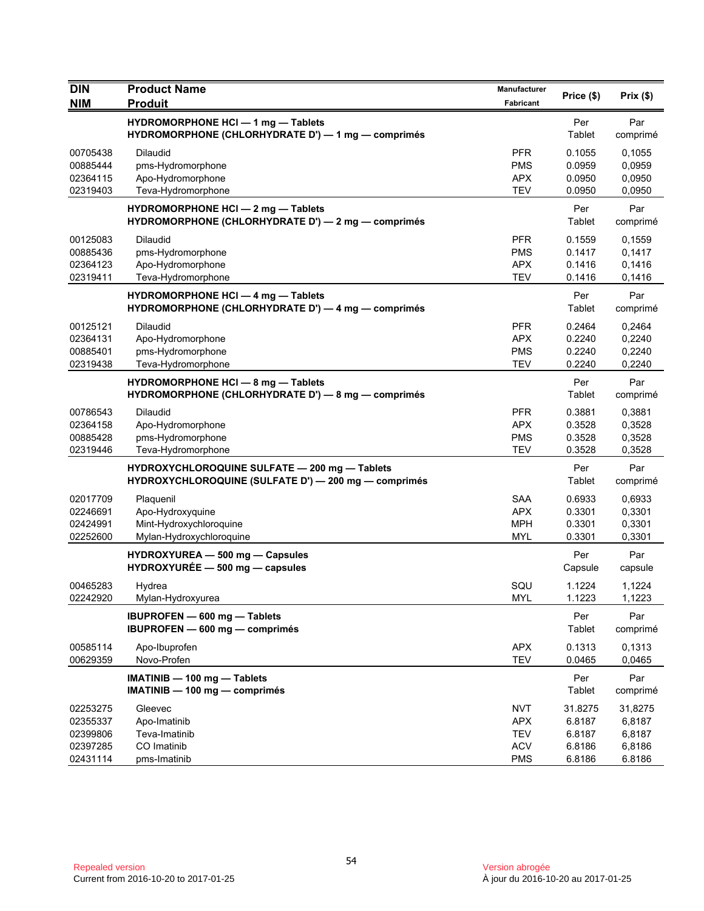| <b>DIN</b>                                               | <b>Product Name</b>                                                                                   | Manufacturer                                                       | Price (\$)                                      | Prix (\$)                                       |
|----------------------------------------------------------|-------------------------------------------------------------------------------------------------------|--------------------------------------------------------------------|-------------------------------------------------|-------------------------------------------------|
| <b>NIM</b>                                               | <b>Produit</b>                                                                                        | Fabricant                                                          |                                                 |                                                 |
|                                                          | HYDROMORPHONE HCI - 1 mg - Tablets<br>HYDROMORPHONE (CHLORHYDRATE D') - 1 mg - comprimés              |                                                                    | Per<br>Tablet                                   | Par<br>comprimé                                 |
| 00705438<br>00885444<br>02364115<br>02319403             | <b>Dilaudid</b><br>pms-Hydromorphone<br>Apo-Hydromorphone<br>Teva-Hydromorphone                       | <b>PFR</b><br><b>PMS</b><br><b>APX</b><br><b>TEV</b>               | 0.1055<br>0.0959<br>0.0950<br>0.0950            | 0,1055<br>0,0959<br>0,0950<br>0,0950            |
|                                                          | <b>HYDROMORPHONE HCI - 2 mg - Tablets</b><br>HYDROMORPHONE (CHLORHYDRATE D') - 2 mg - comprimés       |                                                                    | Per<br>Tablet                                   | Par<br>comprimé                                 |
| 00125083<br>00885436<br>02364123<br>02319411             | <b>Dilaudid</b><br>pms-Hydromorphone<br>Apo-Hydromorphone<br>Teva-Hydromorphone                       | <b>PFR</b><br><b>PMS</b><br><b>APX</b><br><b>TEV</b>               | 0.1559<br>0.1417<br>0.1416<br>0.1416            | 0,1559<br>0,1417<br>0,1416<br>0,1416            |
|                                                          | <b>HYDROMORPHONE HCI - 4 mg - Tablets</b><br>HYDROMORPHONE (CHLORHYDRATE D') - 4 mg - comprimés       |                                                                    | Per<br>Tablet                                   | Par<br>comprimé                                 |
| 00125121<br>02364131<br>00885401<br>02319438             | Dilaudid<br>Apo-Hydromorphone<br>pms-Hydromorphone<br>Teva-Hydromorphone                              | <b>PFR</b><br><b>APX</b><br><b>PMS</b><br><b>TEV</b>               | 0.2464<br>0.2240<br>0.2240<br>0.2240            | 0,2464<br>0,2240<br>0,2240<br>0,2240            |
|                                                          | <b>HYDROMORPHONE HCI - 8 mg - Tablets</b><br>HYDROMORPHONE (CHLORHYDRATE D') - 8 mg - comprimés       |                                                                    | Per<br>Tablet                                   | Par<br>comprimé                                 |
| 00786543<br>02364158<br>00885428<br>02319446             | Dilaudid<br>Apo-Hydromorphone<br>pms-Hydromorphone<br>Teva-Hydromorphone                              | <b>PFR</b><br><b>APX</b><br><b>PMS</b><br><b>TEV</b>               | 0.3881<br>0.3528<br>0.3528<br>0.3528            | 0,3881<br>0,3528<br>0,3528<br>0,3528            |
|                                                          | HYDROXYCHLOROQUINE SULFATE - 200 mg - Tablets<br>HYDROXYCHLOROQUINE (SULFATE D') - 200 mg - comprimés |                                                                    | Per<br>Tablet                                   | Par<br>comprimé                                 |
| 02017709<br>02246691<br>02424991<br>02252600             | Plaquenil<br>Apo-Hydroxyquine<br>Mint-Hydroxychloroquine<br>Mylan-Hydroxychloroquine                  | <b>SAA</b><br><b>APX</b><br><b>MPH</b><br>MYL                      | 0.6933<br>0.3301<br>0.3301<br>0.3301            | 0,6933<br>0,3301<br>0,3301<br>0,3301            |
|                                                          | HYDROXYUREA - 500 mg - Capsules<br>HYDROXYURÉE - 500 mg - capsules                                    |                                                                    | Per<br>Capsule                                  | Par<br>capsule                                  |
| 00465283<br>02242920                                     | Hydrea<br>Mylan-Hydroxyurea                                                                           | SQU<br>MYL                                                         | 1.1224<br>1.1223                                | 1,1224<br>1,1223                                |
|                                                          | IBUPROFEN - 600 mg - Tablets<br>IBUPROFEN - 600 mg - comprimés                                        |                                                                    | Per<br>Tablet                                   | Par<br>comprimé                                 |
| 00585114<br>00629359                                     | Apo-Ibuprofen<br>Novo-Profen                                                                          | <b>APX</b><br><b>TEV</b>                                           | 0.1313<br>0.0465                                | 0,1313<br>0,0465                                |
|                                                          | IMATINIB - 100 mg - Tablets<br>IMATINIB - 100 mg - comprimés                                          |                                                                    | Per<br>Tablet                                   | Par<br>comprimé                                 |
| 02253275<br>02355337<br>02399806<br>02397285<br>02431114 | Gleevec<br>Apo-Imatinib<br>Teva-Imatinib<br>CO Imatinib<br>pms-Imatinib                               | <b>NVT</b><br><b>APX</b><br><b>TEV</b><br><b>ACV</b><br><b>PMS</b> | 31.8275<br>6.8187<br>6.8187<br>6.8186<br>6.8186 | 31,8275<br>6,8187<br>6,8187<br>6,8186<br>6.8186 |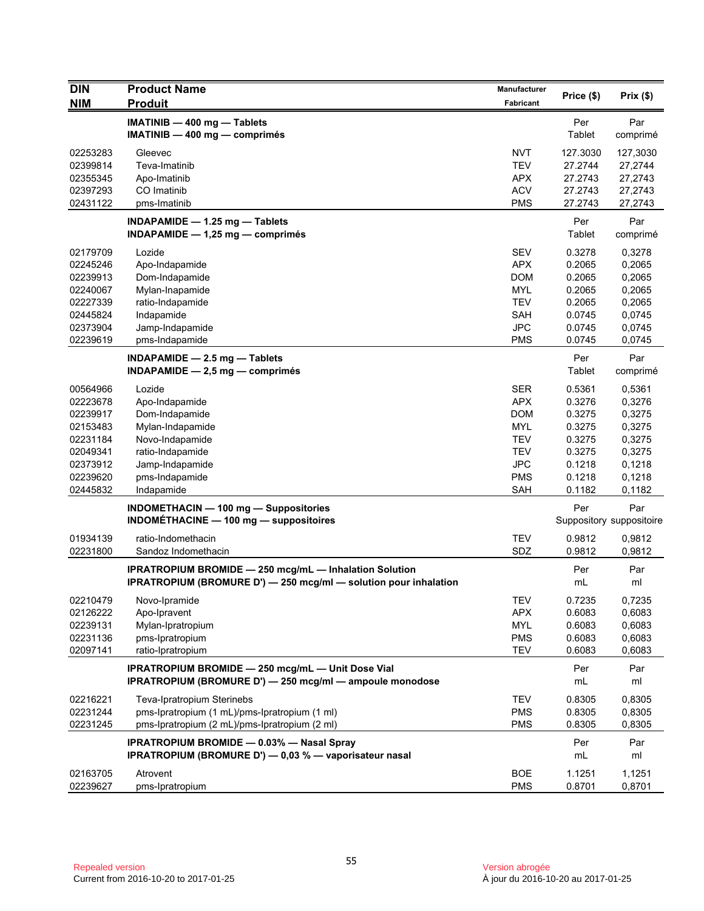| <b>DIN</b> | <b>Product Name</b>                                              | <b>Manufacturer</b> |            |                          |
|------------|------------------------------------------------------------------|---------------------|------------|--------------------------|
| <b>NIM</b> | <b>Produit</b>                                                   | Fabricant           | Price (\$) | Prix(\$)                 |
|            | IMATINIB - 400 mg - Tablets                                      |                     | Per        | Par                      |
|            | $IMATINIB - 400 mg - comprimés$                                  |                     | Tablet     | comprimé                 |
| 02253283   | Gleevec                                                          | <b>NVT</b>          | 127.3030   | 127,3030                 |
| 02399814   | Teva-Imatinib                                                    | <b>TEV</b>          | 27.2744    | 27,2744                  |
| 02355345   | Apo-Imatinib                                                     | <b>APX</b>          | 27.2743    | 27,2743                  |
| 02397293   | CO Imatinib                                                      | <b>ACV</b>          | 27.2743    | 27,2743                  |
| 02431122   | pms-Imatinib                                                     | <b>PMS</b>          | 27.2743    | 27,2743                  |
|            | INDAPAMIDE $-$ 1.25 mg $-$ Tablets                               |                     | Per        | Par                      |
|            | INDAPAMIDE $-$ 1,25 mg $-$ comprimés                             |                     | Tablet     | comprimé                 |
| 02179709   | Lozide                                                           | <b>SEV</b>          | 0.3278     | 0,3278                   |
| 02245246   | Apo-Indapamide                                                   | <b>APX</b>          | 0.2065     | 0,2065                   |
| 02239913   | Dom-Indapamide                                                   | <b>DOM</b>          | 0.2065     | 0,2065                   |
| 02240067   | Mylan-Inapamide                                                  | <b>MYL</b>          | 0.2065     | 0,2065                   |
| 02227339   | ratio-Indapamide                                                 | <b>TEV</b>          | 0.2065     | 0,2065                   |
| 02445824   | Indapamide                                                       | <b>SAH</b>          | 0.0745     | 0,0745                   |
| 02373904   | Jamp-Indapamide                                                  | <b>JPC</b>          | 0.0745     | 0,0745                   |
| 02239619   | pms-Indapamide                                                   | <b>PMS</b>          | 0.0745     | 0,0745                   |
|            | INDAPAMIDE $-2.5$ mg $-$ Tablets                                 |                     | Per        | Par                      |
|            | INDAPAMIDE $-2.5$ mg $-$ comprimes                               |                     | Tablet     | comprimé                 |
| 00564966   | Lozide                                                           | <b>SER</b>          | 0.5361     | 0,5361                   |
| 02223678   | Apo-Indapamide                                                   | <b>APX</b>          | 0.3276     | 0,3276                   |
| 02239917   | Dom-Indapamide                                                   | <b>DOM</b>          | 0.3275     | 0,3275                   |
| 02153483   | Mylan-Indapamide                                                 | MYL                 | 0.3275     | 0,3275                   |
| 02231184   | Novo-Indapamide                                                  | <b>TEV</b>          | 0.3275     | 0,3275                   |
| 02049341   | ratio-Indapamide                                                 | <b>TEV</b>          | 0.3275     | 0,3275                   |
| 02373912   | Jamp-Indapamide                                                  | <b>JPC</b>          | 0.1218     | 0,1218                   |
| 02239620   | pms-Indapamide                                                   | <b>PMS</b>          | 0.1218     | 0,1218                   |
| 02445832   | Indapamide                                                       | <b>SAH</b>          | 0.1182     | 0,1182                   |
|            | INDOMETHACIN - 100 mg - Suppositories                            |                     | Per        | Par                      |
|            | <b>INDOMÉTHACINE - 100 mg - suppositoires</b>                    |                     |            | Suppository suppositoire |
| 01934139   | ratio-Indomethacin                                               | <b>TEV</b>          | 0.9812     | 0,9812                   |
| 02231800   | Sandoz Indomethacin                                              | SDZ                 | 0.9812     | 0,9812                   |
|            | <b>IPRATROPIUM BROMIDE - 250 mcg/mL - Inhalation Solution</b>    |                     | Per        | Par                      |
|            | IPRATROPIUM (BROMURE D') - 250 mcg/ml - solution pour inhalation |                     | mL         | ml                       |
| 02210479   | Novo-Ipramide                                                    | <b>TEV</b>          | 0.7235     | 0,7235                   |
| 02126222   | Apo-Ipravent                                                     | <b>APX</b>          | 0.6083     | 0,6083                   |
| 02239131   | Mylan-Ipratropium                                                | MYL                 | 0.6083     | 0,6083                   |
| 02231136   | pms-Ipratropium                                                  | <b>PMS</b>          | 0.6083     | 0,6083                   |
| 02097141   | ratio-Ipratropium                                                | <b>TEV</b>          | 0.6083     | 0,6083                   |
|            | IPRATROPIUM BROMIDE - 250 mcg/mL - Unit Dose Vial                |                     | Per        | Par                      |
|            | IPRATROPIUM (BROMURE D') - 250 mcg/ml - ampoule monodose         |                     | mL         | ml                       |
| 02216221   | Teva-Ipratropium Sterinebs                                       | <b>TEV</b>          | 0.8305     | 0,8305                   |
| 02231244   | pms-Ipratropium (1 mL)/pms-Ipratropium (1 ml)                    | <b>PMS</b>          | 0.8305     | 0,8305                   |
| 02231245   | pms-Ipratropium (2 mL)/pms-Ipratropium (2 ml)                    | <b>PMS</b>          | 0.8305     | 0,8305                   |
|            | <b>IPRATROPIUM BROMIDE - 0.03% - Nasal Spray</b>                 |                     | Per        | Par                      |
|            | IPRATROPIUM (BROMURE D') - 0,03 % - vaporisateur nasal           |                     | mL         | ml                       |
| 02163705   | Atrovent                                                         | <b>BOE</b>          | 1.1251     | 1,1251                   |
| 02239627   | pms-Ipratropium                                                  | <b>PMS</b>          | 0.8701     | 0,8701                   |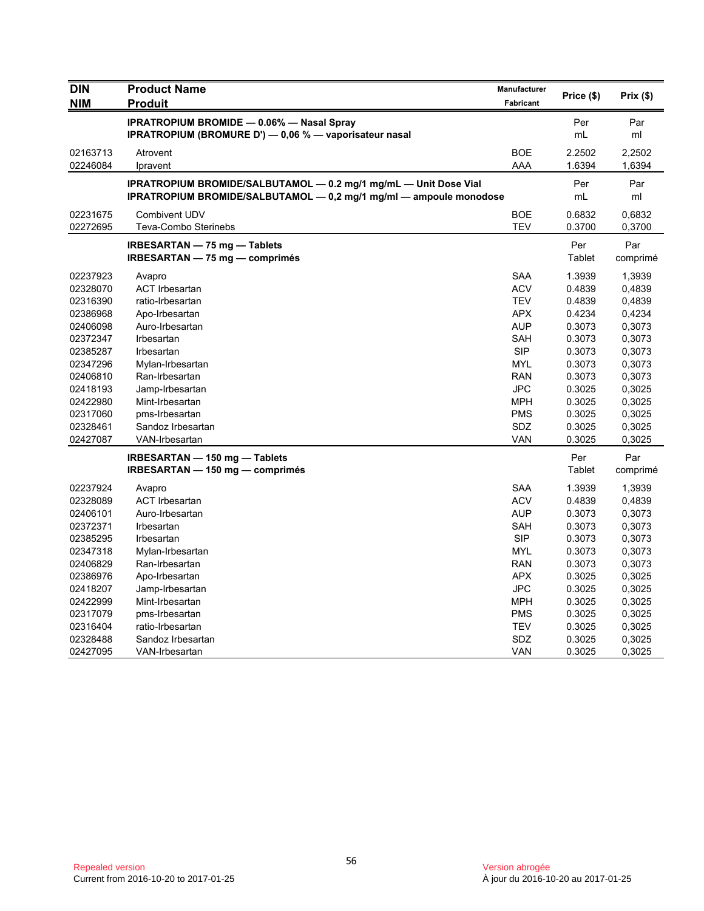| <b>DIN</b> | <b>Product Name</b>                                                | Manufacturer     | Price (\$) | Prix(\$) |
|------------|--------------------------------------------------------------------|------------------|------------|----------|
| <b>NIM</b> | <b>Produit</b>                                                     | <b>Fabricant</b> |            |          |
|            | <b>IPRATROPIUM BROMIDE - 0.06% - Nasal Spray</b>                   |                  | Per        | Par      |
|            | IPRATROPIUM (BROMURE D') - 0,06 % - vaporisateur nasal             |                  | mL         | ml       |
| 02163713   | Atrovent                                                           | <b>BOE</b>       | 2.2502     | 2,2502   |
| 02246084   | Ipravent                                                           | AAA              | 1.6394     | 1,6394   |
|            | IPRATROPIUM BROMIDE/SALBUTAMOL - 0.2 mg/1 mg/mL - Unit Dose Vial   |                  | Per        | Par      |
|            | IPRATROPIUM BROMIDE/SALBUTAMOL - 0,2 mg/1 mg/ml - ampoule monodose |                  | mL         | ml       |
| 02231675   | <b>Combivent UDV</b>                                               | <b>BOE</b>       | 0.6832     | 0,6832   |
| 02272695   | Teva-Combo Sterinebs                                               | <b>TEV</b>       | 0.3700     | 0,3700   |
|            | <b>IRBESARTAN - 75 mg - Tablets</b>                                |                  | Per        | Par      |
|            | IRBESARTAN - 75 mg - comprimés                                     |                  | Tablet     | comprimé |
| 02237923   | Avapro                                                             | <b>SAA</b>       | 1.3939     | 1,3939   |
| 02328070   | <b>ACT Irbesartan</b>                                              | <b>ACV</b>       | 0.4839     | 0,4839   |
| 02316390   | ratio-Irbesartan                                                   | <b>TEV</b>       | 0.4839     | 0,4839   |
| 02386968   | Apo-Irbesartan                                                     | <b>APX</b>       | 0.4234     | 0,4234   |
| 02406098   | Auro-Irbesartan                                                    | <b>AUP</b>       | 0.3073     | 0,3073   |
| 02372347   | Irbesartan                                                         | <b>SAH</b>       | 0.3073     | 0,3073   |
| 02385287   | Irbesartan                                                         | <b>SIP</b>       | 0.3073     | 0,3073   |
| 02347296   | Mylan-Irbesartan                                                   | <b>MYL</b>       | 0.3073     | 0,3073   |
| 02406810   | Ran-Irbesartan                                                     | <b>RAN</b>       | 0.3073     | 0,3073   |
| 02418193   | Jamp-Irbesartan                                                    | <b>JPC</b>       | 0.3025     | 0,3025   |
| 02422980   | Mint-Irbesartan                                                    | <b>MPH</b>       | 0.3025     | 0,3025   |
| 02317060   | pms-Irbesartan                                                     | <b>PMS</b>       | 0.3025     | 0,3025   |
| 02328461   | Sandoz Irbesartan                                                  | SDZ              | 0.3025     | 0,3025   |
| 02427087   | VAN-Irbesartan                                                     | <b>VAN</b>       | 0.3025     | 0,3025   |
|            | IRBESARTAN - 150 mg - Tablets                                      |                  | Per        | Par      |
|            | $IRBESARTAN - 150 mg - comprimés$                                  |                  | Tablet     | comprimé |
| 02237924   | Avapro                                                             | <b>SAA</b>       | 1.3939     | 1,3939   |
| 02328089   | <b>ACT Irbesartan</b>                                              | <b>ACV</b>       | 0.4839     | 0,4839   |
| 02406101   | Auro-Irbesartan                                                    | <b>AUP</b>       | 0.3073     | 0,3073   |
| 02372371   | Irbesartan                                                         | <b>SAH</b>       | 0.3073     | 0,3073   |
| 02385295   | Irbesartan                                                         | <b>SIP</b>       | 0.3073     | 0,3073   |
| 02347318   | Mylan-Irbesartan                                                   | <b>MYL</b>       | 0.3073     | 0,3073   |
| 02406829   | Ran-Irbesartan                                                     | <b>RAN</b>       | 0.3073     | 0,3073   |
| 02386976   | Apo-Irbesartan                                                     | <b>APX</b>       | 0.3025     | 0,3025   |
| 02418207   | Jamp-Irbesartan                                                    | <b>JPC</b>       | 0.3025     | 0,3025   |
| 02422999   | Mint-Irbesartan                                                    | MPH              | 0.3025     | 0,3025   |
| 02317079   | pms-Irbesartan                                                     | <b>PMS</b>       | 0.3025     | 0,3025   |
| 02316404   | ratio-Irbesartan                                                   | <b>TEV</b>       | 0.3025     | 0,3025   |
| 02328488   | Sandoz Irbesartan                                                  | SDZ              | 0.3025     | 0,3025   |
| 02427095   | VAN-Irbesartan                                                     | <b>VAN</b>       | 0.3025     | 0,3025   |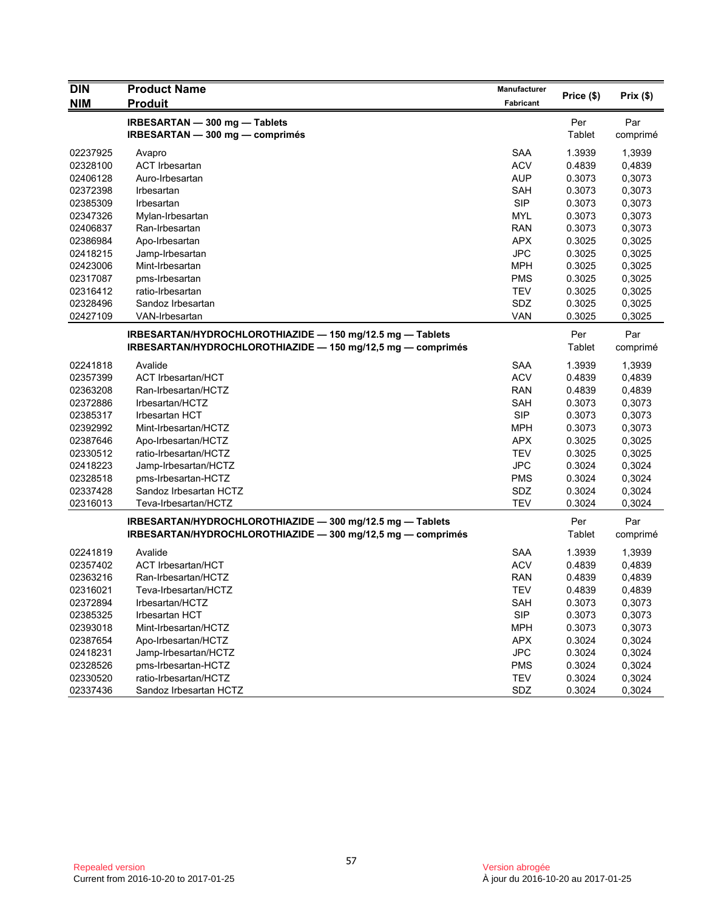| <b>DIN</b> | <b>Product Name</b>                                         | <b>Manufacturer</b> | Price (\$)    | Prix(\$) |
|------------|-------------------------------------------------------------|---------------------|---------------|----------|
| <b>NIM</b> | <b>Produit</b>                                              | Fabricant           |               |          |
|            | IRBESARTAN - 300 mg - Tablets                               |                     | Per           | Par      |
|            | IRBESARTAN - 300 mg - comprimés                             |                     | <b>Tablet</b> | comprimé |
| 02237925   | Avapro                                                      | <b>SAA</b>          | 1.3939        | 1,3939   |
| 02328100   | <b>ACT Irbesartan</b>                                       | <b>ACV</b>          | 0.4839        | 0,4839   |
| 02406128   | Auro-Irbesartan                                             | <b>AUP</b>          | 0.3073        | 0,3073   |
| 02372398   | Irbesartan                                                  | <b>SAH</b>          | 0.3073        | 0,3073   |
| 02385309   | Irbesartan                                                  | <b>SIP</b>          | 0.3073        | 0,3073   |
| 02347326   | Mylan-Irbesartan                                            | <b>MYL</b>          | 0.3073        | 0,3073   |
| 02406837   | Ran-Irbesartan                                              | <b>RAN</b>          | 0.3073        | 0,3073   |
| 02386984   | Apo-Irbesartan                                              | <b>APX</b>          | 0.3025        | 0,3025   |
| 02418215   | Jamp-Irbesartan                                             | <b>JPC</b>          | 0.3025        | 0,3025   |
| 02423006   | Mint-Irbesartan                                             | <b>MPH</b>          | 0.3025        | 0,3025   |
| 02317087   | pms-Irbesartan                                              | <b>PMS</b>          | 0.3025        | 0,3025   |
| 02316412   | ratio-Irbesartan                                            | <b>TEV</b>          | 0.3025        | 0,3025   |
| 02328496   | Sandoz Irbesartan                                           | SDZ                 | 0.3025        | 0,3025   |
| 02427109   | VAN-Irbesartan                                              | <b>VAN</b>          | 0.3025        | 0,3025   |
|            | IRBESARTAN/HYDROCHLOROTHIAZIDE - 150 mg/12.5 mg - Tablets   |                     | Per           | Par      |
|            | IRBESARTAN/HYDROCHLOROTHIAZIDE - 150 mg/12,5 mg - comprimés |                     | Tablet        | comprimé |
|            |                                                             |                     |               |          |
| 02241818   | Avalide                                                     | <b>SAA</b>          | 1.3939        | 1,3939   |
| 02357399   | <b>ACT Irbesartan/HCT</b>                                   | <b>ACV</b>          | 0.4839        | 0,4839   |
| 02363208   | Ran-Irbesartan/HCTZ                                         | <b>RAN</b>          | 0.4839        | 0,4839   |
| 02372886   | Irbesartan/HCTZ                                             | <b>SAH</b>          | 0.3073        | 0,3073   |
| 02385317   | <b>Irbesartan HCT</b>                                       | <b>SIP</b>          | 0.3073        | 0,3073   |
| 02392992   | Mint-Irbesartan/HCTZ                                        | <b>MPH</b>          | 0.3073        | 0,3073   |
| 02387646   | Apo-Irbesartan/HCTZ                                         | <b>APX</b>          | 0.3025        | 0,3025   |
| 02330512   | ratio-Irbesartan/HCTZ                                       | <b>TEV</b>          | 0.3025        | 0,3025   |
| 02418223   | Jamp-Irbesartan/HCTZ                                        | <b>JPC</b>          | 0.3024        | 0,3024   |
| 02328518   | pms-Irbesartan-HCTZ                                         | <b>PMS</b>          | 0.3024        | 0,3024   |
| 02337428   | Sandoz Irbesartan HCTZ                                      | SDZ                 | 0.3024        | 0,3024   |
| 02316013   | Teva-Irbesartan/HCTZ                                        | <b>TEV</b>          | 0.3024        | 0,3024   |
|            | IRBESARTAN/HYDROCHLOROTHIAZIDE - 300 mg/12.5 mg - Tablets   |                     | Per           | Par      |
|            | IRBESARTAN/HYDROCHLOROTHIAZIDE - 300 mg/12,5 mg - comprimés |                     | Tablet        | comprimé |
| 02241819   | Avalide                                                     | <b>SAA</b>          | 1.3939        | 1,3939   |
| 02357402   | <b>ACT Irbesartan/HCT</b>                                   | <b>ACV</b>          | 0.4839        | 0,4839   |
| 02363216   | Ran-Irbesartan/HCTZ                                         | <b>RAN</b>          | 0.4839        | 0,4839   |
| 02316021   | Teva-Irbesartan/HCTZ                                        | <b>TEV</b>          | 0.4839        | 0,4839   |
| 02372894   | Irbesartan/HCTZ                                             | <b>SAH</b>          | 0.3073        | 0,3073   |
| 02385325   | Irbesartan HCT                                              | <b>SIP</b>          | 0.3073        | 0,3073   |
| 02393018   | Mint-Irbesartan/HCTZ                                        | <b>MPH</b>          | 0.3073        | 0,3073   |
| 02387654   | Apo-Irbesartan/HCTZ                                         | <b>APX</b>          | 0.3024        | 0,3024   |
| 02418231   | Jamp-Irbesartan/HCTZ                                        | <b>JPC</b>          | 0.3024        | 0,3024   |
| 02328526   | pms-Irbesartan-HCTZ                                         | <b>PMS</b>          | 0.3024        | 0,3024   |
| 02330520   | ratio-Irbesartan/HCTZ                                       | <b>TEV</b>          | 0.3024        | 0,3024   |
| 02337436   | Sandoz Irbesartan HCTZ                                      | SDZ                 | 0.3024        | 0,3024   |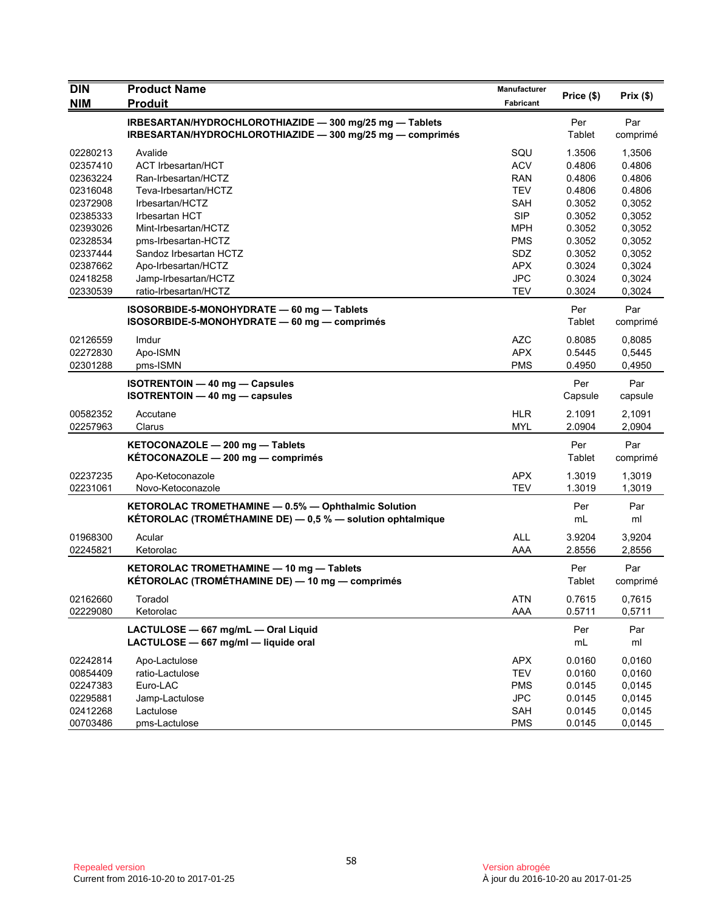| <b>DIN</b> | <b>Product Name</b>                                        | Manufacturer | Price (\$) | Prix(\$) |
|------------|------------------------------------------------------------|--------------|------------|----------|
| <b>NIM</b> | <b>Produit</b>                                             | Fabricant    |            |          |
|            | IRBESARTAN/HYDROCHLOROTHIAZIDE - 300 mg/25 mg - Tablets    |              | Per        | Par      |
|            | IRBESARTAN/HYDROCHLOROTHIAZIDE - 300 mg/25 mg - comprimés  |              | Tablet     | comprimé |
| 02280213   | Avalide                                                    | SQU          | 1.3506     | 1,3506   |
| 02357410   | <b>ACT Irbesartan/HCT</b>                                  | <b>ACV</b>   | 0.4806     | 0.4806   |
| 02363224   | Ran-Irbesartan/HCTZ                                        | <b>RAN</b>   | 0.4806     | 0.4806   |
| 02316048   | Teva-Irbesartan/HCTZ                                       | <b>TEV</b>   | 0.4806     | 0.4806   |
| 02372908   | Irbesartan/HCTZ                                            | SAH          | 0.3052     | 0,3052   |
| 02385333   | <b>Irbesartan HCT</b>                                      | <b>SIP</b>   | 0.3052     | 0,3052   |
| 02393026   | Mint-Irbesartan/HCTZ                                       | MPH          | 0.3052     | 0,3052   |
| 02328534   | pms-Irbesartan-HCTZ                                        | <b>PMS</b>   | 0.3052     | 0,3052   |
| 02337444   | Sandoz Irbesartan HCTZ                                     | SDZ          | 0.3052     | 0,3052   |
| 02387662   | Apo-Irbesartan/HCTZ                                        | <b>APX</b>   | 0.3024     | 0,3024   |
| 02418258   | Jamp-Irbesartan/HCTZ                                       | <b>JPC</b>   | 0.3024     | 0,3024   |
| 02330539   | ratio-Irbesartan/HCTZ                                      | <b>TEV</b>   | 0.3024     | 0,3024   |
|            | ISOSORBIDE-5-MONOHYDRATE - 60 mg - Tablets                 |              | Per        | Par      |
|            | ISOSORBIDE-5-MONOHYDRATE - 60 mg - comprimés               |              | Tablet     | comprimé |
| 02126559   | Imdur                                                      | <b>AZC</b>   | 0.8085     | 0,8085   |
| 02272830   | Apo-ISMN                                                   | <b>APX</b>   | 0.5445     | 0,5445   |
| 02301288   | pms-ISMN                                                   | <b>PMS</b>   | 0.4950     | 0,4950   |
|            | <b>ISOTRENTOIN - 40 mg - Capsules</b>                      |              | Per        | Par      |
|            | <b>ISOTRENTOIN - 40 mg - capsules</b>                      |              | Capsule    | capsule  |
| 00582352   | Accutane                                                   | <b>HLR</b>   | 2.1091     | 2,1091   |
| 02257963   | Clarus                                                     | <b>MYL</b>   | 2.0904     | 2,0904   |
|            | KETOCONAZOLE - 200 mg - Tablets                            |              | Per        | Par      |
|            | KÉTOCONAZOLE - 200 mg - comprimés                          |              | Tablet     | comprimé |
| 02237235   | Apo-Ketoconazole                                           | <b>APX</b>   | 1.3019     | 1,3019   |
| 02231061   | Novo-Ketoconazole                                          | <b>TEV</b>   | 1.3019     | 1,3019   |
|            |                                                            |              |            |          |
|            | KETOROLAC TROMETHAMINE - 0.5% - Ophthalmic Solution        |              | Per        | Par      |
|            | KÉTOROLAC (TROMÉTHAMINE DE) - 0,5 % - solution ophtalmique |              | mL         | ml       |
| 01968300   | Acular                                                     | <b>ALL</b>   | 3.9204     | 3,9204   |
| 02245821   | Ketorolac                                                  | AAA          | 2.8556     | 2,8556   |
|            | KETOROLAC TROMETHAMINE - 10 mg - Tablets                   |              | Per        | Par      |
|            | KÉTOROLAC (TROMÉTHAMINE DE) — 10 mg — comprimés            |              | Tablet     | comprimé |
| 02162660   | Toradol                                                    | ATN          | 0.7615     | 0,7615   |
| 02229080   | Ketorolac                                                  | AAA          | 0.5711     | 0,5711   |
|            | LACTULOSE - 667 mg/mL - Oral Liquid                        |              | Per        | Par      |
|            | LACTULOSE - 667 mg/ml - liquide oral                       |              | mL         | ml       |
| 02242814   | Apo-Lactulose                                              | APX          | 0.0160     | 0,0160   |
| 00854409   | ratio-Lactulose                                            | <b>TEV</b>   | 0.0160     | 0,0160   |
| 02247383   | Euro-LAC                                                   | <b>PMS</b>   | 0.0145     | 0,0145   |
| 02295881   | Jamp-Lactulose                                             | <b>JPC</b>   | 0.0145     | 0,0145   |
| 02412268   | Lactulose                                                  | SAH          | 0.0145     | 0,0145   |
| 00703486   | pms-Lactulose                                              | <b>PMS</b>   | 0.0145     | 0,0145   |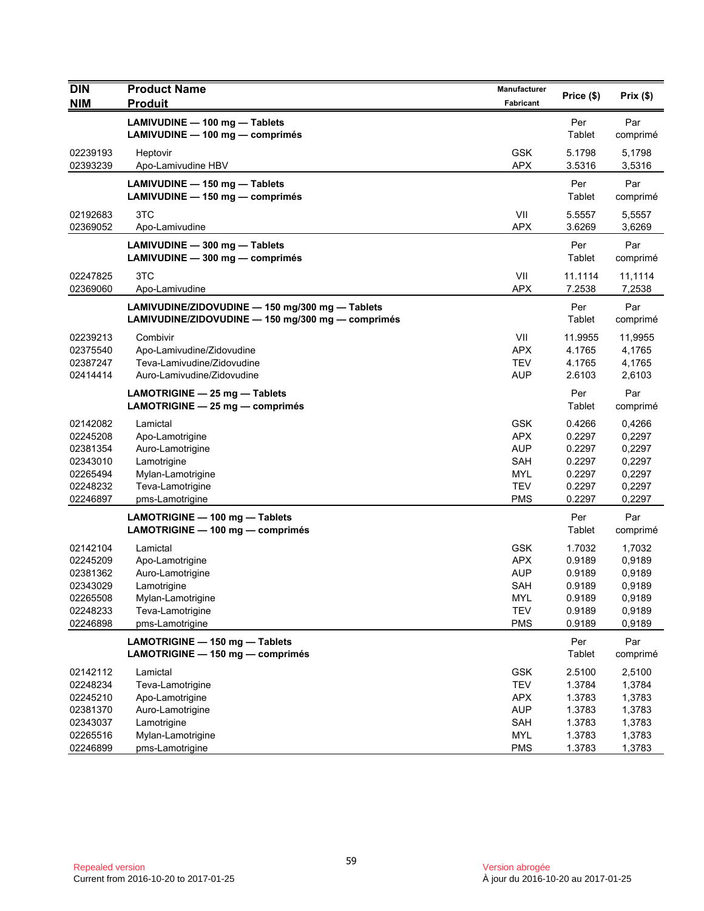| <b>DIN</b><br><b>NIM</b>                                                         | <b>Product Name</b><br><b>Produit</b>                                                                                      | Manufacturer<br>Fabricant                                                               | Price (\$)                                                         | Prix(\$)                                                           |
|----------------------------------------------------------------------------------|----------------------------------------------------------------------------------------------------------------------------|-----------------------------------------------------------------------------------------|--------------------------------------------------------------------|--------------------------------------------------------------------|
|                                                                                  | LAMIVUDINE - 100 mg - Tablets<br>LAMIVUDINE - 100 mg - comprimés                                                           |                                                                                         | Per<br>Tablet                                                      | Par<br>comprimé                                                    |
| 02239193<br>02393239                                                             | Heptovir<br>Apo-Lamivudine HBV                                                                                             | <b>GSK</b><br><b>APX</b>                                                                | 5.1798<br>3.5316                                                   | 5,1798<br>3,5316                                                   |
|                                                                                  | LAMIVUDINE - 150 mg - Tablets<br>LAMIVUDINE - 150 mg - comprimés                                                           |                                                                                         | Per<br>Tablet                                                      | Par<br>comprimé                                                    |
| 02192683<br>02369052                                                             | 3TC<br>Apo-Lamivudine                                                                                                      | VII<br><b>APX</b>                                                                       | 5.5557<br>3.6269                                                   | 5,5557<br>3,6269                                                   |
|                                                                                  | LAMIVUDINE - 300 mg - Tablets<br>LAMIVUDINE - 300 mg - comprimés                                                           |                                                                                         | Per<br>Tablet                                                      | Par<br>comprimé                                                    |
| 02247825<br>02369060                                                             | 3TC<br>Apo-Lamivudine                                                                                                      | VII<br><b>APX</b>                                                                       | 11.1114<br>7.2538                                                  | 11,1114<br>7,2538                                                  |
|                                                                                  | LAMIVUDINE/ZIDOVUDINE - 150 mg/300 mg - Tablets<br>LAMIVUDINE/ZIDOVUDINE - 150 mg/300 mg - comprimés                       |                                                                                         | Per<br>Tablet                                                      | Par<br>comprimé                                                    |
| 02239213<br>02375540<br>02387247<br>02414414                                     | Combivir<br>Apo-Lamivudine/Zidovudine<br>Teva-Lamivudine/Zidovudine<br>Auro-Lamivudine/Zidovudine                          | VII<br><b>APX</b><br><b>TEV</b><br><b>AUP</b>                                           | 11.9955<br>4.1765<br>4.1765<br>2.6103                              | 11,9955<br>4,1765<br>4,1765<br>2,6103                              |
|                                                                                  | LAMOTRIGINE - 25 mg - Tablets<br>LAMOTRIGINE $-25$ mg $-$ comprimés                                                        |                                                                                         | Per<br>Tablet                                                      | Par<br>comprimé                                                    |
| 02142082<br>02245208<br>02381354<br>02343010<br>02265494<br>02248232<br>02246897 | Lamictal<br>Apo-Lamotrigine<br>Auro-Lamotrigine<br>Lamotrigine<br>Mylan-Lamotrigine<br>Teva-Lamotrigine<br>pms-Lamotrigine | <b>GSK</b><br><b>APX</b><br><b>AUP</b><br>SAH<br>MYL<br><b>TEV</b><br><b>PMS</b>        | 0.4266<br>0.2297<br>0.2297<br>0.2297<br>0.2297<br>0.2297<br>0.2297 | 0,4266<br>0,2297<br>0,2297<br>0,2297<br>0,2297<br>0,2297<br>0,2297 |
|                                                                                  | LAMOTRIGINE - 100 mg - Tablets<br>LAMOTRIGINE - 100 mg - comprimés                                                         |                                                                                         | Per<br>Tablet                                                      | Par<br>comprimé                                                    |
| 02142104<br>02245209<br>02381362<br>02343029<br>02265508<br>02248233<br>02246898 | Lamictal<br>Apo-Lamotrigine<br>Auro-Lamotrigine<br>Lamotrigine<br>Mylan-Lamotrigine<br>Teva-Lamotrigine<br>pms-Lamotrigine | <b>GSK</b><br><b>APX</b><br><b>AUP</b><br>SAH<br>MYL<br><b>TEV</b><br><b>PMS</b>        | 1.7032<br>0.9189<br>0.9189<br>0.9189<br>0.9189<br>0.9189<br>0.9189 | 1,7032<br>0,9189<br>0,9189<br>0,9189<br>0,9189<br>0,9189<br>0,9189 |
|                                                                                  | LAMOTRIGINE - 150 mg - Tablets<br>LAMOTRIGINE - 150 mg - comprimés                                                         |                                                                                         | Per<br>Tablet                                                      | Par<br>comprimé                                                    |
| 02142112<br>02248234<br>02245210<br>02381370<br>02343037<br>02265516<br>02246899 | Lamictal<br>Teva-Lamotrigine<br>Apo-Lamotrigine<br>Auro-Lamotrigine<br>Lamotrigine<br>Mylan-Lamotrigine<br>pms-Lamotrigine | <b>GSK</b><br><b>TEV</b><br><b>APX</b><br><b>AUP</b><br>SAH<br><b>MYL</b><br><b>PMS</b> | 2.5100<br>1.3784<br>1.3783<br>1.3783<br>1.3783<br>1.3783<br>1.3783 | 2,5100<br>1,3784<br>1,3783<br>1,3783<br>1,3783<br>1,3783<br>1,3783 |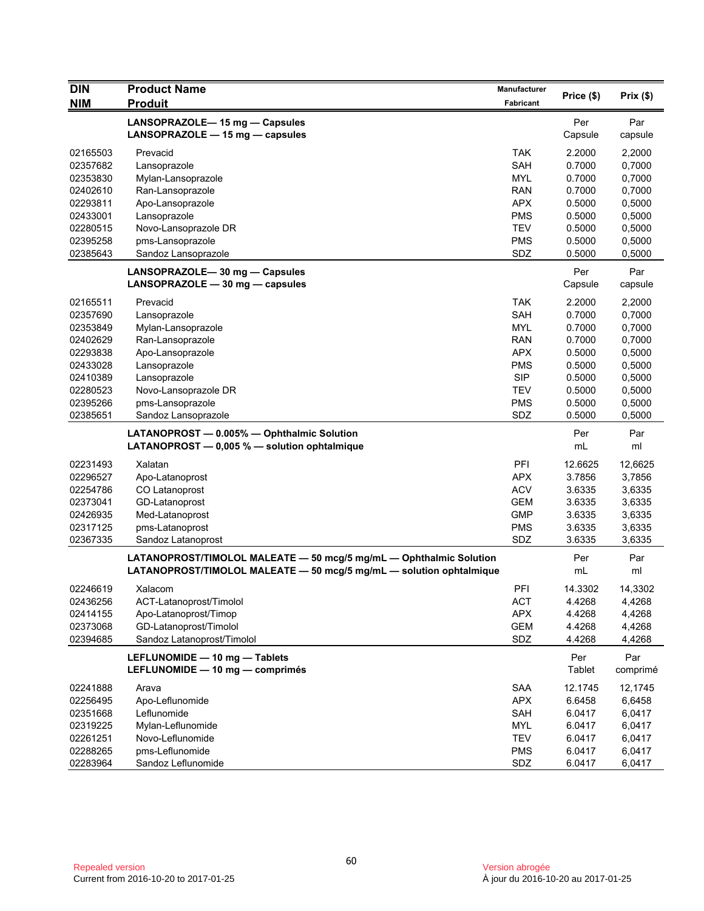| <b>DIN</b> | <b>Product Name</b>                                                 | <b>Manufacturer</b> |            | Prix $(\$)$ |
|------------|---------------------------------------------------------------------|---------------------|------------|-------------|
| <b>NIM</b> | <b>Produit</b>                                                      | Fabricant           | Price (\$) |             |
|            | LANSOPRAZOLE-15 mg - Capsules                                       |                     | Per        | Par         |
|            | LANSOPRAZOLE $-$ 15 mg $-$ capsules                                 |                     | Capsule    | capsule     |
|            |                                                                     |                     |            |             |
| 02165503   | Prevacid                                                            | <b>TAK</b>          | 2.2000     | 2,2000      |
| 02357682   | Lansoprazole                                                        | SAH                 | 0.7000     | 0,7000      |
| 02353830   | Mylan-Lansoprazole                                                  | <b>MYL</b>          | 0.7000     | 0,7000      |
| 02402610   | Ran-Lansoprazole                                                    | <b>RAN</b>          | 0.7000     | 0,7000      |
| 02293811   | Apo-Lansoprazole                                                    | <b>APX</b>          | 0.5000     | 0,5000      |
| 02433001   | Lansoprazole                                                        | <b>PMS</b>          | 0.5000     | 0,5000      |
| 02280515   | Novo-Lansoprazole DR                                                | <b>TEV</b>          | 0.5000     | 0,5000      |
| 02395258   | pms-Lansoprazole                                                    | PMS                 | 0.5000     | 0,5000      |
| 02385643   | Sandoz Lansoprazole                                                 | SDZ                 | 0.5000     | 0,5000      |
|            | LANSOPRAZOLE-30 mg - Capsules                                       |                     | Per        | Par         |
|            | LANSOPRAZOLE $-$ 30 mg $-$ capsules                                 |                     | Capsule    | capsule     |
| 02165511   | Prevacid                                                            | <b>TAK</b>          | 2.2000     | 2,2000      |
| 02357690   | Lansoprazole                                                        | SAH                 | 0.7000     | 0,7000      |
| 02353849   | Mylan-Lansoprazole                                                  | <b>MYL</b>          | 0.7000     | 0,7000      |
| 02402629   | Ran-Lansoprazole                                                    | <b>RAN</b>          | 0.7000     | 0,7000      |
| 02293838   | Apo-Lansoprazole                                                    | <b>APX</b>          | 0.5000     | 0,5000      |
| 02433028   | Lansoprazole                                                        | <b>PMS</b>          | 0.5000     | 0,5000      |
| 02410389   | Lansoprazole                                                        | <b>SIP</b>          | 0.5000     | 0,5000      |
| 02280523   | Novo-Lansoprazole DR                                                | <b>TEV</b>          | 0.5000     | 0,5000      |
| 02395266   | pms-Lansoprazole                                                    | <b>PMS</b>          | 0.5000     | 0,5000      |
| 02385651   | Sandoz Lansoprazole                                                 | SDZ                 | 0.5000     | 0,5000      |
|            |                                                                     |                     |            |             |
|            | LATANOPROST - 0.005% - Ophthalmic Solution                          |                     | Per        | Par         |
|            | LATANOPROST $-$ 0,005 % $-$ solution ophtalmique                    |                     | mL         | ml          |
| 02231493   | Xalatan                                                             | PFI                 | 12.6625    | 12,6625     |
| 02296527   | Apo-Latanoprost                                                     | <b>APX</b>          | 3.7856     | 3,7856      |
| 02254786   | CO Latanoprost                                                      | <b>ACV</b>          | 3.6335     | 3,6335      |
| 02373041   | GD-Latanoprost                                                      | <b>GEM</b>          | 3.6335     | 3,6335      |
| 02426935   | Med-Latanoprost                                                     | <b>GMP</b>          | 3.6335     | 3,6335      |
| 02317125   | pms-Latanoprost                                                     | <b>PMS</b>          | 3.6335     | 3,6335      |
| 02367335   | Sandoz Latanoprost                                                  | SDZ                 | 3.6335     | 3,6335      |
|            | LATANOPROST/TIMOLOL MALEATE - 50 mcg/5 mg/mL - Ophthalmic Solution  |                     | Per        | Par         |
|            | LATANOPROST/TIMOLOL MALEATE - 50 mcg/5 mg/mL - solution ophtalmique |                     | mL         | ml          |
|            |                                                                     |                     |            |             |
| 02246619   | Xalacom                                                             | PFI                 | 14.3302    | 14,3302     |
| 02436256   | ACT-Latanoprost/Timolol                                             | <b>ACT</b>          | 4.4268     | 4,4268      |
| 02414155   | Apo-Latanoprost/Timop                                               | <b>APX</b>          | 4.4268     | 4,4268      |
| 02373068   | GD-Latanoprost/Timolol                                              | <b>GEM</b>          | 4.4268     | 4,4268      |
| 02394685   | Sandoz Latanoprost/Timolol                                          | SDZ                 | 4.4268     | 4,4268      |
|            | LEFLUNOMIDE - 10 mg - Tablets                                       |                     | Per        | Par         |
|            | LEFLUNOMIDE - 10 mg - comprimés                                     |                     | Tablet     | comprimé    |
| 02241888   | Arava                                                               | SAA                 | 12.1745    | 12,1745     |
| 02256495   | Apo-Leflunomide                                                     | <b>APX</b>          | 6.6458     | 6,6458      |
| 02351668   | Leflunomide                                                         | SAH                 | 6.0417     | 6,0417      |
| 02319225   | Mylan-Leflunomide                                                   | <b>MYL</b>          | 6.0417     | 6,0417      |
| 02261251   | Novo-Leflunomide                                                    | <b>TEV</b>          | 6.0417     | 6,0417      |
| 02288265   | pms-Leflunomide                                                     | <b>PMS</b>          | 6.0417     | 6,0417      |
| 02283964   | Sandoz Leflunomide                                                  | SDZ                 | 6.0417     | 6,0417      |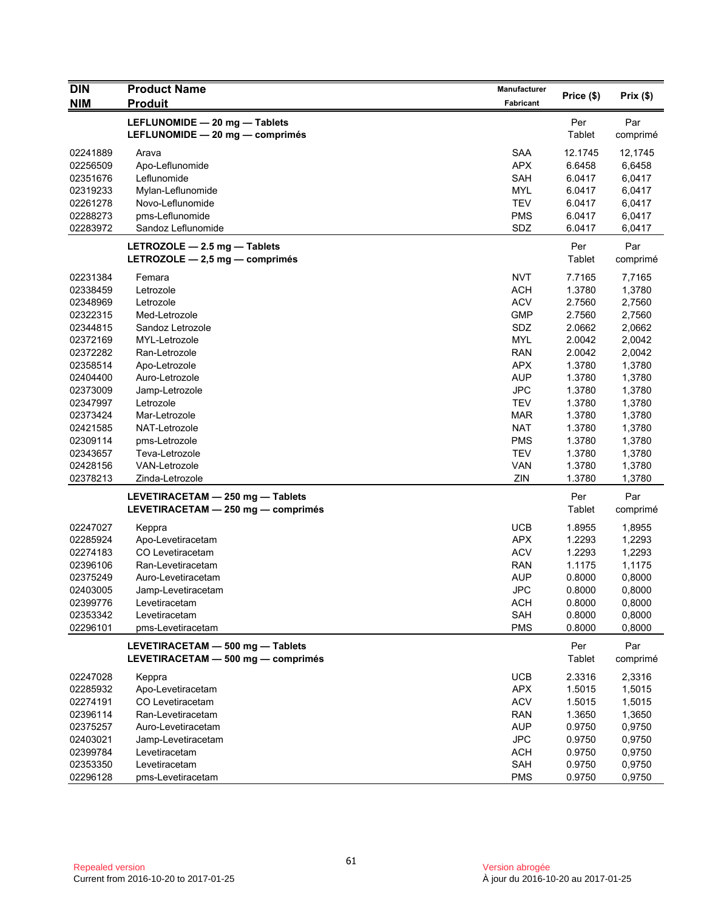| <b>DIN</b>           | <b>Product Name</b>                | <b>Manufacturer</b> |               |                 |
|----------------------|------------------------------------|---------------------|---------------|-----------------|
| <b>NIM</b>           | <b>Produit</b>                     | Fabricant           | Price (\$)    | Prix(\$)        |
|                      | LEFLUNOMIDE - 20 mg - Tablets      |                     |               |                 |
|                      | LEFLUNOMIDE - 20 mg - comprimés    |                     | Per<br>Tablet | Par<br>comprimé |
|                      |                                    |                     |               |                 |
| 02241889             | Arava                              | <b>SAA</b>          | 12.1745       | 12,1745         |
| 02256509             | Apo-Leflunomide                    | <b>APX</b>          | 6.6458        | 6,6458          |
| 02351676             | Leflunomide                        | <b>SAH</b>          | 6.0417        | 6,0417          |
| 02319233             | Mylan-Leflunomide                  | <b>MYL</b>          | 6.0417        | 6,0417          |
| 02261278             | Novo-Leflunomide                   | <b>TEV</b>          | 6.0417        | 6,0417          |
| 02288273             | pms-Leflunomide                    | <b>PMS</b>          | 6.0417        | 6,0417          |
| 02283972             | Sandoz Leflunomide                 | SDZ                 | 6.0417        | 6,0417          |
|                      | LETROZOLE $-$ 2.5 mg $-$ Tablets   |                     | Per           | Par             |
|                      | LETROZOLE $-$ 2,5 mg $-$ comprimés |                     | <b>Tablet</b> | comprimé        |
| 02231384             | Femara                             | <b>NVT</b>          | 7.7165        | 7,7165          |
| 02338459             | Letrozole                          | <b>ACH</b>          | 1.3780        | 1,3780          |
| 02348969             | Letrozole                          | <b>ACV</b>          | 2.7560        | 2,7560          |
| 02322315             | Med-Letrozole                      | <b>GMP</b>          | 2.7560        | 2,7560          |
| 02344815             | Sandoz Letrozole                   | SDZ                 | 2.0662        | 2,0662          |
| 02372169             | MYL-Letrozole                      | <b>MYL</b>          | 2.0042        | 2,0042          |
| 02372282             | Ran-Letrozole                      | <b>RAN</b>          | 2.0042        | 2,0042          |
| 02358514             | Apo-Letrozole                      | <b>APX</b>          | 1.3780        | 1,3780          |
| 02404400             | Auro-Letrozole                     | <b>AUP</b>          | 1.3780        | 1,3780          |
| 02373009             | Jamp-Letrozole                     | <b>JPC</b>          | 1.3780        | 1,3780          |
| 02347997             | Letrozole                          | <b>TEV</b>          | 1.3780        | 1,3780          |
| 02373424             | Mar-Letrozole                      | <b>MAR</b>          | 1.3780        | 1,3780          |
| 02421585             | NAT-Letrozole                      | <b>NAT</b>          | 1.3780        | 1,3780          |
| 02309114             | pms-Letrozole                      | <b>PMS</b>          | 1.3780        | 1,3780          |
| 02343657             | Teva-Letrozole                     | <b>TEV</b>          | 1.3780        | 1,3780          |
| 02428156             | <b>VAN-Letrozole</b>               | <b>VAN</b>          | 1.3780        | 1,3780          |
| 02378213             | Zinda-Letrozole                    | ZIN                 | 1.3780        | 1,3780          |
|                      | LEVETIRACETAM - 250 mg - Tablets   |                     | Per           | Par             |
|                      | LEVETIRACETAM - 250 mg - comprimés |                     | Tablet        | comprimé        |
|                      |                                    |                     |               |                 |
| 02247027             | Keppra                             | <b>UCB</b>          | 1.8955        | 1,8955          |
| 02285924             | Apo-Levetiracetam                  | <b>APX</b>          | 1.2293        | 1,2293          |
| 02274183             | CO Levetiracetam                   | <b>ACV</b>          | 1.2293        | 1,2293          |
| 02396106             | Ran-Levetiracetam                  | RAN                 | 1.1175        | 1,1175          |
| 02375249             | Auro-Levetiracetam                 | <b>AUP</b>          | 0.8000        | 0,8000          |
| 02403005<br>02399776 | Jamp-Levetiracetam                 | <b>JPC</b>          | 0.8000        | 0,8000          |
| 02353342             | Levetiracetam<br>Levetiracetam     | <b>ACH</b>          | 0.8000        | 0,8000          |
| 02296101             |                                    | SAH                 | 0.8000        | 0,8000          |
|                      | pms-Levetiracetam                  | <b>PMS</b>          | 0.8000        | 0,8000          |
|                      | LEVETIRACETAM - 500 mg - Tablets   |                     | Per           | Par             |
|                      | LEVETIRACETAM - 500 mg - comprimés |                     | Tablet        | comprimé        |
| 02247028             | Keppra                             | <b>UCB</b>          | 2.3316        | 2,3316          |
| 02285932             | Apo-Levetiracetam                  | <b>APX</b>          | 1.5015        | 1,5015          |
| 02274191             | CO Levetiracetam                   | <b>ACV</b>          | 1.5015        | 1,5015          |
| 02396114             | Ran-Levetiracetam                  | <b>RAN</b>          | 1.3650        | 1,3650          |
| 02375257             | Auro-Levetiracetam                 | <b>AUP</b>          | 0.9750        | 0,9750          |
| 02403021             | Jamp-Levetiracetam                 | <b>JPC</b>          | 0.9750        | 0,9750          |
| 02399784             | Levetiracetam                      | <b>ACH</b>          | 0.9750        | 0,9750          |
| 02353350             | Levetiracetam                      | SAH                 | 0.9750        | 0,9750          |
| 02296128             | pms-Levetiracetam                  | <b>PMS</b>          | 0.9750        | 0,9750          |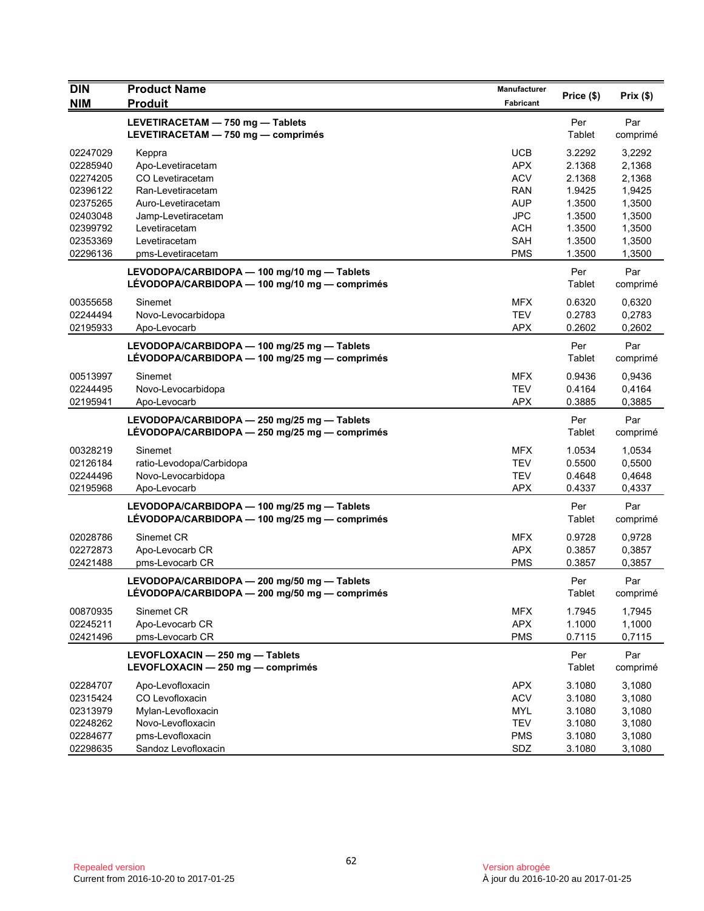| <b>DIN</b>                                                                       | <b>Product Name</b>                                                                                                       | <b>Manufacturer</b>                                                              | Price (\$)                                               | Prix(\$)                                                 |
|----------------------------------------------------------------------------------|---------------------------------------------------------------------------------------------------------------------------|----------------------------------------------------------------------------------|----------------------------------------------------------|----------------------------------------------------------|
| <b>NIM</b>                                                                       | <b>Produit</b>                                                                                                            | <b>Fabricant</b>                                                                 |                                                          |                                                          |
|                                                                                  | LEVETIRACETAM - 750 mg - Tablets<br>LEVETIRACETAM - 750 mg - comprimés                                                    |                                                                                  | Per<br>Tablet                                            | Par<br>comprimé                                          |
| 02247029<br>02285940<br>02274205<br>02396122<br>02375265<br>02403048<br>02399792 | Keppra<br>Apo-Levetiracetam<br>CO Levetiracetam<br>Ran-Levetiracetam<br>Auro-Levetiracetam<br>Jamp-Levetiracetam          | <b>UCB</b><br><b>APX</b><br><b>ACV</b><br><b>RAN</b><br><b>AUP</b><br><b>JPC</b> | 3.2292<br>2.1368<br>2.1368<br>1.9425<br>1.3500<br>1.3500 | 3,2292<br>2,1368<br>2,1368<br>1,9425<br>1,3500<br>1,3500 |
| 02353369<br>02296136                                                             | Levetiracetam<br>Levetiracetam<br>pms-Levetiracetam                                                                       | ACH<br><b>SAH</b><br><b>PMS</b>                                                  | 1.3500<br>1.3500<br>1.3500                               | 1,3500<br>1,3500<br>1,3500                               |
|                                                                                  | LEVODOPA/CARBIDOPA - 100 mg/10 mg - Tablets<br>LÉVODOPA/CARBIDOPA — 100 mg/10 mg — comprimés                              |                                                                                  | Per<br>Tablet                                            | Par<br>comprimé                                          |
| 00355658<br>02244494<br>02195933                                                 | Sinemet<br>Novo-Levocarbidopa<br>Apo-Levocarb                                                                             | <b>MFX</b><br><b>TEV</b><br><b>APX</b>                                           | 0.6320<br>0.2783<br>0.2602                               | 0,6320<br>0,2783<br>0,2602                               |
|                                                                                  | LEVODOPA/CARBIDOPA - 100 mg/25 mg - Tablets<br>LÉVODOPA/CARBIDOPA - 100 mg/25 mg - comprimés                              |                                                                                  | Per<br>Tablet                                            | Par<br>comprimé                                          |
| 00513997<br>02244495<br>02195941                                                 | Sinemet<br>Novo-Levocarbidopa<br>Apo-Levocarb                                                                             | <b>MFX</b><br><b>TEV</b><br><b>APX</b>                                           | 0.9436<br>0.4164<br>0.3885                               | 0,9436<br>0,4164<br>0,3885                               |
|                                                                                  | LEVODOPA/CARBIDOPA - 250 mg/25 mg - Tablets<br>LÉVODOPA/CARBIDOPA - 250 mg/25 mg - comprimés                              |                                                                                  | Per<br>Tablet                                            | Par<br>comprimé                                          |
| 00328219<br>02126184<br>02244496<br>02195968                                     | Sinemet<br>ratio-Levodopa/Carbidopa<br>Novo-Levocarbidopa<br>Apo-Levocarb                                                 | <b>MFX</b><br><b>TEV</b><br><b>TEV</b><br><b>APX</b>                             | 1.0534<br>0.5500<br>0.4648<br>0.4337                     | 1,0534<br>0,5500<br>0,4648<br>0,4337                     |
|                                                                                  | LEVODOPA/CARBIDOPA - 100 mg/25 mg - Tablets<br>LÉVODOPA/CARBIDOPA - 100 mg/25 mg - comprimés                              |                                                                                  | Per<br>Tablet                                            | Par<br>comprimé                                          |
| 02028786<br>02272873<br>02421488                                                 | Sinemet CR<br>Apo-Levocarb CR<br>pms-Levocarb CR                                                                          | <b>MFX</b><br><b>APX</b><br><b>PMS</b>                                           | 0.9728<br>0.3857<br>0.3857                               | 0,9728<br>0,3857<br>0,3857                               |
|                                                                                  | LEVODOPA/CARBIDOPA - 200 mg/50 mg - Tablets<br>LÉVODOPA/CARBIDOPA - 200 mg/50 mg - comprimés                              |                                                                                  | Per<br>Tablet                                            | Par<br>comprimé                                          |
| 00870935<br>02245211<br>02421496                                                 | Sinemet CR<br>Apo-Levocarb CR<br>pms-Levocarb CR                                                                          | <b>MFX</b><br><b>APX</b><br><b>PMS</b>                                           | 1.7945<br>1.1000<br>0.7115                               | 1,7945<br>1,1000<br>0,7115                               |
|                                                                                  | LEVOFLOXACIN - 250 mg - Tablets<br>LEVOFLOXACIN - 250 mg - comprimés                                                      |                                                                                  | Per<br>Tablet                                            | Par<br>comprimé                                          |
| 02284707<br>02315424<br>02313979<br>02248262<br>02284677<br>02298635             | Apo-Levofloxacin<br>CO Levofloxacin<br>Mylan-Levofloxacin<br>Novo-Levofloxacin<br>pms-Levofloxacin<br>Sandoz Levofloxacin | <b>APX</b><br><b>ACV</b><br><b>MYL</b><br><b>TEV</b><br><b>PMS</b><br>SDZ        | 3.1080<br>3.1080<br>3.1080<br>3.1080<br>3.1080<br>3.1080 | 3,1080<br>3,1080<br>3,1080<br>3,1080<br>3,1080<br>3,1080 |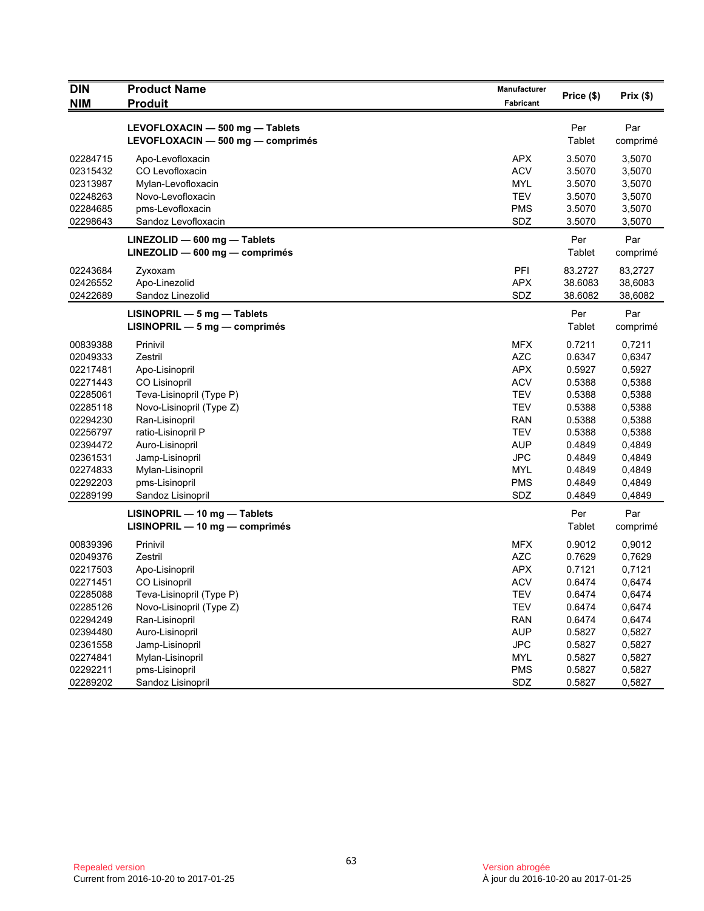| <b>DIN</b><br><b>NIM</b> | <b>Product Name</b><br><b>Produit</b>                                | Manufacturer<br>Fabricant | Price (\$)    | Prix(\$)        |
|--------------------------|----------------------------------------------------------------------|---------------------------|---------------|-----------------|
|                          |                                                                      |                           |               |                 |
|                          | LEVOFLOXACIN - 500 mg - Tablets<br>LEVOFLOXACIN - 500 mg - comprimés |                           | Per<br>Tablet | Par<br>comprimé |
| 02284715                 | Apo-Levofloxacin                                                     | APX                       | 3.5070        | 3,5070          |
| 02315432                 | CO Levofloxacin                                                      | <b>ACV</b>                | 3.5070        | 3,5070          |
| 02313987                 | Mylan-Levofloxacin                                                   | <b>MYL</b>                | 3.5070        | 3,5070          |
| 02248263                 | Novo-Levofloxacin                                                    | <b>TEV</b>                | 3.5070        | 3,5070          |
| 02284685                 | pms-Levofloxacin                                                     | <b>PMS</b>                | 3.5070        | 3,5070          |
| 02298643                 | Sandoz Levofloxacin                                                  | SDZ                       | 3.5070        | 3,5070          |
|                          | LINEZOLID - 600 mg - Tablets                                         |                           | Per           | Par             |
|                          | $LINEZOLID - 600 mg - comprimés$                                     |                           | Tablet        | comprimé        |
| 02243684                 | Zyxoxam                                                              | PFI                       | 83.2727       | 83,2727         |
| 02426552                 | Apo-Linezolid                                                        | <b>APX</b>                | 38.6083       | 38,6083         |
| 02422689                 | Sandoz Linezolid                                                     | SDZ                       | 38.6082       | 38,6082         |
|                          | LISINOPRIL - 5 mg - Tablets                                          |                           | Per           | Par             |
|                          | $LISINOPRIL - 5 mg - comprimés$                                      |                           | Tablet        | comprimé        |
| 00839388                 | Prinivil                                                             | <b>MFX</b>                | 0.7211        | 0,7211          |
| 02049333                 | Zestril                                                              | <b>AZC</b>                | 0.6347        | 0,6347          |
| 02217481                 | Apo-Lisinopril                                                       | <b>APX</b>                | 0.5927        | 0,5927          |
| 02271443                 | CO Lisinopril                                                        | <b>ACV</b>                | 0.5388        | 0,5388          |
| 02285061                 | Teva-Lisinopril (Type P)                                             | <b>TEV</b>                | 0.5388        | 0,5388          |
| 02285118                 | Novo-Lisinopril (Type Z)                                             | <b>TEV</b>                | 0.5388        | 0,5388          |
| 02294230                 | Ran-Lisinopril                                                       | <b>RAN</b>                | 0.5388        | 0,5388          |
| 02256797                 | ratio-Lisinopril P                                                   | <b>TEV</b>                | 0.5388        | 0,5388          |
| 02394472                 | Auro-Lisinopril                                                      | <b>AUP</b>                | 0.4849        | 0,4849          |
| 02361531                 | Jamp-Lisinopril                                                      | <b>JPC</b>                | 0.4849        | 0,4849          |
| 02274833                 | Mylan-Lisinopril                                                     | <b>MYL</b>                | 0.4849        | 0,4849          |
| 02292203                 | pms-Lisinopril                                                       | <b>PMS</b>                | 0.4849        | 0,4849          |
| 02289199                 | Sandoz Lisinopril                                                    | SDZ                       | 0.4849        | 0,4849          |
|                          | $LISINOPRIL - 10 mg - Tables$                                        |                           | Per           | Par             |
|                          | LISINOPRIL - 10 mg - comprimés                                       |                           | Tablet        | comprimé        |
| 00839396                 | Prinivil                                                             | MFX                       | 0.9012        | 0,9012          |
| 02049376                 | Zestril                                                              | <b>AZC</b>                | 0.7629        | 0,7629          |
| 02217503                 | Apo-Lisinopril                                                       | <b>APX</b>                | 0.7121        | 0,7121          |
| 02271451                 | <b>CO Lisinopril</b>                                                 | <b>ACV</b>                | 0.6474        | 0,6474          |
| 02285088                 | Teva-Lisinopril (Type P)                                             | TEV                       | 0.6474        | 0,6474          |
| 02285126                 | Novo-Lisinopril (Type Z)                                             | <b>TEV</b>                | 0.6474        | 0,6474          |
| 02294249                 | Ran-Lisinopril                                                       | <b>RAN</b>                | 0.6474        | 0,6474          |
| 02394480                 | Auro-Lisinopril                                                      | <b>AUP</b>                | 0.5827        | 0,5827          |
| 02361558                 | Jamp-Lisinopril                                                      | <b>JPC</b>                | 0.5827        | 0,5827          |
| 02274841                 | Mylan-Lisinopril                                                     | MYL                       | 0.5827        | 0,5827          |
| 02292211                 | pms-Lisinopril                                                       | <b>PMS</b>                | 0.5827        | 0,5827          |
| 02289202                 | Sandoz Lisinopril                                                    | SDZ                       | 0.5827        | 0,5827          |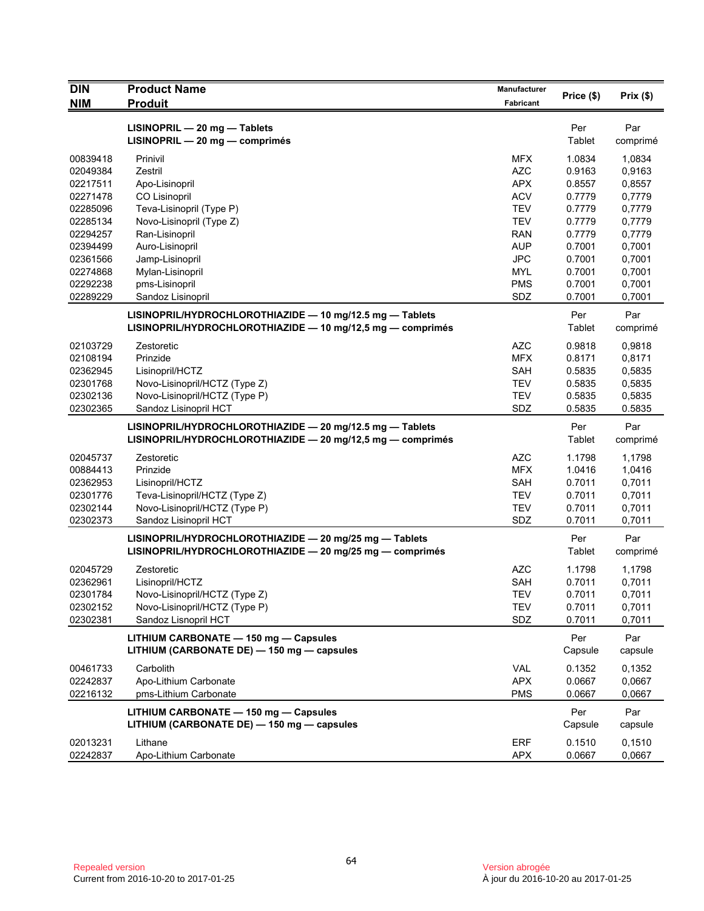| <b>DIN</b>           | <b>Product Name</b>                                        | <b>Manufacturer</b>      | Price (\$)       | Prix(\$)         |
|----------------------|------------------------------------------------------------|--------------------------|------------------|------------------|
| <b>NIM</b>           | <b>Produit</b>                                             | Fabricant                |                  |                  |
|                      | $LISINOPRIL - 20 mg - Tables$                              |                          | Per              | Par              |
|                      | LISINOPRIL - 20 mg - comprimés                             |                          | Tablet           | comprimé         |
| 00839418             | Prinivil                                                   | <b>MFX</b>               | 1.0834           | 1,0834           |
| 02049384             | Zestril                                                    | <b>AZC</b>               | 0.9163           | 0,9163           |
| 02217511             | Apo-Lisinopril                                             | <b>APX</b>               | 0.8557           | 0,8557           |
| 02271478             | CO Lisinopril                                              | <b>ACV</b>               | 0.7779           | 0,7779           |
| 02285096             | Teva-Lisinopril (Type P)                                   | <b>TEV</b>               | 0.7779           | 0,7779           |
| 02285134             | Novo-Lisinopril (Type Z)                                   | <b>TEV</b>               | 0.7779           | 0,7779           |
| 02294257             | Ran-Lisinopril                                             | <b>RAN</b>               | 0.7779           | 0,7779           |
| 02394499             | Auro-Lisinopril                                            | <b>AUP</b>               | 0.7001           | 0,7001           |
| 02361566             | Jamp-Lisinopril                                            | <b>JPC</b><br><b>MYL</b> | 0.7001<br>0.7001 | 0,7001           |
| 02274868<br>02292238 | Mylan-Lisinopril<br>pms-Lisinopril                         | <b>PMS</b>               | 0.7001           | 0,7001<br>0,7001 |
| 02289229             | Sandoz Lisinopril                                          | SDZ                      | 0.7001           | 0,7001           |
|                      |                                                            |                          |                  |                  |
|                      | LISINOPRIL/HYDROCHLOROTHIAZIDE - 10 mg/12.5 mg - Tablets   |                          | Per              | Par              |
|                      | LISINOPRIL/HYDROCHLOROTHIAZIDE - 10 mg/12,5 mg - comprimés |                          | Tablet           | comprimé         |
| 02103729             | Zestoretic                                                 | <b>AZC</b>               | 0.9818           | 0,9818           |
| 02108194             | Prinzide                                                   | <b>MFX</b>               | 0.8171           | 0,8171           |
| 02362945             | Lisinopril/HCTZ                                            | SAH                      | 0.5835           | 0,5835           |
| 02301768             | Novo-Lisinopril/HCTZ (Type Z)                              | <b>TEV</b>               | 0.5835           | 0,5835           |
| 02302136             | Novo-Lisinopril/HCTZ (Type P)                              | <b>TEV</b>               | 0.5835           | 0,5835           |
| 02302365             | Sandoz Lisinopril HCT                                      | SDZ                      | 0.5835           | 0.5835           |
|                      | LISINOPRIL/HYDROCHLOROTHIAZIDE - 20 mg/12.5 mg - Tablets   |                          | Per              | Par              |
|                      | LISINOPRIL/HYDROCHLOROTHIAZIDE - 20 mg/12,5 mg - comprimés |                          | Tablet           | comprimé         |
| 02045737             | Zestoretic                                                 | <b>AZC</b>               | 1.1798           | 1,1798           |
| 00884413             | Prinzide                                                   | <b>MFX</b>               | 1.0416           | 1,0416           |
| 02362953             | Lisinopril/HCTZ                                            | SAH                      | 0.7011           | 0,7011           |
| 02301776             | Teva-Lisinopril/HCTZ (Type Z)                              | <b>TEV</b>               | 0.7011           | 0,7011           |
| 02302144             | Novo-Lisinopril/HCTZ (Type P)                              | <b>TEV</b>               | 0.7011           | 0,7011           |
| 02302373             | Sandoz Lisinopril HCT                                      | SDZ                      | 0.7011           | 0,7011           |
|                      | LISINOPRIL/HYDROCHLOROTHIAZIDE - 20 mg/25 mg - Tablets     |                          | Per              | Par              |
|                      | LISINOPRIL/HYDROCHLOROTHIAZIDE - 20 mg/25 mg - comprimés   |                          | Tablet           | comprimé         |
| 02045729             | Zestoretic                                                 | <b>AZC</b>               | 1.1798           | 1,1798           |
| 02362961             | Lisinopril/HCTZ                                            | <b>SAH</b>               | 0.7011           | 0,7011           |
| 02301784             | Novo-Lisinopril/HCTZ (Type Z)                              | <b>TEV</b>               | 0.7011           | 0,7011           |
| 02302152             | Novo-Lisinopril/HCTZ (Type P)                              | TEV                      | 0.7011           | 0,7011           |
| 02302381             | Sandoz Lisnopril HCT                                       | SDZ                      | 0.7011           | 0,7011           |
|                      | LITHIUM CARBONATE - 150 mg - Capsules                      |                          | Per              | Par              |
|                      | LITHIUM (CARBONATE DE) - 150 mg - capsules                 |                          | Capsule          | capsule          |
| 00461733             | Carbolith                                                  | VAL                      | 0.1352           | 0,1352           |
| 02242837             | Apo-Lithium Carbonate                                      | <b>APX</b>               | 0.0667           | 0,0667           |
| 02216132             | pms-Lithium Carbonate                                      | <b>PMS</b>               | 0.0667           | 0,0667           |
|                      | LITHIUM CARBONATE - 150 mg - Capsules                      |                          | Per              | Par              |
|                      | LITHIUM (CARBONATE DE) - 150 mg - capsules                 |                          | Capsule          | capsule          |
|                      |                                                            |                          |                  |                  |
| 02013231             | Lithane                                                    | ERF                      | 0.1510           | 0,1510           |
| 02242837             | Apo-Lithium Carbonate                                      | <b>APX</b>               | 0.0667           | 0,0667           |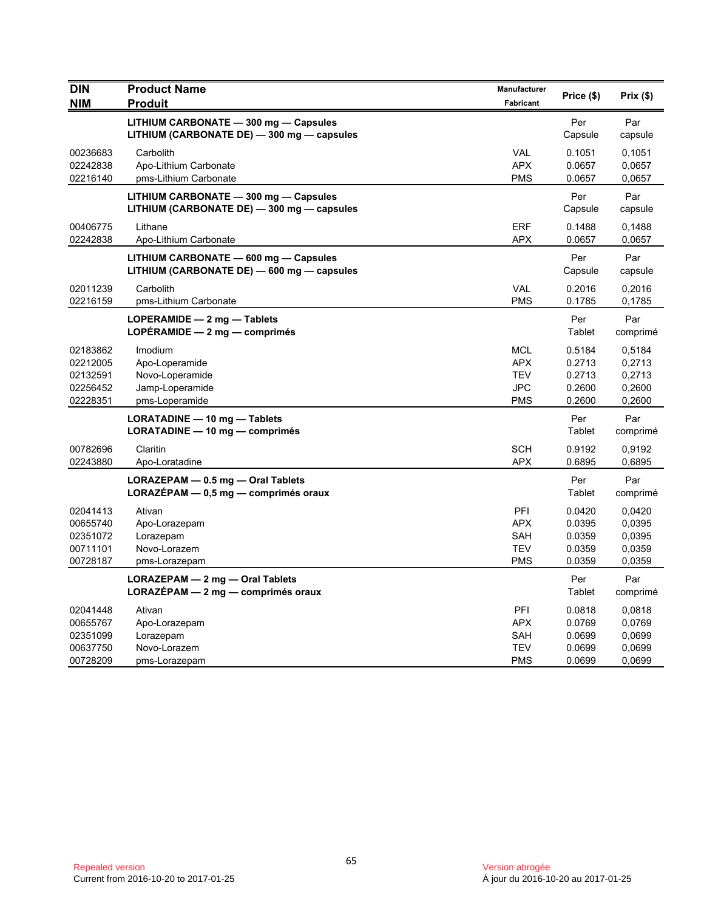| <b>DIN</b>           | <b>Product Name</b>                                                                 | Manufacturer<br>Fabricant | Price (\$)       | Prix(\$)         |
|----------------------|-------------------------------------------------------------------------------------|---------------------------|------------------|------------------|
| <b>NIM</b>           | <b>Produit</b><br>LITHIUM CARBONATE - 300 mg - Capsules                             |                           | Per              | Par              |
|                      | LITHIUM (CARBONATE DE) - 300 mg - capsules                                          |                           | Capsule          | capsule          |
| 00236683             | Carbolith                                                                           | VAL                       | 0.1051           | 0,1051           |
| 02242838<br>02216140 | Apo-Lithium Carbonate<br>pms-Lithium Carbonate                                      | <b>APX</b><br><b>PMS</b>  | 0.0657<br>0.0657 | 0,0657<br>0,0657 |
|                      | LITHIUM CARBONATE - 300 mg - Capsules                                               |                           | Per              | Par              |
|                      | LITHIUM (CARBONATE DE) - 300 mg - capsules                                          |                           | Capsule          | capsule          |
| 00406775             | Lithane                                                                             | <b>ERF</b>                | 0.1488           | 0,1488           |
| 02242838             | Apo-Lithium Carbonate                                                               | <b>APX</b>                | 0.0657           | 0,0657           |
|                      | LITHIUM CARBONATE - 600 mg - Capsules<br>LITHIUM (CARBONATE DE) - 600 mg - capsules |                           | Per<br>Capsule   | Par<br>capsule   |
| 02011239             | Carbolith                                                                           | <b>VAL</b>                | 0.2016           | 0,2016           |
| 02216159             | pms-Lithium Carbonate                                                               | <b>PMS</b>                | 0.1785           | 0,1785           |
|                      | LOPERAMIDE $-2$ mg $-$ Tablets<br>LOPÉRAMIDE $-2$ mg $-$ comprimés                  |                           | Per<br>Tablet    | Par<br>comprimé  |
| 02183862             | Imodium                                                                             | <b>MCL</b>                | 0.5184           | 0,5184           |
| 02212005<br>02132591 | Apo-Loperamide<br>Novo-Loperamide                                                   | <b>APX</b><br><b>TEV</b>  | 0.2713<br>0.2713 | 0,2713           |
| 02256452             | Jamp-Loperamide                                                                     | <b>JPC</b>                | 0.2600           | 0,2713<br>0,2600 |
| 02228351             | pms-Loperamide                                                                      | <b>PMS</b>                | 0.2600           | 0,2600           |
|                      | LORATADINE - 10 mg - Tablets                                                        |                           | Per              | Par              |
|                      | LORATADINE - 10 mg - comprimés                                                      |                           | Tablet           | comprimé         |
| 00782696<br>02243880 | Claritin<br>Apo-Loratadine                                                          | <b>SCH</b><br>APX         | 0.9192<br>0.6895 | 0,9192<br>0,6895 |
|                      | LORAZEPAM - 0.5 mg - Oral Tablets                                                   |                           | Per              | Par              |
|                      | LORAZÉPAM - 0,5 mg - comprimés oraux                                                |                           | Tablet           | comprimé         |
| 02041413             | Ativan                                                                              | PFI                       | 0.0420           | 0,0420           |
| 00655740             | Apo-Lorazepam                                                                       | <b>APX</b>                | 0.0395           | 0.0395           |
| 02351072<br>00711101 | Lorazepam<br>Novo-Lorazem                                                           | SAH<br><b>TEV</b>         | 0.0359<br>0.0359 | 0,0395<br>0.0359 |
| 00728187             | pms-Lorazepam                                                                       | <b>PMS</b>                | 0.0359           | 0,0359           |
|                      | LORAZEPAM - 2 mg - Oral Tablets                                                     |                           | Per              | Par              |
|                      | $LORAZEPAM - 2 mg - comprimés oraux$                                                |                           | Tablet           | comprimé         |
| 02041448             | Ativan                                                                              | PFI                       | 0.0818           | 0,0818           |
| 00655767             | Apo-Lorazepam                                                                       | <b>APX</b>                | 0.0769           | 0,0769           |
| 02351099<br>00637750 | Lorazepam<br>Novo-Lorazem                                                           | SAH<br><b>TEV</b>         | 0.0699<br>0.0699 | 0,0699<br>0,0699 |
| 00728209             | pms-Lorazepam                                                                       | <b>PMS</b>                | 0.0699           | 0,0699           |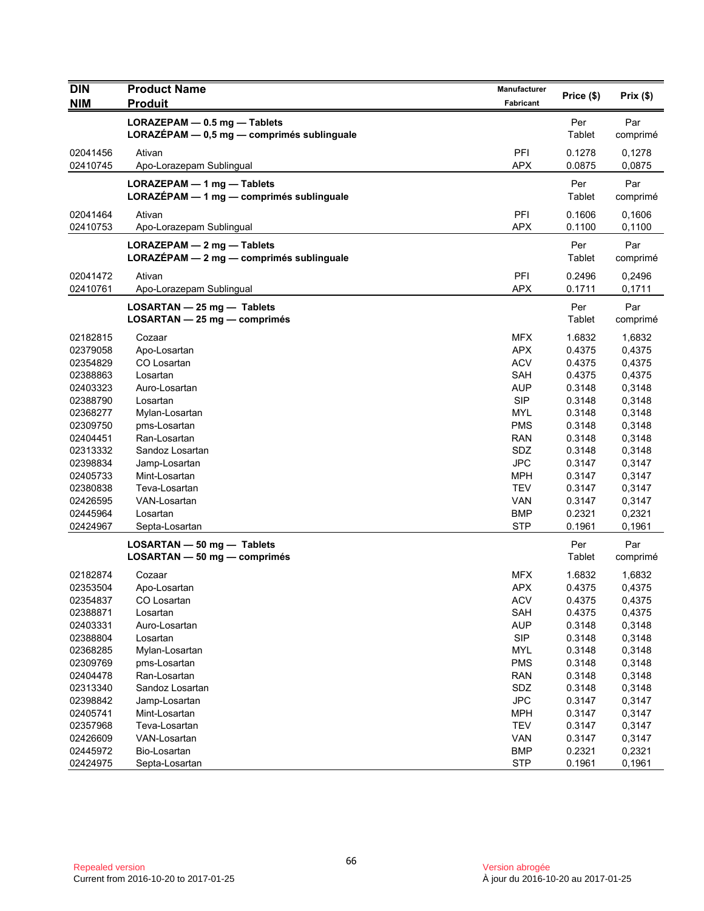| <b>DIN</b>           | <b>Product Name</b>                                                        | Manufacturer             | Price (\$)       | Prix(\$)         |
|----------------------|----------------------------------------------------------------------------|--------------------------|------------------|------------------|
| <b>NIM</b>           | <b>Produit</b>                                                             | Fabricant                |                  |                  |
|                      | LORAZEPAM - 0.5 mg - Tablets<br>LORAZÉPAM - 0,5 mg - comprimés sublinguale |                          | Per<br>Tablet    | Par<br>comprimé  |
| 02041456<br>02410745 | Ativan<br>Apo-Lorazepam Sublingual                                         | PFI<br><b>APX</b>        | 0.1278<br>0.0875 | 0,1278<br>0,0875 |
|                      | LORAZEPAM - 1 mg - Tablets<br>LORAZÉPAM - 1 mg - comprimés sublinguale     |                          | Per<br>Tablet    | Par<br>comprimé  |
| 02041464<br>02410753 | Ativan<br>Apo-Lorazepam Sublingual                                         | PFI<br><b>APX</b>        | 0.1606<br>0.1100 | 0.1606<br>0,1100 |
|                      | LORAZEPAM - 2 mg - Tablets<br>LORAZÉPAM - 2 mg - comprimés sublinguale     |                          | Per<br>Tablet    | Par<br>comprimé  |
| 02041472<br>02410761 | Ativan<br>Apo-Lorazepam Sublingual                                         | PFI<br><b>APX</b>        | 0.2496<br>0.1711 | 0,2496<br>0,1711 |
|                      | LOSARTAN - 25 mg - Tablets<br>LOSARTAN - 25 mg - comprimés                 |                          | Per<br>Tablet    | Par<br>comprimé  |
| 02182815<br>02379058 | Cozaar<br>Apo-Losartan                                                     | <b>MFX</b><br><b>APX</b> | 1.6832<br>0.4375 | 1,6832<br>0,4375 |
| 02354829             | CO Losartan                                                                | <b>ACV</b>               | 0.4375           | 0,4375           |
| 02388863             | Losartan                                                                   | <b>SAH</b>               | 0.4375           | 0,4375           |
| 02403323             | Auro-Losartan                                                              | <b>AUP</b>               | 0.3148           | 0,3148           |
| 02388790             | Losartan                                                                   | <b>SIP</b>               | 0.3148           | 0,3148           |
| 02368277             | Mylan-Losartan                                                             | <b>MYL</b>               | 0.3148           | 0,3148           |
| 02309750             | pms-Losartan                                                               | <b>PMS</b>               | 0.3148           | 0,3148           |
| 02404451             | Ran-Losartan                                                               | <b>RAN</b>               | 0.3148           | 0,3148           |
| 02313332             | Sandoz Losartan                                                            | SDZ                      | 0.3148           | 0,3148           |
| 02398834             | Jamp-Losartan                                                              | <b>JPC</b>               | 0.3147           | 0,3147           |
| 02405733             | Mint-Losartan                                                              | MPH                      | 0.3147           | 0,3147           |
| 02380838             | Teva-Losartan                                                              | <b>TEV</b>               | 0.3147           | 0,3147           |
| 02426595             | VAN-Losartan                                                               | <b>VAN</b>               | 0.3147           | 0,3147           |
| 02445964             | Losartan                                                                   | <b>BMP</b>               | 0.2321           | 0,2321           |
| 02424967             | Septa-Losartan                                                             | <b>STP</b>               | 0.1961           | 0,1961           |
|                      | $LOSARTAN - 50$ mg $-$ Tablets                                             |                          | Per              | Par              |
|                      | LOSARTAN - 50 mg - comprimés                                               |                          | Tablet           | comprimé         |
| 02182874             | Cozaar                                                                     | <b>MFX</b>               | 1.6832           | 1,6832           |
| 02353504             | Apo-Losartan                                                               | <b>APX</b>               | 0.4375           | 0,4375           |
| 02354837             | CO Losartan                                                                | <b>ACV</b>               | 0.4375           | 0,4375           |
| 02388871             | Losartan                                                                   | SAH                      | 0.4375           | 0,4375           |
| 02403331             | Auro-Losartan                                                              | <b>AUP</b>               | 0.3148           | 0,3148           |
| 02388804             | Losartan                                                                   | <b>SIP</b>               | 0.3148           | 0,3148           |
| 02368285             | Mylan-Losartan                                                             | MYL                      | 0.3148           | 0,3148           |
| 02309769             | pms-Losartan                                                               | <b>PMS</b>               | 0.3148           | 0,3148           |
| 02404478             | Ran-Losartan                                                               | <b>RAN</b>               | 0.3148           | 0,3148           |
| 02313340             | Sandoz Losartan                                                            | SDZ                      | 0.3148           | 0,3148           |
| 02398842             | Jamp-Losartan                                                              | <b>JPC</b>               | 0.3147           | 0,3147           |
| 02405741             | Mint-Losartan                                                              | <b>MPH</b>               | 0.3147           | 0,3147           |
| 02357968             | Teva-Losartan                                                              | <b>TEV</b>               | 0.3147           | 0,3147           |
| 02426609             | VAN-Losartan                                                               | VAN                      | 0.3147           | 0,3147           |
| 02445972             | Bio-Losartan                                                               | <b>BMP</b>               | 0.2321           | 0,2321           |
| 02424975             | Septa-Losartan                                                             | <b>STP</b>               | 0.1961           | 0,1961           |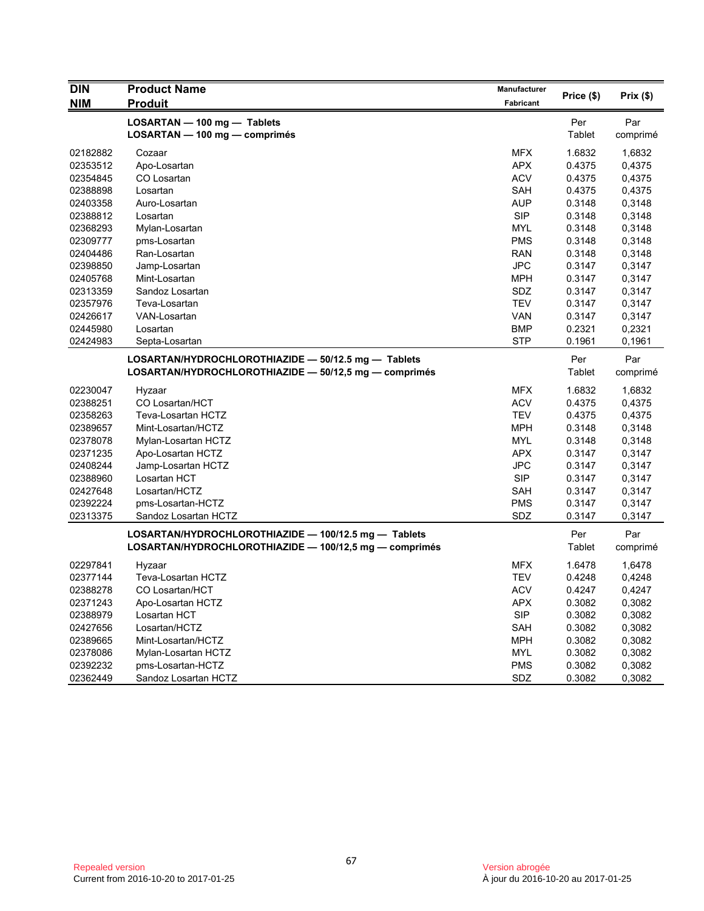| <b>DIN</b><br><b>NIM</b> | <b>Product Name</b><br><b>Produit</b>                        | Manufacturer<br>Fabricant | Price (\$)    | Prix (\$)       |
|--------------------------|--------------------------------------------------------------|---------------------------|---------------|-----------------|
|                          |                                                              |                           |               |                 |
|                          | LOSARTAN - 100 mg - Tablets<br>LOSARTAN - 100 mg - comprimés |                           | Per<br>Tablet | Par<br>comprimé |
| 02182882                 | Cozaar                                                       | <b>MFX</b>                | 1.6832        | 1,6832          |
| 02353512                 | Apo-Losartan                                                 | <b>APX</b>                | 0.4375        | 0,4375          |
| 02354845                 | CO Losartan                                                  | <b>ACV</b>                | 0.4375        | 0,4375          |
| 02388898                 | Losartan                                                     | SAH                       | 0.4375        | 0,4375          |
| 02403358                 | Auro-Losartan                                                | <b>AUP</b>                | 0.3148        | 0,3148          |
| 02388812                 | Losartan                                                     | <b>SIP</b>                | 0.3148        | 0,3148          |
| 02368293                 | Mylan-Losartan                                               | MYL                       | 0.3148        | 0,3148          |
| 02309777                 | pms-Losartan                                                 | <b>PMS</b>                | 0.3148        | 0,3148          |
| 02404486                 | Ran-Losartan                                                 | <b>RAN</b>                | 0.3148        | 0,3148          |
| 02398850                 | Jamp-Losartan                                                | <b>JPC</b>                | 0.3147        | 0,3147          |
| 02405768                 | Mint-Losartan                                                | <b>MPH</b>                | 0.3147        | 0,3147          |
| 02313359                 | Sandoz Losartan                                              | SDZ                       | 0.3147        | 0,3147          |
| 02357976                 | Teva-Losartan                                                | <b>TEV</b>                | 0.3147        | 0,3147          |
| 02426617                 | VAN-Losartan                                                 | VAN                       | 0.3147        | 0,3147          |
| 02445980                 | Losartan                                                     | <b>BMP</b>                | 0.2321        | 0,2321          |
| 02424983                 | Septa-Losartan                                               | <b>STP</b>                | 0.1961        | 0,1961          |
|                          | LOSARTAN/HYDROCHLOROTHIAZIDE - 50/12.5 mg - Tablets          |                           | Per           | Par             |
|                          | LOSARTAN/HYDROCHLOROTHIAZIDE - 50/12,5 mg - comprimés        |                           | Tablet        | comprimé        |
| 02230047                 | Hyzaar                                                       | <b>MFX</b>                | 1.6832        | 1,6832          |
| 02388251                 | CO Losartan/HCT                                              | <b>ACV</b>                | 0.4375        | 0,4375          |
| 02358263                 | Teva-Losartan HCTZ                                           | <b>TEV</b>                | 0.4375        | 0,4375          |
| 02389657                 | Mint-Losartan/HCTZ                                           | <b>MPH</b>                | 0.3148        | 0,3148          |
| 02378078                 | Mylan-Losartan HCTZ                                          | MYL                       | 0.3148        | 0,3148          |
| 02371235                 | Apo-Losartan HCTZ                                            | <b>APX</b>                | 0.3147        | 0,3147          |
| 02408244                 | Jamp-Losartan HCTZ                                           | <b>JPC</b>                | 0.3147        | 0,3147          |
| 02388960                 | Losartan HCT                                                 | <b>SIP</b>                | 0.3147        | 0,3147          |
| 02427648                 | Losartan/HCTZ                                                | SAH                       | 0.3147        | 0,3147          |
| 02392224                 | pms-Losartan-HCTZ                                            | <b>PMS</b>                | 0.3147        | 0,3147          |
| 02313375                 | Sandoz Losartan HCTZ                                         | SDZ                       | 0.3147        | 0,3147          |
|                          | LOSARTAN/HYDROCHLOROTHIAZIDE - 100/12.5 mg - Tablets         |                           | Per           | Par             |
|                          | LOSARTAN/HYDROCHLOROTHIAZIDE - 100/12,5 mg - comprimés       |                           | Tablet        | comprimé        |
| 02297841                 | Hyzaar                                                       | <b>MFX</b>                | 1.6478        | 1,6478          |
| 02377144                 | Teva-Losartan HCTZ                                           | <b>TEV</b>                | 0.4248        | 0,4248          |
| 02388278                 | CO Losartan/HCT                                              | <b>ACV</b>                | 0.4247        | 0,4247          |
| 02371243                 | Apo-Losartan HCTZ                                            | APX                       | 0.3082        | 0,3082          |
| 02388979                 | Losartan HCT                                                 | <b>SIP</b>                | 0.3082        | 0,3082          |
| 02427656                 | Losartan/HCTZ                                                | SAH                       | 0.3082        | 0,3082          |
| 02389665                 | Mint-Losartan/HCTZ                                           | <b>MPH</b>                | 0.3082        | 0,3082          |
| 02378086                 | Mylan-Losartan HCTZ                                          | <b>MYL</b>                | 0.3082        | 0,3082          |
| 02392232                 | pms-Losartan-HCTZ                                            | <b>PMS</b>                | 0.3082        | 0,3082          |
| 02362449                 | Sandoz Losartan HCTZ                                         | SDZ                       | 0.3082        | 0,3082          |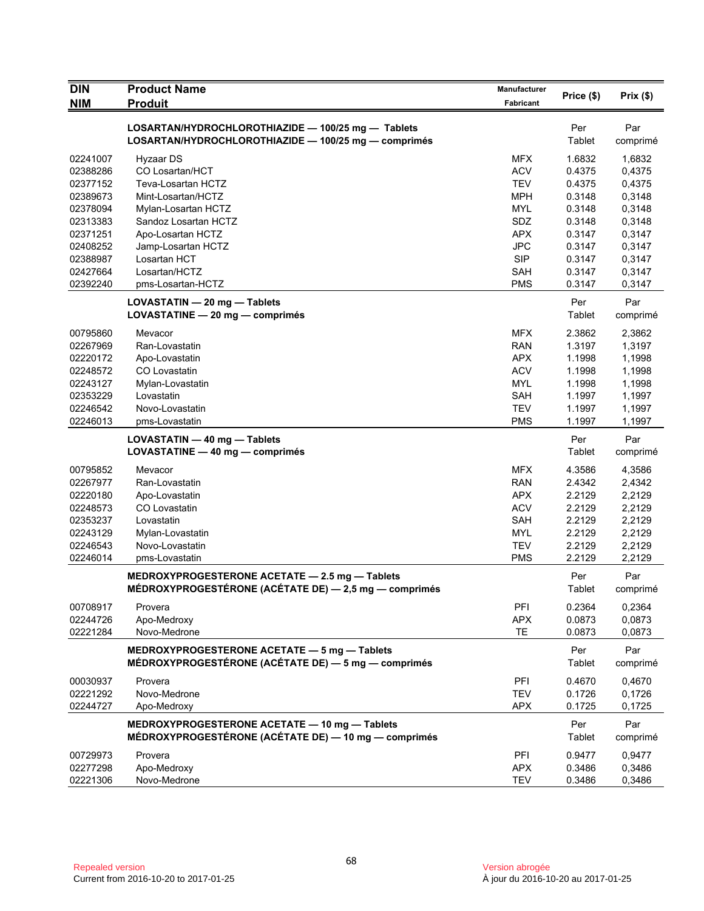| <b>DIN</b> | <b>Product Name</b>                                                                                        | <b>Manufacturer</b> |               |          |
|------------|------------------------------------------------------------------------------------------------------------|---------------------|---------------|----------|
| <b>NIM</b> | <b>Produit</b>                                                                                             | <b>Fabricant</b>    | Price (\$)    | Prix(\$) |
|            |                                                                                                            |                     |               |          |
|            | LOSARTAN/HYDROCHLOROTHIAZIDE - 100/25 mg - Tablets<br>LOSARTAN/HYDROCHLOROTHIAZIDE - 100/25 mg - comprimés |                     | Per<br>Tablet | Par      |
|            |                                                                                                            |                     |               | comprimé |
| 02241007   | Hyzaar DS                                                                                                  | MFX                 | 1.6832        | 1,6832   |
| 02388286   | CO Losartan/HCT                                                                                            | <b>ACV</b>          | 0.4375        | 0,4375   |
| 02377152   | Teva-Losartan HCTZ                                                                                         | <b>TEV</b>          | 0.4375        | 0,4375   |
| 02389673   | Mint-Losartan/HCTZ                                                                                         | <b>MPH</b>          | 0.3148        | 0,3148   |
| 02378094   | Mylan-Losartan HCTZ                                                                                        | <b>MYL</b>          | 0.3148        | 0,3148   |
| 02313383   | Sandoz Losartan HCTZ                                                                                       | SDZ                 | 0.3148        | 0,3148   |
| 02371251   | Apo-Losartan HCTZ                                                                                          | <b>APX</b>          | 0.3147        | 0,3147   |
| 02408252   | Jamp-Losartan HCTZ                                                                                         | <b>JPC</b>          | 0.3147        | 0,3147   |
| 02388987   | Losartan HCT                                                                                               | <b>SIP</b>          | 0.3147        | 0,3147   |
| 02427664   | Losartan/HCTZ                                                                                              | <b>SAH</b>          | 0.3147        | 0,3147   |
| 02392240   | pms-Losartan-HCTZ                                                                                          | <b>PMS</b>          | 0.3147        | 0,3147   |
|            | LOVASTATIN - 20 mg - Tablets                                                                               |                     | Per           | Par      |
|            | LOVASTATINE - 20 mg - comprimés                                                                            |                     | Tablet        | comprimé |
| 00795860   | Mevacor                                                                                                    | <b>MFX</b>          | 2.3862        | 2,3862   |
| 02267969   | Ran-Lovastatin                                                                                             | <b>RAN</b>          | 1.3197        | 1,3197   |
| 02220172   | Apo-Lovastatin                                                                                             | <b>APX</b>          | 1.1998        | 1,1998   |
| 02248572   | CO Lovastatin                                                                                              | <b>ACV</b>          | 1.1998        | 1,1998   |
| 02243127   | Mylan-Lovastatin                                                                                           | <b>MYL</b>          | 1.1998        | 1,1998   |
| 02353229   | Lovastatin                                                                                                 | SAH                 | 1.1997        | 1,1997   |
| 02246542   | Novo-Lovastatin                                                                                            | <b>TEV</b>          | 1.1997        | 1,1997   |
| 02246013   | pms-Lovastatin                                                                                             | <b>PMS</b>          | 1.1997        | 1,1997   |
|            | LOVASTATIN - 40 mg - Tablets                                                                               |                     | Per           | Par      |
|            | LOVASTATINE - 40 mg - comprimés                                                                            |                     | Tablet        | comprimé |
|            |                                                                                                            |                     |               |          |
| 00795852   | Mevacor                                                                                                    | <b>MFX</b>          | 4.3586        | 4,3586   |
| 02267977   | Ran-Lovastatin                                                                                             | <b>RAN</b>          | 2.4342        | 2,4342   |
| 02220180   | Apo-Lovastatin                                                                                             | <b>APX</b>          | 2.2129        | 2,2129   |
| 02248573   | CO Lovastatin                                                                                              | <b>ACV</b>          | 2.2129        | 2,2129   |
| 02353237   | Lovastatin                                                                                                 | <b>SAH</b>          | 2.2129        | 2,2129   |
| 02243129   | Mylan-Lovastatin                                                                                           | <b>MYL</b>          | 2.2129        | 2,2129   |
| 02246543   | Novo-Lovastatin                                                                                            | <b>TEV</b>          | 2.2129        | 2,2129   |
| 02246014   | pms-Lovastatin                                                                                             | <b>PMS</b>          | 2.2129        | 2,2129   |
|            | MEDROXYPROGESTERONE ACETATE - 2.5 mg - Tablets                                                             |                     | Per           | Par      |
|            | MÉDROXYPROGESTÉRONE (ACÉTATE DE) - 2,5 mg - comprimés                                                      |                     | Tablet        | comprimé |
| 00708917   | Provera                                                                                                    | PFI                 | 0.2364        | 0,2364   |
| 02244726   | Apo-Medroxy                                                                                                | <b>APX</b>          | 0.0873        | 0,0873   |
| 02221284   | Novo-Medrone                                                                                               | <b>TE</b>           | 0.0873        | 0,0873   |
|            | MEDROXYPROGESTERONE ACETATE - 5 mg - Tablets                                                               |                     | Per           | Par      |
|            | MÉDROXYPROGESTÉRONE (ACÉTATE DE) — 5 mg — comprimés                                                        |                     | Tablet        | comprimé |
| 00030937   | Provera                                                                                                    | PFI                 | 0.4670        | 0,4670   |
| 02221292   | Novo-Medrone                                                                                               | <b>TEV</b>          | 0.1726        | 0,1726   |
| 02244727   | Apo-Medroxy                                                                                                | <b>APX</b>          | 0.1725        | 0,1725   |
|            | MEDROXYPROGESTERONE ACETATE - 10 mg - Tablets                                                              |                     | Per           | Par      |
|            | MÉDROXYPROGESTÉRONE (ACÉTATE DE) - 10 mg - comprimés                                                       |                     | Tablet        | comprimé |
| 00729973   | Provera                                                                                                    | PFI                 | 0.9477        | 0,9477   |
| 02277298   | Apo-Medroxy                                                                                                | <b>APX</b>          | 0.3486        | 0,3486   |
| 02221306   | Novo-Medrone                                                                                               | <b>TEV</b>          | 0.3486        | 0,3486   |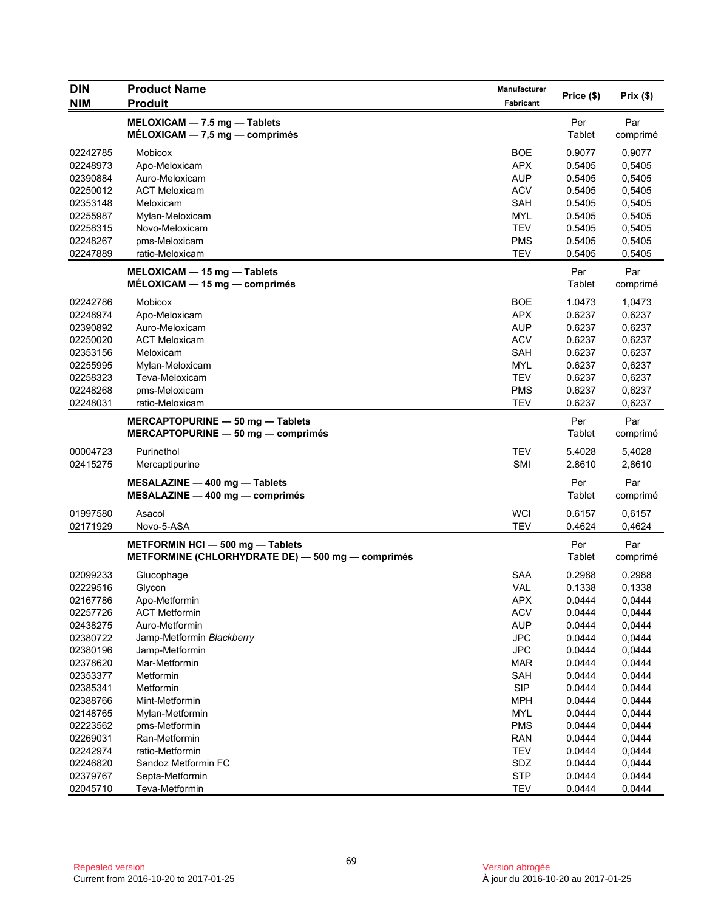| <b>DIN</b> | <b>Product Name</b>                               | <b>Manufacturer</b> | Price (\$) | Prix (\$) |
|------------|---------------------------------------------------|---------------------|------------|-----------|
| <b>NIM</b> | <b>Produit</b>                                    | Fabricant           |            |           |
|            | MELOXICAM - 7.5 mg - Tablets                      |                     | Per        | Par       |
|            | $MÉLOXICAM - 7,5 mg - comprimés$                  |                     | Tablet     | comprimé  |
| 02242785   | Mobicox                                           | <b>BOE</b>          | 0.9077     | 0,9077    |
| 02248973   | Apo-Meloxicam                                     | <b>APX</b>          | 0.5405     | 0,5405    |
| 02390884   | Auro-Meloxicam                                    | <b>AUP</b>          | 0.5405     | 0,5405    |
| 02250012   | <b>ACT Meloxicam</b>                              | <b>ACV</b>          | 0.5405     | 0,5405    |
| 02353148   | Meloxicam                                         | <b>SAH</b>          | 0.5405     | 0,5405    |
| 02255987   | Mylan-Meloxicam                                   | <b>MYL</b>          | 0.5405     | 0,5405    |
| 02258315   | Novo-Meloxicam                                    | <b>TEV</b>          | 0.5405     | 0,5405    |
| 02248267   | pms-Meloxicam                                     | <b>PMS</b>          | 0.5405     | 0,5405    |
| 02247889   | ratio-Meloxicam                                   | <b>TEV</b>          | 0.5405     | 0,5405    |
|            | $MELOXICAM - 15 mg - Tables$                      |                     | Per        | Par       |
|            | $MÉLOXICAM - 15 mg - comprimés$                   |                     | Tablet     | comprimé  |
| 02242786   | Mobicox                                           | <b>BOE</b>          | 1.0473     | 1,0473    |
| 02248974   | Apo-Meloxicam                                     | <b>APX</b>          | 0.6237     | 0,6237    |
| 02390892   | Auro-Meloxicam                                    | <b>AUP</b>          | 0.6237     | 0,6237    |
| 02250020   | <b>ACT Meloxicam</b>                              | <b>ACV</b>          | 0.6237     | 0,6237    |
| 02353156   | Meloxicam                                         | <b>SAH</b>          | 0.6237     | 0,6237    |
| 02255995   | Mylan-Meloxicam                                   | <b>MYL</b>          | 0.6237     | 0,6237    |
| 02258323   | Teva-Meloxicam                                    | <b>TEV</b>          | 0.6237     | 0,6237    |
| 02248268   | pms-Meloxicam                                     | <b>PMS</b>          | 0.6237     | 0,6237    |
| 02248031   | ratio-Meloxicam                                   | <b>TEV</b>          | 0.6237     | 0,6237    |
|            | MERCAPTOPURINE - 50 mg - Tablets                  |                     | Per        | Par       |
|            | MERCAPTOPURINE $-$ 50 mg $-$ comprimes            |                     | Tablet     | comprimé  |
| 00004723   | Purinethol                                        | <b>TEV</b>          | 5.4028     | 5,4028    |
| 02415275   | Mercaptipurine                                    | <b>SMI</b>          | 2.8610     | 2,8610    |
|            | MESALAZINE - 400 mg - Tablets                     |                     | Per        | Par       |
|            | $MESALAZINE - 400 mg - comprimés$                 |                     | Tablet     | comprimé  |
| 01997580   | Asacol                                            | <b>WCI</b>          | 0.6157     | 0,6157    |
| 02171929   | Novo-5-ASA                                        | <b>TEV</b>          | 0.4624     | 0,4624    |
|            | METFORMIN HCI - 500 mg - Tablets                  |                     | Per        | Par       |
|            | METFORMINE (CHLORHYDRATE DE) - 500 mg - comprimés |                     | Tablet     | comprimé  |
| 02099233   | Glucophage                                        | <b>SAA</b>          | 0.2988     | 0,2988    |
| 02229516   | Glycon                                            | <b>VAL</b>          | 0.1338     | 0,1338    |
| 02167786   | Apo-Metformin                                     | <b>APX</b>          | 0.0444     | 0,0444    |
| 02257726   | <b>ACT Metformin</b>                              | <b>ACV</b>          | 0.0444     | 0,0444    |
| 02438275   | Auro-Metformin                                    | <b>AUP</b>          | 0.0444     | 0,0444    |
| 02380722   | Jamp-Metformin Blackberry                         | <b>JPC</b>          | 0.0444     | 0,0444    |
| 02380196   | Jamp-Metformin                                    | <b>JPC</b>          | 0.0444     | 0,0444    |
| 02378620   | Mar-Metformin                                     | MAR                 | 0.0444     | 0,0444    |
| 02353377   | Metformin                                         | <b>SAH</b>          | 0.0444     | 0,0444    |
| 02385341   | Metformin                                         | <b>SIP</b>          | 0.0444     | 0,0444    |
| 02388766   | Mint-Metformin                                    | <b>MPH</b>          | 0.0444     | 0,0444    |
| 02148765   | Mylan-Metformin                                   | <b>MYL</b>          | 0.0444     | 0,0444    |
| 02223562   | pms-Metformin                                     | <b>PMS</b>          | 0.0444     | 0,0444    |
| 02269031   | Ran-Metformin                                     | <b>RAN</b>          | 0.0444     | 0,0444    |
| 02242974   | ratio-Metformin                                   | <b>TEV</b>          | 0.0444     | 0,0444    |
| 02246820   | Sandoz Metformin FC                               | SDZ                 | 0.0444     | 0,0444    |
| 02379767   | Septa-Metformin                                   | <b>STP</b>          | 0.0444     | 0,0444    |
| 02045710   | Teva-Metformin                                    | <b>TEV</b>          | 0.0444     | 0,0444    |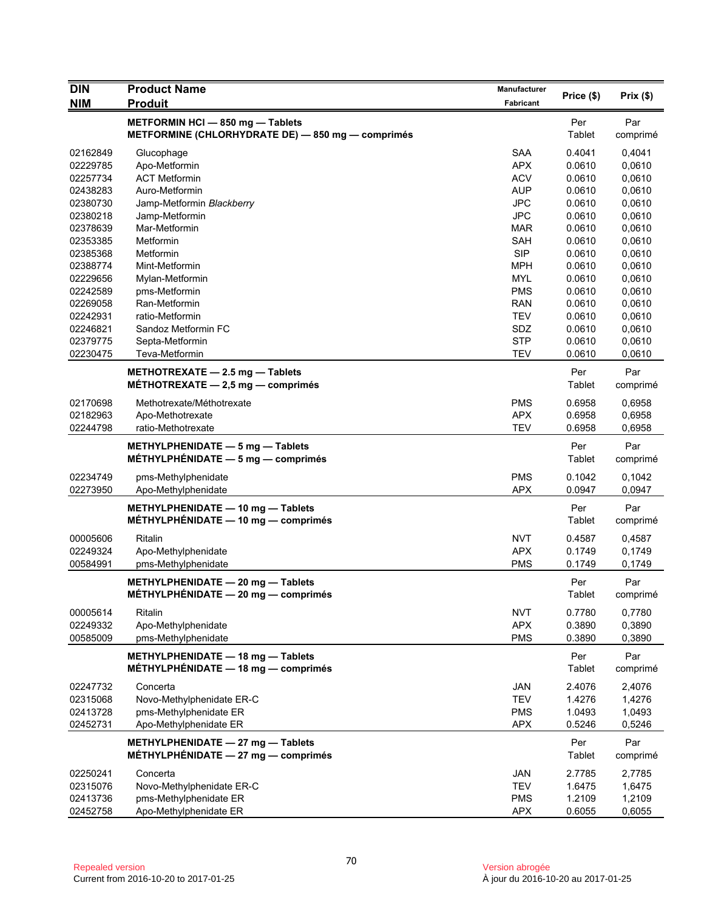| <b>DIN</b>           | <b>Product Name</b>                                                         | <b>Manufacturer</b>      | Price (\$)       | Prix(\$)         |
|----------------------|-----------------------------------------------------------------------------|--------------------------|------------------|------------------|
| <b>NIM</b>           | <b>Produit</b>                                                              | Fabricant                |                  |                  |
|                      | METFORMIN HCI - 850 mg - Tablets                                            |                          | Per              | Par              |
|                      | METFORMINE (CHLORHYDRATE DE) - 850 mg - comprimés                           |                          | Tablet           | comprimé         |
| 02162849             | Glucophage                                                                  | <b>SAA</b>               | 0.4041           | 0,4041           |
| 02229785             | Apo-Metformin                                                               | <b>APX</b>               | 0.0610           | 0,0610           |
| 02257734             | <b>ACT Metformin</b>                                                        | <b>ACV</b>               | 0.0610           | 0,0610           |
| 02438283             | Auro-Metformin                                                              | <b>AUP</b>               | 0.0610           | 0,0610           |
| 02380730             | Jamp-Metformin Blackberry                                                   | <b>JPC</b>               | 0.0610           | 0,0610           |
| 02380218             | Jamp-Metformin                                                              | <b>JPC</b>               | 0.0610           | 0,0610           |
| 02378639             | Mar-Metformin                                                               | <b>MAR</b>               | 0.0610           | 0,0610           |
| 02353385             | <b>Metformin</b>                                                            | <b>SAH</b>               | 0.0610           | 0,0610           |
| 02385368<br>02388774 | Metformin                                                                   | <b>SIP</b><br><b>MPH</b> | 0.0610<br>0.0610 | 0,0610           |
| 02229656             | Mint-Metformin<br>Mylan-Metformin                                           | <b>MYL</b>               | 0.0610           | 0,0610<br>0,0610 |
| 02242589             | pms-Metformin                                                               | <b>PMS</b>               | 0.0610           | 0,0610           |
| 02269058             | Ran-Metformin                                                               | <b>RAN</b>               | 0.0610           | 0,0610           |
| 02242931             | ratio-Metformin                                                             | <b>TEV</b>               | 0.0610           | 0,0610           |
| 02246821             | Sandoz Metformin FC                                                         | SDZ                      | 0.0610           | 0,0610           |
| 02379775             | Septa-Metformin                                                             | <b>STP</b>               | 0.0610           | 0,0610           |
| 02230475             | Teva-Metformin                                                              | <b>TEV</b>               | 0.0610           | 0,0610           |
|                      |                                                                             |                          |                  |                  |
|                      | METHOTREXATE $-$ 2.5 mg $-$ Tablets<br>MÉTHOTREXATE $-2.5$ mg $-$ comprimés |                          | Per<br>Tablet    | Par<br>comprimé  |
|                      |                                                                             |                          |                  |                  |
| 02170698             | Methotrexate/Méthotrexate                                                   | <b>PMS</b>               | 0.6958           | 0,6958           |
| 02182963             | Apo-Methotrexate                                                            | <b>APX</b>               | 0.6958           | 0,6958           |
| 02244798             | ratio-Methotrexate                                                          | <b>TEV</b>               | 0.6958           | 0,6958           |
|                      | METHYLPHENIDATE - 5 mg - Tablets                                            |                          | Per              | Par              |
|                      | MÉTHYLPHÉNIDATE $-5$ mg $-$ comprimés                                       |                          | Tablet           | comprimé         |
| 02234749             | pms-Methylphenidate                                                         | <b>PMS</b>               | 0.1042           | 0,1042           |
| 02273950             | Apo-Methylphenidate                                                         | <b>APX</b>               | 0.0947           | 0,0947           |
|                      | METHYLPHENIDATE - 10 mg - Tablets                                           |                          | Per              | Par              |
|                      | MÉTHYLPHÉNIDATE - 10 mg - comprimés                                         |                          | Tablet           | comprimé         |
|                      | Ritalin                                                                     | <b>NVT</b>               |                  |                  |
| 00005606<br>02249324 | Apo-Methylphenidate                                                         | <b>APX</b>               | 0.4587<br>0.1749 | 0,4587<br>0,1749 |
| 00584991             | pms-Methylphenidate                                                         | <b>PMS</b>               | 0.1749           | 0,1749           |
|                      |                                                                             |                          |                  |                  |
|                      | METHYLPHENIDATE - 20 mg - Tablets                                           |                          | Per              | Par              |
|                      | $MÉTHYLPHÉNIDATE - 20 mg - comprimés$                                       |                          | Tablet           | comprimé         |
| 00005614             | Ritalin                                                                     | <b>NVT</b>               | 0.7780           | 0,7780           |
| 02249332             | Apo-Methylphenidate                                                         | <b>APX</b>               | 0.3890           | 0,3890           |
| 00585009             | pms-Methylphenidate                                                         | <b>PMS</b>               | 0.3890           | 0,3890           |
|                      | METHYLPHENIDATE - 18 mg - Tablets                                           |                          | Per              | Par              |
|                      | MÉTHYLPHÉNIDATE - 18 mg - comprimés                                         |                          | Tablet           | comprimé         |
| 02247732             | Concerta                                                                    | JAN                      | 2.4076           | 2,4076           |
| 02315068             | Novo-Methylphenidate ER-C                                                   | <b>TEV</b>               | 1.4276           | 1,4276           |
| 02413728             | pms-Methylphenidate ER                                                      | <b>PMS</b>               | 1.0493           | 1,0493           |
| 02452731             | Apo-Methylphenidate ER                                                      | <b>APX</b>               | 0.5246           | 0,5246           |
|                      |                                                                             |                          |                  |                  |
|                      | METHYLPHENIDATE - 27 mg - Tablets                                           |                          | Per              | Par              |
|                      | MÉTHYLPHÉNIDATE - 27 mg - comprimés                                         |                          | Tablet           | comprimé         |
| 02250241             | Concerta                                                                    | <b>JAN</b>               | 2.7785           | 2,7785           |
| 02315076             | Novo-Methylphenidate ER-C                                                   | <b>TEV</b>               | 1.6475           | 1,6475           |
| 02413736             | pms-Methylphenidate ER                                                      | <b>PMS</b>               | 1.2109           | 1,2109           |
| 02452758             | Apo-Methylphenidate ER                                                      | <b>APX</b>               | 0.6055           | 0,6055           |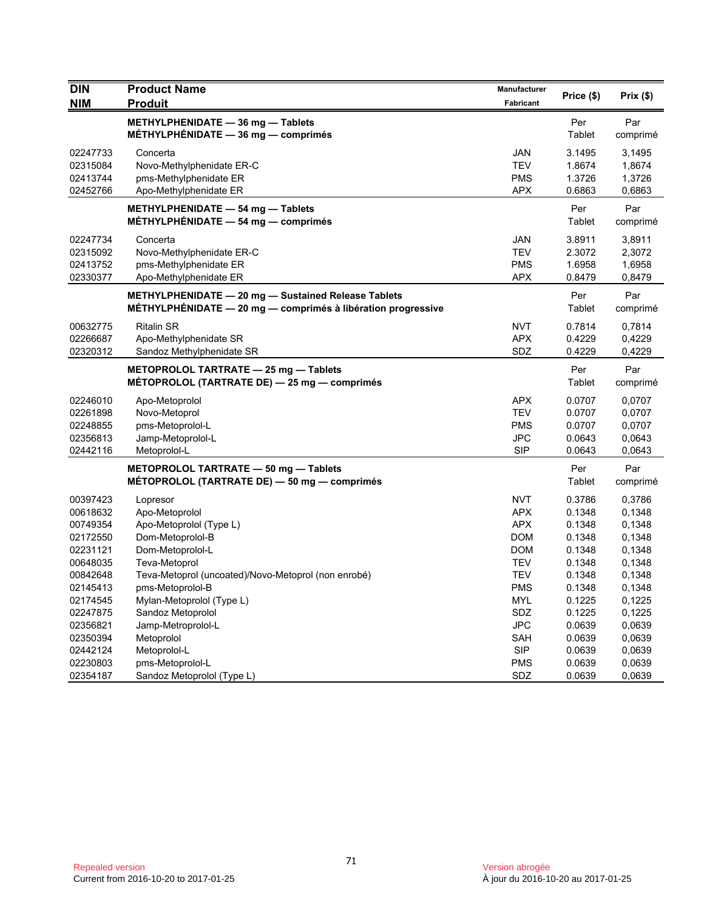| <b>DIN</b><br><b>NIM</b> | <b>Product Name</b><br><b>Produit</b>                                                                               | Manufacturer<br><b>Fabricant</b> | Price (\$)           | Prix(\$)        |
|--------------------------|---------------------------------------------------------------------------------------------------------------------|----------------------------------|----------------------|-----------------|
|                          | METHYLPHENIDATE - 36 mg - Tablets<br>$MÉTHYLPHÉNIDATE - 36 mg - comprimés$                                          |                                  | Per<br><b>Tablet</b> | Par<br>comprimé |
| 02247733                 | Concerta                                                                                                            | <b>JAN</b>                       | 3.1495               | 3,1495          |
| 02315084                 | Novo-Methylphenidate ER-C                                                                                           | <b>TEV</b>                       | 1.8674               | 1,8674          |
| 02413744                 | pms-Methylphenidate ER                                                                                              | <b>PMS</b>                       | 1.3726               | 1,3726          |
| 02452766                 | Apo-Methylphenidate ER                                                                                              | <b>APX</b>                       | 0.6863               | 0,6863          |
|                          | METHYLPHENIDATE - 54 mg - Tablets<br>MÉTHYLPHÉNIDATE $-$ 54 mg $-$ comprimés                                        |                                  | Per<br>Tablet        | Par<br>comprimé |
| 02247734                 | Concerta                                                                                                            | <b>JAN</b>                       | 3.8911               | 3,8911          |
| 02315092                 | Novo-Methylphenidate ER-C                                                                                           | <b>TEV</b>                       | 2.3072               | 2,3072          |
| 02413752                 | pms-Methylphenidate ER                                                                                              | <b>PMS</b>                       | 1.6958               | 1,6958          |
| 02330377                 | Apo-Methylphenidate ER                                                                                              | <b>APX</b>                       | 0.8479               | 0,8479          |
|                          | METHYLPHENIDATE - 20 mg - Sustained Release Tablets<br>MÉTHYLPHÉNIDATE - 20 mg - comprimés à libération progressive |                                  | Per<br>Tablet        | Par<br>comprimé |
| 00632775                 | <b>Ritalin SR</b>                                                                                                   | <b>NVT</b>                       | 0.7814               | 0,7814          |
| 02266687                 | Apo-Methylphenidate SR                                                                                              | <b>APX</b>                       | 0.4229               | 0,4229          |
| 02320312                 | Sandoz Methylphenidate SR                                                                                           | SDZ                              | 0.4229               | 0,4229          |
|                          | METOPROLOL TARTRATE - 25 mg - Tablets<br>MÉTOPROLOL (TARTRATE DE) — 25 mg — comprimés                               |                                  | Per<br>Tablet        | Par<br>comprimé |
| 02246010                 | Apo-Metoprolol                                                                                                      | <b>APX</b>                       | 0.0707               | 0,0707          |
| 02261898                 | Novo-Metoprol                                                                                                       | <b>TEV</b>                       | 0.0707               | 0,0707          |
| 02248855                 | pms-Metoprolol-L                                                                                                    | <b>PMS</b>                       | 0.0707               | 0,0707          |
| 02356813                 | Jamp-Metoprolol-L                                                                                                   | <b>JPC</b>                       | 0.0643               | 0,0643          |
| 02442116                 | Metoprolol-L                                                                                                        | <b>SIP</b>                       | 0.0643               | 0,0643          |
|                          | METOPROLOL TARTRATE - 50 mg - Tablets<br>MÉTOPROLOL (TARTRATE DE) — 50 mg — comprimés                               |                                  | Per<br>Tablet        | Par<br>comprimé |
| 00397423                 | Lopresor                                                                                                            | <b>NVT</b>                       | 0.3786               | 0,3786          |
| 00618632                 | Apo-Metoprolol                                                                                                      | <b>APX</b>                       | 0.1348               | 0,1348          |
| 00749354                 | Apo-Metoprolol (Type L)                                                                                             | <b>APX</b>                       | 0.1348               | 0.1348          |
| 02172550                 | Dom-Metoprolol-B                                                                                                    | <b>DOM</b>                       | 0.1348               | 0,1348          |
| 02231121                 | Dom-Metoprolol-L                                                                                                    | <b>DOM</b>                       | 0.1348               | 0.1348          |
| 00648035                 | Teva-Metoprol                                                                                                       | <b>TEV</b>                       | 0.1348               | 0,1348          |
| 00842648                 | Teva-Metoprol (uncoated)/Novo-Metoprol (non enrobé)                                                                 | <b>TEV</b>                       | 0.1348               | 0,1348          |
| 02145413                 | pms-Metoprolol-B                                                                                                    | <b>PMS</b>                       | 0.1348               | 0,1348          |
| 02174545                 | Mylan-Metoprolol (Type L)                                                                                           | <b>MYL</b>                       | 0.1225               | 0,1225          |
| 02247875                 | Sandoz Metoprolol                                                                                                   | SDZ                              | 0.1225               | 0,1225          |
| 02356821                 | Jamp-Metroprolol-L                                                                                                  | <b>JPC</b>                       | 0.0639               | 0,0639          |
| 02350394                 | Metoprolol                                                                                                          | <b>SAH</b>                       | 0.0639               | 0,0639          |
| 02442124                 | Metoprolol-L                                                                                                        | <b>SIP</b>                       | 0.0639               | 0,0639          |
| 02230803                 | pms-Metoprolol-L                                                                                                    | <b>PMS</b>                       | 0.0639               | 0,0639          |
| 02354187                 | Sandoz Metoprolol (Type L)                                                                                          | <b>SDZ</b>                       | 0.0639               | 0,0639          |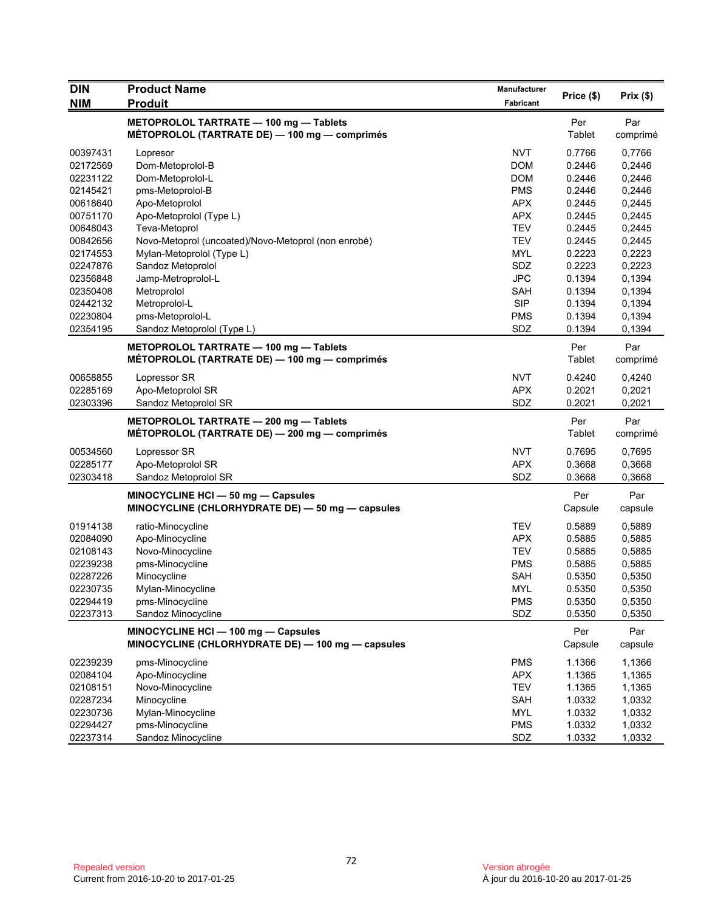| <b>DIN</b>           | <b>Product Name</b>                                                                      | Manufacturer             |                  | Prix $(\$)$      |
|----------------------|------------------------------------------------------------------------------------------|--------------------------|------------------|------------------|
| <b>NIM</b>           | <b>Produit</b>                                                                           | Fabricant                | Price (\$)       |                  |
|                      | METOPROLOL TARTRATE - 100 mg - Tablets<br>MÉTOPROLOL (TARTRATE DE) — 100 mg — comprimés  |                          | Per<br>Tablet    | Par<br>comprimé  |
| 00397431             | Lopresor                                                                                 | <b>NVT</b>               | 0.7766           | 0,7766           |
| 02172569             | Dom-Metoprolol-B                                                                         | <b>DOM</b>               | 0.2446           | 0,2446           |
| 02231122             | Dom-Metoprolol-L                                                                         | <b>DOM</b>               | 0.2446           | 0,2446           |
| 02145421             | pms-Metoprolol-B                                                                         | <b>PMS</b>               | 0.2446           | 0,2446           |
| 00618640             | Apo-Metoprolol                                                                           | <b>APX</b>               | 0.2445           | 0,2445           |
| 00751170             | Apo-Metoprolol (Type L)                                                                  | <b>APX</b>               | 0.2445           | 0,2445           |
| 00648043             | Teva-Metoprol                                                                            | <b>TEV</b>               | 0.2445           | 0,2445           |
| 00842656             | Novo-Metoprol (uncoated)/Novo-Metoprol (non enrobé)                                      | <b>TEV</b>               | 0.2445           | 0,2445           |
| 02174553             | Mylan-Metoprolol (Type L)                                                                | <b>MYL</b>               | 0.2223           | 0,2223           |
| 02247876             | Sandoz Metoprolol                                                                        | SDZ                      | 0.2223           | 0,2223           |
| 02356848             | Jamp-Metroprolol-L                                                                       | <b>JPC</b>               | 0.1394           | 0,1394           |
| 02350408             | Metroprolol                                                                              | <b>SAH</b>               | 0.1394           | 0,1394           |
| 02442132             | Metroprolol-L                                                                            | <b>SIP</b>               | 0.1394           | 0,1394           |
| 02230804             | pms-Metoprolol-L                                                                         | <b>PMS</b>               | 0.1394           | 0,1394           |
| 02354195             | Sandoz Metoprolol (Type L)                                                               | SDZ                      | 0.1394           | 0,1394           |
|                      | METOPROLOL TARTRATE - 100 mg - Tablets                                                   |                          | Per              | Par              |
|                      | MÉTOPROLOL (TARTRATE DE) — 100 mg — comprimés                                            |                          | Tablet           | comprimé         |
| 00658855             | Lopressor SR                                                                             | <b>NVT</b>               | 0.4240           | 0,4240           |
| 02285169             | Apo-Metoprolol SR                                                                        | <b>APX</b>               | 0.2021           | 0,2021           |
| 02303396             | Sandoz Metoprolol SR                                                                     | SDZ                      | 0.2021           | 0,2021           |
|                      | METOPROLOL TARTRATE - 200 mg - Tablets<br>MÉTOPROLOL (TARTRATE DE) - 200 mg - comprimés  |                          | Per<br>Tablet    | Par<br>comprimé  |
|                      |                                                                                          |                          |                  |                  |
|                      |                                                                                          |                          |                  |                  |
| 00534560             | Lopressor SR                                                                             | <b>NVT</b>               | 0.7695           | 0,7695           |
| 02285177             | Apo-Metoprolol SR                                                                        | <b>APX</b>               | 0.3668           | 0,3668           |
| 02303418             | Sandoz Metoprolol SR<br>MINOCYCLINE HCI - 50 mg - Capsules                               | SDZ                      | 0.3668<br>Per    | 0,3668<br>Par    |
|                      | MINOCYCLINE (CHLORHYDRATE DE) - 50 mg - capsules                                         |                          | Capsule          | capsule          |
| 01914138             | ratio-Minocycline                                                                        | <b>TEV</b>               | 0.5889           | 0,5889           |
| 02084090             | Apo-Minocycline                                                                          | <b>APX</b>               | 0.5885           | 0,5885           |
| 02108143             | Novo-Minocycline                                                                         | <b>TEV</b>               | 0.5885           | 0,5885           |
| 02239238             | pms-Minocycline                                                                          | <b>PMS</b>               | 0.5885           | 0,5885           |
| 02287226             | Minocycline                                                                              | <b>SAH</b>               | 0.5350           | 0,5350           |
| 02230735             | Mylan-Minocycline                                                                        | MYL                      | 0.5350           | 0,5350           |
| 02294419             | pms-Minocycline                                                                          | <b>PMS</b>               | 0.5350           | 0,5350           |
| 02237313             | Sandoz Minocycline                                                                       | SDZ                      | 0.5350           | 0,5350           |
|                      | MINOCYCLINE HCI - 100 mg - Capsules<br>MINOCYCLINE (CHLORHYDRATE DE) - 100 mg - capsules |                          | Per<br>Capsule   | Par<br>capsule   |
|                      |                                                                                          |                          |                  |                  |
| 02239239             | pms-Minocycline                                                                          | <b>PMS</b>               | 1.1366           | 1,1366           |
| 02084104             | Apo-Minocycline                                                                          | <b>APX</b>               | 1.1365           | 1,1365           |
| 02108151             | Novo-Minocycline                                                                         | TEV                      | 1.1365           | 1,1365           |
| 02287234             | Minocycline                                                                              | SAH                      | 1.0332           | 1,0332           |
| 02230736<br>02294427 | Mylan-Minocycline<br>pms-Minocycline                                                     | <b>MYL</b><br><b>PMS</b> | 1.0332<br>1.0332 | 1,0332<br>1,0332 |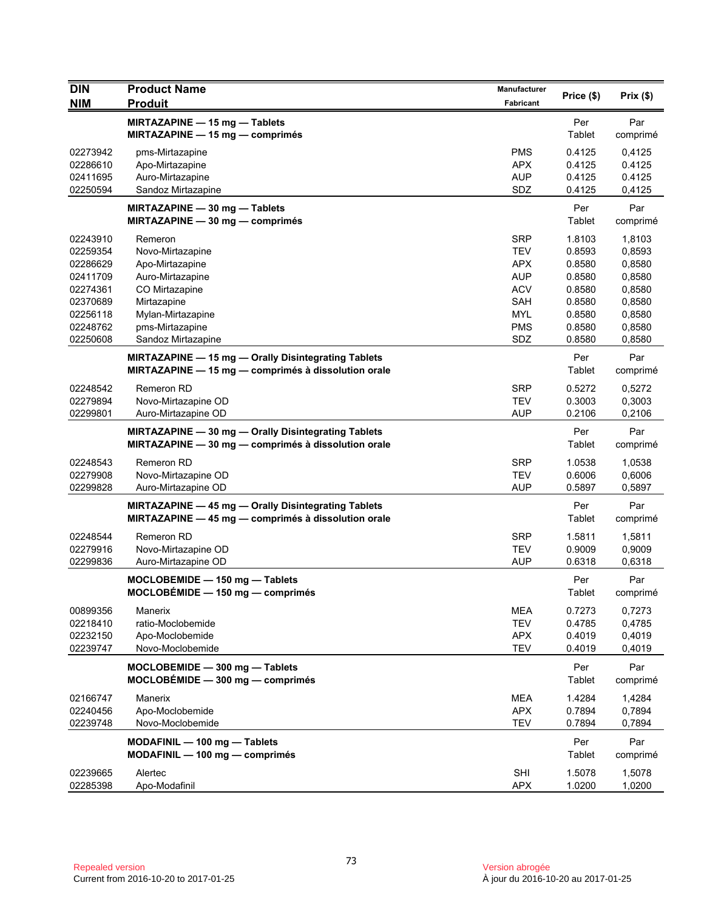| <b>DIN</b>           | <b>Product Name</b>                                 | Manufacturer             | Price (\$)       | Prix(\$)         |
|----------------------|-----------------------------------------------------|--------------------------|------------------|------------------|
| <b>NIM</b>           | <b>Produit</b>                                      | Fabricant                |                  |                  |
|                      | MIRTAZAPINE - 15 mg - Tablets                       |                          | Per              | Par              |
|                      | MIRTAZAPINE - 15 mg - comprimés                     |                          | Tablet           | comprimé         |
| 02273942             | pms-Mirtazapine                                     | <b>PMS</b>               | 0.4125           | 0,4125           |
| 02286610             | Apo-Mirtazapine                                     | <b>APX</b>               | 0.4125           | 0.4125           |
| 02411695             | Auro-Mirtazapine                                    | <b>AUP</b>               | 0.4125           | 0.4125           |
| 02250594             | Sandoz Mirtazapine                                  | SDZ                      | 0.4125           | 0,4125           |
|                      | MIRTAZAPINE - 30 mg - Tablets                       |                          | Per              | Par              |
|                      | MIRTAZAPINE $-30$ mg $-$ comprimés                  |                          | Tablet           | comprimé         |
| 02243910             | Remeron                                             | <b>SRP</b>               | 1.8103           | 1,8103           |
| 02259354             | Novo-Mirtazapine                                    | <b>TEV</b>               | 0.8593           | 0,8593           |
| 02286629             | Apo-Mirtazapine                                     | <b>APX</b>               | 0.8580           | 0,8580           |
| 02411709             | Auro-Mirtazapine                                    | <b>AUP</b>               | 0.8580           | 0,8580           |
| 02274361<br>02370689 | CO Mirtazapine<br>Mirtazapine                       | <b>ACV</b><br><b>SAH</b> | 0.8580<br>0.8580 | 0,8580<br>0,8580 |
| 02256118             | Mylan-Mirtazapine                                   | <b>MYL</b>               | 0.8580           | 0,8580           |
| 02248762             | pms-Mirtazapine                                     | <b>PMS</b>               | 0.8580           | 0,8580           |
| 02250608             | Sandoz Mirtazapine                                  | SDZ                      | 0.8580           | 0,8580           |
|                      | MIRTAZAPINE - 15 mg - Orally Disintegrating Tablets |                          | Per              | Par              |
|                      | MIRTAZAPINE - 15 mg - comprimés à dissolution orale |                          | Tablet           | comprimé         |
| 02248542             | Remeron RD                                          | <b>SRP</b>               | 0.5272           | 0,5272           |
| 02279894             | Novo-Mirtazapine OD                                 | <b>TEV</b>               | 0.3003           | 0,3003           |
| 02299801             | Auro-Mirtazapine OD                                 | AUP                      | 0.2106           | 0,2106           |
|                      | MIRTAZAPINE - 30 mg - Orally Disintegrating Tablets |                          | Per              | Par              |
|                      | MIRTAZAPINE - 30 mg - comprimés à dissolution orale |                          | Tablet           | comprimé         |
| 02248543             | <b>Remeron RD</b>                                   | <b>SRP</b>               | 1.0538           | 1,0538           |
| 02279908             | Novo-Mirtazapine OD                                 | <b>TEV</b>               | 0.6006           | 0,6006           |
| 02299828             | Auro-Mirtazapine OD                                 | <b>AUP</b>               | 0.5897           | 0,5897           |
|                      | MIRTAZAPINE - 45 mg - Orally Disintegrating Tablets |                          | Per              | Par              |
|                      | MIRTAZAPINE - 45 mg - comprimés à dissolution orale |                          | Tablet           | comprimé         |
| 02248544             | <b>Remeron RD</b>                                   | <b>SRP</b>               | 1.5811           | 1,5811           |
| 02279916             | Novo-Mirtazapine OD                                 | <b>TEV</b>               | 0.9009           | 0,9009           |
| 02299836             | Auro-Mirtazapine OD                                 | <b>AUP</b>               | 0.6318           | 0,6318           |
|                      | MOCLOBEMIDE - 150 mg - Tablets                      |                          | Per              | Par              |
|                      | MOCLOBÉMIDE - 150 mg - comprimés                    |                          | Tablet           | comprimé         |
| 00899356             | Manerix                                             | <b>MEA</b>               | 0.7273           | 0,7273           |
| 02218410             | ratio-Moclobemide                                   | <b>TEV</b>               | 0.4785           | 0,4785           |
| 02232150             | Apo-Moclobemide                                     | <b>APX</b>               | 0.4019           | 0,4019           |
| 02239747             | Novo-Moclobemide                                    | <b>TEV</b>               | 0.4019           | 0,4019           |
|                      | MOCLOBEMIDE - 300 mg - Tablets                      |                          | Per              | Par              |
|                      | $MOCLOBÉMIDE - 300 mg - comprimés$                  |                          | Tablet           | comprimé         |
| 02166747             | Manerix                                             | <b>MEA</b>               | 1.4284           | 1,4284           |
| 02240456             | Apo-Moclobemide                                     | <b>APX</b>               | 0.7894           | 0,7894           |
| 02239748             | Novo-Moclobemide                                    | <b>TEV</b>               | 0.7894           | 0,7894           |
|                      | MODAFINIL - 100 mg - Tablets                        |                          | Per              | Par              |
|                      | $MODAFINIL - 100 mg - comprimés$                    |                          | Tablet           | comprimé         |
| 02239665             | Alertec                                             | SHI                      | 1.5078           | 1,5078           |
| 02285398             | Apo-Modafinil                                       | <b>APX</b>               | 1.0200           | 1,0200           |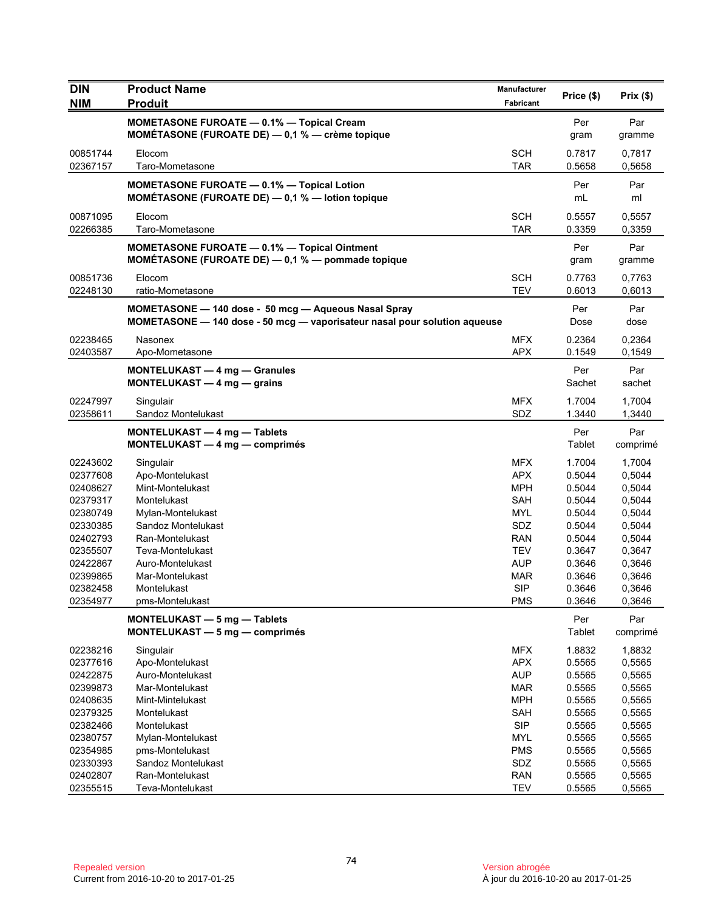| <b>DIN</b><br><b>NIM</b> | <b>Product Name</b><br><b>Produit</b>                                                                                             | Manufacturer<br><b>Fabricant</b> | Price (\$)       | Prix(\$)         |
|--------------------------|-----------------------------------------------------------------------------------------------------------------------------------|----------------------------------|------------------|------------------|
|                          |                                                                                                                                   |                                  |                  |                  |
|                          | <b>MOMETASONE FUROATE - 0.1% - Topical Cream</b><br><b>MOMÉTASONE (FUROATE DE)</b> $-$ 0,1 % $-$ crème topique                    |                                  | Per<br>gram      | Par<br>gramme    |
| 00851744                 | Elocom                                                                                                                            | <b>SCH</b>                       | 0.7817           | 0,7817           |
| 02367157                 | Taro-Mometasone                                                                                                                   | <b>TAR</b>                       | 0.5658           | 0,5658           |
|                          | <b>MOMETASONE FUROATE - 0.1% - Topical Lotion</b><br>MOMÉTASONE (FUROATE DE) - 0,1 % - lotion topique                             |                                  | Per<br>mL        | Par<br>ml        |
| 00871095<br>02266385     | Elocom<br>Taro-Mometasone                                                                                                         | <b>SCH</b><br><b>TAR</b>         | 0.5557<br>0.3359 | 0,5557<br>0,3359 |
|                          | <b>MOMETASONE FUROATE - 0.1% - Topical Ointment</b><br>MOMÉTASONE (FUROATE DE) - 0,1 % - pommade topique                          |                                  | Per<br>gram      | Par<br>gramme    |
| 00851736                 | Elocom                                                                                                                            | <b>SCH</b>                       | 0.7763           | 0,7763           |
| 02248130                 | ratio-Mometasone                                                                                                                  | <b>TEV</b>                       | 0.6013           | 0,6013           |
|                          | MOMETASONE - 140 dose - 50 mcg - Aqueous Nasal Spray<br>MOMETASONE - 140 dose - 50 mcg - vaporisateur nasal pour solution aqueuse |                                  | Per<br>Dose      | Par<br>dose      |
| 02238465                 | Nasonex                                                                                                                           | <b>MFX</b>                       | 0.2364           | 0,2364           |
| 02403587                 | Apo-Mometasone                                                                                                                    | <b>APX</b>                       | 0.1549           | 0,1549           |
|                          | <b>MONTELUKAST - 4 mg - Granules</b><br>MONTELUKAST $-$ 4 mg $-$ grains                                                           |                                  | Per<br>Sachet    | Par<br>sachet    |
|                          |                                                                                                                                   |                                  |                  |                  |
| 02247997<br>02358611     | Singulair<br>Sandoz Montelukast                                                                                                   | <b>MFX</b><br>SDZ                | 1.7004<br>1.3440 | 1,7004<br>1,3440 |
|                          |                                                                                                                                   |                                  |                  |                  |
|                          | MONTELUKAST - 4 mg - Tablets<br>MONTELUKAST - 4 mg - comprimés                                                                    |                                  | Per<br>Tablet    | Par<br>comprimé  |
| 02243602                 | Singulair                                                                                                                         | <b>MFX</b>                       | 1.7004           | 1,7004           |
| 02377608                 | Apo-Montelukast                                                                                                                   | <b>APX</b>                       | 0.5044           | 0,5044           |
| 02408627                 | Mint-Montelukast                                                                                                                  | <b>MPH</b>                       | 0.5044           | 0,5044           |
| 02379317                 | Montelukast                                                                                                                       | SAH                              | 0.5044           | 0,5044           |
| 02380749                 | Mylan-Montelukast                                                                                                                 | MYL                              | 0.5044           | 0,5044           |
| 02330385                 | Sandoz Montelukast                                                                                                                | SDZ                              | 0.5044           | 0,5044           |
| 02402793                 | Ran-Montelukast                                                                                                                   | <b>RAN</b>                       | 0.5044           | 0,5044           |
| 02355507                 | Teva-Montelukast                                                                                                                  | TEV                              | 0.3647           | 0,3647           |
| 02422867                 | Auro-Montelukast                                                                                                                  | AUP                              | 0.3646           | 0,3646           |
| 02399865                 | Mar-Montelukast                                                                                                                   | MAR                              | 0.3646           | 0,3646           |
| 02382458                 | Montelukast                                                                                                                       | <b>SIP</b>                       | 0.3646           | 0,3646           |
| 02354977                 | pms-Montelukast                                                                                                                   | <b>PMS</b>                       | 0.3646           | 0,3646           |
|                          | MONTELUKAST - 5 mg - Tablets                                                                                                      |                                  | Per              | Par              |
|                          | $MONTELUKAST - 5 mg - comprimés$                                                                                                  |                                  | Tablet           | comprimé         |
| 02238216                 | Singulair                                                                                                                         | <b>MFX</b>                       | 1.8832           | 1,8832           |
| 02377616                 | Apo-Montelukast                                                                                                                   | <b>APX</b>                       | 0.5565           | 0,5565           |
| 02422875                 | Auro-Montelukast                                                                                                                  | <b>AUP</b>                       | 0.5565           | 0,5565           |
| 02399873                 | Mar-Montelukast                                                                                                                   | <b>MAR</b>                       | 0.5565           | 0,5565           |
| 02408635                 | Mint-Mintelukast                                                                                                                  | <b>MPH</b>                       | 0.5565           | 0,5565           |
| 02379325                 | Montelukast                                                                                                                       | SAH                              | 0.5565           | 0,5565           |
| 02382466                 | Montelukast                                                                                                                       | <b>SIP</b>                       | 0.5565           | 0,5565           |
| 02380757                 | Mylan-Montelukast                                                                                                                 | MYL                              | 0.5565           | 0,5565           |
| 02354985                 | pms-Montelukast                                                                                                                   | <b>PMS</b>                       | 0.5565           | 0,5565           |
| 02330393                 | Sandoz Montelukast                                                                                                                | SDZ                              | 0.5565           | 0,5565           |
| 02402807                 | Ran-Montelukast                                                                                                                   | <b>RAN</b>                       | 0.5565           | 0,5565           |
| 02355515                 | Teva-Montelukast                                                                                                                  | <b>TEV</b>                       | 0.5565           | 0,5565           |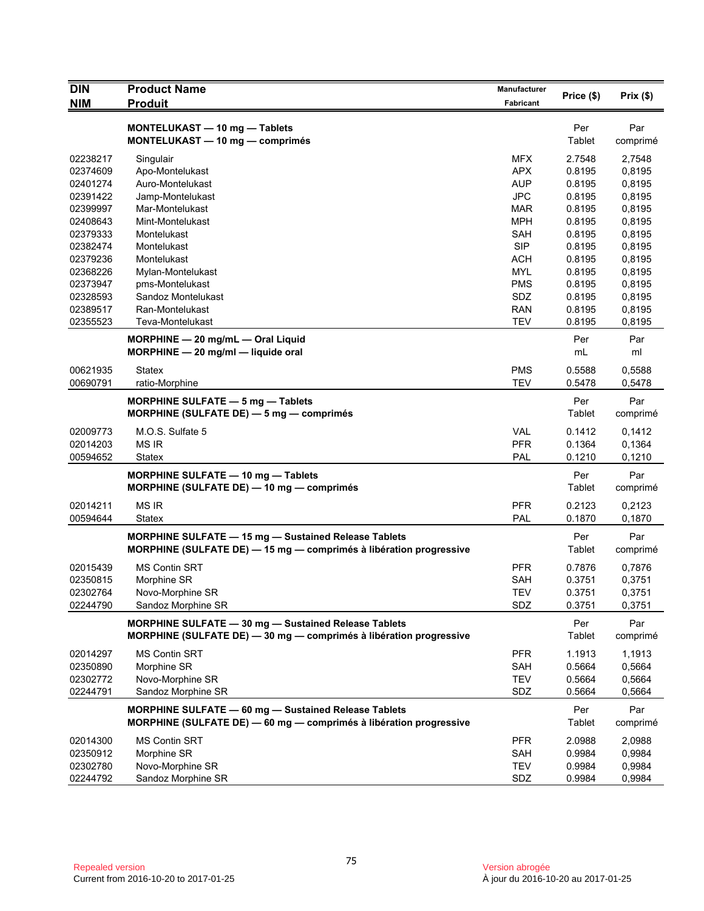| <b>DIN</b>           | <b>Product Name</b>                                                                                                               | <b>Manufacturer</b>      | Price (\$)           | Prix(\$)         |
|----------------------|-----------------------------------------------------------------------------------------------------------------------------------|--------------------------|----------------------|------------------|
| <b>NIM</b>           | <b>Produit</b>                                                                                                                    | Fabricant                |                      |                  |
|                      | MONTELUKAST - 10 mg - Tablets<br>MONTELUKAST - 10 mg - comprimés                                                                  |                          | Per<br>Tablet        | Par<br>comprimé  |
| 02238217             | Singulair                                                                                                                         | MFX                      | 2.7548               | 2,7548           |
| 02374609             | Apo-Montelukast                                                                                                                   | <b>APX</b>               | 0.8195               | 0,8195           |
| 02401274             | Auro-Montelukast                                                                                                                  | <b>AUP</b>               | 0.8195               | 0,8195           |
| 02391422             | Jamp-Montelukast                                                                                                                  | <b>JPC</b>               | 0.8195               | 0,8195           |
| 02399997             | Mar-Montelukast                                                                                                                   | MAR                      | 0.8195               | 0,8195           |
| 02408643             | Mint-Montelukast                                                                                                                  | <b>MPH</b>               | 0.8195               | 0,8195           |
| 02379333             | Montelukast                                                                                                                       | <b>SAH</b>               | 0.8195               | 0,8195           |
| 02382474             | Montelukast                                                                                                                       | <b>SIP</b>               | 0.8195               | 0,8195           |
| 02379236             | Montelukast                                                                                                                       | <b>ACH</b>               | 0.8195               | 0,8195           |
| 02368226             | Mylan-Montelukast                                                                                                                 | MYL                      | 0.8195               | 0,8195           |
| 02373947             | pms-Montelukast                                                                                                                   | <b>PMS</b>               | 0.8195               | 0,8195           |
| 02328593             | Sandoz Montelukast                                                                                                                | SDZ                      | 0.8195               | 0,8195           |
| 02389517             | Ran-Montelukast                                                                                                                   | <b>RAN</b>               | 0.8195               | 0,8195           |
| 02355523             | Teva-Montelukast                                                                                                                  | <b>TEV</b>               | 0.8195               | 0,8195           |
|                      | MORPHINE - 20 mg/mL - Oral Liquid<br>$MORPHINE - 20$ mg/ml - liquide oral                                                         |                          | Per<br>mL            | Par<br>ml        |
| 00621935<br>00690791 | Statex<br>ratio-Morphine                                                                                                          | <b>PMS</b><br><b>TEV</b> | 0.5588<br>0.5478     | 0,5588<br>0,5478 |
|                      |                                                                                                                                   |                          |                      |                  |
|                      | <b>MORPHINE SULFATE - 5 mg - Tablets</b><br>MORPHINE (SULFATE DE) - 5 mg - comprimés                                              |                          | Per<br>Tablet        | Par<br>comprimé  |
| 02009773             | M.O.S. Sulfate 5                                                                                                                  | <b>VAL</b>               | 0.1412               | 0,1412           |
| 02014203             | <b>MS IR</b>                                                                                                                      | <b>PFR</b>               | 0.1364               | 0,1364           |
| 00594652             | <b>Statex</b>                                                                                                                     | PAL                      | 0.1210               | 0,1210           |
|                      | MORPHINE SULFATE - 10 mg - Tablets<br>MORPHINE (SULFATE DE) - 10 mg - comprimés                                                   |                          | Per<br><b>Tablet</b> | Par<br>comprimé  |
| 02014211             | <b>MS IR</b>                                                                                                                      | <b>PFR</b>               | 0.2123               | 0,2123           |
| 00594644             | Statex                                                                                                                            | PAL                      | 0.1870               | 0,1870           |
|                      | <b>MORPHINE SULFATE - 15 mg - Sustained Release Tablets</b><br>MORPHINE (SULFATE DE) - 15 mg - comprimés à libération progressive |                          | Per<br>Tablet        | Par<br>comprimé  |
|                      |                                                                                                                                   |                          |                      |                  |
| 02015439             | <b>MS Contin SRT</b>                                                                                                              | <b>PFR</b>               | 0.7876               | 0,7876           |
| 02350815             | Morphine SR                                                                                                                       | <b>SAH</b>               | 0.3751               | 0,3751           |
| 02302764             | Novo-Morphine SR                                                                                                                  | TEV                      | 0.3751               | 0,3751           |
| 02244790             | Sandoz Morphine SR                                                                                                                | SDZ                      | 0.3751               | 0,3751           |
|                      | MORPHINE SULFATE - 30 mg - Sustained Release Tablets<br>MORPHINE (SULFATE DE) - 30 mg - comprimés à libération progressive        |                          | Per<br>Tablet        | Par<br>comprimé  |
| 02014297             | MS Contin SRT                                                                                                                     | <b>PFR</b>               | 1.1913               | 1,1913           |
| 02350890             | Morphine SR                                                                                                                       | <b>SAH</b>               | 0.5664               | 0,5664           |
| 02302772             | Novo-Morphine SR                                                                                                                  | <b>TEV</b>               | 0.5664               | 0,5664           |
| 02244791             | Sandoz Morphine SR                                                                                                                | SDZ                      | 0.5664               | 0,5664           |
|                      | MORPHINE SULFATE - 60 mg - Sustained Release Tablets<br>MORPHINE (SULFATE DE) - 60 mg - comprimés à libération progressive        |                          | Per<br>Tablet        | Par<br>comprimé  |
| 02014300             | <b>MS Contin SRT</b>                                                                                                              | <b>PFR</b>               | 2.0988               | 2,0988           |
| 02350912             | Morphine SR                                                                                                                       | SAH                      | 0.9984               | 0,9984           |
| 02302780             | Novo-Morphine SR                                                                                                                  | <b>TEV</b>               | 0.9984               | 0,9984           |
| 02244792             | Sandoz Morphine SR                                                                                                                | SDZ                      | 0.9984               | 0,9984           |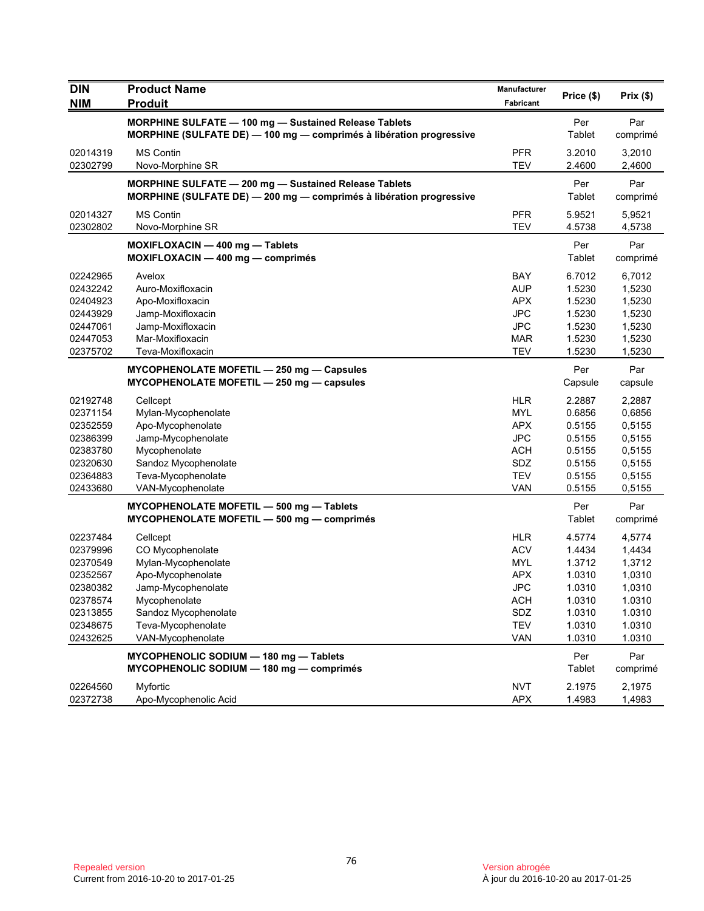| <b>DIN</b><br><b>NIM</b> | <b>Product Name</b><br><b>Produit</b>                                                                                            | Manufacturer<br>Fabricant | Price (\$)       | Prix(\$)         |
|--------------------------|----------------------------------------------------------------------------------------------------------------------------------|---------------------------|------------------|------------------|
|                          | MORPHINE SULFATE - 100 mg - Sustained Release Tablets                                                                            |                           | Per              | Par              |
|                          | <b>MORPHINE (SULFATE DE) — 100 mg — comprimés à libération progressive</b>                                                       |                           | Tablet           | comprimé         |
| 02014319                 | <b>MS Contin</b>                                                                                                                 | <b>PFR</b>                | 3.2010           | 3,2010           |
| 02302799                 | Novo-Morphine SR                                                                                                                 | <b>TEV</b>                | 2.4600           | 2,4600           |
|                          | MORPHINE SULFATE - 200 mg - Sustained Release Tablets<br>MORPHINE (SULFATE DE) $-$ 200 mg $-$ comprimés à libération progressive |                           | Per<br>Tablet    | Par<br>comprimé  |
| 02014327<br>02302802     | <b>MS Contin</b><br>Novo-Morphine SR                                                                                             | <b>PFR</b><br><b>TEV</b>  | 5.9521<br>4.5738 | 5,9521<br>4,5738 |
|                          | MOXIFLOXACIN - 400 mg - Tablets<br>MOXIFLOXACIN - 400 mg - comprimés                                                             |                           | Per<br>Tablet    | Par<br>comprimé  |
| 02242965                 | Avelox                                                                                                                           | <b>BAY</b>                | 6.7012           | 6,7012           |
| 02432242                 | Auro-Moxifloxacin                                                                                                                | <b>AUP</b>                | 1.5230           | 1,5230           |
| 02404923                 | Apo-Moxifloxacin                                                                                                                 | <b>APX</b>                | 1.5230           | 1,5230           |
| 02443929                 | Jamp-Moxifloxacin                                                                                                                | <b>JPC</b>                | 1.5230           | 1,5230           |
| 02447061<br>02447053     | Jamp-Moxifloxacin                                                                                                                | <b>JPC</b>                | 1.5230           | 1,5230           |
| 02375702                 | Mar-Moxifloxacin<br>Teva-Moxifloxacin                                                                                            | <b>MAR</b><br><b>TEV</b>  | 1.5230<br>1.5230 | 1,5230<br>1,5230 |
|                          | MYCOPHENOLATE MOFETIL - 250 mg - Capsules<br>MYCOPHENOLATE MOFETIL - 250 mg - capsules                                           |                           | Per<br>Capsule   | Par<br>capsule   |
| 02192748                 | Cellcept                                                                                                                         | <b>HLR</b>                | 2.2887           | 2,2887           |
| 02371154                 | Mylan-Mycophenolate                                                                                                              | MYL                       | 0.6856           | 0,6856           |
| 02352559                 | Apo-Mycophenolate                                                                                                                | <b>APX</b>                | 0.5155           | 0,5155           |
| 02386399                 | Jamp-Mycophenolate                                                                                                               | <b>JPC</b>                | 0.5155           | 0,5155           |
| 02383780                 | Mycophenolate                                                                                                                    | <b>ACH</b>                | 0.5155           | 0,5155           |
| 02320630                 | Sandoz Mycophenolate                                                                                                             | SDZ                       | 0.5155           | 0,5155           |
| 02364883                 | Teva-Mycophenolate                                                                                                               | <b>TEV</b>                | 0.5155           | 0,5155           |
| 02433680                 | VAN-Mycophenolate                                                                                                                | VAN                       | 0.5155           | 0,5155           |
|                          | MYCOPHENOLATE MOFETIL - 500 mg - Tablets<br>MYCOPHENOLATE MOFETIL - 500 mg - comprimés                                           |                           | Per<br>Tablet    | Par<br>comprimé  |
| 02237484                 | Cellcept                                                                                                                         | <b>HLR</b>                | 4.5774           | 4,5774           |
| 02379996                 | CO Mycophenolate                                                                                                                 | <b>ACV</b>                | 1.4434           | 1,4434           |
| 02370549                 | Mylan-Mycophenolate                                                                                                              | <b>MYL</b>                | 1.3712           | 1,3712           |
| 02352567                 | Apo-Mycophenolate                                                                                                                | <b>APX</b>                | 1.0310           | 1,0310           |
| 02380382                 | Jamp-Mycophenolate                                                                                                               | <b>JPC</b>                | 1.0310           | 1,0310           |
| 02378574                 | Mycophenolate                                                                                                                    | <b>ACH</b>                | 1.0310           | 1.0310           |
| 02313855                 | Sandoz Mycophenolate                                                                                                             | SDZ                       | 1.0310           | 1.0310           |
| 02348675                 | Teva-Mycophenolate                                                                                                               | <b>TEV</b>                | 1.0310           | 1.0310           |
| 02432625                 | VAN-Mycophenolate                                                                                                                | VAN                       | 1.0310           | 1.0310           |
|                          | MYCOPHENOLIC SODIUM - 180 mg - Tablets<br>MYCOPHENOLIC SODIUM - 180 mg - comprimés                                               |                           | Per<br>Tablet    | Par<br>comprimé  |
| 02264560                 | Myfortic                                                                                                                         | <b>NVT</b>                | 2.1975           | 2,1975           |
| 02372738                 | Apo-Mycophenolic Acid                                                                                                            | <b>APX</b>                | 1.4983           | 1,4983           |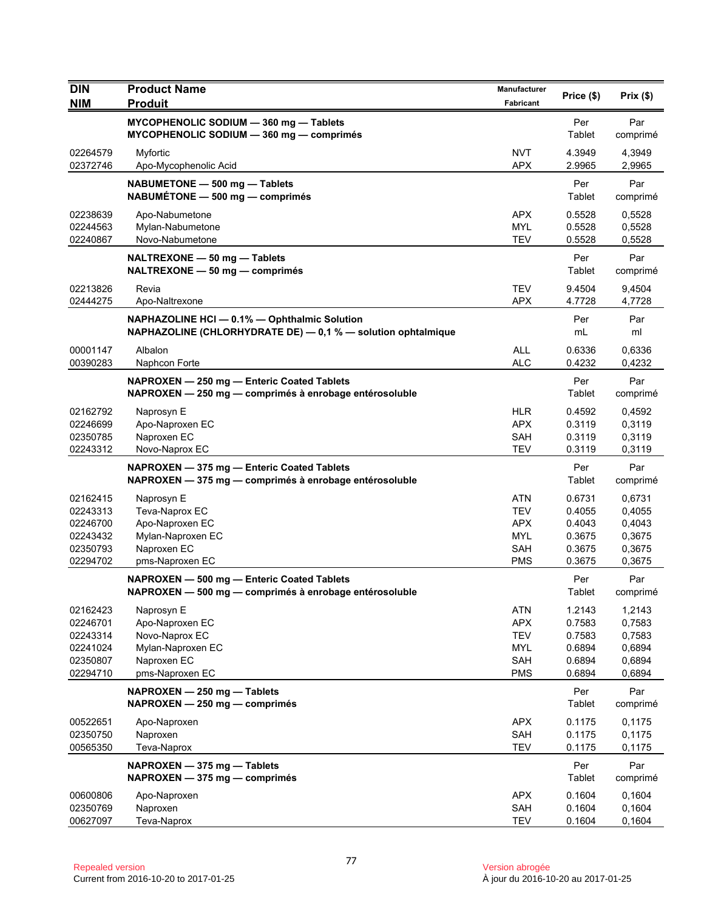| <b>DIN</b>                                                           | <b>Product Name</b>                                                                                          | Manufacturer                                                                     | Price (\$)                                               | Prix (\$)                                                |
|----------------------------------------------------------------------|--------------------------------------------------------------------------------------------------------------|----------------------------------------------------------------------------------|----------------------------------------------------------|----------------------------------------------------------|
| <b>NIM</b>                                                           | <b>Produit</b>                                                                                               | Fabricant                                                                        |                                                          |                                                          |
|                                                                      | MYCOPHENOLIC SODIUM - 360 mg - Tablets<br>MYCOPHENOLIC SODIUM - 360 mg - comprimés                           |                                                                                  | Per<br>Tablet                                            | Par<br>comprimé                                          |
| 02264579<br>02372746                                                 | Myfortic<br>Apo-Mycophenolic Acid                                                                            | <b>NVT</b><br><b>APX</b>                                                         | 4.3949<br>2.9965                                         | 4,3949<br>2,9965                                         |
|                                                                      | NABUMETONE - 500 mg - Tablets<br>NABUMÉTONE - 500 mg - comprimés                                             |                                                                                  | Per<br>Tablet                                            | Par<br>comprimé                                          |
| 02238639<br>02244563<br>02240867                                     | Apo-Nabumetone<br>Mylan-Nabumetone<br>Novo-Nabumetone                                                        | <b>APX</b><br><b>MYL</b><br><b>TEV</b>                                           | 0.5528<br>0.5528<br>0.5528                               | 0,5528<br>0,5528<br>0,5528                               |
|                                                                      | NALTREXONE - 50 mg - Tablets<br>NALTREXONE - 50 mg - comprimés                                               |                                                                                  | Per<br>Tablet                                            | Par<br>comprimé                                          |
| 02213826<br>02444275                                                 | Revia<br>Apo-Naltrexone                                                                                      | <b>TEV</b><br><b>APX</b>                                                         | 9.4504<br>4.7728                                         | 9,4504<br>4,7728                                         |
|                                                                      | NAPHAZOLINE HCI - 0.1% - Ophthalmic Solution<br>NAPHAZOLINE (CHLORHYDRATE DE) - 0,1 % - solution ophtalmique |                                                                                  | Per<br>mL                                                | Par<br>ml                                                |
| 00001147<br>00390283                                                 | Albalon<br>Naphcon Forte                                                                                     | <b>ALL</b><br><b>ALC</b>                                                         | 0.6336<br>0.4232                                         | 0,6336<br>0,4232                                         |
|                                                                      | NAPROXEN - 250 mg - Enteric Coated Tablets<br>NAPROXEN - 250 mg - comprimés à enrobage entérosoluble         |                                                                                  | Per<br>Tablet                                            | Par<br>comprimé                                          |
| 02162792<br>02246699<br>02350785<br>02243312                         | Naprosyn E<br>Apo-Naproxen EC<br>Naproxen EC<br>Novo-Naprox EC                                               | <b>HLR</b><br><b>APX</b><br><b>SAH</b><br><b>TEV</b>                             | 0.4592<br>0.3119<br>0.3119<br>0.3119                     | 0,4592<br>0,3119<br>0,3119<br>0,3119                     |
|                                                                      | NAPROXEN - 375 mg - Enteric Coated Tablets<br>NAPROXEN - 375 mg - comprimés à enrobage entérosoluble         |                                                                                  | Per<br>Tablet                                            | Par<br>comprimé                                          |
| 02162415<br>02243313<br>02246700<br>02243432<br>02350793<br>02294702 | Naprosyn E<br>Teva-Naprox EC<br>Apo-Naproxen EC<br>Mylan-Naproxen EC<br>Naproxen EC<br>pms-Naproxen EC       | <b>ATN</b><br><b>TEV</b><br><b>APX</b><br><b>MYL</b><br><b>SAH</b><br><b>PMS</b> | 0.6731<br>0.4055<br>0.4043<br>0.3675<br>0.3675<br>0.3675 | 0,6731<br>0,4055<br>0,4043<br>0,3675<br>0,3675<br>0,3675 |
|                                                                      | NAPROXEN - 500 mg - Enteric Coated Tablets<br>NAPROXEN - 500 mg - comprimés à enrobage entérosoluble         |                                                                                  | Per<br>Tablet                                            | Par<br>comprimé                                          |
| 02162423<br>02246701<br>02243314<br>02241024<br>02350807<br>02294710 | Naprosyn E<br>Apo-Naproxen EC<br>Novo-Naprox EC<br>Mylan-Naproxen EC<br>Naproxen EC<br>pms-Naproxen EC       | <b>ATN</b><br><b>APX</b><br><b>TEV</b><br><b>MYL</b><br>SAH<br><b>PMS</b>        | 1.2143<br>0.7583<br>0.7583<br>0.6894<br>0.6894<br>0.6894 | 1,2143<br>0,7583<br>0,7583<br>0,6894<br>0,6894<br>0,6894 |
|                                                                      | NAPROXEN - 250 mg - Tablets<br>NAPROXEN - 250 mg - comprimés                                                 |                                                                                  | Per<br>Tablet                                            | Par<br>comprimé                                          |
| 00522651<br>02350750<br>00565350                                     | Apo-Naproxen<br>Naproxen<br>Teva-Naprox                                                                      | <b>APX</b><br>SAH<br><b>TEV</b>                                                  | 0.1175<br>0.1175<br>0.1175                               | 0,1175<br>0,1175<br>0,1175                               |
|                                                                      | NAPROXEN - 375 mg - Tablets<br>NAPROXEN - 375 mg - comprimés                                                 |                                                                                  | Per<br>Tablet                                            | Par<br>comprimé                                          |
| 00600806<br>02350769<br>00627097                                     | Apo-Naproxen<br>Naproxen<br>Teva-Naprox                                                                      | <b>APX</b><br>SAH<br><b>TEV</b>                                                  | 0.1604<br>0.1604<br>0.1604                               | 0,1604<br>0,1604<br>0,1604                               |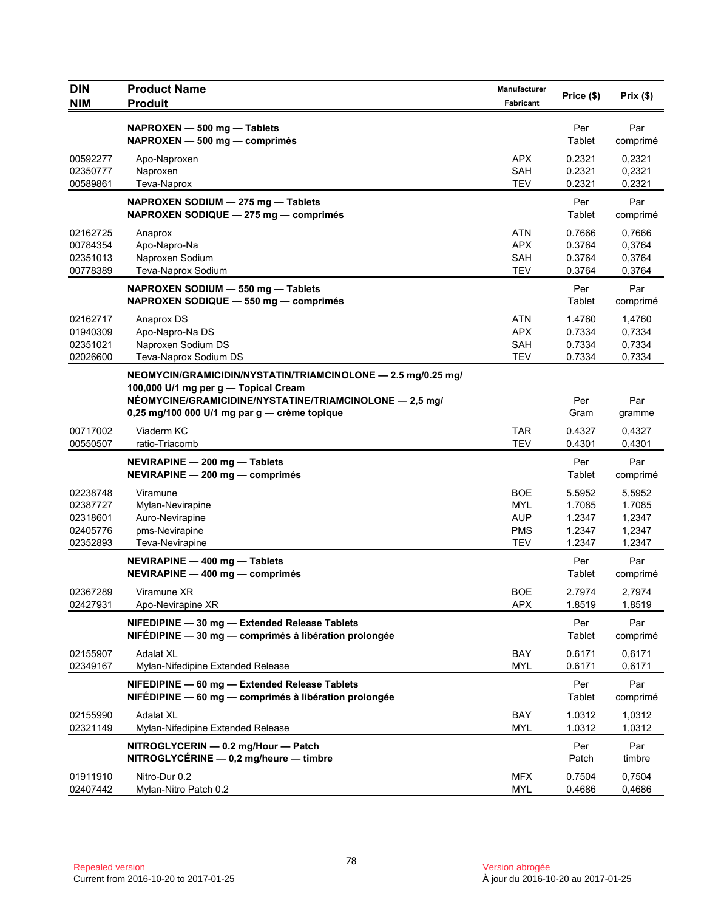| <b>DIN</b>           | <b>Product Name</b>                                                                                     | Manufacturer             | Price (\$)       | Prix(\$)         |
|----------------------|---------------------------------------------------------------------------------------------------------|--------------------------|------------------|------------------|
| <b>NIM</b>           | <b>Produit</b>                                                                                          | Fabricant                |                  |                  |
|                      | NAPROXEN - 500 mg - Tablets                                                                             |                          | Per              | Par              |
|                      | NAPROXEN - 500 mg - comprimés                                                                           |                          | Tablet           | comprimé         |
| 00592277             | Apo-Naproxen                                                                                            | <b>APX</b>               | 0.2321           | 0,2321           |
| 02350777             | Naproxen                                                                                                | SAH                      | 0.2321           | 0,2321           |
| 00589861             | Teva-Naprox                                                                                             | <b>TEV</b>               | 0.2321           | 0,2321           |
|                      | NAPROXEN SODIUM - 275 mg - Tablets                                                                      |                          | Per              | Par              |
|                      | NAPROXEN SODIQUE - 275 mg - comprimés                                                                   |                          | Tablet           | comprimé         |
| 02162725             | Anaprox                                                                                                 | <b>ATN</b>               | 0.7666           | 0,7666           |
| 00784354             | Apo-Napro-Na                                                                                            | <b>APX</b>               | 0.3764           | 0,3764           |
| 02351013             | Naproxen Sodium                                                                                         | <b>SAH</b>               | 0.3764           | 0,3764           |
| 00778389             | Teva-Naprox Sodium                                                                                      | <b>TEV</b>               | 0.3764           | 0,3764           |
|                      | NAPROXEN SODIUM - 550 mg - Tablets                                                                      |                          | Per              | Par              |
|                      | NAPROXEN SODIQUE - 550 mg - comprimés                                                                   |                          | Tablet           | comprimé         |
| 02162717             | Anaprox DS                                                                                              | <b>ATN</b>               | 1.4760           | 1,4760           |
| 01940309             | Apo-Napro-Na DS                                                                                         | <b>APX</b>               | 0.7334           | 0,7334           |
| 02351021             | Naproxen Sodium DS                                                                                      | <b>SAH</b>               | 0.7334           | 0,7334           |
| 02026600             | Teva-Naprox Sodium DS                                                                                   | <b>TEV</b>               | 0.7334           | 0,7334           |
|                      | NEOMYCIN/GRAMICIDIN/NYSTATIN/TRIAMCINOLONE - 2.5 mg/0.25 mg/                                            |                          |                  |                  |
|                      | 100,000 U/1 mg per g - Topical Cream                                                                    |                          | Per              | Par              |
|                      | NÉOMYCINE/GRAMICIDINE/NYSTATINE/TRIAMCINOLONE - 2,5 mg/<br>0,25 mg/100 000 U/1 mg par g - crème topique |                          | Gram             | gramme           |
|                      |                                                                                                         |                          |                  |                  |
| 00717002<br>00550507 | Viaderm KC<br>ratio-Triacomb                                                                            | <b>TAR</b><br><b>TEV</b> | 0.4327<br>0.4301 | 0,4327<br>0,4301 |
|                      |                                                                                                         |                          |                  |                  |
|                      | NEVIRAPINE - 200 mg - Tablets<br>NEVIRAPINE - 200 mg - comprimés                                        |                          | Per<br>Tablet    | Par<br>comprimé  |
|                      |                                                                                                         |                          |                  |                  |
| 02238748             | Viramune                                                                                                | <b>BOE</b><br><b>MYL</b> | 5.5952<br>1.7085 | 5,5952<br>1.7085 |
| 02387727<br>02318601 | Mylan-Nevirapine<br>Auro-Nevirapine                                                                     | <b>AUP</b>               | 1.2347           | 1,2347           |
| 02405776             | pms-Nevirapine                                                                                          | <b>PMS</b>               | 1.2347           | 1,2347           |
| 02352893             | Teva-Nevirapine                                                                                         | <b>TEV</b>               | 1.2347           | 1,2347           |
|                      | NEVIRAPINE - 400 mg - Tablets                                                                           |                          | Per              | Par              |
|                      | NEVIRAPINE - 400 mg - comprimés                                                                         |                          | Tablet           | comprimé         |
|                      |                                                                                                         | <b>BOE</b>               |                  |                  |
| 02367289<br>02427931 | Viramune XR<br>Apo-Nevirapine XR                                                                        | <b>APX</b>               | 2.7974<br>1.8519 | 2,7974<br>1,8519 |
|                      |                                                                                                         |                          |                  |                  |
|                      | NIFEDIPINE - 30 mg - Extended Release Tablets<br>NIFÉDIPINE - 30 mg - comprimés à libération prolongée  |                          | Per<br>Tablet    | Par<br>comprimé  |
|                      |                                                                                                         |                          |                  |                  |
| 02155907<br>02349167 | <b>Adalat XL</b><br>Mylan-Nifedipine Extended Release                                                   | BAY<br><b>MYL</b>        | 0.6171<br>0.6171 | 0,6171<br>0,6171 |
|                      |                                                                                                         |                          |                  |                  |
|                      | NIFEDIPINE - 60 mg - Extended Release Tablets                                                           |                          | Per              | Par              |
|                      | NIFÉDIPINE $-60$ mg $-$ comprimés à libération prolongée                                                |                          | Tablet           | comprimé         |
| 02155990             | <b>Adalat XL</b>                                                                                        | <b>BAY</b>               | 1.0312           | 1,0312           |
| 02321149             | Mylan-Nifedipine Extended Release                                                                       | <b>MYL</b>               | 1.0312           | 1,0312           |
|                      | NITROGLYCERIN - 0.2 mg/Hour - Patch                                                                     |                          | Per              | Par              |
|                      | $NITROGLYCÉRINE - 0,2 mg/heure - timbre$                                                                |                          | Patch            | timbre           |
| 01911910             | Nitro-Dur 0.2                                                                                           | <b>MFX</b>               | 0.7504           | 0,7504           |
| 02407442             | Mylan-Nitro Patch 0.2                                                                                   | MYL                      | 0.4686           | 0,4686           |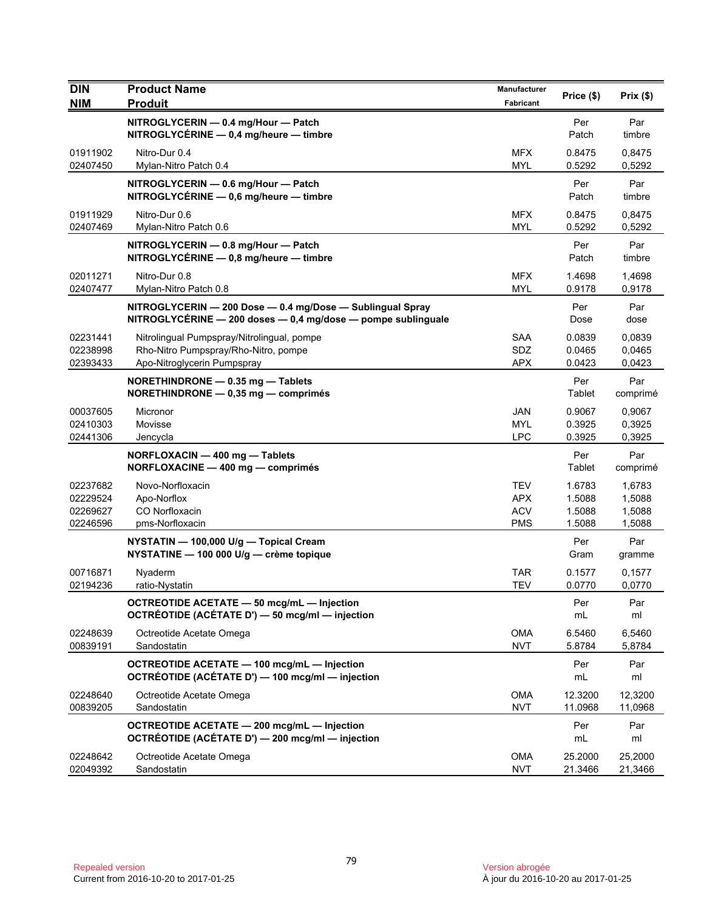| <b>DIN</b><br><b>NIM</b>                     | <b>Product Name</b><br><b>Produit</b>                                                                                     | Manufacturer<br>Fabricant                            | Price (\$)                           | Prix(\$)                             |
|----------------------------------------------|---------------------------------------------------------------------------------------------------------------------------|------------------------------------------------------|--------------------------------------|--------------------------------------|
|                                              | NITROGLYCERIN - 0.4 mg/Hour - Patch<br>$NITROGLYCÉRINE - 0,4 mg/heure - timbre$                                           |                                                      | Per<br>Patch                         | Par<br>timbre                        |
| 01911902<br>02407450                         | Nitro-Dur 0.4<br>Mylan-Nitro Patch 0.4                                                                                    | <b>MFX</b><br><b>MYL</b>                             | 0.8475<br>0.5292                     | 0,8475<br>0,5292                     |
|                                              | NITROGLYCERIN - 0.6 mg/Hour - Patch<br>NITROGLYCÉRINE - 0,6 mg/heure - timbre                                             |                                                      | Per<br>Patch                         | Par<br>timbre                        |
| 01911929<br>02407469                         | Nitro-Dur 0.6<br>Mylan-Nitro Patch 0.6                                                                                    | <b>MFX</b><br><b>MYL</b>                             | 0.8475<br>0.5292                     | 0,8475<br>0,5292                     |
|                                              | NITROGLYCERIN - 0.8 mg/Hour - Patch<br>NITROGLYCÉRINE - 0,8 mg/heure - timbre                                             |                                                      | Per<br>Patch                         | Par<br>timbre                        |
| 02011271<br>02407477                         | Nitro-Dur 0.8<br>Mylan-Nitro Patch 0.8                                                                                    | <b>MFX</b><br>MYL                                    | 1.4698<br>0.9178                     | 1,4698<br>0,9178                     |
|                                              | NITROGLYCERIN - 200 Dose - 0.4 mg/Dose - Sublingual Spray<br>NITROGLYCÉRINE - 200 doses - 0,4 mg/dose - pompe sublinguale |                                                      | Per<br>Dose                          | Par<br>dose                          |
| 02231441<br>02238998<br>02393433             | Nitrolingual Pumpspray/Nitrolingual, pompe<br>Rho-Nitro Pumpspray/Rho-Nitro, pompe<br>Apo-Nitroglycerin Pumpspray         | <b>SAA</b><br>SDZ<br><b>APX</b>                      | 0.0839<br>0.0465<br>0.0423           | 0,0839<br>0,0465<br>0,0423           |
|                                              | NORETHINDRONE - 0.35 mg - Tablets<br>NORETHINDRONE - 0,35 mg - comprimés                                                  |                                                      | Per<br>Tablet                        | Par<br>comprimé                      |
| 00037605<br>02410303<br>02441306             | Micronor<br>Movisse<br>Jencycla                                                                                           | <b>JAN</b><br><b>MYL</b><br><b>LPC</b>               | 0.9067<br>0.3925<br>0.3925           | 0,9067<br>0,3925<br>0,3925           |
|                                              | NORFLOXACIN - 400 mg - Tablets<br>NORFLOXACINE - 400 mg - comprimés                                                       |                                                      | Per<br>Tablet                        | Par<br>comprimé                      |
| 02237682<br>02229524<br>02269627<br>02246596 | Novo-Norfloxacin<br>Apo-Norflox<br>CO Norfloxacin<br>pms-Norfloxacin                                                      | <b>TEV</b><br><b>APX</b><br><b>ACV</b><br><b>PMS</b> | 1.6783<br>1.5088<br>1.5088<br>1.5088 | 1,6783<br>1,5088<br>1,5088<br>1,5088 |
|                                              | NYSTATIN - 100,000 U/g - Topical Cream<br>NYSTATINE - 100 000 U/g - crème topique                                         |                                                      | Per<br>Gram                          | Par<br>gramme                        |
| 00716871<br>02194236                         | Nyaderm<br>ratio-Nystatin                                                                                                 | TAR<br><b>TEV</b>                                    | 0.1577<br>0.0770                     | 0,1577<br>0,0770                     |
|                                              | <b>OCTREOTIDE ACETATE - 50 mcg/mL - Injection</b><br>OCTRÉOTIDE (ACÉTATE D') - 50 mcg/ml - injection                      |                                                      | Per<br>mL                            | Par<br>ml                            |
| 02248639<br>00839191                         | Octreotide Acetate Omega<br>Sandostatin                                                                                   | <b>OMA</b><br><b>NVT</b>                             | 6.5460<br>5.8784                     | 6,5460<br>5,8784                     |
|                                              | OCTREOTIDE ACETATE - 100 mcg/mL - Injection<br>OCTRÉOTIDE (ACÉTATE D') - 100 mcg/ml - injection                           |                                                      | Per<br>mL                            | Par<br>ml                            |
| 02248640<br>00839205                         | Octreotide Acetate Omega<br>Sandostatin                                                                                   | <b>OMA</b><br><b>NVT</b>                             | 12.3200<br>11.0968                   | 12,3200<br>11,0968                   |
|                                              | OCTREOTIDE ACETATE - 200 mcg/mL - Injection<br>OCTRÉOTIDE (ACÉTATE D') - 200 mcg/ml - injection                           |                                                      | Per<br>mL                            | Par<br>ml                            |
| 02248642<br>02049392                         | Octreotide Acetate Omega<br>Sandostatin                                                                                   | <b>OMA</b><br><b>NVT</b>                             | 25.2000<br>21.3466                   | 25,2000<br>21,3466                   |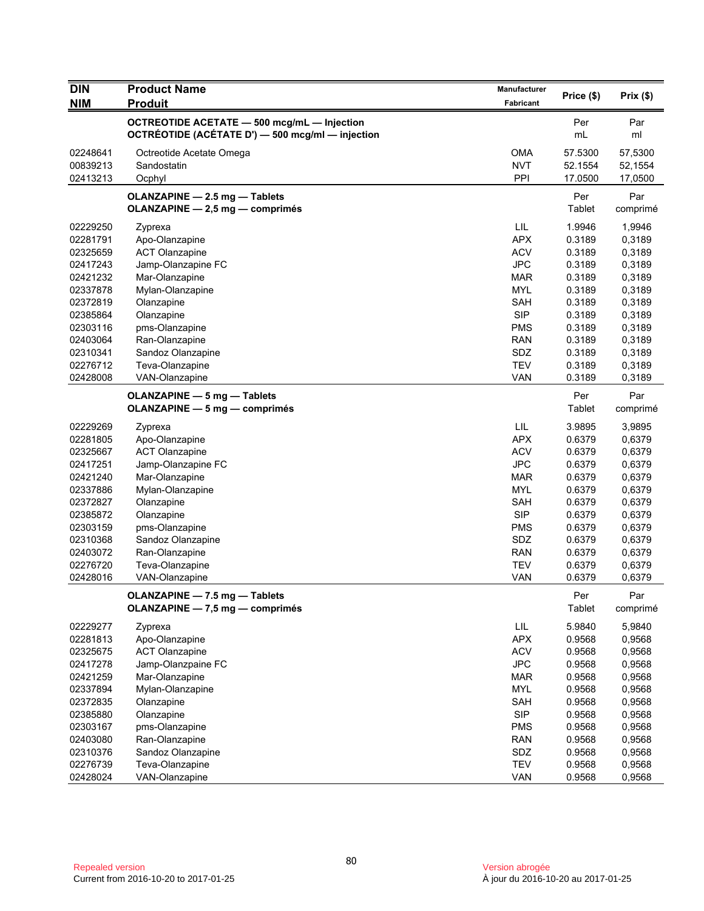| <b>DIN</b> | <b>Product Name</b>                                | Manufacturer     | Price (\$) | Prix(\$) |
|------------|----------------------------------------------------|------------------|------------|----------|
| <b>NIM</b> | <b>Produit</b>                                     | <b>Fabricant</b> |            |          |
|            | <b>OCTREOTIDE ACETATE - 500 mcg/mL - Injection</b> |                  | Per        | Par      |
|            | OCTRÉOTIDE (ACÉTATE D') - 500 mcg/ml - injection   |                  | mL         | ml       |
| 02248641   | Octreotide Acetate Omega                           | <b>OMA</b>       | 57.5300    | 57,5300  |
| 00839213   | Sandostatin                                        | <b>NVT</b>       | 52.1554    | 52,1554  |
| 02413213   | Ocphyl                                             | PPI              | 17.0500    | 17,0500  |
|            | OLANZAPINE - 2.5 mg - Tablets                      |                  | Per        | Par      |
|            | OLANZAPINE - 2,5 mg - comprimés                    |                  | Tablet     | comprimé |
| 02229250   | Zyprexa                                            | LIL              | 1.9946     | 1,9946   |
| 02281791   | Apo-Olanzapine                                     | <b>APX</b>       | 0.3189     | 0,3189   |
| 02325659   | <b>ACT Olanzapine</b>                              | <b>ACV</b>       | 0.3189     | 0,3189   |
| 02417243   | Jamp-Olanzapine FC                                 | <b>JPC</b>       | 0.3189     | 0,3189   |
| 02421232   | Mar-Olanzapine                                     | <b>MAR</b>       | 0.3189     | 0,3189   |
| 02337878   | Mylan-Olanzapine                                   | <b>MYL</b>       | 0.3189     | 0,3189   |
| 02372819   | Olanzapine                                         | <b>SAH</b>       | 0.3189     | 0,3189   |
| 02385864   | Olanzapine                                         | <b>SIP</b>       | 0.3189     | 0,3189   |
| 02303116   | pms-Olanzapine                                     | <b>PMS</b>       | 0.3189     | 0,3189   |
| 02403064   | Ran-Olanzapine                                     | <b>RAN</b>       | 0.3189     | 0,3189   |
| 02310341   | Sandoz Olanzapine                                  | SDZ              | 0.3189     | 0,3189   |
| 02276712   | Teva-Olanzapine                                    | <b>TEV</b>       | 0.3189     | 0,3189   |
| 02428008   | VAN-Olanzapine                                     | <b>VAN</b>       | 0.3189     | 0,3189   |
|            | <b>OLANZAPINE - 5 mg - Tablets</b>                 |                  | Per        | Par      |
|            | <b>OLANZAPINE - 5 mg - comprimés</b>               |                  | Tablet     | comprimé |
| 02229269   | Zyprexa                                            | LIL              | 3.9895     | 3,9895   |
| 02281805   | Apo-Olanzapine                                     | <b>APX</b>       | 0.6379     | 0,6379   |
| 02325667   | <b>ACT Olanzapine</b>                              | <b>ACV</b>       | 0.6379     | 0,6379   |
| 02417251   | Jamp-Olanzapine FC                                 | <b>JPC</b>       | 0.6379     | 0,6379   |
| 02421240   | Mar-Olanzapine                                     | MAR              | 0.6379     | 0,6379   |
| 02337886   | Mylan-Olanzapine                                   | <b>MYL</b>       | 0.6379     | 0,6379   |
| 02372827   | Olanzapine                                         | <b>SAH</b>       | 0.6379     | 0,6379   |
| 02385872   | Olanzapine                                         | <b>SIP</b>       | 0.6379     | 0,6379   |
| 02303159   | pms-Olanzapine                                     | <b>PMS</b>       | 0.6379     | 0,6379   |
| 02310368   | Sandoz Olanzapine                                  | SDZ              | 0.6379     | 0,6379   |
| 02403072   | Ran-Olanzapine                                     | <b>RAN</b>       | 0.6379     | 0,6379   |
| 02276720   | Teva-Olanzapine                                    | <b>TEV</b>       | 0.6379     | 0,6379   |
| 02428016   | VAN-Olanzapine                                     | <b>VAN</b>       | 0.6379     | 0,6379   |
|            | OLANZAPINE - 7.5 mg - Tablets                      |                  | Per        | Par      |
|            | OLANZAPINE - 7,5 mg - comprimés                    |                  | Tablet     | comprimé |
| 02229277   | Zyprexa                                            | LIL              | 5.9840     | 5,9840   |
| 02281813   | Apo-Olanzapine                                     | APX              | 0.9568     | 0,9568   |
| 02325675   | <b>ACT Olanzapine</b>                              | <b>ACV</b>       | 0.9568     | 0,9568   |
| 02417278   | Jamp-Olanzpaine FC                                 | <b>JPC</b>       | 0.9568     | 0,9568   |
| 02421259   | Mar-Olanzapine                                     | <b>MAR</b>       | 0.9568     | 0,9568   |
| 02337894   | Mylan-Olanzapine                                   | <b>MYL</b>       | 0.9568     | 0,9568   |
| 02372835   | Olanzapine                                         | SAH              | 0.9568     | 0,9568   |
| 02385880   | Olanzapine                                         | <b>SIP</b>       | 0.9568     | 0,9568   |
| 02303167   | pms-Olanzapine                                     | <b>PMS</b>       | 0.9568     | 0,9568   |
| 02403080   | Ran-Olanzapine                                     | <b>RAN</b>       | 0.9568     | 0,9568   |
| 02310376   | Sandoz Olanzapine                                  | SDZ              | 0.9568     | 0,9568   |
| 02276739   | Teva-Olanzapine                                    | <b>TEV</b>       | 0.9568     | 0,9568   |
| 02428024   | VAN-Olanzapine                                     | VAN              | 0.9568     | 0,9568   |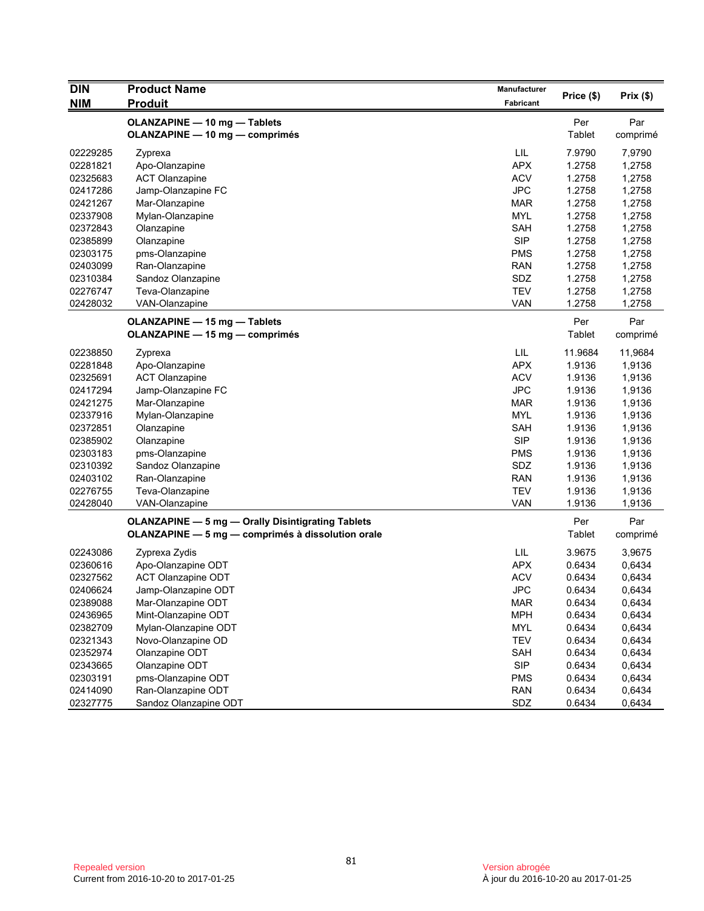| <b>DIN</b> | <b>Product Name</b>                                      | Manufacturer | Price (\$)    | Prix(\$) |
|------------|----------------------------------------------------------|--------------|---------------|----------|
| <b>NIM</b> | <b>Produit</b>                                           | Fabricant    |               |          |
|            | <b>OLANZAPINE - 10 mg - Tablets</b>                      |              | Per           | Par      |
|            | OLANZAPINE - 10 mg - comprimés                           |              | <b>Tablet</b> | comprimé |
| 02229285   | Zyprexa                                                  | LIL          | 7.9790        | 7,9790   |
| 02281821   | Apo-Olanzapine                                           | <b>APX</b>   | 1.2758        | 1,2758   |
| 02325683   | <b>ACT Olanzapine</b>                                    | <b>ACV</b>   | 1.2758        | 1,2758   |
| 02417286   | Jamp-Olanzapine FC                                       | <b>JPC</b>   | 1.2758        | 1,2758   |
| 02421267   | Mar-Olanzapine                                           | MAR          | 1.2758        | 1,2758   |
| 02337908   | Mylan-Olanzapine                                         | <b>MYL</b>   | 1.2758        | 1,2758   |
| 02372843   | Olanzapine                                               | <b>SAH</b>   | 1.2758        | 1,2758   |
| 02385899   | Olanzapine                                               | <b>SIP</b>   | 1.2758        | 1,2758   |
| 02303175   | pms-Olanzapine                                           | <b>PMS</b>   | 1.2758        | 1,2758   |
| 02403099   | Ran-Olanzapine                                           | <b>RAN</b>   | 1.2758        | 1,2758   |
| 02310384   | Sandoz Olanzapine                                        | SDZ          | 1.2758        | 1,2758   |
| 02276747   | Teva-Olanzapine                                          | <b>TEV</b>   | 1.2758        | 1,2758   |
| 02428032   | VAN-Olanzapine                                           | <b>VAN</b>   | 1.2758        | 1,2758   |
|            | <b>OLANZAPINE - 15 mg - Tablets</b>                      |              | Per           | Par      |
|            | OLANZAPINE - 15 mg - comprimés                           |              | Tablet        | comprimé |
| 02238850   | Zyprexa                                                  | LIL          | 11.9684       | 11,9684  |
| 02281848   | Apo-Olanzapine                                           | <b>APX</b>   | 1.9136        | 1,9136   |
| 02325691   | <b>ACT Olanzapine</b>                                    | <b>ACV</b>   | 1.9136        | 1,9136   |
| 02417294   | Jamp-Olanzapine FC                                       | <b>JPC</b>   | 1.9136        | 1,9136   |
| 02421275   | Mar-Olanzapine                                           | <b>MAR</b>   | 1.9136        | 1,9136   |
| 02337916   | Mylan-Olanzapine                                         | <b>MYL</b>   | 1.9136        | 1,9136   |
| 02372851   | Olanzapine                                               | <b>SAH</b>   | 1.9136        | 1,9136   |
| 02385902   | Olanzapine                                               | <b>SIP</b>   | 1.9136        | 1,9136   |
| 02303183   | pms-Olanzapine                                           | <b>PMS</b>   | 1.9136        | 1,9136   |
| 02310392   | Sandoz Olanzapine                                        | SDZ          | 1.9136        | 1,9136   |
| 02403102   | Ran-Olanzapine                                           | <b>RAN</b>   | 1.9136        | 1,9136   |
| 02276755   | Teva-Olanzapine                                          | <b>TEV</b>   | 1.9136        | 1,9136   |
| 02428040   | VAN-Olanzapine                                           | <b>VAN</b>   | 1.9136        | 1,9136   |
|            | <b>OLANZAPINE - 5 mg - Orally Disintigrating Tablets</b> |              | Per           | Par      |
|            | OLANZAPINE - 5 mg - comprimés à dissolution orale        |              | Tablet        | comprimé |
| 02243086   | Zyprexa Zydis                                            | LIL          | 3.9675        | 3,9675   |
| 02360616   | Apo-Olanzapine ODT                                       | <b>APX</b>   | 0.6434        | 0,6434   |
| 02327562   | <b>ACT Olanzapine ODT</b>                                | <b>ACV</b>   | 0.6434        | 0,6434   |
| 02406624   | Jamp-Olanzapine ODT                                      | <b>JPC</b>   | 0.6434        | 0,6434   |
| 02389088   | Mar-Olanzapine ODT                                       | MAR          | 0.6434        | 0,6434   |
| 02436965   | Mint-Olanzapine ODT                                      | <b>MPH</b>   | 0.6434        | 0,6434   |
| 02382709   | Mylan-Olanzapine ODT                                     | <b>MYL</b>   | 0.6434        | 0,6434   |
| 02321343   | Novo-Olanzapine OD                                       | TEV          | 0.6434        | 0,6434   |
| 02352974   | Olanzapine ODT                                           | SAH          | 0.6434        | 0,6434   |
| 02343665   | Olanzapine ODT                                           | <b>SIP</b>   | 0.6434        | 0,6434   |
| 02303191   | pms-Olanzapine ODT                                       | <b>PMS</b>   | 0.6434        | 0,6434   |
| 02414090   | Ran-Olanzapine ODT                                       | <b>RAN</b>   | 0.6434        | 0,6434   |
| 02327775   | Sandoz Olanzapine ODT                                    | SDZ          | 0.6434        | 0,6434   |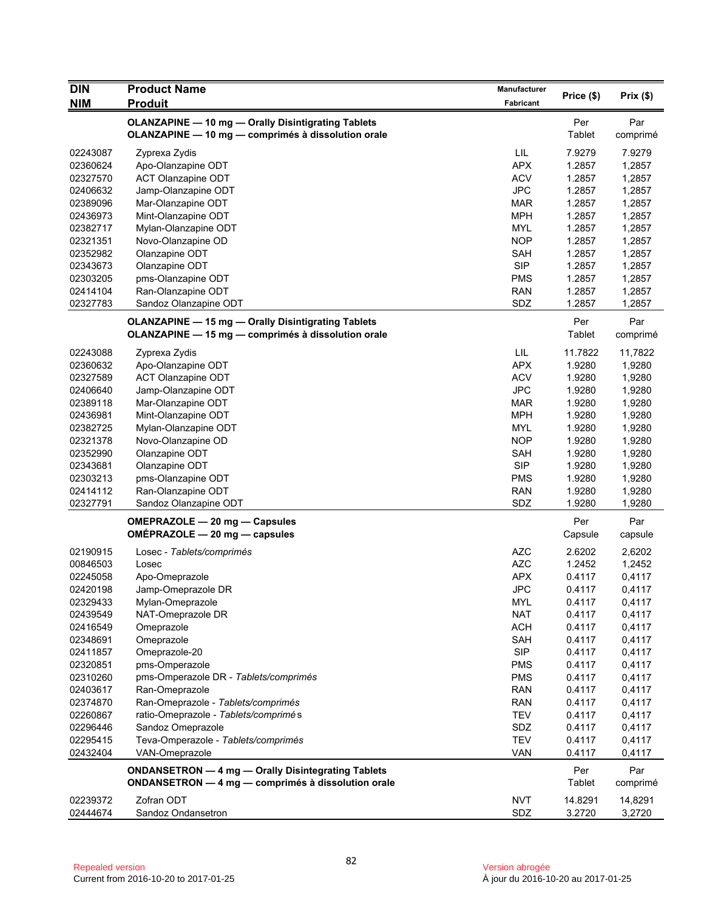| <b>DIN</b>           | <b>Product Name</b>                                       | Manufacturer |               |          |
|----------------------|-----------------------------------------------------------|--------------|---------------|----------|
| <b>NIM</b>           | <b>Produit</b>                                            | Fabricant    | Price (\$)    | Prix(\$) |
|                      | <b>OLANZAPINE - 10 mg - Orally Disintigrating Tablets</b> |              | Per           | Par      |
|                      | OLANZAPINE - 10 mg - comprimés à dissolution orale        |              | <b>Tablet</b> | comprimé |
| 02243087             | Zyprexa Zydis                                             | LIL          | 7.9279        | 7.9279   |
| 02360624             | Apo-Olanzapine ODT                                        | <b>APX</b>   | 1.2857        | 1,2857   |
| 02327570             | ACT Olanzapine ODT                                        | <b>ACV</b>   | 1.2857        | 1,2857   |
| 02406632             | Jamp-Olanzapine ODT                                       | <b>JPC</b>   | 1.2857        | 1,2857   |
| 02389096             | Mar-Olanzapine ODT                                        | <b>MAR</b>   | 1.2857        | 1,2857   |
| 02436973             | Mint-Olanzapine ODT                                       | <b>MPH</b>   | 1.2857        | 1,2857   |
| 02382717             | Mylan-Olanzapine ODT                                      | <b>MYL</b>   | 1.2857        | 1,2857   |
| 02321351             | Novo-Olanzapine OD                                        | <b>NOP</b>   | 1.2857        | 1,2857   |
| 02352982             | Olanzapine ODT                                            | SAH          | 1.2857        |          |
| 02343673             |                                                           | <b>SIP</b>   |               | 1,2857   |
| 02303205             | Olanzapine ODT                                            |              | 1.2857        | 1,2857   |
|                      | pms-Olanzapine ODT                                        | <b>PMS</b>   | 1.2857        | 1,2857   |
| 02414104             | Ran-Olanzapine ODT                                        | <b>RAN</b>   | 1.2857        | 1,2857   |
| 02327783             | Sandoz Olanzapine ODT                                     | SDZ          | 1.2857        | 1,2857   |
|                      | <b>OLANZAPINE - 15 mg - Orally Disintigrating Tablets</b> |              | Per           | Par      |
|                      | OLANZAPINE - 15 mg - comprimés à dissolution orale        |              | <b>Tablet</b> | comprimé |
| 02243088             | Zyprexa Zydis                                             | LIL          | 11.7822       | 11,7822  |
| 02360632             | Apo-Olanzapine ODT                                        | <b>APX</b>   | 1.9280        | 1,9280   |
| 02327589             | ACT Olanzapine ODT                                        | <b>ACV</b>   | 1.9280        | 1,9280   |
| 02406640             | Jamp-Olanzapine ODT                                       | <b>JPC</b>   | 1.9280        | 1,9280   |
| 02389118             | Mar-Olanzapine ODT                                        | <b>MAR</b>   | 1.9280        | 1,9280   |
| 02436981             | Mint-Olanzapine ODT                                       | <b>MPH</b>   | 1.9280        | 1,9280   |
| 02382725             | Mylan-Olanzapine ODT                                      | <b>MYL</b>   | 1.9280        | 1,9280   |
| 02321378             | Novo-Olanzapine OD                                        | <b>NOP</b>   | 1.9280        | 1,9280   |
| 02352990             | Olanzapine ODT                                            | SAH          | 1.9280        | 1,9280   |
| 02343681             | Olanzapine ODT                                            | <b>SIP</b>   | 1.9280        | 1,9280   |
| 02303213             | pms-Olanzapine ODT                                        | <b>PMS</b>   | 1.9280        | 1,9280   |
| 02414112             | Ran-Olanzapine ODT                                        | <b>RAN</b>   | 1.9280        | 1,9280   |
| 02327791             | Sandoz Olanzapine ODT                                     | SDZ          | 1.9280        | 1,9280   |
|                      | OMEPRAZOLE - 20 mg - Capsules                             |              | Per           | Par      |
|                      | OMÉPRAZOLE - 20 mg - capsules                             |              | Capsule       | capsule  |
| 02190915             | Losec - Tablets/comprimés                                 | <b>AZC</b>   | 2.6202        | 2,6202   |
| 00846503             | Losec                                                     | <b>AZC</b>   | 1.2452        | 1,2452   |
| 02245058             | Apo-Omeprazole                                            | <b>APX</b>   | 0.4117        | 0,4117   |
| 02420198             | Jamp-Omeprazole DR                                        | <b>JPC</b>   | 0.4117        | 0,4117   |
| 02329433             | Mylan-Omeprazole                                          | <b>MYL</b>   | 0.4117        | 0,4117   |
| 02439549             | NAT-Omeprazole DR                                         | <b>NAT</b>   | 0.4117        | 0,4117   |
| 02416549             | Omeprazole                                                | <b>ACH</b>   | 0.4117        | 0,4117   |
| 02348691             | Omeprazole                                                | SAH          | 0.4117        | 0,4117   |
| 02411857             | Omeprazole-20                                             | <b>SIP</b>   | 0.4117        | 0,4117   |
| 02320851             | pms-Omperazole                                            | <b>PMS</b>   | 0.4117        | 0,4117   |
| 02310260             | pms-Omperazole DR - Tablets/comprimés                     | <b>PMS</b>   | 0.4117        | 0,4117   |
| 02403617             | Ran-Omeprazole                                            | <b>RAN</b>   | 0.4117        |          |
|                      |                                                           |              |               | 0,4117   |
| 02374870             | Ran-Omeprazole - Tablets/comprimés                        | <b>RAN</b>   | 0.4117        | 0,4117   |
| 02260867<br>02296446 | ratio-Omeprazole - Tablets/comprimés                      | <b>TEV</b>   | 0.4117        | 0,4117   |
|                      | Sandoz Omeprazole                                         | SDZ          | 0.4117        | 0,4117   |
| 02295415             | Teva-Omperazole - Tablets/comprimés                       | <b>TEV</b>   | 0.4117        | 0,4117   |
| 02432404             | VAN-Omeprazole                                            | <b>VAN</b>   | 0.4117        | 0,4117   |
|                      | ONDANSETRON - 4 mg - Orally Disintegrating Tablets        |              | Per           | Par      |
|                      | ONDANSETRON - 4 mg - comprimés à dissolution orale        |              | <b>Tablet</b> | comprimé |
| 02239372             | Zofran ODT                                                | <b>NVT</b>   | 14.8291       | 14,8291  |
| 02444674             | Sandoz Ondansetron                                        | SDZ          | 3.2720        | 3,2720   |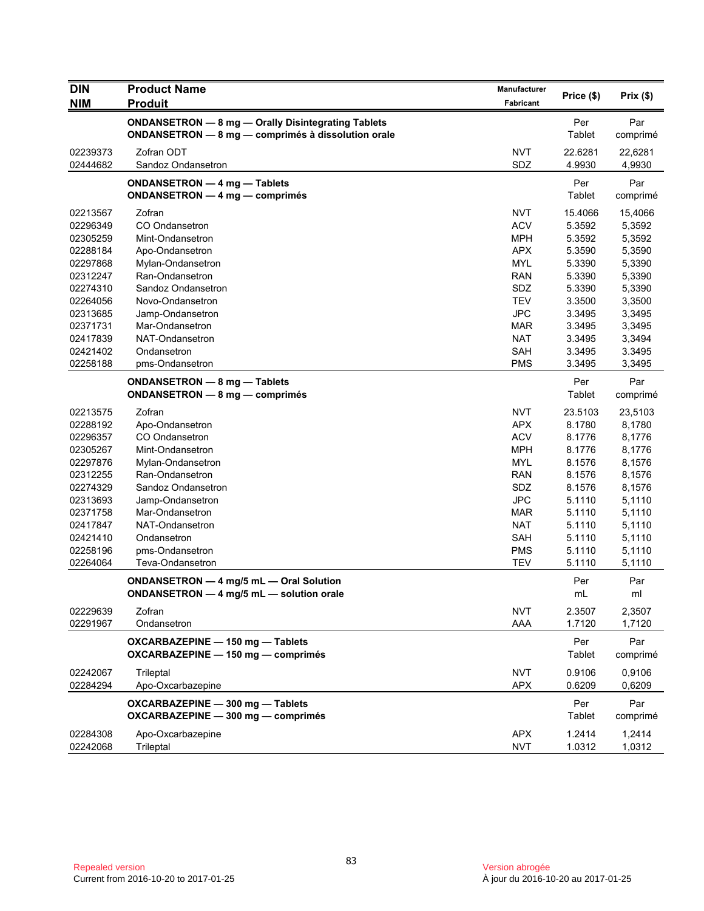| <b>DIN</b>           | <b>Product Name</b>                                                                                      | <b>Manufacturer</b> | Price (\$)       | Prix(\$)         |
|----------------------|----------------------------------------------------------------------------------------------------------|---------------------|------------------|------------------|
| <b>NIM</b>           | <b>Produit</b>                                                                                           | Fabricant           |                  |                  |
|                      | ONDANSETRON - 8 mg - Orally Disintegrating Tablets<br>ONDANSETRON - 8 mg - comprimés à dissolution orale |                     | Per<br>Tablet    | Par<br>comprimé  |
| 02239373             | Zofran ODT                                                                                               | <b>NVT</b>          | 22.6281          | 22,6281          |
| 02444682             | Sandoz Ondansetron                                                                                       | SDZ                 | 4.9930           | 4,9930           |
|                      | ONDANSETRON - 4 mg - Tablets<br>ONDANSETRON - 4 mg - comprimés                                           |                     | Per<br>Tablet    | Par<br>comprimé  |
| 02213567             | Zofran                                                                                                   | <b>NVT</b>          | 15.4066          | 15,4066          |
|                      | CO Ondansetron                                                                                           | <b>ACV</b>          | 5.3592           |                  |
| 02296349             | Mint-Ondansetron                                                                                         | <b>MPH</b>          | 5.3592           | 5,3592<br>5,3592 |
| 02305259<br>02288184 |                                                                                                          | <b>APX</b>          |                  |                  |
| 02297868             | Apo-Ondansetron                                                                                          | <b>MYL</b>          | 5.3590           | 5,3590           |
|                      | Mylan-Ondansetron                                                                                        |                     | 5.3390           | 5,3390           |
| 02312247             | Ran-Ondansetron                                                                                          | <b>RAN</b>          | 5.3390           | 5,3390           |
| 02274310<br>02264056 | Sandoz Ondansetron                                                                                       | SDZ<br><b>TEV</b>   | 5.3390           | 5,3390           |
| 02313685             | Novo-Ondansetron                                                                                         | <b>JPC</b>          | 3.3500<br>3.3495 | 3,3500           |
|                      | Jamp-Ondansetron                                                                                         |                     | 3.3495           | 3,3495           |
| 02371731             | Mar-Ondansetron                                                                                          | <b>MAR</b>          |                  | 3,3495           |
| 02417839             | NAT-Ondansetron                                                                                          | <b>NAT</b>          | 3.3495           | 3,3494           |
| 02421402             | Ondansetron                                                                                              | <b>SAH</b>          | 3.3495           | 3.3495           |
| 02258188             | pms-Ondansetron                                                                                          | <b>PMS</b>          | 3.3495           | 3,3495           |
|                      | ONDANSETRON - 8 mg - Tablets                                                                             |                     | Per              | Par              |
|                      | ONDANSETRON - 8 mg - comprimés                                                                           |                     | Tablet           | comprimé         |
| 02213575             | Zofran                                                                                                   | <b>NVT</b>          | 23.5103          | 23,5103          |
| 02288192             | Apo-Ondansetron                                                                                          | <b>APX</b>          | 8.1780           | 8,1780           |
| 02296357             | CO Ondansetron                                                                                           | <b>ACV</b>          | 8.1776           | 8,1776           |
| 02305267             | Mint-Ondansetron                                                                                         | <b>MPH</b>          | 8.1776           | 8,1776           |
| 02297876             | Mylan-Ondansetron                                                                                        | <b>MYL</b>          | 8.1576           | 8,1576           |
| 02312255             | Ran-Ondansetron                                                                                          | <b>RAN</b>          | 8.1576           | 8,1576           |
| 02274329             | Sandoz Ondansetron                                                                                       | SDZ                 | 8.1576           | 8,1576           |
| 02313693             | Jamp-Ondansetron                                                                                         | <b>JPC</b>          | 5.1110           | 5,1110           |
| 02371758             | Mar-Ondansetron                                                                                          | <b>MAR</b>          | 5.1110           | 5,1110           |
| 02417847             | NAT-Ondansetron                                                                                          | <b>NAT</b>          | 5.1110           | 5,1110           |
| 02421410             | Ondansetron                                                                                              | <b>SAH</b>          | 5.1110           | 5,1110           |
| 02258196             | pms-Ondansetron                                                                                          | <b>PMS</b>          | 5.1110           | 5,1110           |
| 02264064             | Teva-Ondansetron                                                                                         | <b>TEV</b>          | 5.1110           | 5,1110           |
|                      | ONDANSETRON - 4 mg/5 mL - Oral Solution                                                                  |                     | Per              | Par              |
|                      | ONDANSETRON - 4 mg/5 mL - solution orale                                                                 |                     | mL               | ml               |
| 02229639             | Zofran                                                                                                   | <b>NVT</b>          | 2.3507           | 2,3507           |
| 02291967             | Ondansetron                                                                                              | AAA                 | 1.7120           | 1,7120           |
|                      | OXCARBAZEPINE - 150 mg - Tablets<br>OXCARBAZEPINE - 150 mg - comprimés                                   |                     | Per<br>Tablet    | Par<br>comprimé  |
| 02242067             | Trileptal                                                                                                | <b>NVT</b>          | 0.9106           | 0,9106           |
| 02284294             | Apo-Oxcarbazepine                                                                                        | <b>APX</b>          | 0.6209           | 0,6209           |
|                      |                                                                                                          |                     |                  |                  |
|                      | OXCARBAZEPINE - 300 mg - Tablets<br>OXCARBAZEPINE - 300 mg - comprimés                                   |                     | Per<br>Tablet    | Par<br>comprimé  |
| 02284308             | Apo-Oxcarbazepine                                                                                        | <b>APX</b>          | 1.2414           | 1,2414           |
| 02242068             | Trileptal                                                                                                | <b>NVT</b>          | 1.0312           | 1,0312           |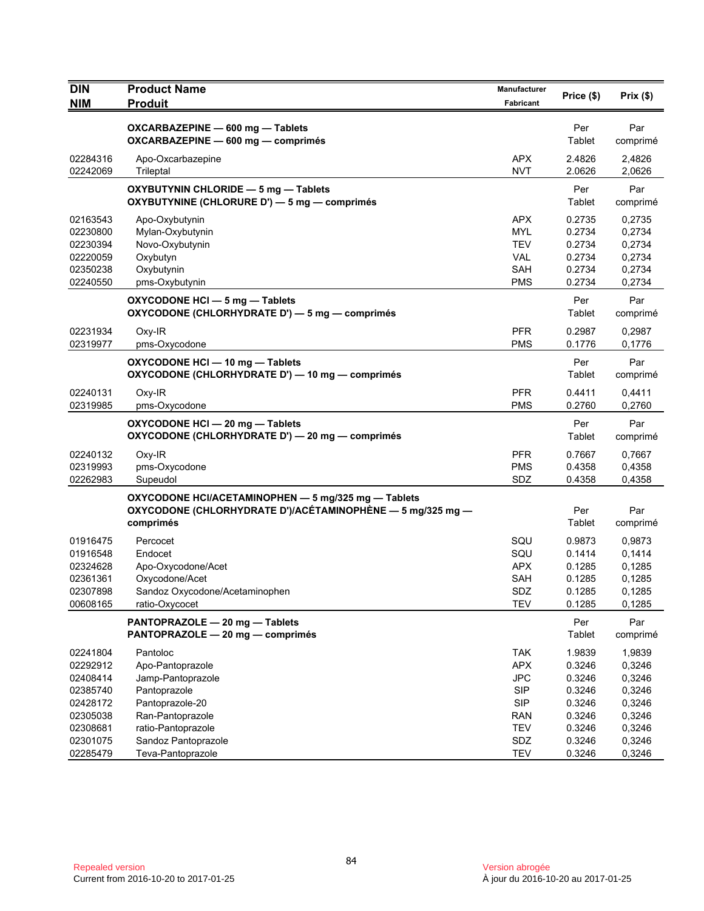| <b>DIN</b>                                                                       | <b>Product Name</b>                                                                                                            | <b>Manufacturer</b>                                                                            | Price (\$)                                                         | Prix(\$)                                                           |
|----------------------------------------------------------------------------------|--------------------------------------------------------------------------------------------------------------------------------|------------------------------------------------------------------------------------------------|--------------------------------------------------------------------|--------------------------------------------------------------------|
| <b>NIM</b>                                                                       | <b>Produit</b>                                                                                                                 | Fabricant                                                                                      |                                                                    |                                                                    |
|                                                                                  | OXCARBAZEPINE - 600 mg - Tablets<br>OXCARBAZEPINE - 600 mg - comprimés                                                         |                                                                                                | Per<br>Tablet                                                      | Par<br>comprimé                                                    |
| 02284316<br>02242069                                                             | Apo-Oxcarbazepine<br>Trileptal                                                                                                 | <b>APX</b><br><b>NVT</b>                                                                       | 2.4826<br>2.0626                                                   | 2,4826<br>2,0626                                                   |
|                                                                                  | OXYBUTYNIN CHLORIDE - 5 mg - Tablets<br>OXYBUTYNINE (CHLORURE D') - 5 mg - comprimés                                           |                                                                                                | Per<br>Tablet                                                      | Par<br>comprimé                                                    |
| 02163543<br>02230800<br>02230394<br>02220059<br>02350238<br>02240550             | Apo-Oxybutynin<br>Mylan-Oxybutynin<br>Novo-Oxybutynin<br>Oxybutyn<br>Oxybutynin<br>pms-Oxybutynin                              | <b>APX</b><br>MYL<br><b>TEV</b><br>VAL<br>SAH<br><b>PMS</b>                                    | 0.2735<br>0.2734<br>0.2734<br>0.2734<br>0.2734<br>0.2734           | 0,2735<br>0,2734<br>0,2734<br>0,2734<br>0,2734<br>0,2734           |
|                                                                                  | OXYCODONE HCI - 5 mg - Tablets<br>OXYCODONE (CHLORHYDRATE D') - 5 mg - comprimés                                               |                                                                                                | Per<br>Tablet                                                      | Par<br>comprimé                                                    |
| 02231934<br>02319977                                                             | $Oxy-IR$<br>pms-Oxycodone                                                                                                      | <b>PFR</b><br><b>PMS</b>                                                                       | 0.2987<br>0.1776                                                   | 0,2987<br>0,1776                                                   |
|                                                                                  | OXYCODONE HCI - 10 mg - Tablets<br>OXYCODONE (CHLORHYDRATE D') - 10 mg - comprimés                                             |                                                                                                | Per<br>Tablet                                                      | Par<br>comprimé                                                    |
| 02240131<br>02319985                                                             | Oxy-IR<br>pms-Oxycodone                                                                                                        | <b>PFR</b><br><b>PMS</b>                                                                       | 0.4411<br>0.2760                                                   | 0,4411<br>0,2760                                                   |
|                                                                                  | OXYCODONE HCI - 20 mg - Tablets<br>OXYCODONE (CHLORHYDRATE D') - 20 mg - comprimés                                             |                                                                                                | Per<br>Tablet                                                      | Par<br>comprimé                                                    |
| 02240132<br>02319993<br>02262983                                                 | Oxy-IR<br>pms-Oxycodone<br>Supeudol                                                                                            | <b>PFR</b><br><b>PMS</b><br>SDZ                                                                | 0.7667<br>0.4358<br>0.4358                                         | 0,7667<br>0,4358<br>0,4358                                         |
|                                                                                  | OXYCODONE HCI/ACETAMINOPHEN - 5 mg/325 mg - Tablets<br>OXYCODONE (CHLORHYDRATE D')/ACÉTAMINOPHÈNE - 5 mg/325 mg -<br>comprimés |                                                                                                | Per<br>Tablet                                                      | Par<br>comprimé                                                    |
| 01916475<br>01916548<br>02324628<br>02361361<br>02307898<br>00608165             | Percocet<br>Endocet<br>Apo-Oxycodone/Acet<br>Oxycodone/Acet<br>Sandoz Oxycodone/Acetaminophen<br>ratio-Oxycocet                | SQU<br>SQU<br><b>APX</b><br>SAH<br>SDZ<br><b>TEV</b>                                           | 0.9873<br>0.1414<br>0.1285<br>0.1285<br>0.1285<br>0.1285           | 0,9873<br>0,1414<br>0,1285<br>0,1285<br>0,1285<br>0,1285           |
|                                                                                  | PANTOPRAZOLE - 20 mg - Tablets<br>PANTOPRAZOLE - 20 mg - comprimés                                                             |                                                                                                | Per<br>Tablet                                                      | Par<br>comprimé                                                    |
| 02241804<br>02292912<br>02408414<br>02385740<br>02428172<br>02305038<br>02308681 | Pantoloc<br>Apo-Pantoprazole<br>Jamp-Pantoprazole<br>Pantoprazole<br>Pantoprazole-20<br>Ran-Pantoprazole<br>ratio-Pantoprazole | <b>TAK</b><br><b>APX</b><br><b>JPC</b><br><b>SIP</b><br><b>SIP</b><br><b>RAN</b><br><b>TEV</b> | 1.9839<br>0.3246<br>0.3246<br>0.3246<br>0.3246<br>0.3246<br>0.3246 | 1,9839<br>0,3246<br>0,3246<br>0,3246<br>0,3246<br>0,3246<br>0,3246 |
| 02301075<br>02285479                                                             | Sandoz Pantoprazole<br>Teva-Pantoprazole                                                                                       | SDZ<br><b>TEV</b>                                                                              | 0.3246<br>0.3246                                                   | 0,3246<br>0,3246                                                   |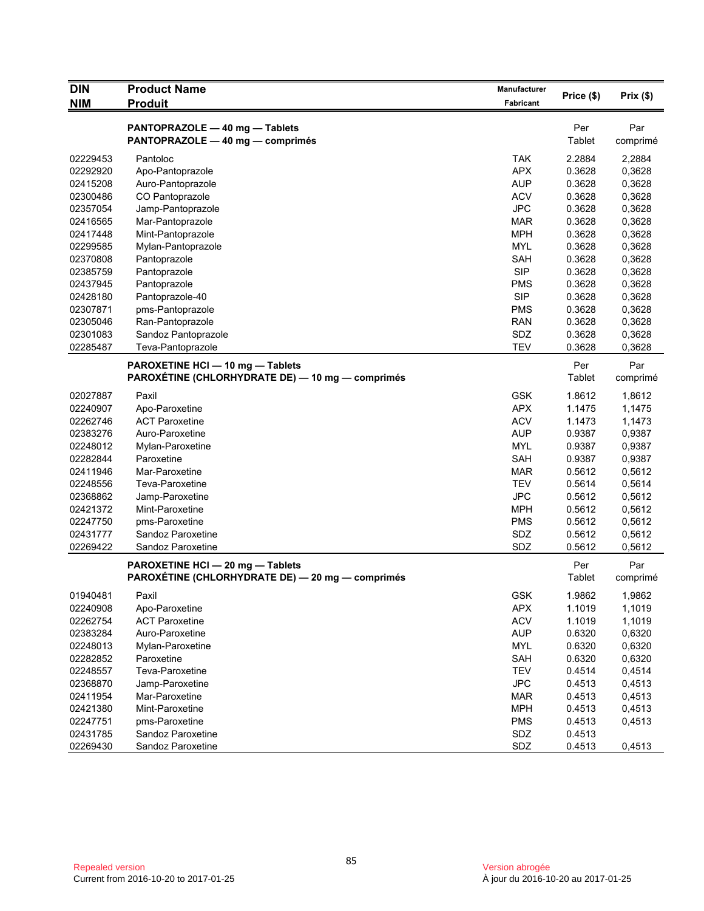| <b>DIN</b> | <b>Product Name</b>                                                                  | Manufacturer | Price (\$)    | Prix(\$)        |
|------------|--------------------------------------------------------------------------------------|--------------|---------------|-----------------|
| <b>NIM</b> | <b>Produit</b>                                                                       | Fabricant    |               |                 |
|            |                                                                                      |              |               |                 |
|            | PANTOPRAZOLE - 40 mg - Tablets<br>PANTOPRAZOLE - 40 mg - comprimés                   |              | Per<br>Tablet | Par<br>comprimé |
|            |                                                                                      |              |               |                 |
| 02229453   | Pantoloc                                                                             | <b>TAK</b>   | 2.2884        | 2,2884          |
| 02292920   | Apo-Pantoprazole                                                                     | <b>APX</b>   | 0.3628        | 0,3628          |
| 02415208   | Auro-Pantoprazole                                                                    | <b>AUP</b>   | 0.3628        | 0,3628          |
| 02300486   | CO Pantoprazole                                                                      | <b>ACV</b>   | 0.3628        | 0,3628          |
| 02357054   | Jamp-Pantoprazole                                                                    | <b>JPC</b>   | 0.3628        | 0,3628          |
| 02416565   | Mar-Pantoprazole                                                                     | <b>MAR</b>   | 0.3628        | 0,3628          |
| 02417448   | Mint-Pantoprazole                                                                    | <b>MPH</b>   | 0.3628        | 0,3628          |
| 02299585   | Mylan-Pantoprazole                                                                   | <b>MYL</b>   | 0.3628        | 0,3628          |
| 02370808   | Pantoprazole                                                                         | SAH          | 0.3628        | 0,3628          |
| 02385759   | Pantoprazole                                                                         | <b>SIP</b>   | 0.3628        | 0,3628          |
| 02437945   | Pantoprazole                                                                         | <b>PMS</b>   | 0.3628        | 0,3628          |
| 02428180   | Pantoprazole-40                                                                      | <b>SIP</b>   | 0.3628        | 0,3628          |
| 02307871   | pms-Pantoprazole                                                                     | <b>PMS</b>   | 0.3628        | 0,3628          |
| 02305046   | Ran-Pantoprazole                                                                     | <b>RAN</b>   | 0.3628        | 0,3628          |
| 02301083   | Sandoz Pantoprazole                                                                  | SDZ          | 0.3628        | 0,3628          |
| 02285487   | Teva-Pantoprazole                                                                    | <b>TEV</b>   | 0.3628        | 0,3628          |
|            | PAROXETINE HCI - 10 mg - Tablets                                                     |              | Per           | Par             |
|            | PAROXÉTINE (CHLORHYDRATE DE) — 10 mg — comprimés                                     |              | Tablet        | comprimé        |
| 02027887   | Paxil                                                                                | <b>GSK</b>   | 1.8612        | 1,8612          |
| 02240907   | Apo-Paroxetine                                                                       | <b>APX</b>   | 1.1475        | 1,1475          |
| 02262746   | <b>ACT Paroxetine</b>                                                                | <b>ACV</b>   | 1.1473        | 1,1473          |
| 02383276   | Auro-Paroxetine                                                                      | <b>AUP</b>   | 0.9387        | 0,9387          |
| 02248012   | Mylan-Paroxetine                                                                     | <b>MYL</b>   | 0.9387        | 0,9387          |
| 02282844   | Paroxetine                                                                           | <b>SAH</b>   | 0.9387        | 0,9387          |
| 02411946   | Mar-Paroxetine                                                                       | <b>MAR</b>   | 0.5612        | 0,5612          |
| 02248556   | Teva-Paroxetine                                                                      | <b>TEV</b>   | 0.5614        | 0,5614          |
| 02368862   | Jamp-Paroxetine                                                                      | <b>JPC</b>   | 0.5612        | 0,5612          |
| 02421372   | Mint-Paroxetine                                                                      | <b>MPH</b>   | 0.5612        | 0,5612          |
| 02247750   | pms-Paroxetine                                                                       | <b>PMS</b>   | 0.5612        | 0,5612          |
| 02431777   | Sandoz Paroxetine                                                                    | SDZ          | 0.5612        | 0,5612          |
| 02269422   | Sandoz Paroxetine                                                                    | SDZ          | 0.5612        | 0,5612          |
|            | PAROXETINE HCI - 20 mg - Tablets<br>PAROXÉTINE (CHLORHYDRATE DE) - 20 mg - comprimés |              | Per<br>Tablet | Par<br>comprimé |
| 01940481   | Paxil                                                                                | GSK          | 1.9862        | 1,9862          |
| 02240908   | Apo-Paroxetine                                                                       | <b>APX</b>   | 1.1019        | 1,1019          |
| 02262754   | <b>ACT Paroxetine</b>                                                                | <b>ACV</b>   | 1.1019        | 1,1019          |
| 02383284   | Auro-Paroxetine                                                                      | <b>AUP</b>   | 0.6320        | 0,6320          |
| 02248013   | Mylan-Paroxetine                                                                     | <b>MYL</b>   | 0.6320        | 0,6320          |
| 02282852   | Paroxetine                                                                           | <b>SAH</b>   | 0.6320        | 0,6320          |
| 02248557   | Teva-Paroxetine                                                                      | <b>TEV</b>   | 0.4514        | 0,4514          |
| 02368870   | Jamp-Paroxetine                                                                      | <b>JPC</b>   | 0.4513        | 0,4513          |
| 02411954   | Mar-Paroxetine                                                                       | <b>MAR</b>   | 0.4513        | 0,4513          |
| 02421380   | Mint-Paroxetine                                                                      | <b>MPH</b>   | 0.4513        | 0,4513          |
| 02247751   | pms-Paroxetine                                                                       | <b>PMS</b>   | 0.4513        | 0,4513          |
| 02431785   | Sandoz Paroxetine                                                                    | SDZ          | 0.4513        |                 |
| 02269430   | Sandoz Paroxetine                                                                    | SDZ          | 0.4513        | 0,4513          |
|            |                                                                                      |              |               |                 |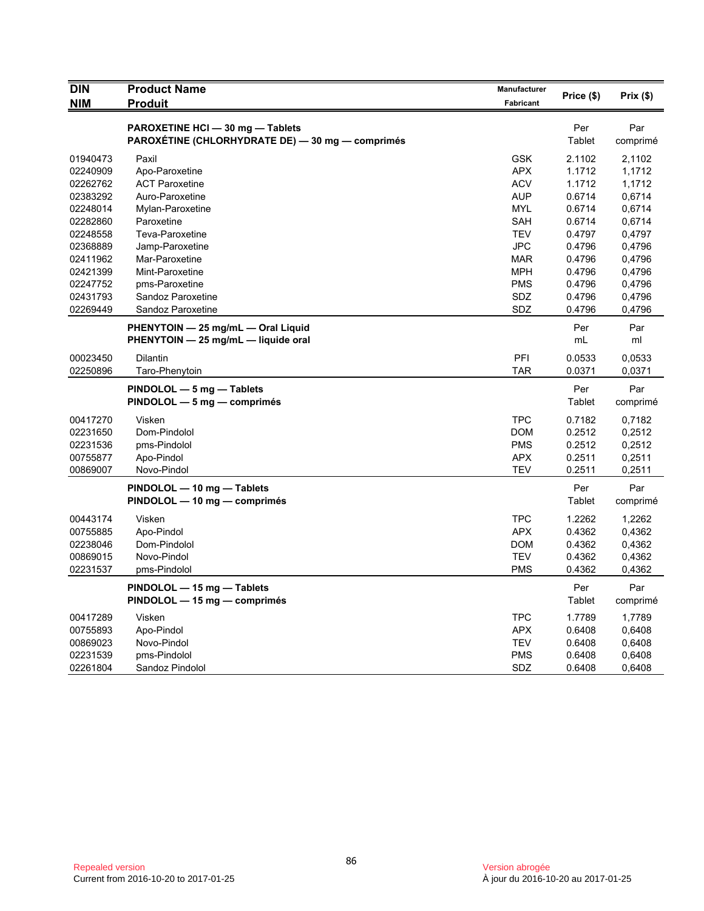| <b>DIN</b>           | <b>Product Name</b>                                                                  | <b>Manufacturer</b> | Price (\$)       | Prix(\$) |
|----------------------|--------------------------------------------------------------------------------------|---------------------|------------------|----------|
| <b>NIM</b>           | <b>Produit</b>                                                                       | <b>Fabricant</b>    |                  |          |
|                      |                                                                                      |                     |                  |          |
|                      | PAROXETINE HCI - 30 mg - Tablets<br>PAROXÉTINE (CHLORHYDRATE DE) — 30 mg — comprimés |                     | Per<br>Tablet    | Par      |
|                      |                                                                                      |                     |                  | comprimé |
| 01940473             | Paxil                                                                                | <b>GSK</b>          | 2.1102           | 2,1102   |
| 02240909             | Apo-Paroxetine                                                                       | <b>APX</b>          | 1.1712           | 1,1712   |
| 02262762             | <b>ACT Paroxetine</b>                                                                | <b>ACV</b>          | 1.1712           | 1,1712   |
| 02383292             | Auro-Paroxetine                                                                      | <b>AUP</b>          | 0.6714           | 0,6714   |
| 02248014             | Mylan-Paroxetine                                                                     | <b>MYL</b>          | 0.6714           | 0,6714   |
| 02282860             | Paroxetine                                                                           | <b>SAH</b>          | 0.6714           | 0,6714   |
| 02248558             | Teva-Paroxetine                                                                      | <b>TEV</b>          | 0.4797           | 0,4797   |
| 02368889             | Jamp-Paroxetine                                                                      | <b>JPC</b>          | 0.4796           | 0,4796   |
| 02411962             | Mar-Paroxetine                                                                       | <b>MAR</b>          | 0.4796           | 0,4796   |
| 02421399             | Mint-Paroxetine                                                                      | <b>MPH</b>          | 0.4796           | 0,4796   |
| 02247752             | pms-Paroxetine                                                                       | <b>PMS</b>          | 0.4796           | 0,4796   |
| 02431793             | Sandoz Paroxetine                                                                    | <b>SDZ</b>          | 0.4796           | 0,4796   |
| 02269449             | Sandoz Paroxetine                                                                    | SDZ                 | 0.4796           | 0,4796   |
|                      | PHENYTOIN - 25 mg/mL - Oral Liquid                                                   |                     | Per              | Par      |
|                      | PHENYTOIN - 25 mg/mL - liquide oral                                                  |                     | mL               | ml       |
|                      |                                                                                      |                     |                  |          |
| 00023450<br>02250896 | Dilantin                                                                             | PFI<br><b>TAR</b>   | 0.0533<br>0.0371 | 0.0533   |
|                      | Taro-Phenytoin                                                                       |                     |                  | 0,0371   |
|                      | PINDOLOL - 5 mg - Tablets                                                            |                     | Per              | Par      |
|                      | PINDOLOL - 5 mg - comprimés                                                          |                     | Tablet           | comprimé |
| 00417270             | Visken                                                                               | <b>TPC</b>          | 0.7182           | 0,7182   |
| 02231650             | Dom-Pindolol                                                                         | <b>DOM</b>          | 0.2512           | 0,2512   |
| 02231536             | pms-Pindolol                                                                         | <b>PMS</b>          | 0.2512           | 0,2512   |
| 00755877             | Apo-Pindol                                                                           | <b>APX</b>          | 0.2511           | 0,2511   |
| 00869007             | Novo-Pindol                                                                          | <b>TEV</b>          | 0.2511           | 0,2511   |
|                      | PINDOLOL - 10 mg - Tablets                                                           |                     | Per              | Par      |
|                      | PINDOLOL - 10 mg - comprimés                                                         |                     | Tablet           | comprimé |
|                      |                                                                                      |                     |                  |          |
| 00443174             | Visken                                                                               | <b>TPC</b>          | 1.2262           | 1,2262   |
| 00755885             | Apo-Pindol                                                                           | <b>APX</b>          | 0.4362           | 0,4362   |
| 02238046             | Dom-Pindolol                                                                         | <b>DOM</b>          | 0.4362           | 0,4362   |
| 00869015             | Novo-Pindol                                                                          | <b>TEV</b>          | 0.4362           | 0,4362   |
| 02231537             | pms-Pindolol                                                                         | <b>PMS</b>          | 0.4362           | 0,4362   |
|                      | PINDOLOL - 15 mg - Tablets                                                           |                     | Per              | Par      |
|                      | PINDOLOL - 15 mg - comprimés                                                         |                     | Tablet           | comprimé |
| 00417289             | Visken                                                                               | <b>TPC</b>          | 1.7789           | 1,7789   |
| 00755893             | Apo-Pindol                                                                           | <b>APX</b>          | 0.6408           | 0,6408   |
| 00869023             | Novo-Pindol                                                                          | <b>TEV</b>          | 0.6408           | 0,6408   |
| 02231539             | pms-Pindolol                                                                         | <b>PMS</b>          | 0.6408           | 0,6408   |
| 02261804             | Sandoz Pindolol                                                                      | SDZ                 | 0.6408           | 0,6408   |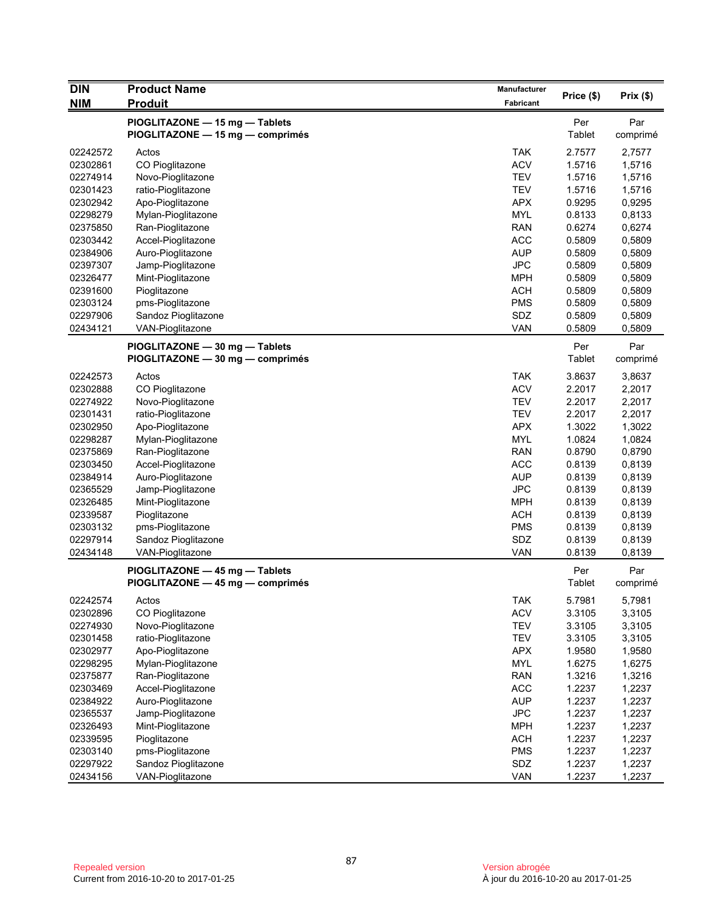| <b>DIN</b> | <b>Product Name</b>                                                | Manufacturer |                  |                 |
|------------|--------------------------------------------------------------------|--------------|------------------|-----------------|
| <b>NIM</b> | <b>Produit</b>                                                     | Fabricant    | Price (\$)       | Prix(\$)        |
|            | PIOGLITAZONE - 15 mg - Tablets<br>PIOGLITAZONE - 15 mg - comprimés |              | Per<br>Tablet    | Par<br>comprimé |
| 02242572   | Actos                                                              | <b>TAK</b>   | 2.7577           | 2,7577          |
| 02302861   | CO Pioglitazone                                                    | <b>ACV</b>   | 1.5716           | 1,5716          |
| 02274914   | Novo-Pioglitazone                                                  | <b>TEV</b>   | 1.5716           | 1,5716          |
| 02301423   | ratio-Pioglitazone                                                 | <b>TEV</b>   | 1.5716           | 1,5716          |
| 02302942   | Apo-Pioglitazone                                                   | <b>APX</b>   | 0.9295           | 0,9295          |
| 02298279   | Mylan-Pioglitazone                                                 | <b>MYL</b>   | 0.8133           | 0,8133          |
| 02375850   | Ran-Pioglitazone                                                   | <b>RAN</b>   | 0.6274           | 0,6274          |
| 02303442   | Accel-Pioglitazone                                                 | <b>ACC</b>   | 0.5809           | 0,5809          |
| 02384906   | Auro-Pioglitazone                                                  | <b>AUP</b>   | 0.5809           | 0,5809          |
| 02397307   | Jamp-Pioglitazone                                                  | <b>JPC</b>   | 0.5809           | 0,5809          |
| 02326477   | Mint-Pioglitazone                                                  | <b>MPH</b>   | 0.5809           | 0,5809          |
| 02391600   | Pioglitazone                                                       | <b>ACH</b>   | 0.5809           | 0,5809          |
| 02303124   | pms-Pioglitazone                                                   | <b>PMS</b>   | 0.5809           | 0,5809          |
| 02297906   | Sandoz Pioglitazone                                                | SDZ          | 0.5809           | 0,5809          |
| 02434121   | VAN-Pioglitazone                                                   | <b>VAN</b>   | 0.5809           | 0,5809          |
|            | PIOGLITAZONE - 30 mg - Tablets<br>PIOGLITAZONE - 30 mg - comprimés |              | Per<br>Tablet    | Par<br>comprimé |
| 02242573   | Actos                                                              | <b>TAK</b>   | 3.8637           | 3,8637          |
| 02302888   | CO Pioglitazone                                                    | <b>ACV</b>   | 2.2017           | 2,2017          |
| 02274922   | Novo-Pioglitazone                                                  | <b>TEV</b>   | 2.2017           | 2,2017          |
| 02301431   | ratio-Pioglitazone                                                 | <b>TEV</b>   | 2.2017           | 2,2017          |
| 02302950   | Apo-Pioglitazone                                                   | <b>APX</b>   | 1.3022           | 1,3022          |
| 02298287   | Mylan-Pioglitazone                                                 | <b>MYL</b>   | 1.0824           | 1,0824          |
| 02375869   | Ran-Pioglitazone                                                   | <b>RAN</b>   | 0.8790           | 0,8790          |
| 02303450   | Accel-Pioglitazone                                                 | <b>ACC</b>   | 0.8139           | 0,8139          |
| 02384914   | Auro-Pioglitazone                                                  | <b>AUP</b>   | 0.8139           | 0,8139          |
| 02365529   | Jamp-Pioglitazone                                                  | <b>JPC</b>   | 0.8139           | 0,8139          |
| 02326485   | Mint-Pioglitazone                                                  | <b>MPH</b>   | 0.8139           | 0,8139          |
| 02339587   | Pioglitazone                                                       | <b>ACH</b>   | 0.8139           | 0,8139          |
| 02303132   |                                                                    | <b>PMS</b>   | 0.8139           | 0,8139          |
| 02297914   | pms-Pioglitazone<br>Sandoz Pioglitazone                            | SDZ          |                  | 0,8139          |
| 02434148   | VAN-Pioglitazone                                                   | <b>VAN</b>   | 0.8139<br>0.8139 | 0,8139          |
|            |                                                                    |              |                  |                 |
|            | PIOGLITAZONE - 45 mg - Tablets<br>PIOGLITAZONE — 45 mg — comprimés |              | Per<br>Tablet    | Par<br>comprimé |
| 02242574   | Actos                                                              | <b>TAK</b>   | 5.7981           | 5,7981          |
| 02302896   | CO Pioglitazone                                                    | <b>ACV</b>   | 3.3105           | 3,3105          |
| 02274930   | Novo-Pioglitazone                                                  | <b>TEV</b>   | 3.3105           | 3,3105          |
| 02301458   | ratio-Pioglitazone                                                 | <b>TEV</b>   | 3.3105           | 3,3105          |
| 02302977   | Apo-Pioglitazone                                                   | <b>APX</b>   | 1.9580           | 1,9580          |
| 02298295   | Mylan-Pioglitazone                                                 | <b>MYL</b>   | 1.6275           | 1,6275          |
| 02375877   | Ran-Pioglitazone                                                   | <b>RAN</b>   | 1.3216           | 1,3216          |
| 02303469   | Accel-Pioglitazone                                                 | <b>ACC</b>   | 1.2237           | 1,2237          |
| 02384922   | Auro-Pioglitazone                                                  | <b>AUP</b>   | 1.2237           | 1,2237          |
| 02365537   | Jamp-Pioglitazone                                                  | <b>JPC</b>   | 1.2237           | 1,2237          |
| 02326493   | Mint-Pioglitazone                                                  | <b>MPH</b>   | 1.2237           | 1,2237          |
| 02339595   | Pioglitazone                                                       | <b>ACH</b>   | 1.2237           | 1,2237          |
| 02303140   | pms-Pioglitazone                                                   | <b>PMS</b>   | 1.2237           | 1,2237          |
| 02297922   | Sandoz Pioglitazone                                                | SDZ          | 1.2237           | 1,2237          |
| 02434156   | VAN-Pioglitazone                                                   | VAN          | 1.2237           | 1,2237          |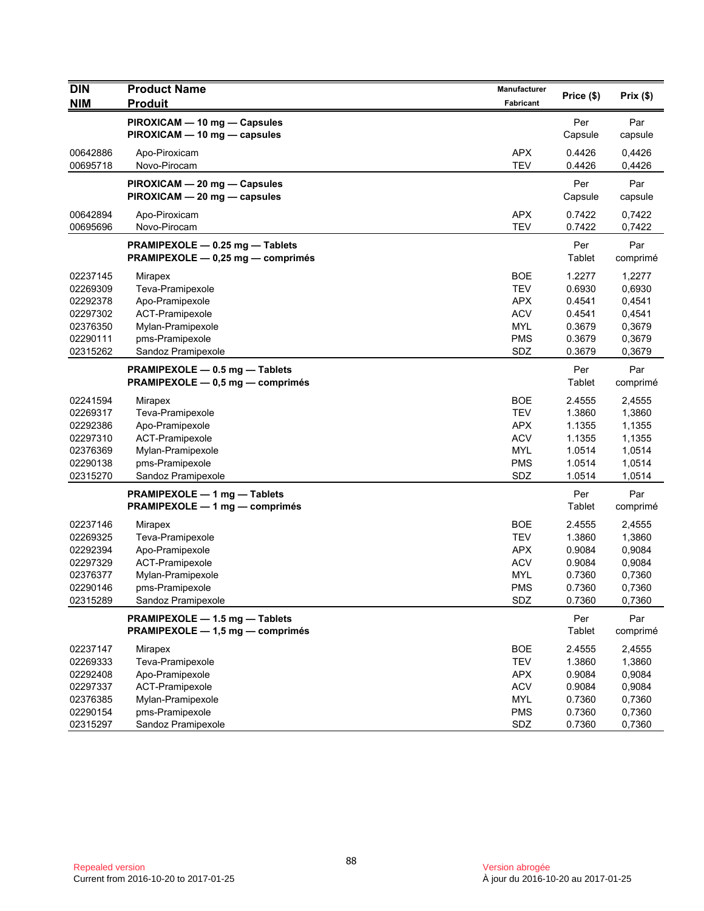| <b>DIN</b><br><b>NIM</b> | <b>Product Name</b><br><b>Produit</b>                                | Manufacturer<br>Fabricant | Price (\$)       | Prix(\$)         |
|--------------------------|----------------------------------------------------------------------|---------------------------|------------------|------------------|
|                          | PIROXICAM - 10 mg - Capsules                                         |                           | Per              | Par              |
|                          | PIROXICAM - 10 mg - capsules                                         |                           | Capsule          | capsule          |
| 00642886                 | Apo-Piroxicam                                                        | <b>APX</b>                | 0.4426           | 0,4426           |
| 00695718                 | Novo-Pirocam                                                         | <b>TEV</b>                | 0.4426           | 0,4426           |
|                          | PIROXICAM - 20 mg - Capsules                                         |                           | Per              | Par              |
|                          | PIROXICAM - 20 mg - capsules                                         |                           | Capsule          | capsule          |
| 00642894<br>00695696     | Apo-Piroxicam<br>Novo-Pirocam                                        | <b>APX</b><br><b>TEV</b>  | 0.7422<br>0.7422 | 0,7422<br>0,7422 |
|                          |                                                                      |                           |                  |                  |
|                          | PRAMIPEXOLE - 0.25 mg - Tablets<br>PRAMIPEXOLE - 0,25 mg - comprimés |                           | Per<br>Tablet    | Par<br>comprimé  |
| 02237145                 | Mirapex                                                              | <b>BOE</b>                | 1.2277           | 1,2277           |
| 02269309                 | Teva-Pramipexole                                                     | <b>TEV</b>                | 0.6930           | 0,6930           |
| 02292378                 | Apo-Pramipexole                                                      | <b>APX</b>                | 0.4541           | 0,4541           |
| 02297302                 | ACT-Pramipexole                                                      | <b>ACV</b>                | 0.4541           | 0,4541           |
| 02376350                 | Mylan-Pramipexole                                                    | <b>MYL</b>                | 0.3679           | 0,3679           |
| 02290111                 | pms-Pramipexole                                                      | <b>PMS</b>                | 0.3679           | 0,3679           |
| 02315262                 | Sandoz Pramipexole                                                   | SDZ                       | 0.3679           | 0,3679           |
|                          | PRAMIPEXOLE - 0.5 mg - Tablets<br>PRAMIPEXOLE - 0,5 mg - comprimés   |                           | Per<br>Tablet    | Par<br>comprimé  |
| 02241594                 |                                                                      | <b>BOE</b>                | 2.4555           | 2,4555           |
| 02269317                 | Mirapex<br>Teva-Pramipexole                                          | <b>TEV</b>                | 1.3860           | 1,3860           |
| 02292386                 | Apo-Pramipexole                                                      | <b>APX</b>                | 1.1355           | 1,1355           |
| 02297310                 | ACT-Pramipexole                                                      | <b>ACV</b>                | 1.1355           | 1,1355           |
| 02376369                 | Mylan-Pramipexole                                                    | <b>MYL</b>                | 1.0514           | 1,0514           |
| 02290138                 | pms-Pramipexole                                                      | <b>PMS</b>                | 1.0514           | 1,0514           |
| 02315270                 | Sandoz Pramipexole                                                   | SDZ                       | 1.0514           | 1,0514           |
|                          | PRAMIPEXOLE - 1 mg - Tablets                                         |                           | Per              | Par              |
|                          | PRAMIPEXOLE - 1 mg - comprimés                                       |                           | Tablet           | comprimé         |
| 02237146                 | Mirapex                                                              | <b>BOE</b>                | 2.4555           | 2,4555           |
| 02269325                 | Teva-Pramipexole                                                     | <b>TEV</b>                | 1.3860           | 1,3860           |
| 02292394                 | Apo-Pramipexole                                                      | <b>APX</b>                | 0.9084           | 0,9084           |
| 02297329                 | ACT-Pramipexole                                                      | <b>ACV</b>                | 0.9084           | 0,9084           |
| 02376377                 | Mylan-Pramipexole                                                    | <b>MYL</b>                | 0.7360           | 0,7360           |
| 02290146                 | pms-Pramipexole                                                      | <b>PMS</b>                | 0.7360           | 0,7360           |
| 02315289                 | Sandoz Pramipexole                                                   | SDZ                       | 0.7360           | 0,7360           |
|                          | PRAMIPEXOLE - 1.5 mg - Tablets<br>PRAMIPEXOLE - 1,5 mg - comprimés   |                           | Per<br>Tablet    | Par<br>comprimé  |
| 02237147                 | Mirapex                                                              | <b>BOE</b>                | 2.4555           | 2,4555           |
| 02269333                 | Teva-Pramipexole                                                     | <b>TEV</b>                | 1.3860           | 1,3860           |
| 02292408                 | Apo-Pramipexole                                                      | <b>APX</b>                | 0.9084           | 0,9084           |
| 02297337                 | ACT-Pramipexole                                                      | <b>ACV</b>                | 0.9084           | 0,9084           |
| 02376385                 | Mylan-Pramipexole                                                    | <b>MYL</b>                | 0.7360           | 0,7360           |
| 02290154                 | pms-Pramipexole                                                      | <b>PMS</b>                | 0.7360           | 0,7360           |
| 02315297                 | Sandoz Pramipexole                                                   | SDZ                       | 0.7360           | 0,7360           |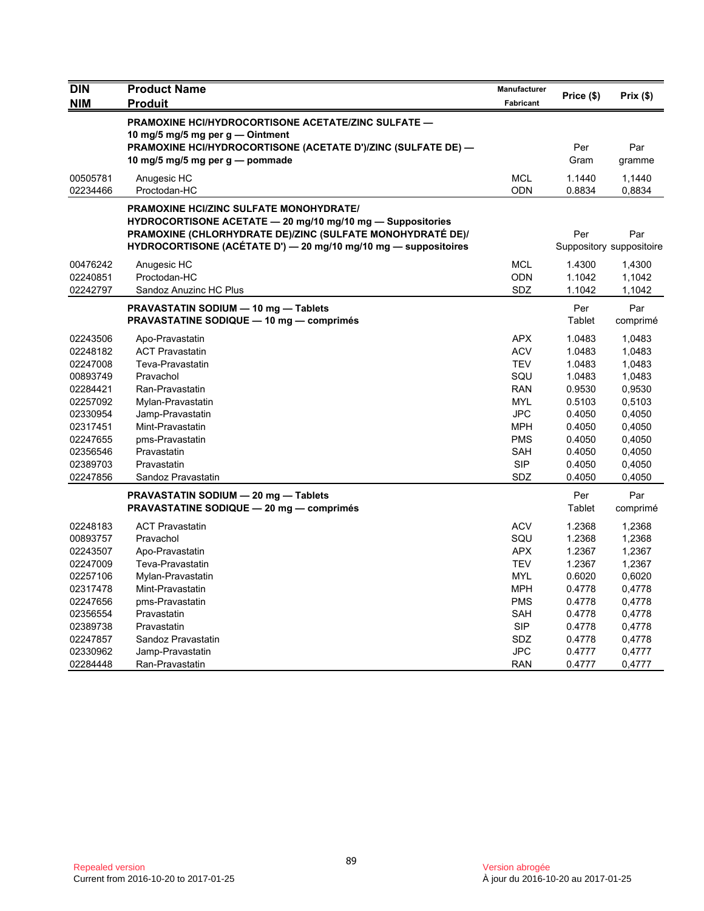| <b>DIN</b>                                                                                                                                   | <b>Product Name</b>                                                                                                                                                                                                                           | Manufacturer                                                                                                                             | Price (\$)                                                                                                           | Prix(\$)                                                                                                             |
|----------------------------------------------------------------------------------------------------------------------------------------------|-----------------------------------------------------------------------------------------------------------------------------------------------------------------------------------------------------------------------------------------------|------------------------------------------------------------------------------------------------------------------------------------------|----------------------------------------------------------------------------------------------------------------------|----------------------------------------------------------------------------------------------------------------------|
| <b>NIM</b>                                                                                                                                   | <b>Produit</b>                                                                                                                                                                                                                                | <b>Fabricant</b>                                                                                                                         |                                                                                                                      |                                                                                                                      |
|                                                                                                                                              | <b>PRAMOXINE HCI/HYDROCORTISONE ACETATE/ZINC SULFATE —</b><br>10 mg/5 mg/5 mg per g — Ointment<br>PRAMOXINE HCI/HYDROCORTISONE (ACETATE D')/ZINC (SULFATE DE) -<br>10 mg/5 mg/5 mg per g — pommade                                            |                                                                                                                                          | Per<br>Gram                                                                                                          | Par<br>gramme                                                                                                        |
| 00505781<br>02234466                                                                                                                         | Anugesic HC<br>Proctodan-HC                                                                                                                                                                                                                   | <b>MCL</b><br>ODN                                                                                                                        | 1.1440<br>0.8834                                                                                                     | 1,1440<br>0,8834                                                                                                     |
|                                                                                                                                              | <b>PRAMOXINE HCI/ZINC SULFATE MONOHYDRATE/</b><br>HYDROCORTISONE ACETATE - 20 mg/10 mg/10 mg - Suppositories<br>PRAMOXINE (CHLORHYDRATE DE)/ZINC (SULFATE MONOHYDRATÉ DE)/<br>HYDROCORTISONE (ACÉTATE D') - 20 mg/10 mg/10 mg - suppositoires |                                                                                                                                          | Per                                                                                                                  | Par<br>Suppository suppositoire                                                                                      |
| 00476242<br>02240851<br>02242797                                                                                                             | Anugesic HC<br>Proctodan-HC<br>Sandoz Anuzinc HC Plus                                                                                                                                                                                         | <b>MCL</b><br><b>ODN</b><br>SDZ                                                                                                          | 1.4300<br>1.1042<br>1.1042                                                                                           | 1,4300<br>1,1042<br>1,1042                                                                                           |
|                                                                                                                                              | PRAVASTATIN SODIUM - 10 mg - Tablets<br><b>PRAVASTATINE SODIQUE - 10 mg - comprimés</b>                                                                                                                                                       |                                                                                                                                          | Per<br>Tablet                                                                                                        | Par<br>comprimé                                                                                                      |
| 02243506<br>02248182<br>02247008<br>00893749<br>02284421<br>02257092<br>02330954<br>02317451<br>02247655<br>02356546<br>02389703<br>02247856 | Apo-Pravastatin<br><b>ACT Pravastatin</b><br>Teva-Pravastatin<br>Pravachol<br>Ran-Pravastatin<br>Mylan-Pravastatin<br>Jamp-Pravastatin<br>Mint-Pravastatin<br>pms-Pravastatin<br>Pravastatin<br>Pravastatin<br>Sandoz Pravastatin             | APX<br><b>ACV</b><br><b>TEV</b><br>SQU<br><b>RAN</b><br><b>MYL</b><br><b>JPC</b><br><b>MPH</b><br><b>PMS</b><br>SAH<br><b>SIP</b><br>SDZ | 1.0483<br>1.0483<br>1.0483<br>1.0483<br>0.9530<br>0.5103<br>0.4050<br>0.4050<br>0.4050<br>0.4050<br>0.4050<br>0.4050 | 1,0483<br>1,0483<br>1,0483<br>1,0483<br>0,9530<br>0,5103<br>0,4050<br>0,4050<br>0,4050<br>0,4050<br>0,4050<br>0,4050 |
|                                                                                                                                              | PRAVASTATIN SODIUM - 20 mg - Tablets<br><b>PRAVASTATINE SODIQUE - 20 mg - comprimés</b>                                                                                                                                                       |                                                                                                                                          | Per<br>Tablet                                                                                                        | Par<br>comprimé                                                                                                      |
| 02248183<br>00893757<br>02243507<br>02247009<br>02257106<br>02317478<br>02247656<br>02356554<br>02389738<br>02247857                         | <b>ACT Pravastatin</b><br>Pravachol<br>Apo-Pravastatin<br>Teva-Pravastatin<br>Mylan-Pravastatin<br>Mint-Pravastatin<br>pms-Pravastatin<br>Pravastatin<br>Pravastatin<br>Sandoz Pravastatin                                                    | <b>ACV</b><br>SQU<br><b>APX</b><br><b>TEV</b><br>MYL<br><b>MPH</b><br><b>PMS</b><br>SAH<br><b>SIP</b><br><b>SDZ</b>                      | 1.2368<br>1.2368<br>1.2367<br>1.2367<br>0.6020<br>0.4778<br>0.4778<br>0.4778<br>0.4778<br>0.4778                     | 1,2368<br>1,2368<br>1,2367<br>1,2367<br>0,6020<br>0,4778<br>0,4778<br>0,4778<br>0,4778<br>0,4778                     |
| 02330962<br>02284448                                                                                                                         | Jamp-Pravastatin<br>Ran-Pravastatin                                                                                                                                                                                                           | <b>JPC</b><br><b>RAN</b>                                                                                                                 | 0.4777<br>0.4777                                                                                                     | 0,4777<br>0,4777                                                                                                     |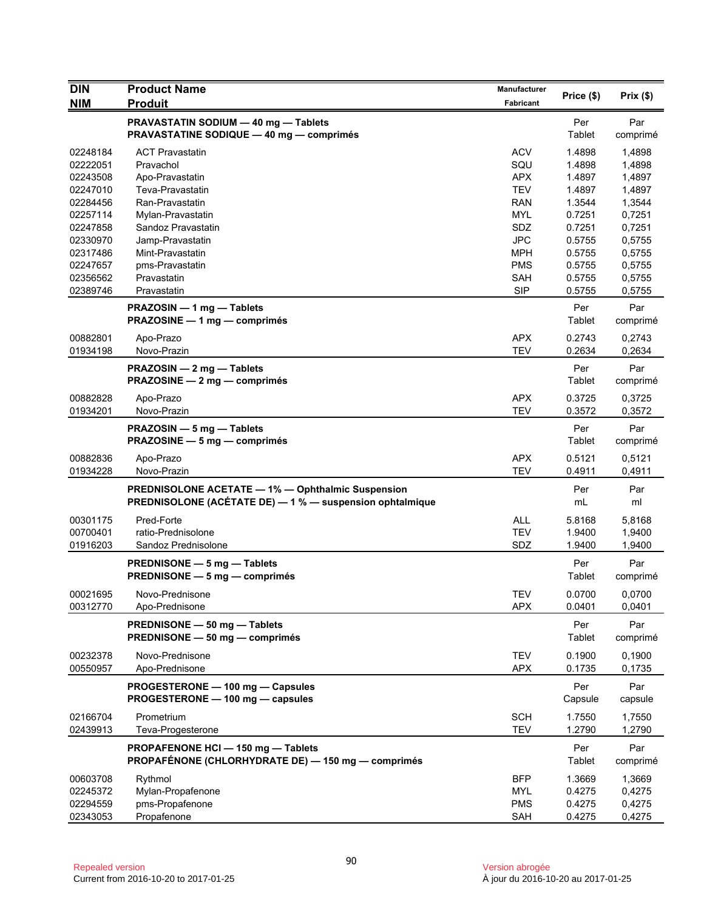| <b>DIN</b>           | <b>Product Name</b>                                                                                                  | Manufacturer             | Price (\$)       | Prix(\$)         |
|----------------------|----------------------------------------------------------------------------------------------------------------------|--------------------------|------------------|------------------|
| <b>NIM</b>           | <b>Produit</b>                                                                                                       | <b>Fabricant</b>         |                  |                  |
|                      | PRAVASTATIN SODIUM - 40 mg - Tablets<br><b>PRAVASTATINE SODIQUE - 40 mg - comprimés</b>                              |                          | Per<br>Tablet    | Par<br>comprimé  |
| 02248184             | <b>ACT Pravastatin</b>                                                                                               | <b>ACV</b>               | 1.4898           | 1,4898           |
| 02222051             | Pravachol                                                                                                            | SQU                      | 1.4898           | 1,4898           |
| 02243508             | Apo-Pravastatin                                                                                                      | <b>APX</b>               | 1.4897           | 1,4897           |
| 02247010             | Teva-Pravastatin                                                                                                     | <b>TEV</b>               | 1.4897           | 1,4897           |
| 02284456             | Ran-Pravastatin                                                                                                      | <b>RAN</b>               | 1.3544           | 1,3544           |
| 02257114             | Mylan-Pravastatin                                                                                                    | <b>MYL</b>               | 0.7251           | 0,7251           |
| 02247858             | Sandoz Pravastatin                                                                                                   | SDZ                      | 0.7251           | 0,7251           |
| 02330970             | Jamp-Pravastatin                                                                                                     | <b>JPC</b>               | 0.5755           | 0,5755           |
| 02317486             | Mint-Pravastatin                                                                                                     | <b>MPH</b>               | 0.5755           | 0,5755           |
| 02247657             | pms-Pravastatin                                                                                                      | <b>PMS</b>               | 0.5755           | 0,5755           |
| 02356562             | Pravastatin                                                                                                          | SAH                      | 0.5755           | 0,5755           |
| 02389746             | Pravastatin                                                                                                          | <b>SIP</b>               | 0.5755           | 0,5755           |
|                      | PRAZOSIN - 1 mg - Tablets<br>PRAZOSINE - 1 mg - comprimés                                                            |                          | Per<br>Tablet    | Par<br>comprimé  |
| 00882801             | Apo-Prazo                                                                                                            | <b>APX</b>               | 0.2743           | 0,2743           |
| 01934198             | Novo-Prazin                                                                                                          | <b>TEV</b>               | 0.2634           | 0,2634           |
|                      | PRAZOSIN - 2 mg - Tablets<br>PRAZOSINE - 2 mg - comprimés                                                            |                          | Per<br>Tablet    | Par<br>comprimé  |
| 00882828             | Apo-Prazo                                                                                                            | <b>APX</b>               | 0.3725           | 0,3725           |
| 01934201             | Novo-Prazin                                                                                                          | <b>TEV</b>               | 0.3572           | 0,3572           |
|                      | PRAZOSIN - 5 mg - Tablets<br>PRAZOSINE - 5 mg - comprimés                                                            |                          | Per<br>Tablet    | Par<br>comprimé  |
| 00882836<br>01934228 | Apo-Prazo<br>Novo-Prazin                                                                                             | <b>APX</b><br><b>TEV</b> | 0.5121<br>0.4911 | 0,5121<br>0,4911 |
|                      | <b>PREDNISOLONE ACETATE - 1% - Ophthalmic Suspension</b><br>PREDNISOLONE (ACÉTATE DE) - 1 % - suspension ophtalmique |                          | Per<br>mL        | Par<br>ml        |
| 00301175             | Pred-Forte                                                                                                           | <b>ALL</b>               | 5.8168           | 5,8168           |
| 00700401             | ratio-Prednisolone                                                                                                   | <b>TEV</b>               | 1.9400           | 1,9400           |
| 01916203             | Sandoz Prednisolone                                                                                                  | SDZ                      | 1.9400           | 1,9400           |
|                      | <b>PREDNISONE — 5 mg — Tablets</b><br>PREDNISONE - 5 mg - comprimés                                                  |                          | Per<br>Tablet    | Par<br>comprimé  |
|                      |                                                                                                                      |                          |                  |                  |
| 00021695<br>00312770 | Novo-Prednisone<br>Apo-Prednisone                                                                                    | <b>TEV</b><br><b>APX</b> | 0.0700<br>0.0401 | 0,0700<br>0,0401 |
|                      | PREDNISONE - 50 mg - Tablets<br>PREDNISONE - 50 mg - comprimés                                                       |                          | Per<br>Tablet    | Par<br>comprimé  |
| 00232378<br>00550957 | Novo-Prednisone<br>Apo-Prednisone                                                                                    | <b>TEV</b><br><b>APX</b> | 0.1900<br>0.1735 | 0,1900<br>0,1735 |
|                      | PROGESTERONE - 100 mg - Capsules<br>PROGESTERONE - 100 mg - capsules                                                 |                          | Per<br>Capsule   | Par<br>capsule   |
| 02166704<br>02439913 | Prometrium<br>Teva-Progesterone                                                                                      | <b>SCH</b><br><b>TEV</b> | 1.7550<br>1.2790 | 1,7550<br>1,2790 |
|                      | PROPAFENONE HCI - 150 mg - Tablets<br>PROPAFÉNONE (CHLORHYDRATE DE) - 150 mg - comprimés                             |                          | Per<br>Tablet    | Par<br>comprimé  |
| 00603708             | Rythmol                                                                                                              | <b>BFP</b>               | 1.3669           | 1,3669           |
| 02245372             | Mylan-Propafenone                                                                                                    | MYL                      | 0.4275           | 0,4275           |
| 02294559             | pms-Propafenone                                                                                                      | <b>PMS</b>               | 0.4275           | 0,4275           |
| 02343053             | Propafenone                                                                                                          | SAH                      | 0.4275           | 0,4275           |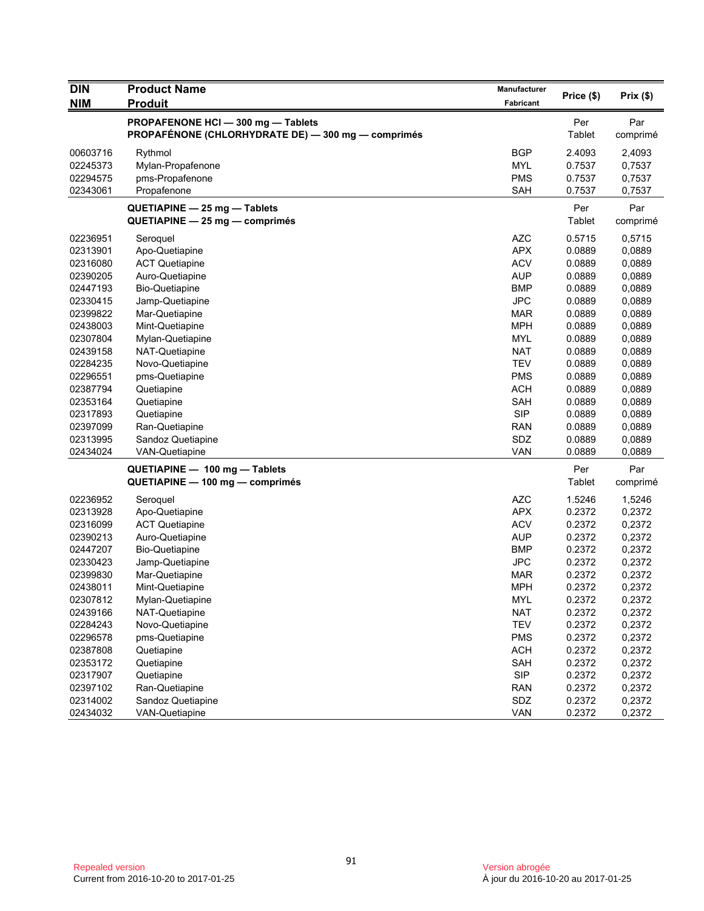| <b>DIN</b> | <b>Product Name</b>                                                                      | <b>Manufacturer</b> |                      | Prix(\$)        |
|------------|------------------------------------------------------------------------------------------|---------------------|----------------------|-----------------|
| <b>NIM</b> | <b>Produit</b>                                                                           | Fabricant           | Price (\$)           |                 |
|            | PROPAFENONE HCI - 300 mg - Tablets<br>PROPAFÉNONE (CHLORHYDRATE DE) - 300 mg - comprimés |                     | Per<br>Tablet        | Par<br>comprimé |
| 00603716   | Rythmol                                                                                  | <b>BGP</b>          | 2.4093               | 2,4093          |
| 02245373   | Mylan-Propafenone                                                                        | MYL                 | 0.7537               | 0,7537          |
| 02294575   | pms-Propafenone                                                                          | <b>PMS</b>          | 0.7537               | 0,7537          |
| 02343061   | Propafenone                                                                              | <b>SAH</b>          | 0.7537               | 0,7537          |
|            | $QUETIAPINE - 25 mg - Tables$<br>QUETIAPINE - 25 mg - comprimés                          |                     | Per<br>Tablet        | Par<br>comprimé |
| 02236951   | Seroquel                                                                                 | <b>AZC</b>          | 0.5715               | 0,5715          |
| 02313901   | Apo-Quetiapine                                                                           | <b>APX</b>          | 0.0889               | 0,0889          |
| 02316080   | <b>ACT Quetiapine</b>                                                                    | <b>ACV</b>          | 0.0889               | 0,0889          |
| 02390205   | Auro-Quetiapine                                                                          | AUP                 | 0.0889               | 0,0889          |
| 02447193   | <b>Bio-Quetiapine</b>                                                                    | <b>BMP</b>          | 0.0889               | 0,0889          |
| 02330415   | Jamp-Quetiapine                                                                          | <b>JPC</b>          | 0.0889               | 0,0889          |
| 02399822   | Mar-Quetiapine                                                                           | MAR                 | 0.0889               | 0,0889          |
| 02438003   | Mint-Quetiapine                                                                          | <b>MPH</b>          | 0.0889               | 0,0889          |
| 02307804   | Mylan-Quetiapine                                                                         | <b>MYL</b>          | 0.0889               | 0,0889          |
| 02439158   | NAT-Quetiapine                                                                           | <b>NAT</b>          | 0.0889               | 0,0889          |
| 02284235   | Novo-Quetiapine                                                                          | <b>TEV</b>          | 0.0889               | 0,0889          |
| 02296551   | pms-Quetiapine                                                                           | <b>PMS</b>          | 0.0889               | 0,0889          |
| 02387794   | Quetiapine                                                                               | <b>ACH</b>          | 0.0889               | 0,0889          |
| 02353164   | Quetiapine                                                                               | <b>SAH</b>          | 0.0889               | 0,0889          |
| 02317893   | Quetiapine                                                                               | <b>SIP</b>          | 0.0889               | 0,0889          |
| 02397099   | Ran-Quetiapine                                                                           | <b>RAN</b>          | 0.0889               | 0,0889          |
| 02313995   | Sandoz Quetiapine                                                                        | SDZ                 | 0.0889               | 0,0889          |
| 02434024   | <b>VAN-Quetiapine</b>                                                                    | <b>VAN</b>          | 0.0889               | 0,0889          |
|            | QUETIAPINE - 100 mg - Tablets<br>QUETIAPINE - 100 mg - comprimés                         |                     | Per<br><b>Tablet</b> | Par<br>comprimé |
| 02236952   | Seroquel                                                                                 | <b>AZC</b>          | 1.5246               | 1,5246          |
| 02313928   | Apo-Quetiapine                                                                           | <b>APX</b>          | 0.2372               | 0,2372          |
| 02316099   | <b>ACT Quetiapine</b>                                                                    | <b>ACV</b>          | 0.2372               | 0,2372          |
| 02390213   | Auro-Quetiapine                                                                          | <b>AUP</b>          | 0.2372               | 0,2372          |
| 02447207   | <b>Bio-Quetiapine</b>                                                                    | <b>BMP</b>          | 0.2372               | 0,2372          |
| 02330423   | Jamp-Quetiapine                                                                          | <b>JPC</b>          | 0.2372               | 0,2372          |
| 02399830   | Mar-Quetiapine                                                                           | MAR                 | 0.2372               | 0,2372          |
| 02438011   | Mint-Quetiapine                                                                          | <b>MPH</b>          | 0.2372               | 0,2372          |
| 02307812   | Mylan-Quetiapine                                                                         | MYL                 | 0.2372               | 0,2372          |
| 02439166   | NAT-Quetiapine                                                                           | <b>NAT</b>          | 0.2372               | 0,2372          |
| 02284243   | Novo-Quetiapine                                                                          | <b>TEV</b>          | 0.2372               | 0,2372          |
| 02296578   | pms-Quetiapine                                                                           | <b>PMS</b>          | 0.2372               | 0,2372          |
| 02387808   | Quetiapine                                                                               | <b>ACH</b>          | 0.2372               | 0,2372          |
| 02353172   | Quetiapine                                                                               | SAH                 | 0.2372               | 0,2372          |
| 02317907   | Quetiapine                                                                               | <b>SIP</b>          | 0.2372               | 0,2372          |
| 02397102   | Ran-Quetiapine                                                                           | <b>RAN</b>          | 0.2372               | 0,2372          |
| 02314002   | Sandoz Quetiapine                                                                        | SDZ                 | 0.2372               | 0,2372          |
| 02434032   | VAN-Quetiapine                                                                           | <b>VAN</b>          | 0.2372               | 0,2372          |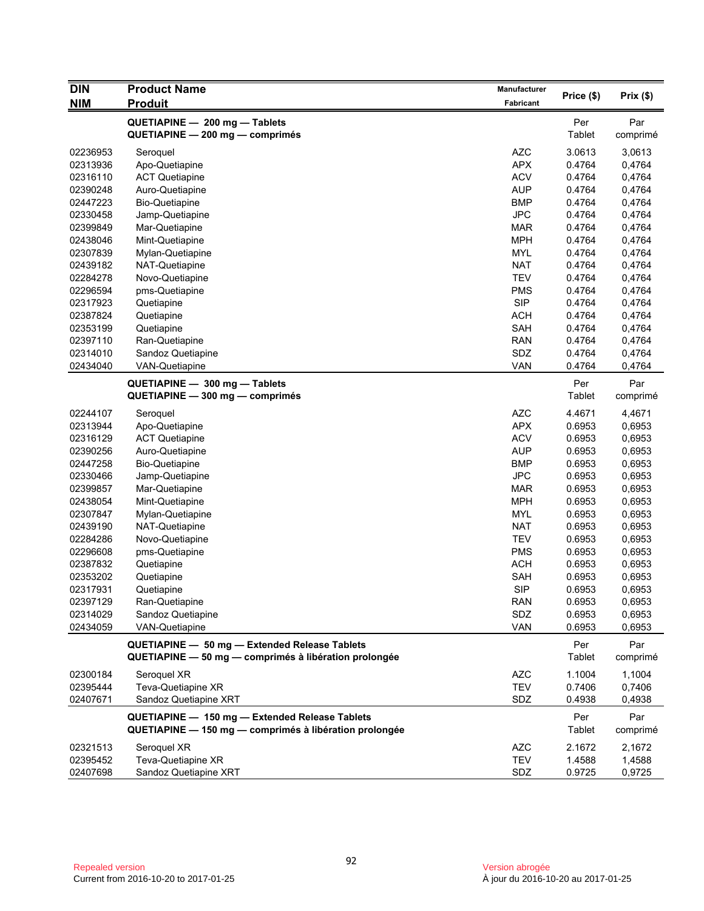| <b>DIN</b> | <b>Product Name</b>                                    | <b>Manufacturer</b> | Price (\$) | Prix(\$) |
|------------|--------------------------------------------------------|---------------------|------------|----------|
| NIM        | <b>Produit</b>                                         | Fabricant           |            |          |
|            | QUETIAPINE - 200 mg - Tablets                          |                     | Per        | Par      |
|            | QUETIAPINE - 200 mg - comprimés                        |                     | Tablet     | comprimé |
| 02236953   | Seroquel                                               | <b>AZC</b>          | 3.0613     | 3,0613   |
| 02313936   | Apo-Quetiapine                                         | <b>APX</b>          | 0.4764     | 0,4764   |
| 02316110   | <b>ACT Quetiapine</b>                                  | <b>ACV</b>          | 0.4764     | 0,4764   |
| 02390248   | Auro-Quetiapine                                        | <b>AUP</b>          | 0.4764     | 0,4764   |
| 02447223   | <b>Bio-Quetiapine</b>                                  | <b>BMP</b>          | 0.4764     | 0,4764   |
| 02330458   | Jamp-Quetiapine                                        | <b>JPC</b>          | 0.4764     | 0,4764   |
| 02399849   | Mar-Quetiapine                                         | <b>MAR</b>          | 0.4764     | 0,4764   |
| 02438046   | Mint-Quetiapine                                        | <b>MPH</b>          | 0.4764     | 0,4764   |
| 02307839   | Mylan-Quetiapine                                       | <b>MYL</b>          | 0.4764     | 0,4764   |
| 02439182   | NAT-Quetiapine                                         | <b>NAT</b>          | 0.4764     | 0,4764   |
| 02284278   | Novo-Quetiapine                                        | <b>TEV</b>          | 0.4764     | 0,4764   |
| 02296594   | pms-Quetiapine                                         | <b>PMS</b>          | 0.4764     | 0,4764   |
| 02317923   | Quetiapine                                             | <b>SIP</b>          | 0.4764     | 0,4764   |
| 02387824   | Quetiapine                                             | <b>ACH</b>          | 0.4764     | 0,4764   |
| 02353199   | Quetiapine                                             | <b>SAH</b>          | 0.4764     | 0,4764   |
| 02397110   | Ran-Quetiapine                                         | <b>RAN</b>          | 0.4764     | 0,4764   |
| 02314010   | Sandoz Quetiapine                                      | SDZ                 | 0.4764     | 0,4764   |
| 02434040   | <b>VAN-Quetiapine</b>                                  | VAN                 | 0.4764     | 0,4764   |
|            | QUETIAPINE - 300 mg - Tablets                          |                     | Per        | Par      |
|            | QUETIAPINE - 300 mg - comprimés                        |                     | Tablet     | comprimé |
| 02244107   | Seroquel                                               | <b>AZC</b>          | 4.4671     | 4,4671   |
| 02313944   | Apo-Quetiapine                                         | <b>APX</b>          | 0.6953     | 0,6953   |
| 02316129   | <b>ACT Quetiapine</b>                                  | <b>ACV</b>          | 0.6953     | 0,6953   |
| 02390256   | Auro-Quetiapine                                        | <b>AUP</b>          | 0.6953     | 0,6953   |
| 02447258   | <b>Bio-Quetiapine</b>                                  | <b>BMP</b>          | 0.6953     | 0,6953   |
| 02330466   | Jamp-Quetiapine                                        | <b>JPC</b>          | 0.6953     | 0,6953   |
| 02399857   | Mar-Quetiapine                                         | <b>MAR</b>          | 0.6953     | 0,6953   |
| 02438054   | Mint-Quetiapine                                        | <b>MPH</b>          | 0.6953     | 0,6953   |
| 02307847   | Mylan-Quetiapine                                       | <b>MYL</b>          | 0.6953     | 0,6953   |
| 02439190   | NAT-Quetiapine                                         | <b>NAT</b>          | 0.6953     | 0,6953   |
| 02284286   | Novo-Quetiapine                                        | <b>TEV</b>          | 0.6953     | 0,6953   |
| 02296608   | pms-Quetiapine                                         | <b>PMS</b>          | 0.6953     | 0,6953   |
| 02387832   | Quetiapine                                             | <b>ACH</b>          | 0.6953     | 0,6953   |
| 02353202   | Quetiapine                                             | <b>SAH</b>          | 0.6953     | 0,6953   |
| 02317931   | Quetiapine                                             | <b>SIP</b>          | 0.6953     | 0,6953   |
| 02397129   | Ran-Quetiapine                                         | <b>RAN</b>          | 0.6953     | 0,6953   |
| 02314029   | Sandoz Quetiapine                                      | SDZ                 | 0.6953     | 0,6953   |
| 02434059   | <b>VAN-Quetiapine</b>                                  | <b>VAN</b>          | 0.6953     | 0,6953   |
|            | QUETIAPINE - 50 mg - Extended Release Tablets          |                     | Per        | Par      |
|            | QUETIAPINE - 50 mg - comprimés à libération prolongée  |                     | Tablet     | comprimé |
| 02300184   | Seroquel XR                                            | <b>AZC</b>          | 1.1004     | 1,1004   |
| 02395444   | Teva-Quetiapine XR                                     | <b>TEV</b>          | 0.7406     | 0,7406   |
| 02407671   | Sandoz Quetiapine XRT                                  | SDZ                 | 0.4938     | 0,4938   |
|            | QUETIAPINE - 150 mg - Extended Release Tablets         |                     | Per        | Par      |
|            | QUETIAPINE - 150 mg - comprimés à libération prolongée |                     | Tablet     | comprimé |
| 02321513   | Seroquel XR                                            | <b>AZC</b>          | 2.1672     | 2,1672   |
| 02395452   | Teva-Quetiapine XR                                     | <b>TEV</b>          | 1.4588     | 1,4588   |
| 02407698   | Sandoz Quetiapine XRT                                  | SDZ                 | 0.9725     | 0,9725   |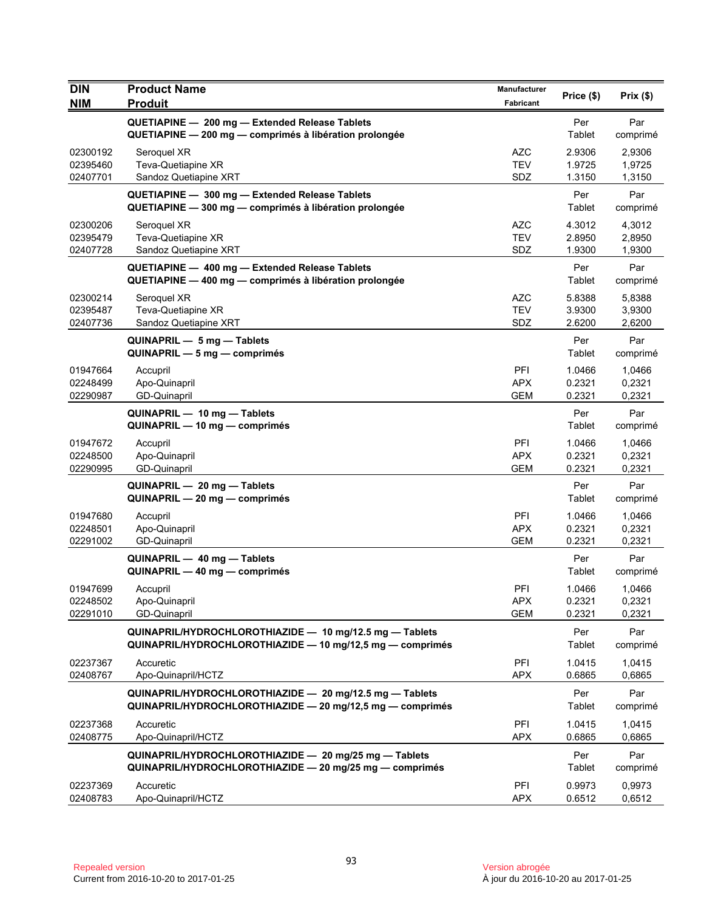| <b>DIN</b>           | <b>Product Name</b>                                                                                                  | Manufacturer             | Price (\$)       | Prix(\$)         |
|----------------------|----------------------------------------------------------------------------------------------------------------------|--------------------------|------------------|------------------|
| <b>NIM</b>           | <b>Produit</b>                                                                                                       | Fabricant                |                  |                  |
|                      | QUETIAPINE - 200 mg - Extended Release Tablets<br>QUETIAPINE - 200 mg - comprimés à libération prolongée             |                          | Per<br>Tablet    | Par<br>comprimé  |
| 02300192             | Seroquel XR                                                                                                          | AZC                      | 2.9306           | 2,9306           |
| 02395460             | Teva-Quetiapine XR                                                                                                   | <b>TEV</b>               | 1.9725           | 1,9725           |
| 02407701             | Sandoz Quetiapine XRT                                                                                                | SDZ                      | 1.3150           | 1,3150           |
|                      | QUETIAPINE - 300 mg - Extended Release Tablets<br>QUETIAPINE - 300 mg - comprimés à libération prolongée             |                          | Per<br>Tablet    | Par<br>comprimé  |
| 02300206             | Seroquel XR                                                                                                          | <b>AZC</b>               | 4.3012           | 4,3012           |
| 02395479<br>02407728 | Teva-Quetiapine XR                                                                                                   | <b>TEV</b><br>SDZ        | 2.8950<br>1.9300 | 2,8950<br>1,9300 |
|                      | Sandoz Quetiapine XRT                                                                                                |                          |                  |                  |
|                      | QUETIAPINE - 400 mg - Extended Release Tablets<br>QUETIAPINE - 400 mg - comprimés à libération prolongée             |                          | Per<br>Tablet    | Par<br>comprimé  |
| 02300214             | Seroquel XR                                                                                                          | <b>AZC</b>               | 5.8388           | 5,8388           |
| 02395487<br>02407736 | Teva-Quetiapine XR<br>Sandoz Quetiapine XRT                                                                          | <b>TEV</b><br>SDZ        | 3.9300<br>2.6200 | 3,9300<br>2,6200 |
|                      | QUINAPRIL - 5 mg - Tablets                                                                                           |                          | Per              | Par              |
|                      | $QUINAPRIL - 5 mg - comprimés$                                                                                       |                          | Tablet           | comprimé         |
| 01947664             | Accupril                                                                                                             | PFI                      | 1.0466           | 1,0466           |
| 02248499             | Apo-Quinapril                                                                                                        | <b>APX</b>               | 0.2321           | 0,2321           |
| 02290987             | <b>GD-Quinapril</b>                                                                                                  | <b>GEM</b>               | 0.2321           | 0,2321           |
|                      | QUINAPRIL - 10 mg - Tablets<br>QUINAPRIL — 10 mg — comprimés                                                         |                          | Per<br>Tablet    | Par<br>comprimé  |
| 01947672             | Accupril                                                                                                             | <b>PFI</b>               | 1.0466           | 1,0466           |
| 02248500<br>02290995 | Apo-Quinapril<br><b>GD-Quinapril</b>                                                                                 | <b>APX</b><br><b>GEM</b> | 0.2321<br>0.2321 | 0,2321<br>0,2321 |
|                      | QUINAPRIL - 20 mg - Tablets                                                                                          |                          | Per              | Par              |
|                      | QUINAPRIL - 20 mg - comprimés                                                                                        |                          | Tablet           | comprimé         |
| 01947680             | Accupril                                                                                                             | PFI                      | 1.0466           | 1,0466           |
| 02248501<br>02291002 | Apo-Quinapril<br>GD-Quinapril                                                                                        | <b>APX</b><br><b>GEM</b> | 0.2321<br>0.2321 | 0,2321<br>0,2321 |
|                      | QUINAPRIL - 40 mg - Tablets<br>QUINAPRIL - 40 mg - comprimés                                                         |                          | Per<br>Tablet    | Par              |
|                      |                                                                                                                      | PFI                      |                  | comprimé         |
| 01947699<br>02248502 | Accupril<br>Apo-Quinapril                                                                                            | <b>APX</b>               | 1.0466<br>0.2321 | 1,0466<br>0,2321 |
| 02291010             | GD-Quinapril                                                                                                         | <b>GEM</b>               | 0.2321           | 0,2321           |
|                      | QUINAPRIL/HYDROCHLOROTHIAZIDE - 10 mg/12.5 mg - Tablets<br>QUINAPRIL/HYDROCHLOROTHIAZIDE - 10 mg/12,5 mg - comprimés |                          | Per<br>Tablet    | Par<br>comprimé  |
| 02237367             | Accuretic                                                                                                            | PFI                      | 1.0415           | 1,0415           |
| 02408767             | Apo-Quinapril/HCTZ                                                                                                   | <b>APX</b>               | 0.6865           | 0,6865           |
|                      | QUINAPRIL/HYDROCHLOROTHIAZIDE - 20 mg/12.5 mg - Tablets<br>QUINAPRIL/HYDROCHLOROTHIAZIDE - 20 mg/12,5 mg - comprimés |                          | Per<br>Tablet    | Par<br>comprimé  |
| 02237368<br>02408775 | Accuretic<br>Apo-Quinapril/HCTZ                                                                                      | <b>PFI</b><br><b>APX</b> | 1.0415<br>0.6865 | 1.0415<br>0,6865 |
|                      | QUINAPRIL/HYDROCHLOROTHIAZIDE - 20 mg/25 mg - Tablets<br>QUINAPRIL/HYDROCHLOROTHIAZIDE - 20 mg/25 mg - comprimés     |                          | Per<br>Tablet    | Par<br>comprimé  |
| 02237369<br>02408783 | Accuretic<br>Apo-Quinapril/HCTZ                                                                                      | PFI<br><b>APX</b>        | 0.9973<br>0.6512 | 0,9973<br>0,6512 |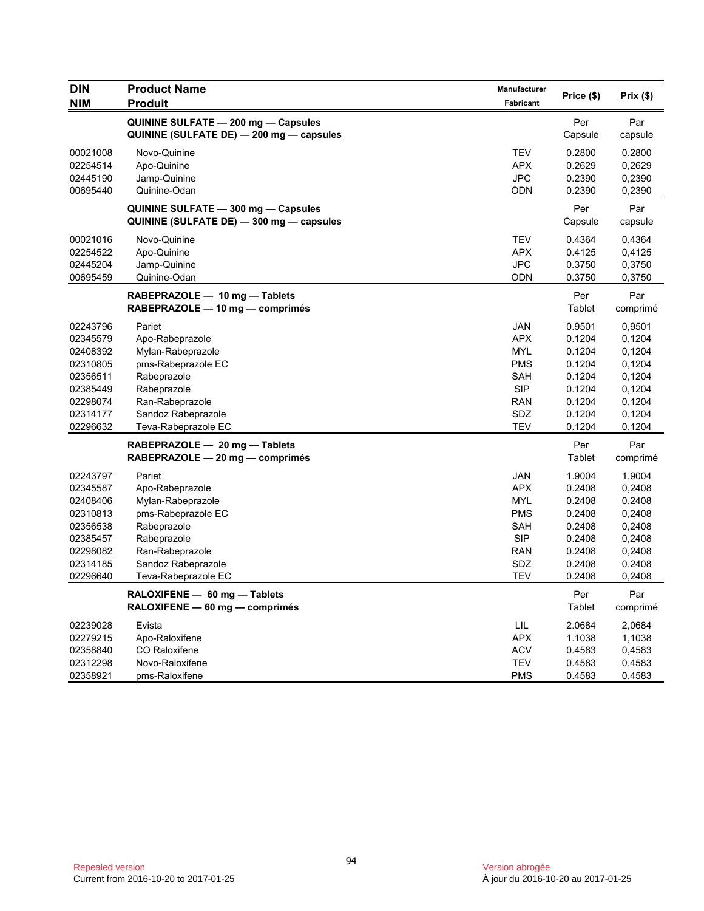| <b>DIN</b>           | <b>Product Name</b>                                                             | Manufacturer             | Price (\$)       | Prix(\$)         |
|----------------------|---------------------------------------------------------------------------------|--------------------------|------------------|------------------|
| <b>NIM</b>           | <b>Produit</b>                                                                  | <b>Fabricant</b>         |                  |                  |
|                      | QUININE SULFATE - 200 mg - Capsules<br>QUININE (SULFATE DE) — 200 mg — capsules |                          | Per<br>Capsule   | Par<br>capsule   |
| 00021008             | Novo-Quinine                                                                    | <b>TEV</b>               | 0.2800           | 0,2800           |
| 02254514             | Apo-Quinine                                                                     | <b>APX</b>               | 0.2629           | 0,2629           |
| 02445190             | Jamp-Quinine                                                                    | <b>JPC</b>               | 0.2390           | 0,2390           |
| 00695440             | Quinine-Odan                                                                    | ODN                      | 0.2390           | 0,2390           |
|                      | QUININE SULFATE - 300 mg - Capsules                                             |                          | Per              | Par              |
|                      | QUININE (SULFATE DE) - 300 mg - capsules                                        |                          | Capsule          | capsule          |
| 00021016             | Novo-Quinine                                                                    | <b>TEV</b>               | 0.4364           | 0,4364           |
| 02254522             | Apo-Quinine                                                                     | <b>APX</b>               | 0.4125           | 0,4125           |
| 02445204             | Jamp-Quinine                                                                    | <b>JPC</b>               | 0.3750           | 0,3750           |
| 00695459             | Quinine-Odan                                                                    | <b>ODN</b>               | 0.3750           | 0,3750           |
|                      | RABEPRAZOLE - 10 mg - Tablets                                                   |                          | Per              | Par              |
|                      | RABEPRAZOLE - 10 mg - comprimés                                                 |                          | Tablet           | comprimé         |
| 02243796             | Pariet                                                                          | JAN                      | 0.9501           | 0,9501           |
| 02345579             | Apo-Rabeprazole                                                                 | <b>APX</b>               | 0.1204           | 0,1204           |
| 02408392             | Mylan-Rabeprazole                                                               | <b>MYL</b>               | 0.1204           | 0,1204           |
| 02310805             | pms-Rabeprazole EC                                                              | <b>PMS</b>               | 0.1204           | 0,1204           |
| 02356511             | Rabeprazole                                                                     | <b>SAH</b>               | 0.1204           | 0,1204           |
| 02385449             | Rabeprazole                                                                     | <b>SIP</b>               | 0.1204           | 0,1204           |
| 02298074             | Ran-Rabeprazole                                                                 | <b>RAN</b>               | 0.1204           | 0,1204           |
| 02314177             | Sandoz Rabeprazole                                                              | SDZ                      | 0.1204           | 0,1204           |
| 02296632             | Teva-Rabeprazole EC                                                             | TEV                      | 0.1204           | 0,1204           |
|                      | RABEPRAZOLE - 20 mg - Tablets                                                   |                          | Per              | Par              |
|                      | $RABEPRAZOLE - 20 mg - comprimés$                                               |                          | Tablet           | comprimé         |
| 02243797             | Pariet                                                                          | <b>JAN</b>               | 1.9004           | 1,9004           |
| 02345587             | Apo-Rabeprazole                                                                 | <b>APX</b>               | 0.2408           | 0,2408           |
| 02408406             | Mylan-Rabeprazole                                                               | <b>MYL</b>               | 0.2408           | 0,2408           |
| 02310813             | pms-Rabeprazole EC                                                              | <b>PMS</b>               | 0.2408           | 0,2408           |
| 02356538             | Rabeprazole                                                                     | <b>SAH</b>               | 0.2408           | 0,2408           |
| 02385457<br>02298082 | Rabeprazole<br>Ran-Rabeprazole                                                  | <b>SIP</b><br><b>RAN</b> | 0.2408<br>0.2408 | 0,2408<br>0,2408 |
| 02314185             | Sandoz Rabeprazole                                                              | <b>SDZ</b>               | 0.2408           | 0,2408           |
| 02296640             | Teva-Rabeprazole EC                                                             | <b>TEV</b>               | 0.2408           | 0,2408           |
|                      | RALOXIFENE - 60 mg - Tablets                                                    |                          | Per              | Par              |
|                      | RALOXIFENE - 60 mg - comprimés                                                  |                          | Tablet           | comprimé         |
| 02239028             | Evista                                                                          | LIL                      | 2.0684           | 2,0684           |
| 02279215             | Apo-Raloxifene                                                                  | <b>APX</b>               | 1.1038           | 1,1038           |
| 02358840             | <b>CO Raloxifene</b>                                                            | <b>ACV</b>               | 0.4583           | 0,4583           |
| 02312298             | Novo-Raloxifene                                                                 | <b>TEV</b>               | 0.4583           | 0,4583           |
| 02358921             | pms-Raloxifene                                                                  | <b>PMS</b>               | 0.4583           | 0,4583           |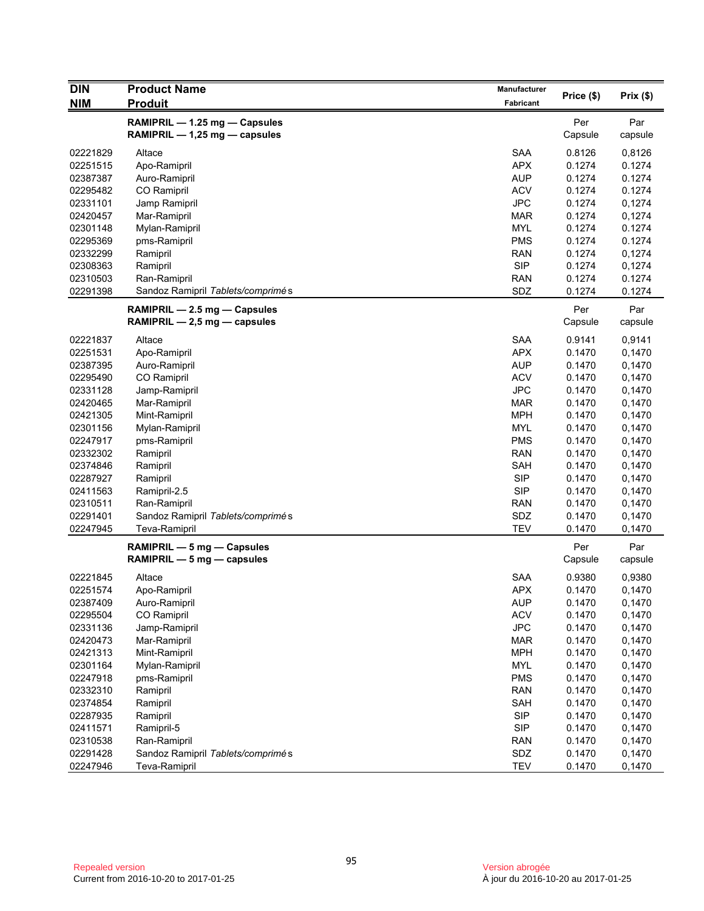| <b>DIN</b>           | <b>Product Name</b>               | Manufacturer             |                  |                  |
|----------------------|-----------------------------------|--------------------------|------------------|------------------|
| <b>NIM</b>           | <b>Produit</b>                    | Fabricant                | Price (\$)       | Prix(\$)         |
|                      | RAMIPRIL - 1.25 mg - Capsules     |                          | Per              | Par              |
|                      | RAMIPRIL $-$ 1,25 mg $-$ capsules |                          | Capsule          | capsule          |
|                      |                                   |                          |                  |                  |
| 02221829<br>02251515 | Altace                            | <b>SAA</b><br><b>APX</b> | 0.8126<br>0.1274 | 0,8126<br>0.1274 |
| 02387387             | Apo-Ramipril<br>Auro-Ramipril     | <b>AUP</b>               | 0.1274           | 0.1274           |
| 02295482             | CO Ramipril                       | <b>ACV</b>               | 0.1274           | 0.1274           |
| 02331101             | Jamp Ramipril                     | <b>JPC</b>               | 0.1274           | 0,1274           |
| 02420457             | Mar-Ramipril                      | MAR                      | 0.1274           | 0,1274           |
| 02301148             |                                   | <b>MYL</b>               | 0.1274           | 0.1274           |
| 02295369             | Mylan-Ramipril<br>pms-Ramipril    | <b>PMS</b>               | 0.1274           | 0.1274           |
| 02332299             | Ramipril                          | <b>RAN</b>               | 0.1274           | 0,1274           |
| 02308363             | Ramipril                          | <b>SIP</b>               | 0.1274           | 0,1274           |
| 02310503             | Ran-Ramipril                      | <b>RAN</b>               | 0.1274           | 0.1274           |
| 02291398             | Sandoz Ramipril Tablets/comprimés | SDZ                      | 0.1274           | 0.1274           |
|                      |                                   |                          |                  |                  |
|                      | RAMIPRIL - 2.5 mg - Capsules      |                          | Per              | Par              |
|                      | RAMIPRIL $-2,5$ mg $-$ capsules   |                          | Capsule          | capsule          |
| 02221837             | Altace                            | SAA                      | 0.9141           | 0,9141           |
| 02251531             | Apo-Ramipril                      | <b>APX</b>               | 0.1470           | 0,1470           |
| 02387395             | Auro-Ramipril                     | <b>AUP</b>               | 0.1470           | 0,1470           |
| 02295490             | CO Ramipril                       | <b>ACV</b>               | 0.1470           | 0,1470           |
| 02331128             | Jamp-Ramipril                     | <b>JPC</b>               | 0.1470           | 0,1470           |
| 02420465             | Mar-Ramipril                      | <b>MAR</b>               | 0.1470           | 0,1470           |
| 02421305             | Mint-Ramipril                     | <b>MPH</b>               | 0.1470           | 0,1470           |
| 02301156             | Mylan-Ramipril                    | <b>MYL</b>               | 0.1470           | 0,1470           |
| 02247917             | pms-Ramipril                      | <b>PMS</b>               | 0.1470           | 0,1470           |
| 02332302             | Ramipril                          | <b>RAN</b>               | 0.1470           | 0,1470           |
| 02374846             | Ramipril                          | SAH                      | 0.1470           | 0,1470           |
| 02287927             | Ramipril                          | <b>SIP</b>               | 0.1470           | 0,1470           |
| 02411563             | Ramipril-2.5                      | <b>SIP</b>               | 0.1470           | 0,1470           |
| 02310511             | Ran-Ramipril                      | <b>RAN</b>               | 0.1470           | 0,1470           |
| 02291401             | Sandoz Ramipril Tablets/comprimés | SDZ                      | 0.1470           | 0,1470           |
| 02247945             | Teva-Ramipril                     | TEV                      | 0.1470           | 0,1470           |
|                      | RAMIPRIL - 5 mg - Capsules        |                          | Per              | Par              |
|                      | RAMIPRIL $-5$ mg $-$ capsules     |                          | Capsule          | capsule          |
| 02221845             | Altace                            | <b>SAA</b>               | 0.9380           | 0,9380           |
| 02251574             | Apo-Ramipril                      | <b>APX</b>               | 0.1470           | 0,1470           |
| 02387409             | Auro-Ramipril                     | <b>AUP</b>               | 0.1470           | 0,1470           |
| 02295504             | CO Ramipril                       | <b>ACV</b>               | 0.1470           | 0,1470           |
| 02331136             | Jamp-Ramipril                     | <b>JPC</b>               | 0.1470           | 0,1470           |
| 02420473             | Mar-Ramipril                      | <b>MAR</b>               | 0.1470           | 0,1470           |
| 02421313             | Mint-Ramipril                     | <b>MPH</b>               | 0.1470           | 0,1470           |
| 02301164             | Mylan-Ramipril                    | <b>MYL</b>               | 0.1470           | 0,1470           |
| 02247918             | pms-Ramipril                      | <b>PMS</b>               | 0.1470           | 0,1470           |
| 02332310             | Ramipril                          | <b>RAN</b>               | 0.1470           | 0,1470           |
| 02374854             | Ramipril                          | SAH                      | 0.1470           | 0,1470           |
| 02287935             | Ramipril                          | <b>SIP</b>               | 0.1470           | 0,1470           |
| 02411571             | Ramipril-5                        | <b>SIP</b>               | 0.1470           | 0,1470           |
| 02310538             | Ran-Ramipril                      | <b>RAN</b>               | 0.1470           | 0,1470           |
| 02291428             | Sandoz Ramipril Tablets/comprimés | SDZ                      | 0.1470           | 0,1470           |
| 02247946             | Teva-Ramipril                     | <b>TEV</b>               | 0.1470           | 0,1470           |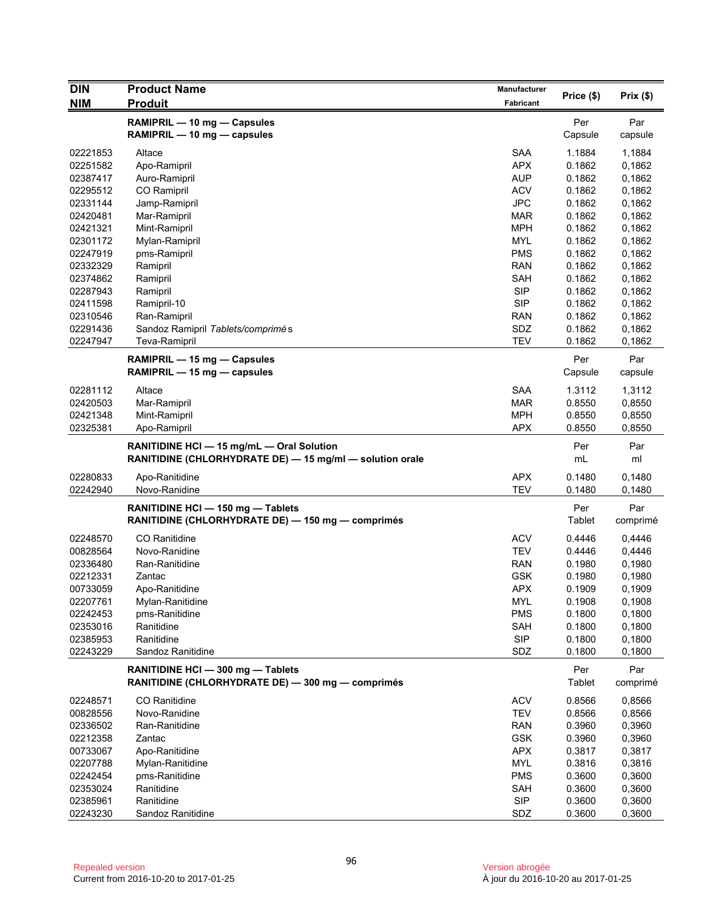| <b>DIN</b> | <b>Product Name</b>                                                                    | Manufacturer | Price (\$)       | Prix $(\$)$ |
|------------|----------------------------------------------------------------------------------------|--------------|------------------|-------------|
| <b>NIM</b> | <b>Produit</b>                                                                         | Fabricant    |                  |             |
|            | RAMIPRIL - 10 mg - Capsules                                                            |              | Per              | Par         |
|            | RAMIPRIL - 10 mg - capsules                                                            |              | Capsule          | capsule     |
|            |                                                                                        |              |                  |             |
| 02221853   | Altace                                                                                 | <b>SAA</b>   | 1.1884<br>0.1862 | 1,1884      |
| 02251582   | Apo-Ramipril                                                                           | <b>APX</b>   |                  | 0,1862      |
| 02387417   | Auro-Ramipril                                                                          | <b>AUP</b>   | 0.1862           | 0,1862      |
| 02295512   | CO Ramipril                                                                            | <b>ACV</b>   | 0.1862           | 0,1862      |
| 02331144   | Jamp-Ramipril                                                                          | <b>JPC</b>   | 0.1862           | 0,1862      |
| 02420481   | Mar-Ramipril                                                                           | MAR          | 0.1862           | 0,1862      |
| 02421321   | Mint-Ramipril                                                                          | <b>MPH</b>   | 0.1862           | 0,1862      |
| 02301172   | Mylan-Ramipril                                                                         | <b>MYL</b>   | 0.1862           | 0,1862      |
| 02247919   | pms-Ramipril                                                                           | <b>PMS</b>   | 0.1862           | 0,1862      |
| 02332329   | Ramipril                                                                               | <b>RAN</b>   | 0.1862           | 0,1862      |
| 02374862   | Ramipril                                                                               | <b>SAH</b>   | 0.1862           | 0,1862      |
| 02287943   | Ramipril                                                                               | <b>SIP</b>   | 0.1862           | 0,1862      |
| 02411598   | Ramipril-10                                                                            | <b>SIP</b>   | 0.1862           | 0,1862      |
| 02310546   | Ran-Ramipril                                                                           | <b>RAN</b>   | 0.1862           | 0,1862      |
| 02291436   | Sandoz Ramipril Tablets/comprimés                                                      | SDZ          | 0.1862           | 0,1862      |
| 02247947   | <b>Teva-Ramipril</b>                                                                   | <b>TEV</b>   | 0.1862           | 0,1862      |
|            | RAMIPRIL - 15 mg - Capsules                                                            |              | Per              | Par         |
|            | RAMIPRIL - 15 mg - capsules                                                            |              | Capsule          | capsule     |
|            |                                                                                        |              |                  |             |
| 02281112   | Altace                                                                                 | <b>SAA</b>   | 1.3112           | 1,3112      |
| 02420503   | Mar-Ramipril                                                                           | <b>MAR</b>   | 0.8550           | 0,8550      |
| 02421348   | Mint-Ramipril                                                                          | <b>MPH</b>   | 0.8550           | 0,8550      |
| 02325381   | Apo-Ramipril                                                                           | <b>APX</b>   | 0.8550           | 0,8550      |
|            | RANITIDINE HCI - 15 mg/mL - Oral Solution                                              |              | Per              | Par         |
|            | RANITIDINE (CHLORHYDRATE DE) - 15 mg/ml - solution orale                               |              | mL               | ml          |
| 02280833   | Apo-Ranitidine                                                                         | <b>APX</b>   | 0.1480           | 0,1480      |
| 02242940   | Novo-Ranidine                                                                          | <b>TEV</b>   | 0.1480           | 0,1480      |
|            |                                                                                        |              | Per              | Par         |
|            | RANITIDINE HCI - 150 mg - Tablets<br>RANITIDINE (CHLORHYDRATE DE) - 150 mg - comprimés |              | Tablet           | comprimé    |
|            |                                                                                        |              |                  |             |
| 02248570   | <b>CO</b> Ranitidine                                                                   | <b>ACV</b>   | 0.4446           | 0,4446      |
| 00828564   | Novo-Ranidine                                                                          | <b>TEV</b>   | 0.4446           | 0,4446      |
| 02336480   | Ran-Ranitidine                                                                         | <b>RAN</b>   | 0.1980           | 0,1980      |
| 02212331   | Zantac                                                                                 | <b>GSK</b>   | 0.1980           | 0,1980      |
| 00733059   | Apo-Ranitidine                                                                         | <b>APX</b>   | 0.1909           | 0,1909      |
| 02207761   | Mylan-Ranitidine                                                                       | <b>MYL</b>   | 0.1908           | 0,1908      |
| 02242453   | pms-Ranitidine                                                                         | <b>PMS</b>   | 0.1800           | 0,1800      |
| 02353016   | Ranitidine                                                                             | SAH          | 0.1800           | 0,1800      |
| 02385953   | Ranitidine                                                                             | <b>SIP</b>   | 0.1800           | 0,1800      |
| 02243229   | Sandoz Ranitidine                                                                      | SDZ          | 0.1800           | 0,1800      |
|            | RANITIDINE HCI - 300 mg - Tablets                                                      |              | Per              | Par         |
|            | RANITIDINE (CHLORHYDRATE DE) - 300 mg - comprimés                                      |              | <b>Tablet</b>    | comprimé    |
|            |                                                                                        |              |                  |             |
| 02248571   | <b>CO</b> Ranitidine                                                                   | <b>ACV</b>   | 0.8566           | 0,8566      |
| 00828556   | Novo-Ranidine                                                                          | <b>TEV</b>   | 0.8566           | 0,8566      |
| 02336502   | Ran-Ranitidine                                                                         | <b>RAN</b>   | 0.3960           | 0,3960      |
| 02212358   | Zantac                                                                                 | <b>GSK</b>   | 0.3960           | 0,3960      |
| 00733067   | Apo-Ranitidine                                                                         | <b>APX</b>   | 0.3817           | 0,3817      |
| 02207788   | Mylan-Ranitidine                                                                       | MYL          | 0.3816           | 0,3816      |
| 02242454   | pms-Ranitidine                                                                         | <b>PMS</b>   | 0.3600           | 0,3600      |
| 02353024   | Ranitidine                                                                             | SAH          | 0.3600           | 0,3600      |
| 02385961   | Ranitidine                                                                             | <b>SIP</b>   | 0.3600           | 0,3600      |
| 02243230   | Sandoz Ranitidine                                                                      | SDZ          | 0.3600           | 0,3600      |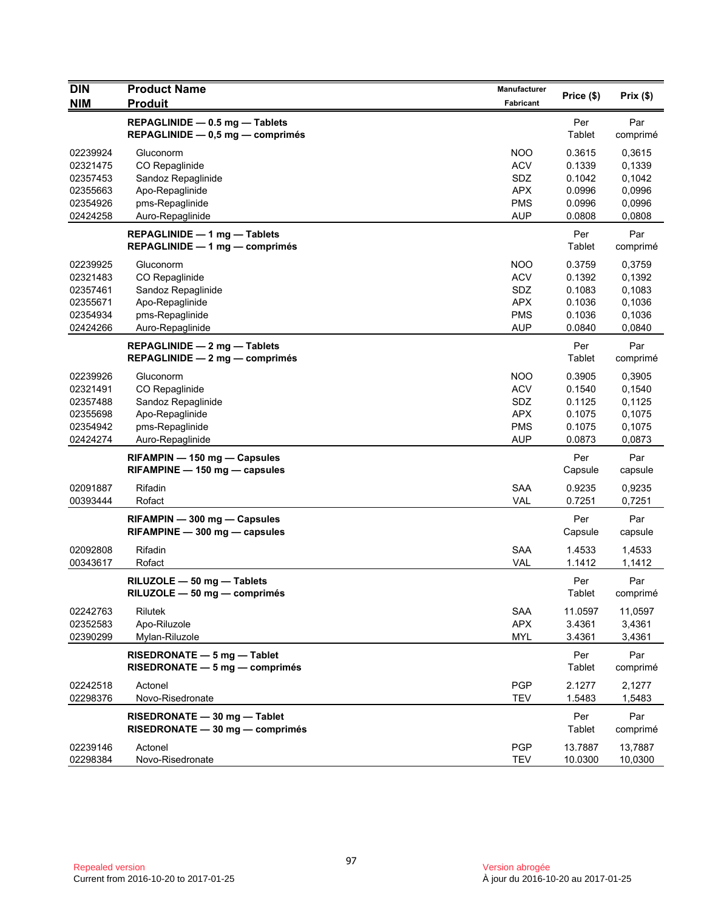| <b>DIN</b><br><b>NIM</b>                                             | <b>Product Name</b><br><b>Produit</b>                                                                       | Manufacturer<br>Fabricant                                                 | Price (\$)                                               | Prix(\$)                                                 |
|----------------------------------------------------------------------|-------------------------------------------------------------------------------------------------------------|---------------------------------------------------------------------------|----------------------------------------------------------|----------------------------------------------------------|
|                                                                      |                                                                                                             |                                                                           |                                                          |                                                          |
|                                                                      | REPAGLINIDE - 0.5 mg - Tablets<br>REPAGLINIDE $-$ 0,5 mg $-$ comprimes                                      |                                                                           | Per<br>Tablet                                            | Par<br>comprimé                                          |
| 02239924<br>02321475<br>02357453<br>02355663<br>02354926<br>02424258 | Gluconorm<br>CO Repaglinide<br>Sandoz Repaglinide<br>Apo-Repaglinide<br>pms-Repaglinide<br>Auro-Repaglinide | <b>NOO</b><br><b>ACV</b><br>SDZ<br><b>APX</b><br><b>PMS</b><br><b>AUP</b> | 0.3615<br>0.1339<br>0.1042<br>0.0996<br>0.0996<br>0.0808 | 0,3615<br>0,1339<br>0,1042<br>0,0996<br>0,0996<br>0,0808 |
|                                                                      | REPAGLINIDE - 1 mg - Tablets<br>$REPAGLINIDE - 1 mg - comprimés$                                            |                                                                           | Per<br>Tablet                                            | Par<br>comprimé                                          |
| 02239925<br>02321483<br>02357461<br>02355671<br>02354934<br>02424266 | Gluconorm<br>CO Repaglinide<br>Sandoz Repaglinide<br>Apo-Repaglinide<br>pms-Repaglinide<br>Auro-Repaglinide | <b>NOO</b><br><b>ACV</b><br>SDZ<br><b>APX</b><br><b>PMS</b><br><b>AUP</b> | 0.3759<br>0.1392<br>0.1083<br>0.1036<br>0.1036<br>0.0840 | 0,3759<br>0,1392<br>0,1083<br>0,1036<br>0,1036<br>0,0840 |
|                                                                      | REPAGLINIDE - 2 mg - Tablets<br>REPAGLINIDE $-2$ mg $-$ comprimes                                           |                                                                           | Per<br>Tablet                                            | Par<br>comprimé                                          |
| 02239926<br>02321491<br>02357488<br>02355698<br>02354942<br>02424274 | Gluconorm<br>CO Repaglinide<br>Sandoz Repaglinide<br>Apo-Repaglinide<br>pms-Repaglinide<br>Auro-Repaglinide | <b>NOO</b><br><b>ACV</b><br>SDZ<br><b>APX</b><br><b>PMS</b><br><b>AUP</b> | 0.3905<br>0.1540<br>0.1125<br>0.1075<br>0.1075<br>0.0873 | 0,3905<br>0,1540<br>0,1125<br>0,1075<br>0,1075<br>0,0873 |
|                                                                      | RIFAMPIN - 150 mg - Capsules<br>$RIFAMPINE - 150$ mg $-$ capsules                                           |                                                                           | Per<br>Capsule                                           | Par<br>capsule                                           |
| 02091887<br>00393444                                                 | Rifadin<br>Rofact                                                                                           | <b>SAA</b><br>VAL                                                         | 0.9235<br>0.7251                                         | 0,9235<br>0,7251                                         |
|                                                                      | RIFAMPIN - 300 mg - Capsules<br>$RIFAMPINE - 300 mg - capsules$                                             |                                                                           | Per<br>Capsule                                           | Par<br>capsule                                           |
| 02092808<br>00343617                                                 | Rifadin<br>Rofact                                                                                           | <b>SAA</b><br><b>VAL</b>                                                  | 1.4533<br>1.1412                                         | 1,4533<br>1,1412                                         |
|                                                                      | RILUZOLE - 50 mg - Tablets<br>RILUZOLE - 50 mg - comprimés                                                  |                                                                           | Per<br>Tablet                                            | Par<br>comprimé                                          |
| 02242763<br>02352583<br>02390299                                     | Rilutek<br>Apo-Riluzole<br>Mylan-Riluzole                                                                   | <b>SAA</b><br><b>APX</b><br><b>MYL</b>                                    | 11.0597<br>3.4361<br>3.4361                              | 11,0597<br>3,4361<br>3,4361                              |
|                                                                      | RISEDRONATE - 5 mg - Tablet<br>$RISEDRONATE - 5 mg - comprimés$                                             |                                                                           | Per<br>Tablet                                            | Par<br>comprimé                                          |
| 02242518<br>02298376                                                 | Actonel<br>Novo-Risedronate                                                                                 | <b>PGP</b><br><b>TEV</b>                                                  | 2.1277<br>1.5483                                         | 2,1277<br>1,5483                                         |
|                                                                      | RISEDRONATE - 30 mg - Tablet<br>RISEDRONATE - 30 mg - comprimés                                             |                                                                           | Per<br>Tablet                                            | Par<br>comprimé                                          |
| 02239146<br>02298384                                                 | Actonel<br>Novo-Risedronate                                                                                 | <b>PGP</b><br><b>TEV</b>                                                  | 13.7887<br>10.0300                                       | 13,7887<br>10,0300                                       |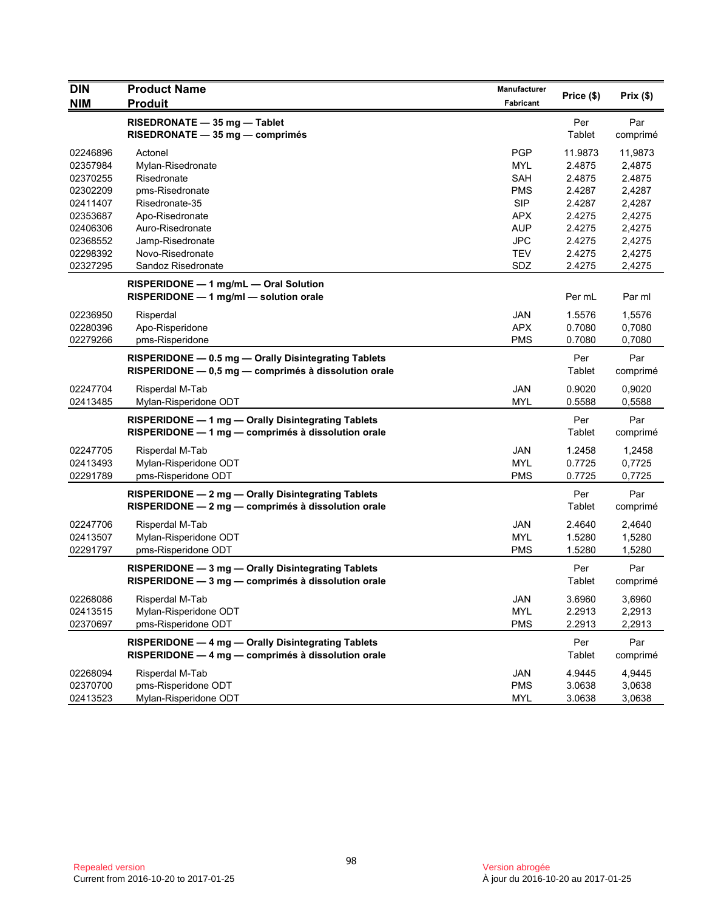| <b>DIN</b> | <b>Product Name</b>                                                                                      | Manufacturer | Price (\$) | Prix (\$) |
|------------|----------------------------------------------------------------------------------------------------------|--------------|------------|-----------|
| <b>NIM</b> | <b>Produit</b>                                                                                           | Fabricant    |            |           |
|            | RISEDRONATE - 35 mg - Tablet                                                                             |              | Per        | Par       |
|            | RISEDRONATE - 35 mg - comprimés                                                                          |              | Tablet     | comprimé  |
| 02246896   | Actonel                                                                                                  | <b>PGP</b>   | 11.9873    | 11,9873   |
| 02357984   | Mylan-Risedronate                                                                                        | <b>MYL</b>   | 2.4875     | 2,4875    |
| 02370255   | Risedronate                                                                                              | SAH          | 2.4875     | 2.4875    |
| 02302209   | pms-Risedronate                                                                                          | <b>PMS</b>   | 2.4287     | 2,4287    |
| 02411407   | Risedronate-35                                                                                           | <b>SIP</b>   | 2.4287     | 2,4287    |
| 02353687   | Apo-Risedronate                                                                                          | APX          | 2.4275     | 2,4275    |
| 02406306   | Auro-Risedronate                                                                                         | <b>AUP</b>   | 2.4275     | 2,4275    |
| 02368552   | Jamp-Risedronate                                                                                         | <b>JPC</b>   | 2.4275     | 2,4275    |
| 02298392   | Novo-Risedronate                                                                                         | <b>TEV</b>   | 2.4275     | 2,4275    |
| 02327295   | Sandoz Risedronate                                                                                       | SDZ          | 2.4275     | 2,4275    |
|            | RISPERIDONE - 1 mg/mL - Oral Solution                                                                    |              |            |           |
|            | RISPERIDONE - 1 mg/ml - solution orale                                                                   |              | Per mL     | Par ml    |
| 02236950   | Risperdal                                                                                                | <b>JAN</b>   | 1.5576     | 1,5576    |
| 02280396   | Apo-Risperidone                                                                                          | <b>APX</b>   | 0.7080     | 0,7080    |
| 02279266   | pms-Risperidone                                                                                          | <b>PMS</b>   | 0.7080     | 0,7080    |
|            | RISPERIDONE - 0.5 mg - Orally Disintegrating Tablets                                                     |              | Per        | Par       |
|            | RISPERIDONE - 0,5 mg - comprimés à dissolution orale                                                     |              | Tablet     | comprimé  |
| 02247704   | Risperdal M-Tab                                                                                          | <b>JAN</b>   | 0.9020     | 0,9020    |
| 02413485   | Mylan-Risperidone ODT                                                                                    | <b>MYL</b>   | 0.5588     | 0,5588    |
|            | RISPERIDONE - 1 mg - Orally Disintegrating Tablets                                                       |              | Per        | Par       |
|            | RISPERIDONE - 1 mg - comprimés à dissolution orale                                                       |              | Tablet     | comprimé  |
| 02247705   | Risperdal M-Tab                                                                                          | <b>JAN</b>   | 1.2458     | 1,2458    |
| 02413493   | Mylan-Risperidone ODT                                                                                    | MYL          | 0.7725     | 0,7725    |
| 02291789   | pms-Risperidone ODT                                                                                      | <b>PMS</b>   | 0.7725     | 0,7725    |
|            | RISPERIDONE - 2 mg - Orally Disintegrating Tablets                                                       |              | Per        | Par       |
|            | RISPERIDONE - 2 mg - comprimés à dissolution orale                                                       |              | Tablet     | comprimé  |
| 02247706   | Risperdal M-Tab                                                                                          | <b>JAN</b>   | 2.4640     | 2,4640    |
| 02413507   | Mylan-Risperidone ODT                                                                                    | <b>MYL</b>   | 1.5280     | 1,5280    |
| 02291797   | pms-Risperidone ODT                                                                                      | <b>PMS</b>   | 1.5280     | 1,5280    |
|            |                                                                                                          |              | Per        | Par       |
|            | RISPERIDONE - 3 mg - Orally Disintegrating Tablets<br>RISPERIDONE - 3 mg - comprimés à dissolution orale |              | Tablet     | comprimé  |
|            |                                                                                                          |              |            |           |
| 02268086   | Risperdal M-Tab                                                                                          | JAN          | 3.6960     | 3,6960    |
| 02413515   | Mylan-Risperidone ODT                                                                                    | <b>MYL</b>   | 2.2913     | 2,2913    |
| 02370697   | pms-Risperidone ODT                                                                                      | <b>PMS</b>   | 2.2913     | 2,2913    |
|            | RISPERIDONE - 4 mg - Orally Disintegrating Tablets                                                       |              | Per        | Par       |
|            | RISPERIDONE - 4 mg - comprimés à dissolution orale                                                       |              | Tablet     | comprimé  |
| 02268094   | Risperdal M-Tab                                                                                          | JAN          | 4.9445     | 4,9445    |
| 02370700   | pms-Risperidone ODT                                                                                      | <b>PMS</b>   | 3.0638     | 3,0638    |
| 02413523   | Mylan-Risperidone ODT                                                                                    | <b>MYL</b>   | 3.0638     | 3,0638    |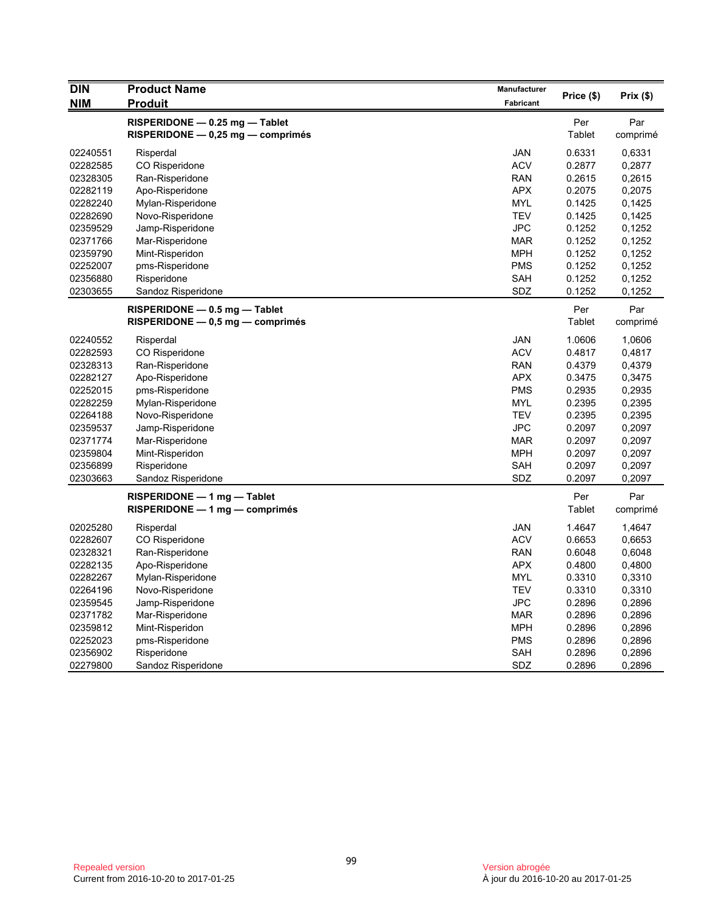| <b>DIN</b> | <b>Product Name</b>                                                 | Manufacturer     | Price (\$)    | Prix(\$)        |
|------------|---------------------------------------------------------------------|------------------|---------------|-----------------|
| <b>NIM</b> | <b>Produit</b>                                                      | <b>Fabricant</b> |               |                 |
|            | RISPERIDONE - 0.25 mg - Tablet<br>RISPERIDONE - 0,25 mg - comprimés |                  | Per<br>Tablet | Par<br>comprimé |
| 02240551   | Risperdal                                                           | JAN              | 0.6331        | 0,6331          |
| 02282585   | CO Risperidone                                                      | <b>ACV</b>       | 0.2877        | 0,2877          |
| 02328305   | Ran-Risperidone                                                     | <b>RAN</b>       | 0.2615        | 0,2615          |
| 02282119   | Apo-Risperidone                                                     | <b>APX</b>       | 0.2075        | 0,2075          |
| 02282240   | Mylan-Risperidone                                                   | <b>MYL</b>       | 0.1425        | 0,1425          |
| 02282690   | Novo-Risperidone                                                    | <b>TEV</b>       | 0.1425        | 0,1425          |
| 02359529   | Jamp-Risperidone                                                    | <b>JPC</b>       | 0.1252        | 0,1252          |
| 02371766   | Mar-Risperidone                                                     | <b>MAR</b>       | 0.1252        | 0,1252          |
| 02359790   | Mint-Risperidon                                                     | MPH              | 0.1252        | 0,1252          |
| 02252007   | pms-Risperidone                                                     | <b>PMS</b>       | 0.1252        | 0,1252          |
| 02356880   | Risperidone                                                         | SAH              | 0.1252        | 0,1252          |
| 02303655   | Sandoz Risperidone                                                  | SDZ              | 0.1252        | 0,1252          |
|            | $RISPERIDONE - 0.5 mg - Table$                                      |                  | Per           | Par             |
|            | $RISPERIDONE - 0.5 mg - comprimés$                                  |                  | Tablet        | comprimé        |
| 02240552   | Risperdal                                                           | <b>JAN</b>       | 1.0606        | 1,0606          |
| 02282593   | CO Risperidone                                                      | <b>ACV</b>       | 0.4817        | 0,4817          |
| 02328313   | Ran-Risperidone                                                     | <b>RAN</b>       | 0.4379        | 0,4379          |
| 02282127   | Apo-Risperidone                                                     | <b>APX</b>       | 0.3475        | 0,3475          |
| 02252015   | pms-Risperidone                                                     | <b>PMS</b>       | 0.2935        | 0,2935          |
| 02282259   | Mylan-Risperidone                                                   | <b>MYL</b>       | 0.2395        | 0,2395          |
| 02264188   | Novo-Risperidone                                                    | <b>TEV</b>       | 0.2395        | 0,2395          |
| 02359537   | Jamp-Risperidone                                                    | <b>JPC</b>       | 0.2097        | 0,2097          |
| 02371774   | Mar-Risperidone                                                     | <b>MAR</b>       | 0.2097        | 0,2097          |
| 02359804   | Mint-Risperidon                                                     | MPH              | 0.2097        | 0,2097          |
| 02356899   | Risperidone                                                         | SAH              | 0.2097        | 0,2097          |
| 02303663   | Sandoz Risperidone                                                  | SDZ              | 0.2097        | 0,2097          |
|            | $RISPERIDONE - 1 mg - Table$                                        |                  | Per           | Par             |
|            | $RISPERIDONE - 1 mg - comprimés$                                    |                  | Tablet        | comprimé        |
| 02025280   | Risperdal                                                           | JAN              | 1.4647        | 1,4647          |
| 02282607   | CO Risperidone                                                      | <b>ACV</b>       | 0.6653        | 0,6653          |
| 02328321   | Ran-Risperidone                                                     | <b>RAN</b>       | 0.6048        | 0,6048          |
| 02282135   | Apo-Risperidone                                                     | <b>APX</b>       | 0.4800        | 0,4800          |
| 02282267   | Mylan-Risperidone                                                   | <b>MYL</b>       | 0.3310        | 0,3310          |
| 02264196   | Novo-Risperidone                                                    | <b>TEV</b>       | 0.3310        | 0,3310          |
| 02359545   | Jamp-Risperidone                                                    | <b>JPC</b>       | 0.2896        | 0,2896          |
| 02371782   | Mar-Risperidone                                                     | MAR              | 0.2896        | 0,2896          |
| 02359812   | Mint-Risperidon                                                     | <b>MPH</b>       | 0.2896        | 0,2896          |
| 02252023   | pms-Risperidone                                                     | <b>PMS</b>       | 0.2896        | 0,2896          |
| 02356902   | Risperidone                                                         | SAH              | 0.2896        | 0,2896          |
| 02279800   | Sandoz Risperidone                                                  | SDZ              | 0.2896        | 0,2896          |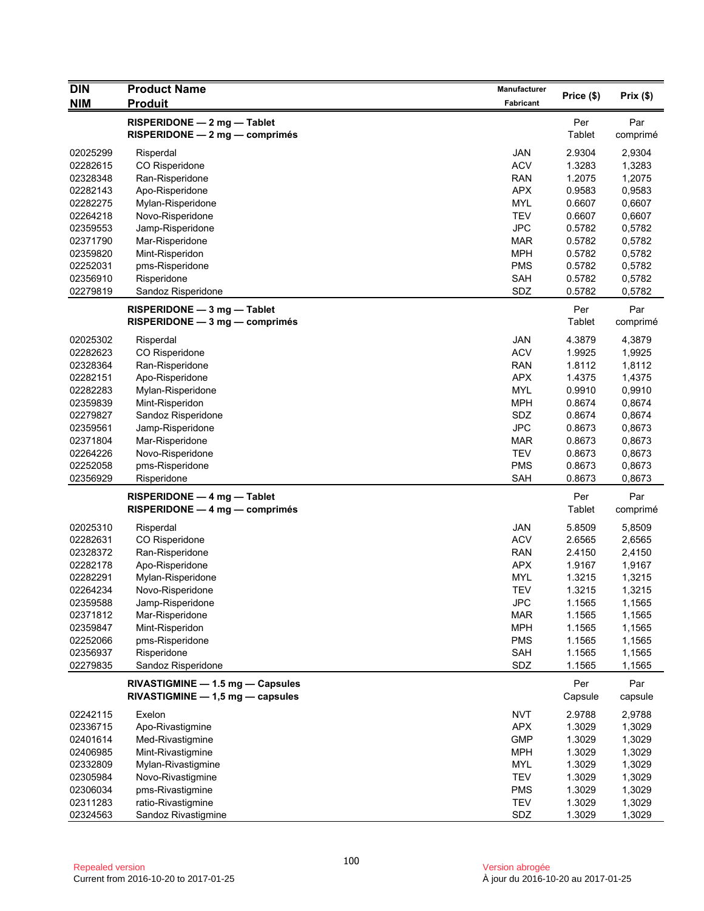| <b>DIN</b> | <b>Product Name</b>                                                    | Manufacturer     |                |                 |
|------------|------------------------------------------------------------------------|------------------|----------------|-----------------|
| <b>NIM</b> | <b>Produit</b>                                                         | <b>Fabricant</b> | Price (\$)     | Prix(\$)        |
|            | RISPERIDONE - 2 mg - Tablet<br>$RISPERIDONE - 2 mg - comprimés$        |                  | Per<br>Tablet  | Par<br>comprimé |
| 02025299   | Risperdal                                                              | <b>JAN</b>       | 2.9304         | 2,9304          |
| 02282615   | CO Risperidone                                                         | <b>ACV</b>       | 1.3283         | 1,3283          |
| 02328348   | Ran-Risperidone                                                        | <b>RAN</b>       | 1.2075         | 1,2075          |
| 02282143   | Apo-Risperidone                                                        | <b>APX</b>       | 0.9583         | 0,9583          |
| 02282275   | Mylan-Risperidone                                                      | <b>MYL</b>       | 0.6607         | 0,6607          |
| 02264218   | Novo-Risperidone                                                       | <b>TEV</b>       | 0.6607         | 0,6607          |
| 02359553   | Jamp-Risperidone                                                       | <b>JPC</b>       | 0.5782         | 0,5782          |
| 02371790   | Mar-Risperidone                                                        | <b>MAR</b>       | 0.5782         | 0,5782          |
| 02359820   | Mint-Risperidon                                                        | <b>MPH</b>       | 0.5782         | 0,5782          |
| 02252031   | pms-Risperidone                                                        | <b>PMS</b>       | 0.5782         | 0,5782          |
| 02356910   | Risperidone                                                            | SAH              | 0.5782         | 0,5782          |
| 02279819   | Sandoz Risperidone                                                     | SDZ              | 0.5782         | 0,5782          |
|            | RISPERIDONE - 3 mg - Tablet<br>RISPERIDONE - 3 mg - comprimés          |                  | Per<br>Tablet  | Par<br>comprimé |
| 02025302   | Risperdal                                                              | <b>JAN</b>       | 4.3879         | 4,3879          |
| 02282623   | CO Risperidone                                                         | <b>ACV</b>       | 1.9925         | 1,9925          |
| 02328364   | Ran-Risperidone                                                        | <b>RAN</b>       | 1.8112         | 1,8112          |
| 02282151   | Apo-Risperidone                                                        | <b>APX</b>       | 1.4375         | 1,4375          |
| 02282283   | Mylan-Risperidone                                                      | <b>MYL</b>       | 0.9910         | 0,9910          |
| 02359839   | Mint-Risperidon                                                        | <b>MPH</b>       | 0.8674         | 0,8674          |
| 02279827   | Sandoz Risperidone                                                     | SDZ              | 0.8674         | 0,8674          |
| 02359561   | Jamp-Risperidone                                                       | <b>JPC</b>       | 0.8673         | 0,8673          |
| 02371804   | Mar-Risperidone                                                        | <b>MAR</b>       | 0.8673         | 0,8673          |
| 02264226   | Novo-Risperidone                                                       | <b>TEV</b>       | 0.8673         | 0,8673          |
| 02252058   | pms-Risperidone                                                        | <b>PMS</b>       | 0.8673         | 0,8673          |
| 02356929   | Risperidone                                                            | <b>SAH</b>       | 0.8673         | 0,8673          |
|            | RISPERIDONE - 4 mg - Tablet<br>$RISPERIDONE - 4 mg - comprimés$        |                  | Per<br>Tablet  | Par<br>comprimé |
| 02025310   | Risperdal                                                              | <b>JAN</b>       | 5.8509         | 5,8509          |
| 02282631   | CO Risperidone                                                         | <b>ACV</b>       | 2.6565         | 2,6565          |
| 02328372   | Ran-Risperidone                                                        | <b>RAN</b>       | 2.4150         | 2,4150          |
| 02282178   | Apo-Risperidone                                                        | <b>APX</b>       | 1.9167         | 1,9167          |
| 02282291   | Mylan-Risperidone                                                      | <b>MYL</b>       | 1.3215         | 1,3215          |
| 02264234   | Novo-Risperidone                                                       | <b>TEV</b>       | 1.3215         | 1,3215          |
| 02359588   | Jamp-Risperidone                                                       | <b>JPC</b>       | 1.1565         | 1,1565          |
| 02371812   | Mar-Risperidone                                                        | <b>MAR</b>       | 1.1565         | 1,1565          |
| 02359847   | Mint-Risperidon                                                        | <b>MPH</b>       | 1.1565         | 1,1565          |
| 02252066   | pms-Risperidone                                                        | <b>PMS</b>       | 1.1565         | 1,1565          |
| 02356937   | Risperidone                                                            | <b>SAH</b>       | 1.1565         | 1,1565          |
| 02279835   | Sandoz Risperidone                                                     | SDZ              | 1.1565         | 1,1565          |
|            | RIVASTIGMINE - 1.5 mg - Capsules<br>$RIVASTIGMINE - 1,5 mg - capsules$ |                  | Per<br>Capsule | Par<br>capsule  |
| 02242115   | Exelon                                                                 | <b>NVT</b>       | 2.9788         | 2,9788          |
| 02336715   | Apo-Rivastigmine                                                       | <b>APX</b>       | 1.3029         | 1,3029          |
| 02401614   | Med-Rivastigmine                                                       | <b>GMP</b>       | 1.3029         | 1,3029          |
| 02406985   | Mint-Rivastigmine                                                      | <b>MPH</b>       | 1.3029         | 1,3029          |
| 02332809   | Mylan-Rivastigmine                                                     | <b>MYL</b>       | 1.3029         | 1,3029          |
| 02305984   | Novo-Rivastigmine                                                      | <b>TEV</b>       | 1.3029         | 1,3029          |
| 02306034   | pms-Rivastigmine                                                       | <b>PMS</b>       | 1.3029         | 1,3029          |
| 02311283   | ratio-Rivastigmine                                                     | <b>TEV</b>       | 1.3029         | 1,3029          |
| 02324563   | Sandoz Rivastigmine                                                    | SDZ              | 1.3029         | 1,3029          |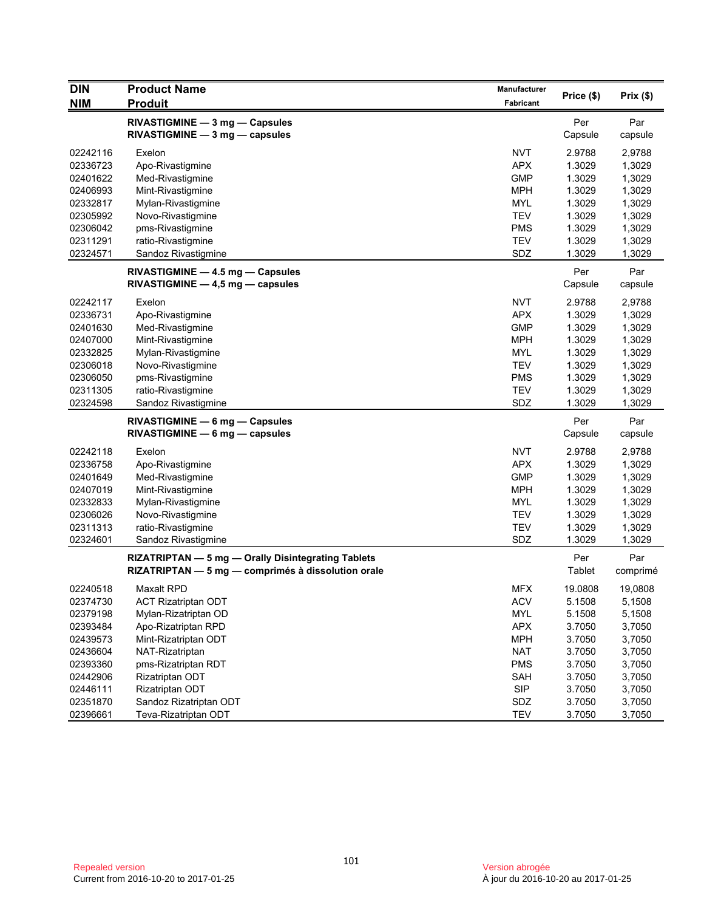| <b>DIN</b> | <b>Product Name</b>                                | Manufacturer | Price (\$) | Prix(\$) |
|------------|----------------------------------------------------|--------------|------------|----------|
| <b>NIM</b> | <b>Produit</b>                                     | Fabricant    |            |          |
|            | RIVASTIGMINE - 3 mg - Capsules                     |              | Per        | Par      |
|            | $RIVASTIGMINE - 3 mg - capsules$                   |              | Capsule    | capsule  |
| 02242116   | Exelon                                             | <b>NVT</b>   | 2.9788     | 2,9788   |
| 02336723   | Apo-Rivastigmine                                   | <b>APX</b>   | 1.3029     | 1,3029   |
| 02401622   | Med-Rivastigmine                                   | <b>GMP</b>   | 1.3029     | 1,3029   |
| 02406993   | Mint-Rivastigmine                                  | <b>MPH</b>   | 1.3029     | 1,3029   |
| 02332817   | Mylan-Rivastigmine                                 | <b>MYL</b>   | 1.3029     | 1,3029   |
| 02305992   | Novo-Rivastigmine                                  | <b>TEV</b>   | 1.3029     | 1,3029   |
| 02306042   | pms-Rivastigmine                                   | <b>PMS</b>   | 1.3029     | 1,3029   |
| 02311291   | ratio-Rivastigmine                                 | <b>TEV</b>   | 1.3029     | 1,3029   |
| 02324571   | Sandoz Rivastigmine                                | SDZ          | 1.3029     | 1,3029   |
|            | RIVASTIGMINE - 4.5 mg - Capsules                   |              | Per        | Par      |
|            | RIVASTIGMINE - 4,5 mg - capsules                   |              | Capsule    | capsule  |
|            |                                                    |              |            |          |
| 02242117   | Exelon                                             | <b>NVT</b>   | 2.9788     | 2,9788   |
| 02336731   | Apo-Rivastigmine                                   | <b>APX</b>   | 1.3029     | 1,3029   |
| 02401630   | Med-Rivastigmine                                   | <b>GMP</b>   | 1.3029     | 1,3029   |
| 02407000   | Mint-Rivastigmine                                  | <b>MPH</b>   | 1.3029     | 1,3029   |
| 02332825   | Mylan-Rivastigmine                                 | <b>MYL</b>   | 1.3029     | 1,3029   |
| 02306018   | Novo-Rivastigmine                                  | <b>TEV</b>   | 1.3029     | 1,3029   |
| 02306050   | pms-Rivastigmine                                   | <b>PMS</b>   | 1.3029     | 1,3029   |
| 02311305   | ratio-Rivastigmine                                 | <b>TEV</b>   | 1.3029     | 1,3029   |
| 02324598   | Sandoz Rivastigmine                                | SDZ          | 1.3029     | 1,3029   |
|            | RIVASTIGMINE - 6 mg - Capsules                     |              | Per        | Par      |
|            | $RIVASTIGMINE - 6 mg - capsules$                   |              | Capsule    | capsule  |
| 02242118   | Exelon                                             | <b>NVT</b>   | 2.9788     | 2,9788   |
| 02336758   | Apo-Rivastigmine                                   | <b>APX</b>   | 1.3029     | 1,3029   |
| 02401649   | Med-Rivastigmine                                   | <b>GMP</b>   | 1.3029     | 1,3029   |
| 02407019   | Mint-Rivastigmine                                  | MPH          | 1.3029     | 1,3029   |
| 02332833   | Mylan-Rivastigmine                                 | <b>MYL</b>   | 1.3029     | 1,3029   |
| 02306026   | Novo-Rivastigmine                                  | <b>TEV</b>   | 1.3029     | 1,3029   |
| 02311313   | ratio-Rivastigmine                                 | <b>TEV</b>   | 1.3029     | 1,3029   |
| 02324601   | Sandoz Rivastigmine                                | SDZ          | 1.3029     | 1,3029   |
|            | RIZATRIPTAN - 5 mg - Orally Disintegrating Tablets |              | Per        | Par      |
|            | RIZATRIPTAN - 5 mg - comprimés à dissolution orale |              | Tablet     | comprimé |
| 02240518   | <b>Maxalt RPD</b>                                  | <b>MFX</b>   | 19.0808    | 19,0808  |
| 02374730   | <b>ACT Rizatriptan ODT</b>                         | <b>ACV</b>   | 5.1508     | 5,1508   |
| 02379198   | Mylan-Rizatriptan OD                               | <b>MYL</b>   | 5.1508     | 5,1508   |
| 02393484   | Apo-Rizatriptan RPD                                | APX          | 3.7050     | 3,7050   |
| 02439573   | Mint-Rizatriptan ODT                               | <b>MPH</b>   | 3.7050     | 3,7050   |
| 02436604   | NAT-Rizatriptan                                    | <b>NAT</b>   | 3.7050     | 3,7050   |
| 02393360   | pms-Rizatriptan RDT                                | <b>PMS</b>   | 3.7050     | 3,7050   |
| 02442906   | Rizatriptan ODT                                    | <b>SAH</b>   | 3.7050     | 3,7050   |
| 02446111   | Rizatriptan ODT                                    | <b>SIP</b>   | 3.7050     | 3,7050   |
| 02351870   | Sandoz Rizatriptan ODT                             | SDZ          | 3.7050     | 3,7050   |
| 02396661   | Teva-Rizatriptan ODT                               | <b>TEV</b>   | 3.7050     | 3,7050   |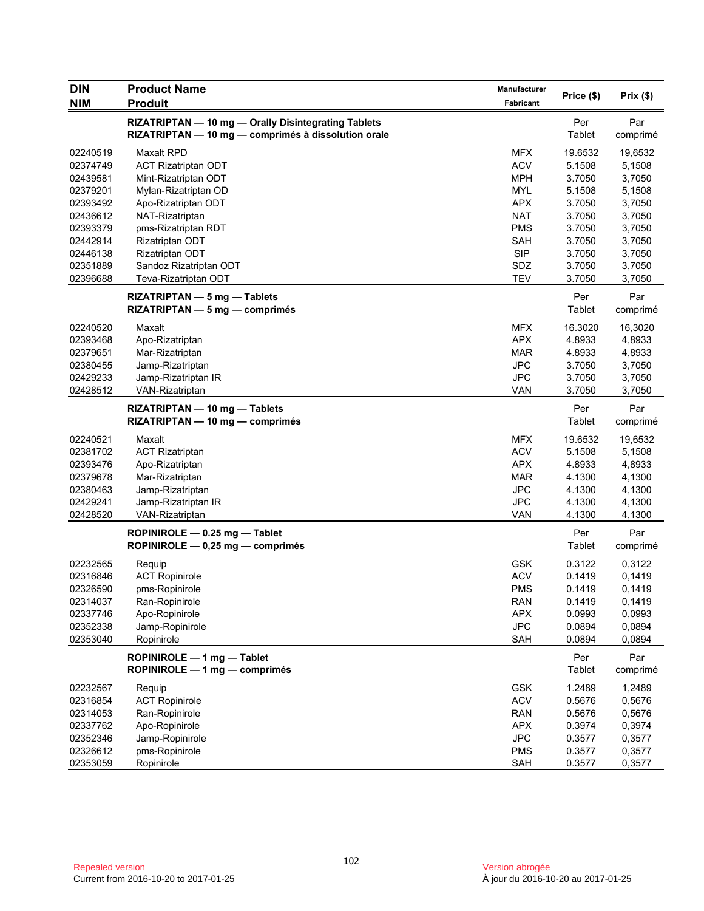| <b>DIN</b>                       | <b>Product Name</b>                                                                                        | <b>Manufacturer</b>                    |                             | Prix(\$)                    |
|----------------------------------|------------------------------------------------------------------------------------------------------------|----------------------------------------|-----------------------------|-----------------------------|
| <b>NIM</b>                       | <b>Produit</b>                                                                                             | <b>Fabricant</b>                       | Price (\$)                  |                             |
|                                  | RIZATRIPTAN - 10 mg - Orally Disintegrating Tablets<br>RIZATRIPTAN - 10 mg - comprimés à dissolution orale |                                        | Per<br><b>Tablet</b>        | Par<br>comprimé             |
| 02240519<br>02374749<br>02439581 | <b>Maxalt RPD</b><br><b>ACT Rizatriptan ODT</b><br>Mint-Rizatriptan ODT                                    | <b>MFX</b><br><b>ACV</b><br><b>MPH</b> | 19.6532<br>5.1508<br>3.7050 | 19,6532<br>5,1508<br>3,7050 |
| 02379201<br>02393492<br>02436612 | Mylan-Rizatriptan OD<br>Apo-Rizatriptan ODT<br>NAT-Rizatriptan                                             | <b>MYL</b><br><b>APX</b><br><b>NAT</b> | 5.1508<br>3.7050<br>3.7050  | 5,1508<br>3,7050<br>3,7050  |
| 02393379<br>02442914<br>02446138 | pms-Rizatriptan RDT<br>Rizatriptan ODT<br>Rizatriptan ODT                                                  | <b>PMS</b><br>SAH<br><b>SIP</b>        | 3.7050<br>3.7050<br>3.7050  | 3,7050<br>3,7050<br>3,7050  |
| 02351889<br>02396688             | Sandoz Rizatriptan ODT<br>Teva-Rizatriptan ODT                                                             | SDZ<br><b>TEV</b>                      | 3.7050<br>3.7050            | 3,7050<br>3,7050            |
|                                  | RIZATRIPTAN - 5 mg - Tablets<br>$RIZATRIPTAN - 5 mg - comprimés$                                           |                                        | Per<br><b>Tablet</b>        | Par<br>comprimé             |
| 02240520<br>02393468<br>02379651 | Maxalt<br>Apo-Rizatriptan<br>Mar-Rizatriptan                                                               | <b>MFX</b><br><b>APX</b><br>MAR        | 16.3020<br>4.8933<br>4.8933 | 16,3020<br>4,8933<br>4,8933 |
| 02380455<br>02429233<br>02428512 | Jamp-Rizatriptan<br>Jamp-Rizatriptan IR<br>VAN-Rizatriptan                                                 | JPC<br><b>JPC</b><br><b>VAN</b>        | 3.7050<br>3.7050<br>3.7050  | 3,7050<br>3,7050<br>3,7050  |
|                                  | RIZATRIPTAN - 10 mg - Tablets<br>RIZATRIPTAN - 10 mg - comprimés                                           |                                        | Per<br>Tablet               | Par<br>comprimé             |
| 02240521<br>02381702<br>02393476 | Maxalt<br><b>ACT Rizatriptan</b><br>Apo-Rizatriptan                                                        | <b>MFX</b><br><b>ACV</b><br><b>APX</b> | 19.6532<br>5.1508<br>4.8933 | 19,6532<br>5,1508<br>4,8933 |
| 02379678<br>02380463<br>02429241 | Mar-Rizatriptan<br>Jamp-Rizatriptan<br>Jamp-Rizatriptan IR                                                 | <b>MAR</b><br><b>JPC</b><br><b>JPC</b> | 4.1300<br>4.1300<br>4.1300  | 4,1300<br>4,1300<br>4,1300  |
| 02428520                         | VAN-Rizatriptan<br>ROPINIROLE - 0.25 mg - Tablet                                                           | VAN                                    | 4.1300<br>Per               | 4,1300<br>Par               |
| 02232565                         | ROPINIROLE - 0,25 mg - comprimés<br>Reguip                                                                 | <b>GSK</b>                             | Tablet<br>0.3122            | comprimé<br>0,3122          |
| 02316846<br>02326590             | <b>ACT Ropinirole</b><br>pms-Ropinirole                                                                    | <b>ACV</b><br><b>PMS</b>               | 0.1419<br>0.1419            | 0,1419<br>0,1419            |
| 02314037<br>02337746<br>02352338 | Ran-Ropinirole<br>Apo-Ropinirole<br>Jamp-Ropinirole                                                        | <b>RAN</b><br><b>APX</b><br><b>JPC</b> | 0.1419<br>0.0993<br>0.0894  | 0,1419<br>0,0993<br>0,0894  |
| 02353040                         | Ropinirole<br>ROPINIROLE - 1 mg - Tablet                                                                   | SAH                                    | 0.0894<br>Per               | 0,0894<br>Par               |
| 02232567                         | ROPINIROLE - 1 mg - comprimés<br>Requip                                                                    | GSK                                    | Tablet<br>1.2489            | comprimé<br>1,2489          |
| 02316854<br>02314053<br>02337762 | <b>ACT Ropinirole</b><br>Ran-Ropinirole                                                                    | <b>ACV</b><br><b>RAN</b><br><b>APX</b> | 0.5676<br>0.5676<br>0.3974  | 0,5676<br>0,5676<br>0,3974  |
| 02352346<br>02326612             | Apo-Ropinirole<br>Jamp-Ropinirole<br>pms-Ropinirole                                                        | <b>JPC</b><br><b>PMS</b>               | 0.3577<br>0.3577            | 0,3577<br>0,3577            |
| 02353059                         | Ropinirole                                                                                                 | SAH                                    | 0.3577                      | 0,3577                      |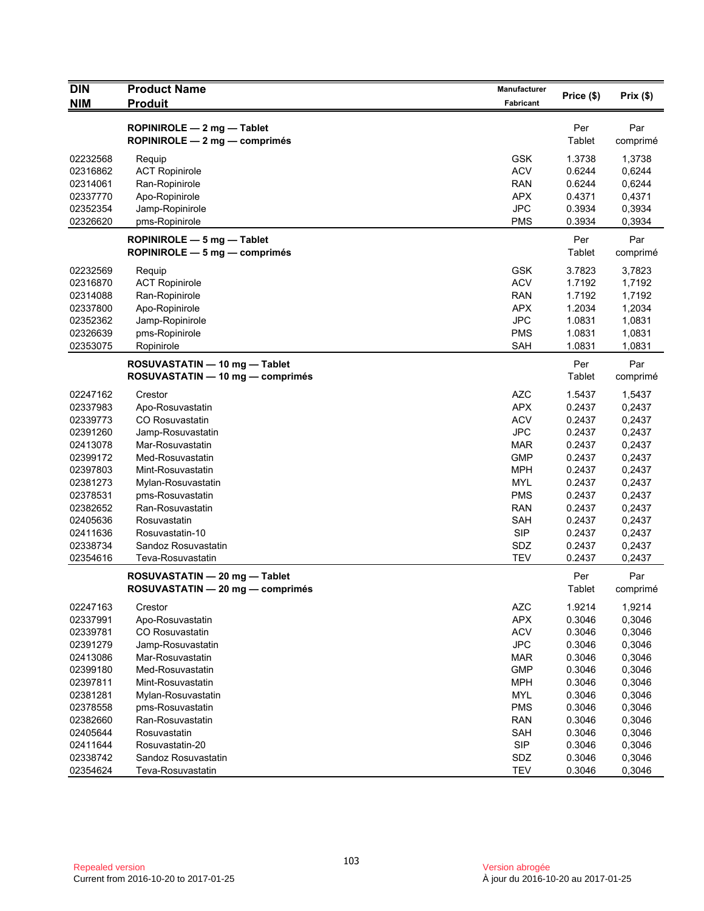| <b>DIN</b><br><b>NIM</b> | <b>Product Name</b><br><b>Produit</b>                             | Manufacturer<br>Fabricant | Price (\$)       | Prix(\$)         |
|--------------------------|-------------------------------------------------------------------|---------------------------|------------------|------------------|
|                          |                                                                   |                           |                  |                  |
|                          | ROPINIROLE - 2 mg - Tablet                                        |                           | Per              | Par              |
|                          | ROPINIROLE - 2 mg - comprimés                                     |                           | Tablet           | comprimé         |
| 02232568                 | Requip                                                            | <b>GSK</b>                | 1.3738           | 1,3738           |
| 02316862                 | <b>ACT Ropinirole</b>                                             | <b>ACV</b>                | 0.6244           | 0,6244           |
| 02314061                 | Ran-Ropinirole                                                    | <b>RAN</b>                | 0.6244           | 0,6244           |
| 02337770                 | Apo-Ropinirole                                                    | <b>APX</b>                | 0.4371           | 0,4371           |
| 02352354                 | Jamp-Ropinirole                                                   | <b>JPC</b>                | 0.3934           | 0,3934           |
| 02326620                 | pms-Ropinirole                                                    | <b>PMS</b>                | 0.3934           | 0,3934           |
|                          | ROPINIROLE - 5 mg - Tablet<br>ROPINIROLE - 5 mg - comprimés       |                           | Per<br>Tablet    | Par<br>comprimé  |
|                          |                                                                   |                           |                  |                  |
| 02232569                 | Requip                                                            | <b>GSK</b>                | 3.7823           | 3,7823           |
| 02316870                 | <b>ACT Ropinirole</b>                                             | <b>ACV</b>                | 1.7192           | 1,7192           |
| 02314088                 | Ran-Ropinirole                                                    | <b>RAN</b>                | 1.7192           | 1,7192           |
| 02337800                 | Apo-Ropinirole                                                    | <b>APX</b>                | 1.2034           | 1,2034           |
| 02352362                 | Jamp-Ropinirole                                                   | <b>JPC</b>                | 1.0831           | 1,0831           |
| 02326639<br>02353075     | pms-Ropinirole<br>Ropinirole                                      | <b>PMS</b><br><b>SAH</b>  | 1.0831<br>1.0831 | 1,0831<br>1,0831 |
|                          |                                                                   |                           |                  |                  |
|                          | ROSUVASTATIN - 10 mg - Tablet<br>ROSUVASTATIN - 10 mg - comprimés |                           | Per<br>Tablet    | Par<br>comprimé  |
| 02247162                 | Crestor                                                           | <b>AZC</b>                | 1.5437           | 1,5437           |
| 02337983                 | Apo-Rosuvastatin                                                  | <b>APX</b>                | 0.2437           | 0,2437           |
| 02339773                 | <b>CO Rosuvastatin</b>                                            | <b>ACV</b>                | 0.2437           | 0,2437           |
| 02391260                 | Jamp-Rosuvastatin                                                 | <b>JPC</b>                | 0.2437           | 0,2437           |
| 02413078                 | Mar-Rosuvastatin                                                  | <b>MAR</b>                | 0.2437           | 0,2437           |
| 02399172                 | Med-Rosuvastatin                                                  | <b>GMP</b>                | 0.2437           | 0,2437           |
| 02397803                 | Mint-Rosuvastatin                                                 | <b>MPH</b>                | 0.2437           | 0,2437           |
| 02381273                 | Mylan-Rosuvastatin                                                | <b>MYL</b>                | 0.2437           | 0,2437           |
| 02378531                 | pms-Rosuvastatin                                                  | <b>PMS</b>                | 0.2437           | 0,2437           |
| 02382652                 | Ran-Rosuvastatin                                                  | <b>RAN</b>                | 0.2437           | 0,2437           |
| 02405636                 | Rosuvastatin                                                      | <b>SAH</b>                | 0.2437           | 0,2437           |
| 02411636                 | Rosuvastatin-10                                                   | <b>SIP</b>                | 0.2437           | 0,2437           |
| 02338734                 | Sandoz Rosuvastatin                                               | <b>SDZ</b>                | 0.2437           | 0,2437           |
| 02354616                 | Teva-Rosuvastatin                                                 | <b>TEV</b>                | 0.2437           | 0,2437           |
|                          | ROSUVASTATIN - 20 mg - Tablet                                     |                           | Per              | Par              |
|                          | ROSUVASTATIN - 20 mg - comprimés                                  |                           | Tablet           | comprimé         |
| 02247163                 | Crestor                                                           | <b>AZC</b>                | 1.9214           | 1,9214           |
| 02337991                 | Apo-Rosuvastatin                                                  | <b>APX</b>                | 0.3046           | 0,3046           |
| 02339781                 | CO Rosuvastatin                                                   | <b>ACV</b>                | 0.3046           | 0,3046           |
| 02391279                 | Jamp-Rosuvastatin                                                 | <b>JPC</b>                | 0.3046           | 0,3046           |
| 02413086                 | Mar-Rosuvastatin                                                  | <b>MAR</b>                | 0.3046           | 0,3046           |
| 02399180                 | Med-Rosuvastatin                                                  | <b>GMP</b>                | 0.3046           | 0,3046           |
| 02397811                 | Mint-Rosuvastatin                                                 | <b>MPH</b>                | 0.3046           | 0,3046           |
| 02381281                 | Mylan-Rosuvastatin                                                | <b>MYL</b>                | 0.3046           | 0,3046           |
| 02378558                 | pms-Rosuvastatin                                                  | <b>PMS</b>                | 0.3046           | 0,3046           |
| 02382660                 | Ran-Rosuvastatin                                                  | <b>RAN</b>                | 0.3046           | 0,3046           |
| 02405644                 | Rosuvastatin                                                      | SAH                       | 0.3046           | 0,3046           |
| 02411644                 | Rosuvastatin-20                                                   | <b>SIP</b>                | 0.3046           | 0,3046           |
| 02338742                 | Sandoz Rosuvastatin                                               | SDZ                       | 0.3046           | 0,3046           |
| 02354624                 | Teva-Rosuvastatin                                                 | <b>TEV</b>                | 0.3046           | 0,3046           |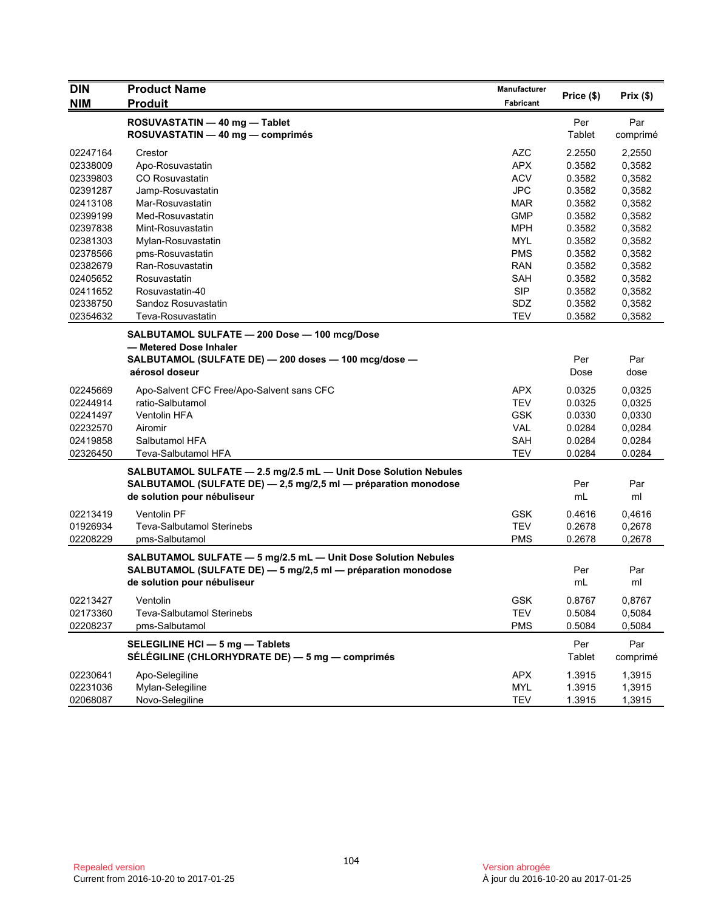| <b>DIN</b>                                                                                               | <b>Product Name</b>                                                                                                                                                   | Manufacturer                                                                                                        | Price (\$)                                                                   | Prix(\$)                                                                               |
|----------------------------------------------------------------------------------------------------------|-----------------------------------------------------------------------------------------------------------------------------------------------------------------------|---------------------------------------------------------------------------------------------------------------------|------------------------------------------------------------------------------|----------------------------------------------------------------------------------------|
| <b>NIM</b>                                                                                               | <b>Produit</b>                                                                                                                                                        | <b>Fabricant</b>                                                                                                    |                                                                              |                                                                                        |
|                                                                                                          | ROSUVASTATIN - 40 mg - Tablet<br>ROSUVASTATIN - 40 mg - comprimés                                                                                                     |                                                                                                                     | Per<br>Tablet                                                                | Par<br>comprimé                                                                        |
| 02247164<br>02338009<br>02339803<br>02391287                                                             | Crestor<br>Apo-Rosuvastatin<br><b>CO Rosuvastatin</b><br>Jamp-Rosuvastatin<br>Mar-Rosuvastatin                                                                        | <b>AZC</b><br><b>APX</b><br><b>ACV</b><br><b>JPC</b>                                                                | 2.2550<br>0.3582<br>0.3582<br>0.3582<br>0.3582                               | 2,2550<br>0,3582<br>0,3582<br>0,3582                                                   |
| 02413108<br>02399199<br>02397838<br>02381303<br>02378566<br>02382679<br>02405652<br>02411652<br>02338750 | Med-Rosuvastatin<br>Mint-Rosuvastatin<br>Mylan-Rosuvastatin<br>pms-Rosuvastatin<br>Ran-Rosuvastatin<br>Rosuvastatin<br>Rosuvastatin-40<br>Sandoz Rosuvastatin         | <b>MAR</b><br><b>GMP</b><br><b>MPH</b><br><b>MYL</b><br><b>PMS</b><br><b>RAN</b><br><b>SAH</b><br><b>SIP</b><br>SDZ | 0.3582<br>0.3582<br>0.3582<br>0.3582<br>0.3582<br>0.3582<br>0.3582<br>0.3582 | 0,3582<br>0,3582<br>0,3582<br>0,3582<br>0,3582<br>0,3582<br>0,3582<br>0,3582<br>0,3582 |
| 02354632                                                                                                 | Teva-Rosuvastatin<br>SALBUTAMOL SULFATE - 200 Dose - 100 mcg/Dose<br>- Metered Dose Inhaler<br>SALBUTAMOL (SULFATE DE) - 200 doses - 100 mcg/dose -<br>aérosol doseur | <b>TEV</b>                                                                                                          | 0.3582<br>Per<br>Dose                                                        | 0,3582<br>Par<br>dose                                                                  |
| 02245669<br>02244914<br>02241497<br>02232570<br>02419858<br>02326450                                     | Apo-Salvent CFC Free/Apo-Salvent sans CFC<br>ratio-Salbutamol<br><b>Ventolin HFA</b><br>Airomir<br>Salbutamol HFA<br>Teva-Salbutamol HFA                              | <b>APX</b><br><b>TEV</b><br><b>GSK</b><br><b>VAL</b><br><b>SAH</b><br><b>TEV</b>                                    | 0.0325<br>0.0325<br>0.0330<br>0.0284<br>0.0284<br>0.0284                     | 0,0325<br>0,0325<br>0,0330<br>0,0284<br>0,0284<br>0.0284                               |
|                                                                                                          | SALBUTAMOL SULFATE - 2.5 mg/2.5 mL - Unit Dose Solution Nebules<br>SALBUTAMOL (SULFATE DE) - 2,5 mg/2,5 ml - préparation monodose<br>de solution pour nébuliseur      |                                                                                                                     | Per<br>mL                                                                    | Par<br>ml                                                                              |
| 02213419<br>01926934<br>02208229                                                                         | <b>Ventolin PF</b><br><b>Teva-Salbutamol Sterinebs</b><br>pms-Salbutamol                                                                                              | <b>GSK</b><br><b>TEV</b><br><b>PMS</b>                                                                              | 0.4616<br>0.2678<br>0.2678                                                   | 0,4616<br>0,2678<br>0,2678                                                             |
|                                                                                                          | SALBUTAMOL SULFATE - 5 mg/2.5 mL - Unit Dose Solution Nebules<br>SALBUTAMOL (SULFATE DE) - 5 mg/2,5 ml - préparation monodose<br>de solution pour nébuliseur          |                                                                                                                     | Per<br>mL                                                                    | Par<br>ml                                                                              |
| 02213427<br>02173360<br>02208237                                                                         | Ventolin<br><b>Teva-Salbutamol Sterinebs</b><br>pms-Salbutamol                                                                                                        | <b>GSK</b><br><b>TEV</b><br><b>PMS</b>                                                                              | 0.8767<br>0.5084<br>0.5084                                                   | 0,8767<br>0,5084<br>0,5084                                                             |
|                                                                                                          | SELEGILINE HCI - 5 mg - Tablets<br>SÉLÉGILINE (CHLORHYDRATE DE) - 5 mg - comprimés                                                                                    |                                                                                                                     | Per<br>Tablet                                                                | Par<br>comprimé                                                                        |
| 02230641<br>02231036<br>02068087                                                                         | Apo-Selegiline<br>Mylan-Selegiline<br>Novo-Selegiline                                                                                                                 | <b>APX</b><br>MYL<br><b>TEV</b>                                                                                     | 1.3915<br>1.3915<br>1.3915                                                   | 1,3915<br>1,3915<br>1,3915                                                             |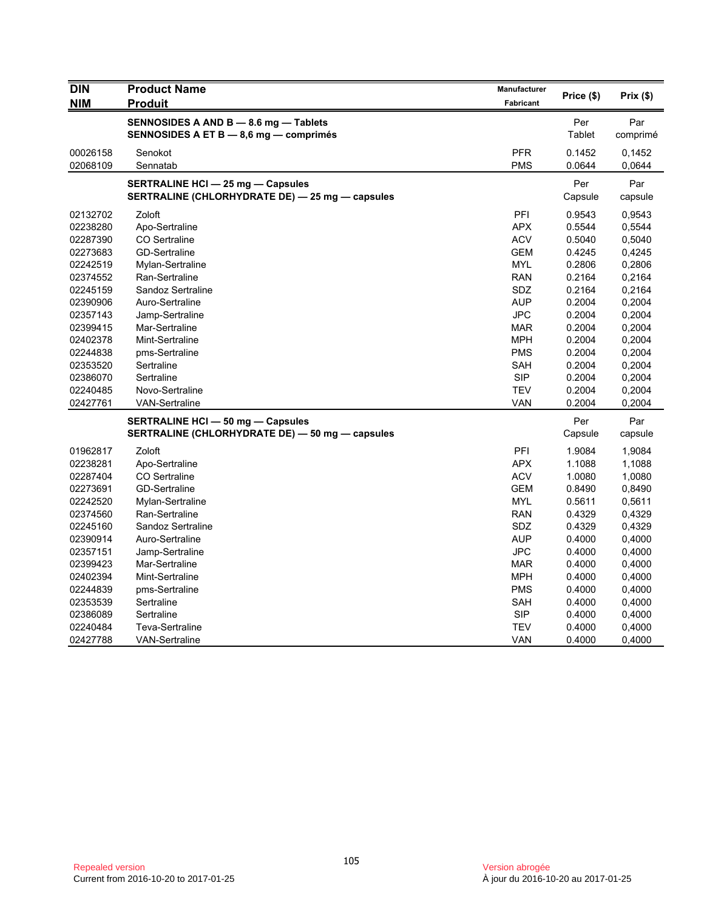| <b>DIN</b> | <b>Product Name</b>                             | <b>Manufacturer</b> | Price (\$) | Prix(\$) |
|------------|-------------------------------------------------|---------------------|------------|----------|
| <b>NIM</b> | <b>Produit</b>                                  | Fabricant           |            |          |
|            | SENNOSIDES A AND B - 8.6 mg - Tablets           |                     | Per        | Par      |
|            | SENNOSIDES A ET B - 8,6 mg - comprimés          |                     | Tablet     | comprimé |
| 00026158   | Senokot                                         | <b>PFR</b>          | 0.1452     | 0,1452   |
| 02068109   | Sennatab                                        | <b>PMS</b>          | 0.0644     | 0,0644   |
|            | <b>SERTRALINE HCI - 25 mg - Capsules</b>        |                     | Per        | Par      |
|            | SERTRALINE (CHLORHYDRATE DE) - 25 mg - capsules |                     | Capsule    | capsule  |
| 02132702   | Zoloft                                          | PFI                 | 0.9543     | 0,9543   |
| 02238280   | Apo-Sertraline                                  | <b>APX</b>          | 0.5544     | 0,5544   |
| 02287390   | <b>CO</b> Sertraline                            | <b>ACV</b>          | 0.5040     | 0,5040   |
| 02273683   | <b>GD-Sertraline</b>                            | <b>GEM</b>          | 0.4245     | 0,4245   |
| 02242519   | Mylan-Sertraline                                | <b>MYL</b>          | 0.2806     | 0,2806   |
| 02374552   | Ran-Sertraline                                  | <b>RAN</b>          | 0.2164     | 0,2164   |
| 02245159   | Sandoz Sertraline                               | <b>SDZ</b>          | 0.2164     | 0,2164   |
| 02390906   | Auro-Sertraline                                 | <b>AUP</b>          | 0.2004     | 0,2004   |
| 02357143   | Jamp-Sertraline                                 | <b>JPC</b>          | 0.2004     | 0,2004   |
| 02399415   | Mar-Sertraline                                  | <b>MAR</b>          | 0.2004     | 0,2004   |
| 02402378   | Mint-Sertraline                                 | <b>MPH</b>          | 0.2004     | 0,2004   |
| 02244838   | pms-Sertraline                                  | <b>PMS</b>          | 0.2004     | 0,2004   |
| 02353520   | Sertraline                                      | SAH                 | 0.2004     | 0,2004   |
| 02386070   | Sertraline                                      | <b>SIP</b>          | 0.2004     | 0,2004   |
| 02240485   | Novo-Sertraline                                 | <b>TEV</b>          | 0.2004     | 0,2004   |
| 02427761   | VAN-Sertraline                                  | VAN                 | 0.2004     | 0,2004   |
|            | <b>SERTRALINE HCI - 50 mg - Capsules</b>        |                     | Per        | Par      |
|            | SERTRALINE (CHLORHYDRATE DE) - 50 mg - capsules |                     | Capsule    | capsule  |
| 01962817   | Zoloft                                          | PFI                 | 1.9084     | 1,9084   |
| 02238281   | Apo-Sertraline                                  | <b>APX</b>          | 1.1088     | 1,1088   |
| 02287404   | <b>CO</b> Sertraline                            | <b>ACV</b>          | 1.0080     | 1,0080   |
| 02273691   | <b>GD-Sertraline</b>                            | GEM                 | 0.8490     | 0,8490   |
| 02242520   | Mylan-Sertraline                                | <b>MYL</b>          | 0.5611     | 0,5611   |
| 02374560   | Ran-Sertraline                                  | <b>RAN</b>          | 0.4329     | 0,4329   |
| 02245160   | Sandoz Sertraline                               | SDZ                 | 0.4329     | 0,4329   |
| 02390914   | Auro-Sertraline                                 | <b>AUP</b>          | 0.4000     | 0,4000   |
| 02357151   | Jamp-Sertraline                                 | <b>JPC</b>          | 0.4000     | 0,4000   |
| 02399423   | Mar-Sertraline                                  | MAR                 | 0.4000     | 0,4000   |
| 02402394   | Mint-Sertraline                                 | <b>MPH</b>          | 0.4000     | 0,4000   |
| 02244839   | pms-Sertraline                                  | <b>PMS</b>          | 0.4000     | 0,4000   |
| 02353539   | Sertraline                                      | SAH                 | 0.4000     | 0,4000   |
| 02386089   | Sertraline                                      | <b>SIP</b>          | 0.4000     | 0,4000   |
| 02240484   | <b>Teva-Sertraline</b>                          | <b>TEV</b>          | 0.4000     | 0,4000   |
| 02427788   | <b>VAN-Sertraline</b>                           | VAN                 | 0.4000     | 0,4000   |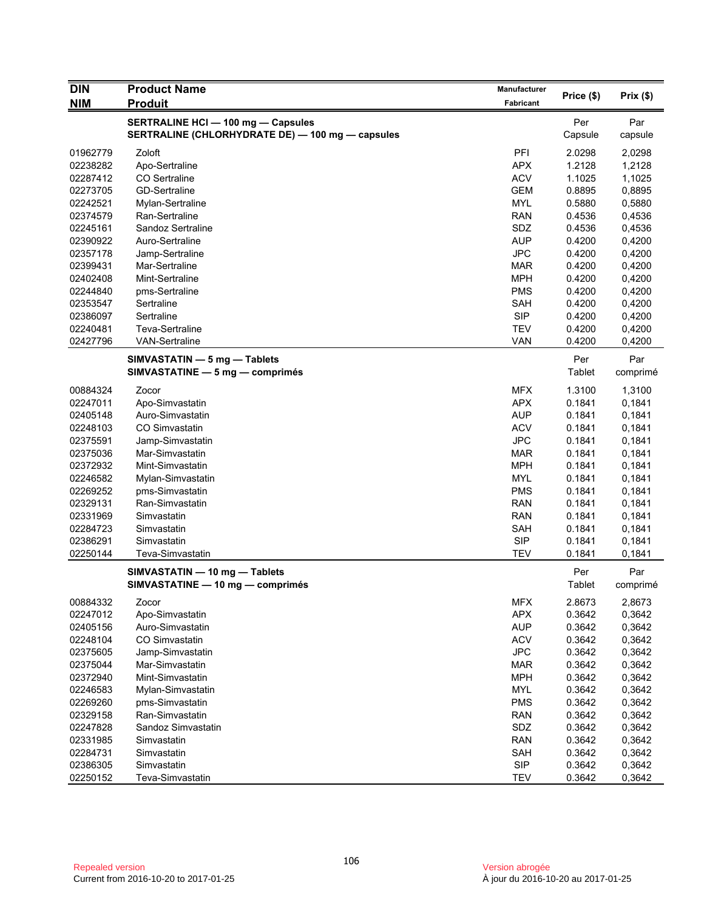| <b>DIN</b> | <b>Product Name</b>                                                                           | Manufacturer |                |                 |
|------------|-----------------------------------------------------------------------------------------------|--------------|----------------|-----------------|
| <b>NIM</b> | <b>Produit</b>                                                                                | Fabricant    | Price (\$)     | Prix(\$)        |
|            | <b>SERTRALINE HCI - 100 mg - Capsules</b><br>SERTRALINE (CHLORHYDRATE DE) - 100 mg - capsules |              | Per<br>Capsule | Par<br>capsule  |
| 01962779   | Zoloft                                                                                        | PFI          | 2.0298         | 2,0298          |
| 02238282   | Apo-Sertraline                                                                                | <b>APX</b>   | 1.2128         | 1,2128          |
| 02287412   | CO Sertraline                                                                                 | <b>ACV</b>   | 1.1025         | 1,1025          |
| 02273705   | <b>GD-Sertraline</b>                                                                          | <b>GEM</b>   | 0.8895         | 0,8895          |
| 02242521   | Mylan-Sertraline                                                                              | <b>MYL</b>   | 0.5880         | 0,5880          |
| 02374579   | Ran-Sertraline                                                                                | <b>RAN</b>   | 0.4536         | 0,4536          |
| 02245161   | Sandoz Sertraline                                                                             | SDZ          | 0.4536         | 0,4536          |
| 02390922   | Auro-Sertraline                                                                               | <b>AUP</b>   | 0.4200         | 0,4200          |
| 02357178   | Jamp-Sertraline                                                                               | <b>JPC</b>   | 0.4200         | 0,4200          |
| 02399431   | Mar-Sertraline                                                                                | <b>MAR</b>   | 0.4200         | 0,4200          |
| 02402408   | Mint-Sertraline                                                                               | <b>MPH</b>   | 0.4200         | 0,4200          |
| 02244840   | pms-Sertraline                                                                                | <b>PMS</b>   | 0.4200         | 0,4200          |
| 02353547   | Sertraline                                                                                    | <b>SAH</b>   | 0.4200         | 0,4200          |
| 02386097   | Sertraline                                                                                    | <b>SIP</b>   | 0.4200         | 0,4200          |
| 02240481   | Teva-Sertraline                                                                               | <b>TEV</b>   | 0.4200         | 0,4200          |
| 02427796   | <b>VAN-Sertraline</b>                                                                         | <b>VAN</b>   | 0.4200         | 0,4200          |
|            | SIMVASTATIN - 5 mg - Tablets<br>SIMVASTATINE - 5 mg - comprimés                               |              | Per<br>Tablet  | Par<br>comprimé |
| 00884324   | Zocor                                                                                         | <b>MFX</b>   | 1.3100         | 1,3100          |
| 02247011   | Apo-Simvastatin                                                                               | <b>APX</b>   | 0.1841         | 0,1841          |
| 02405148   | Auro-Simvastatin                                                                              | <b>AUP</b>   | 0.1841         | 0,1841          |
| 02248103   | CO Simvastatin                                                                                | <b>ACV</b>   | 0.1841         | 0,1841          |
| 02375591   | Jamp-Simvastatin                                                                              | <b>JPC</b>   | 0.1841         | 0,1841          |
| 02375036   | Mar-Simvastatin                                                                               | <b>MAR</b>   | 0.1841         | 0,1841          |
| 02372932   | Mint-Simvastatin                                                                              | <b>MPH</b>   | 0.1841         | 0,1841          |
| 02246582   | Mylan-Simvastatin                                                                             | <b>MYL</b>   | 0.1841         | 0,1841          |
| 02269252   | pms-Simvastatin                                                                               | <b>PMS</b>   | 0.1841         | 0,1841          |
| 02329131   | Ran-Simvastatin                                                                               | <b>RAN</b>   | 0.1841         | 0,1841          |
| 02331969   | Simvastatin                                                                                   | <b>RAN</b>   | 0.1841         | 0,1841          |
| 02284723   | Simvastatin                                                                                   | <b>SAH</b>   | 0.1841         | 0,1841          |
| 02386291   | Simvastatin                                                                                   | <b>SIP</b>   | 0.1841         | 0,1841          |
| 02250144   | Teva-Simvastatin                                                                              | <b>TEV</b>   | 0.1841         | 0,1841          |
|            | SIMVASTATIN - 10 mg - Tablets<br>SIMVASTATINE - 10 mg - comprimés                             |              | Per<br>Tablet  | Par<br>comprimé |
| 00884332   | Zocor                                                                                         | <b>MFX</b>   | 2.8673         | 2,8673          |
| 02247012   | Apo-Simvastatin                                                                               | <b>APX</b>   | 0.3642         | 0,3642          |
| 02405156   | Auro-Simvastatin                                                                              | <b>AUP</b>   | 0.3642         | 0,3642          |
| 02248104   | CO Simvastatin                                                                                | <b>ACV</b>   | 0.3642         | 0,3642          |
| 02375605   | Jamp-Simvastatin                                                                              | <b>JPC</b>   | 0.3642         | 0,3642          |
| 02375044   | Mar-Simvastatin                                                                               | <b>MAR</b>   | 0.3642         | 0,3642          |
| 02372940   | Mint-Simvastatin                                                                              | <b>MPH</b>   | 0.3642         | 0,3642          |
| 02246583   | Mylan-Simvastatin                                                                             | <b>MYL</b>   | 0.3642         | 0,3642          |
| 02269260   | pms-Simvastatin                                                                               | <b>PMS</b>   | 0.3642         | 0,3642          |
| 02329158   | Ran-Simvastatin                                                                               | <b>RAN</b>   | 0.3642         | 0,3642          |
| 02247828   | Sandoz Simvastatin                                                                            | SDZ          | 0.3642         | 0,3642          |
| 02331985   | Simvastatin                                                                                   | <b>RAN</b>   | 0.3642         | 0,3642          |
| 02284731   | Simvastatin                                                                                   | SAH          | 0.3642         | 0,3642          |
| 02386305   | Simvastatin                                                                                   | <b>SIP</b>   | 0.3642         | 0,3642          |
| 02250152   | Teva-Simvastatin                                                                              | <b>TEV</b>   | 0.3642         | 0,3642          |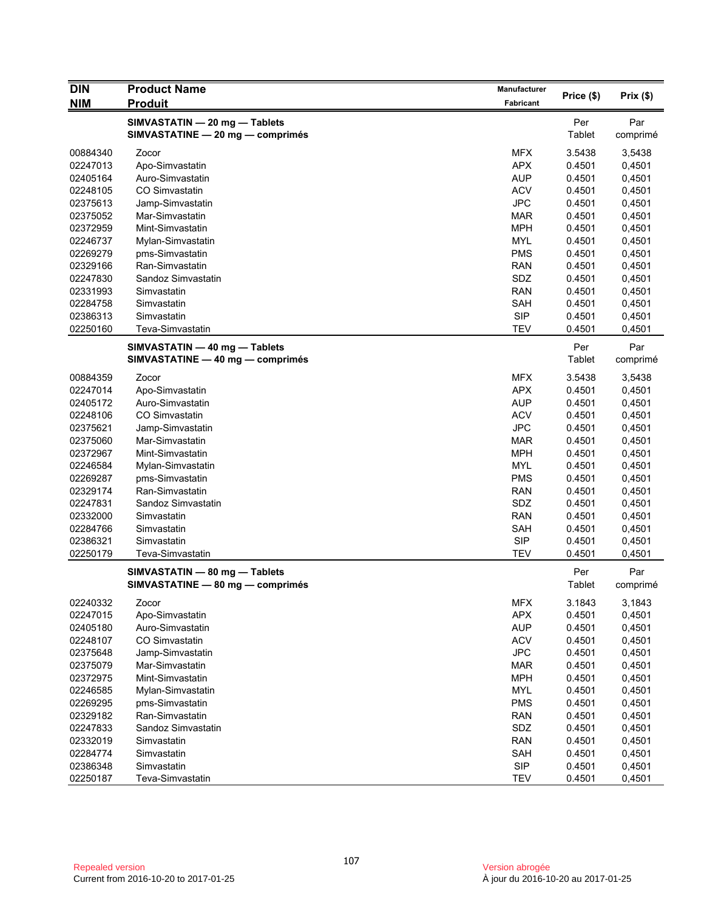| <b>DIN</b> | <b>Product Name</b>                                               | Manufacturer |                      |                 |
|------------|-------------------------------------------------------------------|--------------|----------------------|-----------------|
| <b>NIM</b> | <b>Produit</b>                                                    | Fabricant    | Price (\$)           | Prix(\$)        |
|            | SIMVASTATIN - 20 mg - Tablets<br>SIMVASTATINE - 20 mg - comprimés |              | Per<br><b>Tablet</b> | Par<br>comprimé |
| 00884340   | Zocor                                                             | <b>MFX</b>   | 3.5438               | 3,5438          |
| 02247013   | Apo-Simvastatin                                                   | <b>APX</b>   | 0.4501               | 0,4501          |
| 02405164   | Auro-Simvastatin                                                  | <b>AUP</b>   | 0.4501               | 0,4501          |
| 02248105   | CO Simvastatin                                                    | <b>ACV</b>   | 0.4501               | 0,4501          |
| 02375613   | Jamp-Simvastatin                                                  | <b>JPC</b>   | 0.4501               | 0,4501          |
| 02375052   | Mar-Simvastatin                                                   | <b>MAR</b>   | 0.4501               | 0,4501          |
| 02372959   | Mint-Simvastatin                                                  | <b>MPH</b>   | 0.4501               | 0,4501          |
| 02246737   | Mylan-Simvastatin                                                 | <b>MYL</b>   | 0.4501               | 0,4501          |
| 02269279   | pms-Simvastatin                                                   | PMS          | 0.4501               | 0,4501          |
| 02329166   | Ran-Simvastatin                                                   | <b>RAN</b>   | 0.4501               | 0,4501          |
| 02247830   | Sandoz Simvastatin                                                | SDZ          | 0.4501               | 0,4501          |
| 02331993   | Simvastatin                                                       | <b>RAN</b>   | 0.4501               | 0,4501          |
| 02284758   | Simvastatin                                                       | <b>SAH</b>   | 0.4501               | 0,4501          |
| 02386313   | Simvastatin                                                       | <b>SIP</b>   | 0.4501               | 0,4501          |
| 02250160   | Teva-Simvastatin                                                  | <b>TEV</b>   | 0.4501               | 0,4501          |
|            | SIMVASTATIN - 40 mg - Tablets<br>SIMVASTATINE - 40 mg - comprimés |              | Per<br><b>Tablet</b> | Par<br>comprimé |
| 00884359   | Zocor                                                             | <b>MFX</b>   | 3.5438               | 3,5438          |
| 02247014   | Apo-Simvastatin                                                   | <b>APX</b>   | 0.4501               | 0,4501          |
| 02405172   | Auro-Simvastatin                                                  | <b>AUP</b>   | 0.4501               | 0,4501          |
| 02248106   | CO Simvastatin                                                    | <b>ACV</b>   | 0.4501               | 0,4501          |
| 02375621   | Jamp-Simvastatin                                                  | <b>JPC</b>   | 0.4501               | 0,4501          |
| 02375060   | Mar-Simvastatin                                                   | MAR          | 0.4501               | 0,4501          |
| 02372967   | Mint-Simvastatin                                                  | <b>MPH</b>   | 0.4501               | 0,4501          |
| 02246584   | Mylan-Simvastatin                                                 | MYL          | 0.4501               | 0,4501          |
| 02269287   | pms-Simvastatin                                                   | <b>PMS</b>   | 0.4501               | 0,4501          |
| 02329174   | Ran-Simvastatin                                                   | <b>RAN</b>   | 0.4501               | 0,4501          |
| 02247831   | Sandoz Simvastatin                                                | SDZ          | 0.4501               | 0,4501          |
| 02332000   | Simvastatin                                                       | <b>RAN</b>   | 0.4501               | 0,4501          |
| 02284766   | Simvastatin                                                       | <b>SAH</b>   | 0.4501               | 0,4501          |
| 02386321   | Simvastatin                                                       | <b>SIP</b>   | 0.4501               | 0,4501          |
| 02250179   | Teva-Simvastatin                                                  | <b>TEV</b>   | 0.4501               | 0,4501          |
|            | SIMVASTATIN - 80 mg - Tablets<br>SIMVASTATINE - 80 mg - comprimés |              | Per<br>Tablet        | Par<br>comprimé |
| 02240332   | Zocor                                                             | <b>MFX</b>   | 3.1843               | 3,1843          |
| 02247015   | Apo-Simvastatin                                                   | <b>APX</b>   | 0.4501               | 0,4501          |
| 02405180   | Auro-Simvastatin                                                  | <b>AUP</b>   | 0.4501               | 0,4501          |
| 02248107   | CO Simvastatin                                                    | <b>ACV</b>   | 0.4501               | 0,4501          |
| 02375648   | Jamp-Simvastatin                                                  | <b>JPC</b>   | 0.4501               | 0,4501          |
| 02375079   | Mar-Simvastatin                                                   | <b>MAR</b>   | 0.4501               | 0,4501          |
| 02372975   | Mint-Simvastatin                                                  | <b>MPH</b>   | 0.4501               | 0,4501          |
| 02246585   | Mylan-Simvastatin                                                 | <b>MYL</b>   | 0.4501               | 0,4501          |
| 02269295   | pms-Simvastatin                                                   | <b>PMS</b>   | 0.4501               | 0,4501          |
| 02329182   | Ran-Simvastatin                                                   | <b>RAN</b>   | 0.4501               | 0,4501          |
| 02247833   | Sandoz Simvastatin                                                | SDZ          | 0.4501               | 0,4501          |
| 02332019   | Simvastatin                                                       | <b>RAN</b>   | 0.4501               | 0,4501          |
| 02284774   | Simvastatin                                                       | SAH          | 0.4501               | 0,4501          |
| 02386348   | Simvastatin                                                       | <b>SIP</b>   | 0.4501               | 0,4501          |
| 02250187   | Teva-Simvastatin                                                  | <b>TEV</b>   | 0.4501               | 0,4501          |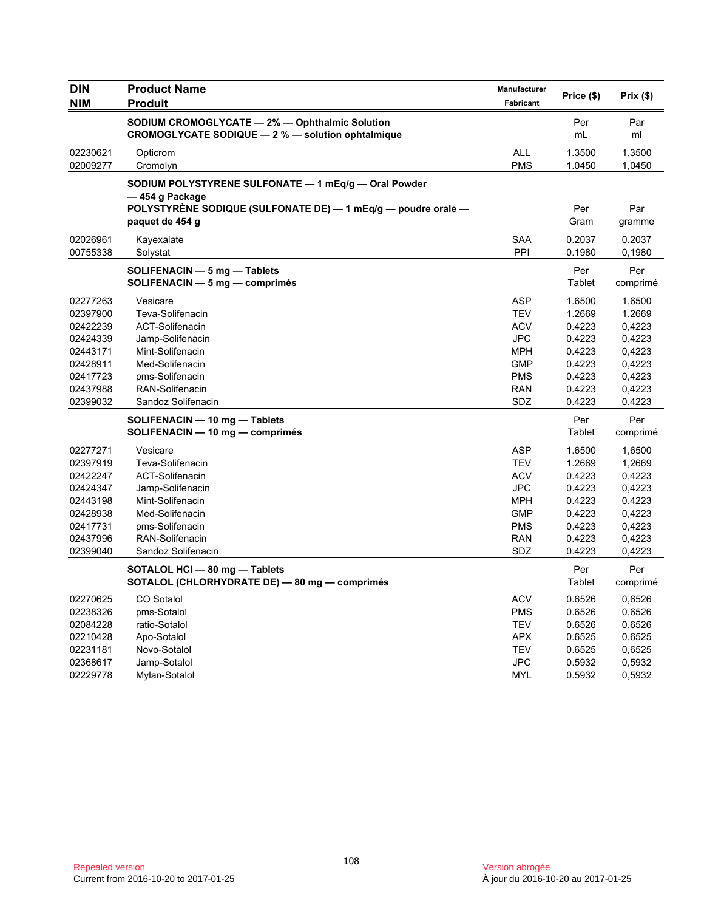| <b>DIN</b><br><b>NIM</b>                                                                                 | <b>Product Name</b><br><b>Produit</b>                                                                                                                                         | Manufacturer<br><b>Fabricant</b>                                                                                    | Price (\$)                                                                             | Prix(\$)                                                                               |
|----------------------------------------------------------------------------------------------------------|-------------------------------------------------------------------------------------------------------------------------------------------------------------------------------|---------------------------------------------------------------------------------------------------------------------|----------------------------------------------------------------------------------------|----------------------------------------------------------------------------------------|
|                                                                                                          | SODIUM CROMOGLYCATE - 2% - Ophthalmic Solution<br>CROMOGLYCATE SODIQUE - 2 % - solution ophtalmique                                                                           |                                                                                                                     | Per<br>mL                                                                              | Par<br>ml                                                                              |
| 02230621<br>02009277                                                                                     | Opticrom<br>Cromolyn                                                                                                                                                          | <b>ALL</b><br><b>PMS</b>                                                                                            | 1.3500<br>1.0450                                                                       | 1,3500<br>1,0450                                                                       |
|                                                                                                          | SODIUM POLYSTYRENE SULFONATE - 1 mEq/g - Oral Powder                                                                                                                          |                                                                                                                     |                                                                                        |                                                                                        |
|                                                                                                          | — 454 g Package<br>POLYSTYRENE SODIQUE (SULFONATE DE) — 1 mEq/g — poudre orale —<br>paquet de 454 g                                                                           |                                                                                                                     | Per<br>Gram                                                                            | Par<br>gramme                                                                          |
| 02026961<br>00755338                                                                                     | Kayexalate<br>Solystat                                                                                                                                                        | <b>SAA</b><br>PPI                                                                                                   | 0.2037<br>0.1980                                                                       | 0,2037<br>0,1980                                                                       |
|                                                                                                          | SOLIFENACIN - 5 mg - Tablets<br>SOLIFENACIN - 5 mg - comprimés                                                                                                                |                                                                                                                     | Per<br>Tablet                                                                          | Per<br>comprimé                                                                        |
| 02277263<br>02397900<br>02422239<br>02424339                                                             | Vesicare<br>Teva-Solifenacin<br><b>ACT-Solifenacin</b><br>Jamp-Solifenacin                                                                                                    | <b>ASP</b><br><b>TEV</b><br><b>ACV</b><br><b>JPC</b>                                                                | 1.6500<br>1.2669<br>0.4223<br>0.4223                                                   | 1,6500<br>1,2669<br>0,4223<br>0,4223                                                   |
| 02443171<br>02428911<br>02417723<br>02437988                                                             | Mint-Solifenacin<br>Med-Solifenacin<br>pms-Solifenacin<br>RAN-Solifenacin                                                                                                     | <b>MPH</b><br><b>GMP</b><br><b>PMS</b><br><b>RAN</b>                                                                | 0.4223<br>0.4223<br>0.4223<br>0.4223                                                   | 0,4223<br>0,4223<br>0,4223<br>0,4223                                                   |
| 02399032                                                                                                 | Sandoz Solifenacin<br>SOLIFENACIN - 10 mg - Tablets<br>SOLIFENACIN - 10 mg - comprimés                                                                                        | <b>SDZ</b>                                                                                                          | 0.4223<br>Per<br>Tablet                                                                | 0,4223<br>Per<br>comprimé                                                              |
| 02277271<br>02397919<br>02422247<br>02424347<br>02443198<br>02428938<br>02417731<br>02437996<br>02399040 | Vesicare<br>Teva-Solifenacin<br><b>ACT-Solifenacin</b><br>Jamp-Solifenacin<br>Mint-Solifenacin<br>Med-Solifenacin<br>pms-Solifenacin<br>RAN-Solifenacin<br>Sandoz Solifenacin | <b>ASP</b><br><b>TEV</b><br><b>ACV</b><br><b>JPC</b><br><b>MPH</b><br><b>GMP</b><br><b>PMS</b><br><b>RAN</b><br>SDZ | 1.6500<br>1.2669<br>0.4223<br>0.4223<br>0.4223<br>0.4223<br>0.4223<br>0.4223<br>0.4223 | 1,6500<br>1,2669<br>0,4223<br>0,4223<br>0,4223<br>0,4223<br>0,4223<br>0,4223<br>0,4223 |
|                                                                                                          | SOTALOL HCI - 80 mg - Tablets<br>SOTALOL (CHLORHYDRATE DE) - 80 mg - comprimés                                                                                                |                                                                                                                     | Per<br>Tablet                                                                          | Per<br>comprimé                                                                        |
| 02270625<br>02238326<br>02084228<br>02210428<br>02231181<br>02368617                                     | CO Sotalol<br>pms-Sotalol<br>ratio-Sotalol<br>Apo-Sotalol<br>Novo-Sotalol<br>Jamp-Sotalol                                                                                     | <b>ACV</b><br><b>PMS</b><br><b>TEV</b><br><b>APX</b><br><b>TEV</b><br><b>JPC</b>                                    | 0.6526<br>0.6526<br>0.6526<br>0.6525<br>0.6525<br>0.5932                               | 0,6526<br>0,6526<br>0,6526<br>0,6525<br>0,6525<br>0,5932                               |
| 02229778                                                                                                 | Mylan-Sotalol                                                                                                                                                                 | MYL                                                                                                                 | 0.5932                                                                                 | 0,5932                                                                                 |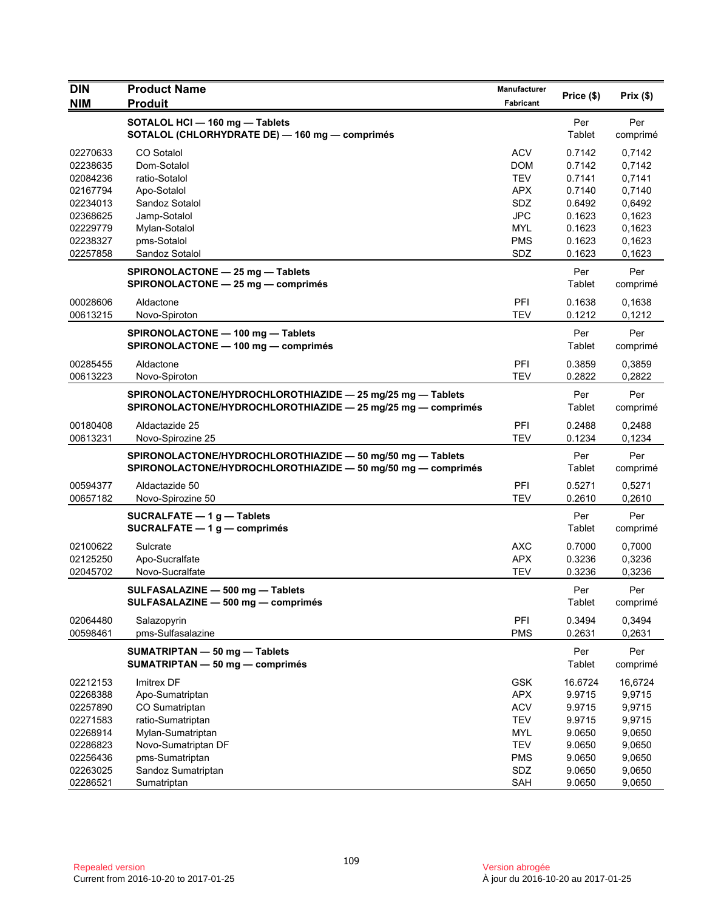| <b>DIN</b>           | <b>Product Name</b>                                              | Manufacturer             | Price (\$)       | Prix $(\$)$      |
|----------------------|------------------------------------------------------------------|--------------------------|------------------|------------------|
| <b>NIM</b>           | <b>Produit</b>                                                   | Fabricant                |                  |                  |
|                      | SOTALOL HCI - 160 mg - Tablets                                   |                          | Per              | Per              |
|                      | SOTALOL (CHLORHYDRATE DE) - 160 mg - comprimés                   |                          | Tablet           | comprimé         |
| 02270633             | CO Sotalol                                                       | <b>ACV</b>               | 0.7142           | 0,7142           |
| 02238635             | Dom-Sotalol                                                      | <b>DOM</b>               | 0.7142           | 0,7142           |
| 02084236             | ratio-Sotalol                                                    | <b>TEV</b>               | 0.7141           | 0,7141           |
| 02167794<br>02234013 | Apo-Sotalol<br>Sandoz Sotalol                                    | <b>APX</b><br>SDZ        | 0.7140           | 0,7140           |
| 02368625             | Jamp-Sotalol                                                     | <b>JPC</b>               | 0.6492<br>0.1623 | 0,6492<br>0,1623 |
| 02229779             | Mylan-Sotalol                                                    | <b>MYL</b>               | 0.1623           | 0,1623           |
| 02238327             | pms-Sotalol                                                      | <b>PMS</b>               | 0.1623           | 0.1623           |
| 02257858             | Sandoz Sotalol                                                   | SDZ                      | 0.1623           | 0,1623           |
|                      | SPIRONOLACTONE - 25 mg - Tablets                                 |                          | Per              | Per              |
|                      | SPIRONOLACTONE - 25 mg - comprimés                               |                          | Tablet           | comprimé         |
| 00028606             | Aldactone                                                        | PFI                      | 0.1638           | 0,1638           |
| 00613215             | Novo-Spiroton                                                    | <b>TEV</b>               | 0.1212           | 0,1212           |
|                      | SPIRONOLACTONE - 100 mg - Tablets                                |                          | Per              | Per              |
|                      | SPIRONOLACTONE - 100 mg - comprimés                              |                          | Tablet           | comprimé         |
| 00285455             | Aldactone                                                        | PFI                      | 0.3859           | 0,3859           |
| 00613223             | Novo-Spiroton                                                    | <b>TEV</b>               | 0.2822           | 0,2822           |
|                      | SPIRONOLACTONE/HYDROCHLOROTHIAZIDE - 25 mg/25 mg - Tablets       |                          | Per              | Per              |
|                      | SPIRONOLACTONE/HYDROCHLOROTHIAZIDE - 25 mg/25 mg - comprimés     |                          | Tablet           | comprimé         |
| 00180408             | Aldactazide 25                                                   | <b>PFI</b>               | 0.2488           | 0,2488           |
| 00613231             | Novo-Spirozine 25                                                | <b>TEV</b>               | 0.1234           | 0,1234           |
|                      | SPIRONOLACTONE/HYDROCHLOROTHIAZIDE - 50 mg/50 mg - Tablets       |                          | Per              | Per              |
|                      | SPIRONOLACTONE/HYDROCHLOROTHIAZIDE - 50 mg/50 mg - comprimés     |                          | Tablet           | comprimé         |
| 00594377<br>00657182 | Aldactazide 50<br>Novo-Spirozine 50                              | PFI<br><b>TEV</b>        | 0.5271<br>0.2610 | 0,5271<br>0,2610 |
|                      |                                                                  |                          | Per              | Per              |
|                      | SUCRALFATE $-1$ g $-$ Tablets<br>SUCRALFATE $-1$ g $-$ comprimés |                          | <b>Tablet</b>    | comprimé         |
| 02100622             | Sulcrate                                                         | AXC                      | 0.7000           | 0,7000           |
| 02125250             | Apo-Sucralfate                                                   | <b>APX</b>               | 0.3236           | 0,3236           |
| 02045702             | Novo-Sucralfate                                                  | <b>TEV</b>               | 0.3236           | 0,3236           |
|                      | SULFASALAZINE - 500 mg - Tablets                                 |                          | Per              | Per              |
|                      | SULFASALAZINE - 500 mg - comprimés                               |                          | <b>Tablet</b>    | comprimé         |
| 02064480             | Salazopyrin                                                      | PFI                      | 0.3494           | 0,3494           |
| 00598461             | pms-Sulfasalazine                                                | <b>PMS</b>               | 0.2631           | 0,2631           |
|                      | SUMATRIPTAN - 50 mg - Tablets                                    |                          | Per              | Per              |
|                      | SUMATRIPTAN - 50 mg - comprimés                                  |                          | Tablet           | comprimé         |
| 02212153             | Imitrex DF                                                       | <b>GSK</b>               | 16.6724          | 16,6724          |
| 02268388             | Apo-Sumatriptan                                                  | <b>APX</b>               | 9.9715           | 9,9715           |
| 02257890             | CO Sumatriptan                                                   | <b>ACV</b>               | 9.9715           | 9,9715           |
| 02271583<br>02268914 | ratio-Sumatriptan<br>Mylan-Sumatriptan                           | <b>TEV</b><br><b>MYL</b> | 9.9715<br>9.0650 | 9,9715<br>9,0650 |
| 02286823             | Novo-Sumatriptan DF                                              | <b>TEV</b>               | 9.0650           | 9,0650           |
| 02256436             | pms-Sumatriptan                                                  | <b>PMS</b>               | 9.0650           | 9,0650           |
| 02263025             | Sandoz Sumatriptan                                               | SDZ                      | 9.0650           | 9,0650           |
| 02286521             | Sumatriptan                                                      | SAH                      | 9.0650           | 9,0650           |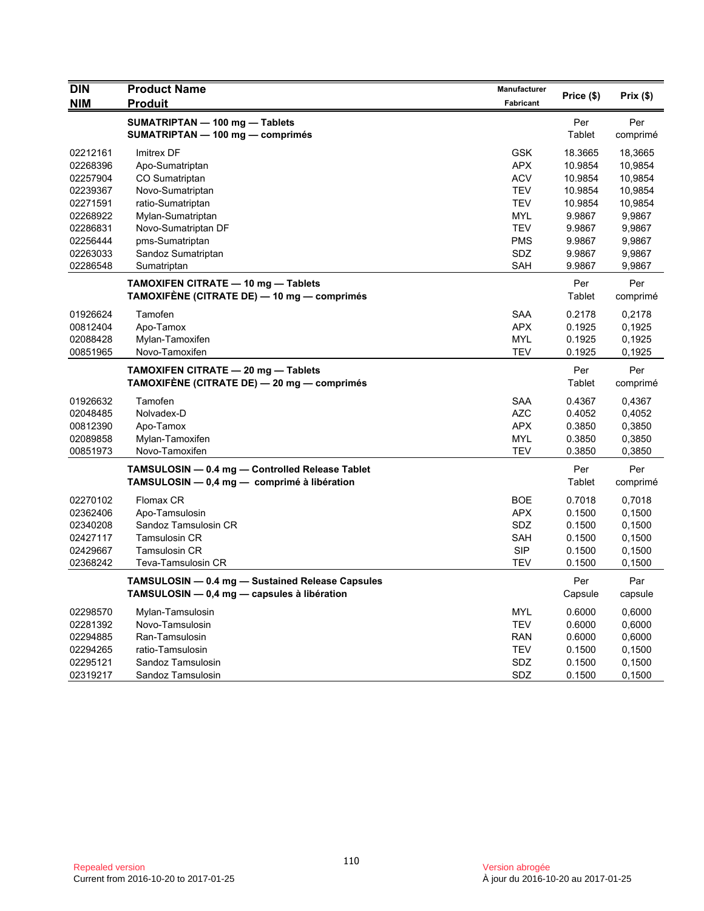| <b>DIN</b> | <b>Product Name</b>                                                                | Manufacturer     | Price (\$)    | Prix(\$) |
|------------|------------------------------------------------------------------------------------|------------------|---------------|----------|
| <b>NIM</b> | <b>Produit</b>                                                                     | <b>Fabricant</b> |               |          |
|            | SUMATRIPTAN - 100 mg - Tablets                                                     |                  | Per           | Per      |
|            | SUMATRIPTAN - 100 mg - comprimés                                                   |                  | Tablet        | comprimé |
| 02212161   | Imitrex DF                                                                         | <b>GSK</b>       | 18.3665       | 18,3665  |
| 02268396   | Apo-Sumatriptan                                                                    | <b>APX</b>       | 10.9854       | 10,9854  |
| 02257904   | CO Sumatriptan                                                                     | <b>ACV</b>       | 10.9854       | 10,9854  |
| 02239367   | Novo-Sumatriptan                                                                   | TEV              | 10.9854       | 10,9854  |
| 02271591   | ratio-Sumatriptan                                                                  | <b>TEV</b>       | 10.9854       | 10,9854  |
| 02268922   | Mylan-Sumatriptan                                                                  | <b>MYL</b>       | 9.9867        | 9,9867   |
| 02286831   | Novo-Sumatriptan DF                                                                | <b>TEV</b>       | 9.9867        | 9,9867   |
| 02256444   | pms-Sumatriptan                                                                    | <b>PMS</b>       | 9.9867        | 9,9867   |
| 02263033   | Sandoz Sumatriptan                                                                 | SDZ              | 9.9867        | 9,9867   |
| 02286548   | Sumatriptan                                                                        | SAH              | 9.9867        | 9,9867   |
|            | TAMOXIFEN CITRATE - 10 mg - Tablets                                                |                  | Per           | Per      |
|            | TAMOXIFÉNE (CITRATE DE) — 10 mg — comprimés                                        |                  | Tablet        | comprimé |
| 01926624   | Tamofen                                                                            | <b>SAA</b>       | 0.2178        | 0,2178   |
| 00812404   | Apo-Tamox                                                                          | <b>APX</b>       | 0.1925        | 0,1925   |
| 02088428   | Mylan-Tamoxifen                                                                    | <b>MYL</b>       | 0.1925        | 0,1925   |
| 00851965   | Novo-Tamoxifen                                                                     | <b>TEV</b>       | 0.1925        | 0,1925   |
|            |                                                                                    |                  |               |          |
|            | TAMOXIFEN CITRATE - 20 mg - Tablets<br>TAMOXIFÈNE (CITRATE DE) — 20 mg — comprimés |                  | Per<br>Tablet | Per      |
|            |                                                                                    |                  |               | comprimé |
| 01926632   | Tamofen                                                                            | <b>SAA</b>       | 0.4367        | 0,4367   |
| 02048485   | Nolvadex-D                                                                         | <b>AZC</b>       | 0.4052        | 0,4052   |
| 00812390   | Apo-Tamox                                                                          | <b>APX</b>       | 0.3850        | 0,3850   |
| 02089858   | Mylan-Tamoxifen                                                                    | <b>MYL</b>       | 0.3850        | 0,3850   |
| 00851973   | Novo-Tamoxifen                                                                     | TEV              | 0.3850        | 0,3850   |
|            | TAMSULOSIN - 0.4 mg - Controlled Release Tablet                                    |                  | Per           | Per      |
|            | TAMSULOSIN - 0,4 mg - comprimé à libération                                        |                  | Tablet        | comprimé |
| 02270102   | Flomax CR                                                                          | <b>BOE</b>       | 0.7018        | 0,7018   |
| 02362406   | Apo-Tamsulosin                                                                     | <b>APX</b>       | 0.1500        | 0.1500   |
| 02340208   | Sandoz Tamsulosin CR                                                               | <b>SDZ</b>       | 0.1500        | 0,1500   |
| 02427117   | <b>Tamsulosin CR</b>                                                               | <b>SAH</b>       | 0.1500        | 0,1500   |
| 02429667   | <b>Tamsulosin CR</b>                                                               | <b>SIP</b>       | 0.1500        | 0,1500   |
| 02368242   | Teva-Tamsulosin CR                                                                 | <b>TEV</b>       | 0.1500        | 0,1500   |
|            | TAMSULOSIN - 0.4 mg - Sustained Release Capsules                                   |                  | Per           | Par      |
|            | TAMSULOSIN - 0,4 mg - capsules à libération                                        |                  | Capsule       | capsule  |
| 02298570   | Mylan-Tamsulosin                                                                   | <b>MYL</b>       | 0.6000        | 0,6000   |
| 02281392   | Novo-Tamsulosin                                                                    | <b>TEV</b>       | 0.6000        | 0,6000   |
|            | Ran-Tamsulosin                                                                     |                  |               |          |
| 02294885   |                                                                                    | RAN              | 0.6000        | 0,6000   |
| 02294265   | ratio-Tamsulosin                                                                   | <b>TEV</b>       | 0.1500        | 0,1500   |
| 02295121   | Sandoz Tamsulosin                                                                  | SDZ              | 0.1500        | 0.1500   |
| 02319217   | Sandoz Tamsulosin                                                                  | SDZ              | 0.1500        | 0,1500   |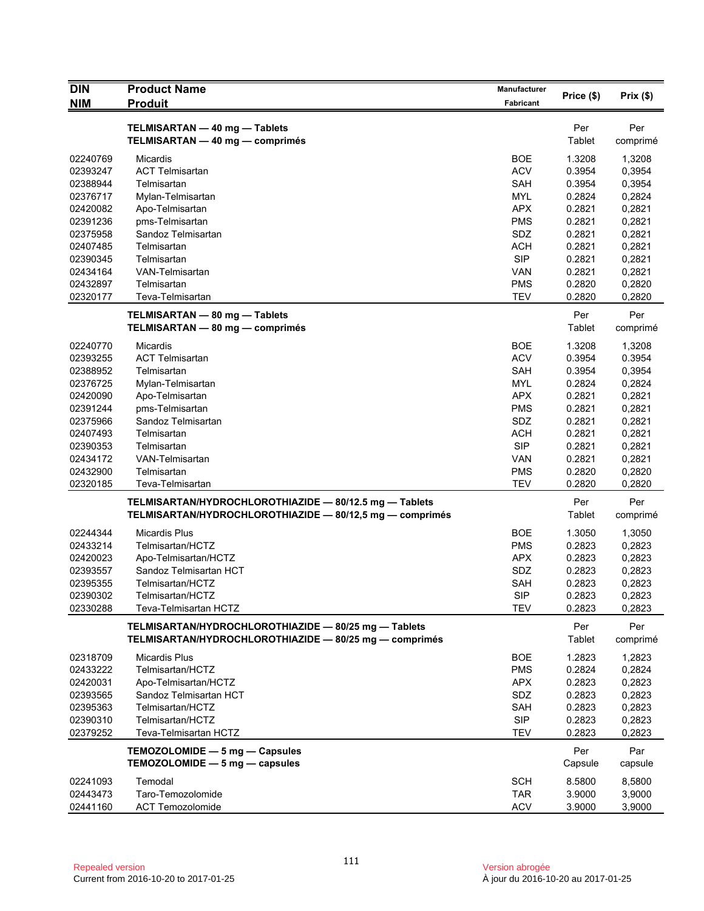| <b>DIN</b>           | <b>Product Name</b>                                                                                                | Manufacturer             | Price (\$)       | Prix(\$)         |
|----------------------|--------------------------------------------------------------------------------------------------------------------|--------------------------|------------------|------------------|
| <b>NIM</b>           | <b>Produit</b>                                                                                                     | Fabricant                |                  |                  |
|                      | TELMISARTAN - 40 mg - Tablets                                                                                      |                          | Per              | Per              |
|                      | TELMISARTAN - 40 mg - comprimés                                                                                    |                          | Tablet           | comprimé         |
| 02240769             | <b>Micardis</b>                                                                                                    | BOE                      | 1.3208           | 1,3208           |
| 02393247             | <b>ACT Telmisartan</b>                                                                                             | <b>ACV</b>               | 0.3954           | 0,3954           |
| 02388944             | Telmisartan                                                                                                        | <b>SAH</b>               | 0.3954           | 0,3954           |
| 02376717             | Mylan-Telmisartan                                                                                                  | <b>MYL</b>               | 0.2824           | 0,2824           |
| 02420082             | Apo-Telmisartan                                                                                                    | <b>APX</b>               | 0.2821           | 0,2821           |
| 02391236             | pms-Telmisartan                                                                                                    | <b>PMS</b>               | 0.2821           | 0,2821           |
| 02375958             | Sandoz Telmisartan                                                                                                 | SDZ                      | 0.2821           | 0,2821           |
| 02407485             | Telmisartan                                                                                                        | <b>ACH</b>               | 0.2821           | 0,2821           |
| 02390345             | Telmisartan                                                                                                        | <b>SIP</b>               | 0.2821           | 0,2821           |
| 02434164             | VAN-Telmisartan                                                                                                    | <b>VAN</b>               | 0.2821           | 0,2821           |
| 02432897             | Telmisartan                                                                                                        | <b>PMS</b>               | 0.2820           | 0,2820           |
| 02320177             | Teva-Telmisartan                                                                                                   | <b>TEV</b>               | 0.2820           | 0,2820           |
|                      | TELMISARTAN - 80 mg - Tablets                                                                                      |                          | Per              | Per              |
|                      | TELMISARTAN - 80 mg - comprimés                                                                                    |                          | Tablet           | comprimé         |
| 02240770             | <b>Micardis</b>                                                                                                    | <b>BOE</b>               | 1.3208           | 1,3208           |
| 02393255             | <b>ACT Telmisartan</b>                                                                                             | <b>ACV</b>               | 0.3954           | 0.3954           |
| 02388952             | Telmisartan                                                                                                        | <b>SAH</b>               | 0.3954           | 0,3954           |
| 02376725             | Mylan-Telmisartan                                                                                                  | <b>MYL</b>               | 0.2824           | 0,2824           |
| 02420090             | Apo-Telmisartan                                                                                                    | <b>APX</b>               | 0.2821           | 0,2821           |
| 02391244             | pms-Telmisartan                                                                                                    | <b>PMS</b>               | 0.2821           | 0,2821           |
| 02375966             | Sandoz Telmisartan                                                                                                 | SDZ                      | 0.2821           | 0,2821           |
| 02407493             | Telmisartan                                                                                                        | <b>ACH</b>               | 0.2821           | 0,2821           |
| 02390353<br>02434172 | Telmisartan<br>VAN-Telmisartan                                                                                     | <b>SIP</b><br>VAN        | 0.2821<br>0.2821 | 0,2821<br>0,2821 |
| 02432900             | Telmisartan                                                                                                        | <b>PMS</b>               | 0.2820           | 0,2820           |
| 02320185             | Teva-Telmisartan                                                                                                   | <b>TEV</b>               | 0.2820           | 0,2820           |
|                      |                                                                                                                    |                          | Per              | Per              |
|                      | TELMISARTAN/HYDROCHLOROTHIAZIDE - 80/12.5 mg - Tablets<br>TELMISARTAN/HYDROCHLOROTHIAZIDE - 80/12,5 mg - comprimés |                          | <b>Tablet</b>    | comprimé         |
|                      |                                                                                                                    |                          |                  |                  |
| 02244344<br>02433214 | <b>Micardis Plus</b><br>Telmisartan/HCTZ                                                                           | <b>BOE</b><br><b>PMS</b> | 1.3050<br>0.2823 | 1,3050<br>0,2823 |
| 02420023             | Apo-Telmisartan/HCTZ                                                                                               | <b>APX</b>               | 0.2823           | 0,2823           |
| 02393557             | Sandoz Telmisartan HCT                                                                                             | SDZ                      | 0.2823           | 0,2823           |
| 02395355             | Telmisartan/HCTZ                                                                                                   | <b>SAH</b>               | 0.2823           | 0,2823           |
| 02390302             | Telmisartan/HCTZ                                                                                                   | <b>SIP</b>               | 0.2823           | 0,2823           |
| 02330288             | Teva-Telmisartan HCTZ                                                                                              | TEV                      | 0.2823           | 0,2823           |
|                      | TELMISARTAN/HYDROCHLOROTHIAZIDE - 80/25 mg - Tablets                                                               |                          | Per              | Per              |
|                      | TELMISARTAN/HYDROCHLOROTHIAZIDE - 80/25 mg - comprimés                                                             |                          | Tablet           | comprimé         |
| 02318709             | <b>Micardis Plus</b>                                                                                               | <b>BOE</b>               | 1.2823           | 1,2823           |
| 02433222             | Telmisartan/HCTZ                                                                                                   | PMS                      | 0.2824           | 0,2824           |
| 02420031             | Apo-Telmisartan/HCTZ                                                                                               | <b>APX</b>               | 0.2823           | 0,2823           |
| 02393565             | Sandoz Telmisartan HCT                                                                                             | SDZ                      | 0.2823           | 0,2823           |
| 02395363             | Telmisartan/HCTZ                                                                                                   | <b>SAH</b>               | 0.2823           | 0,2823           |
| 02390310             | Telmisartan/HCTZ                                                                                                   | <b>SIP</b>               | 0.2823           | 0,2823           |
| 02379252             | Teva-Telmisartan HCTZ                                                                                              | <b>TEV</b>               | 0.2823           | 0,2823           |
|                      | TEMOZOLOMIDE - 5 mg - Capsules                                                                                     |                          | Per              | Par              |
|                      | TEMOZOLOMIDE - 5 mg - capsules                                                                                     |                          | Capsule          | capsule          |
| 02241093             | Temodal                                                                                                            | <b>SCH</b>               | 8.5800           | 8,5800           |
| 02443473             | Taro-Temozolomide                                                                                                  | <b>TAR</b>               | 3.9000           | 3,9000           |
| 02441160             | <b>ACT Temozolomide</b>                                                                                            | <b>ACV</b>               | 3.9000           | 3,9000           |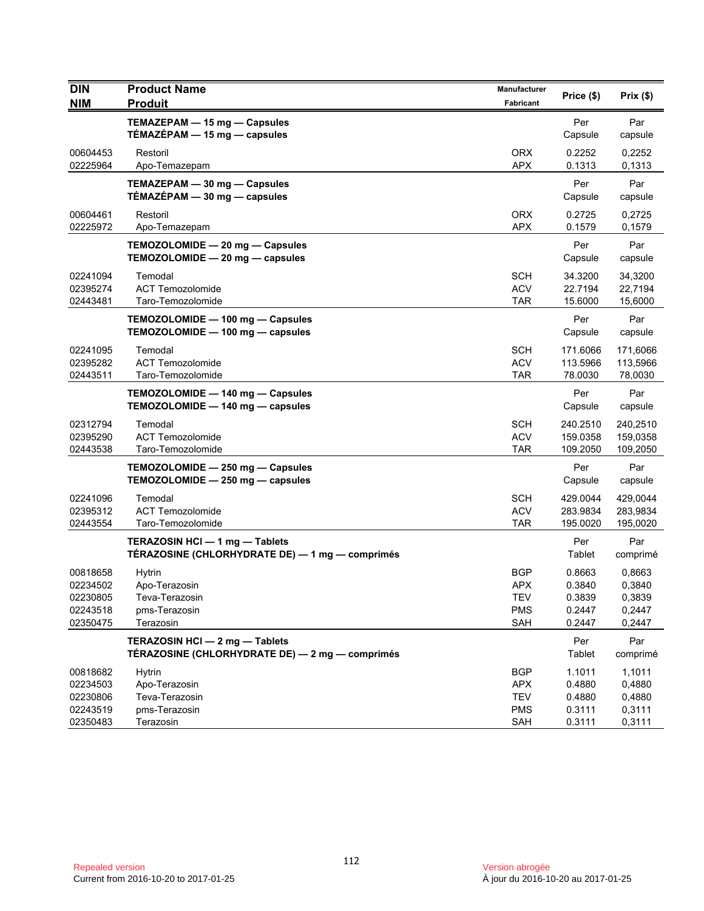| Fabricant<br>TEMAZEPAM - 15 mg - Capsules<br>Par<br>Per<br>TÉMAZÉPAM - 15 mg - capsules<br>Capsule<br>capsule<br>00604453<br><b>ORX</b><br>0.2252<br>Restoril<br>0,2252<br>02225964<br><b>APX</b><br>0.1313<br>0,1313<br>Apo-Temazepam<br>Par<br>Per<br>TEMAZEPAM - 30 mg - Capsules<br>TÉMAZÉPAM $-$ 30 mg $-$ capsules<br>Capsule<br>capsule<br><b>ORX</b><br>00604461<br>0.2725<br>Restoril<br>0,2725<br>02225972<br><b>APX</b><br>0.1579<br>0,1579<br>Apo-Temazepam<br>TEMOZOLOMIDE - 20 mg - Capsules<br>Per<br>Par<br>TEMOZOLOMIDE - 20 mg - capsules<br>Capsule<br>capsule<br>Temodal<br>SCH<br>34.3200<br>34,3200<br>02241094<br>02395274<br><b>ACT Temozolomide</b><br><b>ACV</b><br>22.7194<br>22,7194<br>02443481<br>Taro-Temozolomide<br><b>TAR</b><br>15.6000<br>15,6000<br>Par<br>TEMOZOLOMIDE - 100 mg - Capsules<br>Per<br>TEMOZOLOMIDE - 100 mg - capsules<br>Capsule<br>capsule<br>Temodal<br><b>SCH</b><br>02241095<br>171.6066<br>171,6066<br><b>ACT Temozolomide</b><br><b>ACV</b><br>02395282<br>113.5966<br>113,5966<br>02443511<br><b>TAR</b><br>78,0030<br>Taro-Temozolomide<br>78.0030<br>Per<br>Par<br>TEMOZOLOMIDE - 140 mg - Capsules<br>TEMOZOLOMIDE - 140 mg - capsules<br>Capsule<br>capsule<br>SCH<br>02312794<br>Temodal<br>240.2510<br>240,2510<br>02395290<br><b>ACT Temozolomide</b><br><b>ACV</b><br>159.0358<br>159,0358<br><b>TAR</b><br>109.2050<br>02443538<br>Taro-Temozolomide<br>109,2050<br>Par<br>TEMOZOLOMIDE - 250 mg - Capsules<br>Per<br>TEMOZOLOMIDE - 250 mg - capsules<br>Capsule<br>capsule<br>02241096<br>Temodal<br><b>SCH</b><br>429.0044<br>429,0044<br>02395312<br><b>ACT Temozolomide</b><br><b>ACV</b><br>283.9834<br>283,9834<br>02443554<br>Taro-Temozolomide<br>TAR<br>195.0020<br>195,0020<br>TERAZOSIN HCI - 1 mg - Tablets<br>Per<br>Par<br>TÉRAZOSINE (CHLORHYDRATE DE) - 1 mg - comprimés<br>Tablet<br>comprimé<br>00818658<br><b>Hytrin</b><br>BGP<br>0.8663<br>0,8663<br><b>APX</b><br>0.3840<br>0,3840<br>02234502<br>Apo-Terazosin<br>TEV<br>02230805<br>Teva-Terazosin<br>0.3839<br>0,3839<br>02243518<br><b>PMS</b><br>0.2447<br>0,2447<br>pms-Terazosin<br>Terazosin<br>02350475<br>SAH<br>0.2447<br>0,2447<br>TERAZOSIN HCI - 2 mg - Tablets<br>Par<br>Per<br>TÉRAZOSINE (CHLORHYDRATE DE) — 2 mg — comprimés<br>Tablet<br>comprimé<br>1.1011<br>00818682<br><b>Hytrin</b><br>1,1011<br><b>BGP</b><br>0,4880<br>02234503<br>Apo-Terazosin<br><b>APX</b><br>0.4880<br>02230806<br>Teva-Terazosin<br><b>TEV</b><br>0.4880<br>0,4880<br>02243519<br>pms-Terazosin<br><b>PMS</b><br>0.3111<br>0,3111<br>02350483<br>Terazosin<br>SAH<br>0.3111<br>0,3111 | <b>DIN</b> | <b>Product Name</b> | Manufacturer | Price (\$) | Prix(\$) |
|------------------------------------------------------------------------------------------------------------------------------------------------------------------------------------------------------------------------------------------------------------------------------------------------------------------------------------------------------------------------------------------------------------------------------------------------------------------------------------------------------------------------------------------------------------------------------------------------------------------------------------------------------------------------------------------------------------------------------------------------------------------------------------------------------------------------------------------------------------------------------------------------------------------------------------------------------------------------------------------------------------------------------------------------------------------------------------------------------------------------------------------------------------------------------------------------------------------------------------------------------------------------------------------------------------------------------------------------------------------------------------------------------------------------------------------------------------------------------------------------------------------------------------------------------------------------------------------------------------------------------------------------------------------------------------------------------------------------------------------------------------------------------------------------------------------------------------------------------------------------------------------------------------------------------------------------------------------------------------------------------------------------------------------------------------------------------------------------------------------------------------------------------------------------------------------------------------------------------------------------------------------------------------------------------------------------------------------------------------------------------------------------------------------------------------------------------------------------------------------------------------------------------------------------------------------------------------------------------------------------------------|------------|---------------------|--------------|------------|----------|
|                                                                                                                                                                                                                                                                                                                                                                                                                                                                                                                                                                                                                                                                                                                                                                                                                                                                                                                                                                                                                                                                                                                                                                                                                                                                                                                                                                                                                                                                                                                                                                                                                                                                                                                                                                                                                                                                                                                                                                                                                                                                                                                                                                                                                                                                                                                                                                                                                                                                                                                                                                                                                                    | <b>NIM</b> | <b>Produit</b>      |              |            |          |
|                                                                                                                                                                                                                                                                                                                                                                                                                                                                                                                                                                                                                                                                                                                                                                                                                                                                                                                                                                                                                                                                                                                                                                                                                                                                                                                                                                                                                                                                                                                                                                                                                                                                                                                                                                                                                                                                                                                                                                                                                                                                                                                                                                                                                                                                                                                                                                                                                                                                                                                                                                                                                                    |            |                     |              |            |          |
|                                                                                                                                                                                                                                                                                                                                                                                                                                                                                                                                                                                                                                                                                                                                                                                                                                                                                                                                                                                                                                                                                                                                                                                                                                                                                                                                                                                                                                                                                                                                                                                                                                                                                                                                                                                                                                                                                                                                                                                                                                                                                                                                                                                                                                                                                                                                                                                                                                                                                                                                                                                                                                    |            |                     |              |            |          |
|                                                                                                                                                                                                                                                                                                                                                                                                                                                                                                                                                                                                                                                                                                                                                                                                                                                                                                                                                                                                                                                                                                                                                                                                                                                                                                                                                                                                                                                                                                                                                                                                                                                                                                                                                                                                                                                                                                                                                                                                                                                                                                                                                                                                                                                                                                                                                                                                                                                                                                                                                                                                                                    |            |                     |              |            |          |
|                                                                                                                                                                                                                                                                                                                                                                                                                                                                                                                                                                                                                                                                                                                                                                                                                                                                                                                                                                                                                                                                                                                                                                                                                                                                                                                                                                                                                                                                                                                                                                                                                                                                                                                                                                                                                                                                                                                                                                                                                                                                                                                                                                                                                                                                                                                                                                                                                                                                                                                                                                                                                                    |            |                     |              |            |          |
|                                                                                                                                                                                                                                                                                                                                                                                                                                                                                                                                                                                                                                                                                                                                                                                                                                                                                                                                                                                                                                                                                                                                                                                                                                                                                                                                                                                                                                                                                                                                                                                                                                                                                                                                                                                                                                                                                                                                                                                                                                                                                                                                                                                                                                                                                                                                                                                                                                                                                                                                                                                                                                    |            |                     |              |            |          |
|                                                                                                                                                                                                                                                                                                                                                                                                                                                                                                                                                                                                                                                                                                                                                                                                                                                                                                                                                                                                                                                                                                                                                                                                                                                                                                                                                                                                                                                                                                                                                                                                                                                                                                                                                                                                                                                                                                                                                                                                                                                                                                                                                                                                                                                                                                                                                                                                                                                                                                                                                                                                                                    |            |                     |              |            |          |
|                                                                                                                                                                                                                                                                                                                                                                                                                                                                                                                                                                                                                                                                                                                                                                                                                                                                                                                                                                                                                                                                                                                                                                                                                                                                                                                                                                                                                                                                                                                                                                                                                                                                                                                                                                                                                                                                                                                                                                                                                                                                                                                                                                                                                                                                                                                                                                                                                                                                                                                                                                                                                                    |            |                     |              |            |          |
|                                                                                                                                                                                                                                                                                                                                                                                                                                                                                                                                                                                                                                                                                                                                                                                                                                                                                                                                                                                                                                                                                                                                                                                                                                                                                                                                                                                                                                                                                                                                                                                                                                                                                                                                                                                                                                                                                                                                                                                                                                                                                                                                                                                                                                                                                                                                                                                                                                                                                                                                                                                                                                    |            |                     |              |            |          |
|                                                                                                                                                                                                                                                                                                                                                                                                                                                                                                                                                                                                                                                                                                                                                                                                                                                                                                                                                                                                                                                                                                                                                                                                                                                                                                                                                                                                                                                                                                                                                                                                                                                                                                                                                                                                                                                                                                                                                                                                                                                                                                                                                                                                                                                                                                                                                                                                                                                                                                                                                                                                                                    |            |                     |              |            |          |
|                                                                                                                                                                                                                                                                                                                                                                                                                                                                                                                                                                                                                                                                                                                                                                                                                                                                                                                                                                                                                                                                                                                                                                                                                                                                                                                                                                                                                                                                                                                                                                                                                                                                                                                                                                                                                                                                                                                                                                                                                                                                                                                                                                                                                                                                                                                                                                                                                                                                                                                                                                                                                                    |            |                     |              |            |          |
|                                                                                                                                                                                                                                                                                                                                                                                                                                                                                                                                                                                                                                                                                                                                                                                                                                                                                                                                                                                                                                                                                                                                                                                                                                                                                                                                                                                                                                                                                                                                                                                                                                                                                                                                                                                                                                                                                                                                                                                                                                                                                                                                                                                                                                                                                                                                                                                                                                                                                                                                                                                                                                    |            |                     |              |            |          |
|                                                                                                                                                                                                                                                                                                                                                                                                                                                                                                                                                                                                                                                                                                                                                                                                                                                                                                                                                                                                                                                                                                                                                                                                                                                                                                                                                                                                                                                                                                                                                                                                                                                                                                                                                                                                                                                                                                                                                                                                                                                                                                                                                                                                                                                                                                                                                                                                                                                                                                                                                                                                                                    |            |                     |              |            |          |
|                                                                                                                                                                                                                                                                                                                                                                                                                                                                                                                                                                                                                                                                                                                                                                                                                                                                                                                                                                                                                                                                                                                                                                                                                                                                                                                                                                                                                                                                                                                                                                                                                                                                                                                                                                                                                                                                                                                                                                                                                                                                                                                                                                                                                                                                                                                                                                                                                                                                                                                                                                                                                                    |            |                     |              |            |          |
|                                                                                                                                                                                                                                                                                                                                                                                                                                                                                                                                                                                                                                                                                                                                                                                                                                                                                                                                                                                                                                                                                                                                                                                                                                                                                                                                                                                                                                                                                                                                                                                                                                                                                                                                                                                                                                                                                                                                                                                                                                                                                                                                                                                                                                                                                                                                                                                                                                                                                                                                                                                                                                    |            |                     |              |            |          |
|                                                                                                                                                                                                                                                                                                                                                                                                                                                                                                                                                                                                                                                                                                                                                                                                                                                                                                                                                                                                                                                                                                                                                                                                                                                                                                                                                                                                                                                                                                                                                                                                                                                                                                                                                                                                                                                                                                                                                                                                                                                                                                                                                                                                                                                                                                                                                                                                                                                                                                                                                                                                                                    |            |                     |              |            |          |
|                                                                                                                                                                                                                                                                                                                                                                                                                                                                                                                                                                                                                                                                                                                                                                                                                                                                                                                                                                                                                                                                                                                                                                                                                                                                                                                                                                                                                                                                                                                                                                                                                                                                                                                                                                                                                                                                                                                                                                                                                                                                                                                                                                                                                                                                                                                                                                                                                                                                                                                                                                                                                                    |            |                     |              |            |          |
|                                                                                                                                                                                                                                                                                                                                                                                                                                                                                                                                                                                                                                                                                                                                                                                                                                                                                                                                                                                                                                                                                                                                                                                                                                                                                                                                                                                                                                                                                                                                                                                                                                                                                                                                                                                                                                                                                                                                                                                                                                                                                                                                                                                                                                                                                                                                                                                                                                                                                                                                                                                                                                    |            |                     |              |            |          |
|                                                                                                                                                                                                                                                                                                                                                                                                                                                                                                                                                                                                                                                                                                                                                                                                                                                                                                                                                                                                                                                                                                                                                                                                                                                                                                                                                                                                                                                                                                                                                                                                                                                                                                                                                                                                                                                                                                                                                                                                                                                                                                                                                                                                                                                                                                                                                                                                                                                                                                                                                                                                                                    |            |                     |              |            |          |
|                                                                                                                                                                                                                                                                                                                                                                                                                                                                                                                                                                                                                                                                                                                                                                                                                                                                                                                                                                                                                                                                                                                                                                                                                                                                                                                                                                                                                                                                                                                                                                                                                                                                                                                                                                                                                                                                                                                                                                                                                                                                                                                                                                                                                                                                                                                                                                                                                                                                                                                                                                                                                                    |            |                     |              |            |          |
|                                                                                                                                                                                                                                                                                                                                                                                                                                                                                                                                                                                                                                                                                                                                                                                                                                                                                                                                                                                                                                                                                                                                                                                                                                                                                                                                                                                                                                                                                                                                                                                                                                                                                                                                                                                                                                                                                                                                                                                                                                                                                                                                                                                                                                                                                                                                                                                                                                                                                                                                                                                                                                    |            |                     |              |            |          |
|                                                                                                                                                                                                                                                                                                                                                                                                                                                                                                                                                                                                                                                                                                                                                                                                                                                                                                                                                                                                                                                                                                                                                                                                                                                                                                                                                                                                                                                                                                                                                                                                                                                                                                                                                                                                                                                                                                                                                                                                                                                                                                                                                                                                                                                                                                                                                                                                                                                                                                                                                                                                                                    |            |                     |              |            |          |
|                                                                                                                                                                                                                                                                                                                                                                                                                                                                                                                                                                                                                                                                                                                                                                                                                                                                                                                                                                                                                                                                                                                                                                                                                                                                                                                                                                                                                                                                                                                                                                                                                                                                                                                                                                                                                                                                                                                                                                                                                                                                                                                                                                                                                                                                                                                                                                                                                                                                                                                                                                                                                                    |            |                     |              |            |          |
|                                                                                                                                                                                                                                                                                                                                                                                                                                                                                                                                                                                                                                                                                                                                                                                                                                                                                                                                                                                                                                                                                                                                                                                                                                                                                                                                                                                                                                                                                                                                                                                                                                                                                                                                                                                                                                                                                                                                                                                                                                                                                                                                                                                                                                                                                                                                                                                                                                                                                                                                                                                                                                    |            |                     |              |            |          |
|                                                                                                                                                                                                                                                                                                                                                                                                                                                                                                                                                                                                                                                                                                                                                                                                                                                                                                                                                                                                                                                                                                                                                                                                                                                                                                                                                                                                                                                                                                                                                                                                                                                                                                                                                                                                                                                                                                                                                                                                                                                                                                                                                                                                                                                                                                                                                                                                                                                                                                                                                                                                                                    |            |                     |              |            |          |
|                                                                                                                                                                                                                                                                                                                                                                                                                                                                                                                                                                                                                                                                                                                                                                                                                                                                                                                                                                                                                                                                                                                                                                                                                                                                                                                                                                                                                                                                                                                                                                                                                                                                                                                                                                                                                                                                                                                                                                                                                                                                                                                                                                                                                                                                                                                                                                                                                                                                                                                                                                                                                                    |            |                     |              |            |          |
|                                                                                                                                                                                                                                                                                                                                                                                                                                                                                                                                                                                                                                                                                                                                                                                                                                                                                                                                                                                                                                                                                                                                                                                                                                                                                                                                                                                                                                                                                                                                                                                                                                                                                                                                                                                                                                                                                                                                                                                                                                                                                                                                                                                                                                                                                                                                                                                                                                                                                                                                                                                                                                    |            |                     |              |            |          |
|                                                                                                                                                                                                                                                                                                                                                                                                                                                                                                                                                                                                                                                                                                                                                                                                                                                                                                                                                                                                                                                                                                                                                                                                                                                                                                                                                                                                                                                                                                                                                                                                                                                                                                                                                                                                                                                                                                                                                                                                                                                                                                                                                                                                                                                                                                                                                                                                                                                                                                                                                                                                                                    |            |                     |              |            |          |
|                                                                                                                                                                                                                                                                                                                                                                                                                                                                                                                                                                                                                                                                                                                                                                                                                                                                                                                                                                                                                                                                                                                                                                                                                                                                                                                                                                                                                                                                                                                                                                                                                                                                                                                                                                                                                                                                                                                                                                                                                                                                                                                                                                                                                                                                                                                                                                                                                                                                                                                                                                                                                                    |            |                     |              |            |          |
|                                                                                                                                                                                                                                                                                                                                                                                                                                                                                                                                                                                                                                                                                                                                                                                                                                                                                                                                                                                                                                                                                                                                                                                                                                                                                                                                                                                                                                                                                                                                                                                                                                                                                                                                                                                                                                                                                                                                                                                                                                                                                                                                                                                                                                                                                                                                                                                                                                                                                                                                                                                                                                    |            |                     |              |            |          |
|                                                                                                                                                                                                                                                                                                                                                                                                                                                                                                                                                                                                                                                                                                                                                                                                                                                                                                                                                                                                                                                                                                                                                                                                                                                                                                                                                                                                                                                                                                                                                                                                                                                                                                                                                                                                                                                                                                                                                                                                                                                                                                                                                                                                                                                                                                                                                                                                                                                                                                                                                                                                                                    |            |                     |              |            |          |
|                                                                                                                                                                                                                                                                                                                                                                                                                                                                                                                                                                                                                                                                                                                                                                                                                                                                                                                                                                                                                                                                                                                                                                                                                                                                                                                                                                                                                                                                                                                                                                                                                                                                                                                                                                                                                                                                                                                                                                                                                                                                                                                                                                                                                                                                                                                                                                                                                                                                                                                                                                                                                                    |            |                     |              |            |          |
|                                                                                                                                                                                                                                                                                                                                                                                                                                                                                                                                                                                                                                                                                                                                                                                                                                                                                                                                                                                                                                                                                                                                                                                                                                                                                                                                                                                                                                                                                                                                                                                                                                                                                                                                                                                                                                                                                                                                                                                                                                                                                                                                                                                                                                                                                                                                                                                                                                                                                                                                                                                                                                    |            |                     |              |            |          |
|                                                                                                                                                                                                                                                                                                                                                                                                                                                                                                                                                                                                                                                                                                                                                                                                                                                                                                                                                                                                                                                                                                                                                                                                                                                                                                                                                                                                                                                                                                                                                                                                                                                                                                                                                                                                                                                                                                                                                                                                                                                                                                                                                                                                                                                                                                                                                                                                                                                                                                                                                                                                                                    |            |                     |              |            |          |
|                                                                                                                                                                                                                                                                                                                                                                                                                                                                                                                                                                                                                                                                                                                                                                                                                                                                                                                                                                                                                                                                                                                                                                                                                                                                                                                                                                                                                                                                                                                                                                                                                                                                                                                                                                                                                                                                                                                                                                                                                                                                                                                                                                                                                                                                                                                                                                                                                                                                                                                                                                                                                                    |            |                     |              |            |          |
|                                                                                                                                                                                                                                                                                                                                                                                                                                                                                                                                                                                                                                                                                                                                                                                                                                                                                                                                                                                                                                                                                                                                                                                                                                                                                                                                                                                                                                                                                                                                                                                                                                                                                                                                                                                                                                                                                                                                                                                                                                                                                                                                                                                                                                                                                                                                                                                                                                                                                                                                                                                                                                    |            |                     |              |            |          |
|                                                                                                                                                                                                                                                                                                                                                                                                                                                                                                                                                                                                                                                                                                                                                                                                                                                                                                                                                                                                                                                                                                                                                                                                                                                                                                                                                                                                                                                                                                                                                                                                                                                                                                                                                                                                                                                                                                                                                                                                                                                                                                                                                                                                                                                                                                                                                                                                                                                                                                                                                                                                                                    |            |                     |              |            |          |
|                                                                                                                                                                                                                                                                                                                                                                                                                                                                                                                                                                                                                                                                                                                                                                                                                                                                                                                                                                                                                                                                                                                                                                                                                                                                                                                                                                                                                                                                                                                                                                                                                                                                                                                                                                                                                                                                                                                                                                                                                                                                                                                                                                                                                                                                                                                                                                                                                                                                                                                                                                                                                                    |            |                     |              |            |          |
|                                                                                                                                                                                                                                                                                                                                                                                                                                                                                                                                                                                                                                                                                                                                                                                                                                                                                                                                                                                                                                                                                                                                                                                                                                                                                                                                                                                                                                                                                                                                                                                                                                                                                                                                                                                                                                                                                                                                                                                                                                                                                                                                                                                                                                                                                                                                                                                                                                                                                                                                                                                                                                    |            |                     |              |            |          |
|                                                                                                                                                                                                                                                                                                                                                                                                                                                                                                                                                                                                                                                                                                                                                                                                                                                                                                                                                                                                                                                                                                                                                                                                                                                                                                                                                                                                                                                                                                                                                                                                                                                                                                                                                                                                                                                                                                                                                                                                                                                                                                                                                                                                                                                                                                                                                                                                                                                                                                                                                                                                                                    |            |                     |              |            |          |
|                                                                                                                                                                                                                                                                                                                                                                                                                                                                                                                                                                                                                                                                                                                                                                                                                                                                                                                                                                                                                                                                                                                                                                                                                                                                                                                                                                                                                                                                                                                                                                                                                                                                                                                                                                                                                                                                                                                                                                                                                                                                                                                                                                                                                                                                                                                                                                                                                                                                                                                                                                                                                                    |            |                     |              |            |          |
|                                                                                                                                                                                                                                                                                                                                                                                                                                                                                                                                                                                                                                                                                                                                                                                                                                                                                                                                                                                                                                                                                                                                                                                                                                                                                                                                                                                                                                                                                                                                                                                                                                                                                                                                                                                                                                                                                                                                                                                                                                                                                                                                                                                                                                                                                                                                                                                                                                                                                                                                                                                                                                    |            |                     |              |            |          |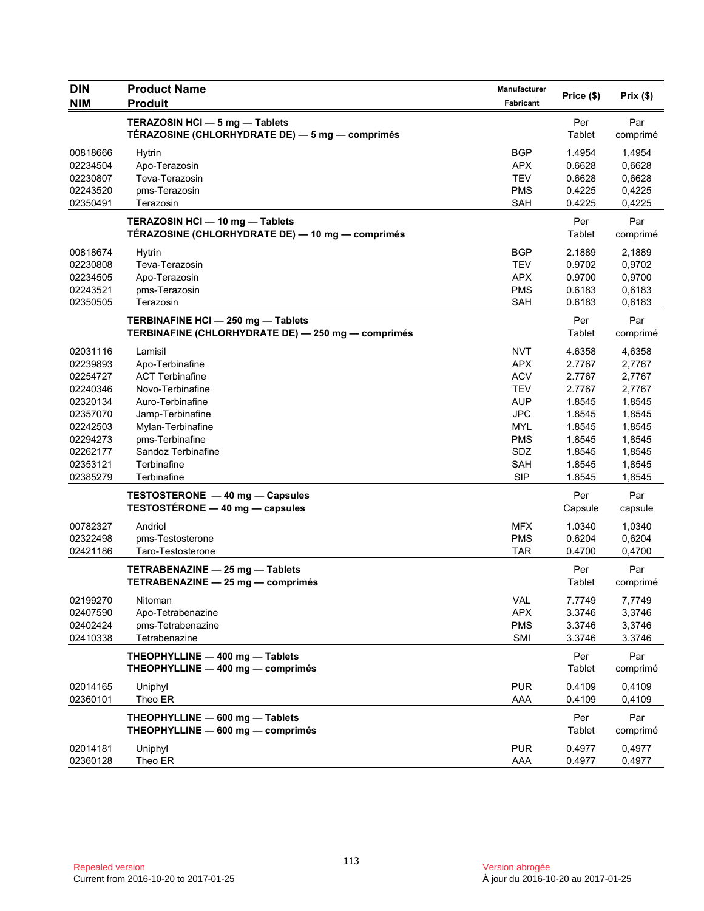| <b>DIN</b>                                                                                                                       | <b>Product Name</b>                                                                                                                                                                                          | Manufacturer                                                                                                                             | Price (\$)                                                                                                 | Prix(\$)                                                                                                   |
|----------------------------------------------------------------------------------------------------------------------------------|--------------------------------------------------------------------------------------------------------------------------------------------------------------------------------------------------------------|------------------------------------------------------------------------------------------------------------------------------------------|------------------------------------------------------------------------------------------------------------|------------------------------------------------------------------------------------------------------------|
| <b>NIM</b>                                                                                                                       | <b>Produit</b>                                                                                                                                                                                               | Fabricant                                                                                                                                |                                                                                                            |                                                                                                            |
|                                                                                                                                  | TERAZOSIN HCI - 5 mg - Tablets<br>TÉRAZOSINE (CHLORHYDRATE DE) — 5 mg — comprimés                                                                                                                            |                                                                                                                                          | Per<br>Tablet                                                                                              | Par<br>comprimé                                                                                            |
| 00818666<br>02234504<br>02230807<br>02243520<br>02350491                                                                         | <b>Hytrin</b><br>Apo-Terazosin<br>Teva-Terazosin<br>pms-Terazosin<br>Terazosin                                                                                                                               | <b>BGP</b><br><b>APX</b><br><b>TEV</b><br><b>PMS</b><br><b>SAH</b>                                                                       | 1.4954<br>0.6628<br>0.6628<br>0.4225<br>0.4225                                                             | 1,4954<br>0,6628<br>0,6628<br>0,4225<br>0,4225                                                             |
|                                                                                                                                  | TERAZOSIN HCI - 10 mg - Tablets<br>TÉRAZOSINE (CHLORHYDRATE DE) — 10 mg — comprimés                                                                                                                          |                                                                                                                                          | Per<br>Tablet                                                                                              | Par<br>comprimé                                                                                            |
| 00818674<br>02230808<br>02234505<br>02243521<br>02350505                                                                         | <b>Hytrin</b><br>Teva-Terazosin<br>Apo-Terazosin<br>pms-Terazosin<br>Terazosin                                                                                                                               | <b>BGP</b><br><b>TEV</b><br><b>APX</b><br><b>PMS</b><br><b>SAH</b>                                                                       | 2.1889<br>0.9702<br>0.9700<br>0.6183<br>0.6183                                                             | 2,1889<br>0,9702<br>0,9700<br>0,6183<br>0,6183                                                             |
|                                                                                                                                  | TERBINAFINE HCI - 250 mg - Tablets<br>TERBINAFINE (CHLORHYDRATE DE) - 250 mg - comprimés                                                                                                                     |                                                                                                                                          | Per<br>Tablet                                                                                              | Par<br>comprimé                                                                                            |
| 02031116<br>02239893<br>02254727<br>02240346<br>02320134<br>02357070<br>02242503<br>02294273<br>02262177<br>02353121<br>02385279 | Lamisil<br>Apo-Terbinafine<br><b>ACT Terbinafine</b><br>Novo-Terbinafine<br>Auro-Terbinafine<br>Jamp-Terbinafine<br>Mylan-Terbinafine<br>pms-Terbinafine<br>Sandoz Terbinafine<br>Terbinafine<br>Terbinafine | <b>NVT</b><br><b>APX</b><br><b>ACV</b><br><b>TEV</b><br><b>AUP</b><br>JPC<br><b>MYL</b><br><b>PMS</b><br>SDZ<br><b>SAH</b><br><b>SIP</b> | 4.6358<br>2.7767<br>2.7767<br>2.7767<br>1.8545<br>1.8545<br>1.8545<br>1.8545<br>1.8545<br>1.8545<br>1.8545 | 4,6358<br>2,7767<br>2,7767<br>2,7767<br>1,8545<br>1,8545<br>1,8545<br>1,8545<br>1,8545<br>1,8545<br>1,8545 |
|                                                                                                                                  | TESTOSTERONE - 40 mg - Capsules<br>TESTOSTÉRONE - 40 mg - capsules                                                                                                                                           |                                                                                                                                          | Per<br>Capsule                                                                                             | Par<br>capsule                                                                                             |
| 00782327<br>02322498<br>02421186                                                                                                 | Andriol<br>pms-Testosterone<br>Taro-Testosterone                                                                                                                                                             | <b>MFX</b><br><b>PMS</b><br><b>TAR</b>                                                                                                   | 1.0340<br>0.6204<br>0.4700                                                                                 | 1,0340<br>0,6204<br>0,4700                                                                                 |
|                                                                                                                                  | TETRABENAZINE - 25 mg - Tablets<br>TETRABENAZINE - 25 mg - comprimés                                                                                                                                         |                                                                                                                                          | Per<br>Tablet                                                                                              | Par<br>comprimé                                                                                            |
| 02199270<br>02407590<br>02402424<br>02410338                                                                                     | Nitoman<br>Apo-Tetrabenazine<br>pms-Tetrabenazine<br>Tetrabenazine                                                                                                                                           | VAL<br><b>APX</b><br><b>PMS</b><br>SMI                                                                                                   | 7.7749<br>3.3746<br>3.3746<br>3.3746                                                                       | 7,7749<br>3,3746<br>3,3746<br>3.3746                                                                       |
|                                                                                                                                  | THEOPHYLLINE - 400 mg - Tablets<br>THEOPHYLLINE - 400 mg - comprimés                                                                                                                                         |                                                                                                                                          | Per<br>Tablet                                                                                              | Par<br>comprimé                                                                                            |
| 02014165<br>02360101                                                                                                             | Uniphyl<br>Theo ER                                                                                                                                                                                           | <b>PUR</b><br>AAA                                                                                                                        | 0.4109<br>0.4109                                                                                           | 0,4109<br>0,4109                                                                                           |
|                                                                                                                                  | THEOPHYLLINE - 600 mg - Tablets<br>THEOPHYLLINE - 600 mg - comprimés                                                                                                                                         |                                                                                                                                          | Per<br>Tablet                                                                                              | Par<br>comprimé                                                                                            |
| 02014181<br>02360128                                                                                                             | Uniphyl<br>Theo ER                                                                                                                                                                                           | <b>PUR</b><br>AAA                                                                                                                        | 0.4977<br>0.4977                                                                                           | 0,4977<br>0,4977                                                                                           |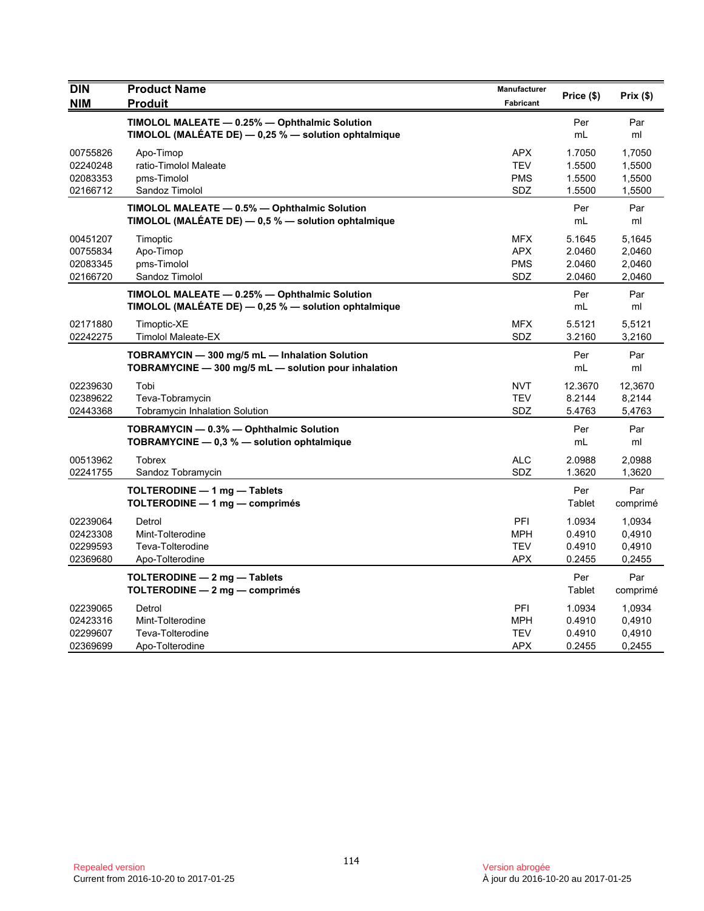| <b>DIN</b><br><b>NIM</b>                     | <b>Product Name</b><br><b>Produit</b>                                                                     | Manufacturer<br>Fabricant                            | Price (\$)                           | $Prix($ \$)                          |
|----------------------------------------------|-----------------------------------------------------------------------------------------------------------|------------------------------------------------------|--------------------------------------|--------------------------------------|
|                                              | TIMOLOL MALEATE - 0.25% - Ophthalmic Solution<br>TIMOLOL (MALÉATE DE) $-$ 0.25 % $-$ solution ophtalmique |                                                      | Per<br>mL                            | Par<br>ml                            |
| 00755826<br>02240248<br>02083353<br>02166712 | Apo-Timop<br>ratio-Timolol Maleate<br>pms-Timolol<br>Sandoz Timolol                                       | <b>APX</b><br><b>TEV</b><br><b>PMS</b><br>SDZ        | 1.7050<br>1.5500<br>1.5500<br>1.5500 | 1,7050<br>1,5500<br>1,5500<br>1,5500 |
|                                              | TIMOLOL MALEATE - 0.5% - Ophthalmic Solution<br>TIMOLOL (MALÉATE DE) - 0,5 % - solution ophtalmique       |                                                      | Per<br>mL                            | Par<br>ml                            |
| 00451207<br>00755834<br>02083345<br>02166720 | Timoptic<br>Apo-Timop<br>pms-Timolol<br>Sandoz Timolol                                                    | <b>MFX</b><br><b>APX</b><br><b>PMS</b><br><b>SDZ</b> | 5.1645<br>2.0460<br>2.0460<br>2.0460 | 5,1645<br>2,0460<br>2,0460<br>2,0460 |
|                                              | TIMOLOL MALEATE - 0.25% - Ophthalmic Solution<br>TIMOLOL (MALÉATE DE) - 0,25 % - solution ophtalmique     |                                                      | Per<br>mL                            | Par<br>ml                            |
| 02171880<br>02242275                         | Timoptic-XE<br><b>Timolol Maleate-EX</b>                                                                  | MFX.<br><b>SDZ</b>                                   | 5.5121<br>3.2160                     | 5,5121<br>3,2160                     |
|                                              | TOBRAMYCIN - 300 mg/5 mL - Inhalation Solution<br>TOBRAMYCINE - 300 mg/5 mL - solution pour inhalation    |                                                      | Per<br>mL                            | Par<br>ml                            |
| 02239630<br>02389622<br>02443368             | Tobi<br>Teva-Tobramycin<br><b>Tobramycin Inhalation Solution</b>                                          | <b>NVT</b><br><b>TEV</b><br>SDZ                      | 12.3670<br>8.2144<br>5.4763          | 12,3670<br>8,2144<br>5,4763          |
|                                              | TOBRAMYCIN - 0.3% - Ophthalmic Solution<br>TOBRAMYCINE - 0.3 % - solution ophtalmique                     |                                                      | Per<br>mL                            | Par<br>ml                            |
| 00513962<br>02241755                         | <b>Tobrex</b><br>Sandoz Tobramycin                                                                        | <b>ALC</b><br><b>SDZ</b>                             | 2.0988<br>1.3620                     | 2,0988<br>1,3620                     |
|                                              | TOLTERODINE - 1 mg - Tablets<br>TOLTERODINE - 1 mg - comprimés                                            |                                                      | Per<br>Tablet                        | Par<br>comprimé                      |
| 02239064<br>02423308<br>02299593<br>02369680 | Detrol<br>Mint-Tolterodine<br>Teva-Tolterodine<br>Apo-Tolterodine                                         | PFI<br><b>MPH</b><br><b>TEV</b><br><b>APX</b>        | 1.0934<br>0.4910<br>0.4910<br>0.2455 | 1,0934<br>0,4910<br>0,4910<br>0,2455 |
|                                              | TOLTERODINE - 2 mg - Tablets<br>TOLTERODINE - 2 mg - comprimés                                            |                                                      | Per<br>Tablet                        | Par<br>comprimé                      |
| 02239065<br>02423316<br>02299607<br>02369699 | Detrol<br>Mint-Tolterodine<br>Teva-Tolterodine<br>Apo-Tolterodine                                         | PFI<br><b>MPH</b><br><b>TEV</b><br><b>APX</b>        | 1.0934<br>0.4910<br>0.4910<br>0.2455 | 1,0934<br>0,4910<br>0,4910<br>0,2455 |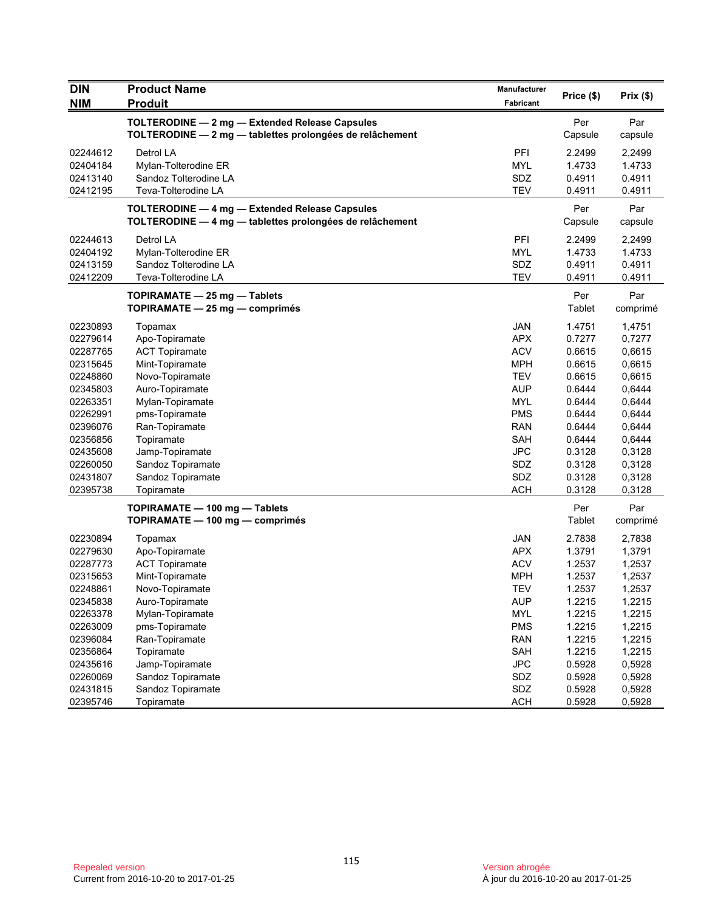| <b>DIN</b><br><b>NIM</b> | <b>Product Name</b><br><b>Produit</b>                                                                      | Manufacturer<br>Fabricant | Price (\$)     | Prix(\$)       |
|--------------------------|------------------------------------------------------------------------------------------------------------|---------------------------|----------------|----------------|
|                          |                                                                                                            |                           |                |                |
|                          | TOLTERODINE - 2 mg - Extended Release Capsules<br>TOLTERODINE - 2 mg - tablettes prolongées de relâchement |                           | Per<br>Capsule | Par<br>capsule |
| 02244612                 | Detrol LA                                                                                                  | PFI                       | 2.2499         | 2,2499         |
| 02404184                 | Mylan-Tolterodine ER                                                                                       | <b>MYL</b>                | 1.4733         | 1.4733         |
| 02413140                 | Sandoz Tolterodine LA                                                                                      | SDZ                       | 0.4911         | 0.4911         |
| 02412195                 | Teva-Tolterodine LA                                                                                        | TEV                       | 0.4911         | 0.4911         |
|                          |                                                                                                            |                           | Per            | Par            |
|                          | TOLTERODINE - 4 mg - Extended Release Capsules<br>TOLTERODINE - 4 mg - tablettes prolongées de relâchement |                           | Capsule        | capsule        |
|                          |                                                                                                            |                           |                |                |
| 02244613                 | Detrol LA                                                                                                  | PFI                       | 2.2499         | 2,2499         |
| 02404192                 | Mylan-Tolterodine ER                                                                                       | <b>MYL</b>                | 1.4733         | 1.4733         |
| 02413159                 | Sandoz Tolterodine LA                                                                                      | SDZ                       | 0.4911         | 0.4911         |
| 02412209                 | Teva-Tolterodine LA                                                                                        | <b>TEV</b>                | 0.4911         | 0.4911         |
|                          | TOPIRAMATE - 25 mg - Tablets                                                                               |                           | Per            | Par            |
|                          | TOPIRAMATE - 25 mg - comprimés                                                                             |                           | <b>Tablet</b>  | comprimé       |
| 02230893                 | Topamax                                                                                                    | <b>JAN</b>                | 1.4751         | 1,4751         |
| 02279614                 | Apo-Topiramate                                                                                             | <b>APX</b>                | 0.7277         | 0,7277         |
| 02287765                 | <b>ACT Topiramate</b>                                                                                      | <b>ACV</b>                | 0.6615         | 0,6615         |
| 02315645                 | Mint-Topiramate                                                                                            | <b>MPH</b>                | 0.6615         | 0,6615         |
| 02248860                 | Novo-Topiramate                                                                                            | <b>TEV</b>                | 0.6615         | 0,6615         |
| 02345803                 | Auro-Topiramate                                                                                            | <b>AUP</b>                | 0.6444         | 0,6444         |
| 02263351                 | Mylan-Topiramate                                                                                           | <b>MYL</b>                | 0.6444         | 0,6444         |
| 02262991                 | pms-Topiramate                                                                                             | <b>PMS</b>                | 0.6444         | 0,6444         |
| 02396076                 | Ran-Topiramate                                                                                             | <b>RAN</b>                | 0.6444         | 0,6444         |
| 02356856                 | Topiramate                                                                                                 | <b>SAH</b>                | 0.6444         | 0,6444         |
| 02435608                 | Jamp-Topiramate                                                                                            | <b>JPC</b>                | 0.3128         | 0,3128         |
| 02260050                 | Sandoz Topiramate                                                                                          | SDZ                       | 0.3128         | 0,3128         |
| 02431807                 | Sandoz Topiramate                                                                                          | SDZ                       | 0.3128         | 0,3128         |
| 02395738                 | Topiramate                                                                                                 | <b>ACH</b>                | 0.3128         | 0,3128         |
|                          | TOPIRAMATE - 100 mg - Tablets                                                                              |                           | Per            | Par            |
|                          | TOPIRAMATE - 100 mg - comprimés                                                                            |                           | Tablet         | comprimé       |
| 02230894                 | Topamax                                                                                                    | <b>JAN</b>                | 2.7838         | 2,7838         |
| 02279630                 | Apo-Topiramate                                                                                             | <b>APX</b>                | 1.3791         | 1,3791         |
| 02287773                 | <b>ACT Topiramate</b>                                                                                      | <b>ACV</b>                | 1.2537         | 1,2537         |
| 02315653                 | Mint-Topiramate                                                                                            | <b>MPH</b>                | 1.2537         | 1,2537         |
| 02248861                 | Novo-Topiramate                                                                                            | <b>TEV</b>                | 1.2537         | 1,2537         |
| 02345838                 | Auro-Topiramate                                                                                            | <b>AUP</b>                | 1.2215         | 1,2215         |
| 02263378                 | Mylan-Topiramate                                                                                           | <b>MYL</b>                | 1.2215         | 1,2215         |
| 02263009                 | pms-Topiramate                                                                                             | <b>PMS</b>                | 1.2215         | 1,2215         |
| 02396084                 | Ran-Topiramate                                                                                             | <b>RAN</b>                | 1.2215         | 1,2215         |
| 02356864                 | Topiramate                                                                                                 | SAH                       | 1.2215         | 1,2215         |
| 02435616                 | Jamp-Topiramate                                                                                            | <b>JPC</b>                | 0.5928         | 0,5928         |
| 02260069                 | Sandoz Topiramate                                                                                          | SDZ                       | 0.5928         | 0,5928         |
| 02431815                 | Sandoz Topiramate                                                                                          | SDZ                       | 0.5928         | 0,5928         |
| 02395746                 | Topiramate                                                                                                 | <b>ACH</b>                | 0.5928         | 0,5928         |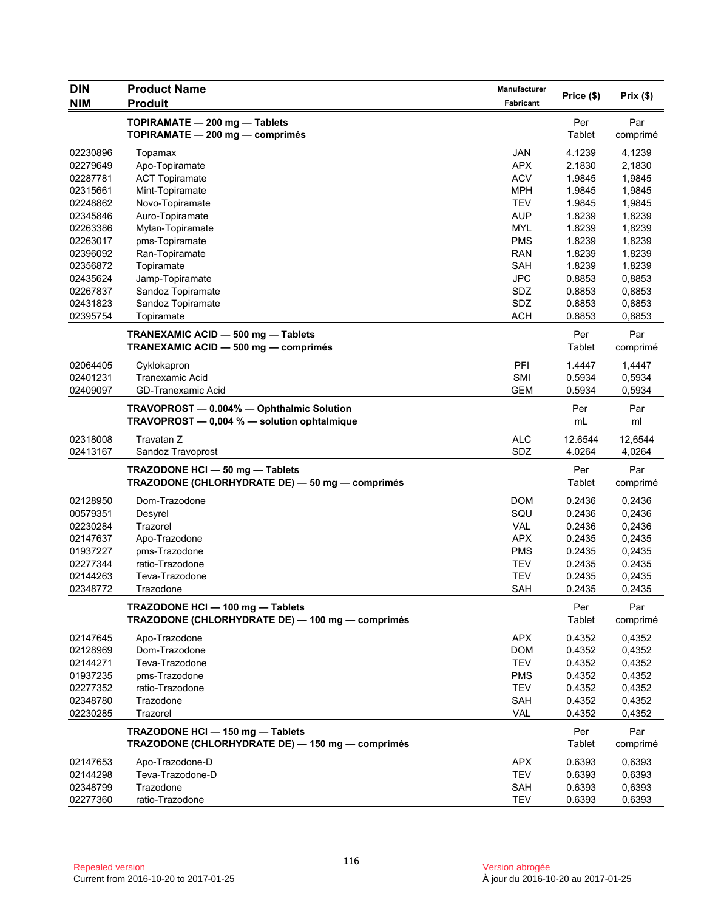| <b>DIN</b>           | <b>Product Name</b>                              | <b>Manufacturer</b>      |                   | Prix $(\$)$       |
|----------------------|--------------------------------------------------|--------------------------|-------------------|-------------------|
| <b>NIM</b>           | <b>Produit</b>                                   | Fabricant                | Price (\$)        |                   |
|                      | TOPIRAMATE - 200 mg - Tablets                    |                          | Per               | Par               |
|                      | TOPIRAMATE - 200 mg - comprimés                  |                          | Tablet            | comprimé          |
|                      |                                                  |                          |                   |                   |
| 02230896             | Topamax                                          | <b>JAN</b><br><b>APX</b> | 4.1239            | 4,1239            |
| 02279649             | Apo-Topiramate                                   | <b>ACV</b>               | 2.1830            | 2,1830            |
| 02287781             | <b>ACT Topiramate</b>                            | <b>MPH</b>               | 1.9845            | 1,9845            |
| 02315661<br>02248862 | Mint-Topiramate<br>Novo-Topiramate               | <b>TEV</b>               | 1.9845<br>1.9845  | 1,9845<br>1,9845  |
| 02345846             | Auro-Topiramate                                  | <b>AUP</b>               | 1.8239            | 1,8239            |
| 02263386             | Mylan-Topiramate                                 | <b>MYL</b>               | 1.8239            | 1,8239            |
| 02263017             | pms-Topiramate                                   | <b>PMS</b>               | 1.8239            | 1,8239            |
| 02396092             | Ran-Topiramate                                   | <b>RAN</b>               | 1.8239            | 1,8239            |
| 02356872             | Topiramate                                       | <b>SAH</b>               | 1.8239            | 1,8239            |
| 02435624             | Jamp-Topiramate                                  | <b>JPC</b>               | 0.8853            | 0,8853            |
| 02267837             | Sandoz Topiramate                                | SDZ                      | 0.8853            | 0,8853            |
| 02431823             | Sandoz Topiramate                                | SDZ                      | 0.8853            | 0,8853            |
| 02395754             | Topiramate                                       | <b>ACH</b>               | 0.8853            | 0,8853            |
|                      |                                                  |                          |                   |                   |
|                      | TRANEXAMIC ACID - 500 mg - Tablets               |                          | Per               | Par               |
|                      | TRANEXAMIC ACID - 500 mg - comprimés             |                          | Tablet            | comprimé          |
| 02064405             | Cyklokapron                                      | PFI                      | 1.4447            | 1,4447            |
| 02401231             | <b>Tranexamic Acid</b>                           | SMI                      | 0.5934            | 0,5934            |
| 02409097             | GD-Tranexamic Acid                               | <b>GEM</b>               | 0.5934            | 0,5934            |
|                      | TRAVOPROST - 0.004% - Ophthalmic Solution        |                          | Per               | Par               |
|                      | TRAVOPROST - 0,004 % - solution ophtalmique      |                          | mL                | ml                |
|                      |                                                  | <b>ALC</b>               |                   |                   |
| 02318008<br>02413167 | Travatan Z<br>Sandoz Travoprost                  | SDZ                      | 12.6544<br>4.0264 | 12,6544<br>4,0264 |
|                      |                                                  |                          |                   |                   |
|                      | TRAZODONE HCI - 50 mg - Tablets                  |                          | Per               | Par               |
|                      | TRAZODONE (CHLORHYDRATE DE) - 50 mg - comprimés  |                          | Tablet            | comprimé          |
| 02128950             | Dom-Trazodone                                    | <b>DOM</b>               | 0.2436            | 0,2436            |
| 00579351             | Desyrel                                          | SQU                      | 0.2436            | 0,2436            |
| 02230284             | Trazorel                                         | <b>VAL</b>               | 0.2436            | 0,2436            |
| 02147637             | Apo-Trazodone                                    | <b>APX</b>               | 0.2435            | 0,2435            |
| 01937227             | pms-Trazodone                                    | <b>PMS</b>               | 0.2435            | 0,2435            |
| 02277344             | ratio-Trazodone                                  | <b>TEV</b>               | 0.2435            | 0.2435            |
| 02144263             | Teva-Trazodone                                   | <b>TEV</b>               | 0.2435            | 0,2435            |
| 02348772             | Trazodone                                        | <b>SAH</b>               | 0.2435            | 0,2435            |
|                      | TRAZODONE HCI - 100 mg - Tablets                 |                          | Per               | Par               |
|                      | TRAZODONE (CHLORHYDRATE DE) - 100 mg - comprimés |                          | Tablet            | comprimé          |
| 02147645             | Apo-Trazodone                                    | <b>APX</b>               | 0.4352            | 0,4352            |
| 02128969             | Dom-Trazodone                                    | <b>DOM</b>               | 0.4352            | 0,4352            |
| 02144271             | Teva-Trazodone                                   | <b>TEV</b>               | 0.4352            | 0,4352            |
| 01937235             | pms-Trazodone                                    | <b>PMS</b>               | 0.4352            | 0,4352            |
| 02277352             | ratio-Trazodone                                  | <b>TEV</b>               | 0.4352            | 0,4352            |
| 02348780             | Trazodone                                        | SAH                      | 0.4352            | 0,4352            |
| 02230285             | Trazorel                                         | <b>VAL</b>               | 0.4352            | 0,4352            |
|                      |                                                  |                          |                   |                   |
|                      | TRAZODONE HCI - 150 mg - Tablets                 |                          | Per               | Par               |
|                      | TRAZODONE (CHLORHYDRATE DE) - 150 mg - comprimés |                          | Tablet            | comprimé          |
| 02147653             | Apo-Trazodone-D                                  | <b>APX</b>               | 0.6393            | 0,6393            |
| 02144298             | Teva-Trazodone-D                                 | <b>TEV</b>               | 0.6393            | 0,6393            |
| 02348799             | Trazodone                                        | SAH                      | 0.6393            | 0,6393            |
| 02277360             | ratio-Trazodone                                  | <b>TEV</b>               | 0.6393            | 0,6393            |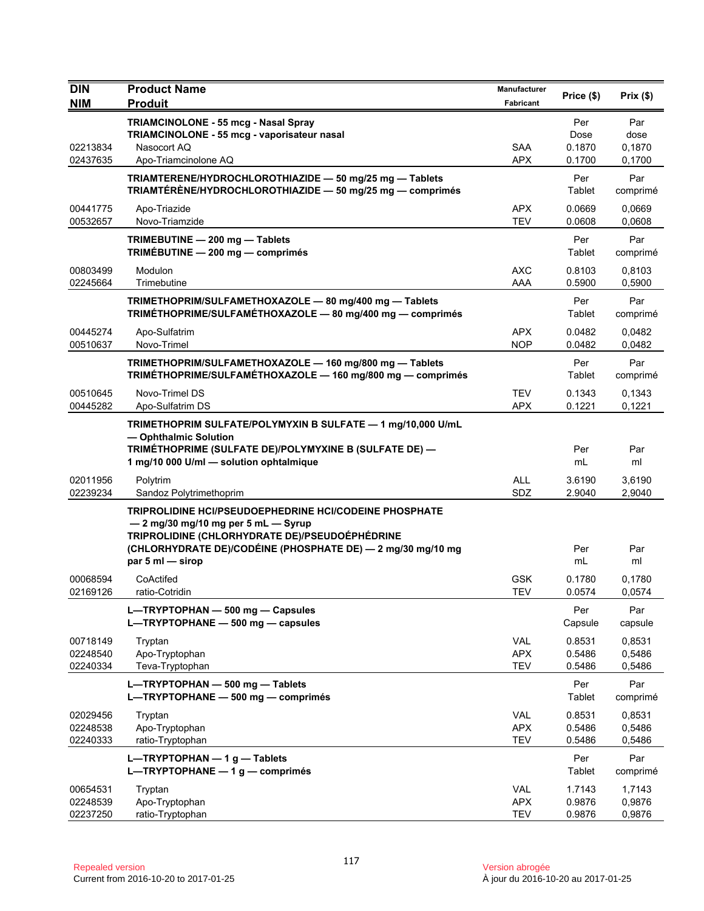| <b>DIN</b>                       | <b>Product Name</b>                                                                                                                                                                                                                       | <b>Manufacturer</b>                    | Price (\$)                      | Prix(\$)                        |
|----------------------------------|-------------------------------------------------------------------------------------------------------------------------------------------------------------------------------------------------------------------------------------------|----------------------------------------|---------------------------------|---------------------------------|
| <b>NIM</b>                       | <b>Produit</b>                                                                                                                                                                                                                            | Fabricant                              |                                 |                                 |
| 02213834<br>02437635             | TRIAMCINOLONE - 55 mcg - Nasal Spray<br>TRIAMCINOLONE - 55 mcg - vaporisateur nasal<br>Nasocort AO<br>Apo-Triamcinolone AQ                                                                                                                | <b>SAA</b><br><b>APX</b>               | Per<br>Dose<br>0.1870<br>0.1700 | Par<br>dose<br>0,1870<br>0,1700 |
|                                  | TRIAMTERENE/HYDROCHLOROTHIAZIDE - 50 mg/25 mg - Tablets<br>TRIAMTÉRÈNE/HYDROCHLOROTHIAZIDE - 50 mg/25 mg - comprimés                                                                                                                      |                                        | Per<br>Tablet                   | Par<br>comprimé                 |
| 00441775<br>00532657             | Apo-Triazide<br>Novo-Triamzide                                                                                                                                                                                                            | <b>APX</b><br><b>TEV</b>               | 0.0669<br>0.0608                | 0,0669<br>0,0608                |
|                                  | TRIMEBUTINE - 200 mg - Tablets<br>TRIMÉBUTINE - 200 mg - comprimés                                                                                                                                                                        |                                        | Per<br>Tablet                   | Par<br>comprimé                 |
| 00803499<br>02245664             | Modulon<br>Trimebutine                                                                                                                                                                                                                    | AXC<br>AAA                             | 0.8103<br>0.5900                | 0,8103<br>0,5900                |
|                                  | TRIMETHOPRIM/SULFAMETHOXAZOLE - 80 mg/400 mg - Tablets<br>TRIMÉTHOPRIME/SULFAMÉTHOXAZOLE - 80 mg/400 mg - comprimés                                                                                                                       |                                        | Per<br>Tablet                   | Par<br>comprimé                 |
| 00445274<br>00510637             | Apo-Sulfatrim<br>Novo-Trimel                                                                                                                                                                                                              | <b>APX</b><br><b>NOP</b>               | 0.0482<br>0.0482                | 0,0482<br>0,0482                |
|                                  | TRIMETHOPRIM/SULFAMETHOXAZOLE - 160 mg/800 mg - Tablets<br>TRIMÉTHOPRIME/SULFAMÉTHOXAZOLE - 160 mg/800 mg - comprimés                                                                                                                     |                                        | Per<br>Tablet                   | Par<br>comprimé                 |
| 00510645<br>00445282             | Novo-Trimel DS<br>Apo-Sulfatrim DS                                                                                                                                                                                                        | <b>TEV</b><br><b>APX</b>               | 0.1343<br>0.1221                | 0,1343<br>0,1221                |
|                                  | TRIMETHOPRIM SULFATE/POLYMYXIN B SULFATE - 1 mg/10,000 U/mL<br>- Ophthalmic Solution<br>TRIMÉTHOPRIME (SULFATE DE)/POLYMYXINE B (SULFATE DE) -<br>1 mg/10 000 U/ml - solution ophtalmique                                                 |                                        | Per<br>mL                       | Par<br>ml                       |
| 02011956<br>02239234             | Polytrim<br>Sandoz Polytrimethoprim                                                                                                                                                                                                       | <b>ALL</b><br>SDZ                      | 3.6190<br>2.9040                | 3,6190<br>2,9040                |
|                                  | <b>TRIPROLIDINE HCI/PSEUDOEPHEDRINE HCI/CODEINE PHOSPHATE</b><br>- 2 mg/30 mg/10 mg per 5 mL - Syrup<br>TRIPROLIDINE (CHLORHYDRATE DE)/PSEUDOÉPHÉDRINE<br>(CHLORHYDRATE DE)/CODÉINE (PHOSPHATE DE) - 2 mg/30 mg/10 mg<br>par 5 ml - sirop |                                        | Per<br>mL                       | Par<br>ml                       |
| 00068594<br>02169126             | CoActifed<br>ratio-Cotridin                                                                                                                                                                                                               | <b>GSK</b><br><b>TEV</b>               | 0.1780<br>0.0574                | 0,1780<br>0,0574                |
|                                  | L-TRYPTOPHAN - 500 mg - Capsules<br>L-TRYPTOPHANE - 500 mg - capsules                                                                                                                                                                     |                                        | Per<br>Capsule                  | Par<br>capsule                  |
| 00718149<br>02248540<br>02240334 | Tryptan<br>Apo-Tryptophan<br>Teva-Tryptophan                                                                                                                                                                                              | <b>VAL</b><br><b>APX</b><br><b>TEV</b> | 0.8531<br>0.5486<br>0.5486      | 0,8531<br>0,5486<br>0,5486      |
|                                  | L-TRYPTOPHAN - 500 mg - Tablets<br>L-TRYPTOPHANE - 500 mg - comprimés                                                                                                                                                                     |                                        | Per<br>Tablet                   | Par<br>comprimé                 |
| 02029456<br>02248538<br>02240333 | Tryptan<br>Apo-Tryptophan<br>ratio-Tryptophan                                                                                                                                                                                             | <b>VAL</b><br><b>APX</b><br><b>TEV</b> | 0.8531<br>0.5486<br>0.5486      | 0,8531<br>0,5486<br>0,5486      |
|                                  | L-TRYPTOPHAN $-1$ g - Tablets<br>L-TRYPTOPHANE $-1$ g - comprimés                                                                                                                                                                         |                                        | Per<br>Tablet                   | Par<br>comprimé                 |
| 00654531<br>02248539<br>02237250 | Tryptan<br>Apo-Tryptophan<br>ratio-Tryptophan                                                                                                                                                                                             | VAL<br><b>APX</b><br><b>TEV</b>        | 1.7143<br>0.9876<br>0.9876      | 1,7143<br>0,9876<br>0,9876      |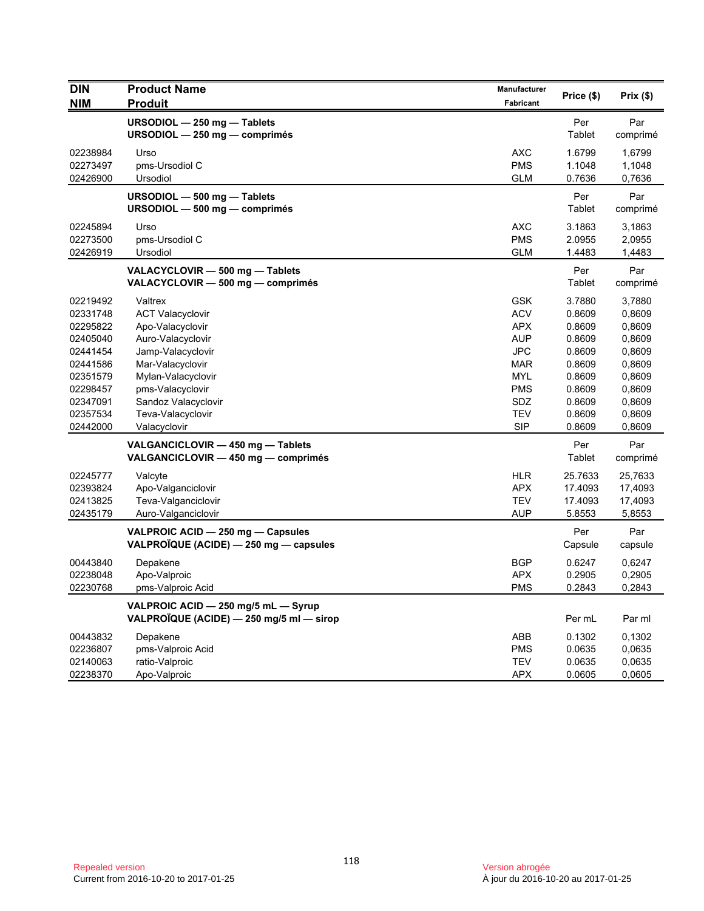| <b>DIN</b>                                                                                                                                                           | <b>Product Name</b>                                                                                                                                                                                                                                                                                                                                            | Manufacturer                                                                                                                                                                | Price (\$)                                                                                                                                                   | Prix(\$)                                                                                                                                                       |
|----------------------------------------------------------------------------------------------------------------------------------------------------------------------|----------------------------------------------------------------------------------------------------------------------------------------------------------------------------------------------------------------------------------------------------------------------------------------------------------------------------------------------------------------|-----------------------------------------------------------------------------------------------------------------------------------------------------------------------------|--------------------------------------------------------------------------------------------------------------------------------------------------------------|----------------------------------------------------------------------------------------------------------------------------------------------------------------|
| NIM                                                                                                                                                                  | <b>Produit</b>                                                                                                                                                                                                                                                                                                                                                 | Fabricant                                                                                                                                                                   |                                                                                                                                                              |                                                                                                                                                                |
|                                                                                                                                                                      | URSODIOL - 250 mg - Tablets<br>URSODIOL $-$ 250 mg $-$ comprimés                                                                                                                                                                                                                                                                                               |                                                                                                                                                                             | Per<br>Tablet                                                                                                                                                | Par<br>comprimé                                                                                                                                                |
| 02238984<br>02273497<br>02426900                                                                                                                                     | Urso<br>pms-Ursodiol C<br>Ursodiol                                                                                                                                                                                                                                                                                                                             | <b>AXC</b><br><b>PMS</b><br><b>GLM</b>                                                                                                                                      | 1.6799<br>1.1048<br>0.7636                                                                                                                                   | 1,6799<br>1,1048<br>0,7636                                                                                                                                     |
|                                                                                                                                                                      | URSODIOL $-$ 500 mg $-$ Tablets<br>URSODIOL $-$ 500 mg $-$ comprimés                                                                                                                                                                                                                                                                                           |                                                                                                                                                                             | Per<br>Tablet                                                                                                                                                | Par<br>comprimé                                                                                                                                                |
| 02245894<br>02273500<br>02426919                                                                                                                                     | Urso<br>pms-Ursodiol C<br>Ursodiol                                                                                                                                                                                                                                                                                                                             | <b>AXC</b><br><b>PMS</b><br><b>GLM</b>                                                                                                                                      | 3.1863<br>2.0955<br>1.4483                                                                                                                                   | 3,1863<br>2,0955<br>1,4483                                                                                                                                     |
|                                                                                                                                                                      | VALACYCLOVIR - 500 mg - Tablets<br>VALACYCLOVIR - 500 mg - comprimés                                                                                                                                                                                                                                                                                           |                                                                                                                                                                             | Per<br>Tablet                                                                                                                                                | Par<br>comprimé                                                                                                                                                |
| 02219492<br>02331748<br>02295822<br>02405040<br>02441454<br>02441586<br>02351579<br>02298457<br>02347091<br>02357534<br>02442000<br>02245777<br>02393824<br>02413825 | Valtrex<br><b>ACT Valacyclovir</b><br>Apo-Valacyclovir<br>Auro-Valacyclovir<br>Jamp-Valacyclovir<br>Mar-Valacyclovir<br>Mylan-Valacyclovir<br>pms-Valacyclovir<br>Sandoz Valacyclovir<br>Teva-Valacyclovir<br>Valacyclovir<br>VALGANCICLOVIR - 450 mg - Tablets<br>VALGANCICLOVIR - 450 mg - comprimés<br>Valcyte<br>Apo-Valganciclovir<br>Teva-Valganciclovir | <b>GSK</b><br><b>ACV</b><br><b>APX</b><br><b>AUP</b><br>JPC<br><b>MAR</b><br><b>MYL</b><br><b>PMS</b><br>SDZ<br>TEV<br><b>SIP</b><br><b>HLR</b><br><b>APX</b><br><b>TEV</b> | 3.7880<br>0.8609<br>0.8609<br>0.8609<br>0.8609<br>0.8609<br>0.8609<br>0.8609<br>0.8609<br>0.8609<br>0.8609<br>Per<br>Tablet<br>25.7633<br>17.4093<br>17.4093 | 3,7880<br>0,8609<br>0,8609<br>0,8609<br>0,8609<br>0,8609<br>0,8609<br>0,8609<br>0,8609<br>0,8609<br>0,8609<br>Par<br>comprimé<br>25,7633<br>17,4093<br>17,4093 |
| 02435179                                                                                                                                                             | Auro-Valganciclovir<br>VALPROIC ACID - 250 mg - Capsules<br>VALPROÏQUE (ACIDE) - 250 mg - capsules                                                                                                                                                                                                                                                             | <b>AUP</b>                                                                                                                                                                  | 5.8553<br>Per<br>Capsule                                                                                                                                     | 5,8553<br>Par<br>capsule                                                                                                                                       |
| 00443840<br>02238048<br>02230768                                                                                                                                     | Depakene<br>Apo-Valproic<br>pms-Valproic Acid                                                                                                                                                                                                                                                                                                                  | <b>BGP</b><br><b>APX</b><br><b>PMS</b>                                                                                                                                      | 0.6247<br>0.2905<br>0.2843                                                                                                                                   | 0,6247<br>0,2905<br>0,2843                                                                                                                                     |
|                                                                                                                                                                      | VALPROIC ACID - 250 mg/5 mL - Syrup<br>VALPROÏQUE (ACIDE) — 250 mg/5 ml — sirop                                                                                                                                                                                                                                                                                |                                                                                                                                                                             | Per mL                                                                                                                                                       | Par ml                                                                                                                                                         |
| 00443832<br>02236807<br>02140063<br>02238370                                                                                                                         | Depakene<br>pms-Valproic Acid<br>ratio-Valproic<br>Apo-Valproic                                                                                                                                                                                                                                                                                                | ABB<br><b>PMS</b><br><b>TEV</b><br><b>APX</b>                                                                                                                               | 0.1302<br>0.0635<br>0.0635<br>0.0605                                                                                                                         | 0,1302<br>0,0635<br>0,0635<br>0,0605                                                                                                                           |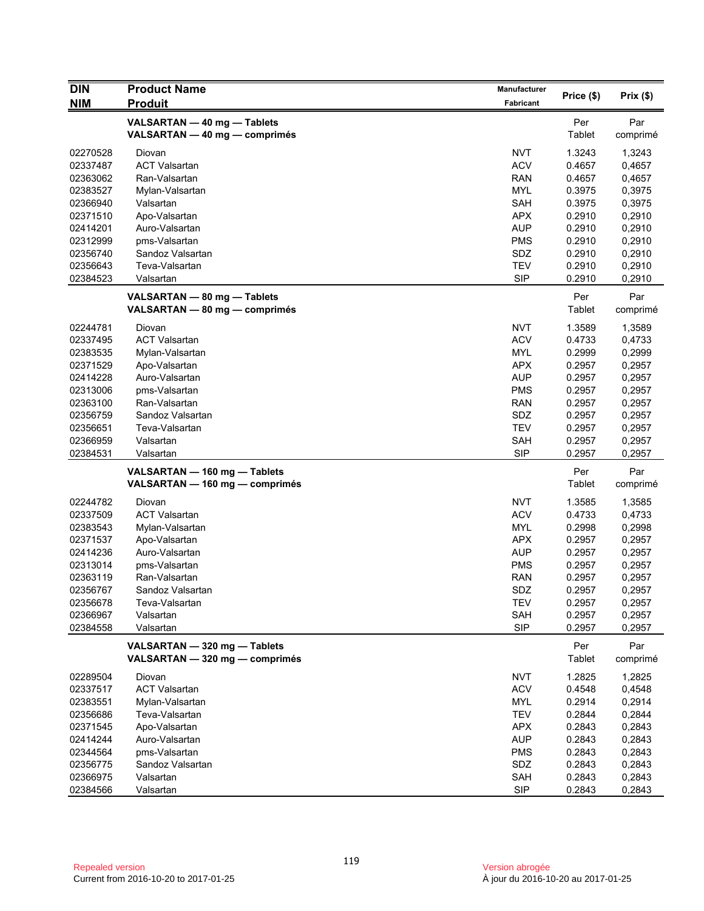| <b>DIN</b>           | <b>Product Name</b>             | Manufacturer      |                  |                  |
|----------------------|---------------------------------|-------------------|------------------|------------------|
| <b>NIM</b>           | <b>Produit</b>                  | Fabricant         | Price (\$)       | Prix(\$)         |
|                      | VALSARTAN - 40 mg - Tablets     |                   | Per              | Par              |
|                      | VALSARTAN - 40 mg - comprimés   |                   | <b>Tablet</b>    | comprimé         |
|                      |                                 |                   |                  |                  |
| 02270528             | Diovan                          | <b>NVT</b>        | 1.3243           | 1,3243           |
| 02337487             | <b>ACT Valsartan</b>            | <b>ACV</b>        | 0.4657           | 0,4657           |
| 02363062             | Ran-Valsartan                   | <b>RAN</b>        | 0.4657           | 0,4657           |
| 02383527             | Mylan-Valsartan                 | <b>MYL</b>        | 0.3975           | 0,3975           |
| 02366940             | Valsartan                       | SAH<br><b>APX</b> | 0.3975           | 0,3975           |
| 02371510             | Apo-Valsartan                   | <b>AUP</b>        | 0.2910<br>0.2910 | 0,2910           |
| 02414201<br>02312999 | Auro-Valsartan<br>pms-Valsartan | PMS               | 0.2910           | 0,2910<br>0,2910 |
| 02356740             | Sandoz Valsartan                | SDZ               | 0.2910           | 0,2910           |
| 02356643             | Teva-Valsartan                  | <b>TEV</b>        | 0.2910           | 0,2910           |
| 02384523             | Valsartan                       | <b>SIP</b>        | 0.2910           | 0,2910           |
|                      |                                 |                   |                  |                  |
|                      | VALSARTAN - 80 mg - Tablets     |                   | Per              | Par              |
|                      | VALSARTAN - 80 mg - comprimés   |                   | Tablet           | comprimé         |
| 02244781             | Diovan                          | <b>NVT</b>        | 1.3589           | 1,3589           |
| 02337495             | <b>ACT Valsartan</b>            | <b>ACV</b>        | 0.4733           | 0,4733           |
| 02383535             | Mylan-Valsartan                 | MYL               | 0.2999           | 0,2999           |
| 02371529             | Apo-Valsartan                   | <b>APX</b>        | 0.2957           | 0,2957           |
| 02414228             | Auro-Valsartan                  | <b>AUP</b>        | 0.2957           | 0,2957           |
| 02313006             | pms-Valsartan                   | <b>PMS</b>        | 0.2957           | 0,2957           |
| 02363100             | Ran-Valsartan                   | RAN               | 0.2957           | 0,2957           |
| 02356759             | Sandoz Valsartan                | SDZ               | 0.2957           | 0,2957           |
| 02356651             | Teva-Valsartan                  | <b>TEV</b>        | 0.2957           | 0,2957           |
| 02366959             | Valsartan                       | SAH               | 0.2957           | 0,2957           |
| 02384531             | Valsartan                       | <b>SIP</b>        | 0.2957           | 0,2957           |
|                      | VALSARTAN - 160 mg - Tablets    |                   | Per              | Par              |
|                      | VALSARTAN - 160 mg - comprimés  |                   | Tablet           | comprimé         |
| 02244782             | Diovan                          | <b>NVT</b>        | 1.3585           | 1,3585           |
| 02337509             | <b>ACT Valsartan</b>            | <b>ACV</b>        | 0.4733           | 0,4733           |
| 02383543             | Mylan-Valsartan                 | <b>MYL</b>        | 0.2998           | 0,2998           |
| 02371537             | Apo-Valsartan                   | <b>APX</b>        | 0.2957           | 0,2957           |
| 02414236             | Auro-Valsartan                  | <b>AUP</b>        | 0.2957           | 0,2957           |
| 02313014             | pms-Valsartan                   | <b>PMS</b>        | 0.2957           | 0,2957           |
| 02363119             | Ran-Valsartan                   | RAN               | 0.2957           | 0,2957           |
| 02356767             | Sandoz Valsartan                | SDZ               | 0.2957           | 0,2957           |
| 02356678             | Teva-Valsartan                  | TEV               | 0.2957           | 0,2957           |
| 02366967             | Valsartan                       | SAH               | 0.2957           | 0,2957           |
| 02384558             | Valsartan                       | <b>SIP</b>        | 0.2957           | 0,2957           |
|                      | VALSARTAN - 320 mg - Tablets    |                   | Per              | Par              |
|                      | VALSARTAN - 320 mg - comprimés  |                   | Tablet           | comprimé         |
| 02289504             | Diovan                          | <b>NVT</b>        | 1.2825           | 1,2825           |
| 02337517             | <b>ACT Valsartan</b>            | <b>ACV</b>        | 0.4548           | 0,4548           |
| 02383551             | Mylan-Valsartan                 | MYL               | 0.2914           | 0,2914           |
| 02356686             | Teva-Valsartan                  | <b>TEV</b>        | 0.2844           | 0,2844           |
| 02371545             | Apo-Valsartan                   | <b>APX</b>        | 0.2843           | 0,2843           |
| 02414244             | Auro-Valsartan                  | <b>AUP</b>        | 0.2843           | 0,2843           |
| 02344564             | pms-Valsartan                   | <b>PMS</b>        | 0.2843           | 0,2843           |
| 02356775             | Sandoz Valsartan                | SDZ               | 0.2843           | 0,2843           |
| 02366975             | Valsartan                       | SAH               | 0.2843           | 0,2843           |
| 02384566             | Valsartan                       | <b>SIP</b>        | 0.2843           | 0,2843           |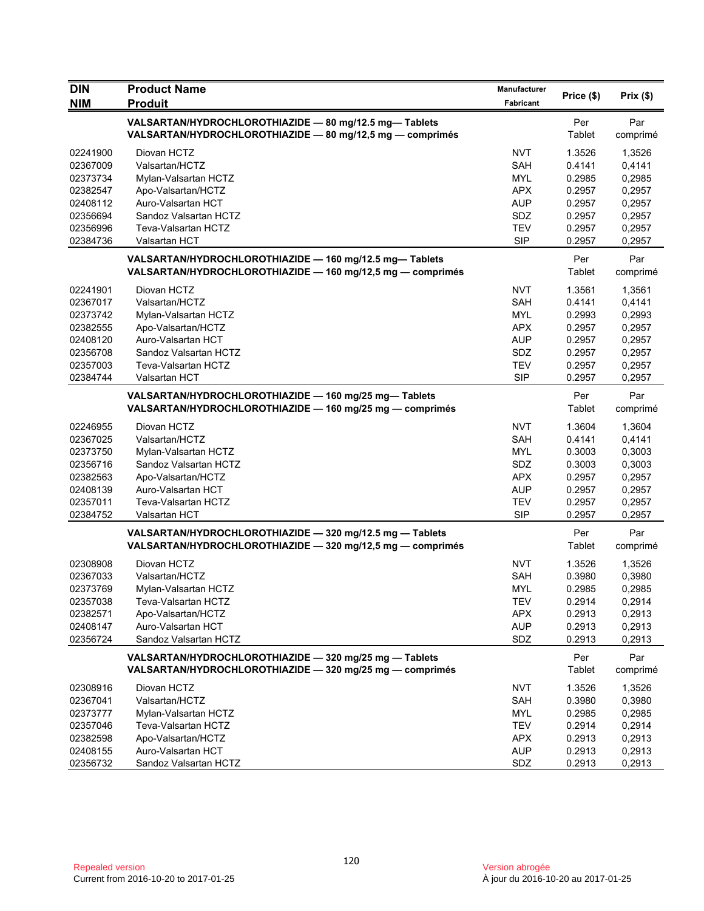| <b>DIN</b>           | <b>Product Name</b>                                                                                                    | Manufacturer             | Price (\$)       | Prix(\$)         |
|----------------------|------------------------------------------------------------------------------------------------------------------------|--------------------------|------------------|------------------|
| <b>NIM</b>           | <b>Produit</b>                                                                                                         | <b>Fabricant</b>         |                  |                  |
|                      | VALSARTAN/HYDROCHLOROTHIAZIDE - 80 mg/12.5 mg-Tablets<br>VALSARTAN/HYDROCHLOROTHIAZIDE - 80 mg/12,5 mg - comprimés     |                          | Per<br>Tablet    | Par<br>comprimé  |
| 02241900             | Diovan HCTZ                                                                                                            | <b>NVT</b>               | 1.3526           | 1,3526           |
| 02367009             | Valsartan/HCTZ                                                                                                         | SAH                      | 0.4141           | 0.4141           |
| 02373734             | Mylan-Valsartan HCTZ                                                                                                   | <b>MYL</b>               | 0.2985           | 0,2985           |
| 02382547             | Apo-Valsartan/HCTZ                                                                                                     | <b>APX</b>               | 0.2957           | 0,2957           |
| 02408112             | Auro-Valsartan HCT                                                                                                     | <b>AUP</b>               | 0.2957           | 0,2957           |
| 02356694             | Sandoz Valsartan HCTZ                                                                                                  | SDZ                      | 0.2957           | 0,2957           |
| 02356996<br>02384736 | Teva-Valsartan HCTZ<br>Valsartan HCT                                                                                   | <b>TEV</b><br><b>SIP</b> | 0.2957<br>0.2957 | 0,2957<br>0,2957 |
|                      |                                                                                                                        |                          |                  |                  |
|                      | VALSARTAN/HYDROCHLOROTHIAZIDE - 160 mg/12.5 mg-Tablets<br>VALSARTAN/HYDROCHLOROTHIAZIDE - 160 mg/12,5 mg - comprimés   |                          | Per<br>Tablet    | Par<br>comprimé  |
| 02241901             | Diovan HCTZ                                                                                                            | <b>NVT</b>               | 1.3561           | 1,3561           |
| 02367017             | Valsartan/HCTZ                                                                                                         | SAH                      | 0.4141           | 0,4141           |
| 02373742             | Mylan-Valsartan HCTZ                                                                                                   | <b>MYL</b>               | 0.2993           | 0,2993           |
| 02382555             | Apo-Valsartan/HCTZ                                                                                                     | <b>APX</b>               | 0.2957           | 0,2957           |
| 02408120             | Auro-Valsartan HCT                                                                                                     | <b>AUP</b>               | 0.2957           | 0,2957           |
| 02356708             | Sandoz Valsartan HCTZ                                                                                                  | <b>SDZ</b>               | 0.2957           | 0,2957           |
| 02357003             | Teva-Valsartan HCTZ                                                                                                    | <b>TEV</b>               | 0.2957           | 0,2957           |
| 02384744             | Valsartan HCT                                                                                                          | <b>SIP</b>               | 0.2957           | 0,2957           |
|                      | VALSARTAN/HYDROCHLOROTHIAZIDE - 160 mg/25 mg-Tablets<br>VALSARTAN/HYDROCHLOROTHIAZIDE - 160 mg/25 mg - comprimés       |                          | Per<br>Tablet    | Par<br>comprimé  |
| 02246955             | Diovan HCTZ                                                                                                            | <b>NVT</b>               | 1.3604           | 1,3604           |
| 02367025             | Valsartan/HCTZ                                                                                                         | SAH                      | 0.4141           | 0,4141           |
| 02373750             | Mylan-Valsartan HCTZ                                                                                                   | <b>MYL</b>               | 0.3003           | 0,3003           |
| 02356716             | Sandoz Valsartan HCTZ                                                                                                  | SDZ                      | 0.3003           | 0,3003           |
| 02382563             | Apo-Valsartan/HCTZ                                                                                                     | <b>APX</b>               | 0.2957           | 0,2957           |
| 02408139             | Auro-Valsartan HCT                                                                                                     | <b>AUP</b>               | 0.2957           | 0,2957           |
| 02357011             | Teva-Valsartan HCTZ                                                                                                    | <b>TEV</b>               | 0.2957           | 0,2957           |
| 02384752             | Valsartan HCT                                                                                                          | <b>SIP</b>               | 0.2957           | 0,2957           |
|                      | VALSARTAN/HYDROCHLOROTHIAZIDE - 320 mg/12.5 mg - Tablets<br>VALSARTAN/HYDROCHLOROTHIAZIDE - 320 mg/12,5 mg - comprimés |                          | Per<br>Tablet    | Par<br>comprimé  |
| 02308908             | Diovan HCTZ                                                                                                            | <b>NVT</b>               | 1.3526           | 1,3526           |
| 02367033             | Valsartan/HCTZ                                                                                                         | <b>SAH</b>               | 0.3980           | 0,3980           |
| 02373769             | Mylan-Valsartan HCTZ                                                                                                   | <b>MYL</b>               | 0.2985           | 0,2985           |
| 02357038             | Teva-Valsartan HCTZ                                                                                                    | <b>TEV</b>               | 0.2914           | 0,2914           |
| 02382571             | Apo-Valsartan/HCTZ                                                                                                     | <b>APX</b>               | 0.2913           | 0,2913           |
| 02408147             | Auro-Valsartan HCT                                                                                                     | <b>AUP</b>               | 0.2913           | 0,2913           |
| 02356724             | Sandoz Valsartan HCTZ                                                                                                  | SDZ                      | 0.2913           | 0,2913           |
|                      | VALSARTAN/HYDROCHLOROTHIAZIDE - 320 mg/25 mg - Tablets                                                                 |                          | Per              | Par              |
|                      | VALSARTAN/HYDROCHLOROTHIAZIDE - 320 mg/25 mg - comprimés                                                               |                          | Tablet           | comprimé         |
| 02308916             | Diovan HCTZ                                                                                                            | <b>NVT</b>               | 1.3526           | 1,3526           |
| 02367041             | Valsartan/HCTZ                                                                                                         | SAH                      | 0.3980           | 0,3980           |
| 02373777             | Mylan-Valsartan HCTZ                                                                                                   | <b>MYL</b>               | 0.2985           | 0,2985           |
| 02357046             | Teva-Valsartan HCTZ                                                                                                    | <b>TEV</b>               | 0.2914           | 0,2914           |
| 02382598             | Apo-Valsartan/HCTZ                                                                                                     | <b>APX</b>               | 0.2913           | 0,2913           |
| 02408155             | Auro-Valsartan HCT                                                                                                     | <b>AUP</b>               | 0.2913           | 0,2913           |
| 02356732             | Sandoz Valsartan HCTZ                                                                                                  | SDZ                      | 0.2913           | 0,2913           |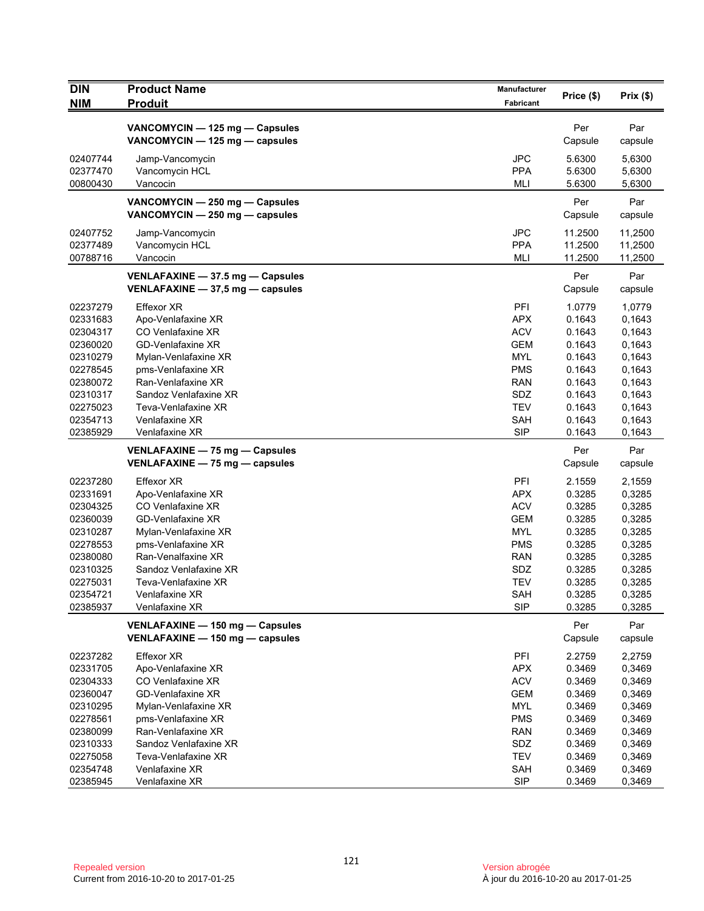| <b>DIN</b>           | <b>Product Name</b>                                                  | <b>Manufacturer</b>      | Price (\$)         | Prix(\$)           |
|----------------------|----------------------------------------------------------------------|--------------------------|--------------------|--------------------|
| <b>NIM</b>           | <b>Produit</b>                                                       | <b>Fabricant</b>         |                    |                    |
|                      | VANCOMYCIN - 125 mg - Capsules                                       |                          | Per                | Par                |
|                      | VANCOMYCIN - 125 mg - capsules                                       |                          | Capsule            | capsule            |
| 02407744             | Jamp-Vancomycin                                                      | <b>JPC</b>               | 5.6300             | 5,6300             |
| 02377470             | Vancomycin HCL                                                       | <b>PPA</b>               | 5.6300             | 5,6300             |
| 00800430             | Vancocin                                                             | <b>MLI</b>               | 5.6300             | 5,6300             |
|                      | VANCOMYCIN - 250 mg - Capsules                                       |                          | Per                | Par                |
|                      | VANCOMYCIN - 250 mg - capsules                                       |                          | Capsule            | capsule            |
|                      |                                                                      |                          |                    |                    |
| 02407752<br>02377489 | Jamp-Vancomycin<br>Vancomycin HCL                                    | <b>JPC</b><br><b>PPA</b> | 11.2500<br>11.2500 | 11,2500<br>11,2500 |
| 00788716             | Vancocin                                                             | MLI                      | 11.2500            | 11,2500            |
|                      |                                                                      |                          |                    |                    |
|                      | VENLAFAXINE - 37.5 mg - Capsules<br>VENLAFAXINE - 37,5 mg - capsules |                          | Per<br>Capsule     | Par<br>capsule     |
|                      |                                                                      |                          |                    |                    |
| 02237279             | <b>Effexor XR</b>                                                    | PFI                      | 1.0779             | 1,0779             |
| 02331683             | Apo-Venlafaxine XR                                                   | <b>APX</b>               | 0.1643             | 0,1643             |
| 02304317<br>02360020 | CO Venlafaxine XR<br><b>GD-Venlafaxine XR</b>                        | <b>ACV</b><br><b>GEM</b> | 0.1643<br>0.1643   | 0,1643<br>0,1643   |
| 02310279             | Mylan-Venlafaxine XR                                                 | <b>MYL</b>               | 0.1643             | 0,1643             |
| 02278545             | pms-Venlafaxine XR                                                   | <b>PMS</b>               | 0.1643             | 0,1643             |
| 02380072             | Ran-Venlafaxine XR                                                   | RAN                      | 0.1643             | 0.1643             |
| 02310317             | Sandoz Venlafaxine XR                                                | SDZ                      | 0.1643             | 0,1643             |
| 02275023             | Teva-Venlafaxine XR                                                  | <b>TEV</b>               | 0.1643             | 0,1643             |
| 02354713             | Venlafaxine XR                                                       | <b>SAH</b>               | 0.1643             | 0,1643             |
| 02385929             | Venlafaxine XR                                                       | <b>SIP</b>               | 0.1643             | 0,1643             |
|                      | VENLAFAXINE - 75 mg - Capsules                                       |                          | Per                | Par                |
|                      | VENLAFAXINE - 75 mg - capsules                                       |                          | Capsule            | capsule            |
| 02237280             | <b>Effexor XR</b>                                                    | PFI                      | 2.1559             | 2,1559             |
| 02331691             | Apo-Venlafaxine XR                                                   | <b>APX</b>               | 0.3285             | 0,3285             |
| 02304325             | CO Venlafaxine XR                                                    | <b>ACV</b>               | 0.3285             | 0,3285             |
| 02360039             | <b>GD-Venlafaxine XR</b>                                             | <b>GEM</b>               | 0.3285             | 0,3285             |
| 02310287             | Mylan-Venlafaxine XR                                                 | <b>MYL</b>               | 0.3285             | 0,3285             |
| 02278553<br>02380080 | pms-Venlafaxine XR<br>Ran-Venalfaxine XR                             | <b>PMS</b><br>RAN        | 0.3285<br>0.3285   | 0,3285<br>0,3285   |
| 02310325             | Sandoz Venlafaxine XR                                                | SDZ                      | 0.3285             | 0,3285             |
| 02275031             | Teva-Venlafaxine XR                                                  | <b>TEV</b>               | 0.3285             | 0,3285             |
| 02354721             | Venlafaxine XR                                                       | SAH                      | 0.3285             | 0,3285             |
| 02385937             | Venlafaxine XR                                                       | <b>SIP</b>               | 0.3285             | 0,3285             |
|                      | VENLAFAXINE - 150 mg - Capsules                                      |                          | Per                | Par                |
|                      | VENLAFAXINE - 150 mg - capsules                                      |                          | Capsule            | capsule            |
| 02237282             | <b>Effexor XR</b>                                                    | PFI                      | 2.2759             | 2,2759             |
| 02331705             | Apo-Venlafaxine XR                                                   | <b>APX</b>               | 0.3469             | 0,3469             |
| 02304333             | CO Venlafaxine XR                                                    | <b>ACV</b>               | 0.3469             | 0,3469             |
| 02360047             | <b>GD-Venlafaxine XR</b>                                             | <b>GEM</b>               | 0.3469             | 0,3469             |
| 02310295             | Mylan-Venlafaxine XR                                                 | <b>MYL</b>               | 0.3469             | 0,3469             |
| 02278561             | pms-Venlafaxine XR                                                   | <b>PMS</b>               | 0.3469             | 0,3469             |
| 02380099             | Ran-Venlafaxine XR                                                   | <b>RAN</b>               | 0.3469             | 0,3469             |
| 02310333             | Sandoz Venlafaxine XR                                                | SDZ                      | 0.3469             | 0,3469             |
| 02275058<br>02354748 | Teva-Venlafaxine XR<br>Venlafaxine XR                                | <b>TEV</b><br><b>SAH</b> | 0.3469<br>0.3469   | 0,3469<br>0,3469   |
| 02385945             | Venlafaxine XR                                                       | <b>SIP</b>               | 0.3469             | 0,3469             |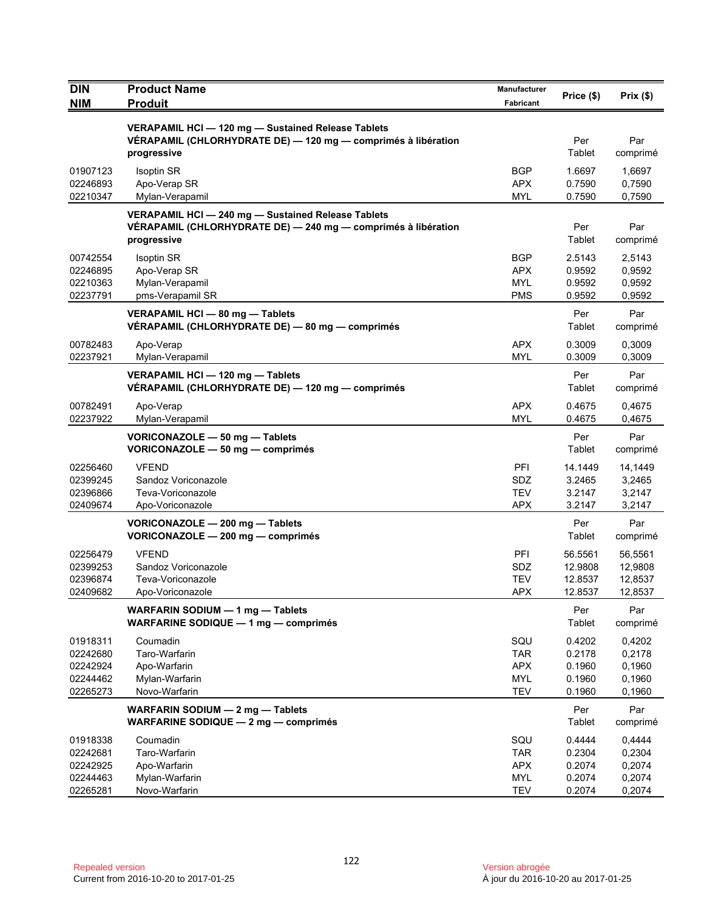| <b>DIN</b><br><b>NIM</b>                                 | <b>Product Name</b><br><b>Produit</b>                                                                                              | Manufacturer<br>Fabricant                                   | Price (\$)                                     | Prix(\$)                                       |
|----------------------------------------------------------|------------------------------------------------------------------------------------------------------------------------------------|-------------------------------------------------------------|------------------------------------------------|------------------------------------------------|
|                                                          | VERAPAMIL HCI - 120 mg - Sustained Release Tablets<br>VÉRAPAMIL (CHLORHYDRATE DE) - 120 mg - comprimés à libération<br>progressive |                                                             | Per<br>Tablet                                  | Par<br>comprimé                                |
| 01907123<br>02246893<br>02210347                         | <b>Isoptin SR</b><br>Apo-Verap SR<br>Mylan-Verapamil                                                                               | <b>BGP</b><br><b>APX</b><br><b>MYL</b>                      | 1.6697<br>0.7590<br>0.7590                     | 1,6697<br>0,7590<br>0,7590                     |
|                                                          | VERAPAMIL HCI-240 mg-Sustained Release Tablets<br>VÉRAPAMIL (CHLORHYDRATE DE) — 240 mg — comprimés à libération<br>progressive     |                                                             | Per<br>Tablet                                  | Par<br>comprimé                                |
| 00742554<br>02246895<br>02210363<br>02237791             | <b>Isoptin SR</b><br>Apo-Verap SR<br>Mylan-Verapamil<br>pms-Verapamil SR                                                           | <b>BGP</b><br><b>APX</b><br><b>MYL</b><br><b>PMS</b>        | 2.5143<br>0.9592<br>0.9592<br>0.9592           | 2,5143<br>0,9592<br>0,9592<br>0,9592           |
|                                                          | VERAPAMIL HCI - 80 mg - Tablets<br>VÉRAPAMIL (CHLORHYDRATE DE) - 80 mg - comprimés                                                 |                                                             | Per<br>Tablet                                  | Par<br>comprimé                                |
| 00782483<br>02237921                                     | Apo-Verap<br>Mylan-Verapamil                                                                                                       | <b>APX</b><br><b>MYL</b>                                    | 0.3009<br>0.3009                               | 0,3009<br>0,3009                               |
|                                                          | VERAPAMIL HCI - 120 mg - Tablets<br>VÉRAPAMIL (CHLORHYDRATE DE) — 120 mg — comprimés                                               |                                                             | Per<br>Tablet                                  | Par<br>comprimé                                |
| 00782491<br>02237922                                     | Apo-Verap<br>Mylan-Verapamil                                                                                                       | <b>APX</b><br><b>MYL</b>                                    | 0.4675<br>0.4675                               | 0,4675<br>0,4675                               |
|                                                          | VORICONAZOLE - 50 mg - Tablets<br>VORICONAZOLE - 50 mg - comprimés                                                                 |                                                             | Per<br>Tablet                                  | Par<br>comprimé                                |
| 02256460<br>02399245<br>02396866<br>02409674             | <b>VFEND</b><br>Sandoz Voriconazole<br>Teva-Voriconazole<br>Apo-Voriconazole                                                       | PFI<br>SDZ<br><b>TEV</b><br><b>APX</b>                      | 14.1449<br>3.2465<br>3.2147<br>3.2147          | 14,1449<br>3,2465<br>3,2147<br>3,2147          |
|                                                          | VORICONAZOLE - 200 mg - Tablets<br>VORICONAZOLE - 200 mg - comprimés                                                               |                                                             | Per<br>Tablet                                  | Par<br>comprimé                                |
| 02256479<br>02399253<br>02396874<br>02409682             | <b>VFEND</b><br>Sandoz Voriconazole<br>Teva-Voriconazole<br>Apo-Voriconazole                                                       | PFI<br>SDZ<br><b>TEV</b><br><b>APX</b>                      | 56.5561<br>12.9808<br>12.8537<br>12.8537       | 56,5561<br>12,9808<br>12,8537<br>12,8537       |
|                                                          | WARFARIN SODIUM - 1 mg - Tablets<br>WARFARINE SODIQUE - 1 mg - comprimés                                                           |                                                             | Per<br>Tablet                                  | Par<br>comprimé                                |
| 01918311<br>02242680<br>02242924<br>02244462<br>02265273 | Coumadin<br>Taro-Warfarin<br>Apo-Warfarin<br>Mylan-Warfarin<br>Novo-Warfarin                                                       | SQU<br><b>TAR</b><br><b>APX</b><br><b>MYL</b><br><b>TEV</b> | 0.4202<br>0.2178<br>0.1960<br>0.1960<br>0.1960 | 0,4202<br>0,2178<br>0,1960<br>0,1960<br>0,1960 |
|                                                          | WARFARIN SODIUM - 2 mg - Tablets<br>WARFARINE SODIQUE - 2 mg - comprimés                                                           |                                                             | Per<br>Tablet                                  | Par<br>comprimé                                |
| 01918338<br>02242681<br>02242925<br>02244463<br>02265281 | Coumadin<br>Taro-Warfarin<br>Apo-Warfarin<br>Mylan-Warfarin<br>Novo-Warfarin                                                       | SQU<br><b>TAR</b><br><b>APX</b><br><b>MYL</b><br><b>TEV</b> | 0.4444<br>0.2304<br>0.2074<br>0.2074<br>0.2074 | 0,4444<br>0,2304<br>0,2074<br>0,2074<br>0,2074 |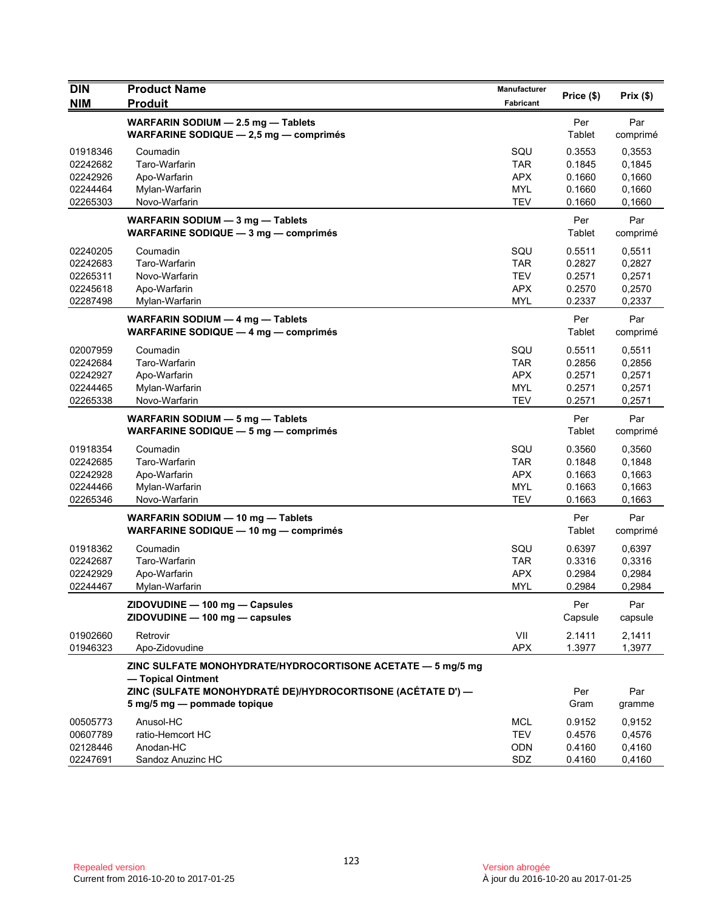| <b>DIN</b>                                               | <b>Product Name</b>                                                                                                                                                             | <b>Manufacturer</b>                                         | Price (\$)                                     | Prix(\$)                                       |
|----------------------------------------------------------|---------------------------------------------------------------------------------------------------------------------------------------------------------------------------------|-------------------------------------------------------------|------------------------------------------------|------------------------------------------------|
| <b>NIM</b>                                               | <b>Produit</b>                                                                                                                                                                  | Fabricant                                                   |                                                |                                                |
|                                                          | WARFARIN SODIUM - 2.5 mg - Tablets<br>WARFARINE SODIQUE $-2.5$ mg $-$ comprimes                                                                                                 |                                                             | Per<br>Tablet                                  | Par<br>comprimé                                |
| 01918346<br>02242682<br>02242926<br>02244464<br>02265303 | Coumadin<br>Taro-Warfarin<br>Apo-Warfarin<br>Mylan-Warfarin<br>Novo-Warfarin                                                                                                    | SQU<br><b>TAR</b><br><b>APX</b><br><b>MYL</b><br><b>TEV</b> | 0.3553<br>0.1845<br>0.1660<br>0.1660<br>0.1660 | 0,3553<br>0,1845<br>0,1660<br>0,1660<br>0,1660 |
|                                                          | WARFARIN SODIUM - 3 mg - Tablets<br>WARFARINE SODIQUE $-3$ mg $-$ comprimes                                                                                                     |                                                             | Per<br>Tablet                                  | Par<br>comprimé                                |
| 02240205<br>02242683<br>02265311<br>02245618<br>02287498 | Coumadin<br>Taro-Warfarin<br>Novo-Warfarin<br>Apo-Warfarin<br>Mylan-Warfarin                                                                                                    | SQU<br><b>TAR</b><br><b>TEV</b><br><b>APX</b><br>MYL        | 0.5511<br>0.2827<br>0.2571<br>0.2570<br>0.2337 | 0,5511<br>0,2827<br>0,2571<br>0,2570<br>0,2337 |
|                                                          | WARFARIN SODIUM - 4 mg - Tablets<br>WARFARINE SODIQUE $-$ 4 mg $-$ comprimes                                                                                                    |                                                             | Per<br>Tablet                                  | Par<br>comprimé                                |
| 02007959<br>02242684<br>02242927<br>02244465<br>02265338 | Coumadin<br>Taro-Warfarin<br>Apo-Warfarin<br>Mylan-Warfarin<br>Novo-Warfarin                                                                                                    | SQU<br><b>TAR</b><br><b>APX</b><br><b>MYL</b><br><b>TEV</b> | 0.5511<br>0.2856<br>0.2571<br>0.2571<br>0.2571 | 0,5511<br>0,2856<br>0,2571<br>0,2571<br>0,2571 |
|                                                          | WARFARIN SODIUM - 5 mg - Tablets<br>WARFARINE SODIQUE $-5$ mg $-$ comprimes                                                                                                     |                                                             | Per<br>Tablet                                  | Par<br>comprimé                                |
| 01918354<br>02242685<br>02242928<br>02244466<br>02265346 | Coumadin<br>Taro-Warfarin<br>Apo-Warfarin<br>Mylan-Warfarin<br>Novo-Warfarin                                                                                                    | SQU<br><b>TAR</b><br><b>APX</b><br><b>MYL</b><br><b>TEV</b> | 0.3560<br>0.1848<br>0.1663<br>0.1663<br>0.1663 | 0,3560<br>0,1848<br>0,1663<br>0,1663<br>0,1663 |
|                                                          | WARFARIN SODIUM - 10 mg - Tablets<br>WARFARINE SODIQUE - 10 mg - comprimés                                                                                                      |                                                             | Per<br>Tablet                                  | Par<br>comprimé                                |
| 01918362<br>02242687<br>02242929<br>02244467             | Coumadin<br>Taro-Warfarin<br>Apo-Warfarin<br>Mylan-Warfarin                                                                                                                     | SQU<br><b>TAR</b><br><b>APX</b><br>MYL                      | 0.6397<br>0.3316<br>0.2984<br>0.2984           | 0,6397<br>0,3316<br>0,2984<br>0,2984           |
|                                                          | ZIDOVUDINE - 100 mg - Capsules<br>ZIDOVUDINE - 100 mg - capsules                                                                                                                |                                                             | Per<br>Capsule                                 | Par<br>capsule                                 |
| 01902660<br>01946323                                     | Retrovir<br>Apo-Zidovudine                                                                                                                                                      | VII<br><b>APX</b>                                           | 2.1411<br>1.3977                               | 2,1411<br>1,3977                               |
|                                                          | ZINC SULFATE MONOHYDRATE/HYDROCORTISONE ACETATE - 5 mg/5 mg<br>- Topical Ointment<br>ZINC (SULFATE MONOHYDRATÉ DE)/HYDROCORTISONE (ACÉTATE D') —<br>5 mg/5 mg - pommade topique |                                                             | Per<br>Gram                                    | Par<br>gramme                                  |
| 00505773<br>00607789<br>02128446<br>02247691             | Anusol-HC<br>ratio-Hemcort HC<br>Anodan-HC<br>Sandoz Anuzinc HC                                                                                                                 | MCL<br><b>TEV</b><br>ODN<br>SDZ                             | 0.9152<br>0.4576<br>0.4160<br>0.4160           | 0,9152<br>0,4576<br>0,4160<br>0,4160           |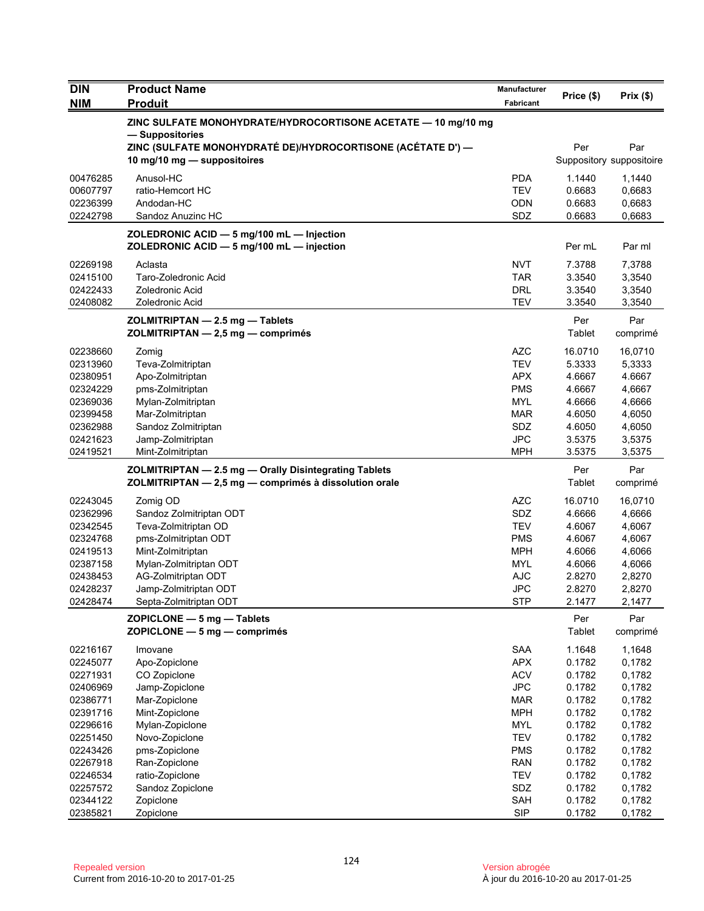| Price (\$)<br>Prix(\$)<br><b>NIM</b><br><b>Produit</b><br><b>Fabricant</b><br>ZINC SULFATE MONOHYDRATE/HYDROCORTISONE ACETATE - 10 mg/10 mg<br>- Suppositories<br>ZINC (SULFATE MONOHYDRATÉ DE)/HYDROCORTISONE (ACÉTATE D') —<br>Per<br>Par<br>Suppository suppositoire<br>10 mg/10 mg - suppositoires<br><b>PDA</b><br>00476285<br>Anusol-HC<br>1.1440<br>1,1440<br>ratio-Hemcort HC<br><b>TEV</b><br>00607797<br>0.6683<br>0,6683<br>02236399<br><b>ODN</b><br>0.6683<br>0,6683<br>Andodan-HC<br>02242798<br>SDZ<br>0.6683<br>0,6683<br>Sandoz Anuzinc HC<br>ZOLEDRONIC ACID - 5 mg/100 mL - Injection<br>ZOLEDRONIC ACID $-$ 5 mg/100 mL $-$ injection<br>Per mL<br>Par ml<br>Aclasta<br><b>NVT</b><br>02269198<br>7.3788<br>7,3788<br>Taro-Zoledronic Acid<br><b>TAR</b><br>3.3540<br>3,3540<br>02415100<br>02422433<br>Zoledronic Acid<br><b>DRL</b><br>3.3540<br>3,3540<br><b>TEV</b><br>02408082<br>Zoledronic Acid<br>3.3540<br>3,3540<br>Par<br>Per<br>ZOLMITRIPTAN - 2.5 mg - Tablets<br>ZOLMITRIPTAN - 2,5 mg - comprimés<br>Tablet<br>comprimé<br><b>AZC</b><br>16.0710<br>02238660<br>16,0710<br>Zomig<br>02313960<br>Teva-Zolmitriptan<br><b>TEV</b><br>5.3333<br>5,3333<br>02380951<br><b>APX</b><br>4.6667<br>4.6667<br>Apo-Zolmitriptan<br><b>PMS</b><br>4.6667<br>02324229<br>pms-Zolmitriptan<br>4,6667<br>02369036<br>Mylan-Zolmitriptan<br><b>MYL</b><br>4.6666<br>4,6666<br>Mar-Zolmitriptan<br>4.6050<br>4,6050<br>02399458<br>MAR<br>SDZ<br>4.6050<br>4,6050<br>02362988<br>Sandoz Zolmitriptan<br>02421623<br><b>JPC</b><br>3.5375<br>Jamp-Zolmitriptan<br>3,5375 |
|--------------------------------------------------------------------------------------------------------------------------------------------------------------------------------------------------------------------------------------------------------------------------------------------------------------------------------------------------------------------------------------------------------------------------------------------------------------------------------------------------------------------------------------------------------------------------------------------------------------------------------------------------------------------------------------------------------------------------------------------------------------------------------------------------------------------------------------------------------------------------------------------------------------------------------------------------------------------------------------------------------------------------------------------------------------------------------------------------------------------------------------------------------------------------------------------------------------------------------------------------------------------------------------------------------------------------------------------------------------------------------------------------------------------------------------------------------------------------------------------------------------------------------------------------------------------------------------------|
|                                                                                                                                                                                                                                                                                                                                                                                                                                                                                                                                                                                                                                                                                                                                                                                                                                                                                                                                                                                                                                                                                                                                                                                                                                                                                                                                                                                                                                                                                                                                                                                            |
|                                                                                                                                                                                                                                                                                                                                                                                                                                                                                                                                                                                                                                                                                                                                                                                                                                                                                                                                                                                                                                                                                                                                                                                                                                                                                                                                                                                                                                                                                                                                                                                            |
|                                                                                                                                                                                                                                                                                                                                                                                                                                                                                                                                                                                                                                                                                                                                                                                                                                                                                                                                                                                                                                                                                                                                                                                                                                                                                                                                                                                                                                                                                                                                                                                            |
|                                                                                                                                                                                                                                                                                                                                                                                                                                                                                                                                                                                                                                                                                                                                                                                                                                                                                                                                                                                                                                                                                                                                                                                                                                                                                                                                                                                                                                                                                                                                                                                            |
|                                                                                                                                                                                                                                                                                                                                                                                                                                                                                                                                                                                                                                                                                                                                                                                                                                                                                                                                                                                                                                                                                                                                                                                                                                                                                                                                                                                                                                                                                                                                                                                            |
|                                                                                                                                                                                                                                                                                                                                                                                                                                                                                                                                                                                                                                                                                                                                                                                                                                                                                                                                                                                                                                                                                                                                                                                                                                                                                                                                                                                                                                                                                                                                                                                            |
|                                                                                                                                                                                                                                                                                                                                                                                                                                                                                                                                                                                                                                                                                                                                                                                                                                                                                                                                                                                                                                                                                                                                                                                                                                                                                                                                                                                                                                                                                                                                                                                            |
|                                                                                                                                                                                                                                                                                                                                                                                                                                                                                                                                                                                                                                                                                                                                                                                                                                                                                                                                                                                                                                                                                                                                                                                                                                                                                                                                                                                                                                                                                                                                                                                            |
|                                                                                                                                                                                                                                                                                                                                                                                                                                                                                                                                                                                                                                                                                                                                                                                                                                                                                                                                                                                                                                                                                                                                                                                                                                                                                                                                                                                                                                                                                                                                                                                            |
|                                                                                                                                                                                                                                                                                                                                                                                                                                                                                                                                                                                                                                                                                                                                                                                                                                                                                                                                                                                                                                                                                                                                                                                                                                                                                                                                                                                                                                                                                                                                                                                            |
|                                                                                                                                                                                                                                                                                                                                                                                                                                                                                                                                                                                                                                                                                                                                                                                                                                                                                                                                                                                                                                                                                                                                                                                                                                                                                                                                                                                                                                                                                                                                                                                            |
|                                                                                                                                                                                                                                                                                                                                                                                                                                                                                                                                                                                                                                                                                                                                                                                                                                                                                                                                                                                                                                                                                                                                                                                                                                                                                                                                                                                                                                                                                                                                                                                            |
|                                                                                                                                                                                                                                                                                                                                                                                                                                                                                                                                                                                                                                                                                                                                                                                                                                                                                                                                                                                                                                                                                                                                                                                                                                                                                                                                                                                                                                                                                                                                                                                            |
|                                                                                                                                                                                                                                                                                                                                                                                                                                                                                                                                                                                                                                                                                                                                                                                                                                                                                                                                                                                                                                                                                                                                                                                                                                                                                                                                                                                                                                                                                                                                                                                            |
|                                                                                                                                                                                                                                                                                                                                                                                                                                                                                                                                                                                                                                                                                                                                                                                                                                                                                                                                                                                                                                                                                                                                                                                                                                                                                                                                                                                                                                                                                                                                                                                            |
|                                                                                                                                                                                                                                                                                                                                                                                                                                                                                                                                                                                                                                                                                                                                                                                                                                                                                                                                                                                                                                                                                                                                                                                                                                                                                                                                                                                                                                                                                                                                                                                            |
|                                                                                                                                                                                                                                                                                                                                                                                                                                                                                                                                                                                                                                                                                                                                                                                                                                                                                                                                                                                                                                                                                                                                                                                                                                                                                                                                                                                                                                                                                                                                                                                            |
|                                                                                                                                                                                                                                                                                                                                                                                                                                                                                                                                                                                                                                                                                                                                                                                                                                                                                                                                                                                                                                                                                                                                                                                                                                                                                                                                                                                                                                                                                                                                                                                            |
|                                                                                                                                                                                                                                                                                                                                                                                                                                                                                                                                                                                                                                                                                                                                                                                                                                                                                                                                                                                                                                                                                                                                                                                                                                                                                                                                                                                                                                                                                                                                                                                            |
|                                                                                                                                                                                                                                                                                                                                                                                                                                                                                                                                                                                                                                                                                                                                                                                                                                                                                                                                                                                                                                                                                                                                                                                                                                                                                                                                                                                                                                                                                                                                                                                            |
|                                                                                                                                                                                                                                                                                                                                                                                                                                                                                                                                                                                                                                                                                                                                                                                                                                                                                                                                                                                                                                                                                                                                                                                                                                                                                                                                                                                                                                                                                                                                                                                            |
| 02419521<br><b>MPH</b><br>3.5375<br>3,5375<br>Mint-Zolmitriptan                                                                                                                                                                                                                                                                                                                                                                                                                                                                                                                                                                                                                                                                                                                                                                                                                                                                                                                                                                                                                                                                                                                                                                                                                                                                                                                                                                                                                                                                                                                            |
| ZOLMITRIPTAN - 2.5 mg - Orally Disintegrating Tablets<br>Per<br>Par<br>Tablet<br>ZOLMITRIPTAN - 2,5 mg - comprimés à dissolution orale<br>comprimé                                                                                                                                                                                                                                                                                                                                                                                                                                                                                                                                                                                                                                                                                                                                                                                                                                                                                                                                                                                                                                                                                                                                                                                                                                                                                                                                                                                                                                         |
|                                                                                                                                                                                                                                                                                                                                                                                                                                                                                                                                                                                                                                                                                                                                                                                                                                                                                                                                                                                                                                                                                                                                                                                                                                                                                                                                                                                                                                                                                                                                                                                            |
| <b>AZC</b><br>02243045<br>Zomig OD<br>16.0710<br>16,0710                                                                                                                                                                                                                                                                                                                                                                                                                                                                                                                                                                                                                                                                                                                                                                                                                                                                                                                                                                                                                                                                                                                                                                                                                                                                                                                                                                                                                                                                                                                                   |
| 02362996<br>Sandoz Zolmitriptan ODT<br>SDZ<br>4.6666<br>4,6666                                                                                                                                                                                                                                                                                                                                                                                                                                                                                                                                                                                                                                                                                                                                                                                                                                                                                                                                                                                                                                                                                                                                                                                                                                                                                                                                                                                                                                                                                                                             |
| 02342545<br><b>TEV</b><br>4.6067<br>4,6067<br>Teva-Zolmitriptan OD                                                                                                                                                                                                                                                                                                                                                                                                                                                                                                                                                                                                                                                                                                                                                                                                                                                                                                                                                                                                                                                                                                                                                                                                                                                                                                                                                                                                                                                                                                                         |
| pms-Zolmitriptan ODT<br><b>PMS</b><br>4.6067<br>4,6067<br>02324768<br>02419513                                                                                                                                                                                                                                                                                                                                                                                                                                                                                                                                                                                                                                                                                                                                                                                                                                                                                                                                                                                                                                                                                                                                                                                                                                                                                                                                                                                                                                                                                                             |
| Mint-Zolmitriptan<br>MPH<br>4.6066<br>4,6066<br>Mylan-Zolmitriptan ODT<br><b>MYL</b><br>02387158<br>4.6066<br>4,6066                                                                                                                                                                                                                                                                                                                                                                                                                                                                                                                                                                                                                                                                                                                                                                                                                                                                                                                                                                                                                                                                                                                                                                                                                                                                                                                                                                                                                                                                       |
| <b>AJC</b><br>02438453<br>AG-Zolmitriptan ODT<br>2.8270<br>2,8270                                                                                                                                                                                                                                                                                                                                                                                                                                                                                                                                                                                                                                                                                                                                                                                                                                                                                                                                                                                                                                                                                                                                                                                                                                                                                                                                                                                                                                                                                                                          |
| <b>JPC</b><br>02428237<br>Jamp-Zolmitriptan ODT<br>2.8270<br>2,8270                                                                                                                                                                                                                                                                                                                                                                                                                                                                                                                                                                                                                                                                                                                                                                                                                                                                                                                                                                                                                                                                                                                                                                                                                                                                                                                                                                                                                                                                                                                        |
| <b>STP</b><br>02428474<br>2.1477<br>2,1477<br>Septa-Zolmitriptan ODT                                                                                                                                                                                                                                                                                                                                                                                                                                                                                                                                                                                                                                                                                                                                                                                                                                                                                                                                                                                                                                                                                                                                                                                                                                                                                                                                                                                                                                                                                                                       |
| Per<br>Par                                                                                                                                                                                                                                                                                                                                                                                                                                                                                                                                                                                                                                                                                                                                                                                                                                                                                                                                                                                                                                                                                                                                                                                                                                                                                                                                                                                                                                                                                                                                                                                 |
| ZOPICLONE - 5 mg - Tablets<br>Tablet<br>ZOPICLONE - 5 mg - comprimés<br>comprimé                                                                                                                                                                                                                                                                                                                                                                                                                                                                                                                                                                                                                                                                                                                                                                                                                                                                                                                                                                                                                                                                                                                                                                                                                                                                                                                                                                                                                                                                                                           |
| <b>SAA</b><br>1.1648<br>02216167<br>Imovane<br>1,1648                                                                                                                                                                                                                                                                                                                                                                                                                                                                                                                                                                                                                                                                                                                                                                                                                                                                                                                                                                                                                                                                                                                                                                                                                                                                                                                                                                                                                                                                                                                                      |
| <b>APX</b><br>0.1782<br>02245077<br>Apo-Zopiclone<br>0,1782                                                                                                                                                                                                                                                                                                                                                                                                                                                                                                                                                                                                                                                                                                                                                                                                                                                                                                                                                                                                                                                                                                                                                                                                                                                                                                                                                                                                                                                                                                                                |
| <b>ACV</b><br>0.1782<br>02271931<br>CO Zopiclone<br>0,1782                                                                                                                                                                                                                                                                                                                                                                                                                                                                                                                                                                                                                                                                                                                                                                                                                                                                                                                                                                                                                                                                                                                                                                                                                                                                                                                                                                                                                                                                                                                                 |
| <b>JPC</b><br>0.1782<br>0,1782<br>02406969<br>Jamp-Zopiclone                                                                                                                                                                                                                                                                                                                                                                                                                                                                                                                                                                                                                                                                                                                                                                                                                                                                                                                                                                                                                                                                                                                                                                                                                                                                                                                                                                                                                                                                                                                               |
| 02386771<br>Mar-Zopiclone<br><b>MAR</b><br>0.1782<br>0,1782                                                                                                                                                                                                                                                                                                                                                                                                                                                                                                                                                                                                                                                                                                                                                                                                                                                                                                                                                                                                                                                                                                                                                                                                                                                                                                                                                                                                                                                                                                                                |
| 02391716<br>Mint-Zopiclone<br><b>MPH</b><br>0.1782<br>0,1782                                                                                                                                                                                                                                                                                                                                                                                                                                                                                                                                                                                                                                                                                                                                                                                                                                                                                                                                                                                                                                                                                                                                                                                                                                                                                                                                                                                                                                                                                                                               |
| 02296616<br><b>MYL</b><br>0.1782<br>0,1782<br>Mylan-Zopiclone                                                                                                                                                                                                                                                                                                                                                                                                                                                                                                                                                                                                                                                                                                                                                                                                                                                                                                                                                                                                                                                                                                                                                                                                                                                                                                                                                                                                                                                                                                                              |
| Novo-Zopiclone<br><b>TEV</b><br>0.1782<br>0,1782<br>02251450                                                                                                                                                                                                                                                                                                                                                                                                                                                                                                                                                                                                                                                                                                                                                                                                                                                                                                                                                                                                                                                                                                                                                                                                                                                                                                                                                                                                                                                                                                                               |
| 02243426<br>pms-Zopiclone<br><b>PMS</b><br>0.1782<br>0,1782                                                                                                                                                                                                                                                                                                                                                                                                                                                                                                                                                                                                                                                                                                                                                                                                                                                                                                                                                                                                                                                                                                                                                                                                                                                                                                                                                                                                                                                                                                                                |
| 02267918<br>Ran-Zopiclone<br><b>RAN</b><br>0.1782<br>0,1782                                                                                                                                                                                                                                                                                                                                                                                                                                                                                                                                                                                                                                                                                                                                                                                                                                                                                                                                                                                                                                                                                                                                                                                                                                                                                                                                                                                                                                                                                                                                |
| ratio-Zopiclone<br><b>TEV</b><br>0.1782<br>0,1782<br>02246534                                                                                                                                                                                                                                                                                                                                                                                                                                                                                                                                                                                                                                                                                                                                                                                                                                                                                                                                                                                                                                                                                                                                                                                                                                                                                                                                                                                                                                                                                                                              |
| SDZ<br>0.1782<br>0,1782<br>02257572<br>Sandoz Zopiclone<br>02344122<br>SAH<br>0.1782<br>0,1782<br>Zopiclone                                                                                                                                                                                                                                                                                                                                                                                                                                                                                                                                                                                                                                                                                                                                                                                                                                                                                                                                                                                                                                                                                                                                                                                                                                                                                                                                                                                                                                                                                |
| <b>SIP</b><br>02385821<br>Zopiclone<br>0.1782<br>0,1782                                                                                                                                                                                                                                                                                                                                                                                                                                                                                                                                                                                                                                                                                                                                                                                                                                                                                                                                                                                                                                                                                                                                                                                                                                                                                                                                                                                                                                                                                                                                    |